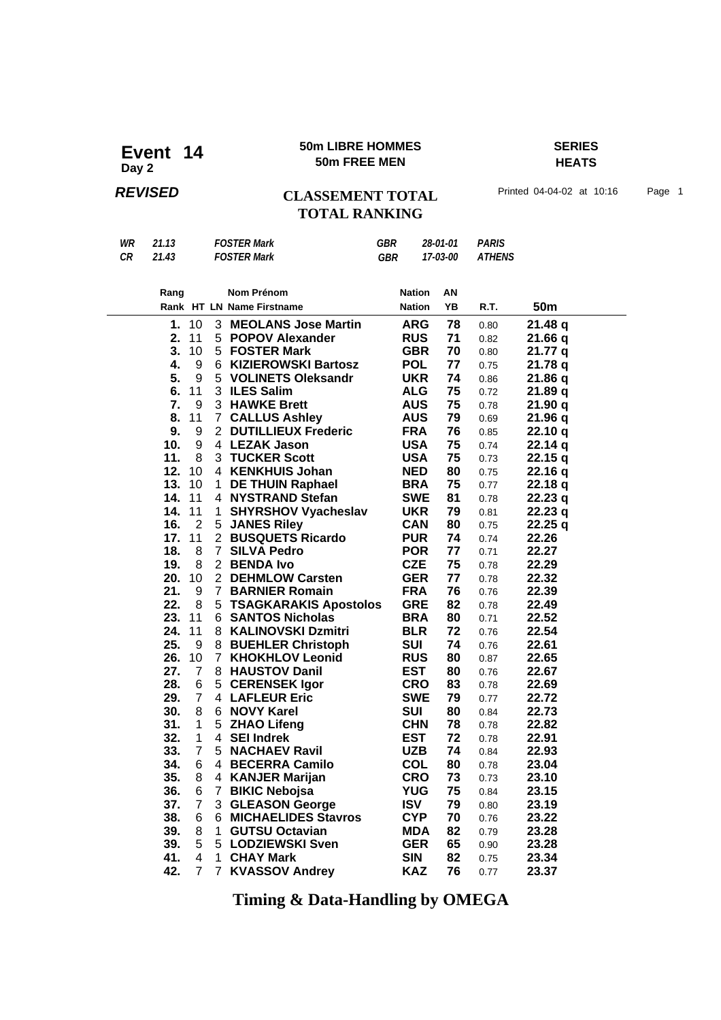### **50m LIBRE HOMMES SERIES 50m LIBRE HOMME**<br>50m FREE MEN

## **HEATS**

### **REVISED CLASSEMENT TOTAL** Printed 04-04-02 at 10:16 Page 1 **TOTAL RANKING**

| WR | 21.13 | <b>FOSTER Mark</b> | GBR | 28-01-01 | <b>PARIS</b> |
|----|-------|--------------------|-----|----------|--------------|
| СR | 21.43 | <b>FOSTER Mark</b> | GBR | 17-03-00 | ATHENS       |

| Rang |                |                | Nom Prénom                   | <b>Nation</b> | ΑN |      |         |  |
|------|----------------|----------------|------------------------------|---------------|----|------|---------|--|
|      |                |                | Rank HT LN Name Firstname    | <b>Nation</b> | YΒ | R.T. | 50m     |  |
| 1.   | 10             | 3              | <b>MEOLANS Jose Martin</b>   | <b>ARG</b>    | 78 | 0.80 | 21.48 q |  |
| 2.   | 11             | 5              | <b>POPOV Alexander</b>       | <b>RUS</b>    | 71 | 0.82 | 21.66 q |  |
| 3.   | 10             | 5              | <b>FOSTER Mark</b>           | <b>GBR</b>    | 70 | 0.80 | 21.77 q |  |
| 4.   | 9              | 6              | <b>KIZIEROWSKI Bartosz</b>   | <b>POL</b>    | 77 | 0.75 | 21.78 q |  |
| 5.   | 9              | 5              | <b>VOLINETS Oleksandr</b>    | <b>UKR</b>    | 74 | 0.86 | 21.86q  |  |
| 6.   | 11             |                | 3 ILES Salim                 | <b>ALG</b>    | 75 | 0.72 | 21.89 q |  |
| 7.   | 9              |                | 3 HAWKE Brett                | <b>AUS</b>    | 75 | 0.78 | 21.90q  |  |
| 8.   | 11             | 7              | <b>CALLUS Ashley</b>         | <b>AUS</b>    | 79 | 0.69 | 21.96q  |  |
| 9.   | 9              | 2              | <b>DUTILLIEUX Frederic</b>   | <b>FRA</b>    | 76 | 0.85 | 22.10 q |  |
| 10.  | 9              | 4              | <b>LEZAK Jason</b>           | <b>USA</b>    | 75 | 0.74 | 22.14q  |  |
| 11.  | 8              | 3              | <b>TUCKER Scott</b>          | <b>USA</b>    | 75 | 0.73 | 22.15q  |  |
| 12.  | 10             | 4              | <b>KENKHUIS Johan</b>        | <b>NED</b>    | 80 | 0.75 | 22.16 q |  |
| 13.  | 10             | 1              | <b>DE THUIN Raphael</b>      | <b>BRA</b>    | 75 | 0.77 | 22.18 q |  |
| 14.  | 11             | 4              | <b>NYSTRAND Stefan</b>       | <b>SWE</b>    | 81 | 0.78 | 22.23q  |  |
| 14.  | 11             | 1              | <b>SHYRSHOV Vyacheslav</b>   | <b>UKR</b>    | 79 | 0.81 | 22.23 q |  |
| 16.  | $\overline{2}$ | 5              | <b>JANES Riley</b>           | <b>CAN</b>    | 80 | 0.75 | 22.25q  |  |
| 17.  | 11             | $\overline{2}$ | <b>BUSQUETS Ricardo</b>      | <b>PUR</b>    | 74 | 0.74 | 22.26   |  |
| 18.  | 8              | 7              | <b>SILVA Pedro</b>           | <b>POR</b>    | 77 | 0.71 | 22.27   |  |
| 19.  | 8              | $\overline{2}$ | <b>BENDA Ivo</b>             | <b>CZE</b>    | 75 | 0.78 | 22.29   |  |
| 20.  | 10             | $\overline{2}$ | <b>DEHMLOW Carsten</b>       | <b>GER</b>    | 77 | 0.78 | 22.32   |  |
| 21.  | 9              | 7              | <b>BARNIER Romain</b>        | <b>FRA</b>    | 76 | 0.76 | 22.39   |  |
| 22.  | 8              | 5              | <b>TSAGKARAKIS Apostolos</b> | <b>GRE</b>    | 82 | 0.78 | 22.49   |  |
| 23.  | 11             | 6              | <b>SANTOS Nicholas</b>       | <b>BRA</b>    | 80 | 0.71 | 22.52   |  |
| 24.  | 11             | 8              | <b>KALINOVSKI Dzmitri</b>    | <b>BLR</b>    | 72 | 0.76 | 22.54   |  |
| 25.  | 9              | 8              | <b>BUEHLER Christoph</b>     | <b>SUI</b>    | 74 | 0.76 | 22.61   |  |
| 26.  | 10             | $\mathbf{7}$   | <b>KHOKHLOV Leonid</b>       | <b>RUS</b>    | 80 | 0.87 | 22.65   |  |
| 27.  | 7              | 8              | <b>HAUSTOV Danil</b>         | <b>EST</b>    | 80 | 0.76 | 22.67   |  |
| 28.  | 6              | 5              | <b>CERENSEK Igor</b>         | <b>CRO</b>    | 83 | 0.78 | 22.69   |  |
| 29.  | $\overline{7}$ |                | 4 LAFLEUR Eric               | <b>SWE</b>    | 79 | 0.77 | 22.72   |  |
| 30.  | 8              | 6              | <b>NOVY Karel</b>            | <b>SUI</b>    | 80 | 0.84 | 22.73   |  |
| 31.  | 1              | 5              | <b>ZHAO Lifeng</b>           | <b>CHN</b>    | 78 | 0.78 | 22.82   |  |
| 32.  | 1              | 4              | <b>SEI Indrek</b>            | <b>EST</b>    | 72 | 0.78 | 22.91   |  |
| 33.  | $\overline{7}$ | 5              | <b>NACHAEV Ravil</b>         | <b>UZB</b>    | 74 | 0.84 | 22.93   |  |
| 34.  | 6              | 4              | <b>BECERRA Camilo</b>        | <b>COL</b>    | 80 | 0.78 | 23.04   |  |
| 35.  | 8              | 4              | <b>KANJER Marijan</b>        | <b>CRO</b>    | 73 | 0.73 | 23.10   |  |
| 36.  | 6              | $\overline{7}$ | <b>BIKIC Nebojsa</b>         | <b>YUG</b>    | 75 | 0.84 | 23.15   |  |
| 37.  | $\overline{7}$ | 3              | <b>GLEASON George</b>        | <b>ISV</b>    | 79 | 0.80 | 23.19   |  |
| 38.  | 6              | 6              | <b>MICHAELIDES Stavros</b>   | <b>CYP</b>    | 70 | 0.76 | 23.22   |  |
| 39.  | 8              | 1              | <b>GUTSU Octavian</b>        | <b>MDA</b>    | 82 | 0.79 | 23.28   |  |
| 39.  | 5              | 5              | <b>LODZIEWSKI Sven</b>       | <b>GER</b>    | 65 | 0.90 | 23.28   |  |
| 41.  | 4              | 1              | <b>CHAY Mark</b>             | <b>SIN</b>    | 82 | 0.75 | 23.34   |  |
| 42.  | 7              | $\mathbf{7}$   | <b>KVASSOV Andrey</b>        | <b>KAZ</b>    | 76 | 0.77 | 23.37   |  |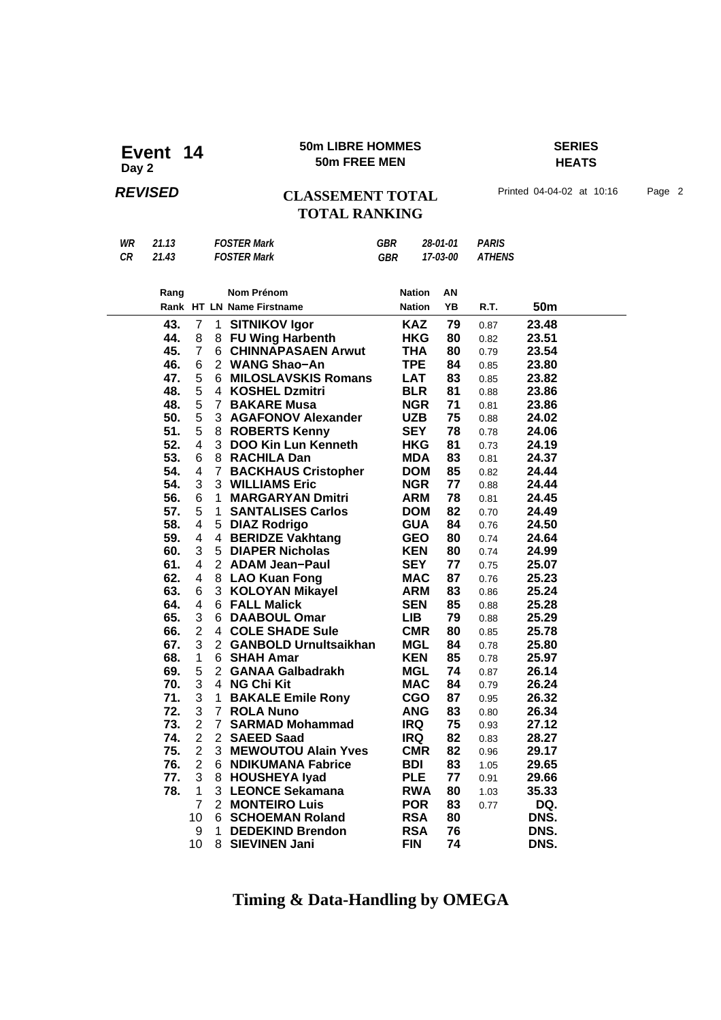### **50m LIBRE HOMMES SERIES 50m LIBRE HOMME**<br>50m FREE MEN

## **HEATS**

## **REVISED** CLASSEMENT TOTAL Printed 04-04-02 at 10:16 Page 2 **TOTAL RANKING**

| WR | 21.13 | <b>FOSTER Mark</b> | GBR | 28-01-01                      | PARIS |
|----|-------|--------------------|-----|-------------------------------|-------|
|    |       |                    |     |                               |       |
| CR | 21.43 | <b>FOSTER Mark</b> | GBR | <i><b>17-03-00 ATHENS</b></i> |       |

| Rang |                |                | Nom Prénom                   | <b>Nation</b> | ΑN |      |                 |  |
|------|----------------|----------------|------------------------------|---------------|----|------|-----------------|--|
|      |                |                | Rank HT LN Name Firstname    | <b>Nation</b> | YB | R.T. | 50 <sub>m</sub> |  |
| 43.  | $\overline{7}$ | 1              | <b>SITNIKOV Igor</b>         | <b>KAZ</b>    | 79 | 0.87 | 23.48           |  |
| 44.  | 8              | 8              | <b>FU Wing Harbenth</b>      | <b>HKG</b>    | 80 | 0.82 | 23.51           |  |
| 45.  | $\overline{7}$ | 6              | <b>CHINNAPASAEN Arwut</b>    | <b>THA</b>    | 80 | 0.79 | 23.54           |  |
| 46.  | 6              |                | 2 WANG Shao-An               | <b>TPE</b>    | 84 | 0.85 | 23.80           |  |
| 47.  | 5              | 6              | <b>MILOSLAVSKIS Romans</b>   | <b>LAT</b>    | 83 | 0.85 | 23.82           |  |
| 48.  | 5              |                | 4 KOSHEL Dzmitri             | <b>BLR</b>    | 81 | 0.88 | 23.86           |  |
| 48.  | 5              | $7^{\circ}$    | <b>BAKARE Musa</b>           | <b>NGR</b>    | 71 | 0.81 | 23.86           |  |
| 50.  | 5              | 3              | <b>AGAFONOV Alexander</b>    | <b>UZB</b>    | 75 | 0.88 | 24.02           |  |
| 51.  | 5              | 8              | <b>ROBERTS Kenny</b>         | <b>SEY</b>    | 78 | 0.78 | 24.06           |  |
| 52.  | 4              | 3              | <b>DOO Kin Lun Kenneth</b>   | <b>HKG</b>    | 81 | 0.73 | 24.19           |  |
| 53.  | 6              |                | 8 RACHILA Dan                | <b>MDA</b>    | 83 | 0.81 | 24.37           |  |
| 54.  | 4              | $\overline{7}$ | <b>BACKHAUS Cristopher</b>   | <b>DOM</b>    | 85 | 0.82 | 24.44           |  |
| 54.  | 3              |                | 3 WILLIAMS Eric              | <b>NGR</b>    | 77 | 0.88 | 24.44           |  |
| 56.  | 6              | 1              | <b>MARGARYAN Dmitri</b>      | <b>ARM</b>    | 78 | 0.81 | 24.45           |  |
| 57.  | 5              | 1              | <b>SANTALISES Carlos</b>     | <b>DOM</b>    | 82 | 0.70 | 24.49           |  |
| 58.  | 4              | 5              | <b>DIAZ Rodrigo</b>          | <b>GUA</b>    | 84 | 0.76 | 24.50           |  |
| 59.  | 4              | 4              | <b>BERIDZE Vakhtang</b>      | <b>GEO</b>    | 80 | 0.74 | 24.64           |  |
| 60.  | 3              | 5              | <b>DIAPER Nicholas</b>       | <b>KEN</b>    | 80 | 0.74 | 24.99           |  |
| 61.  | 4              |                | 2 ADAM Jean-Paul             | <b>SEY</b>    | 77 | 0.75 | 25.07           |  |
| 62.  | 4              | 8              | <b>LAO Kuan Fong</b>         | <b>MAC</b>    | 87 | 0.76 | 25.23           |  |
| 63.  | 6              |                | 3 KOLOYAN Mikayel            | <b>ARM</b>    | 83 | 0.86 | 25.24           |  |
| 64.  | 4              |                | 6 FALL Malick                | <b>SEN</b>    | 85 | 0.88 | 25.28           |  |
| 65.  | 3              |                | 6 DAABOUL Omar               | <b>LIB</b>    | 79 | 0.88 | 25.29           |  |
| 66.  | $\overline{2}$ | 4              | <b>COLE SHADE Sule</b>       | <b>CMR</b>    | 80 | 0.85 | 25.78           |  |
| 67.  | 3              | $\overline{2}$ | <b>GANBOLD Urnultsaikhan</b> | <b>MGL</b>    | 84 | 0.78 | 25.80           |  |
| 68.  | $\mathbf{1}$   | 6              | <b>SHAH Amar</b>             | <b>KEN</b>    | 85 | 0.78 | 25.97           |  |
| 69.  | 5              |                | 2 GANAA Galbadrakh           | <b>MGL</b>    | 74 | 0.87 | 26.14           |  |
| 70.  | 3              | 4              | <b>NG Chi Kit</b>            | <b>MAC</b>    | 84 | 0.79 | 26.24           |  |
| 71.  | 3              | $\mathbf 1$    | <b>BAKALE Emile Rony</b>     | <b>CGO</b>    | 87 | 0.95 | 26.32           |  |
| 72.  | 3              | $7^{\circ}$    | <b>ROLA Nuno</b>             | <b>ANG</b>    | 83 | 0.80 | 26.34           |  |
| 73.  | $\overline{2}$ | $\overline{7}$ | <b>SARMAD Mohammad</b>       | <b>IRQ</b>    | 75 | 0.93 | 27.12           |  |
| 74.  | $\overline{2}$ | $\overline{2}$ | <b>SAEED Saad</b>            | IRQ.          | 82 | 0.83 | 28.27           |  |
| 75.  | $\overline{2}$ | 3              | <b>MEWOUTOU Alain Yves</b>   | <b>CMR</b>    | 82 | 0.96 | 29.17           |  |
| 76.  | $\overline{2}$ | 6              | <b>NDIKUMANA Fabrice</b>     | <b>BDI</b>    | 83 | 1.05 | 29.65           |  |
| 77.  | 3              | 8              | <b>HOUSHEYA lyad</b>         | <b>PLE</b>    | 77 | 0.91 | 29.66           |  |
| 78.  | 1              |                | 3 LEONCE Sekamana            | <b>RWA</b>    | 80 | 1.03 | 35.33           |  |
|      | $\overline{7}$ | $\overline{2}$ | <b>MONTEIRO Luis</b>         | <b>POR</b>    | 83 | 0.77 | DQ.             |  |
|      | 10             | 6              | <b>SCHOEMAN Roland</b>       | <b>RSA</b>    | 80 |      | DNS.            |  |
|      | 9              | 1              | <b>DEDEKIND Brendon</b>      | <b>RSA</b>    | 76 |      | DNS.            |  |
|      | 10             | 8              | <b>SIEVINEN Jani</b>         | <b>FIN</b>    | 74 |      | DNS.            |  |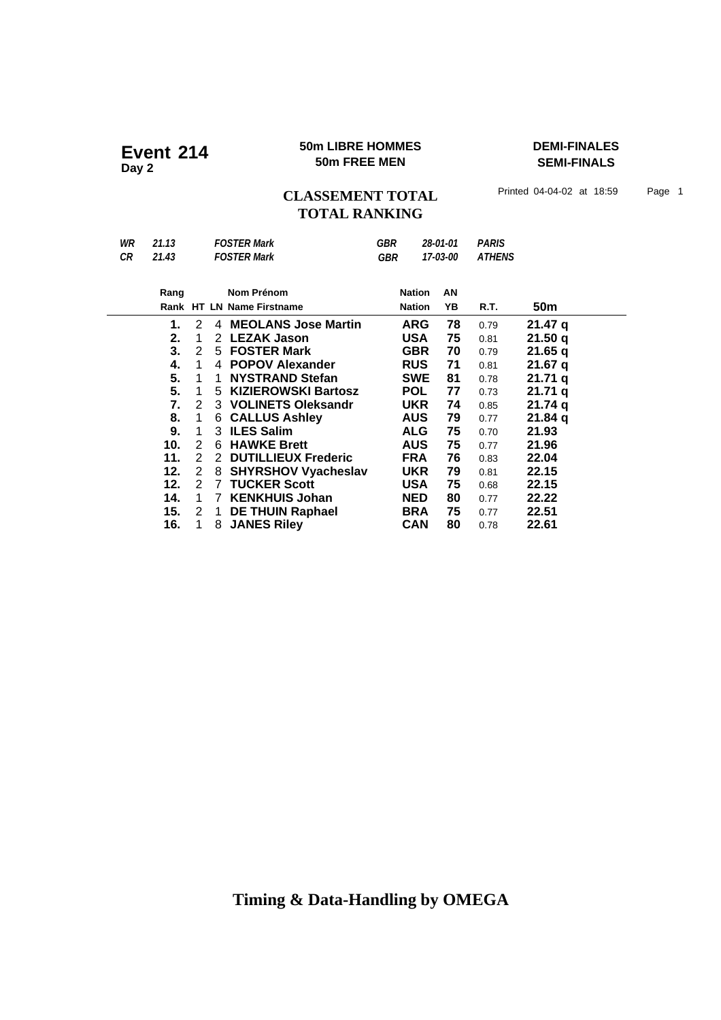### **50m LIBRE HOMMES DEMI-FINALES Event** 214 **50m LIBRE HOMME**<br>50m FREE MEN

**SEMI-FINALS**

CLASSEMENT TOTAL Printed 04-04-02 at 18:59 Page 1 **TOTAL RANKING**

| WR<br>CR | 21.13<br>21.43 |   |                | <b>FOSTER Mark</b><br><b>FOSTER Mark</b> | <b>GBR</b><br><b>GBR</b> |               | 28-01-01<br>17-03-00 | <b>PARIS</b><br><b>ATHENS</b> |         |
|----------|----------------|---|----------------|------------------------------------------|--------------------------|---------------|----------------------|-------------------------------|---------|
|          | Rang           |   |                | Nom Prénom                               |                          | <b>Nation</b> | AN                   |                               |         |
|          |                |   |                | Rank HT LN Name Firstname                |                          | <b>Nation</b> | YB                   | R.T.                          | 50m     |
|          | 1.             | 2 | 4              | <b>MEOLANS Jose Martin</b>               |                          | ARG           | 78                   | 0.79                          | 21.47 q |
|          | 2.             | 1 | $\overline{2}$ | <b>LEZAK Jason</b>                       |                          | <b>USA</b>    | 75                   | 0.81                          | 21.50q  |
|          | 3.             | 2 |                | 5 FOSTER Mark                            |                          | <b>GBR</b>    | 70                   | 0.79                          | 21.65q  |
|          | 4.             | 1 | 4              | <b>POPOV Alexander</b>                   |                          | <b>RUS</b>    | 71                   | 0.81                          | 21.67q  |
|          | 5.             | 1 | 1              | <b>NYSTRAND Stefan</b>                   |                          | <b>SWE</b>    | 81                   | 0.78                          | 21.71 a |
|          | 5.             | 1 | 5              | <b>KIZIEROWSKI Bartosz</b>               |                          | <b>POL</b>    | 77                   | 0.73                          | 21.71 a |
|          | 7.             | 2 |                | 3 VOLINETS Oleksandr                     |                          | <b>UKR</b>    | 74                   | 0.85                          | 21.74 q |
|          | 8.             | 1 | 6.             | <b>CALLUS Ashley</b>                     |                          | <b>AUS</b>    | 79                   | 0.77                          | 21.84q  |
|          | 9.             | 1 |                | 3 ILES Salim                             |                          | <b>ALG</b>    | 75                   | 0.70                          | 21.93   |
|          | 10.            | 2 |                | 6 HAWKE Brett                            |                          | <b>AUS</b>    | 75                   | 0.77                          | 21.96   |
|          | 11.            | 2 | 2              | <b>DUTILLIEUX Frederic</b>               |                          | <b>FRA</b>    | 76                   | 0.83                          | 22.04   |
|          | 12.            | 2 | 8              | <b>SHYRSHOV Vyacheslav</b>               |                          | <b>UKR</b>    | 79                   | 0.81                          | 22.15   |
|          | 12.            | 2 | 7              | <b>TUCKER Scott</b>                      |                          | <b>USA</b>    | 75                   | 0.68                          | 22.15   |
|          | 14.            | 1 | 7              | <b>KENKHUIS Johan</b>                    |                          | <b>NED</b>    | 80                   | 0.77                          | 22.22   |
|          | 15.            | 2 | 1              | <b>DE THUIN Raphael</b>                  |                          | <b>BRA</b>    | 75                   | 0.77                          | 22.51   |
|          | 16.            | 1 | 8              | <b>JANES Riley</b>                       |                          | <b>CAN</b>    | 80                   | 0.78                          | 22.61   |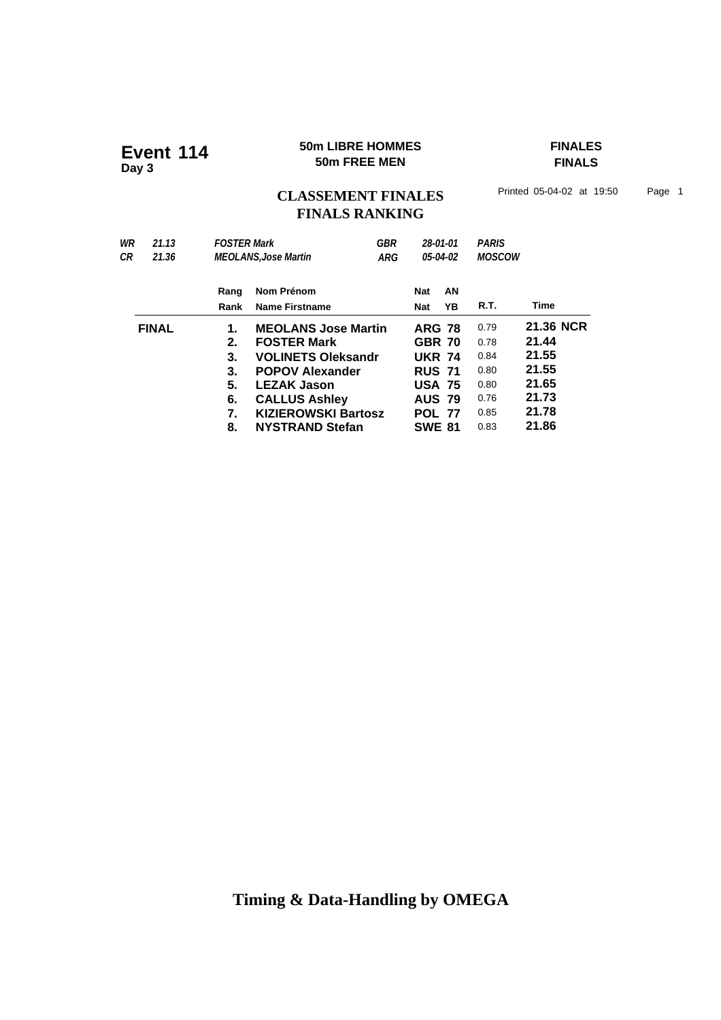### **50m LIBRE HOMMES FINALES Event 114 50m LIBRE HOMMI**<br>50m FREE MEN

**FINALS**

## CLASSEMENT FINALES<sup>Printed 05-04-02 at 19:50 Page 1</sup> **FINALS RANKING**

| 21.13        |      |                       | <b>GBR</b>                                        |                                                                                                                                                                   |    |                                                                                                                                                  |              |  |
|--------------|------|-----------------------|---------------------------------------------------|-------------------------------------------------------------------------------------------------------------------------------------------------------------------|----|--------------------------------------------------------------------------------------------------------------------------------------------------|--------------|--|
| 21.36        |      |                       | ARG                                               | 05-04-02                                                                                                                                                          |    | <b>MOSCOW</b>                                                                                                                                    |              |  |
|              | Rang | Nom Prénom            |                                                   | Nat                                                                                                                                                               | AN |                                                                                                                                                  |              |  |
|              | Rank | <b>Name Firstname</b> |                                                   | <b>Nat</b>                                                                                                                                                        | YΒ | R.T.                                                                                                                                             | Time         |  |
| <b>FINAL</b> | 1.   |                       |                                                   |                                                                                                                                                                   |    | 0.79                                                                                                                                             | 21.36 NCR    |  |
|              | 2.   | <b>FOSTER Mark</b>    |                                                   |                                                                                                                                                                   |    | 0.78                                                                                                                                             | 21.44        |  |
|              | 3.   |                       |                                                   |                                                                                                                                                                   |    | 0.84                                                                                                                                             | 21.55        |  |
|              | 3.   |                       |                                                   |                                                                                                                                                                   |    | 0.80                                                                                                                                             | 21.55        |  |
|              | 5.   | <b>LEZAK Jason</b>    |                                                   |                                                                                                                                                                   |    | 0.80                                                                                                                                             | 21.65        |  |
|              | 6.   |                       |                                                   |                                                                                                                                                                   |    | 0.76                                                                                                                                             | 21.73        |  |
|              |      |                       |                                                   |                                                                                                                                                                   |    | 0.85                                                                                                                                             | 21.78        |  |
|              | 8.   |                       |                                                   |                                                                                                                                                                   |    | 0.83                                                                                                                                             | 21.86        |  |
|              |      | 7.                    | <b>FOSTER Mark</b><br><b>MEOLANS, Jose Martin</b> | <b>MEOLANS Jose Martin</b><br><b>VOLINETS Oleksandr</b><br><b>POPOV Alexander</b><br><b>CALLUS Ashley</b><br><b>KIZIEROWSKI Bartosz</b><br><b>NYSTRAND Stefan</b> |    | 28-01-01<br><b>ARG 78</b><br><b>GBR 70</b><br><b>UKR 74</b><br><b>RUS 71</b><br><b>USA 75</b><br><b>AUS 79</b><br><b>POL 77</b><br><b>SWE 81</b> | <b>PARIS</b> |  |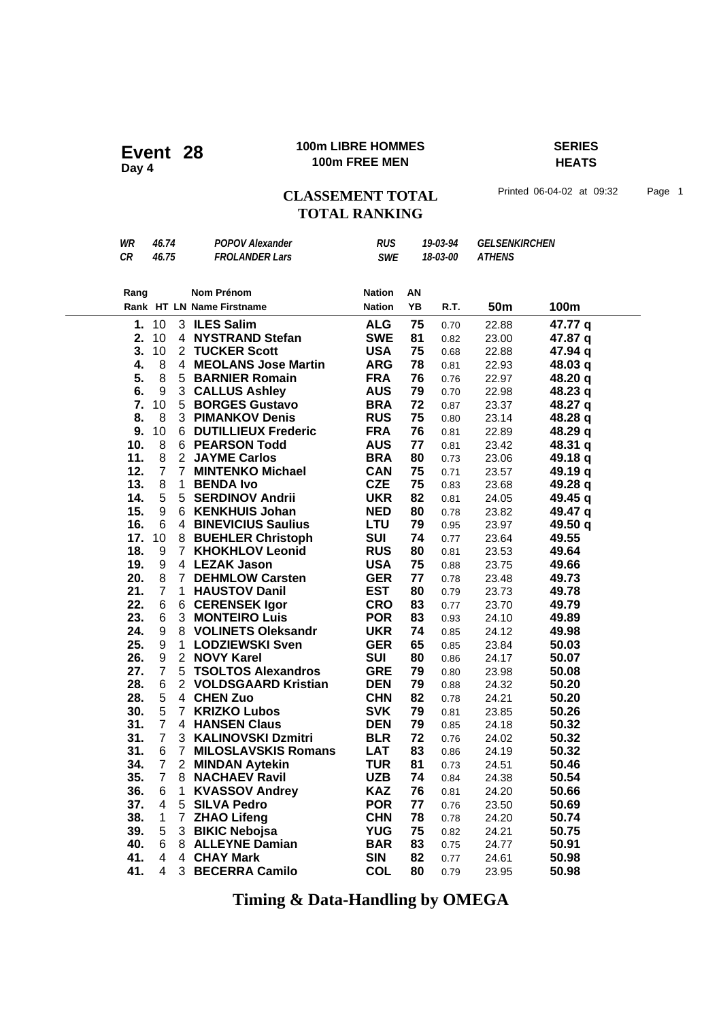### **100m LIBRE HOMMES SERIES 100m LIBRE HOMMING POWER ASSAULT AND THE MENT CONTRACT THE MENT CONTRACT OF A LIBRAL PROPERTY.**

**HEATS**

## CLASSEMENT TOTAL Printed 06-04-02 at 09:32 Page 1 **TOTAL RANKING**

| WR   | 46.74          |              | <b>POPOV Alexander</b>    | <b>RUS</b>    |    | 19-03-94 | <b>GELSENKIRCHEN</b> |         |
|------|----------------|--------------|---------------------------|---------------|----|----------|----------------------|---------|
| CR   | 46.75          |              | <b>FROLANDER Lars</b>     | <b>SWE</b>    |    | 18-03-00 | <b>ATHENS</b>        |         |
|      |                |              |                           |               |    |          |                      |         |
|      |                |              |                           |               |    |          |                      |         |
| Rang |                |              | Nom Prénom                | <b>Nation</b> | ΑN |          |                      | 100m    |
|      |                |              | Rank HT LN Name Firstname | <b>Nation</b> | YB | R.T.     | 50 <sub>m</sub>      |         |
| 1.   | 10             |              | 3 ILES Salim              | <b>ALG</b>    | 75 | 0.70     | 22.88                | 47.77 q |
| 2.   | 10             |              | 4 NYSTRAND Stefan         | <b>SWE</b>    | 81 | 0.82     | 23.00                | 47.87 q |
| 3.   | 10             |              | 2 TUCKER Scott            | <b>USA</b>    | 75 | 0.68     | 22.88                | 47.94 q |
| 4.   | 8              |              | 4 MEOLANS Jose Martin     | <b>ARG</b>    | 78 | 0.81     | 22.93                | 48.03 q |
| 5.   | 8              |              | 5 BARNIER Romain          | <b>FRA</b>    | 76 | 0.76     | 22.97                | 48.20 q |
| 6.   | 9              |              | 3 CALLUS Ashley           | <b>AUS</b>    | 79 | 0.70     | 22.98                | 48.23 q |
| 7.   | 10             |              | 5 BORGES Gustavo          | <b>BRA</b>    | 72 | 0.87     | 23.37                | 48.27 q |
| 8.   | 8              |              | 3 PIMANKOV Denis          | <b>RUS</b>    | 75 | 0.80     | 23.14                | 48.28 q |
| 9.   | 10             |              | 6 DUTILLIEUX Frederic     | <b>FRA</b>    | 76 | 0.81     | 22.89                | 48.29 q |
| 10.  | 8              |              | 6 PEARSON Todd            | <b>AUS</b>    | 77 | 0.81     | 23.42                | 48.31 q |
| 11.  | 8              |              | 2 JAYME Carlos            | <b>BRA</b>    | 80 | 0.73     | 23.06                | 49.18 q |
| 12.  | $\overline{7}$ |              | 7 MINTENKO Michael        | <b>CAN</b>    | 75 | 0.71     | 23.57                | 49.19 q |
| 13.  | 8              | 1            | <b>BENDA Ivo</b>          | <b>CZE</b>    | 75 | 0.83     | 23.68                | 49.28 q |
| 14.  | 5              |              | 5 SERDINOV Andrii         | <b>UKR</b>    | 82 | 0.81     | 24.05                | 49.45 q |
| 15.  | 9              |              | 6 KENKHUIS Johan          | <b>NED</b>    | 80 | 0.78     | 23.82                | 49.47 q |
| 16.  | 6              |              | 4 BINEVICIUS Saulius      | <b>LTU</b>    | 79 | 0.95     | 23.97                | 49.50 q |
| 17.  | 10             |              | 8 BUEHLER Christoph       | <b>SUI</b>    | 74 | 0.77     | 23.64                | 49.55   |
| 18.  | 9              |              | 7 KHOKHLOV Leonid         | <b>RUS</b>    | 80 | 0.81     | 23.53                | 49.64   |
| 19.  | 9              |              | 4 LEZAK Jason             | <b>USA</b>    | 75 | 0.88     | 23.75                | 49.66   |
| 20.  | 8              |              | 7 DEHMLOW Carsten         | <b>GER</b>    | 77 | 0.78     | 23.48                | 49.73   |
| 21.  | $\overline{7}$ |              | 1 HAUSTOV Danil           | <b>EST</b>    | 80 | 0.79     | 23.73                | 49.78   |
| 22.  | 6              |              | 6 CERENSEK Igor           | <b>CRO</b>    | 83 | 0.77     | 23.70                | 49.79   |
| 23.  | 6              |              | 3 MONTEIRO Luis           | <b>POR</b>    | 83 | 0.93     | 24.10                | 49.89   |
| 24.  | 9              |              | 8 VOLINETS Oleksandr      | <b>UKR</b>    | 74 | 0.85     | 24.12                | 49.98   |
| 25.  | 9              |              | 1 LODZIEWSKI Sven         | <b>GER</b>    | 65 | 0.85     | 23.84                | 50.03   |
| 26.  | 9              |              | 2 NOVY Karel              | SUI           | 80 | 0.86     | 24.17                | 50.07   |
| 27.  | $\overline{7}$ |              | 5 TSOLTOS Alexandros      | <b>GRE</b>    | 79 | 0.80     | 23.98                | 50.08   |
| 28.  | 6              |              | 2 VOLDSGAARD Kristian     | <b>DEN</b>    | 79 | 0.88     | 24.32                | 50.20   |
| 28.  | 5              |              | 4 CHEN Zuo                | <b>CHN</b>    | 82 | 0.78     | 24.21                | 50.20   |
| 30.  | 5              |              | 7 KRIZKO Lubos            | <b>SVK</b>    | 79 | 0.81     | 23.85                | 50.26   |
| 31.  | $7^{\circ}$    |              | 4 HANSEN Claus            | <b>DEN</b>    | 79 | 0.85     | 24.18                | 50.32   |
| 31.  | $\overline{7}$ |              | 3 KALINOVSKI Dzmitri      | <b>BLR</b>    | 72 | 0.76     | 24.02                | 50.32   |
| 31.  | 6              |              | 7 MILOSLAVSKIS Romans     | <b>LAT</b>    | 83 | 0.86     | 24.19                | 50.32   |
| 34.  | $\overline{7}$ |              | 2 MINDAN Aytekin          | <b>TUR</b>    | 81 | 0.73     | 24.51                | 50.46   |
| 35.  |                |              | 7 8 NACHAEV Ravil         | UZB.          | 74 | 0.84     | 24.38                | 50.54   |
| 36.  | 6              | $\mathbf{1}$ | <b>KVASSOV Andrey</b>     | <b>KAZ</b>    | 76 | 0.81     | 24.20                | 50.66   |
| 37.  | 4              |              | 5 SILVA Pedro             | <b>POR</b>    | 77 | 0.76     | 23.50                | 50.69   |
| 38.  | $\mathbf{1}$   |              | 7 ZHAO Lifeng             | <b>CHN</b>    | 78 | 0.78     | 24.20                | 50.74   |
| 39.  | 5              |              | 3 BIKIC Nebojsa           | <b>YUG</b>    | 75 | 0.82     | 24.21                | 50.75   |
| 40.  | 6              |              | 8 ALLEYNE Damian          | <b>BAR</b>    | 83 | 0.75     | 24.77                | 50.91   |
| 41.  | 4              |              | 4 CHAY Mark               | <b>SIN</b>    | 82 | 0.77     | 24.61                | 50.98   |
| 41.  | 4              |              | 3 BECERRA Camilo          | <b>COL</b>    | 80 | 0.79     | 23.95                | 50.98   |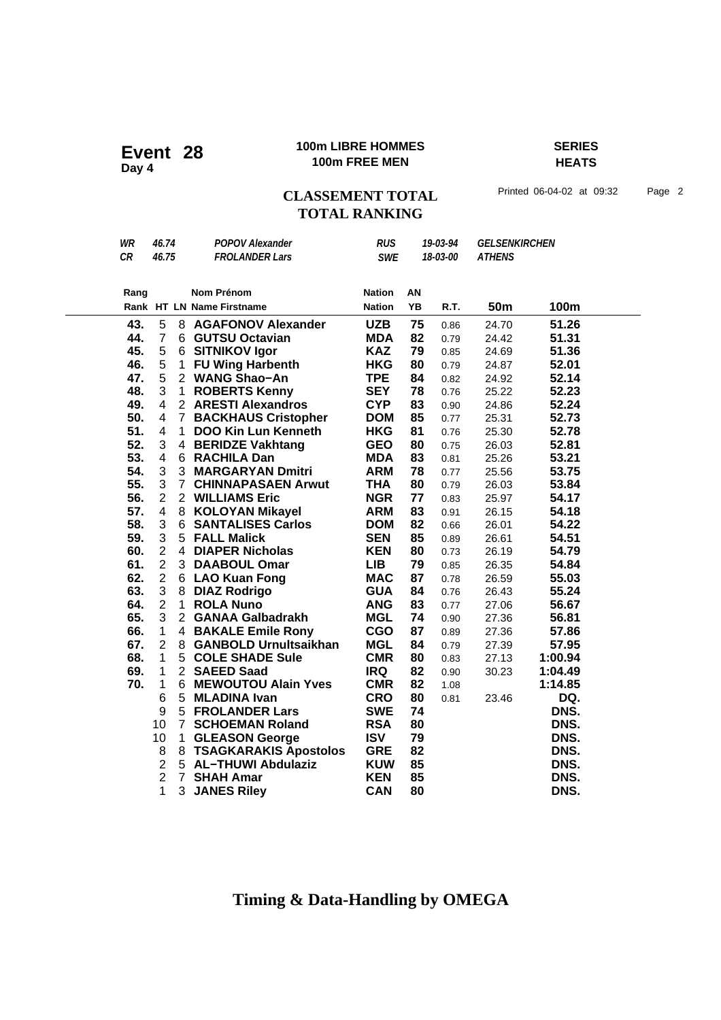### **100m LIBRE HOMMES SERIES 100m LIBRE HOMME**<br>100m FREE MEN

**HEATS**

## CLASSEMENT TOTAL Printed 06-04-02 at 09:32 Page 2 **TOTAL RANKING**

| WR   | 46.74                   |                | <b>POPOV Alexander</b>     | <b>RUS</b>    |    | 19-03-94 | <b>GELSENKIRCHEN</b> |         |  |
|------|-------------------------|----------------|----------------------------|---------------|----|----------|----------------------|---------|--|
| CR   | 46.75                   |                | <b>FROLANDER Lars</b>      | <b>SWE</b>    |    | 18-03-00 | <b>ATHENS</b>        |         |  |
|      |                         |                |                            |               |    |          |                      |         |  |
| Rang |                         |                | <b>Nom Prénom</b>          | <b>Nation</b> | AN |          |                      |         |  |
|      |                         |                | Rank HT LN Name Firstname  | <b>Nation</b> | YB | R.T.     | <b>50m</b>           | 100m    |  |
| 43.  | 5                       |                | 8 AGAFONOV Alexander       | <b>UZB</b>    | 75 | 0.86     | 24.70                | 51.26   |  |
| 44.  | $\overline{7}$          |                | 6 GUTSU Octavian           | <b>MDA</b>    | 82 | 0.79     | 24.42                | 51.31   |  |
| 45.  | 5                       |                | 6 SITNIKOV Igor            | <b>KAZ</b>    | 79 | 0.85     | 24.69                | 51.36   |  |
| 46.  | 5                       | 1              | <b>FU Wing Harbenth</b>    | <b>HKG</b>    | 80 | 0.79     | 24.87                | 52.01   |  |
| 47.  | 5                       |                | 2 WANG Shao-An             | <b>TPE</b>    | 84 | 0.82     | 24.92                | 52.14   |  |
| 48.  | 3                       | 1              | <b>ROBERTS Kenny</b>       | <b>SEY</b>    | 78 | 0.76     | 25.22                | 52.23   |  |
| 49.  | 4                       |                | 2 ARESTI Alexandros        | <b>CYP</b>    | 83 | 0.90     | 24.86                | 52.24   |  |
| 50.  | 4                       | $\overline{7}$ | <b>BACKHAUS Cristopher</b> | <b>DOM</b>    | 85 | 0.77     | 25.31                | 52.73   |  |
| 51.  | 4                       | $\mathbf{1}$   | <b>DOO Kin Lun Kenneth</b> | <b>HKG</b>    | 81 | 0.76     | 25.30                | 52.78   |  |
| 52.  | 3                       |                | 4 BERIDZE Vakhtang         | <b>GEO</b>    | 80 | 0.75     | 26.03                | 52.81   |  |
| 53.  | 4                       |                | 6 RACHILA Dan              | <b>MDA</b>    | 83 | 0.81     | 25.26                | 53.21   |  |
| 54.  | 3                       |                | 3 MARGARYAN Dmitri         | <b>ARM</b>    | 78 | 0.77     | 25.56                | 53.75   |  |
| 55.  | 3                       |                | 7 CHINNAPASAEN Arwut       | <b>THA</b>    | 80 | 0.79     | 26.03                | 53.84   |  |
| 56.  | $\overline{2}$          |                | 2 WILLIAMS Eric            | <b>NGR</b>    | 77 | 0.83     | 25.97                | 54.17   |  |
| 57.  | 4                       |                | 8 KOLOYAN Mikayel          | <b>ARM</b>    | 83 | 0.91     | 26.15                | 54.18   |  |
| 58.  | 3                       | 6              | <b>SANTALISES Carlos</b>   | <b>DOM</b>    | 82 | 0.66     | 26.01                | 54.22   |  |
| 59.  | 3                       |                | 5 FALL Malick              | <b>SEN</b>    | 85 | 0.89     | 26.61                | 54.51   |  |
| 60.  | $\overline{2}$          |                | 4 DIAPER Nicholas          | <b>KEN</b>    | 80 | 0.73     | 26.19                | 54.79   |  |
| 61.  | $\overline{2}$          |                | 3 DAABOUL Omar             | <b>LIB</b>    | 79 | 0.85     | 26.35                | 54.84   |  |
| 62.  | $\overline{2}$          |                | 6 LAO Kuan Fong            | <b>MAC</b>    | 87 | 0.78     | 26.59                | 55.03   |  |
| 63.  | 3                       | 8              | <b>DIAZ Rodrigo</b>        | <b>GUA</b>    | 84 | 0.76     | 26.43                | 55.24   |  |
| 64.  | $\overline{2}$          | 1              | <b>ROLA Nuno</b>           | <b>ANG</b>    | 83 | 0.77     | 27.06                | 56.67   |  |
| 65.  | 3                       |                | 2 GANAA Galbadrakh         | <b>MGL</b>    | 74 | 0.90     | 27.36                | 56.81   |  |
| 66.  | 1                       |                | 4 BAKALE Emile Rony        | <b>CGO</b>    | 87 | 0.89     | 27.36                | 57.86   |  |
| 67.  | $\overline{2}$          |                | 8 GANBOLD Urnultsaikhan    | <b>MGL</b>    | 84 | 0.79     | 27.39                | 57.95   |  |
| 68.  | 1                       |                | 5 COLE SHADE Sule          | <b>CMR</b>    | 80 | 0.83     | 27.13                | 1:00.94 |  |
| 69.  | $\mathbf{1}$            |                | 2 SAEED Saad               | <b>IRQ</b>    | 82 | 0.90     | 30.23                | 1:04.49 |  |
| 70.  | $\mathbf{1}$            |                | 6 MEWOUTOU Alain Yves      | <b>CMR</b>    | 82 | 1.08     |                      | 1:14.85 |  |
|      | 6                       |                | 5 MLADINA Ivan             | <b>CRO</b>    | 80 | 0.81     | 23.46                | DQ.     |  |
|      | 9                       |                | 5 FROLANDER Lars           | <b>SWE</b>    | 74 |          |                      | DNS.    |  |
|      | 10                      | $7^{\circ}$    | <b>SCHOEMAN Roland</b>     | <b>RSA</b>    | 80 |          |                      | DNS.    |  |
|      | 10                      | 1              | <b>GLEASON George</b>      | <b>ISV</b>    | 79 |          |                      | DNS.    |  |
|      | 8                       |                | 8 TSAGKARAKIS Apostolos    | <b>GRE</b>    | 82 |          |                      | DNS.    |  |
|      | $\overline{\mathbf{c}}$ |                | 5 AL-THUWI Abdulaziz       | <b>KUW</b>    | 85 |          |                      | DNS.    |  |
|      | $\overline{2}$          | $\overline{7}$ | <b>SHAH Amar</b>           | <b>KEN</b>    | 85 |          |                      | DNS.    |  |
|      | 1                       | 3              | <b>JANES Riley</b>         | <b>CAN</b>    | 80 |          |                      | DNS.    |  |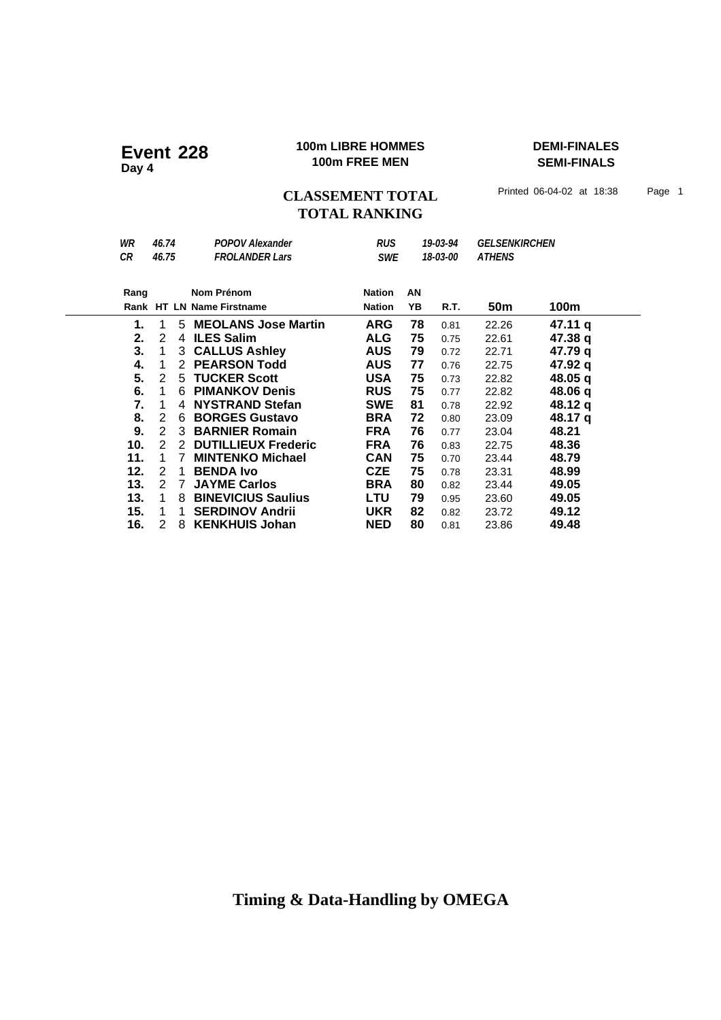### **100m LIBRE HOMMES DEMI-FINALES 100m LIBRE HOMME**<br>100m FREE MEN

**SEMI-FINALS**

CLASSEMENT TOTAL Printed 06-04-02 at 18:38 Page 1 **TOTAL RANKING**

| <b>VVIA</b> | 70. I T            | r vr v v Alcaaliuci        | טא            |    | ,,,,,,,, | <b>ULLJLIVAINUHLIV</b> |         |  |
|-------------|--------------------|----------------------------|---------------|----|----------|------------------------|---------|--|
| CR          | 46.75              | <b>FROLANDER Lars</b>      | <b>SWE</b>    |    | 18-03-00 | <b>ATHENS</b>          |         |  |
| Rang        |                    | Nom Prénom                 | <b>Nation</b> | ΑN |          |                        |         |  |
|             |                    |                            |               |    |          |                        |         |  |
|             |                    | Rank HT LN Name Firstname  | <b>Nation</b> | YΒ | R.T.     | 50m                    | 100m    |  |
| 1.          | 1<br>5             | <b>MEOLANS Jose Martin</b> | <b>ARG</b>    | 78 | 0.81     | 22.26                  | 47.11 q |  |
| 2.          | 2<br>4             | <b>ILES Salim</b>          | <b>ALG</b>    | 75 | 0.75     | 22.61                  | 47.38 q |  |
| 3.          | 3<br>1             | <b>CALLUS Ashley</b>       | <b>AUS</b>    | 79 | 0.72     | 22.71                  | 47.79 q |  |
| 4.          | 2                  | <b>PEARSON Todd</b>        | <b>AUS</b>    | 77 | 0.76     | 22.75                  | 47.92 q |  |
| 5.          | 2<br>5             | <b>TUCKER Scott</b>        | <b>USA</b>    | 75 | 0.73     | 22.82                  | 48.05 q |  |
| 6.          | 1<br>6             | <b>PIMANKOV Denis</b>      | <b>RUS</b>    | 75 | 0.77     | 22.82                  | 48.06 q |  |
| 7.          | 1<br>4             | <b>NYSTRAND Stefan</b>     | <b>SWE</b>    | 81 | 0.78     | 22.92                  | 48.12 q |  |
| 8.          | 2<br>6             | <b>BORGES Gustavo</b>      | <b>BRA</b>    | 72 | 0.80     | 23.09                  | 48.17 q |  |
| 9.          | $\mathcal{P}$<br>3 | <b>BARNIER Romain</b>      | <b>FRA</b>    | 76 | 0.77     | 23.04                  | 48.21   |  |
| 10.         | 2<br>2             | <b>DUTILLIEUX Frederic</b> | <b>FRA</b>    | 76 | 0.83     | 22.75                  | 48.36   |  |
| 11.         | 1<br>7             | <b>MINTENKO Michael</b>    | <b>CAN</b>    | 75 | 0.70     | 23.44                  | 48.79   |  |
| 12.         | 2<br>1             | <b>BENDA Ivo</b>           | <b>CZE</b>    | 75 | 0.78     | 23.31                  | 48.99   |  |
| 13.         | $\mathcal{P}$<br>7 | <b>JAYME Carlos</b>        | <b>BRA</b>    | 80 | 0.82     | 23.44                  | 49.05   |  |
| 13.         | 1<br>8             | <b>BINEVICIUS Saulius</b>  | <b>LTU</b>    | 79 | 0.95     | 23.60                  | 49.05   |  |
| 15.         | 1<br>1             | <b>SERDINOV Andrii</b>     | <b>UKR</b>    | 82 | 0.82     | 23.72                  | 49.12   |  |
| 16.         | 2<br>8             | <b>KENKHUIS Johan</b>      | <b>NED</b>    | 80 | 0.81     | 23.86                  | 49.48   |  |

## *WR 46.74 POPOV Alexander RUS 19-03-94 GELSENKIRCHEN*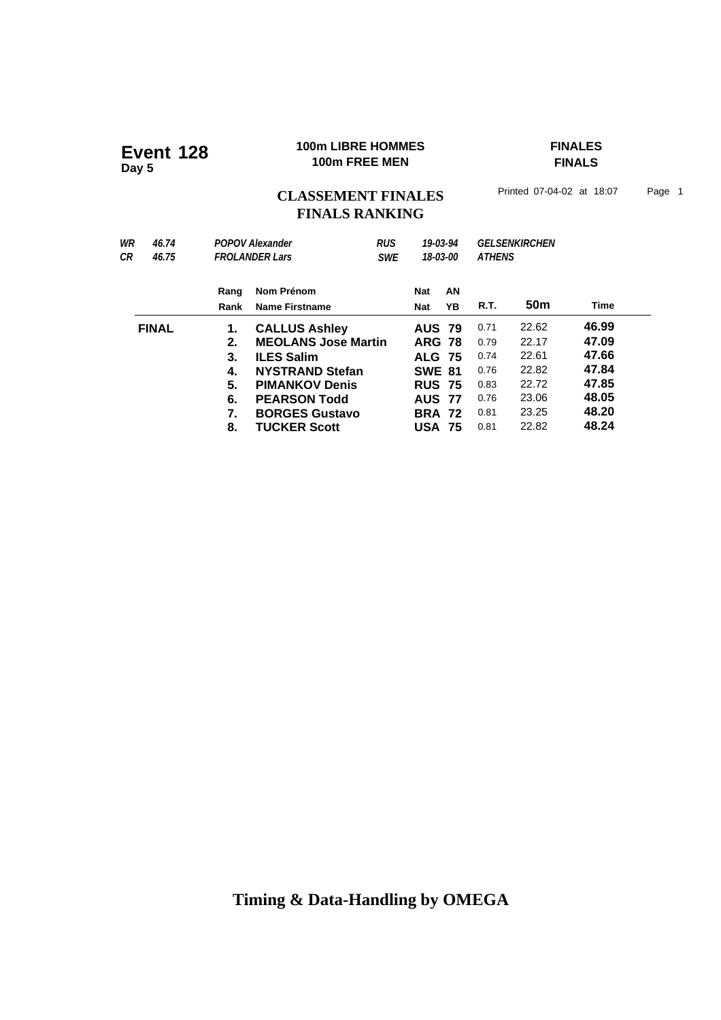### **100m LIBRE HOMMES FINALES 100m LIBRE HOMMING THE POWER FREE MEN**

**FINALS**

## CLASSEMENT FINALES<sup>Printed 07-04-02 at 18:07 Page 1</sup> **FINALS RANKING**

| 46.74        |      |                        |                                                                         |                                          |    |                                                                                                                                                  |                 |                                       |  |
|--------------|------|------------------------|-------------------------------------------------------------------------|------------------------------------------|----|--------------------------------------------------------------------------------------------------------------------------------------------------|-----------------|---------------------------------------|--|
| 46.75        |      | <b>SWE</b>             |                                                                         | 18-03-00                                 |    |                                                                                                                                                  |                 |                                       |  |
|              | Rang | Nom Prénom             |                                                                         | <b>Nat</b>                               | AN |                                                                                                                                                  |                 |                                       |  |
|              | Rank | <b>Name Firstname</b>  |                                                                         | <b>Nat</b>                               | YΒ | R.T.                                                                                                                                             | 50 <sub>m</sub> | Time                                  |  |
| <b>FINAL</b> | 1.   |                        |                                                                         |                                          |    | 0.71                                                                                                                                             | 22.62           | 46.99                                 |  |
|              | 2.   |                        |                                                                         |                                          |    | 0.79                                                                                                                                             | 22.17           | 47.09                                 |  |
|              | 3.   | <b>ILES Salim</b>      |                                                                         |                                          |    | 0.74                                                                                                                                             | 22.61           | 47.66                                 |  |
|              | 4.   | <b>NYSTRAND Stefan</b> |                                                                         |                                          |    | 0.76                                                                                                                                             | 22.82           | 47.84                                 |  |
|              | 5.   | <b>PIMANKOV Denis</b>  |                                                                         |                                          |    | 0.83                                                                                                                                             | 22.72           | 47.85                                 |  |
|              | 6.   | <b>PEARSON Todd</b>    |                                                                         |                                          |    | 0.76                                                                                                                                             | 23.06           | 48.05                                 |  |
|              | 7.   | <b>BORGES Gustavo</b>  |                                                                         |                                          |    | 0.81                                                                                                                                             | 23.25           | 48.20                                 |  |
|              | 8.   | <b>TUCKER Scott</b>    |                                                                         |                                          |    | 0.81                                                                                                                                             | 22.82           | 48.24                                 |  |
|              |      |                        | <b>POPOV Alexander</b><br><b>FROLANDER Lars</b><br><b>CALLUS Ashley</b> | <b>RUS</b><br><b>MEOLANS Jose Martin</b> |    | 19-03-94<br><b>AUS 79</b><br><b>ARG 78</b><br><b>ALG 75</b><br><b>SWE 81</b><br><b>RUS 75</b><br><b>AUS 77</b><br><b>BRA 72</b><br><b>USA 75</b> |                 | <b>GELSENKIRCHEN</b><br><b>ATHENS</b> |  |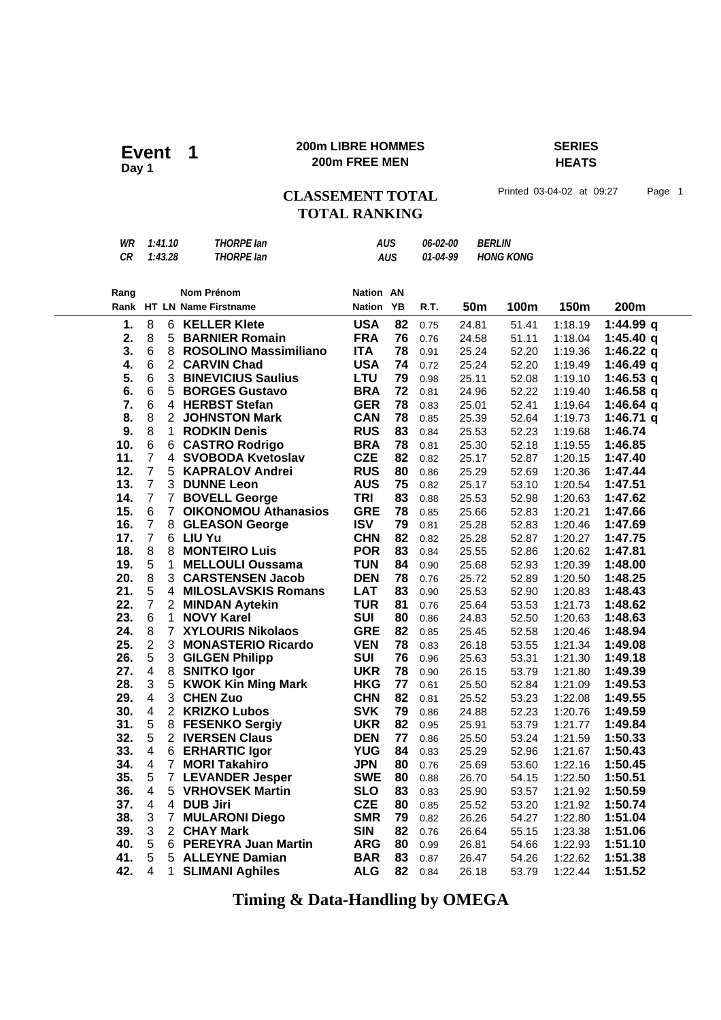### **200m LIBRE HOMMES SERIES 200m LIBRE HOMM**<br>Day 1 200m FREE MEN

## **HEATS**

CLASSEMENT TOTAL Printed 03-04-02 at 09:27 Page 1

## **TOTAL RANKING**

| WR        | 1:41.10                          | <b>THORPE lan</b>                |                  | <b>AUS</b> | 06-02-00 | <b>BERLIN</b>   |                  |         |             |
|-----------|----------------------------------|----------------------------------|------------------|------------|----------|-----------------|------------------|---------|-------------|
| <b>CR</b> | 1:43.28                          | <b>THORPE lan</b>                |                  | <b>AUS</b> | 01-04-99 |                 | <b>HONG KONG</b> |         |             |
|           |                                  |                                  |                  |            |          |                 |                  |         |             |
|           |                                  |                                  |                  |            |          |                 |                  |         |             |
| Rang      |                                  | Nom Prénom                       | <b>Nation AN</b> |            |          |                 |                  |         |             |
|           |                                  | Rank HT LN Name Firstname        | <b>Nation</b>    | YB         | R.T.     | 50 <sub>m</sub> | 100m             | 150m    | 200m        |
| 1.        | 8<br>6                           | <b>KELLER Klete</b>              | <b>USA</b>       | 82         | 0.75     | 24.81           | 51.41            | 1:18.19 | 1:44.99 q   |
| 2.        | 8                                | 5 BARNIER Romain                 | <b>FRA</b>       | 76         | 0.76     | 24.58           | 51.11            | 1:18.04 | 1:45.40 $q$ |
| 3.        | 6                                | 8 ROSOLINO Massimiliano          | <b>ITA</b>       | 78         | 0.91     | 25.24           | 52.20            | 1:19.36 | 1:46.22 q   |
| 4.        | 6                                | 2 CARVIN Chad                    | <b>USA</b>       | 74         | 0.72     | 25.24           | 52.20            | 1:19.49 | 1:46.49 q   |
| 5.        | $\,6$                            | <b>3 BINEVICIUS Saulius</b>      | LTU              | 79         | 0.98     | 25.11           | 52.08            | 1:19.10 | 1:46.53 $q$ |
| 6.        | 6<br>5 <sup>1</sup>              | <b>BORGES Gustavo</b>            | <b>BRA</b>       | 72         | 0.81     | 24.96           | 52.22            | 1:19.40 | 1:46.58 $q$ |
| 7.        | 6                                | 4 HERBST Stefan                  | <b>GER</b>       | 78         | 0.83     | 25.01           | 52.41            | 1:19.64 | 1:46.64 q   |
| 8.        | 8                                | 2 JOHNSTON Mark                  | <b>CAN</b>       | 78         | 0.85     | 25.39           | 52.64            | 1:19.73 | 1:46.71 q   |
| 9.        | 8                                | 1 RODKIN Denis                   | <b>RUS</b>       | 83         | 0.84     | 25.53           | 52.23            | 1:19.68 | 1:46.74     |
| 10.       | $\,6$<br>6                       | <b>CASTRO Rodrigo</b>            | <b>BRA</b>       | 78         | 0.81     | 25.30           | 52.18            | 1:19.55 | 1:46.85     |
| 11.       | $\overline{7}$<br>4              | <b>SVOBODA Kvetoslav</b>         | <b>CZE</b>       | 82         | 0.82     | 25.17           | 52.87            | 1:20.15 | 1:47.40     |
| 12.       | $\overline{7}$<br>5 <sup>1</sup> | <b>KAPRALOV Andrei</b>           | <b>RUS</b>       | 80         | 0.86     | 25.29           | 52.69            | 1:20.36 | 1:47.44     |
| 13.       | $\overline{7}$                   | 3 DUNNE Leon                     | <b>AUS</b>       | 75         | 0.82     | 25.17           | 53.10            | 1:20.54 | 1:47.51     |
| 14.       | $\overline{7}$                   | 7 BOVELL George                  | <b>TRI</b>       | 83         | 0.88     | 25.53           | 52.98            | 1:20.63 | 1:47.62     |
| 15.       | 6                                | 7 OIKONOMOU Athanasios           | <b>GRE</b>       | 78         | 0.85     | 25.66           |                  | 1:20.21 | 1:47.66     |
| 16.       | $\overline{7}$<br>8              |                                  | <b>ISV</b>       | 79         |          |                 | 52.83            |         | 1:47.69     |
|           | $\overline{7}$                   | <b>GLEASON George</b>            |                  |            | 0.81     | 25.28           | 52.83            | 1:20.46 |             |
| 17.       |                                  | 6 LIU Yu<br><b>MONTEIRO Luis</b> | <b>CHN</b>       | 82         | 0.82     | 25.28           | 52.87            | 1:20.27 | 1:47.75     |
| 18.       | 8<br>8                           |                                  | <b>POR</b>       | 83         | 0.84     | 25.55           | 52.86            | 1:20.62 | 1:47.81     |
| 19.       | 5<br>$\mathbf{1}$                | <b>MELLOULI Oussama</b>          | <b>TUN</b>       | 84         | 0.90     | 25.68           | 52.93            | 1:20.39 | 1:48.00     |
| 20.       | 8                                | 3 CARSTENSEN Jacob               | <b>DEN</b>       | 78         | 0.76     | 25.72           | 52.89            | 1:20.50 | 1:48.25     |
| 21.       | 5                                | 4 MILOSLAVSKIS Romans            | <b>LAT</b>       | 83         | 0.90     | 25.53           | 52.90            | 1:20.83 | 1:48.43     |
| 22.       | $\overline{7}$                   | 2 MINDAN Aytekin                 | <b>TUR</b>       | 81         | 0.76     | 25.64           | 53.53            | 1:21.73 | 1:48.62     |
| 23.       | $\,6$<br>$\mathbf{1}$            | <b>NOVY Karel</b>                | <b>SUI</b>       | 80         | 0.86     | 24.83           | 52.50            | 1:20.63 | 1:48.63     |
| 24.       | 8<br>$\overline{7}$              | <b>XYLOURIS Nikolaos</b>         | <b>GRE</b>       | 82         | 0.85     | 25.45           | 52.58            | 1:20.46 | 1:48.94     |
| 25.       | $\overline{c}$<br>3              | <b>MONASTERIO Ricardo</b>        | <b>VEN</b>       | 78         | 0.83     | 26.18           | 53.55            | 1:21.34 | 1:49.08     |
| 26.       | 5                                | 3 GILGEN Philipp                 | <b>SUI</b>       | 76         | 0.96     | 25.63           | 53.31            | 1:21.30 | 1:49.18     |
| 27.       | 4                                | 8 SNITKO Igor                    | <b>UKR</b>       | 78         | 0.90     | 26.15           | 53.79            | 1:21.80 | 1:49.39     |
| 28.       | 3<br>5                           | <b>KWOK Kin Ming Mark</b>        | <b>HKG</b>       | 77         | 0.61     | 25.50           | 52.84            | 1:21.09 | 1:49.53     |
| 29.       | 4<br>3                           | <b>CHEN Zuo</b>                  | <b>CHN</b>       | 82         | 0.81     | 25.52           | 53.23            | 1:22.08 | 1:49.55     |
| 30.       | 4<br>$\mathbf{2}$                | <b>KRIZKO Lubos</b>              | <b>SVK</b>       | 79         | 0.86     | 24.88           | 52.23            | 1:20.76 | 1:49.59     |
| 31.       | 5                                | 8 FESENKO Sergiy                 | <b>UKR</b>       | 82         | 0.95     | 25.91           | 53.79            | 1:21.77 | 1:49.84     |
| 32.       | 5                                | 2 IVERSEN Claus                  | <b>DEN</b>       | 77         | 0.86     | 25.50           | 53.24            | 1:21.59 | 1:50.33     |
| 33.       | 4                                | 6 ERHARTIC Igor                  | <b>YUG</b>       | 84         | 0.83     | 25.29           | 52.96            | 1:21.67 | 1:50.43     |
| 34.       | $\overline{\mathbf{4}}$          | 7 MORI Takahiro                  | <b>JPN</b>       | 80         | 0.76     | 25.69           | 53.60            | 1:22.16 | 1:50.45     |
| 35.       | 5                                | 7 LEVANDER Jesper                | <b>SWE</b>       | 80         | 0.88     | 26.70           | 54.15            | 1:22.50 | 1:50.51     |
| 36.       | 4                                | 5 VRHOVSEK Martin                | <b>SLO</b>       | 83         | 0.83     | 25.90           | 53.57            | 1:21.92 | 1:50.59     |
| 37.       | $\overline{\mathbf{4}}$          | 4 DUB Jiri                       | <b>CZE</b>       | 80         | 0.85     | 25.52           | 53.20            | 1:21.92 | 1:50.74     |
| 38.       | 3                                | 7 MULARONI Diego                 | <b>SMR</b>       | 79         | 0.82     | 26.26           | 54.27            | 1:22.80 | 1:51.04     |
| 39.       | 3                                | 2 CHAY Mark                      | <b>SIN</b>       | 82         | 0.76     | 26.64           | 55.15            | 1:23.38 | 1:51.06     |
| 40.       | 5                                | 6 PEREYRA Juan Martin            | <b>ARG</b>       | 80         | 0.99     | 26.81           | 54.66            | 1:22.93 | 1:51.10     |
| 41.       | 5                                | 5 ALLEYNE Damian                 | <b>BAR</b>       | 83         | 0.87     | 26.47           | 54.26            | 1:22.62 | 1:51.38     |
| 42.       | 4<br>1.                          | <b>SLIMANI Aghiles</b>           | <b>ALG</b>       | 82         | 0.84     | 26.18           | 53.79            | 1:22.44 | 1:51.52     |
|           |                                  |                                  |                  |            |          |                 |                  |         |             |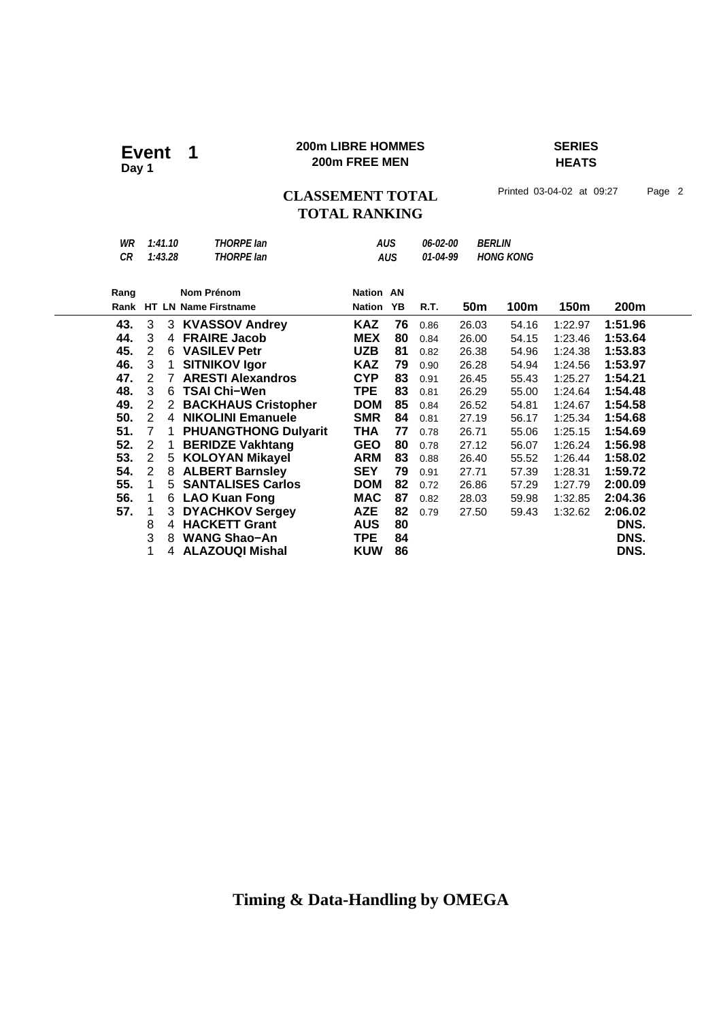#### **200m LIBRE HOMMES SERIES 200m LIBRE HOMM**<br>200m FREE MEN

## **HEATS**

CLASSEMENT TOTAL Printed 03-04-02 at 09:27 Page 2 **TOTAL RANKING**

*WR 1:41.10 THORPE Ian AUS 06-02-00 BERLIN CR 1:43.28 THORPE Ian AUS 01-04-99 HONG KONG* Rang Nom Prénom **Nation Rank Nation Name Firstname 200m HT LN YB R.T. 50m 100m 150m Nation AN 43.** 3 3 **KVASSOV Andrey KAZ 76** 0.86 26.03 54.16 1:22.97 **1:51.96 44.** 3 4 **FRAIRE Jacob MEX 80** 0.84 26.00 54.15 1:23.46 **1:53.64 45.** 2 6 **VASILEV Petr UZB 81** 0.82 26.38 54.96 1:24.38 **1:53.83 46.** 3 1 **SITNIKOV Igor KAZ 79** 0.90 26.28 54.94 1:24.56 **1:53.97 47.** 2 7 **ARESTI Alexandros CYP 83** 0.91 26.45 55.43 1:25.27 **1:54.21 48.** 3 6 **TSAI Chi−Wen TPE 83** 0.81 26.29 55.00 1:24.64 **1:54.48 49.** 2 2 **BACKHAUS Cristopher DOM 85** 0.84 26.52 54.81 1:24.67 **1:54.58 50.** 2 4 **NIKOLINI Emanuele SMR 84** 0.81 27.19 56.17 1:25.34 **1:54.68 51.** 7 1 **PHUANGTHONG Dulyarit THA 77** 0.78 26.71 55.06 1:25.15 **1:54.69 52.** 2 1 **BERIDZE Vakhtang GEO 80** 0.78 27.12 56.07 1:26.24 **1:56.98 53.** 2 5 **KOLOYAN Mikayel ARM 83** 0.88 26.40 55.52 1:26.44 **1:58.02 54.** 2 8 **ALBERT Barnsley SEY 79** 0.91 27.71 57.39 1:28.31 **1:59.72 55.** 1 5 **SANTALISES Carlos DOM 82** 0.72 26.86 57.29 1:27.79 **2:00.09 56.** 1 6 **LAO Kuan Fong MAC 87** 0.82 28.03 59.98 1:32.85 **2:04.36 57.** 1 3 **DYACHKOV Sergey AZE 82** 0.79 27.50 59.43 1:32.62 **2:06.02 4 HACKETT Grant**  3 8 **WANG Shao−An TPE 84 DNS.** 1 4 **ALAZOUQI Mishal KUW 86 DNS.**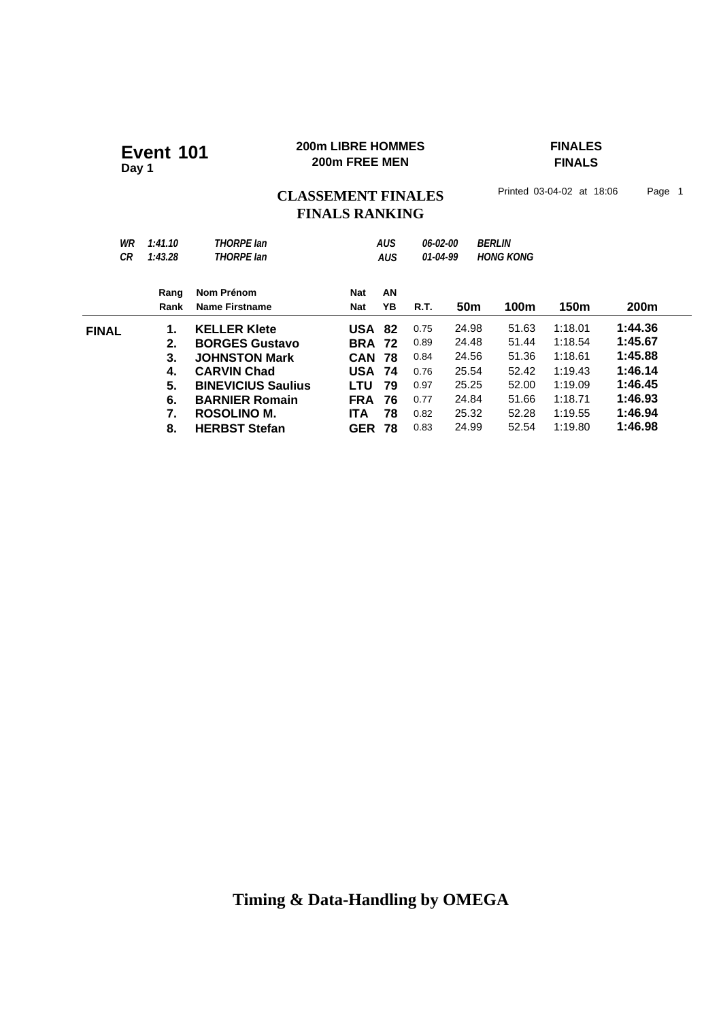### **200m LIBRE HOMMES FINALES 200m LIBRE HOMME**<br>200m FREE MEN

## **FINALS**

## CLASSEMENT FINALES<sup>Printed 03-04-02 at 18:06 Page 1</sup> **FINALS RANKING**

| WR<br>CR     | 1:41.10<br>1:43.28 | <b>THORPE lan</b><br><b>THORPE lan</b> |               | <b>AUS</b><br><b>AUS</b> | 06-02-00<br>01-04-99 |                 | <b>BERLIN</b><br><b>HONG KONG</b> |         |                  |
|--------------|--------------------|----------------------------------------|---------------|--------------------------|----------------------|-----------------|-----------------------------------|---------|------------------|
|              | Rang               | Nom Prénom                             | <b>Nat</b>    | AN                       |                      |                 |                                   |         |                  |
|              | Rank               | <b>Name Firstname</b>                  | Nat           | YΒ                       | R.T.                 | 50 <sub>m</sub> | <b>100m</b>                       | 150m    | 200 <sub>m</sub> |
| <b>FINAL</b> | 1.                 | <b>KELLER Klete</b>                    | <b>USA 82</b> |                          | 0.75                 | 24.98           | 51.63                             | 1:18.01 | 1:44.36          |
|              | 2.                 | <b>BORGES Gustavo</b>                  | <b>BRA 72</b> |                          | 0.89                 | 24.48           | 51.44                             | 1:18.54 | 1:45.67          |
|              | 3.                 | <b>JOHNSTON Mark</b>                   | <b>CAN</b>    | 78                       | 0.84                 | 24.56           | 51.36                             | 1:18.61 | 1:45.88          |
|              | 4.                 | <b>CARVIN Chad</b>                     | <b>USA</b>    | 74                       | 0.76                 | 25.54           | 52.42                             | 1:19.43 | 1:46.14          |
|              | 5.                 | <b>BINEVICIUS Saulius</b>              | LTU           | 79                       | 0.97                 | 25.25           | 52.00                             | 1:19.09 | 1:46.45          |
|              | 6.                 | <b>BARNIER Romain</b>                  | <b>FRA</b>    | 76                       | 0.77                 | 24.84           | 51.66                             | 1:18.71 | 1:46.93          |
|              | 7.                 | ROSOLINO M.                            | <b>ITA</b>    | 78                       | 0.82                 | 25.32           | 52.28                             | 1:19.55 | 1:46.94          |
|              | 8.                 | <b>HERBST Stefan</b>                   | <b>GER</b>    | 78                       | 0.83                 | 24.99           | 52.54                             | 1:19.80 | 1:46.98          |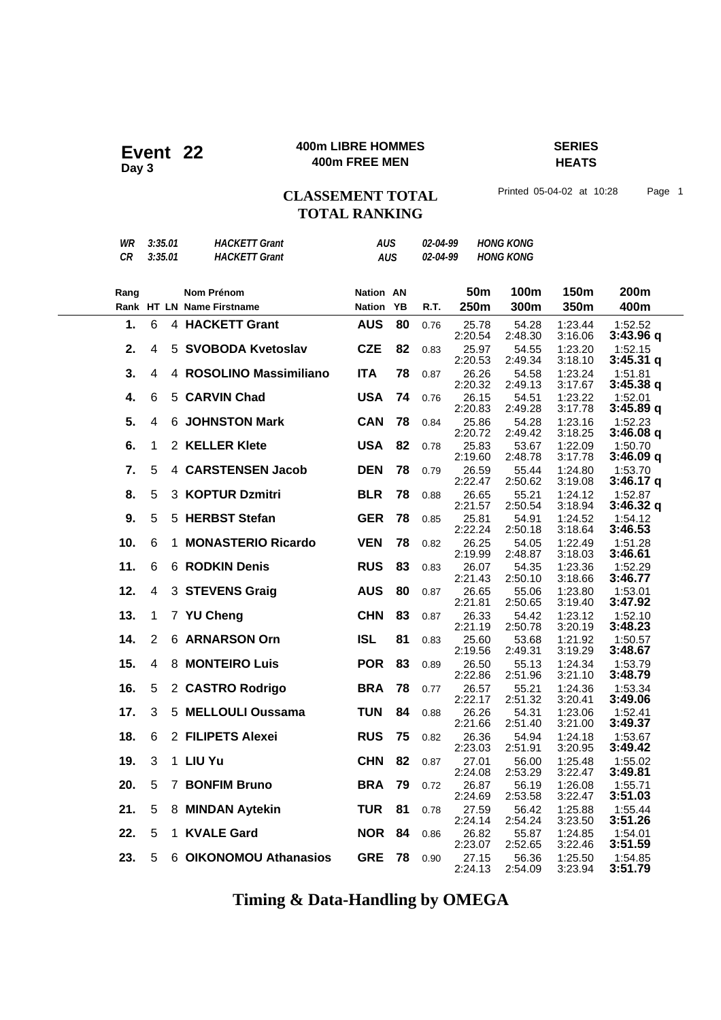### **400m LIBRE HOMMES SERIES 400m LIBRE HOMME**<br>400m FREE MEN

**HEATS**

## CLASSEMENT TOTAL Printed 05-04-02 at 10:28 Page 1 **TOTAL RANKING**

| WR        | 3:35.01        |   | <b>HACKETT Grant</b>      | <b>AUS</b>       |    | 02-04-99 |                  | <b>HONG KONG</b> |                    |                        |
|-----------|----------------|---|---------------------------|------------------|----|----------|------------------|------------------|--------------------|------------------------|
| <b>CR</b> | 3:35.01        |   | <b>HACKETT Grant</b>      | <b>AUS</b>       |    | 02-04-99 |                  | <b>HONG KONG</b> |                    |                        |
|           |                |   |                           |                  |    |          |                  |                  |                    |                        |
| Rang      |                |   | <b>Nom Prénom</b>         | <b>Nation AN</b> |    |          | 50m              | 100m             | 150m               | 200m                   |
|           |                |   | Rank HT LN Name Firstname | <b>Nation</b>    | ΥB | R.T.     | 250m             | 300m             | 350m               | 400m                   |
| 1.        | 6              |   | 4 HACKETT Grant           | <b>AUS</b>       | 80 | 0.76     | 25.78<br>2:20.54 | 54.28<br>2:48.30 | 1:23.44<br>3:16.06 | 1:52.52<br>3:43.96q    |
| 2.        | 4              | 5 | <b>SVOBODA Kvetoslav</b>  | <b>CZE</b>       | 82 | 0.83     | 25.97<br>2:20.53 | 54.55<br>2:49.34 | 1:23.20<br>3:18.10 | 1:52.15<br>$3:45.31$ q |
| 3.        | 4              |   | 4 ROSOLINO Massimiliano   | <b>ITA</b>       | 78 | 0.87     | 26.26<br>2:20.32 | 54.58<br>2:49.13 | 1:23.24<br>3:17.67 | 1:51.81<br>3:45.38q    |
| 4.        | 6              |   | 5 CARVIN Chad             | <b>USA</b>       | 74 | 0.76     | 26.15<br>2:20.83 | 54.51<br>2:49.28 | 1:23.22<br>3:17.78 | 1:52.01<br>3:45.89q    |
| 5.        | 4              |   | <b>6 JOHNSTON Mark</b>    | <b>CAN</b>       | 78 | 0.84     | 25.86<br>2:20.72 | 54.28<br>2:49.42 | 1:23.16<br>3:18.25 | 1:52.23<br>3:46.08 q   |
| 6.        | 1              |   | 2 KELLER Klete            | <b>USA</b>       | 82 | 0.78     | 25.83<br>2:19.60 | 53.67<br>2:48.78 | 1:22.09<br>3:17.78 | 1:50.70<br>3:46.09q    |
| 7.        | 5              |   | 4 CARSTENSEN Jacob        | <b>DEN</b>       | 78 | 0.79     | 26.59<br>2:22.47 | 55.44<br>2:50.62 | 1:24.80<br>3:19.08 | 1:53.70<br>$3:46.17$ q |
| 8.        | 5              |   | 3 KOPTUR Dzmitri          | <b>BLR</b>       | 78 | 0.88     | 26.65<br>2:21.57 | 55.21<br>2:50.54 | 1:24.12<br>3:18.94 | 1:52.87<br>3:46.32 q   |
| 9.        | 5              |   | 5 HERBST Stefan           | <b>GER</b>       | 78 | 0.85     | 25.81<br>2:22.24 | 54.91<br>2:50.18 | 1:24.52<br>3:18.64 | 1:54.12<br>3:46.53     |
| 10.       | 6              |   | 1 MONASTERIO Ricardo      | <b>VEN</b>       | 78 | 0.82     | 26.25<br>2:19.99 | 54.05<br>2:48.87 | 1:22.49<br>3:18.03 | 1:51.28<br>3:46.61     |
| 11.       | 6              |   | 6 RODKIN Denis            | <b>RUS</b>       | 83 | 0.83     | 26.07<br>2:21.43 | 54.35<br>2:50.10 | 1:23.36<br>3:18.66 | 1:52.29<br>3:46.77     |
| 12.       | 4              |   | 3 STEVENS Graig           | <b>AUS</b>       | 80 | 0.87     | 26.65<br>2:21.81 | 55.06<br>2:50.65 | 1:23.80<br>3:19.40 | 1:53.01<br>3:47.92     |
| 13.       | 1              |   | 7 YU Cheng                | <b>CHN</b>       | 83 | 0.87     | 26.33<br>2:21.19 | 54.42<br>2:50.78 | 1:23.12<br>3:20.19 | 1:52.10<br>3:48.23     |
| 14.       | $\overline{2}$ |   | 6 ARNARSON Orn            | <b>ISL</b>       | 81 | 0.83     | 25.60<br>2:19.56 | 53.68<br>2:49.31 | 1:21.92<br>3:19.29 | 1:50.57<br>3:48.67     |
| 15.       | 4              |   | 8 MONTEIRO Luis           | <b>POR</b>       | 83 | 0.89     | 26.50<br>2:22.86 | 55.13<br>2:51.96 | 1:24.34<br>3:21.10 | 1:53.79<br>3:48.79     |
| 16.       | 5              |   | 2 CASTRO Rodrigo          | <b>BRA</b>       | 78 | 0.77     | 26.57<br>2:22.17 | 55.21<br>2:51.32 | 1:24.36<br>3:20.41 | 1:53.34<br>3:49.06     |
| 17.       | 3              |   | 5 MELLOULI Oussama        | <b>TUN</b>       | 84 | 0.88     | 26.26<br>2:21.66 | 54.31<br>2:51.40 | 1:23.06<br>3:21.00 | 1:52.41<br>3:49.37     |
| 18.       | 6              |   | 2 FILIPETS Alexei         | <b>RUS</b>       | 75 | 0.82     | 26.36<br>2:23.03 | 54.94<br>2:51.91 | 1:24.18<br>3:20.95 | 1:53.67<br>3:49.42     |
| 19.       | 3              |   | 1 LIU Yu                  | <b>CHN</b>       | 82 | 0.87     | 27.01<br>2:24.08 | 56.00<br>2:53.29 | 1:25.48<br>3:22.47 | 1:55.02<br>3:49.81     |
| 20.       | 5              | 7 | <b>BONFIM Bruno</b>       | <b>BRA</b>       | 79 | 0.72     | 26.87<br>2:24.69 | 56.19<br>2:53.58 | 1:26.08<br>3:22.47 | 1:55.71<br>3:51.03     |
| 21.       | 5              |   | 8 MINDAN Aytekin          | <b>TUR</b>       | 81 | 0.78     | 27.59<br>2:24.14 | 56.42<br>2:54.24 | 1:25.88<br>3:23.50 | 1:55.44<br>3:51.26     |
| 22.       | 5              |   | 1 KVALE Gard              | <b>NOR</b>       | 84 | 0.86     | 26.82<br>2:23.07 | 55.87<br>2:52.65 | 1:24.85<br>3:22.46 | 1:54.01<br>3:51.59     |
| 23.       | 5              |   | 6 OIKONOMOU Athanasios    | <b>GRE</b>       | 78 | 0.90     | 27.15<br>2:24.13 | 56.36<br>2:54.09 | 1:25.50<br>3:23.94 | 1:54.85<br>3:51.79     |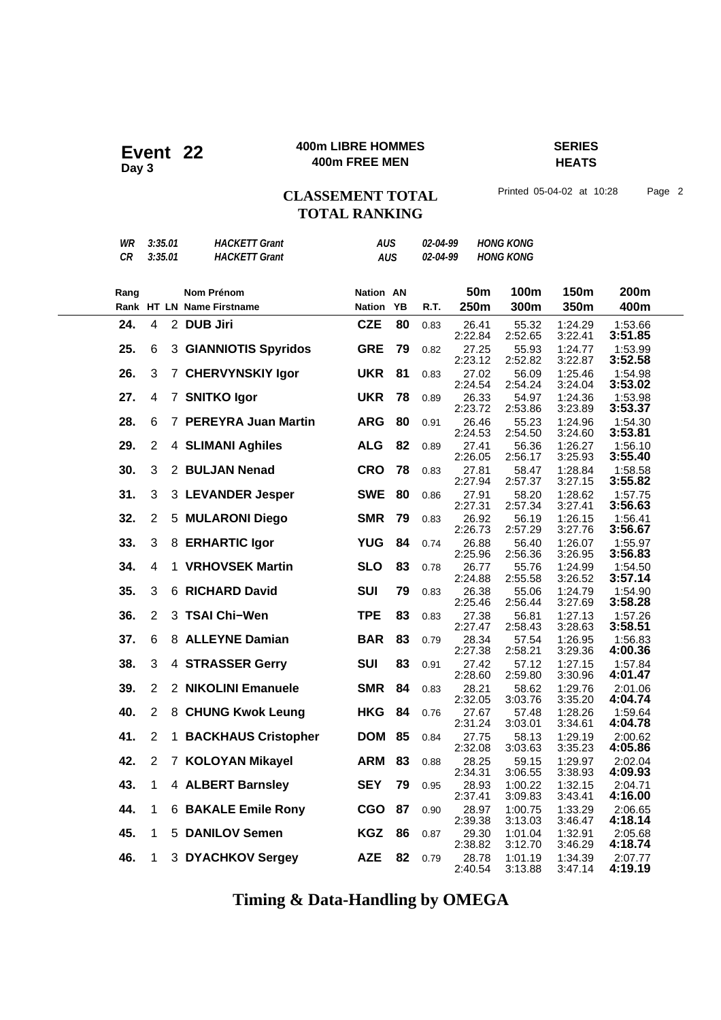### **400m LIBRE HOMMES SERIES 400m LIBRE HOMME**<br>400m FREE MEN

**HEATS**

## CLASSEMENT TOTAL Printed 05-04-02 at 10:28 Page 2 **TOTAL RANKING**

| WR   | 3:35.01        | <b>HACKETT Grant</b>       | AUS              |    | <i><b>02-04-99</b></i> |                  | <b>HONG KONG</b>   |                    |                    |
|------|----------------|----------------------------|------------------|----|------------------------|------------------|--------------------|--------------------|--------------------|
| CR   | 3:35.01        | <b>HACKETT Grant</b>       | <b>AUS</b>       |    | 02-04-99               |                  | <b>HONG KONG</b>   |                    |                    |
| Rang |                | <b>Nom Prénom</b>          | <b>Nation AN</b> |    |                        | 50 <sub>m</sub>  | 100m               | 150m               | 200m               |
|      |                | Rank HT LN Name Firstname  | <b>Nation</b>    | YB | R.T.                   | 250m             | 300m               | 350m               | 400m               |
| 24.  | $\overline{4}$ | 2 DUB Jiri                 | <b>CZE</b>       | 80 | 0.83                   | 26.41<br>2:22.84 | 55.32<br>2:52.65   | 1:24.29<br>3:22.41 | 1:53.66<br>3:51.85 |
| 25.  | 6              | 3 GIANNIOTIS Spyridos      | <b>GRE</b>       | 79 | 0.82                   | 27.25<br>2:23.12 | 55.93<br>2:52.82   | 1:24.77<br>3:22.87 | 1:53.99<br>3:52.58 |
| 26.  | 3              | 7 CHERVYNSKIY Igor         | <b>UKR</b>       | 81 | 0.83                   | 27.02<br>2:24.54 | 56.09<br>2:54.24   | 1:25.46<br>3:24.04 | 1:54.98<br>3:53.02 |
| 27.  | 4              | 7 SNITKO Igor              | <b>UKR</b>       | 78 | 0.89                   | 26.33<br>2:23.72 | 54.97<br>2:53.86   | 1:24.36<br>3:23.89 | 1:53.98<br>3:53.37 |
| 28.  | 6              | 7 PEREYRA Juan Martin      | <b>ARG</b>       | 80 | 0.91                   | 26.46<br>2:24.53 | 55.23<br>2:54.50   | 1:24.96<br>3:24.60 | 1:54.30<br>3:53.81 |
| 29.  | $\overline{2}$ | 4 SLIMANI Aghiles          | <b>ALG</b>       | 82 | 0.89                   | 27.41<br>2:26.05 | 56.36<br>2:56.17   | 1:26.27<br>3:25.93 | 1:56.10<br>3:55.40 |
| 30.  | 3              | 2 BULJAN Nenad             | <b>CRO</b>       | 78 | 0.83                   | 27.81<br>2:27.94 | 58.47<br>2:57.37   | 1:28.84<br>3:27.15 | 1:58.58<br>3:55.82 |
| 31.  | 3              | 3 LEVANDER Jesper          | <b>SWE</b>       | 80 | 0.86                   | 27.91<br>2:27.31 | 58.20<br>2:57.34   | 1:28.62<br>3:27.41 | 1:57.75<br>3:56.63 |
| 32.  | $\overline{2}$ | 5 MULARONI Diego           | <b>SMR</b>       | 79 | 0.83                   | 26.92<br>2:26.73 | 56.19<br>2:57.29   | 1:26.15<br>3:27.76 | 1:56.41<br>3:56.67 |
| 33.  | 3              | 8 ERHARTIC Igor            | <b>YUG</b>       | 84 | 0.74                   | 26.88<br>2:25.96 | 56.40<br>2:56.36   | 1:26.07<br>3:26.95 | 1:55.97<br>3:56.83 |
| 34.  | 4              | 1 VRHOVSEK Martin          | <b>SLO</b>       | 83 | 0.78                   | 26.77<br>2:24.88 | 55.76<br>2:55.58   | 1:24.99<br>3:26.52 | 1:54.50<br>3:57.14 |
| 35.  | 3              | 6 RICHARD David            | <b>SUI</b>       | 79 | 0.83                   | 26.38<br>2:25.46 | 55.06<br>2:56.44   | 1:24.79<br>3:27.69 | 1:54.90<br>3:58.28 |
| 36.  | $\overline{2}$ | 3 TSAI Chi-Wen             | <b>TPE</b>       | 83 | 0.83                   | 27.38<br>2:27.47 | 56.81<br>2:58.43   | 1:27.13<br>3:28.63 | 1:57.26<br>3:58.51 |
| 37.  | 6              | 8 ALLEYNE Damian           | <b>BAR</b>       | 83 | 0.79                   | 28.34<br>2:27.38 | 57.54<br>2:58.21   | 1:26.95<br>3:29.36 | 1:56.83<br>4:00.36 |
| 38.  | 3              | 4 STRASSER Gerry           | <b>SUI</b>       | 83 | 0.91                   | 27.42<br>2:28.60 | 57.12<br>2:59.80   | 1:27.15<br>3:30.96 | 1:57.84<br>4:01.47 |
| 39.  | $\overline{2}$ | 2 NIKOLINI Emanuele        | <b>SMR</b>       | 84 | 0.83                   | 28.21<br>2:32.05 | 58.62<br>3:03.76   | 1:29.76<br>3:35.20 | 2:01.06<br>4:04.74 |
| 40.  | $\overline{2}$ | 8 CHUNG Kwok Leung         | <b>HKG</b>       | 84 | 0.76                   | 27.67<br>2:31.24 | 57.48<br>3:03.01   | 1:28.26<br>3:34.61 | 1:59.64<br>4:04.78 |
| 41.  | $\overline{2}$ | 1 BACKHAUS Cristopher      | <b>DOM</b>       | 85 | 0.84                   | 27.75<br>2:32.08 | 58.13<br>3:03.63   | 1:29.19<br>3:35.23 | 2:00.62<br>4:05.86 |
| 42.  | $\overline{2}$ | 7 KOLOYAN Mikayel          | <b>ARM</b>       | 83 | 0.88                   | 28.25<br>2:34.31 | 59.15<br>3:06.55   | 1:29.97<br>3:38.93 | 2:02.04<br>4:09.93 |
| 43.  | 1              | 4 ALBERT Barnsley          | <b>SEY</b>       | 79 | 0.95                   | 28.93<br>2:37.41 | 1:00.22<br>3:09.83 | 1:32.15<br>3:43.41 | 2:04.71<br>4:16.00 |
| 44.  | 1              | <b>6 BAKALE Emile Rony</b> | <b>CGO</b>       | 87 | 0.90                   | 28.97<br>2:39.38 | 1:00.75<br>3:13.03 | 1:33.29<br>3:46.47 | 2:06.65<br>4:18.14 |
| 45.  | 1              | 5 DANILOV Semen            | <b>KGZ</b>       | 86 | 0.87                   | 29.30<br>2:38.82 | 1:01.04<br>3:12.70 | 1:32.91<br>3:46.29 | 2:05.68<br>4:18.74 |
| 46.  | 1              | 3 DYACHKOV Sergey          | <b>AZE</b>       | 82 | 0.79                   | 28.78<br>2:40.54 | 1:01.19<br>3:13.88 | 1:34.39<br>3:47.14 | 2:07.77<br>4:19.19 |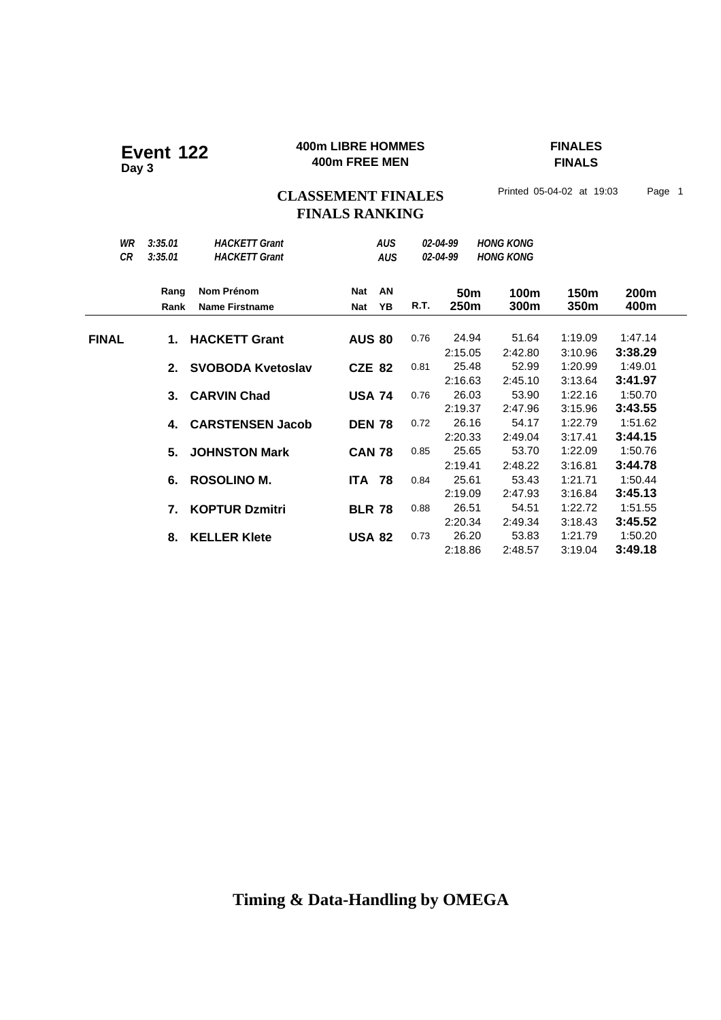### **400m LIBRE HOMMES FINALES 400m LIBRE HOMME**<br>400m FREE MEN

**FINALS**

## CLASSEMENT FINALES<sup>Printed 05-04-02 at 19:03 Page 1</sup> **FINALS RANKING**

| WR<br>CR     | 3:35.01<br>3:35.01 | <b>HACKETT Grant</b><br><b>HACKETT Grant</b> |                          | <b>AUS</b><br><b>AUS</b> |      | 02-04-99<br>02-04-99    | <b>HONG KONG</b><br><b>HONG KONG</b> |              |              |
|--------------|--------------------|----------------------------------------------|--------------------------|--------------------------|------|-------------------------|--------------------------------------|--------------|--------------|
|              | Rang<br>Rank       | Nom Prénom<br><b>Name Firstname</b>          | <b>Nat</b><br><b>Nat</b> | AN<br>YB                 | R.T. | 50 <sub>m</sub><br>250m | 100m<br>300m                         | 150m<br>350m | 200m<br>400m |
|              |                    |                                              |                          |                          |      |                         |                                      |              |              |
| <b>FINAL</b> | 1.                 | <b>HACKETT Grant</b>                         | <b>AUS 80</b>            |                          | 0.76 | 24.94                   | 51.64                                | 1:19.09      | 1:47.14      |
|              |                    |                                              |                          |                          |      | 2:15.05                 | 2:42.80                              | 3:10.96      | 3:38.29      |
|              | 2.                 | <b>SVOBODA Kvetoslav</b>                     | <b>CZE 82</b>            |                          | 0.81 | 25.48                   | 52.99                                | 1:20.99      | 1:49.01      |
|              |                    |                                              |                          |                          |      | 2:16.63                 | 2:45.10                              | 3:13.64      | 3:41.97      |
|              | 3.                 | <b>CARVIN Chad</b>                           | <b>USA 74</b>            |                          | 0.76 | 26.03                   | 53.90                                | 1:22.16      | 1:50.70      |
|              |                    |                                              |                          |                          |      | 2:19.37                 | 2:47.96                              | 3:15.96      | 3:43.55      |
|              | 4.                 | <b>CARSTENSEN Jacob</b>                      | <b>DEN 78</b>            |                          | 0.72 | 26.16                   | 54.17                                | 1:22.79      | 1:51.62      |
|              |                    |                                              |                          |                          |      | 2:20.33                 | 2:49.04                              | 3:17.41      | 3:44.15      |
|              | 5.                 | <b>JOHNSTON Mark</b>                         | <b>CAN 78</b>            |                          | 0.85 | 25.65                   | 53.70                                | 1:22.09      | 1:50.76      |
|              |                    |                                              |                          |                          |      | 2:19.41                 | 2:48.22                              | 3:16.81      | 3:44.78      |
|              | 6.                 | <b>ROSOLINO M.</b>                           | <b>ITA 78</b>            |                          | 0.84 | 25.61                   | 53.43                                | 1:21.71      | 1:50.44      |
|              |                    |                                              |                          |                          |      | 2:19.09                 | 2:47.93                              | 3:16.84      | 3:45.13      |
|              | 7.                 | <b>KOPTUR Dzmitri</b>                        | <b>BLR 78</b>            |                          | 0.88 | 26.51                   | 54.51                                | 1:22.72      | 1:51.55      |
|              |                    |                                              |                          |                          |      | 2:20.34                 | 2:49.34                              | 3:18.43      | 3:45.52      |
|              | 8.                 | <b>KELLER Klete</b>                          | <b>USA 82</b>            |                          | 0.73 | 26.20                   | 53.83                                | 1:21.79      | 1:50.20      |
|              |                    |                                              |                          |                          |      | 2:18.86                 | 2:48.57                              | 3:19.04      | 3:49.18      |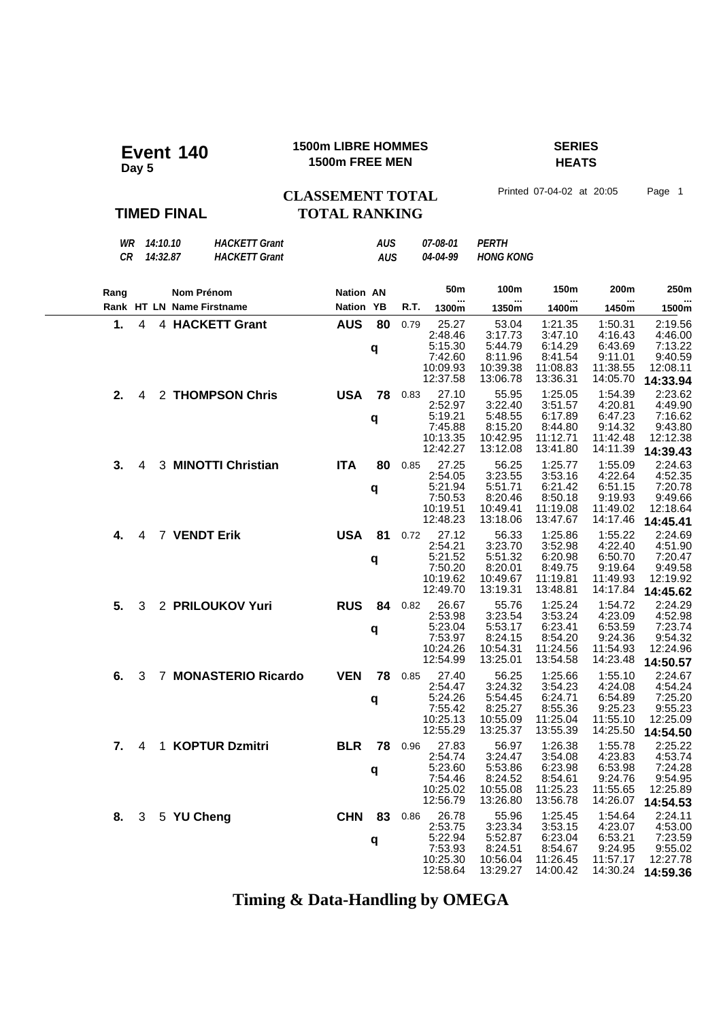| Event 140<br>Day 5                                                                      | <b>1500m LIBRE HOMMES</b><br>1500m FREE MEN |                          |      |                                                                            | <b>SERIES</b><br><b>HEATS</b>                                              |                                                                              |                                                                              |                                                                              |  |
|-----------------------------------------------------------------------------------------|---------------------------------------------|--------------------------|------|----------------------------------------------------------------------------|----------------------------------------------------------------------------|------------------------------------------------------------------------------|------------------------------------------------------------------------------|------------------------------------------------------------------------------|--|
|                                                                                         | <b>CLASSEMENT TOTAL</b>                     |                          |      |                                                                            |                                                                            | Printed 07-04-02 at 20:05                                                    |                                                                              | Page 1                                                                       |  |
| <b>TIMED FINAL</b>                                                                      | <b>TOTAL RANKING</b>                        |                          |      |                                                                            |                                                                            |                                                                              |                                                                              |                                                                              |  |
| 14:10.10<br>WR<br><b>HACKETT Grant</b><br><b>CR</b><br>14:32.87<br><b>HACKETT Grant</b> |                                             | <b>AUS</b><br><b>AUS</b> |      | 07-08-01<br>04-04-99                                                       | <b>PERTH</b><br><b>HONG KONG</b>                                           |                                                                              |                                                                              |                                                                              |  |
| <b>Nom Prénom</b><br>Rang                                                               | <b>Nation AN</b>                            |                          |      | 50m                                                                        | 100m                                                                       | 150m                                                                         | 200m                                                                         | 250m                                                                         |  |
| Rank HT LN Name Firstname                                                               | Nation YB                                   |                          | R.T. | 1300m                                                                      | 1350m                                                                      | 1400m                                                                        | 1450m                                                                        | 1500m                                                                        |  |
| 1.<br>$\overline{4}$<br>4 HACKETT Grant                                                 | <b>AUS</b>                                  | 80<br>q                  | 0.79 | 25.27<br>2:48.46<br>5:15.30<br>7:42.60<br>10:09.93                         | 53.04<br>3:17.73<br>5:44.79<br>8:11.96<br>10:39.38                         | 1:21.35<br>3:47.10<br>6:14.29<br>8:41.54<br>11:08.83                         | 1:50.31<br>4:16.43<br>6:43.69<br>9:11.01<br>11:38.55                         | 2:19.56<br>4:46.00<br>7:13.22<br>9:40.59<br>12:08.11                         |  |
| 4 2 THOMPSON Chris<br>2.                                                                | <b>USA</b>                                  | 78<br>q                  | 0.83 | 12:37.58<br>27.10<br>2:52.97<br>5:19.21<br>7:45.88<br>10:13.35<br>12:42.27 | 13:06.78<br>55.95<br>3:22.40<br>5:48.55<br>8:15.20<br>10:42.95<br>13:12.08 | 13:36.31<br>1:25.05<br>3:51.57<br>6:17.89<br>8:44.80<br>11:12.71<br>13:41.80 | 14:05.70<br>1:54.39<br>4:20.81<br>6:47.23<br>9:14.32<br>11:42.48<br>14:11.39 | 14:33.94<br>2:23.62<br>4:49.90<br>7:16.62<br>9:43.80<br>12:12.38<br>14:39.43 |  |
| 3.<br>3 MINOTTI Christian<br>4                                                          | <b>ITA</b>                                  | 80<br>q                  | 0.85 | 27.25<br>2:54.05<br>5:21.94<br>7:50.53<br>10:19.51<br>12:48.23             | 56.25<br>3:23.55<br>5:51.71<br>8:20.46<br>10:49.41<br>13:18.06             | 1:25.77<br>3:53.16<br>6:21.42<br>8:50.18<br>11:19.08<br>13:47.67             | 1:55.09<br>4:22.64<br>6:51.15<br>9:19.93<br>11:49.02<br>14:17.46             | 2:24.63<br>4:52.35<br>7:20.78<br>9:49.66<br>12:18.64<br>14:45.41             |  |
| 4 7 VENDT Erik<br>4.                                                                    | <b>USA 81</b>                               | q                        | 0.72 | 27.12<br>2:54.21<br>5:21.52<br>7:50.20<br>10:19.62<br>12:49.70             | 56.33<br>3:23.70<br>5:51.32<br>8:20.01<br>10:49.67<br>13:19.31             | 1:25.86<br>3:52.98<br>6:20.98<br>8:49.75<br>11:19.81<br>13:48.81             | 1:55.22<br>4:22.40<br>6:50.70<br>9:19.64<br>11:49.93<br>14:17.84             | 2:24.69<br>4:51.90<br>7:20.47<br>9:49.58<br>12:19.92<br>14:45.62             |  |
| 5.<br>3 2 PRILOUKOV Yuri                                                                | <b>RUS</b>                                  | 84<br>q                  | 0.82 | 26.67<br>2:53.98<br>5:23.04<br>7:53.97<br>10:24.26<br>12:54.99             | 55.76<br>3:23.54<br>5:53.17<br>8:24.15<br>10:54.31<br>13:25.01             | 1:25.24<br>3:53.24<br>6:23.41<br>8:54.20<br>11:24.56<br>13:54.58             | 1:54.72<br>4:23.09<br>6:53.59<br>9:24.36<br>11:54.93<br>14:23.48             | 2:24.29<br>4:52.98<br>7:23.74<br>9:54.32<br>12:24.96<br>14:50.57             |  |
| 7 MONASTERIO Ricardo<br>3<br>6.                                                         | <b>VEN</b>                                  | 78<br>q                  | 0.85 | 27.40<br>2:54.47<br>5:24.26<br>7:55.42<br>10:25.13<br>12:55.29             | 56.25<br>3:24.32<br>5:54.45<br>8:25.27<br>10:55.09<br>13:25.37             | 1:25.66<br>3:54.23<br>6:24.71<br>8:55.36<br>11:25.04<br>13:55.39             | 1:55.10<br>4:24.08<br>6:54.89<br>9:25.23<br>11:55.10<br>14:25.50             | 2:24.67<br>4:54.24<br>7:25.20<br>9:55.23<br>12:25.09<br>14:54.50             |  |
| 4 1 KOPTUR Dzmitri<br>7.                                                                | <b>BLR</b>                                  | 78<br>q                  | 0.96 | 27.83<br>2:54.74<br>5:23.60<br>7:54.46                                     | 56.97<br>3:24.47<br>5:53.86<br>8:24.52                                     | 1:26.38<br>3:54.08<br>6:23.98<br>8:54.61                                     | 1:55.78<br>4:23.83<br>6:53.98<br>9:24.76                                     | 2:25.22<br>4:53.74<br>7:24.28<br>9:54.95                                     |  |

**Timing & Data-Handling by OMEGA**

CHN 83 0.86

**q**

**8.** 3 5 **YU Cheng CHN 83** 0.86 26.78 55.96 1:25.45 1:54.64 2:24.11 **CHN 83** 0.86 26.78 3:23.34 3:53.15 4:23.07 4:53.00 **q** 5:22.94 5:52.87 6:23.04 6:53.21 7:23.59

10:25.02 10:55.08 11:25.23 11:55.65 12:25.89 12:56.79 13:26.80 13:56.78 14:26.07 **14:54.53**

 2:53.75 3:23.34 3:53.15 4:23.07 4:53.00 5:22.94 5:52.87 6:23.04 6:53.21 7:23.59 7:53.93 8:24.51 8:54.67 9:24.95 9:55.02 10:25.30 10:56.04 11:26.45 11:57.17 12:27.78 12:58.64 13:29.27 14:00.42 14:30.24 **14:59.36**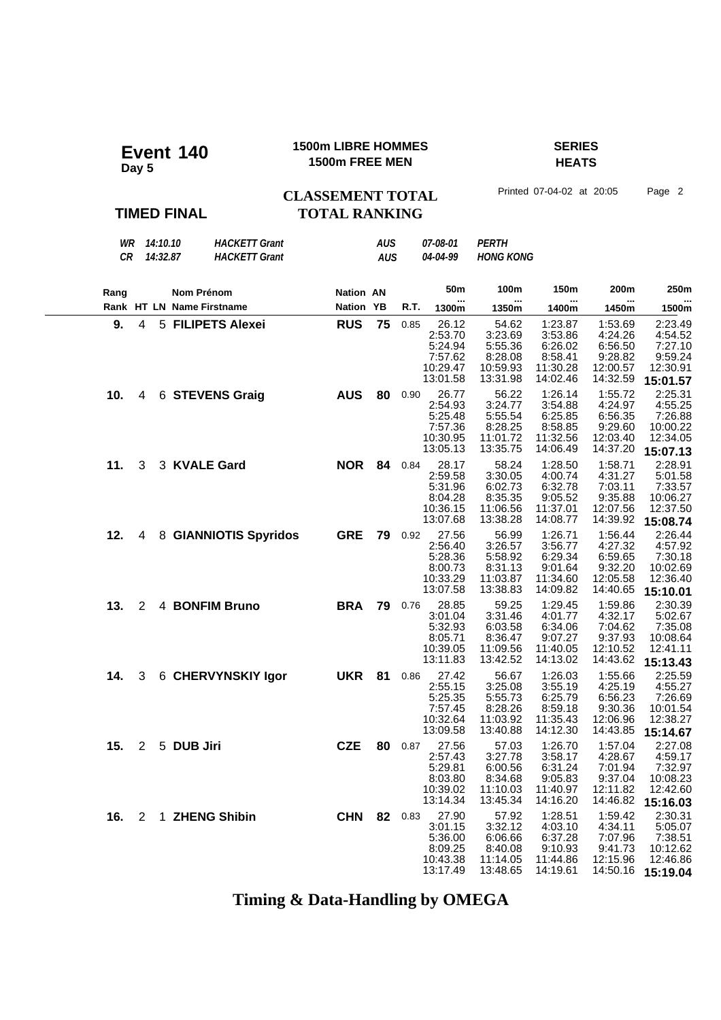| Event 140          | <b>1500m LIBRE HOMMES</b>                       | <b>SERIES</b>             |        |
|--------------------|-------------------------------------------------|---------------------------|--------|
| Day 5              | 1500m FREE MEN                                  | <b>HEATS</b>              |        |
| <b>TIMED FINAL</b> | <b>CLASSEMENT TOTAL</b><br><b>TOTAL RANKING</b> | Printed 07-04-02 at 20:05 | Page 2 |

| WR 14:10.10<br>CR<br>14:32.87         | <b>HACKETT Grant</b><br><b>HACKETT Grant</b> |            | AUS<br><b>AUS</b> |         | 07-08-01<br>04-04-99                                           | <b>PERTH</b><br><b>HONG KONG</b>                               |                                                                  |                                                                  |                                                                   |
|---------------------------------------|----------------------------------------------|------------|-------------------|---------|----------------------------------------------------------------|----------------------------------------------------------------|------------------------------------------------------------------|------------------------------------------------------------------|-------------------------------------------------------------------|
| Nom Prénom<br>Rang                    |                                              | Nation AN  |                   |         | 50 <sub>m</sub>                                                | 100m                                                           | 150m                                                             | 200m                                                             | 250m                                                              |
| Rank HT LN Name Firstname             |                                              | Nation YB  |                   | R.T.    | 1300m                                                          | 1350m                                                          | 1400m                                                            | 1450m                                                            | <br>1500m                                                         |
| 9.<br>$\overline{4}$                  | 5 FILIPETS Alexei                            | <b>RUS</b> | 75                | 0.85    | 26.12<br>2:53.70<br>5:24.94<br>7:57.62<br>10:29.47<br>13:01.58 | 54.62<br>3:23.69<br>5:55.36<br>8:28.08<br>10:59.93<br>13:31.98 | 1:23.87<br>3:53.86<br>6:26.02<br>8:58.41<br>11:30.28<br>14:02.46 | 1:53.69<br>4:24.26<br>6:56.50<br>9:28.82<br>12:00.57<br>14:32.59 | 2:23.49<br>4:54.52<br>7:27.10<br>9:59.24<br>12:30.91<br>15:01.57  |
| 10.<br>4                              | 6 STEVENS Graig                              | <b>AUS</b> | 80                | 0.90    | 26.77<br>2:54.93<br>5:25.48<br>7:57.36<br>10:30.95<br>13:05.13 | 56.22<br>3:24.77<br>5:55.54<br>8:28.25<br>11:01.72<br>13:35.75 | 1:26.14<br>3:54.88<br>6:25.85<br>8:58.85<br>11:32.56<br>14:06.49 | 1:55.72<br>4:24.97<br>6:56.35<br>9:29.60<br>12:03.40<br>14:37.20 | 2:25.31<br>4:55.25<br>7:26.88<br>10:00.22<br>12:34.05<br>15:07.13 |
| 11.<br>3 KVALE Gard<br>3              |                                              | <b>NOR</b> | 84                | 0.84    | 28.17<br>2:59.58<br>5:31.96<br>8:04.28<br>10:36.15<br>13:07.68 | 58.24<br>3:30.05<br>6:02.73<br>8:35.35<br>11:06.56<br>13:38.28 | 1:28.50<br>4:00.74<br>6:32.78<br>9:05.52<br>11:37.01<br>14:08.77 | 1:58.71<br>4:31.27<br>7:03.11<br>9:35.88<br>12:07.56<br>14:39.92 | 2:28.91<br>5:01.58<br>7:33.57<br>10:06.27<br>12:37.50<br>15:08.74 |
| 12.<br>4                              | 8 GIANNIOTIS Spyridos                        | <b>GRE</b> | 79                | 0.92    | 27.56<br>2:56.40<br>5:28.36<br>8:00.73<br>10:33.29<br>13:07.58 | 56.99<br>3:26.57<br>5:58.92<br>8:31.13<br>11:03.87<br>13:38.83 | 1:26.71<br>3:56.77<br>6:29.34<br>9:01.64<br>11:34.60<br>14:09.82 | 1:56.44<br>4:27.32<br>6:59.65<br>9:32.20<br>12:05.58<br>14:40.65 | 2:26.44<br>4:57.92<br>7:30.18<br>10:02.69<br>12:36.40<br>15:10.01 |
| 13.<br>2                              | 4 BONFIM Bruno                               | <b>BRA</b> | 79                | 0.76    | 28.85<br>3:01.04<br>5:32.93<br>8:05.71<br>10:39.05<br>13:11.83 | 59.25<br>3:31.46<br>6:03.58<br>8:36.47<br>11:09.56<br>13:42.52 | 1:29.45<br>4:01.77<br>6:34.06<br>9:07.27<br>11:40.05<br>14:13.02 | 1:59.86<br>4:32.17<br>7:04.62<br>9:37.93<br>12:10.52<br>14:43.62 | 2:30.39<br>5:02.67<br>7:35.08<br>10:08.64<br>12:41.11<br>15:13.43 |
| 14.<br>3                              | 6 CHERVYNSKIY Igor                           | <b>UKR</b> | 81                | 0.86    | 27.42<br>2:55.15<br>5:25.35<br>7:57.45<br>10:32.64<br>13:09.58 | 56.67<br>3:25.08<br>5:55.73<br>8:28.26<br>11:03.92<br>13:40.88 | 1:26.03<br>3:55.19<br>6:25.79<br>8:59.18<br>11:35.43<br>14:12.30 | 1:55.66<br>4:25.19<br>6:56.23<br>9:30.36<br>12:06.96<br>14:43.85 | 2:25.59<br>4:55.27<br>7:26.69<br>10:01.54<br>12:38.27<br>15:14.67 |
| $2^{\circ}$<br>5 DUB Jiri<br>15.      |                                              | <b>CZE</b> | 80                | 0.87    | 27.56<br>2:57.43<br>5:29.81<br>8:03.80<br>10:39.02<br>13:14.34 | 57.03<br>3:27.78<br>6:00.56<br>8:34.68<br>11:10.03<br>13:45.34 | 1:26.70<br>3:58.17<br>6:31.24<br>9:05.83<br>11:40.97<br>14:16.20 | 1:57.04<br>4:28.67<br>7:01.94<br>9:37.04<br>12:11.82<br>14:46.82 | 2:27.08<br>4:59.17<br>7:32.97<br>10:08.23<br>12:42.60<br>15:16.03 |
| 1 ZHENG Shibin<br>16.<br>$\mathbf{2}$ |                                              | <b>CHN</b> |                   | 82 0.83 | 27.90<br>3:01.15<br>5:36.00<br>8:09.25<br>10:43.38<br>13:17.49 | 57.92<br>3:32.12<br>6:06.66<br>8:40.08<br>11:14.05<br>13:48.65 | 1:28.51<br>4:03.10<br>6:37.28<br>9:10.93<br>11:44.86<br>14:19.61 | 1:59.42<br>4:34.11<br>7:07.96<br>9:41.73<br>12:15.96<br>14:50.16 | 2:30.31<br>5:05.07<br>7:38.51<br>10:12.62<br>12:46.86<br>15:19.04 |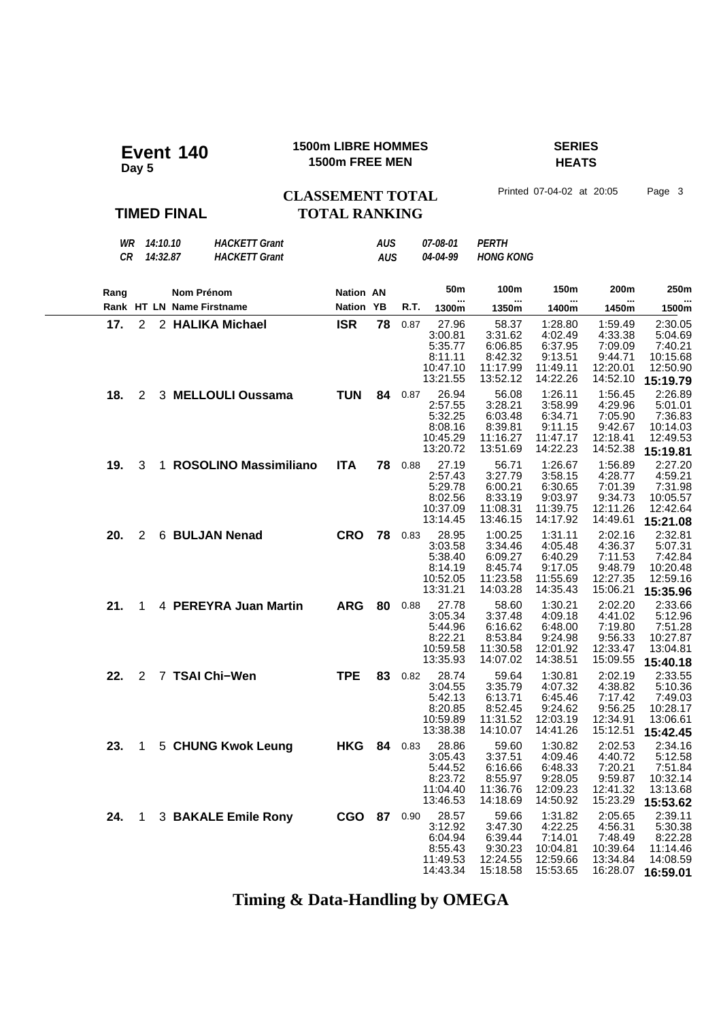| Event 140<br>Day 5 | <b>1500m LIBRE HOMMES</b><br>1500m FREE MEN |      |
|--------------------|---------------------------------------------|------|
|                    | <b>CLASSEMENT TOTAL</b>                     | Prin |
| <b>TIMED FINAL</b> | <b>TOTAL RANKING</b>                        |      |

**HEATS 1500m LIBRE HOMMES SERIES**

nted 07-04-02 at 20:05 **Page 3** 

# **TOTAL RANKING**

| WR<br>14:10.10<br><b>CR</b><br>14:32.87 | <b>HACKETT Grant</b><br><b>HACKETT Grant</b> | <b>AUS</b><br>07-08-01<br>PERTH<br>04-04-99<br><b>HONG KONG</b><br><b>AUS</b> |    |      |                                                                |                                                                  |                                                                   |                                                                   |                                                                   |
|-----------------------------------------|----------------------------------------------|-------------------------------------------------------------------------------|----|------|----------------------------------------------------------------|------------------------------------------------------------------|-------------------------------------------------------------------|-------------------------------------------------------------------|-------------------------------------------------------------------|
| Rang                                    | Nom Prénom                                   | <b>Nation AN</b>                                                              |    |      | 50m                                                            | 100m                                                             | 150m                                                              | 200m                                                              | 250m                                                              |
| Rank HT LN Name Firstname               |                                              | Nation YB                                                                     |    | R.T. | <br>1300m                                                      | <br>1350m                                                        | <br>1400m                                                         | 1450m                                                             | 1500m                                                             |
| 17.<br>$\overline{2}$                   | 2 HALIKA Michael                             | <b>ISR</b>                                                                    | 78 | 0.87 | 27.96<br>3:00.81<br>5:35.77<br>8:11.11<br>10:47.10<br>13:21.55 | 58.37<br>3:31.62<br>6:06.85<br>8:42.32<br>11:17.99<br>13:52.12   | 1:28.80<br>4:02.49<br>6:37.95<br>9:13.51<br>11:49.11<br>14:22.26  | 1:59.49<br>4:33.38<br>7:09.09<br>9:44.71<br>12:20.01<br>14:52.10  | 2:30.05<br>5:04.69<br>7:40.21<br>10:15.68<br>12:50.90<br>15:19.79 |
| 18.<br>2                                | 3 MELLOULI Oussama                           | <b>TUN</b>                                                                    | 84 | 0.87 | 26.94<br>2:57.55<br>5:32.25<br>8:08.16<br>10:45.29<br>13:20.72 | 56.08<br>3:28.21<br>6:03.48<br>8:39.81<br>11:16.27<br>13:51.69   | 1:26.11<br>3:58.99<br>6:34.71<br>9:11.15<br>11:47.17<br>14:22.23  | 1:56.45<br>4:29.96<br>7:05.90<br>9:42.67<br>12:18.41<br>14:52.38  | 2:26.89<br>5:01.01<br>7:36.83<br>10:14.03<br>12:49.53<br>15:19.81 |
| 19.<br>3                                | 1 ROSOLINO Massimiliano                      | <b>ITA</b>                                                                    | 78 | 0.88 | 27.19<br>2:57.43<br>5:29.78<br>8:02.56<br>10:37.09<br>13:14.45 | 56.71<br>3:27.79<br>6:00.21<br>8:33.19<br>11:08.31<br>13:46.15   | 1:26.67<br>3:58.15<br>6:30.65<br>9:03.97<br>11:39.75<br>14:17.92  | 1:56.89<br>4:28.77<br>7:01.39<br>9:34.73<br>12:11.26<br>14:49.61  | 2:27.20<br>4:59.21<br>7:31.98<br>10:05.57<br>12:42.64<br>15:21.08 |
| 20.<br>$\mathbf{2}^{\prime}$            | 6 BULJAN Nenad                               | <b>CRO</b>                                                                    | 78 | 0.83 | 28.95<br>3:03.58<br>5:38.40<br>8:14.19<br>10:52.05<br>13:31.21 | 1:00.25<br>3:34.46<br>6:09.27<br>8:45.74<br>11:23.58<br>14:03.28 | 1:31.11<br>4:05.48<br>6:40.29<br>9:17.05<br>11:55.69<br>14:35.43  | 2:02.16<br>4:36.37<br>7:11.53<br>9:48.79<br>12:27.35<br>15:06.21  | 2:32.81<br>5:07.31<br>7:42.84<br>10:20.48<br>12:59.16<br>15:35.96 |
| 21.<br>1.                               | 4 PEREYRA Juan Martin                        | <b>ARG</b>                                                                    | 80 | 0.88 | 27.78<br>3:05.34<br>5:44.96<br>8:22.21<br>10:59.58<br>13:35.93 | 58.60<br>3:37.48<br>6:16.62<br>8:53.84<br>11:30.58<br>14:07.02   | 1:30.21<br>4:09.18<br>6:48.00<br>9:24.98<br>12:01.92<br>14:38.51  | 2:02.20<br>4:41.02<br>7:19.80<br>9:56.33<br>12:33.47<br>15:09.55  | 2:33.66<br>5:12.96<br>7:51.28<br>10:27.87<br>13:04.81<br>15:40.18 |
| 22.<br>$\overline{2}$                   | 7 TSAI Chi-Wen                               | <b>TPE</b>                                                                    | 83 | 0.82 | 28.74<br>3:04.55<br>5:42.13<br>8:20.85<br>10:59.89<br>13:38.38 | 59.64<br>3:35.79<br>6:13.71<br>8:52.45<br>11:31.52<br>14:10.07   | 1:30.81<br>4:07.32<br>6:45.46<br>9:24.62<br>12:03.19<br>14:41.26  | 2:02.19<br>4:38.82<br>7:17.42<br>9:56.25<br>12:34.91<br>15:12.51  | 2:33.55<br>5:10.36<br>7:49.03<br>10:28.17<br>13:06.61<br>15:42.45 |
| 23.<br>1                                | 5 CHUNG Kwok Leung                           | <b>HKG</b>                                                                    | 84 | 0.83 | 28.86<br>3:05.43<br>5:44.52<br>8:23.72<br>11:04.40<br>13:46.53 | 59.60<br>3:37.51<br>6:16.66<br>8:55.97<br>11:36.76<br>14:18.69   | 1:30.82<br>4:09.46<br>6:48.33<br>9:28.05<br>12:09.23<br>14:50.92  | 2:02.53<br>4:40.72<br>7:20.21<br>9:59.87<br>12:41.32<br>15:23.29  | 2:34.16<br>5:12.58<br>7:51.84<br>10:32.14<br>13:13.68<br>15:53.62 |
| 24.<br>$\mathbf{1}$                     | <b>3 BAKALE Emile Rony</b>                   | CGO 87                                                                        |    | 0.90 | 28.57<br>3:12.92<br>6:04.94<br>8:55.43<br>11:49.53<br>14:43.34 | 59.66<br>3:47.30<br>6:39.44<br>9:30.23<br>12:24.55<br>15:18.58   | 1:31.82<br>4:22.25<br>7:14.01<br>10:04.81<br>12:59.66<br>15:53.65 | 2:05.65<br>4:56.31<br>7:48.49<br>10:39.64<br>13:34.84<br>16:28.07 | 2:39.11<br>5:30.38<br>8:22.28<br>11:14.46<br>14:08.59<br>16:59.01 |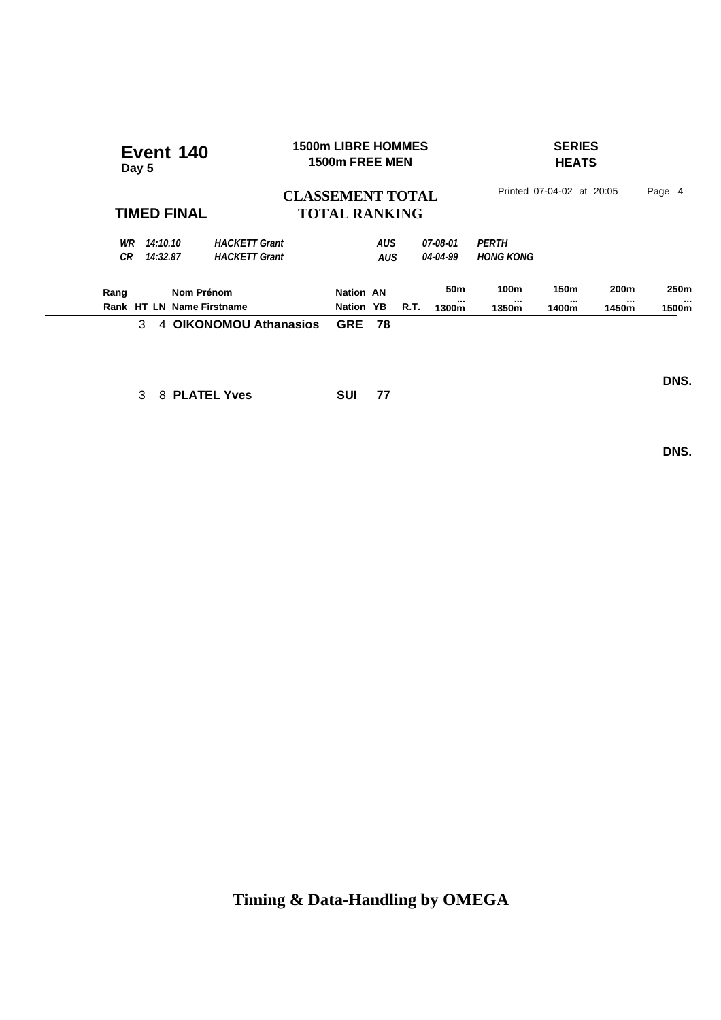| Event 140<br>Day 5                                             |                                                 | <b>1500m LIBRE HOMMES</b><br>1500m FREE MEN    |                   |             | <b>SERIES</b><br><b>HEATS</b> |                           |                   |                   |                               |
|----------------------------------------------------------------|-------------------------------------------------|------------------------------------------------|-------------------|-------------|-------------------------------|---------------------------|-------------------|-------------------|-------------------------------|
| <b>TIMED FINAL</b>                                             | <b>CLASSEMENT TOTAL</b><br><b>TOTAL RANKING</b> | Printed 07-04-02 at 20:05<br>Page 4            |                   |             |                               |                           |                   |                   |                               |
| WR<br>14:10.10<br>СR<br>14:32.87                               | <b>HACKETT Grant</b><br><b>HACKETT Grant</b>    |                                                | AUS<br><b>AUS</b> |             | 07-08-01<br>04-04-99          | PERTH<br><b>HONG KONG</b> |                   |                   |                               |
| Nom Prénom<br>Rang<br><b>HT LN Name Firstname</b><br>Rank<br>3 | 4 OIKONOMOU Athanasios                          | <b>Nation AN</b><br>Nation YB<br><b>GRE 78</b> |                   | <b>R.T.</b> | 50 <sub>m</sub><br><br>1300m  | 100m<br><br>1350m         | 150m<br><br>1400m | 200m<br><br>1450m | 250 <sub>m</sub><br><br>1500m |

3 8 **PLATEL Yves SUI 77**

 **DNS.**

 **DNS.**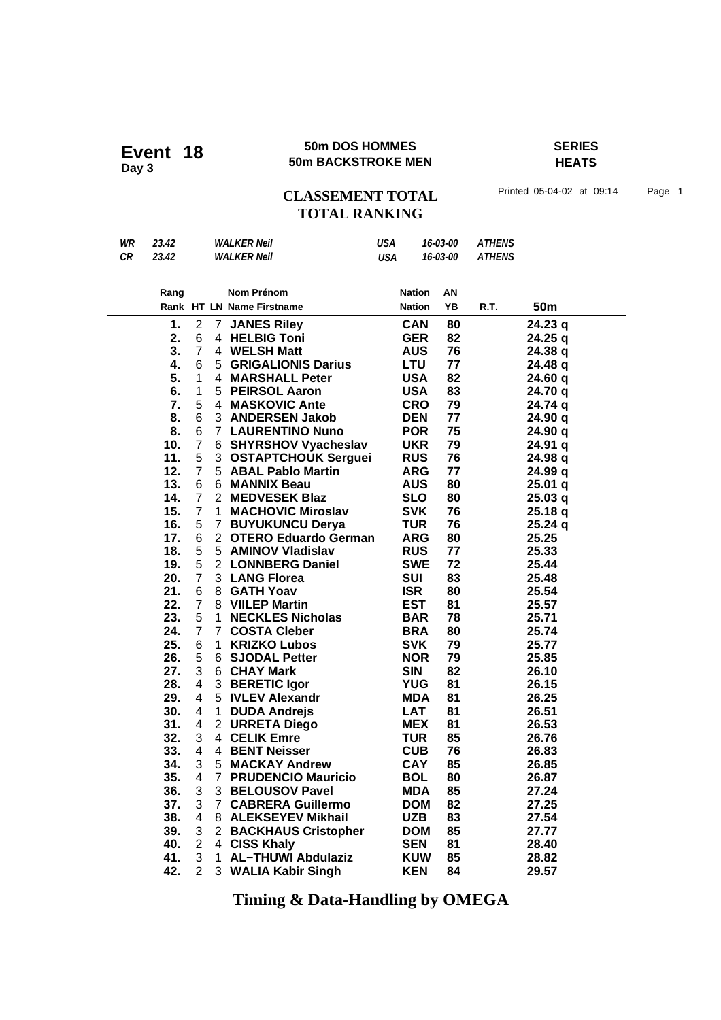### **50m DOS HOMMES SERIES Event 18** 50m DOS HOMMES<br>
50m BACKSTROKE MEN

## **HEATS**

## CLASSEMENT TOTAL Printed 05-04-02 at 09:14 Page 1 **TOTAL RANKING**

| WR | 23.42 | <b>WALKER Neil</b> | USA | 16-03-00 | <b>ATHENS</b> |
|----|-------|--------------------|-----|----------|---------------|
| СR | 23.42 | <b>WALKER Neil</b> | USA | 16-03-00 | <b>ATHENS</b> |

| Rang |                |                | <b>Nom Prénom</b>           | <b>Nation</b> | AN |      |                 |
|------|----------------|----------------|-----------------------------|---------------|----|------|-----------------|
|      |                |                | Rank HT LN Name Firstname   | <b>Nation</b> | YΒ | R.T. | 50 <sub>m</sub> |
| 1.   | 2              | 7              | <b>JANES Riley</b>          | <b>CAN</b>    | 80 |      | 24.23 q         |
| 2.   | 6              |                | 4 HELBIG Toni               | <b>GER</b>    | 82 |      | 24.25 q         |
| 3.   | 7              |                | 4 WELSH Matt                | <b>AUS</b>    | 76 |      | 24.38 g         |
| 4.   | 6              | 5              | <b>GRIGALIONIS Darius</b>   | <b>LTU</b>    | 77 |      | 24.48 q         |
| 5.   | 1              | 4              | <b>MARSHALL Peter</b>       | <b>USA</b>    | 82 |      | 24.60 q         |
| 6.   | 1              | 5              | <b>PEIRSOL Aaron</b>        | <b>USA</b>    | 83 |      | 24.70 q         |
| 7.   | 5              | 4              | <b>MASKOVIC Ante</b>        | <b>CRO</b>    | 79 |      | 24.74 q         |
| 8.   | 6              |                | 3 ANDERSEN Jakob            | <b>DEN</b>    | 77 |      | 24.90 q         |
| 8.   | 6              | 7              | <b>LAURENTINO Nuno</b>      | <b>POR</b>    | 75 |      | 24.90 q         |
| 10.  | $\overline{7}$ | 6.             | <b>SHYRSHOV Vyacheslav</b>  | <b>UKR</b>    | 79 |      | 24.91 q         |
| 11.  | 5              | 3 <sup>1</sup> | <b>OSTAPTCHOUK Serguei</b>  | <b>RUS</b>    | 76 |      | 24.98 q         |
| 12.  | $\overline{7}$ | 5              | <b>ABAL Pablo Martin</b>    | <b>ARG</b>    | 77 |      | 24.99 q         |
| 13.  | 6              | 6.             | <b>MANNIX Beau</b>          | <b>AUS</b>    | 80 |      | 25.01 q         |
| 14.  | $\overline{7}$ |                | 2 MEDVESEK Blaz             | <b>SLO</b>    | 80 |      | 25.03q          |
| 15.  | $\overline{7}$ | $\mathbf 1$    | <b>MACHOVIC Miroslav</b>    | <b>SVK</b>    | 76 |      | 25.18q          |
| 16.  | 5              | $\overline{7}$ | <b>BUYUKUNCU Derya</b>      | <b>TUR</b>    | 76 |      | 25.24q          |
| 17.  | 6              | $\overline{2}$ | <b>OTERO Eduardo German</b> | <b>ARG</b>    | 80 |      | 25.25           |
| 18.  | 5              | 5 <sup>5</sup> | <b>AMINOV Vladislav</b>     | <b>RUS</b>    | 77 |      | 25.33           |
| 19.  | 5              | $\mathbf{2}$   | <b>LONNBERG Daniel</b>      | <b>SWE</b>    | 72 |      | 25.44           |
| 20.  | $\overline{7}$ |                | 3 LANG Florea               | <b>SUI</b>    | 83 |      | 25.48           |
| 21.  | 6              | 8              | <b>GATH Yoav</b>            | <b>ISR</b>    | 80 |      | 25.54           |
| 22.  | 7              |                | 8 VIILEP Martin             | <b>EST</b>    | 81 |      | 25.57           |
| 23.  | 5              | $\mathbf 1$    | <b>NECKLES Nicholas</b>     | <b>BAR</b>    | 78 |      | 25.71           |
| 24.  | $\overline{7}$ | 7              | <b>COSTA Cleber</b>         | <b>BRA</b>    | 80 |      | 25.74           |
| 25.  | 6              | 1.             | <b>KRIZKO Lubos</b>         | <b>SVK</b>    | 79 |      | 25.77           |
| 26.  | 5              | 6              | <b>SJODAL Petter</b>        | <b>NOR</b>    | 79 |      | 25.85           |
| 27.  | 3              |                | 6 CHAY Mark                 | <b>SIN</b>    | 82 |      | 26.10           |
| 28.  | 4              | 3              | <b>BERETIC Igor</b>         | <b>YUG</b>    | 81 |      | 26.15           |
| 29.  | 4              |                | 5 IVLEV Alexandr            | <b>MDA</b>    | 81 |      | 26.25           |
| 30.  | 4              | 1              | <b>DUDA Andrejs</b>         | <b>LAT</b>    | 81 |      | 26.51           |
| 31.  | 4              | 2              | <b>URRETA Diego</b>         | <b>MEX</b>    | 81 |      | 26.53           |
| 32.  | 3              |                | 4 CELIK Emre                | <b>TUR</b>    | 85 |      | 26.76           |
| 33.  | 4              |                | 4 BENT Neisser              | <b>CUB</b>    | 76 |      | 26.83           |
| 34.  | 3              | 5.             | <b>MACKAY Andrew</b>        | <b>CAY</b>    | 85 |      | 26.85           |
| 35.  | 4              | $\overline{7}$ | <b>PRUDENCIO Mauricio</b>   | <b>BOL</b>    | 80 |      | 26.87           |
| 36.  | 3              | 3 <sup>1</sup> | <b>BELOUSOV Pavel</b>       | <b>MDA</b>    | 85 |      | 27.24           |
| 37.  | 3              | $\mathbf{7}$   | <b>CABRERA Guillermo</b>    | <b>DOM</b>    | 82 |      | 27.25           |
| 38.  | 4              |                | 8 ALEKSEYEV Mikhail         | <b>UZB</b>    | 83 |      | 27.54           |
| 39.  | 3              |                | 2 BACKHAUS Cristopher       | <b>DOM</b>    | 85 |      | 27.77           |
| 40.  | $\overline{2}$ | 4              | <b>CISS Khaly</b>           | <b>SEN</b>    | 81 |      | 28.40           |
| 41.  | 3              | 1              | <b>AL-THUWI Abdulaziz</b>   | <b>KUW</b>    | 85 |      | 28.82           |
| 42.  | $\overline{2}$ |                | 3 WALIA Kabir Singh         | <b>KEN</b>    | 84 |      | 29.57           |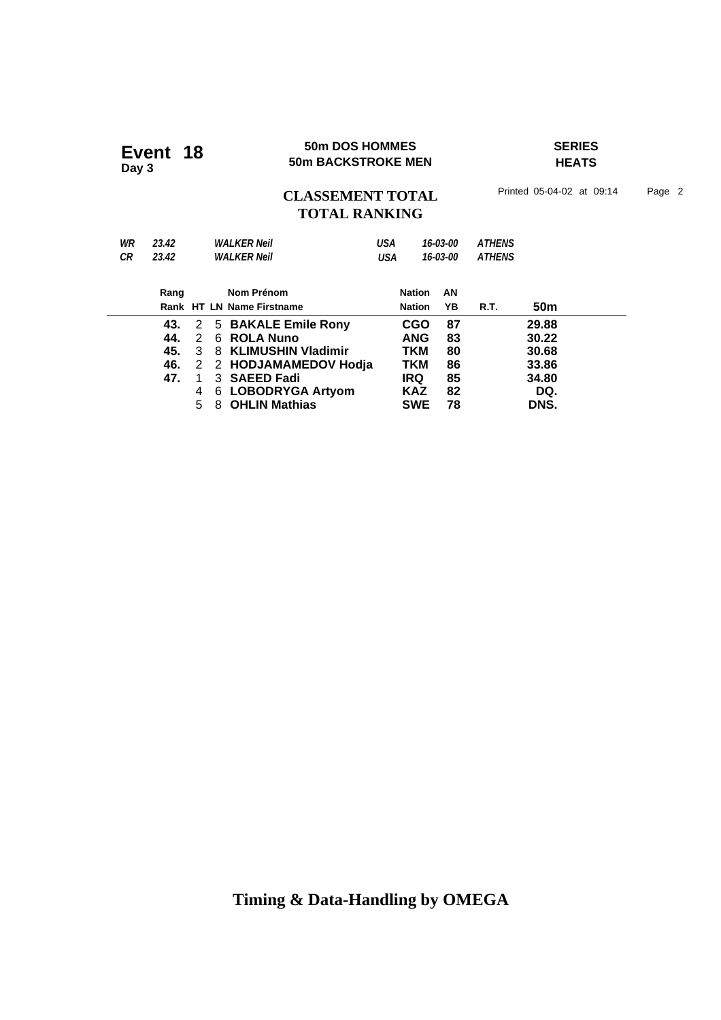### **50m DOS HOMMES SERIES Event 18** 50m DOS HOMMES<br>
50m BACKSTROKE MEN

**HEATS**

## CLASSEMENT TOTAL Printed 05-04-02 at 09:14 Page 2 **TOTAL RANKING**

| WR | 23.42 |   |   | <b>WALKER Neil</b>        | USA        |               | 16-03-00 | <b>ATHENS</b> |                 |  |
|----|-------|---|---|---------------------------|------------|---------------|----------|---------------|-----------------|--|
| CR | 23.42 |   |   | <b>WALKER Neil</b>        | <b>USA</b> |               | 16-03-00 | <b>ATHENS</b> |                 |  |
|    |       |   |   |                           |            |               |          |               |                 |  |
|    | Rang  |   |   | Nom Prénom                |            | <b>Nation</b> | AN       |               |                 |  |
|    |       |   |   | Rank HT LN Name Firstname |            | <b>Nation</b> | ΥB       | R.T.          | 50 <sub>m</sub> |  |
|    | 43.   |   |   | 2 5 BAKALE Emile Rony     |            | <b>CGO</b>    | 87       |               | 29.88           |  |
|    | 44.   | 2 |   | 6 ROLA Nuno               |            | <b>ANG</b>    | 83       |               | 30.22           |  |
|    | 45.   | 3 |   | 8 KLIMUSHIN Vladimir      |            | TKM           | 80       |               | 30.68           |  |
|    | 46.   |   |   | 2 2 HODJAMAMEDOV Hodja    |            | TKM           | 86       |               | 33.86           |  |
|    | 47.   |   |   | 3 <b>SAEED Fadi</b>       |            | <b>IRQ</b>    | 85       |               | 34.80           |  |
|    |       | 4 | 6 | <b>LOBODRYGA Artyom</b>   |            | <b>KAZ</b>    | 82       |               | DQ.             |  |
|    |       | 5 | 8 | <b>OHLIN Mathias</b>      |            | <b>SWE</b>    | 78       |               | DNS.            |  |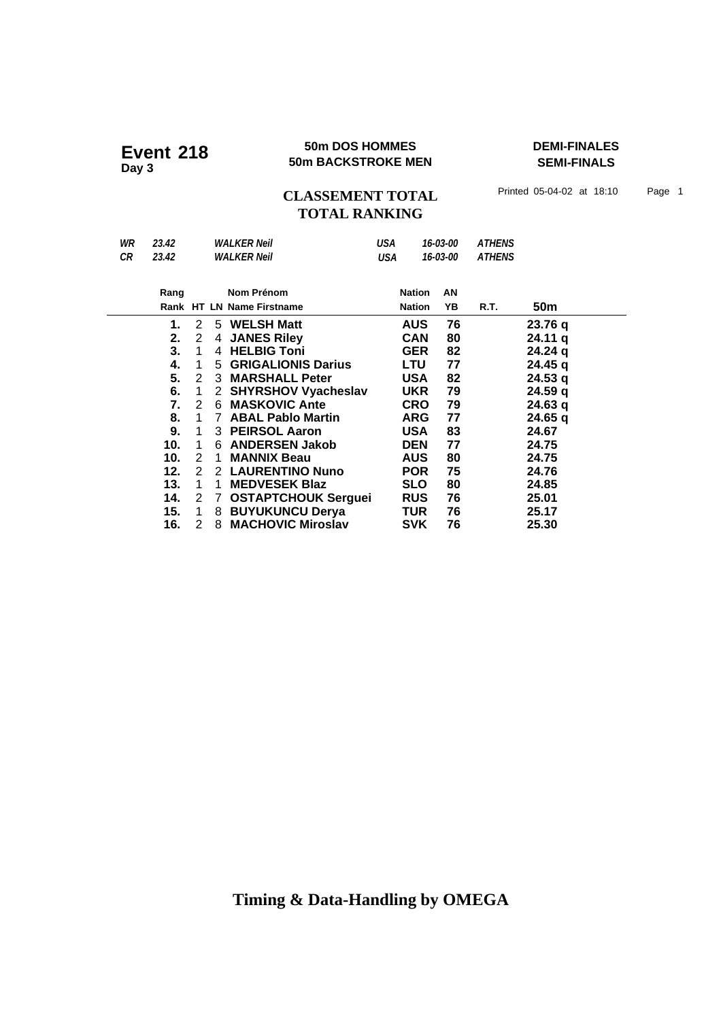### **50m DOS HOMMES DEMI-FINALES Event 218** 50m DOS HOMMES<br>50m BACKSTROKE MEN

**SEMI-FINALS**

CLASSEMENT TOTAL Printed 05-04-02 at 18:10 Page 1 **TOTAL RANKING**

| WR | 23.42 |                |              | <b>WALKER Neil</b>         | USA |               | 16-03-00 | <b>ATHENS</b> |                 |  |
|----|-------|----------------|--------------|----------------------------|-----|---------------|----------|---------------|-----------------|--|
| CR | 23.42 |                |              | <b>WALKER Neil</b>         | USA |               | 16-03-00 | <b>ATHENS</b> |                 |  |
|    |       |                |              |                            |     |               |          |               |                 |  |
|    | Rang  |                |              | Nom Prénom                 |     | <b>Nation</b> | AN       |               |                 |  |
|    |       |                |              | Rank HT LN Name Firstname  |     | <b>Nation</b> | YΒ       | R.T.          | 50 <sub>m</sub> |  |
|    | 1.    | 2              |              | 5 WELSH Matt               |     | <b>AUS</b>    | 76       |               | 23.76 q         |  |
|    | 2.    | 2              |              | 4 JANES Riley              |     | <b>CAN</b>    | 80       |               | 24.11 q         |  |
|    | 3.    | 1              |              | 4 HELBIG Toni              |     | <b>GER</b>    | 82       |               | 24.24 g         |  |
|    | 4.    | 1              |              | 5 GRIGALIONIS Darius       |     | <b>LTU</b>    | 77       |               | 24.45 q         |  |
|    | 5.    | 2              |              | 3 MARSHALL Peter           |     | <b>USA</b>    | 82       |               | 24.53q          |  |
|    | 6.    | $\overline{1}$ |              | 2 SHYRSHOV Vyacheslav      |     | <b>UKR</b>    | 79       |               | 24.59 a         |  |
|    | 7.    | 2              |              | 6 MASKOVIC Ante            |     | <b>CRO</b>    | 79       |               | 24.63 q         |  |
|    | 8.    | 1              | $7^{\circ}$  | <b>ABAL Pablo Martin</b>   |     | <b>ARG</b>    | 77       |               | 24.65 q         |  |
|    | 9.    | 1              |              | 3 PEIRSOL Aaron            |     | <b>USA</b>    | 83       |               | 24.67           |  |
|    | 10.   | 1              |              | 6 ANDERSEN Jakob           |     | <b>DEN</b>    | 77       |               | 24.75           |  |
|    | 10.   | $\mathcal{P}$  | 1            | <b>MANNIX Beau</b>         |     | <b>AUS</b>    | 80       |               | 24.75           |  |
|    | 12.   | 2              |              | 2 LAURENTINO Nuno          |     | <b>POR</b>    | 75       |               | 24.76           |  |
|    | 13.   | 1              | 1            | <b>MEDVESEK Blaz</b>       |     | <b>SLO</b>    | 80       |               | 24.85           |  |
|    | 14.   | 2              | $\mathbf{7}$ | <b>OSTAPTCHOUK Serguei</b> |     | <b>RUS</b>    | 76       |               | 25.01           |  |
|    | 15.   | 1              |              | 8 BUYUKUNCU Derya          |     | TUR           | 76       |               | 25.17           |  |
|    | 16.   | $\mathcal{P}$  | 8            | <b>MACHOVIC Miroslav</b>   |     | <b>SVK</b>    | 76       |               | 25.30           |  |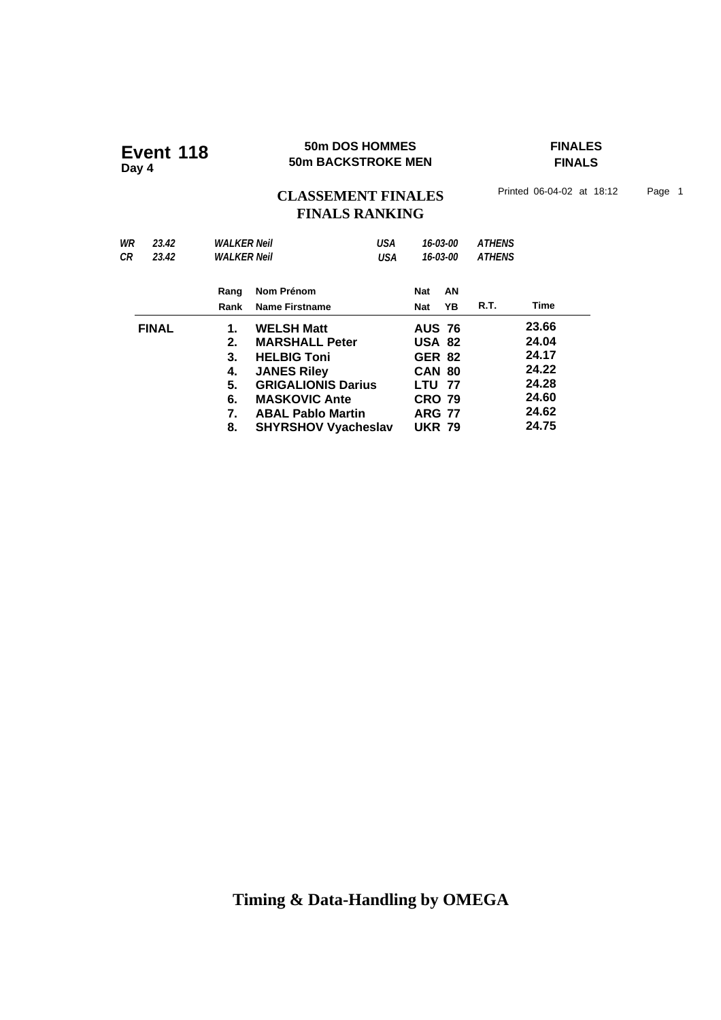### **50m DOS HOMMES FINALES Event 118 50m DOS HOMMES**<br>50m BACKSTROKE MEN

**FINALS**

## CLASSEMENT FINALES<sup>Printed 06-04-02 at 18:12 Page 1</sup> **FINALS RANKING**

| WR<br>23.42<br>СR<br>23.42 | <b>WALKER Neil</b><br><b>WALKER Neil</b>     | USA<br>USA                                                                                                                                                                                            |                                                                                                                                      | 16-03-00<br>16-03-00 | <b>ATHENS</b><br><b>ATHENS</b> |                                                                      |
|----------------------------|----------------------------------------------|-------------------------------------------------------------------------------------------------------------------------------------------------------------------------------------------------------|--------------------------------------------------------------------------------------------------------------------------------------|----------------------|--------------------------------|----------------------------------------------------------------------|
|                            | Rang<br>Rank                                 | Nom Prénom<br><b>Name Firstname</b>                                                                                                                                                                   | Nat<br>Nat                                                                                                                           | ΑN<br>YΒ             | R.T.                           | Time                                                                 |
| <b>FINAL</b>               | 1.<br>2.<br>3.<br>4.<br>5.<br>6.<br>7.<br>8. | <b>WELSH Matt</b><br><b>MARSHALL Peter</b><br><b>HELBIG Toni</b><br><b>JANES Riley</b><br><b>GRIGALIONIS Darius</b><br><b>MASKOVIC Ante</b><br><b>ABAL Pablo Martin</b><br><b>SHYRSHOV Vyacheslav</b> | <b>AUS 76</b><br><b>USA 82</b><br><b>GER 82</b><br><b>CAN 80</b><br><b>LTU 77</b><br><b>CRO 79</b><br><b>ARG 77</b><br><b>UKR 79</b> |                      |                                | 23.66<br>24.04<br>24.17<br>24.22<br>24.28<br>24.60<br>24.62<br>24.75 |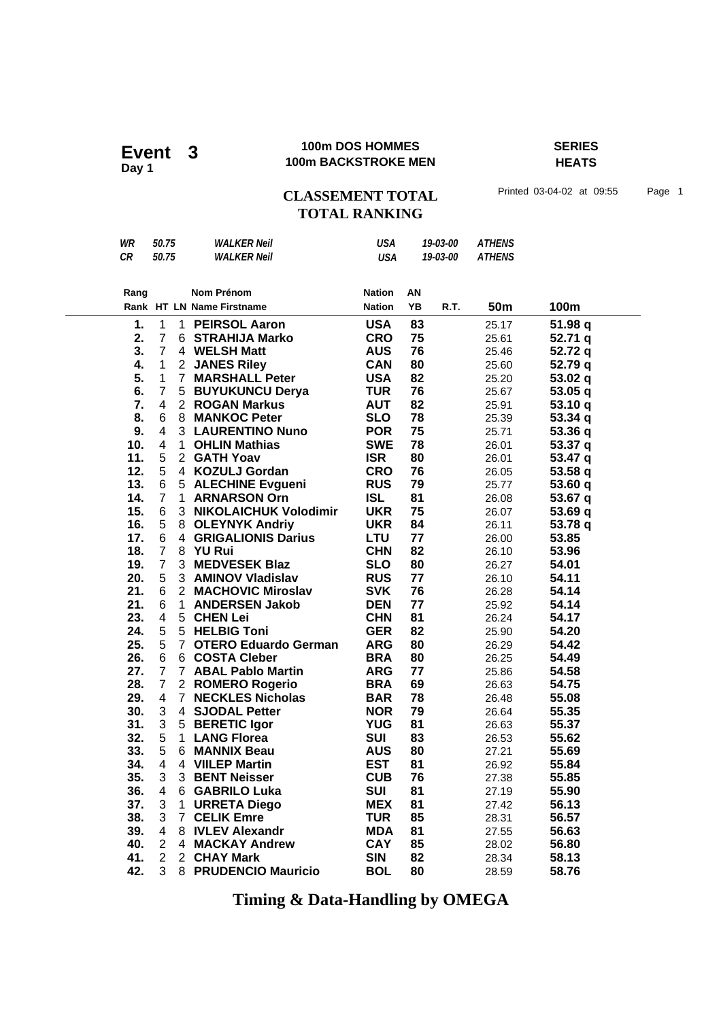Event 3<br>Day 1

### **100m DOS HOMMES SERIES 100m BACKSTROKE MEN**

**HEATS**

## CLASSEMENT TOTAL Printed 03-04-02 at 09:55 Page 1 **TOTAL RANKING**

| WR<br>CR   | 50.75<br>50.75 |                       | <i>WALKER Neil</i><br><b>WALKER Neil</b>         | <b>USA</b><br><b>USA</b> |          | 19-03-00<br>19-03-00 | <b>ATHENS</b><br><b>ATHENS</b> |                |
|------------|----------------|-----------------------|--------------------------------------------------|--------------------------|----------|----------------------|--------------------------------|----------------|
|            |                |                       |                                                  |                          |          |                      |                                |                |
| Rang       |                |                       | Nom Prénom                                       | <b>Nation</b>            | ΑN       |                      |                                |                |
|            |                |                       | Rank HT LN Name Firstname                        | <b>Nation</b>            | YB       | R.T.                 | 50m                            | 100m           |
| 1.         | 1              | 1.                    | <b>PEIRSOL Aaron</b>                             | <b>USA</b>               | 83       |                      | 25.17                          | 51.98 q        |
| 2.         | $\overline{7}$ |                       | 6 STRAHIJA Marko                                 | <b>CRO</b>               | 75       |                      | 25.61                          | 52.71q         |
| 3.         | $\overline{7}$ |                       | 4 WELSH Matt                                     | <b>AUS</b>               | 76       |                      | 25.46                          | 52.72 q        |
| 4.         | 1              | $\mathbf{2}^{\prime}$ | <b>JANES Riley</b>                               | <b>CAN</b>               | 80       |                      | 25.60                          | 52.79 q        |
| 5.         | $\mathbf{1}$   | $\overline{7}$        | <b>MARSHALL Peter</b>                            | <b>USA</b>               | 82       |                      | 25.20                          | 53.02 q        |
| 6.         | $\overline{7}$ | 5                     | <b>BUYUKUNCU Derya</b>                           | <b>TUR</b>               | 76       |                      | 25.67                          | 53.05q         |
| 7.         | 4              | $\overline{2}$        | <b>ROGAN Markus</b>                              | <b>AUT</b>               | 82       |                      | 25.91                          | 53.10 q        |
| 8.         | 6              | 8                     | <b>MANKOC Peter</b>                              | <b>SLO</b>               | 78       |                      | 25.39                          | 53.34 q        |
| 9.         | 4              |                       | 3 LAURENTINO Nuno                                | <b>POR</b>               | 75       |                      | 25.71                          | 53.36 q        |
| 10.        | 4              | 1.                    | <b>OHLIN Mathias</b>                             | <b>SWE</b>               | 78       |                      | 26.01                          | 53.37 q        |
| 11.        | 5              | $\overline{2}$        | <b>GATH Yoav</b>                                 | <b>ISR</b>               | 80       |                      | 26.01                          | 53.47 q        |
| 12.        | 5              | 4                     | <b>KOZULJ Gordan</b>                             | <b>CRO</b>               | 76       |                      | 26.05                          | 53.58q         |
| 13.        | 6              | 5                     | <b>ALECHINE Evgueni</b>                          | <b>RUS</b>               | 79       |                      | 25.77                          | 53.60 q        |
| 14.        | $\overline{7}$ | $\mathbf{1}$          | <b>ARNARSON Orn</b>                              | <b>ISL</b>               | 81       |                      | 26.08                          | 53.67 q        |
| 15.        | 6              | 3 <sup>1</sup>        | <b>NIKOLAICHUK Volodimir</b>                     | <b>UKR</b>               | 75       |                      | 26.07                          | 53.69 q        |
| 16.        | 5              | 8                     | <b>OLEYNYK Andriy</b>                            | <b>UKR</b>               | 84       |                      | 26.11                          | 53.78 q        |
| 17.        | 6              | 4                     | <b>GRIGALIONIS Darius</b>                        | <b>LTU</b>               | 77       |                      | 26.00                          | 53.85          |
| 18.        | $\overline{7}$ | 8                     | <b>YU Rui</b>                                    | <b>CHN</b>               | 82       |                      | 26.10                          | 53.96          |
| 19.        | $\overline{7}$ | 3                     | <b>MEDVESEK Blaz</b>                             | <b>SLO</b>               | 80       |                      | 26.27                          | 54.01          |
| 20.        | 5              | 3 <sup>1</sup>        | <b>AMINOV Vladislav</b>                          | <b>RUS</b>               | 77       |                      | 26.10                          | 54.11          |
| 21.        | 6              | $\overline{2}$        | <b>MACHOVIC Miroslav</b>                         | <b>SVK</b>               | 76       |                      | 26.28                          | 54.14          |
| 21.        | 6              | $\mathbf{1}$          | <b>ANDERSEN Jakob</b>                            | <b>DEN</b>               | 77       |                      | 25.92                          | 54.14          |
| 23.        | 4              | 5                     | <b>CHEN Lei</b>                                  | <b>CHN</b>               | 81       |                      | 26.24                          | 54.17          |
| 24.        | 5              | 5                     | <b>HELBIG Toni</b>                               | <b>GER</b>               | 82       |                      | 25.90                          | 54.20          |
| 25.<br>26. | 5<br>6         | $\overline{7}$<br>6   | <b>OTERO Eduardo German</b>                      | <b>ARG</b><br><b>BRA</b> | 80       |                      | 26.29                          | 54.42          |
| 27.        | $\overline{7}$ |                       | <b>COSTA Cleber</b><br>7 ABAL Pablo Martin       | <b>ARG</b>               | 80<br>77 |                      | 26.25                          | 54.49<br>54.58 |
| 28.        | $\overline{7}$ | $\overline{2}$        |                                                  | <b>BRA</b>               | 69       |                      | 25.86                          | 54.75          |
| 29.        | 4              | $\overline{7}$        | <b>ROMERO Rogerio</b><br><b>NECKLES Nicholas</b> | <b>BAR</b>               | 78       |                      | 26.63<br>26.48                 | 55.08          |
| 30.        | 3              | 4                     | <b>SJODAL Petter</b>                             | <b>NOR</b>               | 79       |                      | 26.64                          | 55.35          |
| 31.        | 3              | 5                     | <b>BERETIC Igor</b>                              | <b>YUG</b>               | 81       |                      | 26.63                          | 55.37          |
| 32.        | 5              | 1.                    | <b>LANG Florea</b>                               | <b>SUI</b>               | 83       |                      | 26.53                          | 55.62          |
| 33.        | 5              | 6                     | <b>MANNIX Beau</b>                               | <b>AUS</b>               | 80       |                      | 27.21                          | 55.69          |
| 34.        | 4              | 4                     | <b>VIILEP Martin</b>                             | <b>EST</b>               | 81       |                      | 26.92                          | 55.84          |
| 35.        | 3              | 3                     | <b>BENT Neisser</b>                              | <b>CUB</b>               | 76       |                      | 27.38                          | 55.85          |
| 36.        | 4              | 6                     | <b>GABRILO Luka</b>                              | SUI                      | 81       |                      | 27.19                          | 55.90          |
| 37.        | 3              | 1                     | <b>URRETA Diego</b>                              | <b>MEX</b>               | 81       |                      | 27.42                          | 56.13          |
| 38.        | 3              | $\overline{7}$        | <b>CELIK Emre</b>                                | <b>TUR</b>               | 85       |                      | 28.31                          | 56.57          |
| 39.        | 4              |                       | 8 IVLEV Alexandr                                 | <b>MDA</b>               | 81       |                      | 27.55                          | 56.63          |
| 40.        | 2              | 4                     | <b>MACKAY Andrew</b>                             | <b>CAY</b>               | 85       |                      | 28.02                          | 56.80          |
| 41.        | $\overline{2}$ |                       | 2 CHAY Mark                                      | <b>SIN</b>               | 82       |                      | 28.34                          | 58.13          |
| 42.        | 3              |                       | 8 PRUDENCIO Mauricio                             | <b>BOL</b>               | 80       |                      | 28.59                          | 58.76          |
|            |                |                       |                                                  |                          |          |                      |                                |                |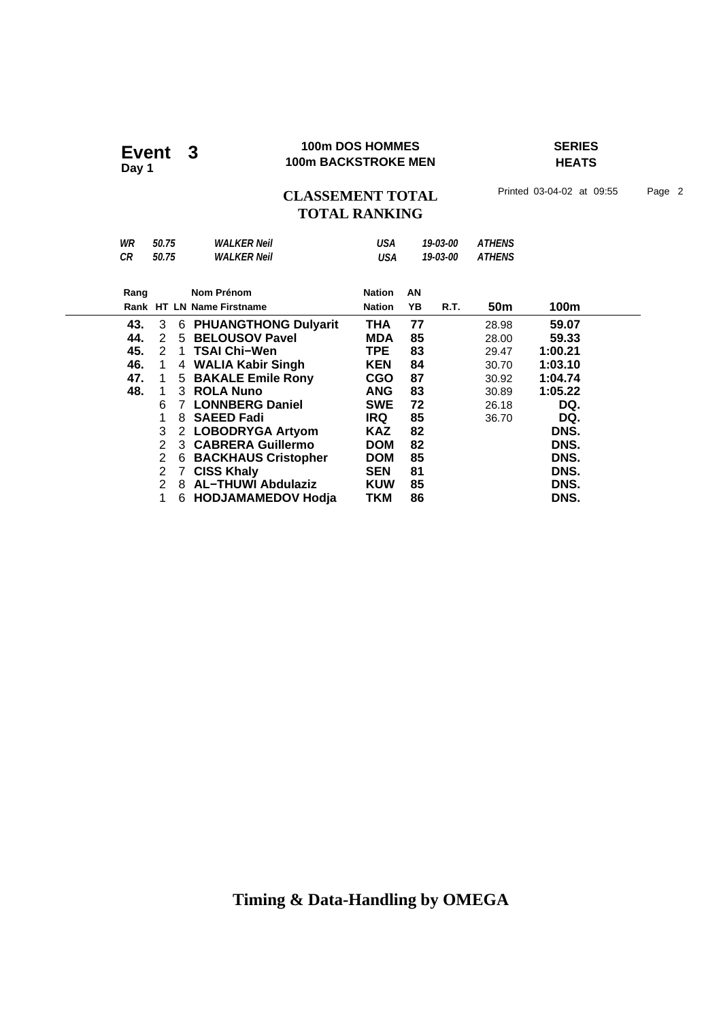### **100m DOS HOMMES SERIES 100m DOS HOMMES**<br>100m BACKSTROKE MEN

**HEATS**

### CLASSEMENT TOTAL Printed 03-04-02 at 09:55 Page 2 **TOTAL RANKING**

| WR   | 50.75 |               | <b>WALKER Neil</b>            | USA           |    | 19-03-00 | <b>ATHENS</b> |         |  |
|------|-------|---------------|-------------------------------|---------------|----|----------|---------------|---------|--|
| СR   | 50.75 |               | <b>WALKER Neil</b>            | USA           |    | 19-03-00 | <b>ATHENS</b> |         |  |
|      |       |               |                               |               |    |          |               |         |  |
| Rang |       |               | Nom Prénom                    | <b>Nation</b> | AN |          |               |         |  |
|      |       |               | Rank HT LN Name Firstname     | <b>Nation</b> | YΒ | R.T.     | 50m           | 100m    |  |
| 43.  | 3     |               | <b>6 PHUANGTHONG Dulyarit</b> | THA           | 77 |          | 28.98         | 59.07   |  |
| 44.  | 2     |               | 5 BELOUSOV Pavel              | <b>MDA</b>    | 85 |          | 28.00         | 59.33   |  |
| 45.  | 2     |               | 1 TSAI Chi-Wen                | TPE.          | 83 |          | 29.47         | 1:00.21 |  |
| 46.  | 1     |               | 4 WALIA Kabir Singh           | <b>KEN</b>    | 84 |          | 30.70         | 1:03.10 |  |
| 47.  | 1     |               | 5 BAKALE Emile Rony           | <b>CGO</b>    | 87 |          | 30.92         | 1:04.74 |  |
| 48.  | 1     |               | 3 ROLA Nuno                   | <b>ANG</b>    | 83 |          | 30.89         | 1:05.22 |  |
|      | 6     | $\mathcal{I}$ | <b>LONNBERG Daniel</b>        | <b>SWE</b>    | 72 |          | 26.18         | DQ.     |  |
|      | 1     | 8             | <b>SAEED Fadi</b>             | IRQ           | 85 |          | 36.70         | DQ.     |  |
|      | 3     |               | 2 LOBODRYGA Artyom            | <b>KAZ</b>    | 82 |          |               | DNS.    |  |
|      | 2     |               | 3 CABRERA Guillermo           | <b>DOM</b>    | 82 |          |               | DNS.    |  |
|      | 2     | 6             | <b>BACKHAUS Cristopher</b>    | <b>DOM</b>    | 85 |          |               | DNS.    |  |
|      | 2     |               | 7 CISS Khaly                  | <b>SEN</b>    | 81 |          |               | DNS.    |  |
|      | 2     |               | 8 AL-THUWI Abdulaziz          | <b>KUW</b>    | 85 |          |               | DNS.    |  |
|      |       |               | 6 HODJAMAMEDOV Hodja          | TKM           | 86 |          |               | DNS.    |  |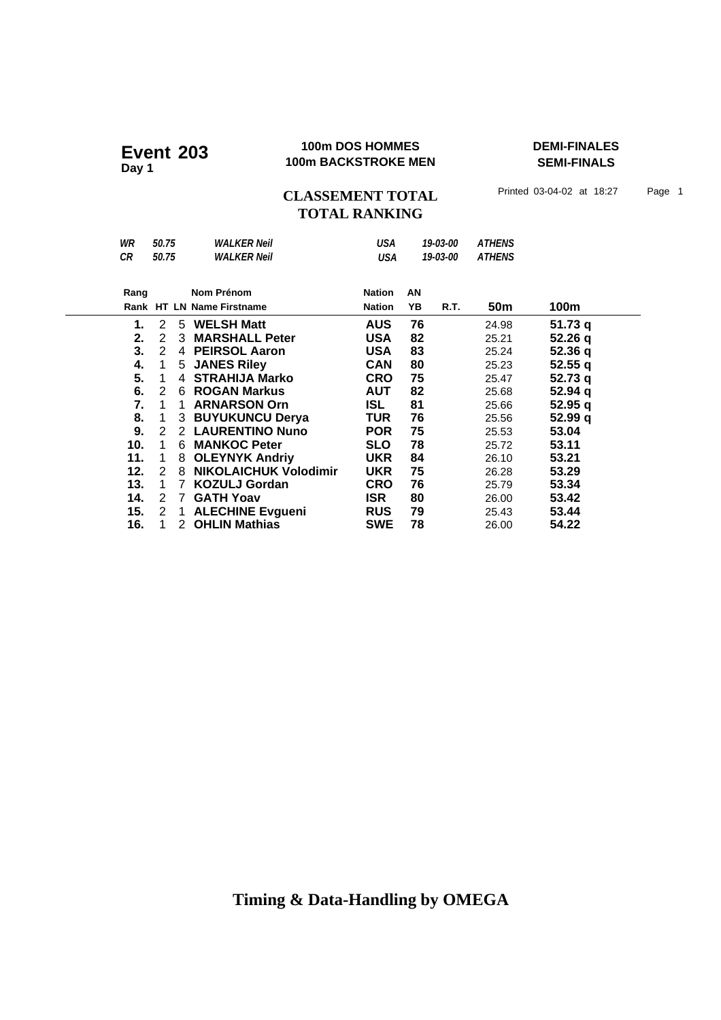### **100m DOS HOMMES DEMI-FINALES Event 203 100m DOS HOMMES**<br>100m BACKSTROKE MEN

**SEMI-FINALS**

CLASSEMENT TOTAL Printed 03-04-02 at 18:27 Page 1 **TOTAL RANKING**

| WR   | 50.75 |              | <b>WALKER Neil</b>           | USA           |    | 19-03-00 | <b>ATHENS</b> |         |  |
|------|-------|--------------|------------------------------|---------------|----|----------|---------------|---------|--|
| CR   | 50.75 |              | <b>WALKER Neil</b>           | <b>USA</b>    |    | 19-03-00 | <b>ATHENS</b> |         |  |
|      |       |              |                              |               |    |          |               |         |  |
| Rang |       |              | Nom Prénom                   | <b>Nation</b> | AN |          |               |         |  |
|      |       |              | Rank HT LN Name Firstname    | <b>Nation</b> | YΒ | R.T.     | 50m           | 100m    |  |
| 1.   | 2     |              | 5 WELSH Matt                 | <b>AUS</b>    | 76 |          | 24.98         | 51.73q  |  |
| 2.   | 2     | 3            | <b>MARSHALL Peter</b>        | <b>USA</b>    | 82 |          | 25.21         | 52.26q  |  |
| 3.   | 2     |              | 4 PEIRSOL Aaron              | <b>USA</b>    | 83 |          | 25.24         | 52.36q  |  |
| 4.   | 1     |              | 5 JANES Riley                | <b>CAN</b>    | 80 |          | 25.23         | 52.55q  |  |
| 5.   | 1     | 4            | <b>STRAHIJA Marko</b>        | <b>CRO</b>    | 75 |          | 25.47         | 52.73q  |  |
| 6.   | 2     |              | 6 ROGAN Markus               | <b>AUT</b>    | 82 |          | 25.68         | 52.94 q |  |
| 7.   | 1     | 1.           | <b>ARNARSON Orn</b>          | ISL.          | 81 |          | 25.66         | 52.95 a |  |
| 8.   | 1     |              | <b>3 BUYUKUNCU Derya</b>     | TUR           | 76 |          | 25.56         | 52.99q  |  |
| 9.   | 2     |              | 2 LAURENTINO Nuno            | <b>POR</b>    | 75 |          | 25.53         | 53.04   |  |
| 10.  | 1     | 6.           | <b>MANKOC Peter</b>          | <b>SLO</b>    | 78 |          | 25.72         | 53.11   |  |
| 11.  | 1     | 8            | <b>OLEYNYK Andriy</b>        | <b>UKR</b>    | 84 |          | 26.10         | 53.21   |  |
| 12.  | 2     | 8            | <b>NIKOLAICHUK Volodimir</b> | <b>UKR</b>    | 75 |          | 26.28         | 53.29   |  |
| 13.  | 1     | 7            | <b>KOZULJ Gordan</b>         | <b>CRO</b>    | 76 |          | 25.79         | 53.34   |  |
| 14.  | 2     | 7            | <b>GATH Yoav</b>             | ISR.          | 80 |          | 26.00         | 53.42   |  |
| 15.  | 2     | $\mathbf{1}$ | <b>ALECHINE Evgueni</b>      | <b>RUS</b>    | 79 |          | 25.43         | 53.44   |  |
| 16.  |       |              | 2 OHLIN Mathias              | <b>SWE</b>    | 78 |          | 26.00         | 54.22   |  |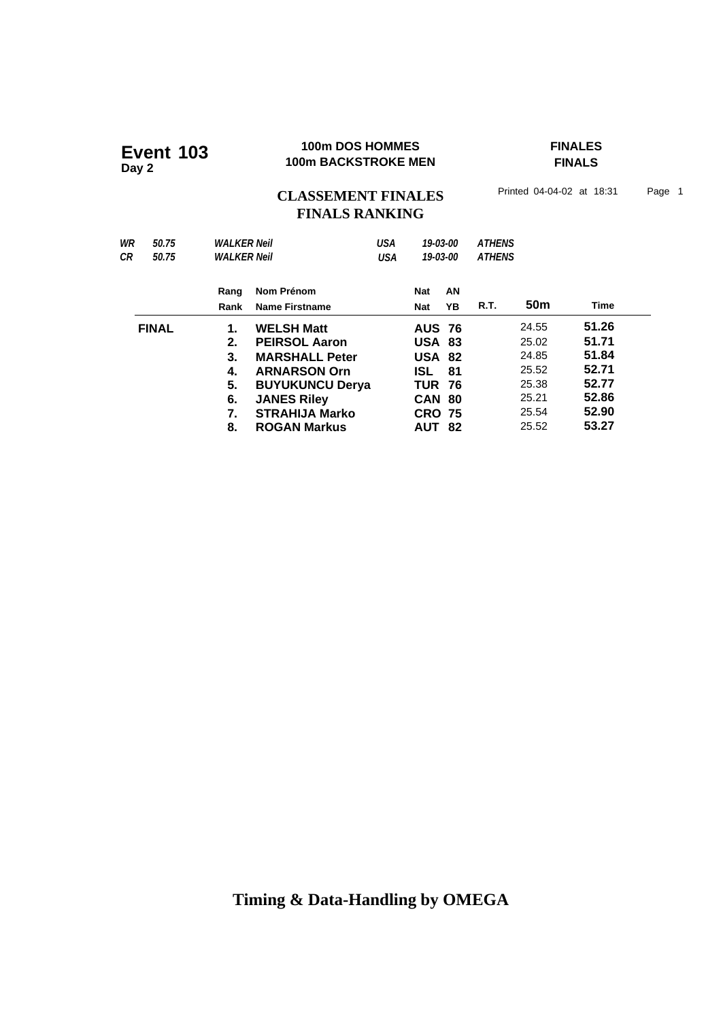# **100m DOS HOMMES FINALES 100m BACKSTROKE MEN Event 103 Day 2**

**FINALS**

## CLASSEMENT FINALES<sup>Printed 04-04-02 at 18:31 Page 1</sup> **FINALS RANKING**

| WR<br>50.75<br>CR<br>50.75 | <b>WALKER Neil</b><br><b>WALKER Neil</b>     |                                                                                                                                                                                           | <b>USA</b><br><b>USA</b> |                                                                                                                                | 19-03-00<br>19-03-00 | <b>ATHENS</b><br><b>ATHENS</b> |                                                                      |                                                                      |
|----------------------------|----------------------------------------------|-------------------------------------------------------------------------------------------------------------------------------------------------------------------------------------------|--------------------------|--------------------------------------------------------------------------------------------------------------------------------|----------------------|--------------------------------|----------------------------------------------------------------------|----------------------------------------------------------------------|
|                            | Rang<br>Rank                                 | Nom Prénom<br><b>Name Firstname</b>                                                                                                                                                       |                          | <b>Nat</b><br>Nat                                                                                                              | AN<br>YB             | R.T.                           | 50 <sub>m</sub>                                                      | <b>Time</b>                                                          |
| <b>FINAL</b>               | 1.<br>2.<br>3.<br>4.<br>5.<br>6.<br>7.<br>8. | <b>WELSH Matt</b><br><b>PEIRSOL Aaron</b><br><b>MARSHALL Peter</b><br><b>ARNARSON Orn</b><br><b>BUYUKUNCU Derya</b><br><b>JANES Riley</b><br><b>STRAHIJA Marko</b><br><b>ROGAN Markus</b> |                          | <b>AUS 76</b><br><b>USA 83</b><br><b>USA 82</b><br><b>ISL</b><br><b>TUR 76</b><br><b>CAN</b><br><b>CRO 75</b><br><b>AUT 82</b> | 81<br>-80            |                                | 24.55<br>25.02<br>24.85<br>25.52<br>25.38<br>25.21<br>25.54<br>25.52 | 51.26<br>51.71<br>51.84<br>52.71<br>52.77<br>52.86<br>52.90<br>53.27 |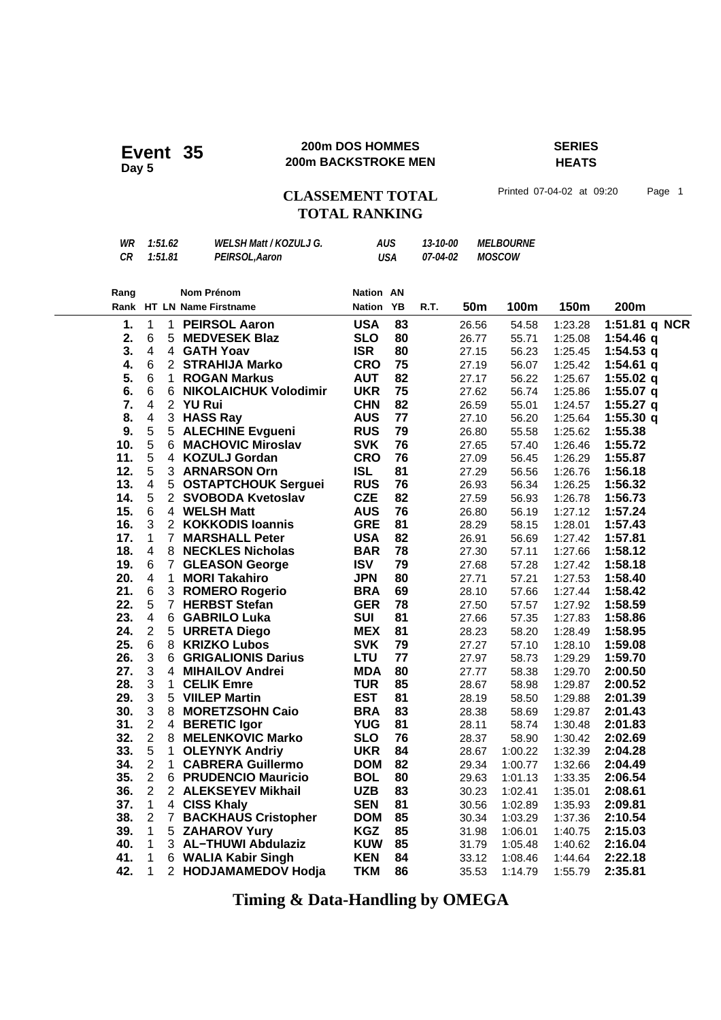### **200m DOS HOMMES SERIES 200m DOS HOMMES**<br>**200m BACKSTROKE MEN**

## **HEATS**

## CLASSEMENT TOTAL Printed 07-04-02 at 09:20 Page 1 **TOTAL RANKING**

| WR | 1:51.62 | <b>WELSH Matt / KOZULJ G.</b> | AUS | 13-10-00        | <i><b>MELBOURNE</b></i> |
|----|---------|-------------------------------|-----|-----------------|-------------------------|
| СR | 1:51.81 | PEIRSOL, Aaron                | USA | <i>07-04-02</i> | <i>MOSCOW</i>           |

| Rang       |                         |                | <b>Nom Prénom</b>            | Nation AN     |    |      |            |         |         |               |
|------------|-------------------------|----------------|------------------------------|---------------|----|------|------------|---------|---------|---------------|
|            |                         |                | Rank HT LN Name Firstname    | <b>Nation</b> | YB | R.T. | <b>50m</b> | 100m    | 150m    | 200m          |
| 1.         | $\mathbf{1}$            | $\mathbf 1$    | <b>PEIRSOL Aaron</b>         | <b>USA</b>    | 83 |      | 26.56      | 54.58   | 1:23.28 | 1:51.81 q NCR |
| 2.         | 6                       | 5              | <b>MEDVESEK Blaz</b>         | <b>SLO</b>    | 80 |      | 26.77      | 55.71   | 1:25.08 | $1:54.46$ q   |
| 3.         | $\overline{4}$          | 4              | <b>GATH Yoav</b>             | <b>ISR</b>    | 80 |      | 27.15      | 56.23   | 1:25.45 | 1:54.53 $q$   |
| 4.         | 6                       |                | 2 STRAHIJA Marko             | <b>CRO</b>    | 75 |      | 27.19      | 56.07   | 1:25.42 | $1:54.61$ q   |
| 5.         | 6                       | 1.             | <b>ROGAN Markus</b>          | <b>AUT</b>    | 82 |      | 27.17      | 56.22   | 1:25.67 | 1:55.02 $q$   |
| 6.         | 6                       | 6              | <b>NIKOLAICHUK Volodimir</b> | <b>UKR</b>    | 75 |      | 27.62      | 56.74   | 1:25.86 | 1:55.07 $q$   |
| 7.         | $\overline{4}$          |                | 2 YU Rui                     | <b>CHN</b>    | 82 |      | 26.59      | 55.01   | 1:24.57 | 1:55.27 q     |
| 8.         | 4                       | 3 <sup>1</sup> | <b>HASS Ray</b>              | <b>AUS</b>    | 77 |      | 27.10      | 56.20   | 1:25.64 | 1:55.30q      |
| 9.         | 5                       |                | 5 ALECHINE Evgueni           | <b>RUS</b>    | 79 |      | 26.80      | 55.58   | 1:25.62 | 1:55.38       |
| 10.        | 5                       | 6              | <b>MACHOVIC Miroslav</b>     | <b>SVK</b>    | 76 |      | 27.65      | 57.40   | 1:26.46 | 1:55.72       |
| 11.        | 5                       | 4              | <b>KOZULJ Gordan</b>         | <b>CRO</b>    | 76 |      | 27.09      | 56.45   | 1:26.29 | 1:55.87       |
| 12.        | 5                       | 3              | <b>ARNARSON Orn</b>          | <b>ISL</b>    | 81 |      | 27.29      | 56.56   | 1:26.76 | 1:56.18       |
| 13.        | $\overline{\mathbf{4}}$ |                | 5 OSTAPTCHOUK Serguei        | <b>RUS</b>    | 76 |      | 26.93      | 56.34   | 1:26.25 | 1:56.32       |
| 14.        | 5                       |                | 2 SVOBODA Kvetoslav          | <b>CZE</b>    | 82 |      | 27.59      | 56.93   | 1:26.78 | 1:56.73       |
| 15.        | 6                       |                | 4 WELSH Matt                 | <b>AUS</b>    | 76 |      | 26.80      | 56.19   | 1:27.12 | 1:57.24       |
| 16.        | 3                       |                | 2 KOKKODIS Ioannis           | <b>GRE</b>    | 81 |      | 28.29      | 58.15   | 1:28.01 | 1:57.43       |
| 17.        | $\mathbf{1}$            | $\mathbf{7}$   | <b>MARSHALL Peter</b>        | <b>USA</b>    | 82 |      | 26.91      | 56.69   | 1:27.42 | 1:57.81       |
| 18.        | 4                       | 8              | <b>NECKLES Nicholas</b>      | <b>BAR</b>    | 78 |      | 27.30      | 57.11   | 1:27.66 | 1:58.12       |
| 19.        | 6                       | $\overline{7}$ | <b>GLEASON George</b>        | <b>ISV</b>    | 79 |      | 27.68      | 57.28   | 1:27.42 | 1:58.18       |
| 20.        | $\overline{4}$          | $\mathbf{1}$   | <b>MORI Takahiro</b>         | <b>JPN</b>    | 80 |      | 27.71      | 57.21   | 1:27.53 | 1:58.40       |
| 21.        | 6                       |                | 3 ROMERO Rogerio             | <b>BRA</b>    | 69 |      | 28.10      | 57.66   | 1:27.44 | 1:58.42       |
| 22.        | 5                       | $\overline{7}$ | <b>HERBST Stefan</b>         | <b>GER</b>    | 78 |      | 27.50      | 57.57   | 1:27.92 | 1:58.59       |
| 23.        | $\overline{\mathbf{4}}$ | 6              | <b>GABRILO Luka</b>          | <b>SUI</b>    | 81 |      | 27.66      | 57.35   | 1:27.83 | 1:58.86       |
| 24.        | $\overline{2}$          |                | 5 URRETA Diego               | <b>MEX</b>    | 81 |      | 28.23      | 58.20   | 1:28.49 | 1:58.95       |
| 25.        | 6                       | 8              | <b>KRIZKO Lubos</b>          | <b>SVK</b>    | 79 |      | 27.27      | 57.10   | 1:28.10 | 1:59.08       |
| 26.        | 3                       | 6              | <b>GRIGALIONIS Darius</b>    | <b>LTU</b>    | 77 |      | 27.97      | 58.73   | 1:29.29 | 1:59.70       |
| 27.        | 3                       |                | 4 MIHAILOV Andrei            | <b>MDA</b>    | 80 |      | 27.77      | 58.38   | 1:29.70 | 2:00.50       |
| 28.        | 3                       | $\mathbf 1$    | <b>CELIK Emre</b>            | <b>TUR</b>    | 85 |      | 28.67      | 58.98   | 1:29.87 | 2:00.52       |
| 29.        | 3                       |                | 5 VIILEP Martin              | <b>EST</b>    | 81 |      | 28.19      | 58.50   | 1:29.88 | 2:01.39       |
| 30.        | 3                       |                | 8 MORETZSOHN Caio            | <b>BRA</b>    | 83 |      | 28.38      | 58.69   | 1:29.87 | 2:01.43       |
| 31.        | $\overline{2}$          | 4              | <b>BERETIC Igor</b>          | <b>YUG</b>    | 81 |      | 28.11      | 58.74   | 1:30.48 | 2:01.83       |
| 32.        | $\overline{c}$          | 8              | <b>MELENKOVIC Marko</b>      | <b>SLO</b>    | 76 |      | 28.37      | 58.90   | 1:30.42 | 2:02.69       |
| 33.        | 5                       | $\mathbf{1}$   | <b>OLEYNYK Andriy</b>        | <b>UKR</b>    | 84 |      | 28.67      | 1:00.22 | 1:32.39 | 2:04.28       |
| 34.        | $\overline{2}$          | 1.             | <b>CABRERA Guillermo</b>     | <b>DOM</b>    | 82 |      | 29.34      | 1:00.77 | 1:32.66 | 2:04.49       |
| 35.        | $\overline{2}$          |                | 6 PRUDENCIO Mauricio         | <b>BOL</b>    | 80 |      | 29.63      | 1:01.13 | 1:33.35 | 2:06.54       |
| 36.        | $\overline{2}$          |                | 2 ALEKSEYEV Mikhail          | <b>UZB</b>    | 83 |      | 30.23      | 1:02.41 | 1:35.01 | 2:08.61       |
| 37.        | $\mathbf{1}$            |                | 4 CISS Khaly                 | <b>SEN</b>    | 81 |      | 30.56      | 1:02.89 | 1:35.93 | 2:09.81       |
| 38.        | $\overline{2}$          | 7              | <b>BACKHAUS Cristopher</b>   | <b>DOM</b>    | 85 |      | 30.34      | 1:03.29 | 1:37.36 | 2:10.54       |
| 39.        | $\mathbf{1}$            |                | 5 ZAHAROV Yury               | <b>KGZ</b>    | 85 |      | 31.98      | 1:06.01 | 1:40.75 | 2:15.03       |
| 40.<br>41. | $\mathbf{1}$            |                | 3 AL-THUWI Abdulaziz         | <b>KUW</b>    | 85 |      | 31.79      | 1:05.48 | 1:40.62 | 2:16.04       |
|            | 1                       | 6              | <b>WALIA Kabir Singh</b>     | <b>KEN</b>    | 84 |      | 33.12      | 1:08.46 | 1:44.64 | 2:22.18       |
| 42.        | 1                       | 2              | <b>HODJAMAMEDOV Hodja</b>    | <b>TKM</b>    | 86 |      | 35.53      | 1:14.79 | 1:55.79 | 2:35.81       |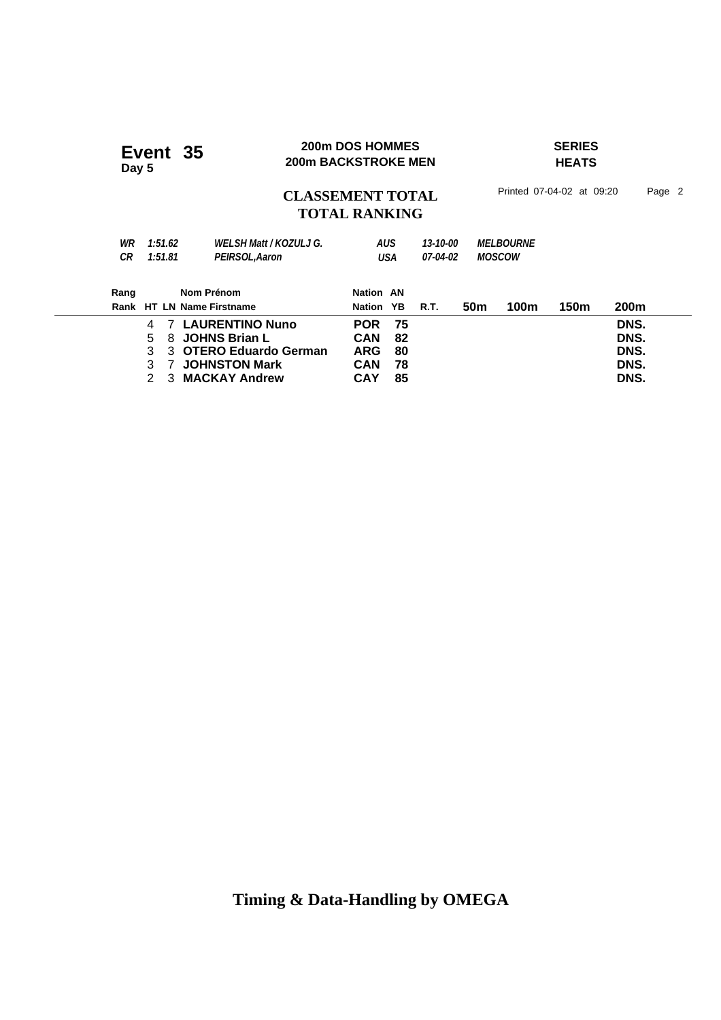| Event 35<br>Day 5              |                                                                                                            | 200m DOS HOMMES<br><b>200m BACKSTROKE MEN</b>        |                               |                      |                                   | <b>SERIES</b><br><b>HEATS</b> |                           |                              |        |  |  |
|--------------------------------|------------------------------------------------------------------------------------------------------------|------------------------------------------------------|-------------------------------|----------------------|-----------------------------------|-------------------------------|---------------------------|------------------------------|--------|--|--|
|                                |                                                                                                            | <b>CLASSEMENT TOTAL</b><br><b>TOTAL RANKING</b>      |                               |                      |                                   |                               | Printed 07-04-02 at 09:20 |                              | Page 2 |  |  |
| 1:51.62<br>WR<br>1:51.81<br>CR | PEIRSOL, Aaron                                                                                             | <b>WELSH Matt / KOZULJ G.</b>                        | AUS<br>USA                    | 13-10-00<br>07-04-02 | <b>MELBOURNE</b><br><b>MOSCOW</b> |                               |                           |                              |        |  |  |
| Rang                           | Nom Prénom<br>Rank HT LN Name Firstname                                                                    |                                                      | <b>Nation AN</b><br>Nation YB | R.T.                 | 50 <sub>m</sub>                   | 100m                          | 150m                      | 200m                         |        |  |  |
| 4<br>5<br>3<br>3               | <b>LAURENTINO Nuno</b><br>7<br><b>JOHNS Brian L</b><br>8<br>3 OTERO Eduardo German<br><b>JOHNSTON Mark</b> | <b>POR</b><br><b>CAN</b><br><b>ARG</b><br><b>CAN</b> | 75<br>82<br>80<br>78          |                      |                                   |                               |                           | DNS.<br>DNS.<br>DNS.<br>DNS. |        |  |  |

2 3 **MACKAY Andrew CAY 85 DNS.**

**200m DOS HOMMES SERIES**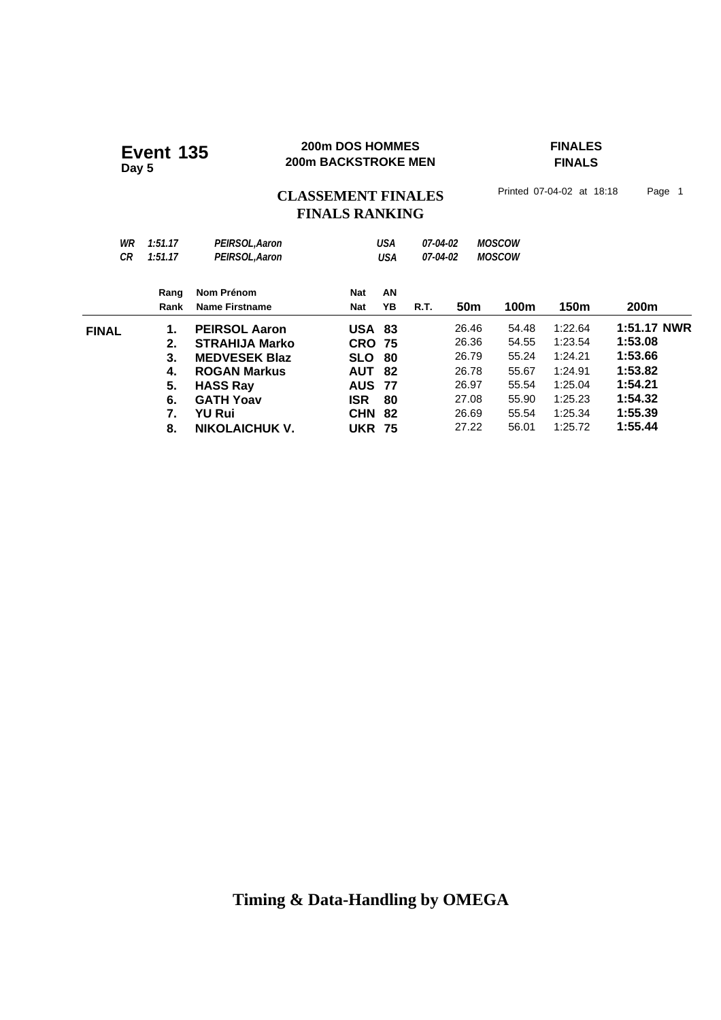### **200m DOS HOMMES FINALES 200m DOS HOMMES**<br>200m BACKSTROKE MEN

## **FINALS**

CLASSEMENT FINALES<sup>Printed 07-04-02 at 18:18 Page 1</sup>

## **FINALS RANKING**

| WR<br><b>CR</b> | 1:51.17<br>1:51.17 | PEIRSOL, Aaron<br>PEIRSOL, Aaron |               | <b>USA</b><br>USA | 07-04-02<br>07-04-02 |                 | <b>MOSCOW</b><br><b>MOSCOW</b> |         |                  |
|-----------------|--------------------|----------------------------------|---------------|-------------------|----------------------|-----------------|--------------------------------|---------|------------------|
|                 | Rang               | Nom Prénom                       | Nat           | AN                |                      |                 |                                |         |                  |
|                 | Rank               | Name Firstname                   | <b>Nat</b>    | YB                | <b>R.T.</b>          | 50 <sub>m</sub> | 100m                           | 150m    | 200 <sub>m</sub> |
| <b>FINAL</b>    | 1.                 | <b>PEIRSOL Aaron</b>             | <b>USA 83</b> |                   |                      | 26.46           | 54.48                          | 1:22.64 | 1:51.17 NWR      |
|                 | 2.                 | <b>STRAHIJA Marko</b>            | <b>CRO</b>    | -75               |                      | 26.36           | 54.55                          | 1:23.54 | 1:53.08          |
|                 | 3.                 | <b>MEDVESEK Blaz</b>             | <b>SLO</b>    | 80                |                      | 26.79           | 55.24                          | 1:24.21 | 1:53.66          |
|                 | 4.                 | <b>ROGAN Markus</b>              | <b>AUT</b>    | 82                |                      | 26.78           | 55.67                          | 1:24.91 | 1:53.82          |
|                 | 5.                 | <b>HASS Ray</b>                  | <b>AUS</b>    | 77                |                      | 26.97           | 55.54                          | 1:25.04 | 1:54.21          |
|                 | 6.                 | <b>GATH Yoav</b>                 | <b>ISR</b>    | 80                |                      | 27.08           | 55.90                          | 1:25.23 | 1:54.32          |
|                 | 7.                 | <b>YU Rui</b>                    | <b>CHN</b>    | 82                |                      | 26.69           | 55.54                          | 1:25.34 | 1:55.39          |
|                 | 8.                 | <b>NIKOLAICHUK V.</b>            | <b>UKR</b>    | - 75              |                      | 27.22           | 56.01                          | 1:25.72 | 1:55.44          |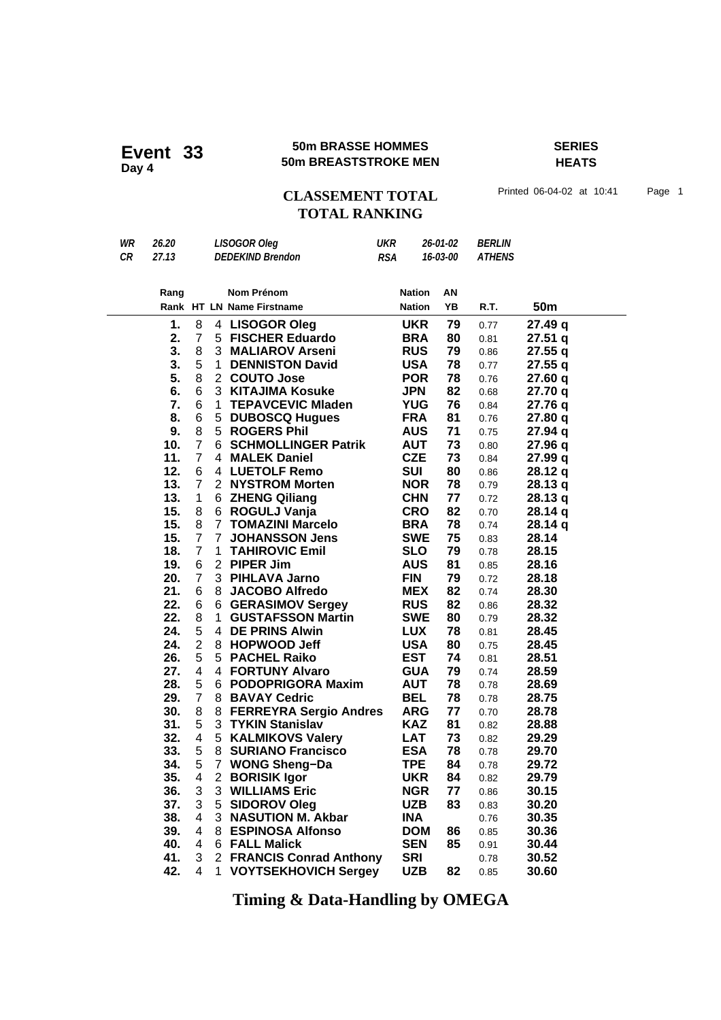### **50m BRASSE HOMMES SERIES 50m BRASSE HOMMES**<br>50m BREASTSTROKE MEN

**HEATS**

CLASSEMENT TOTAL Printed 06-04-02 at 10:41 Page 1 **TOTAL RANKING**

| WR | 26.20 | <b>LISOGOR Oleg</b>     | <b>UKR</b> | 26-01-02 | <i>BERLIN</i>          |
|----|-------|-------------------------|------------|----------|------------------------|
| CR | 27.13 | <b>DEDEKIND Brendon</b> | <b>RSA</b> |          | <b>16-03-00 ATHENS</b> |

| Rang       |                              |                   | Nom Prénom                             | <b>Nation</b>            | ΑN       |              |                 |  |
|------------|------------------------------|-------------------|----------------------------------------|--------------------------|----------|--------------|-----------------|--|
|            |                              |                   | Rank HT LN Name Firstname              | <b>Nation</b>            | YΒ       | R.T.         | 50 <sub>m</sub> |  |
| 1.         | 8                            | 4                 | <b>LISOGOR Oleg</b>                    | <b>UKR</b>               | 79       | 0.77         | 27.49 q         |  |
| 2.         | $\overline{7}$               |                   | 5 FISCHER Eduardo                      | <b>BRA</b>               | 80       | 0.81         | 27.51q          |  |
| 3.         | 8                            |                   | 3 MALIAROV Arseni                      | <b>RUS</b>               | 79       | 0.86         | 27.55q          |  |
| 3.         | 5                            | $\mathbf 1$       | <b>DENNISTON David</b>                 | <b>USA</b>               | 78       | 0.77         | 27.55q          |  |
| 5.         | 8                            |                   | 2 COUTO Jose                           | <b>POR</b>               | 78       | 0.76         | 27.60q          |  |
| 6.         | 6                            | 3                 | <b>KITAJIMA Kosuke</b>                 | <b>JPN</b>               | 82       | 0.68         | 27.70 q         |  |
| 7.         | 6                            | 1                 | <b>TEPAVCEVIC Mladen</b>               | <b>YUG</b>               | 76       | 0.84         | 27.76 q         |  |
| 8.         | 6                            | 5                 | <b>DUBOSCQ Hugues</b>                  | <b>FRA</b>               | 81       | 0.76         | 27.80 q         |  |
| 9.         | 8                            |                   | 5 ROGERS Phil                          | <b>AUS</b>               | 71       | 0.75         | 27.94 q         |  |
| 10.        | $\overline{7}$               |                   | 6 SCHMOLLINGER Patrik                  | <b>AUT</b>               | 73       | 0.80         | 27.96 q         |  |
| 11.        | $\overline{7}$               |                   | 4 MALEK Daniel                         | <b>CZE</b>               | 73       | 0.84         | 27.99 q         |  |
| 12.        | 6                            | 4                 | <b>LUETOLF Remo</b>                    | SUI                      | 80       | 0.86         | 28.12q          |  |
| 13.        | $\overline{7}$               |                   | 2 NYSTROM Morten                       | <b>NOR</b>               | 78       | 0.79         | 28.13q          |  |
| 13.        | 1                            |                   | 6 ZHENG Qiliang                        | <b>CHN</b>               | 77       | 0.72         | 28.13 q         |  |
| 15.        | 8                            | 6                 | ROGULJ Vanja                           | <b>CRO</b>               | 82       | 0.70         | 28.14 q         |  |
| 15.        | 8                            |                   | 7 TOMAZINI Marcelo                     | <b>BRA</b>               | 78       | 0.74         | 28.14q          |  |
| 15.        | $\overline{7}$               | $\overline{7}$    | <b>JOHANSSON Jens</b>                  | <b>SWE</b>               | 75       | 0.83         | 28.14           |  |
| 18.        | $\overline{7}$               | 1                 | <b>TAHIROVIC Emil</b>                  | <b>SLO</b>               | 79       | 0.78         | 28.15           |  |
| 19.        | 6                            |                   | 2 PIPER Jim                            | <b>AUS</b>               | 81       | 0.85         | 28.16           |  |
| 20.        | $\overline{7}$               |                   | 3 PIHLAVA Jarno                        | <b>FIN</b>               | 79       | 0.72         | 28.18           |  |
| 21.        | 6                            | 8                 | <b>JACOBO Alfredo</b>                  | <b>MEX</b>               | 82       | 0.74         | 28.30           |  |
| 22.        | 6                            | 6                 | <b>GERASIMOV Sergey</b>                | <b>RUS</b>               | 82       | 0.86         | 28.32           |  |
| 22.        | 8                            | $\mathbf{1}$      | <b>GUSTAFSSON Martin</b>               | <b>SWE</b>               | 80       | 0.79         | 28.32           |  |
| 24.        | 5                            |                   | 4 DE PRINS Alwin                       | <b>LUX</b>               | 78       | 0.81         | 28.45           |  |
| 24.        | $\overline{2}$               | 8                 | <b>HOPWOOD Jeff</b>                    | <b>USA</b>               | 80       | 0.75         | 28.45           |  |
| 26.        | 5                            | 5                 | <b>PACHEL Raiko</b>                    | <b>EST</b>               | 74       | 0.81         | 28.51           |  |
| 27.        | 4                            |                   | 4 FORTUNY Alvaro                       | <b>GUA</b>               | 79       | 0.74         | 28.59           |  |
| 28.        | 5                            | 6.                | <b>PODOPRIGORA Maxim</b>               | <b>AUT</b>               | 78       | 0.78         | 28.69           |  |
| 29.        | $\overline{7}$               |                   | 8 BAVAY Cedric                         | <b>BEL</b>               | 78       | 0.78         | 28.75           |  |
| 30.        | 8                            | 8                 | <b>FERREYRA Sergio Andres</b>          | <b>ARG</b>               | 77       | 0.70         | 28.78           |  |
| 31.        | 5                            | 3                 | <b>TYKIN Stanislav</b>                 | <b>KAZ</b>               | 81       | 0.82         | 28.88           |  |
| 32.        | 4                            |                   | 5 KALMIKOVS Valery                     | <b>LAT</b>               | 73       | 0.82         | 29.29           |  |
| 33.        | 5                            | 8                 | <b>SURIANO Francisco</b>               | <b>ESA</b><br><b>TPE</b> | 78       | 0.78         | 29.70           |  |
| 34.<br>35. | 5<br>$\overline{\mathbf{4}}$ | $\mathbf{7}$<br>2 | <b>WONG Sheng-Da</b>                   | <b>UKR</b>               | 84<br>84 | 0.78         | 29.72<br>29.79  |  |
| 36.        | 3                            |                   | <b>BORISIK Igor</b><br>3 WILLIAMS Eric | <b>NGR</b>               | 77       | 0.82         |                 |  |
| 37.        | 3                            |                   | 5 SIDOROV Oleg                         | <b>UZB</b>               | 83       | 0.86         | 30.15           |  |
| 38.        | 4                            | 3                 | <b>NASUTION M. Akbar</b>               | <b>INA</b>               |          | 0.83<br>0.76 | 30.20<br>30.35  |  |
| 39.        | $\overline{4}$               |                   | 8 ESPINOSA Alfonso                     | <b>DOM</b>               | 86       | 0.85         | 30.36           |  |
| 40.        | 4                            |                   | 6 FALL Malick                          | <b>SEN</b>               | 85       |              | 30.44           |  |
| 41.        | 3                            |                   | 2 FRANCIS Conrad Anthony               | <b>SRI</b>               |          | 0.91         | 30.52           |  |
| 42.        | 4                            | 1                 | <b>VOYTSEKHOVICH Sergey</b>            | <b>UZB</b>               | 82       | 0.78<br>0.85 | 30.60           |  |
|            |                              |                   |                                        |                          |          |              |                 |  |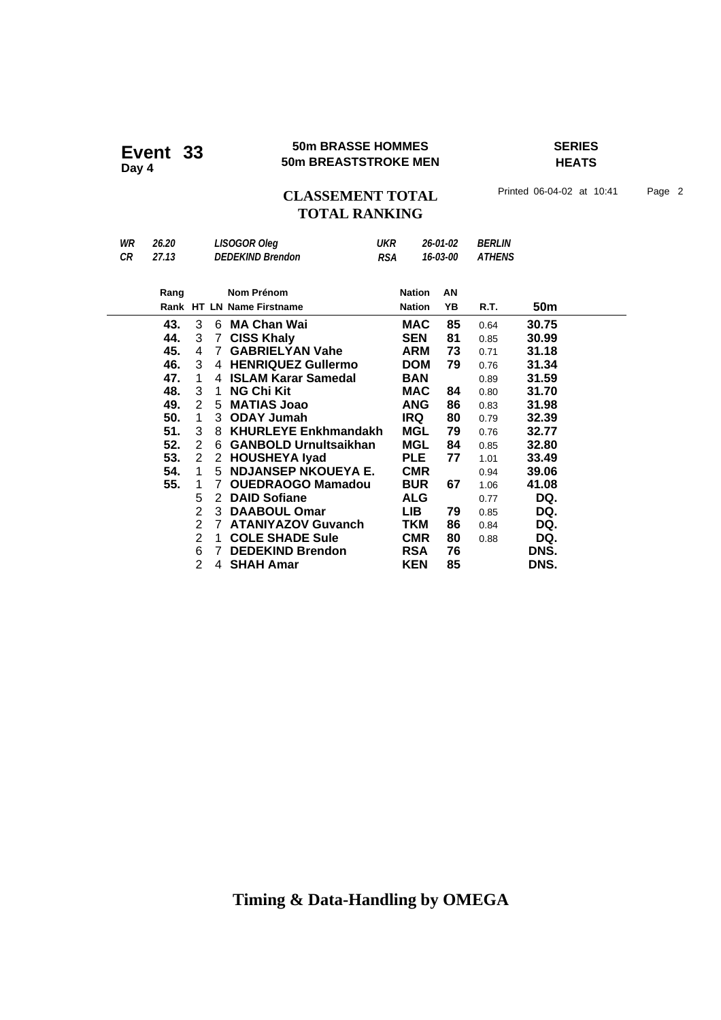### **50m BRASSE HOMMES SERIES Event 33** 50m BRASSE HOMMES<br>50m BREASTSTROKE MEN

**HEATS**

## CLASSEMENT TOTAL Printed 06-04-02 at 10:41 Page 2 **TOTAL RANKING**

| WR | 26.20 |                |                | <b>LISOGOR Oleg</b>         | <b>UKR</b> |               | 26-01-02 | <i><b>BERLIN</b></i> |       |  |
|----|-------|----------------|----------------|-----------------------------|------------|---------------|----------|----------------------|-------|--|
| CR | 27.13 |                |                | <b>DEDEKIND Brendon</b>     | <b>RSA</b> |               | 16-03-00 | <b>ATHENS</b>        |       |  |
|    |       |                |                |                             |            |               |          |                      |       |  |
|    | Rang  |                |                | Nom Prénom                  |            | <b>Nation</b> | AN       |                      |       |  |
|    |       |                |                | Rank HT LN Name Firstname   |            | <b>Nation</b> | YΒ       | R.T.                 | 50m   |  |
|    | 43.   | 3              |                | 6 MA Chan Wai               |            | <b>MAC</b>    | 85       | 0.64                 | 30.75 |  |
|    | 44.   | 3              | $\overline{7}$ | <b>CISS Khaly</b>           |            | <b>SEN</b>    | 81       | 0.85                 | 30.99 |  |
|    | 45.   | 4              | $7^{\circ}$    | <b>GABRIELYAN Vahe</b>      |            | <b>ARM</b>    | 73       | 0.71                 | 31.18 |  |
|    | 46.   | 3              |                | 4 HENRIQUEZ Gullermo        |            | <b>DOM</b>    | 79       | 0.76                 | 31.34 |  |
|    | 47.   | 1              | 4              | <b>ISLAM Karar Samedal</b>  |            | <b>BAN</b>    |          | 0.89                 | 31.59 |  |
|    | 48.   | 3              | $\mathbf 1$    | <b>NG Chi Kit</b>           |            | MAC           | 84       | 0.80                 | 31.70 |  |
|    | 49.   | 2              | 5              | <b>MATIAS Joao</b>          |            | <b>ANG</b>    | 86       | 0.83                 | 31.98 |  |
|    | 50.   | 1              |                | 3 ODAY Jumah                |            | <b>IRQ</b>    | 80       | 0.79                 | 32.39 |  |
|    | 51.   | 3              | 8.             | <b>KHURLEYE Enkhmandakh</b> |            | MGL           | 79       | 0.76                 | 32.77 |  |
|    | 52.   | 2              |                | 6 GANBOLD Urnultsaikhan     |            | <b>MGL</b>    | 84       | 0.85                 | 32.80 |  |
|    | 53.   | 2              |                | 2 HOUSHEYA Iyad             |            | <b>PLE</b>    | 77       | 1.01                 | 33.49 |  |
|    | 54.   | 1              |                | 5 NDJANSEP NKOUEYA E.       |            | <b>CMR</b>    |          | 0.94                 | 39.06 |  |
|    | 55.   | 1              | 7              | <b>OUEDRAOGO Mamadou</b>    |            | <b>BUR</b>    | 67       | 1.06                 | 41.08 |  |
|    |       | 5              | 2              | <b>DAID Sofiane</b>         |            | <b>ALG</b>    |          | 0.77                 | DQ.   |  |
|    |       | 2              |                | 3 DAABOUL Omar              |            | LIB.          | 79       | 0.85                 | DQ.   |  |
|    |       | $\overline{2}$ |                | 7 ATANIYAZOV Guvanch        |            | TKM           | 86       | 0.84                 | DQ.   |  |
|    |       | $\overline{2}$ | $\mathbf 1$    | <b>COLE SHADE Sule</b>      |            | <b>CMR</b>    | 80       | 0.88                 | DQ.   |  |
|    |       | 6              | $\overline{7}$ | <b>DEDEKIND Brendon</b>     |            | <b>RSA</b>    | 76       |                      | DNS.  |  |
|    |       | $\overline{2}$ |                | 4 SHAH Amar                 |            | <b>KEN</b>    | 85       |                      | DNS.  |  |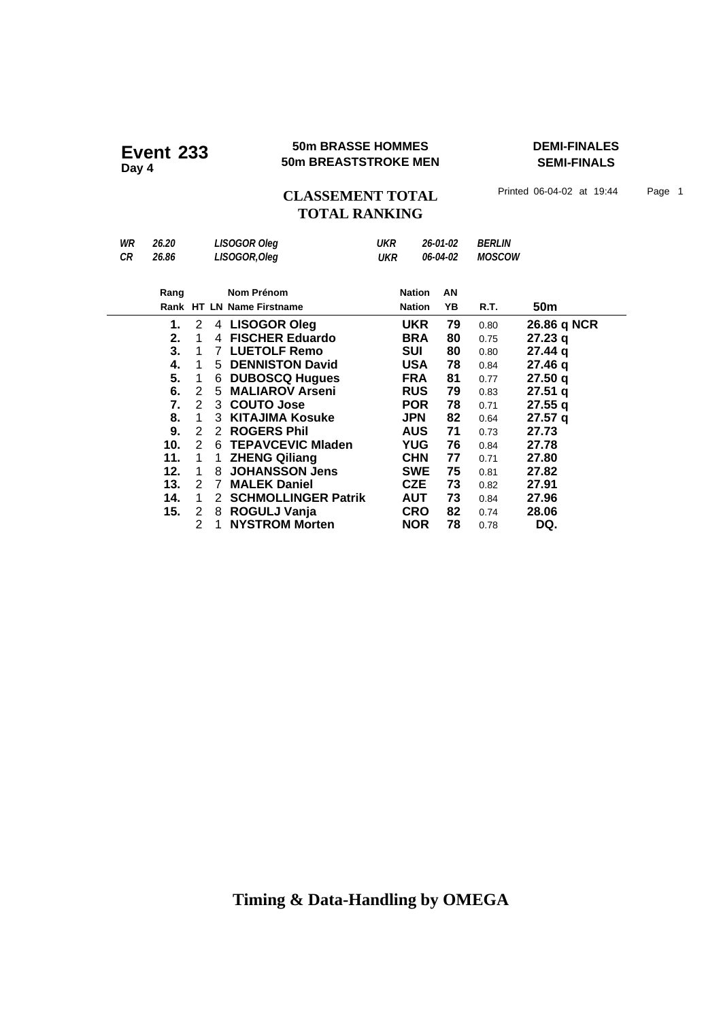#### **50m BRASSE HOMMES DEMI-FINALES EVENT 233 EVENT SUM BREASTSTROKE MEN**

**SEMI-FINALS**

**CLASSEMENT TOTAL** Printed 06-04-02 at 19:44 Page 1 **TOTAL RANKING**

*WR 26.20 LISOGOR Oleg UKR 26-01-02 BERLIN CR 26.86 LISOGOR,Oleg UKR 06-04-02 MOSCOW* **Nom Prénom Rang Nation** Rank HT LN Name Firstname **18 CM** Nation YB R.T. 50m **AN 1.** 2 4 **LISOGOR Oleg UKR 79** 0.80 **26.86 q NCR**<br>**2.** 1 4 **FISCHER Eduardo BRA 80** 0.75 **27.23 q 2.** 1 4 **FISCHER Eduardo BRA 80** 0.75 **27.23 q**<br> **3.** 1 7 LUETOLF Remo **SUI 80** 0.80 **27.44 q 3. 27.44** 1 7 **LUETOLF Remo SUI 80** 0.80 **q 4. 27.46** 1 5 **DENNISTON David USA 78** 0.84 **q 5.** 1 6 DUBOSCQ Hugues **FRA 81 0.77 27.50 q**<br> **6.** 2 5 MALIAROV Arseni RUS 79 0.83 27.51 q **6.** 2 5 **MALIAROV Arseni RUS 79** 0.83 **27.51 q**<br>**7.** 2 3 **COUTO Jose POR 78** 0.71 **27.55 q 7. 27.55** 2 3 **COUTO Jose POR 78** 0.71 **q 8. 27.57** 1 3 **KITAJIMA Kosuke JPN 82** 0.64 **q 9. 27.73** 2 2 **ROGERS Phil AUS 71** 0.73  **10.** 2 6 **TEPAVCEVIC Mladen YUG 76** 0.84 **27.78 11.** 1 1 **ZHENG Qiliang CHN 77** 0.71 **27.80 12.** 1 8 JOHANSSON Jens SWE 75 0.81 27.82<br>**13.** 2 7 MALEK Daniel **CZE 73** 0.82 27.91 **13.** 2 7 MALEK Daniel **CZE 73** 0.82 27.91<br>**14.** 1 2 SCHMOLLINGER Patrik AUT 73 0.84 27.96  **14. 27.96** 1 2 **SCHMOLLINGER Patrik AUT 73** 0.84  **15. 28.06** 2 8 **ROGULJ Vanja CRO 82** 0.74 **1 NYSTROM Morten NOR 78** 0.78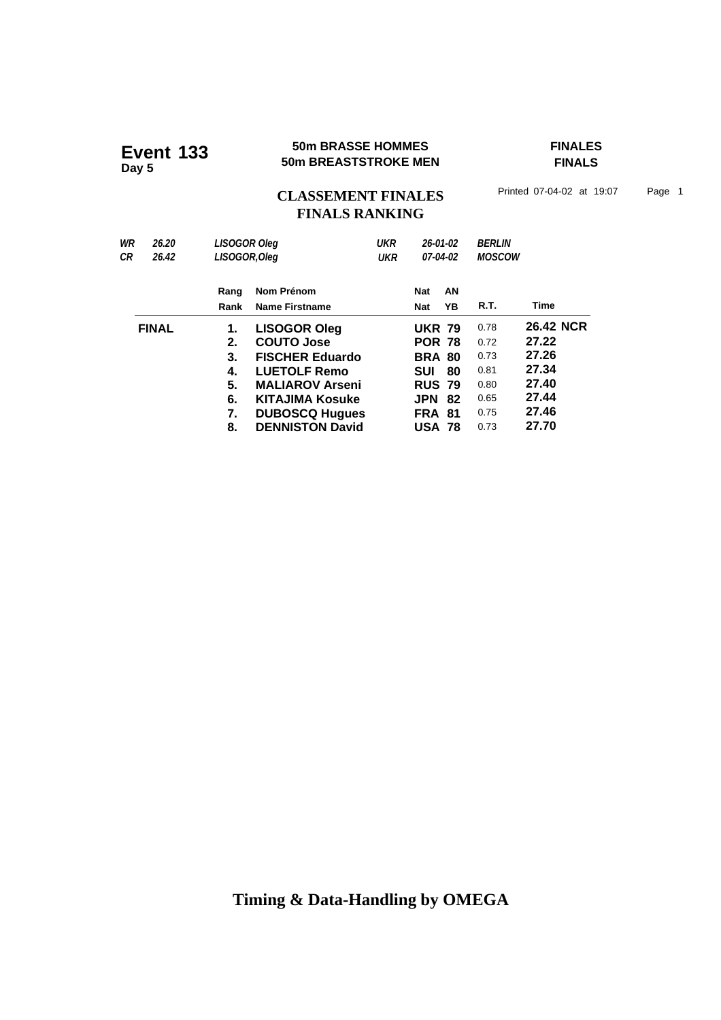#### **50m BRASSE HOMMES FINALES EVENT 133 50m BRASSE HOMMES**<br>50m BREASTSTROKE MEN

**FINALS**

CLASSEMENT FINALES<sup>Printed 07-04-02 at 19:07 Page 1</sup> **FINALS RANKING**

*WR 26.20 LISOGOR Oleg UKR 26-01-02 BERLIN CR 26.42 LISOGOR,Oleg UKR 07-04-02 MOSCOW* **Nom Prénom Rang Nat Rank Name Firstname Mat AN YB R.T. Time FINAL 1. LISOGOR Oleg UKR 79** 0.78 **26.42 NCR 2. COUTO Jose POR 78** 0.72 **27.22 3. FISCHER Eduardo BRA 80** 0.73 **27.26 4. LUETOLF Remo SUI 80** 0.81 **27.34 5. MALIAROV Arseni 8 RUS 79 0.80 6. KITAJIMA Kosuke JPN 82** 0.65 **27.44 7. DUBOSCQ Hugues FRA 81 0.75 27.46<br><b>8. DENNISTON David USA 78 0.73 27.70 8. DENNISTON David USA 78** 0.73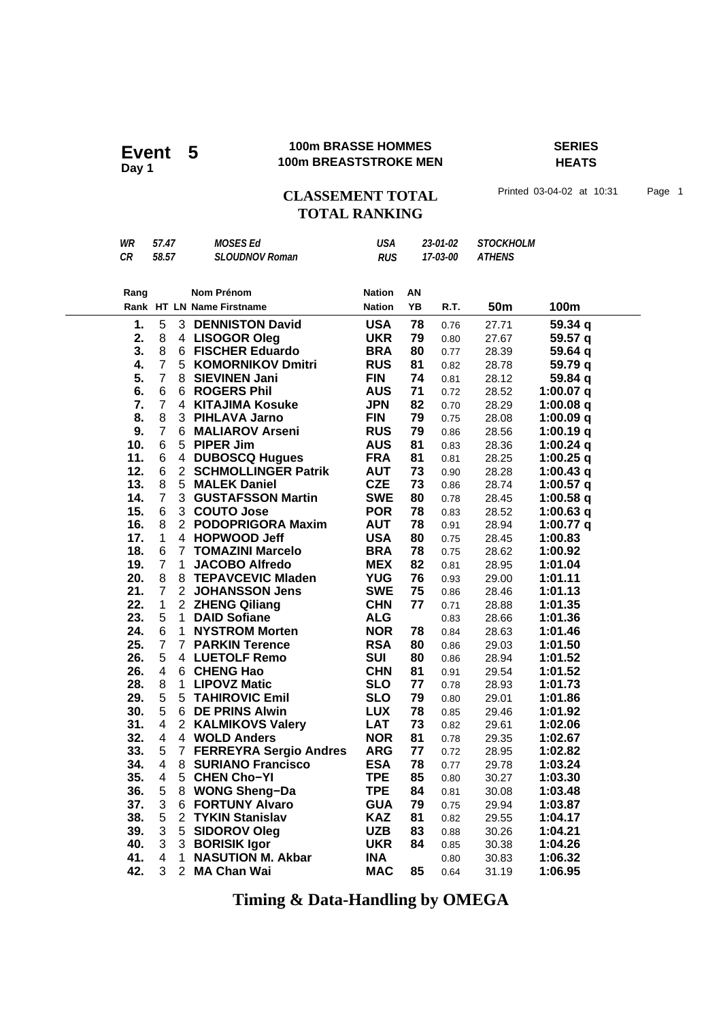### **100m BRASSE HOMMES SERIES 100m BRASSE HOMMES**<br>Day 1<br>**Day 1 100m BREASTSTROKE MEN**

**HEATS**

## **CLASSEMENT TOTAL** Printed 03-04-02 at 10:31 Page 1 **TOTAL RANKING**

| WR<br>CR   | 57.47<br>58.57      |              | <b>MOSES Ed</b><br><b>SLOUDNOV Roman</b> | <b>USA</b><br><b>RUS</b> | 23-01-02<br>17-03-00 |              | <b>STOCKHOLM</b><br><b>ATHENS</b> |                    |
|------------|---------------------|--------------|------------------------------------------|--------------------------|----------------------|--------------|-----------------------------------|--------------------|
|            |                     |              |                                          |                          |                      |              |                                   |                    |
| Rang       |                     |              | Nom Prénom                               | <b>Nation</b>            | ΑN                   |              |                                   |                    |
|            |                     |              | Rank HT LN Name Firstname                | <b>Nation</b>            | YB                   | R.T.         | 50 <sub>m</sub>                   | 100m               |
| 1.         | 5                   |              | <b>3 DENNISTON David</b>                 | <b>USA</b>               | 78                   | 0.76         | 27.71                             | 59.34 q            |
| 2.         | 8                   |              | 4 LISOGOR Oleg                           | <b>UKR</b>               | 79                   | 0.80         | 27.67                             | 59.57 q            |
| 3.         | 8                   |              | 6 FISCHER Eduardo                        | <b>BRA</b>               | 80                   | 0.77         | 28.39                             | 59.64 q            |
| 4.         | $\overline{7}$      |              | 5 KOMORNIKOV Dmitri                      | <b>RUS</b>               | 81                   | 0.82         | 28.78                             | 59.79 q            |
| 5.         | $\overline{7}$      |              | 8 SIEVINEN Jani                          | <b>FIN</b>               | 74                   | 0.81         | 28.12                             | 59.84 q            |
| 6.         | 6                   |              | 6 ROGERS Phil                            | <b>AUS</b>               | 71                   | 0.72         | 28.52                             | 1:00.07 $q$        |
| 7.         | $\overline{7}$      |              | 4 KITAJIMA Kosuke                        | <b>JPN</b>               | 82                   | 0.70         | 28.29                             | $1:00.08$ q        |
| 8.         | 8                   |              | 3 PIHLAVA Jarno                          | <b>FIN</b>               | 79                   | 0.75         | 28.08                             | 1:00.09 $q$        |
| 9.         | $\overline{7}$      |              | 6 MALIAROV Arseni                        | <b>RUS</b>               | 79                   | 0.86         | 28.56                             | 1:00.19q           |
| 10.        | 6                   |              | 5 PIPER Jim                              | <b>AUS</b>               | 81                   | 0.83         | 28.36                             | 1:00.24 q          |
| 11.        | 6                   |              | 4 DUBOSCQ Hugues                         | <b>FRA</b>               | 81                   | 0.81         | 28.25                             | $1:00.25$ q        |
| 12.        | 6                   |              | 2 SCHMOLLINGER Patrik                    | <b>AUT</b>               | 73                   | 0.90         | 28.28                             | 1:00.43 $q$        |
| 13.        | 8                   |              | 5 MALEK Daniel                           | <b>CZE</b>               | 73                   | 0.86         | 28.74                             | 1:00.57 $q$        |
| 14.        | $\overline{7}$      |              | 3 GUSTAFSSON Martin                      | <b>SWE</b>               | 80                   | 0.78         | 28.45                             | 1:00.58 $q$        |
| 15.        | 6                   |              | 3 COUTO Jose                             | <b>POR</b>               | 78                   | 0.83         | 28.52                             | $1:00.63$ q        |
| 16.        | 8                   |              | 2 PODOPRIGORA Maxim                      | <b>AUT</b>               | 78                   | 0.91         | 28.94                             | 1:00.77 q          |
| 17.        | $\mathbf{1}$        |              | 4 HOPWOOD Jeff                           | <b>USA</b>               | 80                   | 0.75         | 28.45                             | 1:00.83            |
| 18.        | 6                   |              | 7 TOMAZINI Marcelo                       | <b>BRA</b>               | 78                   | 0.75         | 28.62                             | 1:00.92            |
| 19.        | $\overline{7}$      | 1            | <b>JACOBO Alfredo</b>                    | <b>MEX</b>               | 82                   | 0.81         | 28.95                             | 1:01.04            |
| 20.<br>21. | 8<br>$\overline{7}$ |              | 8 TEPAVCEVIC Mladen<br>2 JOHANSSON Jens  | <b>YUG</b><br><b>SWE</b> | 76<br>75             | 0.93         | 29.00                             | 1:01.11            |
| 22.        | 1                   |              | 2 ZHENG Qiliang                          | <b>CHN</b>               | 77                   | 0.86         | 28.46                             | 1:01.13<br>1:01.35 |
| 23.        | 5                   |              | 1 DAID Sofiane                           | <b>ALG</b>               |                      | 0.71         | 28.88                             | 1:01.36            |
| 24.        | 6                   | $\mathbf{1}$ | <b>NYSTROM Morten</b>                    | <b>NOR</b>               | 78                   | 0.83<br>0.84 | 28.66<br>28.63                    | 1:01.46            |
| 25.        | $\overline{7}$      |              | <b>7 PARKIN Terence</b>                  | <b>RSA</b>               | 80                   | 0.86         | 29.03                             | 1:01.50            |
| 26.        | 5                   |              | 4 LUETOLF Remo                           | <b>SUI</b>               | 80                   | 0.86         | 28.94                             | 1:01.52            |
| 26.        | 4                   |              | 6 CHENG Hao                              | <b>CHN</b>               | 81                   | 0.91         | 29.54                             | 1:01.52            |
| 28.        | 8                   |              | 1 LIPOVZ Matic                           | <b>SLO</b>               | 77                   | 0.78         | 28.93                             | 1:01.73            |
| 29.        | 5                   |              | 5 TAHIROVIC Emil                         | <b>SLO</b>               | 79                   | 0.80         | 29.01                             | 1:01.86            |
| 30.        | 5                   |              | 6 DE PRINS Alwin                         | <b>LUX</b>               | 78                   | 0.85         | 29.46                             | 1:01.92            |
| 31.        | 4                   |              | 2 KALMIKOVS Valery                       | <b>LAT</b>               | 73                   | 0.82         | 29.61                             | 1:02.06            |
| 32.        | 4                   |              | 4 WOLD Anders                            | <b>NOR</b>               | 81                   | 0.78         | 29.35                             | 1:02.67            |
| 33.        | 5                   |              | 7 FERREYRA Sergio Andres                 | <b>ARG</b>               | 77                   | 0.72         | 28.95                             | 1:02.82            |
| 34.        | 4                   | 8            | <b>SURIANO Francisco</b>                 | <b>ESA</b>               | 78                   | 0.77         | 29.78                             | 1:03.24            |
| 35.        | $\overline{4}$      | 5            | <b>CHEN Cho-YI</b>                       | <b>TPE</b>               | 85                   | 0.80         | 30.27                             | 1:03.30            |
| 36.        | 5                   | 8            | <b>WONG Sheng-Da</b>                     | <b>TPE</b>               | 84                   | 0.81         | 30.08                             | 1:03.48            |
| 37.        | 3                   |              | <b>6 FORTUNY Alvaro</b>                  | <b>GUA</b>               | 79                   | 0.75         | 29.94                             | 1:03.87            |
| 38.        | 5                   |              | 2 TYKIN Stanislav                        | <b>KAZ</b>               | 81                   | 0.82         | 29.55                             | 1:04.17            |
| 39.        | 3                   | 5            | <b>SIDOROV Oleg</b>                      | <b>UZB</b>               | 83                   | 0.88         | 30.26                             | 1:04.21            |
| 40.        | 3                   | 3            | <b>BORISIK Igor</b>                      | <b>UKR</b>               | 84                   | 0.85         | 30.38                             | 1:04.26            |
| 41.        | 4                   | 1            | <b>NASUTION M. Akbar</b>                 | <b>INA</b>               |                      | 0.80         | 30.83                             | 1:06.32            |
| 42.        | 3                   |              | 2 MA Chan Wai                            | <b>MAC</b>               | 85                   | 0.64         | 31.19                             | 1:06.95            |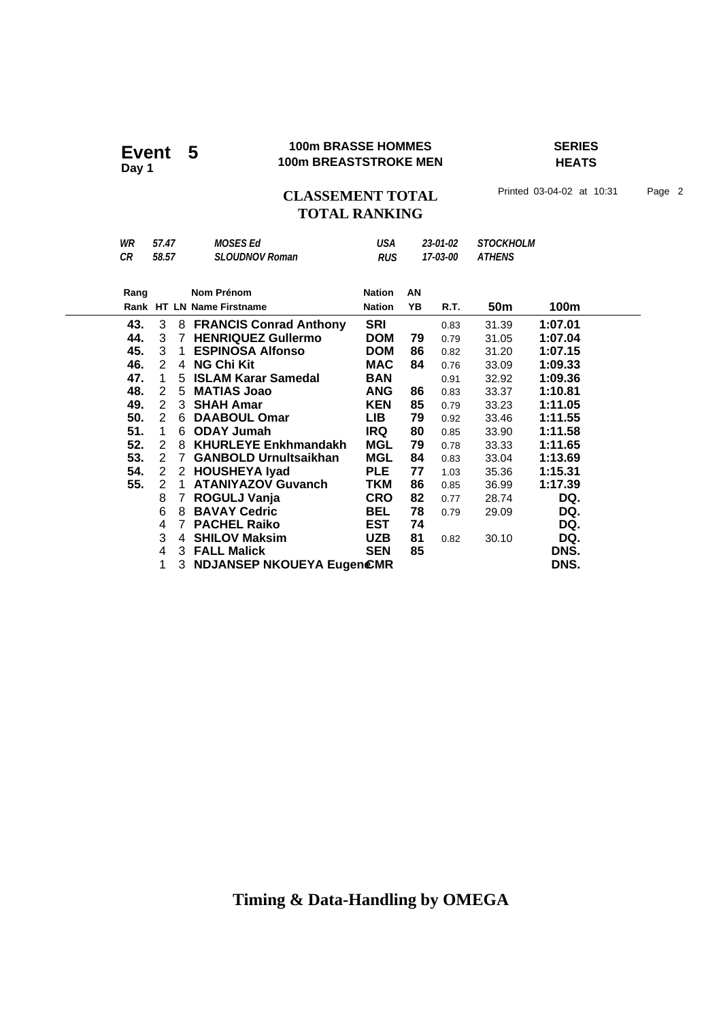### **100m BRASSE HOMMES SERIES 100m BRASSE HOMMES**<br>100m BREASTSTROKE MEN

**HEATS**

## CLASSEMENT TOTAL Printed 03-04-02 at 10:31 Page 2 **TOTAL RANKING**

| WR   | 57.47          |             | <b>MOSES Ed</b>              | USA           |          | 23-01-02 | <b>STOCKHOLM</b> |         |
|------|----------------|-------------|------------------------------|---------------|----------|----------|------------------|---------|
| CR   | 58.57          |             | <b>SLOUDNOV Roman</b>        | <b>RUS</b>    | 17-03-00 |          | <b>ATHENS</b>    |         |
|      |                |             |                              |               |          |          |                  |         |
| Rang |                |             | Nom Prénom                   | <b>Nation</b> | AN       |          |                  |         |
|      |                |             | Rank HT LN Name Firstname    | <b>Nation</b> | YB       | R.T.     | 50 <sub>m</sub>  | 100m    |
| 43.  | 3              |             | 8 FRANCIS Conrad Anthony     | <b>SRI</b>    |          | 0.83     | 31.39            | 1:07.01 |
| 44.  |                |             | 3 7 HENRIQUEZ Gullermo       | <b>DOM</b>    | 79       | 0.79     | 31.05            | 1:07.04 |
| 45.  |                |             | 3 1 ESPINOSA Alfonso         | <b>DOM</b>    | 86       | 0.82     | 31.20            | 1:07.15 |
| 46.  | $\mathbf{2}$   |             | 4 NG Chi Kit                 | <b>MAC</b>    | 84       | 0.76     | 33.09            | 1:09.33 |
| 47.  | $\overline{1}$ |             | 5 ISLAM Karar Samedal        | <b>BAN</b>    |          | 0.91     | 32.92            | 1:09.36 |
| 48.  |                |             | 2 5 MATIAS Joao              | ANG           | 86       | 0.83     | 33.37            | 1:10.81 |
| 49.  | $2^{\circ}$    |             | 3 SHAH Amar                  | <b>KEN</b>    | 85       | 0.79     | 33.23            | 1:11.05 |
| 50.  |                |             | 2 6 DAABOUL Omar             | LIB.          | 79       | 0.92     | 33.46            | 1:11.55 |
| 51.  | $\overline{1}$ |             | 6 ODAY Jumah                 | IRQ           | 80       | 0.85     | 33.90            | 1:11.58 |
| 52.  | $\overline{2}$ |             | 8 KHURLEYE Enkhmandakh       | MGL           | 79       | 0.78     | 33.33            | 1:11.65 |
| 53.  |                | 2 7         | <b>GANBOLD Urnultsaikhan</b> | MGL           | 84       | 0.83     | 33.04            | 1:13.69 |
| 54.  | $\mathbf{2}$   |             | 2 HOUSHEYA Iyad              | <b>PLE</b>    | 77       | 1.03     | 35.36            | 1:15.31 |
| 55.  | 2              | $\mathbf 1$ | <b>ATANIYAZOV Guvanch</b>    | TKM           | 86       | 0.85     | 36.99            | 1:17.39 |
|      | 8              | 7           | ROGULJ Vanja                 | <b>CRO</b>    | 82       | 0.77     | 28.74            | DQ.     |
|      | 6              |             | 8 BAVAY Cedric               | <b>BEL</b>    | 78       | 0.79     | 29.09            | DQ.     |
|      | 4              | 7           | <b>PACHEL Raiko</b>          | <b>EST</b>    | 74       |          |                  | DQ.     |
|      | 3              | 4           | <b>SHILOV Maksim</b>         | <b>UZB</b>    | 81       | 0.82     | 30.10            | DQ.     |
|      | 4              |             | 3 FALL Malick                | <b>SEN</b>    | 85       |          |                  | DNS.    |
|      | 1              |             | 3 NDJANSEP NKOUEYA EugenCMR  |               |          |          |                  | DNS.    |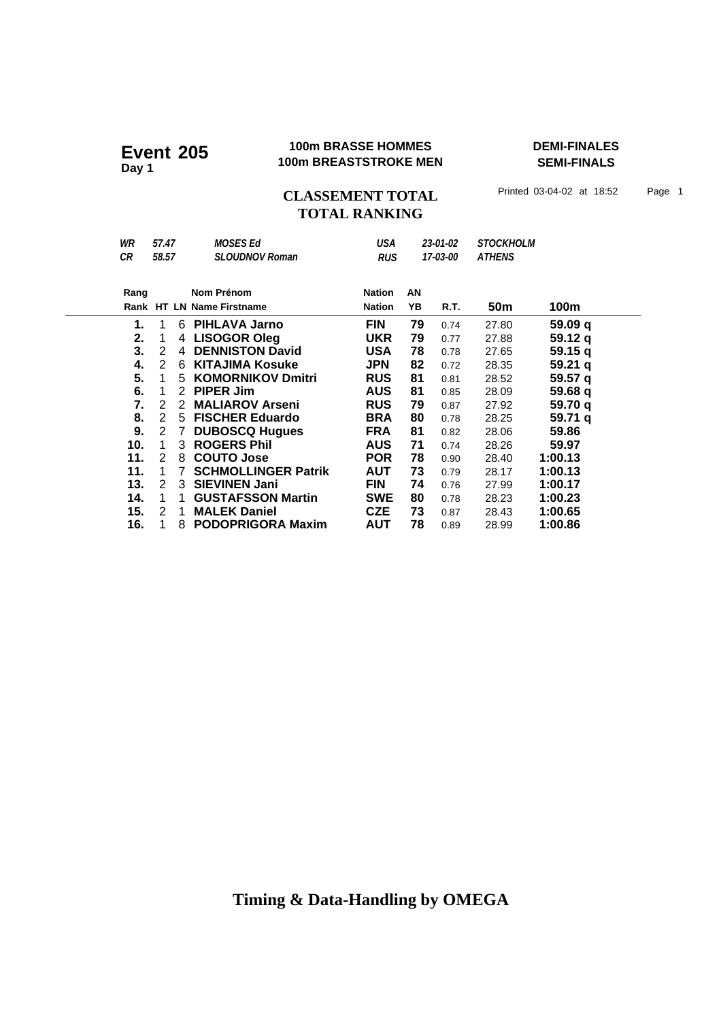### **100m BRASSE HOMMES DEMI-FINALES 100m BREASTSTROKE MEN Event 205 Day 1**

**SEMI-FINALS**

CLASSEMENT TOTAL Printed 03-04-02 at 18:52 Page 1 **TOTAL RANKING**

| WR   | 57.47 |    | <b>MOSES Ed</b>            | USA           | 23-01-02 |          | <b>STOCKHOLM</b> |         |
|------|-------|----|----------------------------|---------------|----------|----------|------------------|---------|
| CR   | 58.57 |    | <b>SLOUDNOV Roman</b>      | <b>RUS</b>    |          | 17-03-00 | <b>ATHENS</b>    |         |
|      |       |    |                            |               |          |          |                  |         |
| Rang |       |    | Nom Prénom                 | <b>Nation</b> | AN       |          |                  |         |
|      |       |    | Rank HT LN Name Firstname  | <b>Nation</b> | YΒ       | R.T.     | 50m              | 100m    |
| 1.   | 1     | 6. | <b>PIHLAVA Jarno</b>       | <b>FIN</b>    | 79       | 0.74     | 27.80            | 59.09 q |
| 2.   | 1     | 4  | <b>LISOGOR Oleg</b>        | <b>UKR</b>    | 79       | 0.77     | 27.88            | 59.12 a |
| 3.   | 2     | 4  | <b>DENNISTON David</b>     | <b>USA</b>    | 78       | 0.78     | 27.65            | 59.15 q |
| 4.   | 2     | 6  | <b>KITAJIMA Kosuke</b>     | <b>JPN</b>    | 82       | 0.72     | 28.35            | 59.21 q |
| 5.   | 1     | 5. | <b>KOMORNIKOV Dmitri</b>   | <b>RUS</b>    | 81       | 0.81     | 28.52            | 59.57 q |
| 6.   | 1     | 2  | <b>PIPER Jim</b>           | <b>AUS</b>    | 81       | 0.85     | 28.09            | 59.68 q |
| 7.   | 2     | 2  | <b>MALIAROV Arseni</b>     | <b>RUS</b>    | 79       | 0.87     | 27.92            | 59.70 g |
| 8.   | 2     | 5  | <b>FISCHER Eduardo</b>     | <b>BRA</b>    | 80       | 0.78     | 28.25            | 59.71 q |
| 9.   | 2     | 7  | <b>DUBOSCQ Hugues</b>      | <b>FRA</b>    | 81       | 0.82     | 28.06            | 59.86   |
| 10.  | 1     | 3  | <b>ROGERS Phil</b>         | <b>AUS</b>    | 71       | 0.74     | 28.26            | 59.97   |
| 11.  | 2     | 8  | <b>COUTO Jose</b>          | <b>POR</b>    | 78       | 0.90     | 28.40            | 1:00.13 |
| 11.  | 1     | 7  | <b>SCHMOLLINGER Patrik</b> | AUT           | 73       | 0.79     | 28.17            | 1:00.13 |
| 13.  | 2     | 3  | <b>SIEVINEN Jani</b>       | <b>FIN</b>    | 74       | 0.76     | 27.99            | 1:00.17 |
| 14.  | 1     |    | <b>GUSTAFSSON Martin</b>   | <b>SWE</b>    | 80       | 0.78     | 28.23            | 1:00.23 |
| 15.  | 2     | 1  | <b>MALEK Daniel</b>        | <b>CZE</b>    | 73       | 0.87     | 28.43            | 1:00.65 |
| 16.  | 1     | 8  | <b>PODOPRIGORA Maxim</b>   | AUT           | 78       | 0.89     | 28.99            | 1:00.86 |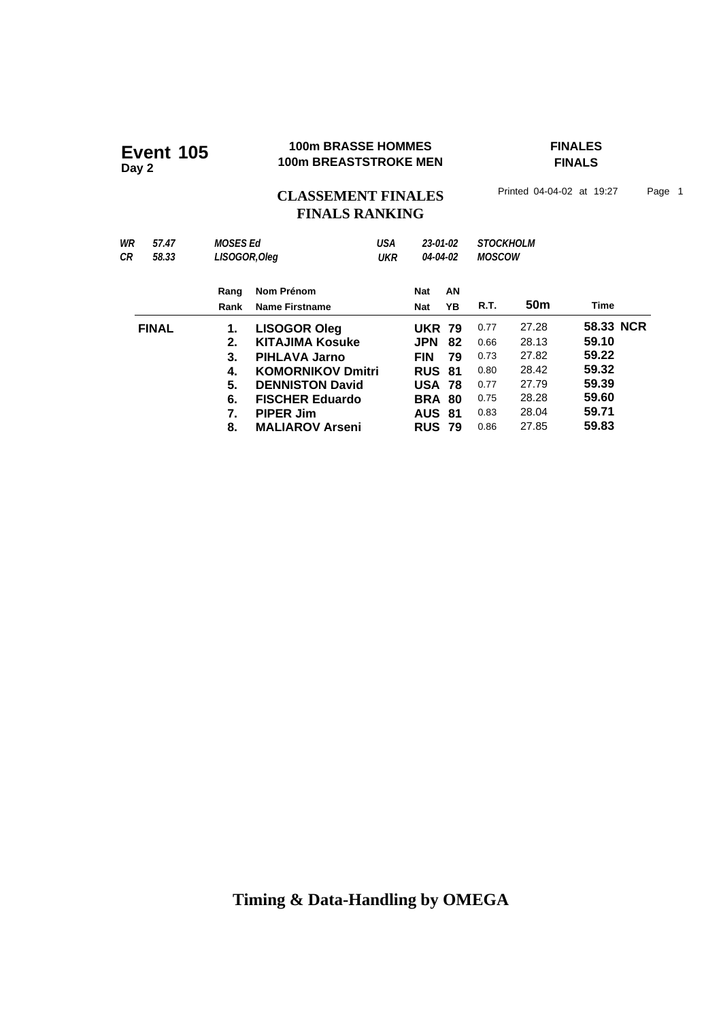Event 105<br>Day 2

### **100m BRASSE HOMMES FINALES 100m BREASTSTROKE MEN**

**FINALS**

## CLASSEMENT FINALES<sup>Printed 04-04-02 at 19:27 Page 1</sup> **FINALS RANKING**

| WR<br>СR | 57.47<br>58.33 | MOSES Ed     | USA<br>LISOGOR, Oleg<br><b>UKR</b>  |  | 23-01-02<br>04-04-02     |          | <b>STOCKHOLM</b><br><b>MOSCOW</b> |                 |           |  |
|----------|----------------|--------------|-------------------------------------|--|--------------------------|----------|-----------------------------------|-----------------|-----------|--|
|          |                | Rang<br>Rank | Nom Prénom<br><b>Name Firstname</b> |  | <b>Nat</b><br><b>Nat</b> | AN<br>YΒ | R.T.                              | 50 <sub>m</sub> | Time      |  |
|          | <b>FINAL</b>   | 1.           | <b>LISOGOR Oleg</b>                 |  | <b>UKR 79</b>            |          | 0.77                              | 27.28           | 58.33 NCR |  |
|          |                | 2.           | <b>KITAJIMA Kosuke</b>              |  | <b>JPN</b>               | 82       | 0.66                              | 28.13           | 59.10     |  |
|          |                | 3.           | <b>PIHLAVA Jarno</b>                |  | <b>FIN</b>               | 79       | 0.73                              | 27.82           | 59.22     |  |
|          |                | 4.           | <b>KOMORNIKOV Dmitri</b>            |  | <b>RUS 81</b>            |          | 0.80                              | 28.42           | 59.32     |  |
|          |                | 5.           | <b>DENNISTON David</b>              |  | <b>USA 78</b>            |          | 0.77                              | 27.79           | 59.39     |  |
|          |                | 6.           | <b>FISCHER Eduardo</b>              |  | <b>BRA 80</b>            |          | 0.75                              | 28.28           | 59.60     |  |
|          |                | 7.           | <b>PIPER Jim</b>                    |  | <b>AUS 81</b>            |          | 0.83                              | 28.04           | 59.71     |  |
|          |                | 8.           | <b>MALIAROV Arseni</b>              |  | <b>RUS 79</b>            |          | 0.86                              | 27.85           | 59.83     |  |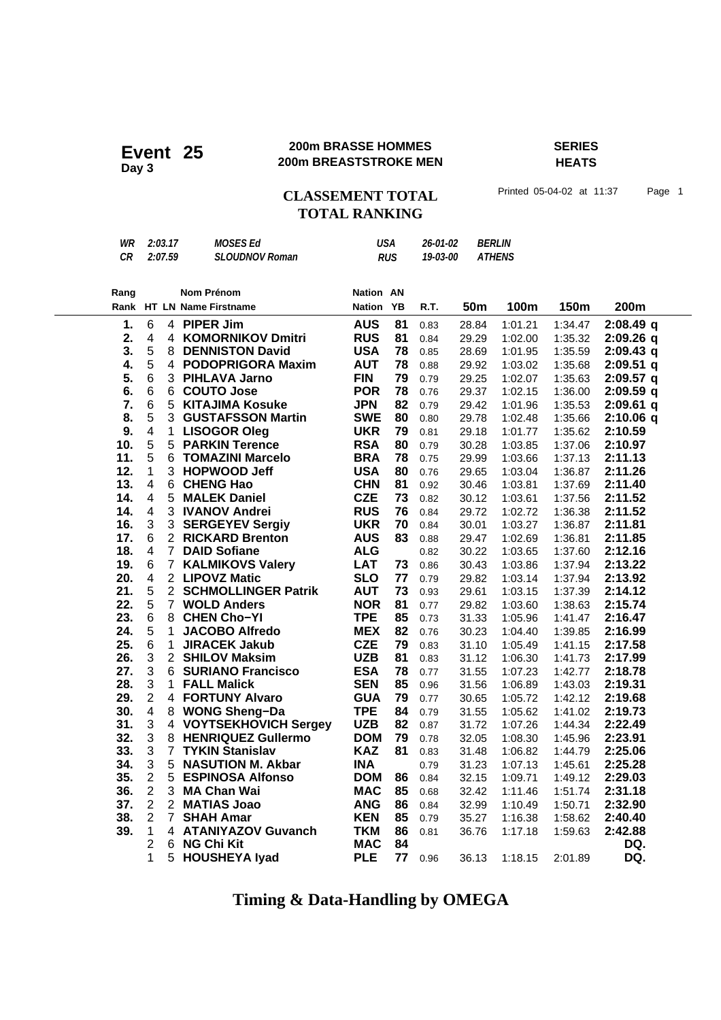### **200m BRASSE HOMMES SERIES 200m BRASSE HOMMES**<br>200m BREASTSTROKE MEN

# **HEATS**

## CLASSEMENT TOTAL Printed 05-04-02 at 11:37 Page 1 **TOTAL RANKING**

| WR | 2:03.17 | MOSES Ed              | USA        | 26-01-02 | <i>BERLIN</i> |
|----|---------|-----------------------|------------|----------|---------------|
| CR | 2:07.59 | <b>SLOUDNOV Roman</b> | <b>RUS</b> | 19-03-00 | ATHENS        |
|    |         |                       |            |          |               |

| Rang          |                         |                | <b>Nom Prénom</b>                             | <b>Nation AN</b>         |          |              |                 |                    |                    |                    |
|---------------|-------------------------|----------------|-----------------------------------------------|--------------------------|----------|--------------|-----------------|--------------------|--------------------|--------------------|
|               |                         |                | Rank HT LN Name Firstname                     | <b>Nation</b>            | YB       | R.T.         | 50 <sub>m</sub> | 100m               | 150m               | 200m               |
| $\mathbf 1$ . | $6\phantom{1}6$         |                | 4 PIPER Jim                                   | <b>AUS</b>               | 81       | 0.83         | 28.84           | 1:01.21            | 1:34.47            | 2:08.49q           |
| 2.            | $\overline{\mathbf{4}}$ |                | 4 KOMORNIKOV Dmitri                           | <b>RUS</b>               | 81       | 0.84         | 29.29           | 1:02.00            | 1:35.32            | $2:09.26$ q        |
| 3.            | 5                       | 8              | <b>DENNISTON David</b>                        | <b>USA</b>               | 78       | 0.85         | 28.69           | 1:01.95            | 1:35.59            | $2:09.43$ q        |
| 4.            | 5                       |                | 4 PODOPRIGORA Maxim                           | <b>AUT</b>               | 78       | 0.88         | 29.92           | 1:03.02            | 1:35.68            | $2:09.51$ q        |
| 5.            | 6                       | 3              | <b>PIHLAVA Jarno</b>                          | <b>FIN</b>               | 79       | 0.79         | 29.25           | 1:02.07            | 1:35.63            | $2:09.57$ q        |
| 6.            | 6                       | 6              | <b>COUTO Jose</b>                             | <b>POR</b>               | 78       | 0.76         | 29.37           | 1:02.15            | 1:36.00            | 2:09.59q           |
| 7.            | 6                       | 5              | <b>KITAJIMA Kosuke</b>                        | <b>JPN</b>               | 82       | 0.79         | 29.42           | 1:01.96            | 1:35.53            | $2:09.61$ q        |
| 8.            | 5                       | 3              | <b>GUSTAFSSON Martin</b>                      | <b>SWE</b>               | 80       | 0.80         | 29.78           | 1:02.48            | 1:35.66            | $2:10.06$ q        |
| 9.            | $\overline{\mathbf{4}}$ | $\mathbf{1}$   | <b>LISOGOR Oleg</b>                           | <b>UKR</b>               | 79       | 0.81         | 29.18           | 1:01.77            | 1:35.62            | 2:10.59            |
| 10.           | $\sqrt{5}$              | 5              | <b>PARKIN Terence</b>                         | <b>RSA</b>               | 80       | 0.79         | 30.28           | 1:03.85            | 1:37.06            | 2:10.97            |
| 11.           | 5                       | 6              | <b>TOMAZINI Marcelo</b>                       | <b>BRA</b>               | 78       | 0.75         | 29.99           | 1:03.66            | 1:37.13            | 2:11.13            |
| 12.           | 1                       | 3              | <b>HOPWOOD Jeff</b>                           | <b>USA</b>               | 80       | 0.76         | 29.65           | 1:03.04            | 1:36.87            | 2:11.26            |
| 13.           | 4                       | 6              | <b>CHENG Hao</b>                              | <b>CHN</b>               | 81       | 0.92         | 30.46           | 1:03.81            | 1:37.69            | 2:11.40            |
| 14.           | $\overline{4}$          | 5              | <b>MALEK Daniel</b>                           | <b>CZE</b>               | 73       | 0.82         | 30.12           | 1:03.61            | 1:37.56            | 2:11.52            |
| 14.           | $\overline{\mathbf{4}}$ | 3              | <b>IVANOV Andrei</b>                          | <b>RUS</b>               | 76       | 0.84         | 29.72           | 1:02.72            | 1:36.38            | 2:11.52            |
| 16.           | 3                       | 3              | <b>SERGEYEV Sergiy</b>                        | <b>UKR</b>               | 70       | 0.84         | 30.01           | 1:03.27            | 1:36.87            | 2:11.81            |
| 17.           | 6                       | 2 <sup>1</sup> | <b>RICKARD Brenton</b>                        | <b>AUS</b>               | 83       | 0.88         | 29.47           | 1:02.69            | 1:36.81            | 2:11.85            |
| 18.           | $\overline{\mathbf{4}}$ | $\overline{7}$ | <b>DAID Sofiane</b>                           | <b>ALG</b>               |          | 0.82         | 30.22           | 1:03.65            | 1:37.60            | 2:12.16            |
| 19.           | 6                       | $\overline{7}$ | <b>KALMIKOVS Valery</b>                       | <b>LAT</b>               | 73       | 0.86         | 30.43           | 1:03.86            | 1:37.94            | 2:13.22            |
| 20.           | $\overline{\mathbf{4}}$ |                | 2 LIPOVZ Matic                                | <b>SLO</b>               | 77       | 0.79         | 29.82           | 1:03.14            | 1:37.94            | 2:13.92            |
| 21.           | 5                       |                | 2 SCHMOLLINGER Patrik                         | <b>AUT</b>               | 73       | 0.93         | 29.61           | 1:03.15            | 1:37.39            | 2:14.12            |
| 22.           | 5                       | $7^{\circ}$    | <b>WOLD Anders</b>                            | <b>NOR</b>               | 81       | 0.77         | 29.82           | 1:03.60            | 1:38.63            | 2:15.74            |
| 23.           | 6                       | 8              | <b>CHEN Cho-YI</b>                            | <b>TPE</b>               | 85       | 0.73         | 31.33           | 1:05.96            | 1:41.47            | 2:16.47            |
| 24.           | 5                       | 1              | <b>JACOBO Alfredo</b>                         | <b>MEX</b>               | 82       | 0.76         | 30.23           | 1:04.40            | 1:39.85            | 2:16.99            |
| 25.           | 6                       | $\mathbf{1}$   | <b>JIRACEK Jakub</b>                          | <b>CZE</b>               | 79       | 0.83         | 31.10           | 1:05.49            | 1:41.15            | 2:17.58            |
| 26.           | 3<br>3                  |                | 2 SHILOV Maksim                               | <b>UZB</b>               | 81       | 0.83         | 31.12           | 1:06.30            | 1:41.73            | 2:17.99            |
| 27.           | 3                       | 6              | <b>SURIANO Francisco</b>                      | <b>ESA</b>               | 78       | 0.77         | 31.55           | 1:07.23            | 1:42.77            | 2:18.78            |
| 28.<br>29.    | $\overline{2}$          | $\mathbf{1}$   | <b>FALL Malick</b><br><b>4 FORTUNY Alvaro</b> | <b>SEN</b><br><b>GUA</b> | 85<br>79 | 0.96         | 31.56           | 1:06.89            | 1:43.03            | 2:19.31            |
| 30.           | $\overline{\mathbf{4}}$ |                | 8 WONG Sheng-Da                               | <b>TPE</b>               | 84       | 0.77         | 30.65<br>31.55  | 1:05.72            | 1:42.12            | 2:19.68<br>2:19.73 |
| 31.           | 3                       |                | 4 VOYTSEKHOVICH Sergey                        | <b>UZB</b>               | 82       | 0.79         | 31.72           | 1:05.62            | 1:41.02<br>1:44.34 | 2:22.49            |
| 32.           | 3                       | 8              | <b>HENRIQUEZ Gullermo</b>                     | <b>DOM</b>               | 79       | 0.87<br>0.78 | 32.05           | 1:07.26<br>1:08.30 | 1:45.96            | 2:23.91            |
| 33.           | 3                       | $\overline{7}$ | <b>TYKIN Stanislav</b>                        | <b>KAZ</b>               | 81       | 0.83         | 31.48           | 1:06.82            | 1:44.79            | 2:25.06            |
| 34.           | 3                       | 5              | <b>NASUTION M. Akbar</b>                      | <b>INA</b>               |          | 0.79         | 31.23           | 1:07.13            | 1:45.61            | 2:25.28            |
| 35.           | $\overline{c}$          | 5              | <b>ESPINOSA Alfonso</b>                       | <b>DOM</b>               | 86       | 0.84         | 32.15           | 1:09.71            | 1:49.12            | 2:29.03            |
| 36.           | $\overline{2}$          | 3              | <b>MA Chan Wai</b>                            | <b>MAC</b>               | 85       | 0.68         | 32.42           | 1:11.46            | 1:51.74            | 2:31.18            |
| 37.           | $\overline{2}$          |                | 2 MATIAS Joao                                 | <b>ANG</b>               | 86       | 0.84         | 32.99           | 1:10.49            | 1:50.71            | 2:32.90            |
| 38.           | $\overline{2}$          | $\overline{7}$ | <b>SHAH Amar</b>                              | <b>KEN</b>               | 85       | 0.79         | 35.27           | 1:16.38            | 1:58.62            | 2:40.40            |
| 39.           | 1                       |                | 4 ATANIYAZOV Guvanch                          | <b>TKM</b>               | 86       | 0.81         | 36.76           | 1:17.18            | 1:59.63            | 2:42.88            |
|               | $\overline{2}$          | 6              | <b>NG Chi Kit</b>                             | <b>MAC</b>               | 84       |              |                 |                    |                    | DQ.                |
|               | 1                       | 5              | <b>HOUSHEYA lyad</b>                          | <b>PLE</b>               | 77       | 0.96         | 36.13           | 1:18.15            | 2:01.89            | DQ.                |
|               |                         |                |                                               |                          |          |              |                 |                    |                    |                    |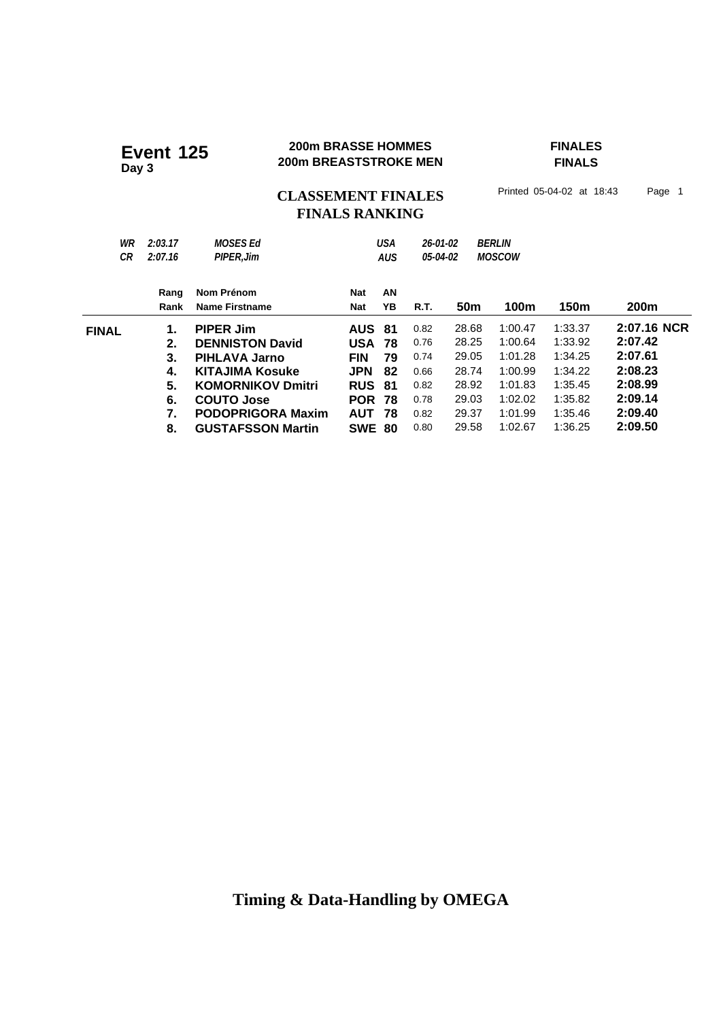### **200m BRASSE HOMMES FINALES 200m BRASSE HOMMES**<br>200m BREASTSTROKE MEN

# **FINALS**

CLASSEMENT FINALES<sup>Printed 05-04-02 at 18:43</sup> Page 1

# **FINALS RANKING**

| WR<br>СR     | 2:03.17<br>2:07.16 | <b>MOSES Ed</b><br><b>PIPER.Jim</b> |               | <b>USA</b><br><b>AUS</b> | 26-01-02<br>05-04-02 |                 | <b>BERLIN</b><br><b>MOSCOW</b> |         |             |
|--------------|--------------------|-------------------------------------|---------------|--------------------------|----------------------|-----------------|--------------------------------|---------|-------------|
|              | Rang               | Nom Prénom                          | Nat           | AN                       |                      |                 |                                |         |             |
|              | Rank               | Name Firstname                      | Nat           | YΒ                       | <b>R.T.</b>          | 50 <sub>m</sub> | 100m                           | 150m    | 200m        |
| <b>FINAL</b> | 1.                 | <b>PIPER Jim</b>                    | <b>AUS 81</b> |                          | 0.82                 | 28.68           | 1:00.47                        | 1:33.37 | 2:07.16 NCR |
|              | 2.                 | <b>DENNISTON David</b>              | <b>USA</b>    | 78                       | 0.76                 | 28.25           | 1:00.64                        | 1:33.92 | 2:07.42     |
|              | 3.                 | <b>PIHLAVA Jarno</b>                | <b>FIN</b>    | 79                       | 0.74                 | 29.05           | 1:01.28                        | 1:34.25 | 2:07.61     |
|              | 4.                 | KITAJIMA Kosuke                     | <b>JPN</b>    | 82                       | 0.66                 | 28.74           | 1:00.99                        | 1:34.22 | 2:08.23     |
|              | 5.                 | <b>KOMORNIKOV Dmitri</b>            | <b>RUS</b>    | -81                      | 0.82                 | 28.92           | 1:01.83                        | 1:35.45 | 2:08.99     |
|              | 6.                 | COUTO Jose                          | <b>POR</b>    | 78                       | 0.78                 | 29.03           | 1:02.02                        | 1:35.82 | 2:09.14     |
|              | 7.                 | <b>PODOPRIGORA Maxim</b>            | <b>AUT</b>    | 78                       | 0.82                 | 29.37           | 1:01.99                        | 1:35.46 | 2:09.40     |
|              | 8.                 | <b>GUSTAFSSON Martin</b>            | <b>SWE 80</b> |                          | 0.80                 | 29.58           | 1:02.67                        | 1:36.25 | 2:09.50     |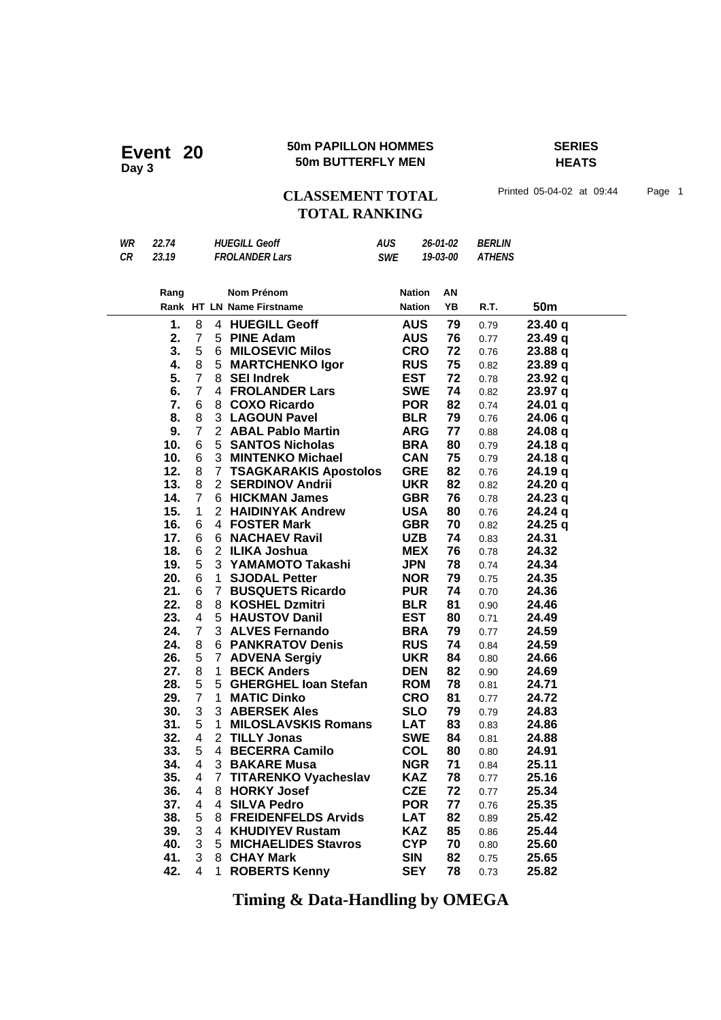### **50m PAPILLON HOMMES SERIES 50m PAPILLON HOMMES**<br>50m BUTTERFLY MEN

**HEATS**

## CLASSEMENT TOTAL Printed 05-04-02 at 09:44 Page 1 **TOTAL RANKING**

| WR        | 22.74 |                |                       | <b>HUEGILL Geoff</b>         | <b>AUS</b> |               | 26-01-02 | <b>BERLIN</b> |           |
|-----------|-------|----------------|-----------------------|------------------------------|------------|---------------|----------|---------------|-----------|
| <b>CR</b> | 23.19 |                |                       | <b>FROLANDER Lars</b>        | <b>SWE</b> |               | 19-03-00 | <b>ATHENS</b> |           |
|           |       |                |                       |                              |            |               |          |               |           |
|           | Rang  |                |                       | Nom Prénom                   |            | <b>Nation</b> | AN       |               |           |
|           |       |                |                       | Rank HT LN Name Firstname    |            | <b>Nation</b> | YB       | R.T.          | 50m       |
|           | 1.    | 8              |                       | 4 HUEGILL Geoff              |            | <b>AUS</b>    | 79       | 0.79          | 23.40 q   |
|           | 2.    | 7              | 5                     | <b>PINE Adam</b>             |            | <b>AUS</b>    | 76       | 0.77          | 23.49q    |
|           | 3.    | 5              | 6                     | <b>MILOSEVIC Milos</b>       |            | <b>CRO</b>    | 72       | 0.76          | 23.88 q   |
|           | 4.    | 8              | 5                     | <b>MARTCHENKO Igor</b>       |            | <b>RUS</b>    | 75       | 0.82          | 23.89 q   |
|           | 5.    | $\overline{7}$ | 8                     | <b>SEI Indrek</b>            |            | EST           | 72       | 0.78          | 23.92q    |
|           | 6.    | $\overline{7}$ | 4                     | <b>FROLANDER Lars</b>        |            | <b>SWE</b>    | 74       | 0.82          | 23.97 q   |
|           | 7.    | 6              | 8                     | <b>COXO Ricardo</b>          |            | <b>POR</b>    | 82       | 0.74          | $24.01$ q |
|           | 8.    | 8              |                       | 3 LAGOUN Pavel               |            | <b>BLR</b>    | 79       | 0.76          | 24.06 q   |
|           | 9.    | $\overline{7}$ | $\mathbf{2}^{\prime}$ | <b>ABAL Pablo Martin</b>     |            | <b>ARG</b>    | 77       | 0.88          | 24.08 q   |
|           | 10.   | 6              | 5                     | <b>SANTOS Nicholas</b>       |            | <b>BRA</b>    | 80       | 0.79          | 24.18 q   |
|           | 10.   | 6              | 3                     | <b>MINTENKO Michael</b>      |            | <b>CAN</b>    | 75       | 0.79          | 24.18 q   |
|           | 12.   | 8              | $\overline{7}$        | <b>TSAGKARAKIS Apostolos</b> |            | <b>GRE</b>    | 82       | 0.76          | 24.19 q   |
|           | 13.   | 8              | $\mathbf{2}^{\circ}$  | <b>SERDINOV Andrii</b>       |            | <b>UKR</b>    | 82       | 0.82          | 24.20 q   |
|           | 14.   | $\overline{7}$ | 6                     | <b>HICKMAN James</b>         |            | <b>GBR</b>    | 76       | 0.78          | 24.23 q   |
|           | 15.   | $\mathbf 1$    | $\mathbf{2}^{\circ}$  | <b>HAIDINYAK Andrew</b>      |            | <b>USA</b>    | 80       | 0.76          | 24.24 q   |
|           | 16.   | 6              | 4                     | <b>FOSTER Mark</b>           |            | <b>GBR</b>    | 70       | 0.82          | 24.25 q   |
|           | 17.   | 6              | 6                     | <b>NACHAEV Ravil</b>         |            | <b>UZB</b>    | 74       | 0.83          | 24.31     |
|           | 18.   | 6              | $\mathbf{2}^{\circ}$  | <b>ILIKA Joshua</b>          |            | <b>MEX</b>    | 76       | 0.78          | 24.32     |
|           | 19.   | 5              |                       | 3 YAMAMOTO Takashi           |            | <b>JPN</b>    | 78       | 0.74          | 24.34     |
|           | 20.   | 6              | $\mathbf 1$           | <b>SJODAL Petter</b>         |            | <b>NOR</b>    | 79       | 0.75          | 24.35     |
|           | 21.   | 6              | 7                     | <b>BUSQUETS Ricardo</b>      |            | <b>PUR</b>    | 74       | 0.70          | 24.36     |

| 5.  | 7              |              | 8 SEI Indrek                                                        | EST                                                                                                                   | 72 | 0.78                                   | 23.92 q |
|-----|----------------|--------------|---------------------------------------------------------------------|-----------------------------------------------------------------------------------------------------------------------|----|----------------------------------------|---------|
| 6.  | $\overline{7}$ |              | 4 FROLANDER Lars                                                    | <b>SWE</b>                                                                                                            | 74 | 0.82                                   | 23.97 q |
| 7.  | 6              |              | 8 COXO Ricardo                                                      | <b>POR</b>                                                                                                            | 82 | 0.74                                   | 24.01 q |
| 8.  | 8              |              | 3 LAGOUN Pavel                                                      | <b>BLR</b>                                                                                                            | 79 | 0.76                                   | 24.06 q |
| 9.  | $\overline{7}$ |              | 2 ABAL Pablo Martin                                                 | <b>ARG</b>                                                                                                            | 77 | 0.88                                   | 24.08 q |
| 10. | 6              |              | 5 SANTOS Nicholas                                                   | <b>BRA</b>                                                                                                            | 80 | 0.79                                   | 24.18 q |
| 10. | 6              |              | 3 MINTENKO Michael                                                  | <b>CAN</b>                                                                                                            | 75 | 0.79                                   | 24.18 g |
| 12. | 8              |              | <b>7 TSAGKARAKIS Apostolos</b>                                      | <b>GRE</b>                                                                                                            | 82 | 0.76                                   | 24.19 q |
| 13. | 8              |              | 2 SERDINOV Andrii                                                   | <b>UKR</b>                                                                                                            | 82 | 0.82                                   | 24.20 q |
| 14. | $\overline{7}$ |              | 6 HICKMAN James                                                     | <b>GBR</b>                                                                                                            | 76 | 0.78                                   | 24.23 q |
| 15. | $\mathbf{1}$   |              | 2 HAIDINYAK Andrew                                                  | <b>USA</b>                                                                                                            | 80 | 0.76                                   | 24.24 q |
| 16. | 6              |              | 4 FOSTER Mark                                                       | <b>GBR</b>                                                                                                            | 70 | 0.82                                   | 24.25 q |
| 17. | 6              |              | 6 NACHAEV Ravil                                                     | <b>UZB</b>                                                                                                            | 74 | 0.83                                   | 24.31   |
| 18. | 6              |              | 2 ILIKA Joshua                                                      | <b>MEX</b>                                                                                                            | 76 | 0.78                                   | 24.32   |
| 19. | 5              |              | 3 YAMAMOTO Takashi                                                  | <b>JPN</b>                                                                                                            | 78 | 0.74                                   | 24.34   |
| 20. | 6              |              | 1 SJODAL Petter                                                     | <b>NOR</b>                                                                                                            | 79 | 0.75                                   | 24.35   |
| 21. | 6              |              | 7 BUSQUETS Ricardo                                                  | <b>PUR</b>                                                                                                            | 74 | 0.70                                   | 24.36   |
| 22. | 8              |              | 8 KOSHEL Dzmitri                                                    | <b>BLR</b>                                                                                                            | 81 | 0.90                                   | 24.46   |
| 23. | $\overline{4}$ |              | 5 HAUSTOV Danil                                                     | <b>EST</b>                                                                                                            | 80 | 0.71                                   | 24.49   |
| 24. | $\overline{7}$ |              | 3 ALVES Fernando                                                    | <b>BRA</b>                                                                                                            | 79 | 0.77                                   | 24.59   |
| 24. | 8              |              | <b>6 PANKRATOV Denis</b>                                            | <b>RUS</b>                                                                                                            | 74 | 0.84                                   | 24.59   |
| 26. | 5              |              | 7 ADVENA Sergiy                                                     | <b>UKR</b>                                                                                                            | 84 | 0.80                                   | 24.66   |
| 27. | 8              | $\mathbf{1}$ | <b>BECK Anders</b>                                                  | <b>DEN</b>                                                                                                            | 82 | 0.90                                   | 24.69   |
| 28. | 5              |              | 5 GHERGHEL Ioan Stefan                                              | <b>ROM</b>                                                                                                            | 78 | 0.81                                   | 24.71   |
| 29. | $\overline{7}$ | $\mathbf{1}$ | <b>MATIC Dinko</b>                                                  | <b>CRO</b>                                                                                                            | 81 | 0.77                                   | 24.72   |
| 30. | 3              |              | 3 ABERSEK Ales                                                      | <b>SLO</b>                                                                                                            | 79 | 0.79                                   | 24.83   |
| 31. | 5              | $\mathbf{1}$ | <b>MILOSLAVSKIS Romans</b>                                          | <b>LAT</b>                                                                                                            | 83 | 0.83                                   | 24.86   |
| 32. | 4              |              | 2 TILLY Jonas                                                       | <b>SWE</b>                                                                                                            | 84 | 0.81                                   | 24.88   |
| 33. | 5              |              | 4 BECERRA Camilo                                                    | <b>COL</b>                                                                                                            | 80 | 0.80                                   | 24.91   |
| 34. | $\overline{4}$ |              | 3 BAKARE Musa                                                       | <b>NGR</b>                                                                                                            | 71 | 0.84                                   | 25.11   |
| 35. | $\overline{4}$ |              | 7 TITARENKO Vyacheslav                                              | <b>KAZ</b>                                                                                                            | 78 | 0.77                                   | 25.16   |
| 36. | 4              |              | 8 HORKY Josef                                                       | <b>CZE</b>                                                                                                            | 72 | 0.77                                   | 25.34   |
| 37. | 4              |              | 4 SILVA Pedro                                                       | <b>POR</b>                                                                                                            | 77 | 0.76                                   | 25.35   |
| 38. | 5              |              | 8 FREIDENFELDS Arvids                                               | <b>LAT</b>                                                                                                            | 82 | 0.89                                   | 25.42   |
| 39. | 3              |              | 4 KHUDIYEV Rustam                                                   | <b>KAZ</b>                                                                                                            | 85 | 0.86                                   | 25.44   |
| 40. | 3              |              | 5 MICHAELIDES Stavros                                               | <b>CYP</b>                                                                                                            | 70 | 0.80                                   | 25.60   |
| 41. | 3              |              | 8 CHAY Mark                                                         | <b>SIN</b>                                                                                                            | 82 | 0.75                                   | 25.65   |
| 42. | 4              | $\mathbf{1}$ | <b>ROBERTS Kenny</b>                                                | <b>SEY</b>                                                                                                            | 78 | 0.73                                   | 25.82   |
|     |                |              | rane.<br>$\mathbf{A}$ $\mathbf{B}$ $\mathbf{A}$ $\mathbf{B}$<br>11. | <b>The Contract of the Contract of the Contract of the Contract of the Contract of the Contract of the Contract o</b> |    | $\mathbf{A}$ $\mathbf{F}$ $\mathbf{A}$ |         |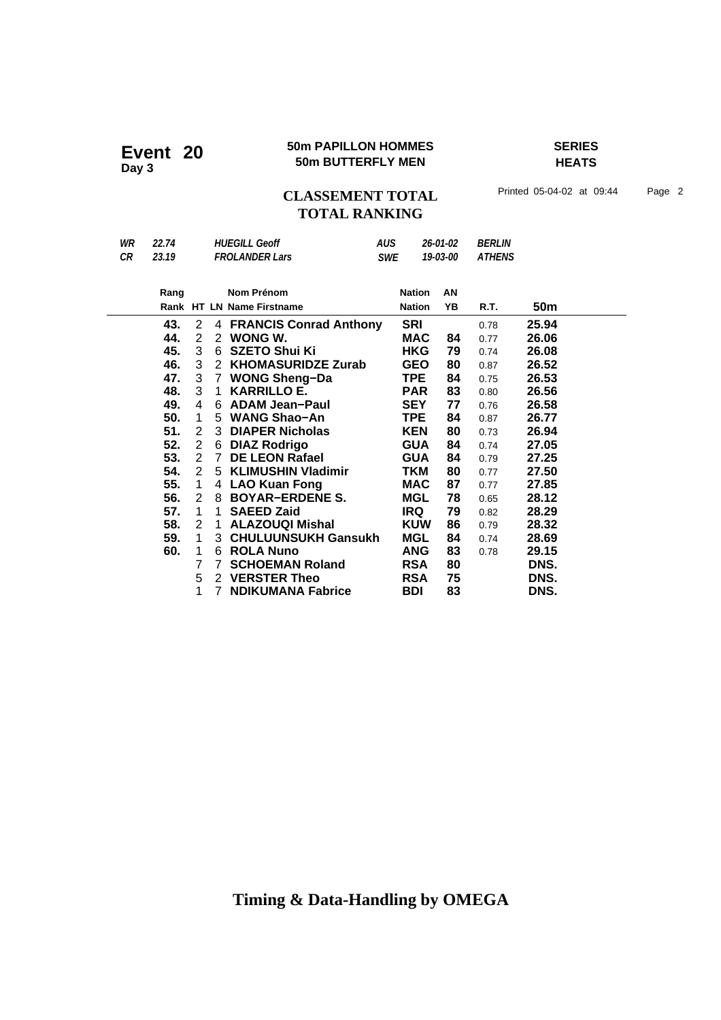### **50m PAPILLON HOMMES SERIES Event 20** 50m PAPILLON HOMMER

**HEATS**

## CLASSEMENT TOTAL Printed 05-04-02 at 09:44 Page 2 **TOTAL RANKING**

| WR | 22.74 |                |              | <b>HUEGILL Geoff</b>      | <b>AUS</b> |               | 26-01-02 | <b>BERLIN</b> |                 |
|----|-------|----------------|--------------|---------------------------|------------|---------------|----------|---------------|-----------------|
| CR | 23.19 |                |              | <b>FROLANDER Lars</b>     | SWE        |               | 19-03-00 | <b>ATHENS</b> |                 |
|    |       |                |              |                           |            |               |          |               |                 |
|    | Rang  |                |              | <b>Nom Prénom</b>         |            | <b>Nation</b> | AN       |               |                 |
|    |       |                |              | Rank HT LN Name Firstname |            | <b>Nation</b> | YB       | R.T.          | 50 <sub>m</sub> |
|    | 43.   | $\overline{2}$ |              | 4 FRANCIS Conrad Anthony  |            | <b>SRI</b>    |          | 0.78          | 25.94           |
|    | 44.   | $\overline{2}$ |              | 2 WONG W.                 |            | <b>MAC</b>    | 84       | 0.77          | 26.06           |
|    | 45.   | 3              | 6            | <b>SZETO Shui Ki</b>      |            | <b>HKG</b>    | 79       | 0.74          | 26.08           |
|    | 46.   | 3              |              | 2 KHOMASURIDZE Zurab      |            | <b>GEO</b>    | 80       | 0.87          | 26.52           |
|    | 47.   | 3              | $7^{\circ}$  | <b>WONG Sheng-Da</b>      |            | <b>TPE</b>    | 84       | 0.75          | 26.53           |
|    | 48.   | 3              | $\mathbf{1}$ | <b>KARRILLO E.</b>        |            | <b>PAR</b>    | 83       | 0.80          | 26.56           |
|    | 49.   | 4              |              | 6 ADAM Jean-Paul          |            | <b>SEY</b>    | 77       | 0.76          | 26.58           |
|    | 50.   | 1              |              | 5 WANG Shao-An            |            | <b>TPE</b>    | 84       | 0.87          | 26.77           |
|    | 51.   | $\overline{2}$ |              | 3 DIAPER Nicholas         |            | <b>KEN</b>    | 80       | 0.73          | 26.94           |
|    | 52.   | $\overline{2}$ |              | 6 DIAZ Rodrigo            |            | <b>GUA</b>    | 84       | 0.74          | 27.05           |
|    | 53.   | $\overline{2}$ |              | 7 DE LEON Rafael          |            | <b>GUA</b>    | 84       | 0.79          | 27.25           |
|    | 54.   | $\overline{2}$ |              | 5 KLIMUSHIN Vladimir      |            | <b>TKM</b>    | 80       | 0.77          | 27.50           |
|    | 55.   | 1              |              | 4 LAO Kuan Fong           |            | <b>MAC</b>    | 87       | 0.77          | 27.85           |
|    | 56.   | $\overline{2}$ |              | 8 BOYAR-ERDENE S.         |            | <b>MGL</b>    | 78       | 0.65          | 28.12           |
|    | 57.   | 1              | 1            | <b>SAEED Zaid</b>         |            | IRQ           | 79       | 0.82          | 28.29           |
|    | 58.   | $\overline{2}$ | 1.           | <b>ALAZOUQI Mishal</b>    |            | <b>KUW</b>    | 86       | 0.79          | 28.32           |
|    | 59.   | $\mathbf 1$    |              | 3 CHULUUNSUKH Gansukh     |            | <b>MGL</b>    | 84       | 0.74          | 28.69           |
|    | 60.   | 1              |              | 6 ROLA Nuno               |            | <b>ANG</b>    | 83       | 0.78          | 29.15           |
|    |       | $\overline{7}$ | $7^{\circ}$  | <b>SCHOEMAN Roland</b>    |            | <b>RSA</b>    | 80       |               | DNS.            |
|    |       | 5              |              | 2 VERSTER Theo            |            | <b>RSA</b>    | 75       |               | DNS.            |
|    |       | 1              | 7            | <b>NDIKUMANA Fabrice</b>  |            | <b>BDI</b>    | 83       |               | DNS.            |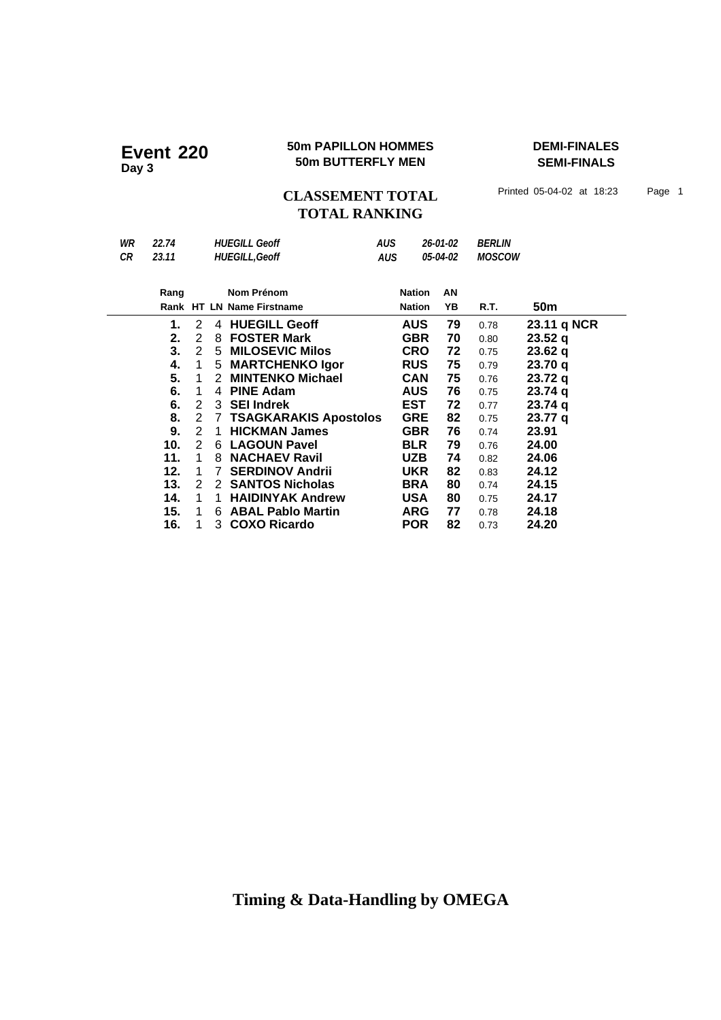# **50m PAPILLON HOMMES**<br>
50m BUTTERFLY MEN

50m BUTTERFLY MEN

50m BUTTERFLY MEN

TIMALS

**SEMI-FINALS**

CLASSEMENT TOTAL Printed 05-04-02 at 18:23 Page 1 **TOTAL RANKING**

| WR<br>CR | 22.74<br>23.11 |               |    | <b>HUEGILL Geoff</b><br><b>HUEGILL, Geoff</b> |  | <b>AUS</b><br><b>AUS</b> | 26-01-02<br>05-04-02 | <i><b>BERLIN</b></i><br><b>MOSCOW</b> |                    |
|----------|----------------|---------------|----|-----------------------------------------------|--|--------------------------|----------------------|---------------------------------------|--------------------|
|          | Rang           |               |    | Nom Prénom                                    |  | <b>Nation</b>            | AN                   |                                       |                    |
|          |                |               |    | Rank HT LN Name Firstname                     |  | <b>Nation</b>            | YΒ                   | R.T.                                  | 50 <sub>m</sub>    |
|          | 1.             | 2             | 4  | <b>HUEGILL Geoff</b>                          |  | <b>AUS</b>               | 79                   | 0.78                                  | 23.11 q NCR        |
|          | 2.             | 2             | 8  | <b>FOSTER Mark</b>                            |  | <b>GBR</b>               | 70                   | 0.80                                  | 23.52q             |
|          | 3.             | 2             | 5  | <b>MILOSEVIC Milos</b>                        |  | <b>CRO</b>               | 72                   | 0.75                                  | 23.62q             |
|          | 4.             | 1             | 5  | <b>MARTCHENKO Igor</b>                        |  | <b>RUS</b>               | 75                   | 0.79                                  | 23.70q             |
|          | 5.             | 1             | 2  | <b>MINTENKO Michael</b>                       |  | <b>CAN</b>               | 75                   | 0.76                                  | 23.72q             |
|          | 6.             | $\mathbf 1$   | 4  | <b>PINE Adam</b>                              |  | <b>AUS</b>               | 76                   | 0.75                                  | 23.74q             |
|          | 6.             | 2             | 3  | <b>SEI Indrek</b>                             |  | <b>EST</b>               | 72                   | 0.77                                  | 23.74q             |
|          | 8.             | 2             | 7  | <b>TSAGKARAKIS Apostolos</b>                  |  | <b>GRE</b>               | 82                   | 0.75                                  | 23.77 <sub>q</sub> |
|          | 9.             | $\mathcal{P}$ | 1  | <b>HICKMAN James</b>                          |  | <b>GBR</b>               | 76                   | 0.74                                  | 23.91              |
|          | 10.            | 2             | 6  | <b>LAGOUN Pavel</b>                           |  | <b>BLR</b>               | 79                   | 0.76                                  | 24.00              |
|          | 11.            | 1             | 8  | <b>NACHAEV Ravil</b>                          |  | <b>UZB</b>               | 74                   | 0.82                                  | 24.06              |
|          | 12.            | 1             | 7  | <b>SERDINOV Andrii</b>                        |  | <b>UKR</b>               | 82                   | 0.83                                  | 24.12              |
|          | 13.            | 2             | 2  | <b>SANTOS Nicholas</b>                        |  | <b>BRA</b>               | 80                   | 0.74                                  | 24.15              |
|          | 14.            | 1             | 1. | <b>HAIDINYAK Andrew</b>                       |  | <b>USA</b>               | 80                   | 0.75                                  | 24.17              |
|          | 15.            | 1             | 6  | <b>ABAL Pablo Martin</b>                      |  | <b>ARG</b>               | 77                   | 0.78                                  | 24.18              |
|          | 16.            |               | 3  | <b>COXO Ricardo</b>                           |  | <b>POR</b>               | 82                   | 0.73                                  | 24.20              |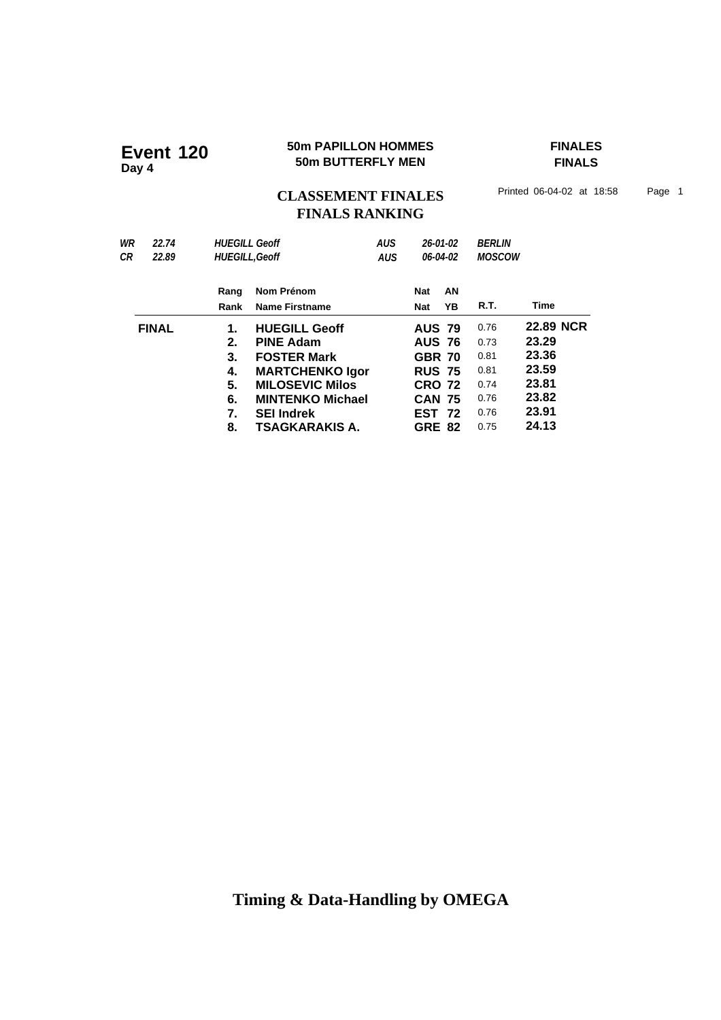### **50m PAPILLON HOMMES FINALES 50m PAPILLON HOMMES**<br>50m BUTTERFLY MEN

**FINALS**

CLASSEMENT FINALES<sup>Printed 06-04-02 at 18:58 Page 1</sup> **FINALS RANKING**

| WR<br>22.74<br>СR<br>22.89 | <b>HUFGILL Geoff</b><br><b>HUEGILL, Geoff</b> |                                                  | AUS<br><b>AUS</b> |                                | 26-01-02<br>06-04-02 | <b>BERLIN</b><br><b>MOSCOW</b> |                  |  |
|----------------------------|-----------------------------------------------|--------------------------------------------------|-------------------|--------------------------------|----------------------|--------------------------------|------------------|--|
|                            | Rang<br>Rank                                  | Nom Prénom<br><b>Name Firstname</b>              |                   | Nat<br>Nat                     | AN<br>YΒ             | R.T.                           | Time             |  |
| <b>FINAL</b>               | 1.                                            | <b>HUEGILL Geoff</b>                             |                   | <b>AUS 79</b>                  |                      | 0.76                           | <b>22.89 NCR</b> |  |
|                            | 2.<br>3.                                      | <b>PINE Adam</b><br><b>FOSTER Mark</b>           |                   | <b>AUS 76</b><br><b>GBR 70</b> |                      | 0.73<br>0.81                   | 23.29<br>23.36   |  |
|                            | 4.<br>5.                                      | <b>MARTCHENKO Igor</b><br><b>MILOSEVIC Milos</b> |                   | <b>RUS 75</b><br><b>CRO 72</b> |                      | 0.81<br>0.74                   | 23.59<br>23.81   |  |
|                            | 6.<br>7.                                      | <b>MINTENKO Michael</b><br><b>SEI Indrek</b>     |                   | <b>CAN 75</b><br><b>EST 72</b> |                      | 0.76<br>0.76                   | 23.82<br>23.91   |  |
|                            | 8.                                            | TSAGKARAKIS A.                                   |                   | <b>GRE 82</b>                  |                      | 0.75                           | 24.13            |  |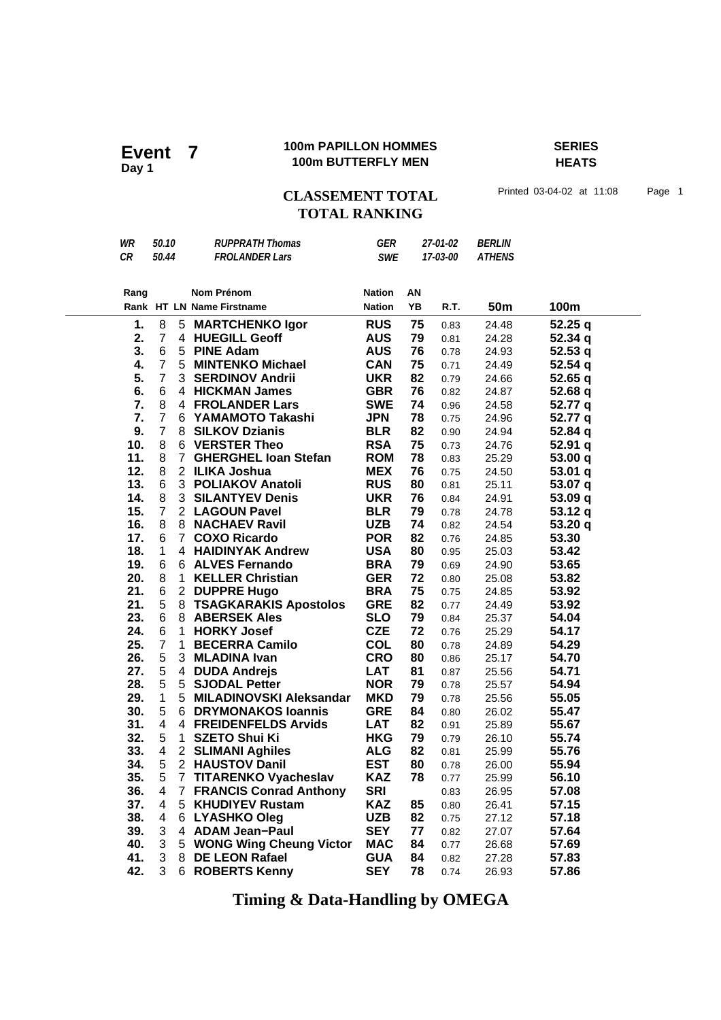### **100m PAPILLON HOMMES SERIES 100m PAPILLON HOMMENT 7** 100m BUTTERFLY MEN

**HEATS**

CLASSEMENT TOTAL Printed 03-04-02 at 11:08 Page 1 **TOTAL RANKING**

| WR   | 50.10                   |              | <b>RUPPRATH Thomas</b>          | GER           |    | 27-01-02 | <i><b>BERLIN</b></i> |         |
|------|-------------------------|--------------|---------------------------------|---------------|----|----------|----------------------|---------|
| CR   | 50.44                   |              | <b>FROLANDER Lars</b>           | <b>SWE</b>    |    | 17-03-00 | <b>ATHENS</b>        |         |
|      |                         |              |                                 |               |    |          |                      |         |
| Rang |                         |              | Nom Prénom                      | <b>Nation</b> | ΑN |          |                      |         |
|      |                         |              | Rank HT LN Name Firstname       | <b>Nation</b> | YB | R.T.     | 50 <sub>m</sub>      | 100m    |
|      |                         |              |                                 |               |    |          |                      |         |
| 1.   | 8                       |              | 5 MARTCHENKO Igor               | <b>RUS</b>    | 75 | 0.83     | 24.48                | 52.25 q |
| 2.   | $\overline{7}$          |              | 4 HUEGILL Geoff                 | <b>AUS</b>    | 79 | 0.81     | 24.28                | 52.34 q |
| 3.   | 6                       |              | 5 PINE Adam                     | <b>AUS</b>    | 76 | 0.78     | 24.93                | 52.53q  |
| 4.   | $\overline{7}$          |              | 5 MINTENKO Michael              | <b>CAN</b>    | 75 | 0.71     | 24.49                | 52.54 q |
| 5.   | $\overline{7}$          |              | 3 SERDINOV Andrii               | <b>UKR</b>    | 82 | 0.79     | 24.66                | 52.65q  |
| 6.   | 6                       |              | 4 HICKMAN James                 | <b>GBR</b>    | 76 | 0.82     | 24.87                | 52.68q  |
| 7.   | 8                       |              | <b>4 FROLANDER Lars</b>         | <b>SWE</b>    | 74 | 0.96     | 24.58                | 52.77 q |
| 7.   | $\overline{7}$          |              | 6 YAMAMOTO Takashi              | <b>JPN</b>    | 78 | 0.75     | 24.96                | 52.77 q |
| 9.   | $\overline{7}$          |              | 8 SILKOV Dzianis                | <b>BLR</b>    | 82 | 0.90     | 24.94                | 52.84 q |
| 10.  | 8                       |              | 6 VERSTER Theo                  | <b>RSA</b>    | 75 | 0.73     | 24.76                | 52.91 q |
| 11.  | 8                       |              | 7 GHERGHEL Ioan Stefan          | <b>ROM</b>    | 78 | 0.83     | 25.29                | 53.00 q |
| 12.  | 8                       |              | 2 ILIKA Joshua                  | <b>MEX</b>    | 76 | 0.75     | 24.50                | 53.01 q |
| 13.  | 6                       |              | 3 POLIAKOV Anatoli              | <b>RUS</b>    | 80 | 0.81     | 25.11                | 53.07 q |
| 14.  | 8                       |              | <b>3 SILANTYEV Denis</b>        | <b>UKR</b>    | 76 | 0.84     | 24.91                | 53.09 q |
| 15.  | $\overline{7}$          |              | 2 LAGOUN Pavel                  | <b>BLR</b>    | 79 | 0.78     | 24.78                | 53.12q  |
| 16.  | 8                       |              | 8 NACHAEV Ravil                 | <b>UZB</b>    | 74 | 0.82     | 24.54                | 53.20 q |
| 17.  | 6                       | $7^{\circ}$  | <b>COXO Ricardo</b>             | <b>POR</b>    | 82 | 0.76     | 24.85                | 53.30   |
| 18.  | $\mathbf{1}$            |              | 4 HAIDINYAK Andrew              | <b>USA</b>    | 80 | 0.95     | 25.03                | 53.42   |
| 19.  | 6                       |              | 6 ALVES Fernando                | <b>BRA</b>    | 79 | 0.69     | 24.90                | 53.65   |
| 20.  | 8                       | 1            | <b>KELLER Christian</b>         | <b>GER</b>    | 72 | 0.80     | 25.08                | 53.82   |
| 21.  | 6                       |              | 2 DUPPRE Hugo                   | <b>BRA</b>    | 75 | 0.75     | 24.85                | 53.92   |
| 21.  | 5                       |              | 8 TSAGKARAKIS Apostolos         | <b>GRE</b>    | 82 | 0.77     | 24.49                | 53.92   |
| 23.  | 6                       |              | 8 ABERSEK Ales                  | <b>SLO</b>    | 79 | 0.84     | 25.37                | 54.04   |
| 24.  | 6                       | 1            | <b>HORKY Josef</b>              | <b>CZE</b>    | 72 | 0.76     | 25.29                | 54.17   |
| 25.  | $\overline{7}$          | $\mathbf{1}$ | <b>BECERRA Camilo</b>           | <b>COL</b>    | 80 | 0.78     | 24.89                | 54.29   |
| 26.  | 5                       |              | 3 MLADINA Ivan                  | <b>CRO</b>    | 80 | 0.86     | 25.17                | 54.70   |
| 27.  | 5                       |              | 4 DUDA Andrejs                  | <b>LAT</b>    | 81 | 0.87     | 25.56                | 54.71   |
| 28.  | 5                       |              | 5 SJODAL Petter                 | <b>NOR</b>    | 79 | 0.78     | 25.57                | 54.94   |
| 29.  | $\mathbf{1}$            |              | 5 MILADINOVSKI Aleksandar       | <b>MKD</b>    | 79 | 0.78     | 25.56                | 55.05   |
| 30.  | 5                       |              | 6 DRYMONAKOS Ioannis            | <b>GRE</b>    | 84 | 0.80     | 26.02                | 55.47   |
| 31.  | $\overline{4}$          |              | 4 FREIDENFELDS Arvids           | <b>LAT</b>    | 82 | 0.91     | 25.89                | 55.67   |
| 32.  | 5                       | 1            | <b>SZETO Shui Ki</b>            | <b>HKG</b>    | 79 | 0.79     | 26.10                | 55.74   |
| 33.  | $\overline{\mathbf{4}}$ |              | 2 SLIMANI Aghiles               | <b>ALG</b>    | 82 | 0.81     | 25.99                | 55.76   |
| 34.  | 5                       |              | 2 HAUSTOV Danil                 | <b>EST</b>    | 80 | 0.78     | 26.00                | 55.94   |
| 35.  | 5                       |              | 7 TITARENKO Vyacheslav          | <b>KAZ</b>    | 78 | 0.77     | 25.99                | 56.10   |
| 36.  | 4                       |              | <b>7 FRANCIS Conrad Anthony</b> | <b>SRI</b>    |    | 0.83     | 26.95                | 57.08   |
| 37.  | 4                       |              | 5 KHUDIYEV Rustam               | <b>KAZ</b>    | 85 | 0.80     | 26.41                | 57.15   |
| 38.  | 4                       |              | 6 LYASHKO Oleg                  | <b>UZB</b>    | 82 | 0.75     | 27.12                | 57.18   |
| 39.  | 3                       |              | 4 ADAM Jean-Paul                | <b>SEY</b>    | 77 | 0.82     | 27.07                | 57.64   |
| 40.  | 3                       |              | 5 WONG Wing Cheung Victor       | <b>MAC</b>    | 84 | 0.77     | 26.68                | 57.69   |
| 41.  | 3                       |              | 8 DE LEON Rafael                | <b>GUA</b>    | 84 | 0.82     | 27.28                | 57.83   |
| 42.  | 3                       |              | 6 ROBERTS Kenny                 | <b>SEY</b>    | 78 | 0.74     | 26.93                | 57.86   |
|      |                         |              |                                 |               |    |          |                      |         |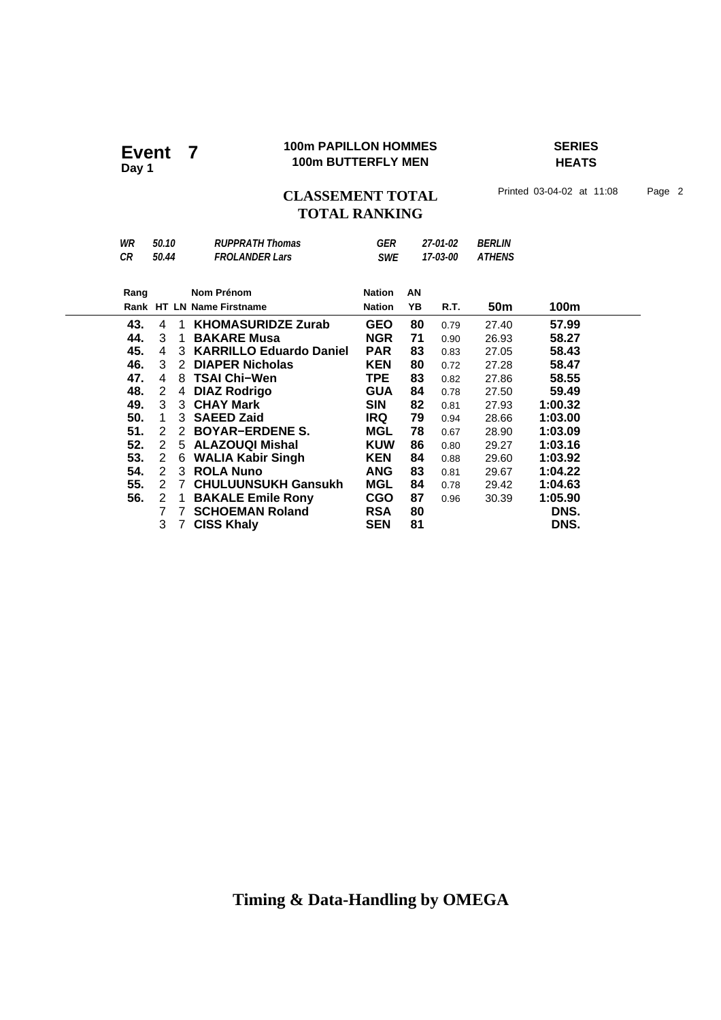### **100m PAPILLON HOMMES SERIES 100m PAPILLON HOMMES**<br>100m BUTTERFLY MEN

**HEATS**

## CLASSEMENT TOTAL Printed 03-04-02 at 11:08 Page 2 **TOTAL RANKING**

| WR   | 50.10                |              | <b>RUPPRATH Thomas</b>     | GER           |          | 27-01-02 | <i><b>BERLIN</b></i> |         |  |
|------|----------------------|--------------|----------------------------|---------------|----------|----------|----------------------|---------|--|
| CR   | 50.44                |              | <b>FROLANDER Lars</b>      | <b>SWE</b>    | 17-03-00 |          | <b>ATHENS</b>        |         |  |
|      |                      |              |                            |               |          |          |                      |         |  |
| Rang |                      |              | Nom Prénom                 | <b>Nation</b> | AN       |          |                      |         |  |
|      |                      |              | Rank HT LN Name Firstname  | <b>Nation</b> | YΒ       | R.T.     | 50m                  | 100m    |  |
| 43.  | 4                    | -1           | <b>KHOMASURIDZE Zurab</b>  | <b>GEO</b>    | 80       | 0.79     | 27.40                | 57.99   |  |
| 44.  | 3                    | $\mathbf 1$  | <b>BAKARE Musa</b>         | <b>NGR</b>    | 71       | 0.90     | 26.93                | 58.27   |  |
| 45.  | 4                    |              | 3 KARRILLO Eduardo Daniel  | <b>PAR</b>    | 83       | 0.83     | 27.05                | 58.43   |  |
| 46.  | 3                    | $\mathbf{2}$ | <b>DIAPER Nicholas</b>     | <b>KEN</b>    | 80       | 0.72     | 27.28                | 58.47   |  |
| 47.  | 4                    | 8            | <b>TSAI Chi-Wen</b>        | <b>TPE</b>    | 83       | 0.82     | 27.86                | 58.55   |  |
| 48.  | $\overline{2}$       | 4            | <b>DIAZ Rodrigo</b>        | <b>GUA</b>    | 84       | 0.78     | 27.50                | 59.49   |  |
| 49.  | 3                    |              | 3 CHAY Mark                | <b>SIN</b>    | 82       | 0.81     | 27.93                | 1:00.32 |  |
| 50.  | 1                    |              | 3 SAEED Zaid               | <b>IRQ</b>    | 79       | 0.94     | 28.66                | 1:03.00 |  |
| 51.  | $\mathbf{2}^{\circ}$ |              | 2 BOYAR-ERDENE S.          | MGL           | 78       | 0.67     | 28.90                | 1:03.09 |  |
| 52.  | $2^{\circ}$          |              | 5 ALAZOUQI Mishal          | <b>KUW</b>    | 86       | 0.80     | 29.27                | 1:03.16 |  |
| 53.  | 2                    |              | 6 WALIA Kabir Singh        | <b>KEN</b>    | 84       | 0.88     | 29.60                | 1:03.92 |  |
| 54.  | 2                    |              | 3 ROLA Nuno                | <b>ANG</b>    | 83       | 0.81     | 29.67                | 1:04.22 |  |
| 55.  | 2                    | $7^{\circ}$  | <b>CHULUUNSUKH Gansukh</b> | MGL           | 84       | 0.78     | 29.42                | 1:04.63 |  |
| 56.  | $\overline{2}$       | -1           | <b>BAKALE Emile Rony</b>   | <b>CGO</b>    | 87       | 0.96     | 30.39                | 1:05.90 |  |
|      | 7                    | 7            | <b>SCHOEMAN Roland</b>     | <b>RSA</b>    | 80       |          |                      | DNS.    |  |
|      | 3                    | $7^{\circ}$  | <b>CISS Khaly</b>          | <b>SEN</b>    | 81       |          |                      | DNS.    |  |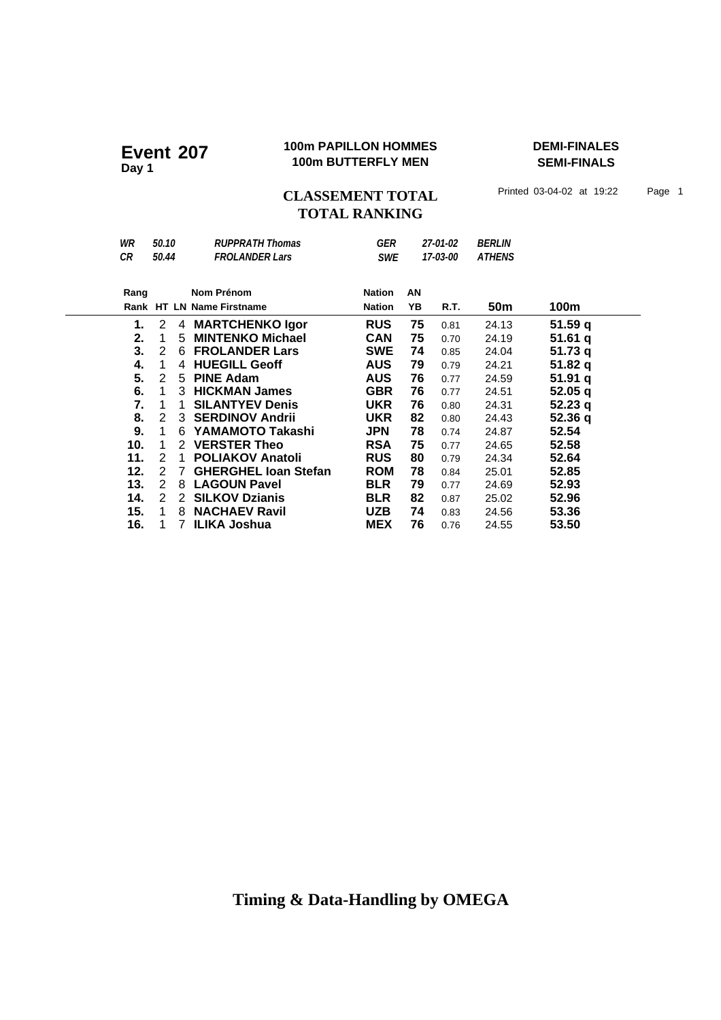### **100m PAPILLON HOMMES DEMI-FINALES 100m PAPILLON HOMMES**<br>100m BUTTERFLY MEN

**SEMI-FINALS**

CLASSEMENT TOTAL Printed 03-04-02 at 19:22 Page 1 **TOTAL RANKING**

| WR   | 50.10          |   | <b>RUPPRATH Thomas</b>      | GER           |    | 27-01-02 | <b>BERLIN</b> |         |
|------|----------------|---|-----------------------------|---------------|----|----------|---------------|---------|
| CR   | 50.44          |   | <b>FROLANDER Lars</b>       | <b>SWE</b>    |    | 17-03-00 | <b>ATHENS</b> |         |
|      |                |   |                             |               |    |          |               |         |
| Rang |                |   | Nom Prénom                  | <b>Nation</b> | ΑN |          |               |         |
|      |                |   | Rank HT LN Name Firstname   | <b>Nation</b> | YB | R.T.     | 50m           | 100m    |
| 1.   | $\overline{2}$ |   | 4 MARTCHENKO Igor           | <b>RUS</b>    | 75 | 0.81     | 24.13         | 51.59q  |
| 2.   | 1              | 5 | <b>MINTENKO Michael</b>     | <b>CAN</b>    | 75 | 0.70     | 24.19         | 51.61q  |
| 3.   | 2              | 6 | <b>FROLANDER Lars</b>       | <b>SWE</b>    | 74 | 0.85     | 24.04         | 51.73q  |
| 4.   | 1              | 4 | <b>HUEGILL Geoff</b>        | <b>AUS</b>    | 79 | 0.79     | 24.21         | 51.82 q |
| 5.   | 2              | 5 | <b>PINE Adam</b>            | <b>AUS</b>    | 76 | 0.77     | 24.59         | 51.91q  |
| 6.   | 1              | 3 | <b>HICKMAN James</b>        | <b>GBR</b>    | 76 | 0.77     | 24.51         | 52.05q  |
| 7.   | 1              | 1 | <b>SILANTYEV Denis</b>      | <b>UKR</b>    | 76 | 0.80     | 24.31         | 52.23q  |
| 8.   | 2              | 3 | <b>SERDINOV Andrii</b>      | <b>UKR</b>    | 82 | 0.80     | 24.43         | 52.36q  |
| 9.   | 1              | 6 | YAMAMOTO Takashi            | <b>JPN</b>    | 78 | 0.74     | 24.87         | 52.54   |
| 10.  | 1              |   | 2 VERSTER Theo              | <b>RSA</b>    | 75 | 0.77     | 24.65         | 52.58   |
| 11.  | 2              | 1 | <b>POLIAKOV Anatoli</b>     | <b>RUS</b>    | 80 | 0.79     | 24.34         | 52.64   |
| 12.  | $\mathcal{P}$  | 7 | <b>GHERGHEL Ioan Stefan</b> | <b>ROM</b>    | 78 | 0.84     | 25.01         | 52.85   |
| 13.  | 2              | 8 | <b>LAGOUN Pavel</b>         | <b>BLR</b>    | 79 | 0.77     | 24.69         | 52.93   |
| 14.  | $\overline{2}$ | 2 | <b>SILKOV Dzianis</b>       | <b>BLR</b>    | 82 | 0.87     | 25.02         | 52.96   |
| 15.  | 1              | 8 | <b>NACHAEV Ravil</b>        | <b>UZB</b>    | 74 | 0.83     | 24.56         | 53.36   |
| 16.  | 1              | 7 | ILIKA Joshua                | <b>MEX</b>    | 76 | 0.76     | 24.55         | 53.50   |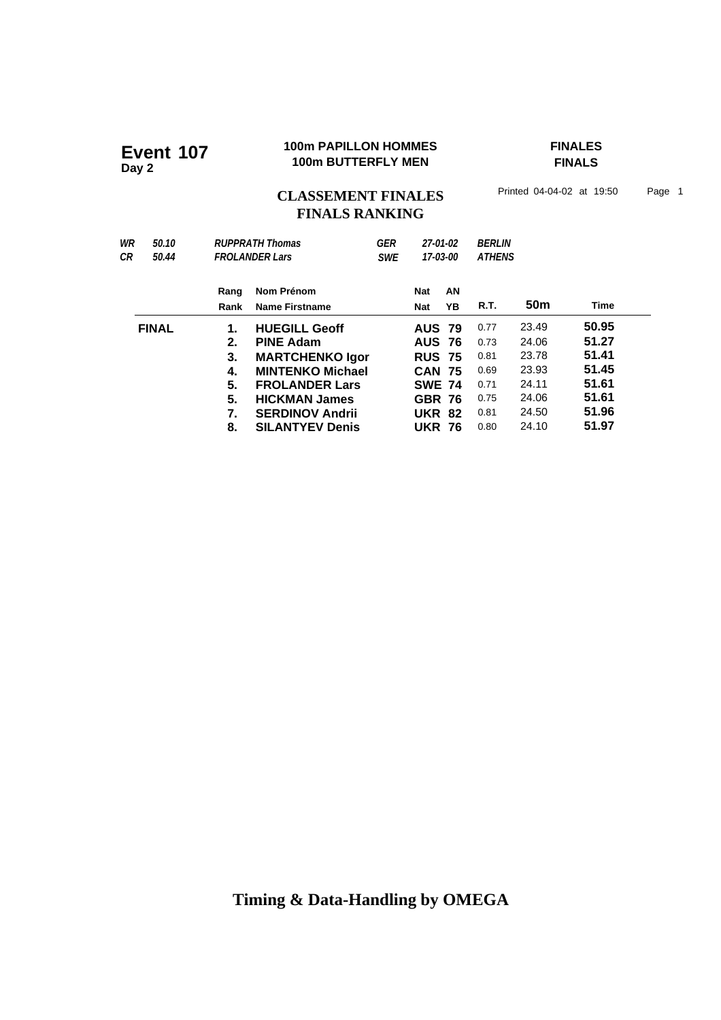### **100m PAPILLON HOMMES FINALES 100m PAPILLON HOMMER**<br>100m BUTTERFLY MEN

**FINALS**

CLASSEMENT FINALES<sup>Printed 04-04-02 at 19:50 Page 1</sup> **FINALS RANKING**

| WR<br>СR | 50.10<br>50.44 |              | GER<br><b>RUPPRATH Thomas</b><br><b>FROLANDER Lars</b><br><b>SWE</b> |  | 27-01-02<br>17-03-00     |          | <b>BERLIN</b><br><b>ATHENS</b> |                 |       |  |
|----------|----------------|--------------|----------------------------------------------------------------------|--|--------------------------|----------|--------------------------------|-----------------|-------|--|
|          |                | Rang<br>Rank | Nom Prénom<br><b>Name Firstname</b>                                  |  | <b>Nat</b><br><b>Nat</b> | AN<br>YΒ | R.T.                           | 50 <sub>m</sub> | Time  |  |
|          | <b>FINAL</b>   | 1.           | <b>HUEGILL Geoff</b>                                                 |  | <b>AUS 79</b>            |          | 0.77                           | 23.49           | 50.95 |  |
|          |                | 2.           | <b>PINE Adam</b>                                                     |  | <b>AUS 76</b>            |          | 0.73                           | 24.06           | 51.27 |  |
|          |                | 3.           | <b>MARTCHENKO Igor</b>                                               |  | <b>RUS 75</b>            |          | 0.81                           | 23.78           | 51.41 |  |
|          |                | 4.           | <b>MINTENKO Michael</b>                                              |  | <b>CAN 75</b>            |          | 0.69                           | 23.93           | 51.45 |  |
|          |                | 5.           | <b>FROLANDER Lars</b>                                                |  | <b>SWE 74</b>            |          | 0.71                           | 24.11           | 51.61 |  |
|          |                | 5.           | <b>HICKMAN James</b>                                                 |  | <b>GBR 76</b>            |          | 0.75                           | 24.06           | 51.61 |  |
|          |                | 7.           | <b>SERDINOV Andrii</b>                                               |  | <b>UKR 82</b>            |          | 0.81                           | 24.50           | 51.96 |  |
|          |                | 8.           | <b>SILANTYEV Denis</b>                                               |  | <b>UKR 76</b>            |          | 0.80                           | 24.10           | 51.97 |  |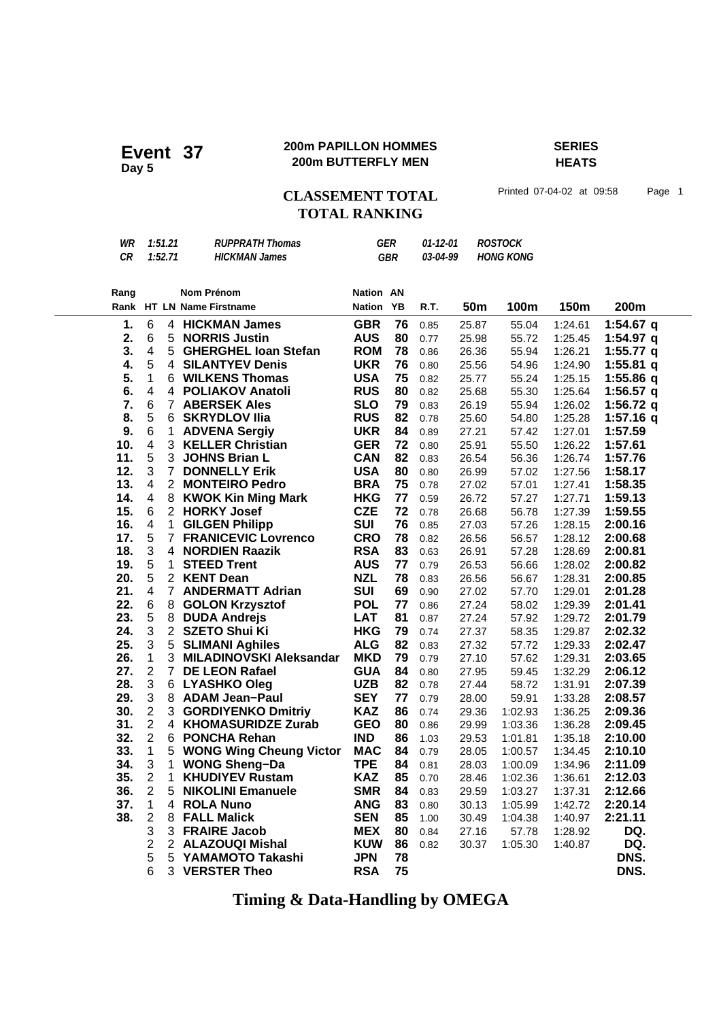### **200m PAPILLON HOMMES SERIES 200m PAPILLON HOMMES**<br>200m BUTTERFLY MEN

# **HEATS**

CLASSEMENT TOTAL Printed 07-04-02 at 09:58 Page 1 **TOTAL RANKING**

| Rang |         | Nom Prénom           | <b>Nation AN</b> |          |           |  |
|------|---------|----------------------|------------------|----------|-----------|--|
| CR.  | 1:52.71 | <b>HICKMAN James</b> | GBR              | 03-04-99 | HONG KONG |  |
| WR   | 1:51.21 | RUPPRATH Thomas      | GFR              | 01-12-01 | ROSTOCK   |  |

| 1.<br>6<br><b>GBR</b><br>76<br>$1:54.67$ q<br><b>HICKMAN James</b><br>25.87<br>55.04<br>1:24.61<br>4<br>0.85<br>6<br><b>AUS</b><br>80<br>2.<br>5<br><b>NORRIS Justin</b><br>1:54.97 $q$<br>25.98<br>55.72<br>1:25.45<br>0.77<br>3.<br>$\overline{\mathbf{4}}$<br>5<br><b>ROM</b><br>78<br>1:55.77 $q$<br><b>GHERGHEL Ioan Stefan</b><br>55.94<br>1:26.21<br>0.86<br>26.36<br>4.<br>5<br>76<br><b>SILANTYEV Denis</b><br><b>UKR</b><br>1:55.81 $q$<br>4<br>25.56<br>54.96<br>1:24.90<br>0.80 |  |
|---------------------------------------------------------------------------------------------------------------------------------------------------------------------------------------------------------------------------------------------------------------------------------------------------------------------------------------------------------------------------------------------------------------------------------------------------------------------------------------------|--|
|                                                                                                                                                                                                                                                                                                                                                                                                                                                                                             |  |
|                                                                                                                                                                                                                                                                                                                                                                                                                                                                                             |  |
|                                                                                                                                                                                                                                                                                                                                                                                                                                                                                             |  |
|                                                                                                                                                                                                                                                                                                                                                                                                                                                                                             |  |
| 5.<br>$\mathbf{1}$<br>75<br>6 WILKENS Thomas<br><b>USA</b><br>1:55.86 q<br>0.82<br>25.77<br>55.24<br>1:25.15                                                                                                                                                                                                                                                                                                                                                                                |  |
| 6.<br>$\overline{\mathbf{4}}$<br><b>RUS</b><br>$\overline{4}$<br><b>POLIAKOV Anatoli</b><br>80<br>1:56.57 $q$<br>25.68<br>55.30<br>1:25.64<br>0.82                                                                                                                                                                                                                                                                                                                                          |  |
| 7.<br>6<br><b>SLO</b><br>79<br>1:56.72 $q$<br>$7^{\circ}$<br><b>ABERSEK Ales</b><br>55.94<br>0.83<br>26.19<br>1:26.02                                                                                                                                                                                                                                                                                                                                                                       |  |
| 5<br>8.<br><b>RUS</b><br>82<br>6<br><b>SKRYDLOV IIia</b><br>$1:57.16$ q<br>0.78<br>25.60<br>54.80<br>1:25.28                                                                                                                                                                                                                                                                                                                                                                                |  |
| 6<br>9.<br><b>UKR</b><br>$\mathbf 1$<br><b>ADVENA Sergiy</b><br>84<br>1:57.59<br>0.89<br>27.21<br>57.42<br>1:27.01                                                                                                                                                                                                                                                                                                                                                                          |  |
| $\overline{\mathbf{4}}$<br><b>GER</b><br>72<br>10.<br>3<br><b>KELLER Christian</b><br>1:57.61<br>0.80<br>25.91<br>55.50<br>1:26.22                                                                                                                                                                                                                                                                                                                                                          |  |
| 5<br>11.<br>82<br>3<br><b>JOHNS Brian L</b><br><b>CAN</b><br>1:57.76<br>26.54<br>56.36<br>0.83<br>1:26.74                                                                                                                                                                                                                                                                                                                                                                                   |  |
| 3<br>12.<br>$\overline{7}$<br><b>USA</b><br>80<br><b>DONNELLY Erik</b><br>1:58.17<br>0.80<br>26.99<br>57.02<br>1:27.56                                                                                                                                                                                                                                                                                                                                                                      |  |
| $\overline{\mathbf{4}}$<br>13.<br>2 MONTEIRO Pedro<br><b>BRA</b><br>75<br>1:58.35<br>0.78<br>27.02<br>57.01<br>1:27.41                                                                                                                                                                                                                                                                                                                                                                      |  |
| 14.<br>4<br>8<br>77<br><b>KWOK Kin Ming Mark</b><br><b>HKG</b><br>1:59.13<br>26.72<br>57.27<br>1:27.71<br>0.59                                                                                                                                                                                                                                                                                                                                                                              |  |
| 15.<br>2 <sup>1</sup><br>6<br><b>HORKY Josef</b><br><b>CZE</b><br>72<br>1:59.55<br>56.78<br>0.78<br>26.68<br>1:27.39                                                                                                                                                                                                                                                                                                                                                                        |  |
| $\overline{\mathbf{4}}$<br><b>SUI</b><br>16.<br><b>GILGEN Philipp</b><br>76<br>$\mathbf 1$<br>2:00.16<br>0.85<br>27.03<br>57.26<br>1:28.15                                                                                                                                                                                                                                                                                                                                                  |  |
| 5<br><b>CRO</b><br>17.<br>$\overline{7}$<br><b>FRANICEVIC Lovrenco</b><br>78<br>2:00.68<br>56.57<br>1:28.12<br>0.82<br>26.56                                                                                                                                                                                                                                                                                                                                                                |  |
| 3<br>18.<br><b>RSA</b><br>83<br><b>NORDIEN Raazik</b><br>2:00.81<br>4<br>0.63<br>26.91<br>57.28<br>1:28.69                                                                                                                                                                                                                                                                                                                                                                                  |  |
| 5<br>19.<br>$\mathbf 1$<br><b>STEED Trent</b><br><b>AUS</b><br>77<br>0.79<br>26.53<br>56.66<br>1:28.02<br>2:00.82                                                                                                                                                                                                                                                                                                                                                                           |  |
| 5<br>20.<br><b>NZL</b><br>78<br>2 KENT Dean<br>2:00.85<br>0.83<br>26.56<br>56.67<br>1:28.31                                                                                                                                                                                                                                                                                                                                                                                                 |  |
| 21.<br>$\overline{\mathbf{4}}$<br>$\overline{7}$<br><b>ANDERMATT Adrian</b><br><b>SUI</b><br>69<br>2:01.28<br>0.90<br>27.02<br>57.70<br>1:29.01                                                                                                                                                                                                                                                                                                                                             |  |
| 22.<br>6<br><b>POL</b><br>8<br><b>GOLON Krzysztof</b><br>77<br>2:01.41<br>27.24<br>58.02<br>1:29.39<br>0.86                                                                                                                                                                                                                                                                                                                                                                                 |  |
| 5<br>23.<br>8<br><b>LAT</b><br>81<br><b>DUDA Andrejs</b><br>0.87<br>27.24<br>57.92<br>1:29.72<br>2:01.79                                                                                                                                                                                                                                                                                                                                                                                    |  |
| 3<br>2 <sup>1</sup><br>24.<br><b>SZETO Shui Ki</b><br><b>HKG</b><br>79<br>2:02.32<br>0.74<br>27.37<br>58.35<br>1:29.87                                                                                                                                                                                                                                                                                                                                                                      |  |
| 25.<br>3<br>5<br><b>ALG</b><br>82<br><b>SLIMANI Aghiles</b><br>2:02.47<br>27.32<br>57.72<br>0.83<br>1:29.33                                                                                                                                                                                                                                                                                                                                                                                 |  |
| 3<br>26.<br>1<br><b>MKD</b><br>79<br><b>MILADINOVSKI Aleksandar</b><br>0.79<br>27.10<br>57.62<br>1:29.31<br>2:03.65                                                                                                                                                                                                                                                                                                                                                                         |  |
| $\overline{c}$<br>27.<br>$\overline{7}$<br><b>GUA</b><br>84<br><b>DE LEON Rafael</b><br>59.45<br>2:06.12<br>0.80<br>27.95<br>1:32.29<br>3                                                                                                                                                                                                                                                                                                                                                   |  |
| <b>UZB</b><br>28.<br>6 LYASHKO Oleg<br>82<br>58.72<br>2:07.39<br>0.78<br>27.44<br>1:31.91<br>29.<br>3<br><b>SEY</b><br>8                                                                                                                                                                                                                                                                                                                                                                    |  |
| 77<br>2:08.57<br><b>ADAM Jean-Paul</b><br>28.00<br>59.91<br>1:33.28<br>0.79<br>$\overline{c}$<br>30.<br>3<br><b>KAZ</b><br>86<br><b>GORDIYENKO Dmitriy</b><br>2:09.36<br>0.74<br>29.36<br>1:02.93<br>1:36.25                                                                                                                                                                                                                                                                                |  |
| $\overline{2}$<br>31.<br><b>GEO</b><br>80<br>$\overline{4}$<br><b>KHOMASURIDZE Zurab</b><br>2:09.45<br>0.86<br>29.99<br>1:03.36<br>1:36.28                                                                                                                                                                                                                                                                                                                                                  |  |
| $\overline{2}$<br>32.<br>6<br><b>IND</b><br>86<br><b>PONCHA Rehan</b><br>2:10.00<br>29.53<br>1:01.81<br>1:35.18<br>1.03                                                                                                                                                                                                                                                                                                                                                                     |  |
| 33.<br>$\mathbf 1$<br><b>MAC</b><br>5<br><b>WONG Wing Cheung Victor</b><br>84<br>2:10.10<br>0.79<br>28.05<br>1:34.45<br>1:00.57                                                                                                                                                                                                                                                                                                                                                             |  |
| 3<br>34.<br><b>TPE</b><br>1<br><b>WONG Sheng-Da</b><br>84<br>2:11.09<br>0.81<br>1:34.96<br>28.03<br>1:00.09                                                                                                                                                                                                                                                                                                                                                                                 |  |
| $\overline{2}$<br>$\mathbf{1}$<br>35.<br><b>KHUDIYEV Rustam</b><br><b>KAZ</b><br>85<br>2:12.03<br>0.70<br>28.46<br>1:02.36<br>1:36.61                                                                                                                                                                                                                                                                                                                                                       |  |
| $\overline{2}$<br>36.<br><b>SMR</b><br>5<br><b>NIKOLINI Emanuele</b><br>84<br>2:12.66<br>0.83<br>29.59<br>1:03.27<br>1:37.31                                                                                                                                                                                                                                                                                                                                                                |  |
| 37.<br>1<br>83<br>4<br><b>ROLA Nuno</b><br><b>ANG</b><br>2:20.14<br>0.80<br>30.13<br>1:05.99<br>1:42.72                                                                                                                                                                                                                                                                                                                                                                                     |  |
| 38.<br>$\overline{c}$<br><b>SEN</b><br>85<br>2:21.11<br>8<br><b>FALL Malick</b><br>1.00<br>30.49<br>1:40.97<br>1:04.38                                                                                                                                                                                                                                                                                                                                                                      |  |
| 3<br>3 FRAIRE Jacob<br><b>MEX</b><br>80<br>DQ.<br>0.84<br>27.16<br>57.78<br>1:28.92                                                                                                                                                                                                                                                                                                                                                                                                         |  |
| $\overline{\mathbf{c}}$<br>$\overline{2}$<br><b>KUW</b><br>86<br>DQ.<br><b>ALAZOUQI Mishal</b><br>0.82<br>30.37<br>1:05.30<br>1:40.87                                                                                                                                                                                                                                                                                                                                                       |  |
| 5<br>5<br><b>JPN</b><br>78<br>DNS.<br>YAMAMOTO Takashi                                                                                                                                                                                                                                                                                                                                                                                                                                      |  |
| 6<br>3 VERSTER Theo<br><b>RSA</b><br>75<br>DNS.                                                                                                                                                                                                                                                                                                                                                                                                                                             |  |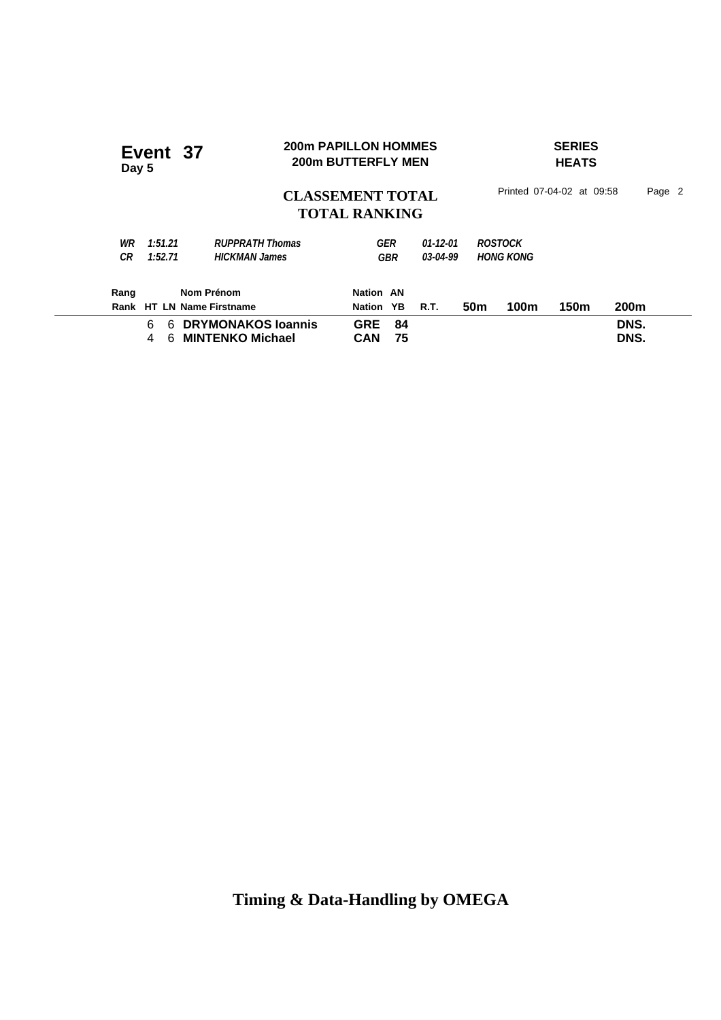|  | Event 37<br>Day 5 |         |                           | <b>200m PAPILLON HOMMES</b> | <b>200m BUTTERFLY MEN</b>                       |            |          |                 | <b>SERIES</b><br><b>HEATS</b> |                  |                           |        |  |  |
|--|-------------------|---------|---------------------------|-----------------------------|-------------------------------------------------|------------|----------|-----------------|-------------------------------|------------------|---------------------------|--------|--|--|
|  |                   |         |                           |                             | <b>CLASSEMENT TOTAL</b><br><b>TOTAL RANKING</b> |            |          |                 |                               |                  | Printed 07-04-02 at 09:58 | Page 2 |  |  |
|  | WR                | 1:51.21 | <b>RUPPRATH Thomas</b>    |                             |                                                 | GER        | 01-12-01 |                 | <b>ROSTOCK</b>                |                  |                           |        |  |  |
|  | CR                | 1:52.71 | <b>HICKMAN James</b>      |                             |                                                 | <b>GBR</b> | 03-04-99 |                 | <b>HONG KONG</b>              |                  |                           |        |  |  |
|  | Rang              |         | Nom Prénom                |                             | Nation AN                                       |            |          |                 |                               |                  |                           |        |  |  |
|  |                   |         | Rank HT LN Name Firstname |                             | Nation                                          | <b>YB</b>  | R.T.     | 50 <sub>m</sub> | 100m                          | 150 <sub>m</sub> | 200 <sub>m</sub>          |        |  |  |
|  |                   | 6<br>6  | <b>DRYMONAKOS loannis</b> |                             | <b>GRE</b>                                      | 84         |          |                 |                               |                  | DNS.                      |        |  |  |
|  |                   | 4<br>6  | <b>MINTENKO Michael</b>   |                             | CAN                                             | 75         |          |                 |                               |                  | DNS.                      |        |  |  |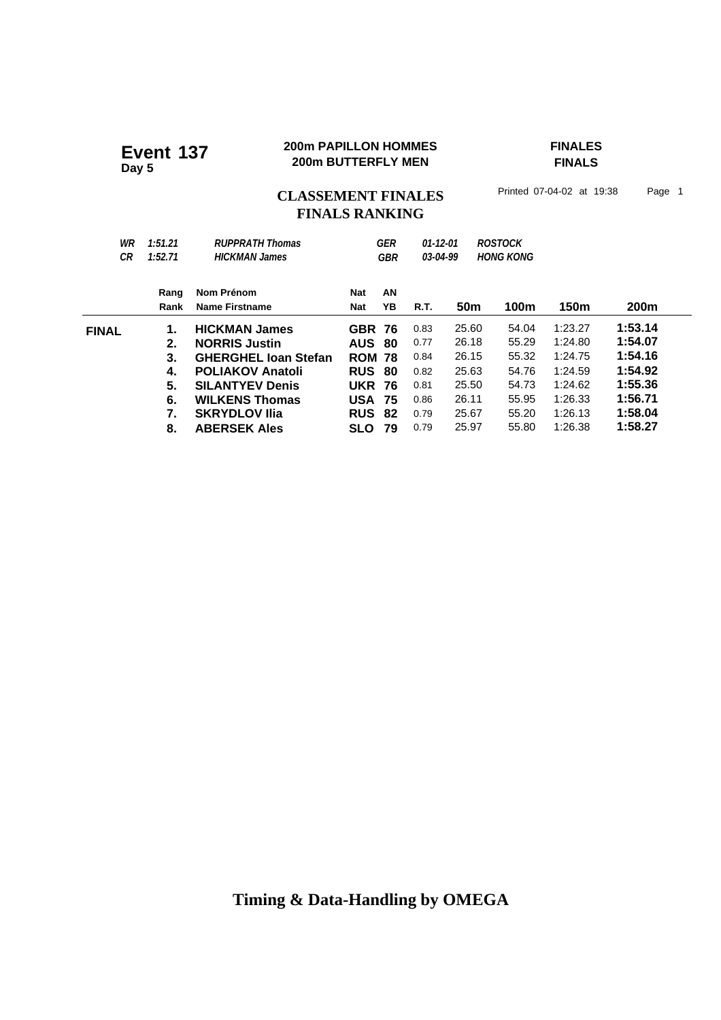# **200m PAPILLON HOMMES**<br>
200m BUTTERFLY MEN

200m BUTTERFLY MEN

200m BUTTERFLY MEN

200m BUTTERFLY MEN

200m BUTTERFLY MEN

**FINALS**

# CLASSEMENT FINALES<sup>Printed 07-04-02 at 19:38 Page 1</sup> **FINALS RANKING**

| WR<br>СR     | 1:51.21<br>1:52.71 | <b>RUPPRATH Thomas</b><br><b>HICKMAN James</b> |               | GER<br><b>ROSTOCK</b><br>$01-12-01$<br><b>HONG KONG</b><br>03-04-99<br><b>GBR</b> |             |                 |       |         |             |
|--------------|--------------------|------------------------------------------------|---------------|-----------------------------------------------------------------------------------|-------------|-----------------|-------|---------|-------------|
|              | Rang               | Nom Prénom                                     | Nat           | AN                                                                                |             |                 |       |         |             |
|              | Rank               | Name Firstname                                 | Nat           | YB                                                                                | <b>R.T.</b> | 50 <sub>m</sub> | 100m  | 150m    | <b>200m</b> |
| <b>FINAL</b> | 1.                 | <b>HICKMAN James</b>                           | <b>GBR 76</b> |                                                                                   | 0.83        | 25.60           | 54.04 | 1:23.27 | 1:53.14     |
|              | 2.                 | <b>NORRIS Justin</b>                           | <b>AUS</b>    | 80                                                                                | 0.77        | 26.18           | 55.29 | 1:24.80 | 1:54.07     |
|              | 3.                 | <b>GHERGHEL Joan Stefan</b>                    | <b>ROM 78</b> |                                                                                   | 0.84        | 26.15           | 55.32 | 1:24.75 | 1:54.16     |
|              | 4.                 | <b>POLIAKOV Anatoli</b>                        | <b>RUS</b>    | 80                                                                                | 0.82        | 25.63           | 54.76 | 1:24.59 | 1:54.92     |
|              | 5.                 | <b>SILANTYEV Denis</b>                         | <b>UKR</b>    | 76                                                                                | 0.81        | 25.50           | 54.73 | 1:24.62 | 1:55.36     |
|              | 6.                 | <b>WILKENS Thomas</b>                          | USA           | 75                                                                                | 0.86        | 26.11           | 55.95 | 1:26.33 | 1:56.71     |
|              | 7.                 | <b>SKRYDLOV IIIa</b>                           | <b>RUS</b>    | 82                                                                                | 0.79        | 25.67           | 55.20 | 1:26.13 | 1:58.04     |
|              | 8.                 | <b>ABERSEK Ales</b>                            | <b>SLO</b>    | 79                                                                                | 0.79        | 25.97           | 55.80 | 1:26.38 | 1:58.27     |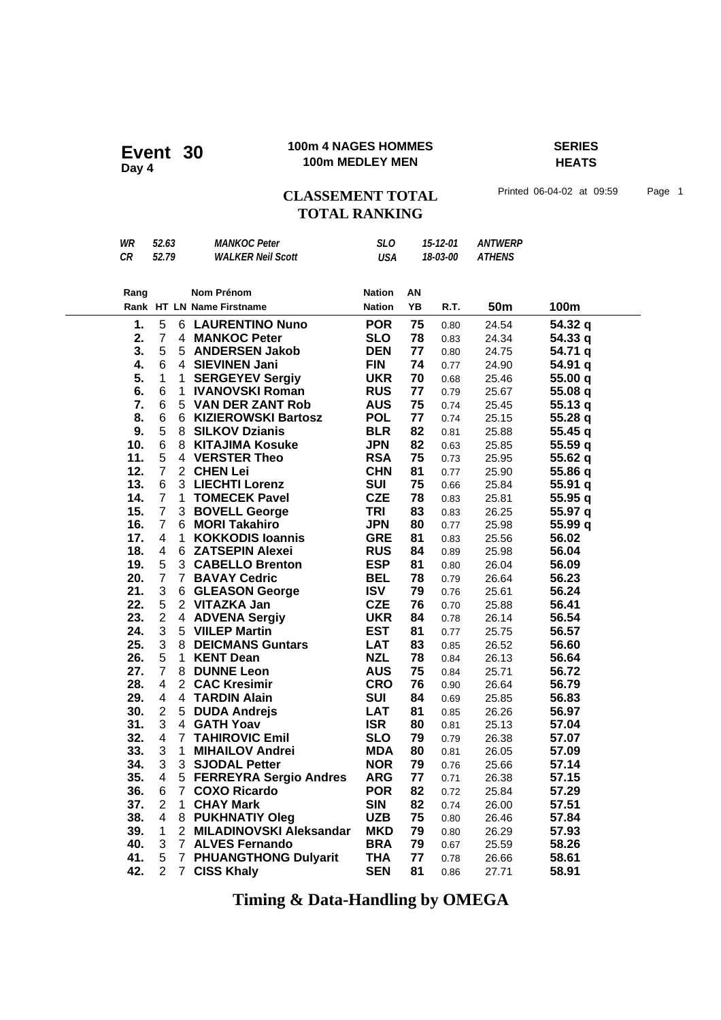### **100m 4 NAGES HOMMES SERIES 100m 4 NAGES HOMME**<br>100m MEDLEY MEN

**HEATS**

## CLASSEMENT TOTAL Printed 06-04-02 at 09:59 Page 1 **TOTAL RANKING**

| WR   | 52.63          |             | <b>MANKOC Peter</b>         | <b>SLO</b>    | 15-12-01 |          | <b>ANTWERP</b>  |         |
|------|----------------|-------------|-----------------------------|---------------|----------|----------|-----------------|---------|
| CR   | 52.79          |             | <b>WALKER Neil Scott</b>    | <b>USA</b>    |          | 18-03-00 | <b>ATHENS</b>   |         |
|      |                |             |                             |               |          |          |                 |         |
|      |                |             | Nom Prénom                  | <b>Nation</b> | AN       |          |                 |         |
| Rang |                |             | Rank HT LN Name Firstname   | <b>Nation</b> | YB       | R.T.     | 50 <sub>m</sub> | 100m    |
|      |                |             |                             |               |          |          |                 |         |
| 1.   | 5              |             | <b>6 LAURENTINO Nuno</b>    | <b>POR</b>    | 75       | 0.80     | 24.54           | 54.32 q |
| 2.   | $\overline{7}$ |             | 4 MANKOC Peter              | <b>SLO</b>    | 78       | 0.83     | 24.34           | 54.33 q |
| 3.   | 5              |             | 5 ANDERSEN Jakob            | <b>DEN</b>    | 77       | 0.80     | 24.75           | 54.71 q |
| 4.   | 6              |             | 4 SIEVINEN Jani             | <b>FIN</b>    | 74       | 0.77     | 24.90           | 54.91 q |
| 5.   | $\mathbf 1$    | 1           | <b>SERGEYEV Sergiy</b>      | <b>UKR</b>    | 70       | 0.68     | 25.46           | 55.00 q |
| 6.   | 6              | 1           | <b>IVANOVSKI Roman</b>      | <b>RUS</b>    | 77       | 0.79     | 25.67           | 55.08q  |
| 7.   | 6              |             | 5 VAN DER ZANT Rob          | <b>AUS</b>    | 75       | 0.74     | 25.45           | 55.13q  |
| 8.   | 6              |             | 6 KIZIEROWSKI Bartosz       | <b>POL</b>    | 77       | 0.74     | 25.15           | 55.28 q |
| 9.   | 5              |             | 8 SILKOV Dzianis            | <b>BLR</b>    | 82       | 0.81     | 25.88           | 55.45 q |
| 10.  | 6              |             | 8 KITAJIMA Kosuke           | <b>JPN</b>    | 82       | 0.63     | 25.85           | 55.59 q |
| 11.  | 5              |             | 4 VERSTER Theo              | <b>RSA</b>    | 75       | 0.73     | 25.95           | 55.62 q |
| 12.  | $\overline{7}$ |             | 2 CHEN Lei                  | <b>CHN</b>    | 81       | 0.77     | 25.90           | 55.86 q |
| 13.  | 6              |             | 3 LIECHTI Lorenz            | SUI           | 75       | 0.66     | 25.84           | 55.91 q |
| 14.  | $\overline{7}$ | 1           | <b>TOMECEK Pavel</b>        | <b>CZE</b>    | 78       | 0.83     | 25.81           | 55.95 q |
| 15.  | $\overline{7}$ |             | 3 BOVELL George             | TRI           | 83       | 0.83     | 26.25           | 55.97 q |
| 16.  | $\overline{7}$ |             | 6 MORI Takahiro             | <b>JPN</b>    | 80       | 0.77     | 25.98           | 55.99 q |
| 17.  | 4              | 1           | <b>KOKKODIS loannis</b>     | <b>GRE</b>    | 81       | 0.83     | 25.56           | 56.02   |
| 18.  | 4              |             | 6 ZATSEPIN Alexei           | <b>RUS</b>    | 84       | 0.89     | 25.98           | 56.04   |
| 19.  | 5              |             | 3 CABELLO Brenton           | <b>ESP</b>    | 81       | 0.80     | 26.04           | 56.09   |
| 20.  | $\overline{7}$ |             | 7 BAVAY Cedric              | <b>BEL</b>    | 78       | 0.79     | 26.64           | 56.23   |
| 21.  | 3              |             | 6 GLEASON George            | <b>ISV</b>    | 79       | 0.76     | 25.61           | 56.24   |
| 22.  | 5              |             | 2 VITAZKA Jan               | <b>CZE</b>    | 76       | 0.70     | 25.88           | 56.41   |
| 23.  | $\overline{2}$ |             | 4 ADVENA Sergiy             | <b>UKR</b>    | 84       | 0.78     | 26.14           | 56.54   |
| 24.  | 3              |             | 5 VIILEP Martin             | <b>EST</b>    | 81       | 0.77     | 25.75           | 56.57   |
| 25.  | 3              |             | 8 DEICMANS Guntars          | <b>LAT</b>    | 83       | 0.85     | 26.52           | 56.60   |
| 26.  | 5              | 1           | <b>KENT Dean</b>            | <b>NZL</b>    | 78       | 0.84     | 26.13           | 56.64   |
| 27.  | $\overline{7}$ |             | 8 DUNNE Leon                | <b>AUS</b>    | 75       | 0.84     | 25.71           | 56.72   |
| 28.  | 4              |             | 2 CAC Kresimir              | <b>CRO</b>    | 76       | 0.90     | 26.64           | 56.79   |
| 29.  | 4              |             | 4 TARDIN Alain              | <b>SUI</b>    | 84       | 0.69     | 25.85           | 56.83   |
| 30.  | $\overline{2}$ | 5           | <b>DUDA Andrejs</b>         | <b>LAT</b>    | 81       | 0.85     | 26.26           | 56.97   |
| 31.  | 3              |             | 4 GATH Yoav                 | <b>ISR</b>    | 80       | 0.81     | 25.13           | 57.04   |
| 32.  | 4              |             | <b>7 TAHIROVIC Emil</b>     | <b>SLO</b>    | 79       | 0.79     | 26.38           | 57.07   |
| 33.  | 3              | 1           | <b>MIHAILOV Andrei</b>      | <b>MDA</b>    | 80       | 0.81     | 26.05           | 57.09   |
| 34.  | 3              |             | 3 SJODAL Petter             | <b>NOR</b>    | 79       | 0.76     | 25.66           | 57.14   |
| 35.  | $\overline{4}$ |             | 5 FERREYRA Sergio Andres    | <b>ARG</b>    | 77       | 0.71     | 26.38           | 57.15   |
| 36.  | 6              | $7^{\circ}$ | <b>COXO Ricardo</b>         | <b>POR</b>    | 82       | 0.72     | 25.84           | 57.29   |
| 37.  | $\overline{2}$ | 1.          | <b>CHAY Mark</b>            | <b>SIN</b>    | 82       | 0.74     | 26.00           | 57.51   |
| 38.  | 4              |             | 8 PUKHNATIY Oleg            | <b>UZB</b>    | 75       | 0.80     | 26.46           | 57.84   |
| 39.  | $\mathbf{1}$   |             | 2 MILADINOVSKI Aleksandar   | <b>MKD</b>    | 79       | 0.80     | 26.29           | 57.93   |
| 40.  | 3              |             | 7 ALVES Fernando            | <b>BRA</b>    | 79       | 0.67     | 25.59           | 58.26   |
| 41.  | 5              | $7^{\circ}$ | <b>PHUANGTHONG Dulyarit</b> | <b>THA</b>    | 77       | 0.78     | 26.66           | 58.61   |
| 42.  | $\overline{2}$ | $7^{\circ}$ | <b>CISS Khaly</b>           | <b>SEN</b>    | 81       | 0.86     | 27.71           | 58.91   |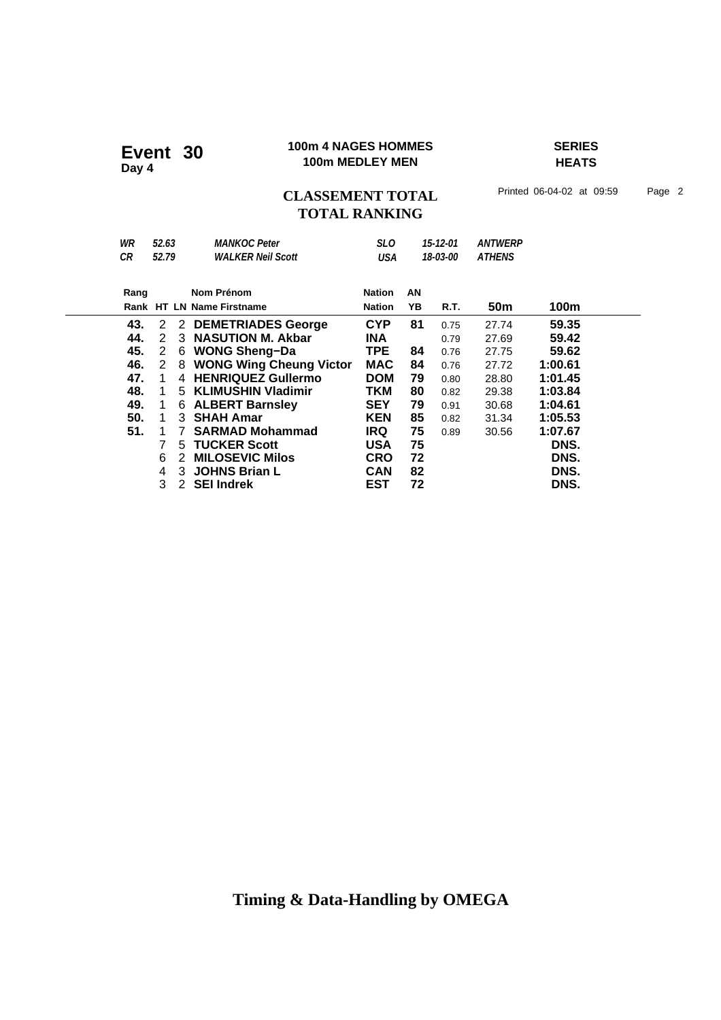### **100m 4 NAGES HOMMES SERIES 100m 4 NAGES HOMME**<br>100m MEDLEY MEN

**HEATS**

## CLASSEMENT TOTAL Printed 06-04-02 at 09:59 Page 2 **TOTAL RANKING**

| WR<br>СR                                                    | 52.63<br>52.79                       |                  | <b>MANKOC Peter</b><br><b>WALKER Neil Scott</b>                                                                                                                                                                               | SLO.<br>USA                                                                                                         |                                              | 15-12-01<br>18-03-00                                                 | <b>ANTWERP</b><br><b>ATHENS</b>                                               |                                                                                           |
|-------------------------------------------------------------|--------------------------------------|------------------|-------------------------------------------------------------------------------------------------------------------------------------------------------------------------------------------------------------------------------|---------------------------------------------------------------------------------------------------------------------|----------------------------------------------|----------------------------------------------------------------------|-------------------------------------------------------------------------------|-------------------------------------------------------------------------------------------|
| Rang                                                        |                                      |                  | Nom Prénom<br>Rank HT LN Name Firstname                                                                                                                                                                                       | <b>Nation</b><br><b>Nation</b>                                                                                      | AN<br>YΒ                                     | R.T.                                                                 | 50 <sub>m</sub>                                                               | 100m                                                                                      |
| 43.<br>44.<br>45.<br>46.<br>47.<br>48.<br>49.<br>50.<br>51. | 2<br>2<br>2<br>2<br>1<br>1<br>1<br>1 | 3<br>6<br>8<br>4 | 2 DEMETRIADES George<br><b>NASUTION M. Akbar</b><br><b>WONG Sheng-Da</b><br><b>WONG Wing Cheung Victor</b><br><b>HENRIQUEZ Gullermo</b><br>5 KLIMUSHIN Vladimir<br>6 ALBERT Barnsley<br>3 SHAH Amar<br><b>SARMAD Mohammad</b> | <b>CYP</b><br><b>INA</b><br><b>TPE</b><br><b>MAC</b><br><b>DOM</b><br>TKM<br><b>SEY</b><br><b>KEN</b><br><b>IRQ</b> | 81<br>84<br>84<br>79<br>80<br>79<br>85<br>75 | 0.75<br>0.79<br>0.76<br>0.76<br>0.80<br>0.82<br>0.91<br>0.82<br>0.89 | 27.74<br>27.69<br>27.75<br>27.72<br>28.80<br>29.38<br>30.68<br>31.34<br>30.56 | 59.35<br>59.42<br>59.62<br>1:00.61<br>1:01.45<br>1:03.84<br>1:04.61<br>1:05.53<br>1:07.67 |
|                                                             | 6<br>4<br>3                          | 5<br>2<br>3<br>2 | <b>TUCKER Scott</b><br><b>MILOSEVIC Milos</b><br><b>JOHNS Brian L</b><br><b>SEI Indrek</b>                                                                                                                                    | <b>USA</b><br><b>CRO</b><br><b>CAN</b><br>EST                                                                       | 75<br>72<br>82<br>72                         |                                                                      |                                                                               | DNS.<br>DNS.<br>DNS.<br>DNS.                                                              |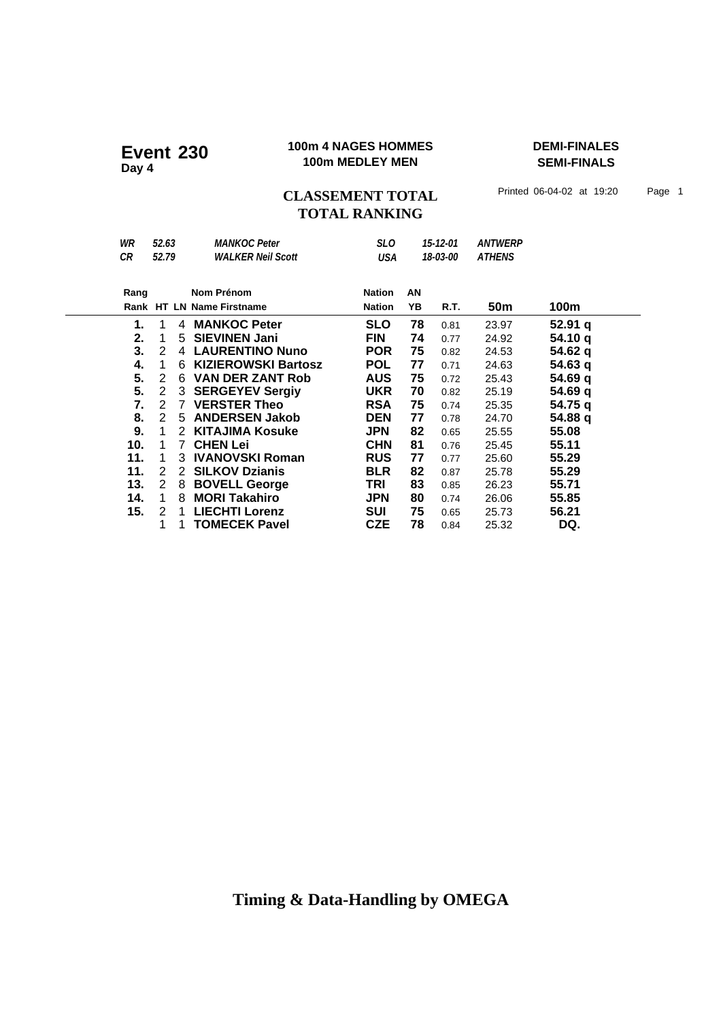### **100m 4 NAGES HOMMES DEMI-FINALES 100m 4 NAGES HOMME**<br>100m MEDLEY MEN

**SEMI-FINALS**

CLASSEMENT TOTAL Printed 06-04-02 at 19:20 Page 1 **TOTAL RANKING**

| WR<br>CR | 52.63<br>52.79        | <b>MANKOC Peter</b><br><b>WALKER Neil Scott</b> | <b>SLO</b><br>USA |    | 15-12-01<br>18-03-00 | <b>ANTWERP</b><br><b>ATHENS</b> |         |
|----------|-----------------------|-------------------------------------------------|-------------------|----|----------------------|---------------------------------|---------|
|          |                       |                                                 |                   |    |                      |                                 |         |
| Rang     |                       | Nom Prénom                                      | <b>Nation</b>     | AN |                      |                                 |         |
|          |                       | Rank HT LN Name Firstname                       | <b>Nation</b>     | YB | R.T.                 | 50 <sub>m</sub>                 | 100m    |
| 1.       | 1<br>4                | <b>MANKOC Peter</b>                             | <b>SLO</b>        | 78 | 0.81                 | 23.97                           | 52.91 q |
| 2.       | 5<br>1                | <b>SIEVINEN Jani</b>                            | <b>FIN</b>        | 74 | 0.77                 | 24.92                           | 54.10 q |
| 3.       | 2                     | 4 LAURENTINO Nuno                               | <b>POR</b>        | 75 | 0.82                 | 24.53                           | 54.62 q |
| 4.       | 1<br>6                | <b>KIZIEROWSKI Bartosz</b>                      | <b>POL</b>        | 77 | 0.71                 | 24.63                           | 54.63 a |
| 5.       | 2<br>6                | <b>VAN DER ZANT Rob</b>                         | <b>AUS</b>        | 75 | 0.72                 | 25.43                           | 54.69 q |
| 5.       | $\mathbf{2}^{\prime}$ | 3 SERGEYEV Sergiy                               | <b>UKR</b>        | 70 | 0.82                 | 25.19                           | 54.69 q |
| 7.       | 2                     | 7 VERSTER Theo                                  | <b>RSA</b>        | 75 | 0.74                 | 25.35                           | 54.75 q |
| 8.       | 2<br>5                | <b>ANDERSEN Jakob</b>                           | <b>DEN</b>        | 77 | 0.78                 | 24.70                           | 54.88 q |
| 9.       | 1<br>2                | <b>KITAJIMA Kosuke</b>                          | <b>JPN</b>        | 82 | 0.65                 | 25.55                           | 55.08   |
| 10.      | 1<br>$7^{\circ}$      | <b>CHEN Lei</b>                                 | <b>CHN</b>        | 81 | 0.76                 | 25.45                           | 55.11   |
| 11.      | 1                     | 3 IVANOVSKI Roman                               | <b>RUS</b>        | 77 | 0.77                 | 25.60                           | 55.29   |
| 11.      | 2<br>$\mathbf{2}$     | <b>SILKOV Dzianis</b>                           | <b>BLR</b>        | 82 | 0.87                 | 25.78                           | 55.29   |
| 13.      | 2<br>8                | <b>BOVELL George</b>                            | TRI               | 83 | 0.85                 | 26.23                           | 55.71   |
| 14.      | 1<br>8                | <b>MORI Takahiro</b>                            | <b>JPN</b>        | 80 | 0.74                 | 26.06                           | 55.85   |
| 15.      | 2<br>1                | <b>LIECHTI Lorenz</b>                           | SUI               | 75 | 0.65                 | 25.73                           | 56.21   |
|          | 1<br>1                | <b>TOMECEK Pavel</b>                            | <b>CZE</b>        | 78 | 0.84                 | 25.32                           | DQ.     |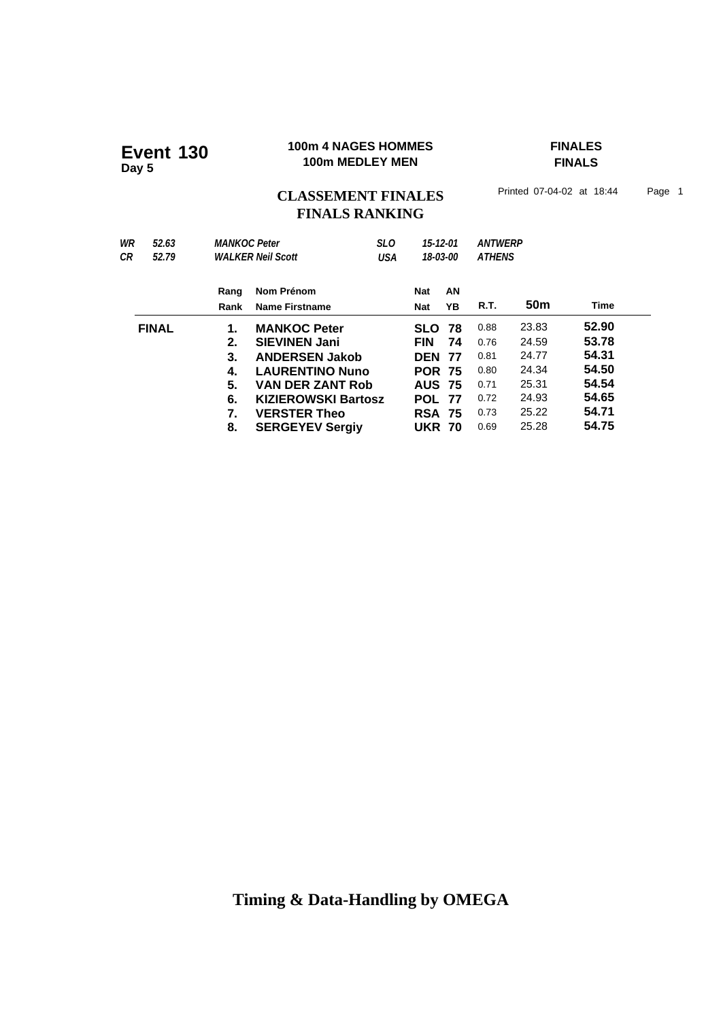# **100m 4 NAGES HOMMES**<br>
100m MEDLEY MEN

TINALS
FINALS

**FINALS**

# CLASSEMENT FINALES<sup>Printed 07-04-02 at 18:44</sup> Page 1 **FINALS RANKING**

| WR<br>52.63<br>СR<br>52.79 | <b>MANKOC Peter</b>                          | <b>WALKER Neil Scott</b>                                                                                                                                                                                 | <b>SLO</b><br>USA | 15-12-01                                                                                                                    | 18-03-00        | <b>ANTWERP</b><br><b>ATHENS</b>                              |                                                                      |                                                                      |
|----------------------------|----------------------------------------------|----------------------------------------------------------------------------------------------------------------------------------------------------------------------------------------------------------|-------------------|-----------------------------------------------------------------------------------------------------------------------------|-----------------|--------------------------------------------------------------|----------------------------------------------------------------------|----------------------------------------------------------------------|
|                            | Rang<br>Rank                                 | Nom Prénom<br><b>Name Firstname</b>                                                                                                                                                                      |                   | <b>Nat</b><br><b>Nat</b>                                                                                                    | AN<br>YB        | R.T.                                                         | 50m                                                                  | <b>Time</b>                                                          |
| <b>FINAL</b>               | 1.<br>2.<br>3.<br>4.<br>5.<br>6.<br>7.<br>8. | <b>MANKOC Peter</b><br><b>SIEVINEN Jani</b><br><b>ANDERSEN Jakob</b><br><b>LAURENTINO Nuno</b><br><b>VAN DER ZANT Rob</b><br><b>KIZIEROWSKI Bartosz</b><br><b>VERSTER Theo</b><br><b>SERGEYEV Sergiy</b> |                   | <b>SLO</b><br><b>FIN</b><br><b>DEN</b><br><b>POR 75</b><br><b>AUS 75</b><br><b>POL 77</b><br><b>RSA 75</b><br><b>UKR 70</b> | 78<br>74<br>-77 | 0.88<br>0.76<br>0.81<br>0.80<br>0.71<br>0.72<br>0.73<br>0.69 | 23.83<br>24.59<br>24.77<br>24.34<br>25.31<br>24.93<br>25.22<br>25.28 | 52.90<br>53.78<br>54.31<br>54.50<br>54.54<br>54.65<br>54.71<br>54.75 |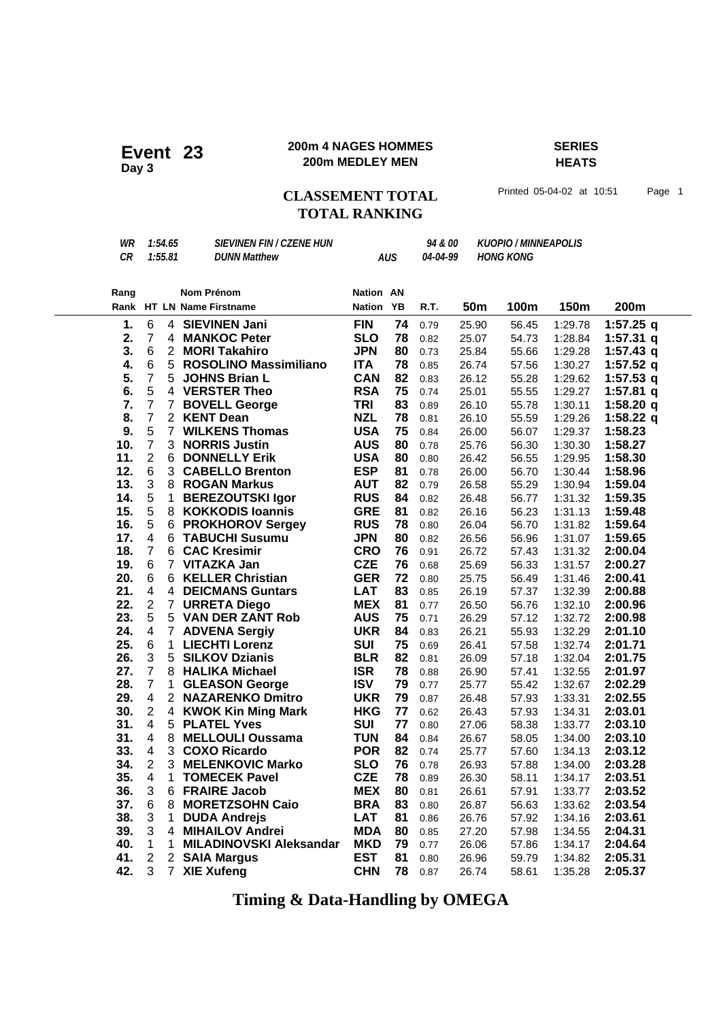### **200m 4 NAGES HOMMES SERIES 200m 4 NAGES HOMME**<br>200m MEDLEY MEN

# **HEATS**

### **CLASSEMENT TOTAL** Printed 05-04-02 at 10:51 Page 1 **TOTAL RANKING**

| WR   |                           | <b>SIEVINEN FIN / CZENE HUN</b><br><b>KUOPIO / MINNEAPOLIS</b><br>1:54.65<br>94 & 00 |                                         |                            |            |          |            |                  |         |             |
|------|---------------------------|--------------------------------------------------------------------------------------|-----------------------------------------|----------------------------|------------|----------|------------|------------------|---------|-------------|
| CR   |                           | 1:55.81                                                                              | <b>DUNN Matthew</b>                     |                            | <b>AUS</b> | 04-04-99 |            | <b>HONG KONG</b> |         |             |
|      |                           |                                                                                      |                                         |                            |            |          |            |                  |         |             |
|      |                           |                                                                                      |                                         |                            |            |          |            |                  |         |             |
| Rang |                           |                                                                                      | Nom Prénom<br>Rank HT LN Name Firstname | Nation AN<br><b>Nation</b> | YB         | R.T.     | <b>50m</b> | 100m             | 150m    | 200m        |
|      |                           |                                                                                      |                                         |                            |            |          |            |                  |         |             |
| 1.   | 6                         |                                                                                      | 4 SIEVINEN Jani                         | <b>FIN</b>                 | 74         | 0.79     | 25.90      | 56.45            | 1:29.78 | 1:57.25 q   |
| 2.   | $\overline{7}$            |                                                                                      | 4 MANKOC Peter                          | <b>SLO</b>                 | 78         | 0.82     | 25.07      | 54.73            | 1:28.84 | 1:57.31 q   |
| 3.   | 6                         |                                                                                      | 2 MORI Takahiro                         | <b>JPN</b>                 | 80         | 0.73     | 25.84      | 55.66            | 1:29.28 | 1:57.43 $q$ |
| 4.   | 6                         |                                                                                      | 5 ROSOLINO Massimiliano                 | <b>ITA</b>                 | 78         | 0.85     | 26.74      | 57.56            | 1:30.27 | 1:57.52 $q$ |
| 5.   | $\overline{7}$            | 5                                                                                    | <b>JOHNS Brian L</b>                    | <b>CAN</b>                 | 82         | 0.83     | 26.12      | 55.28            | 1:29.62 | 1:57.53 $q$ |
| 6.   | 5                         |                                                                                      | 4 VERSTER Theo                          | <b>RSA</b>                 | 75         | 0.74     | 25.01      | 55.55            | 1:29.27 | $1:57.81$ q |
| 7.   | $\overline{7}$            | $\overline{7}$                                                                       | <b>BOVELL George</b>                    | <b>TRI</b>                 | 83         | 0.89     | 26.10      | 55.78            | 1:30.11 | 1:58.20 q   |
| 8.   | $\boldsymbol{7}$          | $\overline{2}$                                                                       | <b>KENT Dean</b>                        | <b>NZL</b>                 | 78         | 0.81     | 26.10      | 55.59            | 1:29.26 | 1:58.22 $q$ |
| 9.   | 5                         |                                                                                      | 7 WILKENS Thomas                        | <b>USA</b>                 | 75         | 0.84     | 26.00      | 56.07            | 1:29.37 | 1:58.23     |
| 10.  | $\overline{7}$            |                                                                                      | 3 NORRIS Justin                         | <b>AUS</b>                 | 80         | 0.78     | 25.76      | 56.30            | 1:30.30 | 1:58.27     |
| 11.  | $\overline{2}$            |                                                                                      | 6 DONNELLY Erik                         | <b>USA</b>                 | 80         | 0.80     | 26.42      | 56.55            | 1:29.95 | 1:58.30     |
| 12.  | 6                         |                                                                                      | 3 CABELLO Brenton                       | <b>ESP</b>                 | 81         | 0.78     | 26.00      | 56.70            | 1:30.44 | 1:58.96     |
| 13.  | $\ensuremath{\mathsf{3}}$ |                                                                                      | 8 ROGAN Markus                          | <b>AUT</b>                 | 82         | 0.79     | 26.58      | 55.29            | 1:30.94 | 1:59.04     |
| 14.  | 5                         | $\mathbf 1$                                                                          | <b>BEREZOUTSKI Igor</b>                 | <b>RUS</b>                 | 84         | 0.82     | 26.48      | 56.77            | 1:31.32 | 1:59.35     |
| 15.  | 5                         | 8                                                                                    | <b>KOKKODIS loannis</b>                 | <b>GRE</b>                 | 81         | 0.82     | 26.16      | 56.23            | 1:31.13 | 1:59.48     |
| 16.  | 5                         |                                                                                      | 6 PROKHOROV Sergey                      | <b>RUS</b>                 | 78         | 0.80     | 26.04      | 56.70            | 1:31.82 | 1:59.64     |
| 17.  | 4                         |                                                                                      | <b>6 TABUCHI Susumu</b>                 | <b>JPN</b>                 | 80         | 0.82     | 26.56      | 56.96            | 1:31.07 | 1:59.65     |
| 18.  | $\overline{7}$            | 6.                                                                                   | <b>CAC Kresimir</b>                     | <b>CRO</b>                 | 76         | 0.91     | 26.72      | 57.43            | 1:31.32 | 2:00.04     |
| 19.  | 6                         |                                                                                      | 7 VITAZKA Jan                           | <b>CZE</b>                 | 76         | 0.68     | 25.69      | 56.33            | 1:31.57 | 2:00.27     |
| 20.  | 6                         |                                                                                      | 6 KELLER Christian                      | <b>GER</b>                 | 72         | 0.80     | 25.75      | 56.49            | 1:31.46 | 2:00.41     |
| 21.  | $\overline{\mathbf{4}}$   |                                                                                      | <b>4 DEICMANS Guntars</b>               | <b>LAT</b>                 | 83         | 0.85     | 26.19      | 57.37            | 1:32.39 | 2:00.88     |
| 22.  | $\overline{2}$            |                                                                                      | 7 URRETA Diego                          | <b>MEX</b>                 | 81         | 0.77     | 26.50      | 56.76            | 1:32.10 | 2:00.96     |
| 23.  | 5                         |                                                                                      | 5 VAN DER ZANT Rob                      | <b>AUS</b>                 | 75         | 0.71     | 26.29      | 57.12            | 1:32.72 | 2:00.98     |
| 24.  | 4                         |                                                                                      | 7 ADVENA Sergiy                         | <b>UKR</b>                 | 84         | 0.83     | 26.21      | 55.93            | 1:32.29 | 2:01.10     |
| 25.  | 6                         | $\mathbf 1$                                                                          | <b>LIECHTI Lorenz</b>                   | <b>SUI</b>                 | 75         | 0.69     | 26.41      | 57.58            | 1:32.74 | 2:01.71     |
| 26.  | 3                         | 5                                                                                    | <b>SILKOV Dzianis</b>                   | <b>BLR</b>                 | 82         | 0.81     | 26.09      | 57.18            | 1:32.04 | 2:01.75     |
| 27.  | $\overline{7}$            |                                                                                      | 8 HALIKA Michael                        | <b>ISR</b>                 | 78         | 0.88     | 26.90      | 57.41            | 1:32.55 | 2:01.97     |
| 28.  | $\overline{7}$            | $\mathbf{1}$                                                                         | <b>GLEASON George</b>                   | <b>ISV</b>                 | 79         | 0.77     | 25.77      | 55.42            | 1:32.67 | 2:02.29     |
| 29.  | 4                         |                                                                                      | 2 NAZARENKO Dmitro                      | <b>UKR</b>                 | 79         | 0.87     | 26.48      | 57.93            | 1:33.31 | 2:02.55     |
| 30.  | $\overline{2}$            | $\overline{4}$                                                                       | <b>KWOK Kin Ming Mark</b>               | <b>HKG</b>                 | 77         | 0.62     | 26.43      | 57.93            | 1:34.31 | 2:03.01     |
| 31.  | 4                         |                                                                                      | 5 PLATEL Yves                           | <b>SUI</b>                 | 77         | 0.80     | 27.06      | 58.38            | 1:33.77 | 2:03.10     |
| 31.  | 4                         | 8                                                                                    | <b>MELLOULI Oussama</b>                 | <b>TUN</b>                 | 84         | 0.84     | 26.67      | 58.05            | 1:34.00 | 2:03.10     |
| 33.  | $\overline{\mathbf{4}}$   |                                                                                      | 3 COXO Ricardo                          | <b>POR</b>                 | 82         | 0.74     | 25.77      | 57.60            | 1:34.13 | 2:03.12     |
| 34.  | $\overline{2}$            |                                                                                      | 3 MELENKOVIC Marko                      | <b>SLO</b>                 | 76         | 0.78     | 26.93      | 57.88            | 1:34.00 | 2:03.28     |
| 35.  | $\overline{4}$            | 1                                                                                    | <b>TOMECEK Pavel</b>                    | <b>CZE</b>                 |            | 78 0.89  | 26.30      | 58.11            | 1:34.17 | 2:03.51     |
| 36.  | 3                         |                                                                                      | 6 FRAIRE Jacob                          | <b>MEX</b>                 | 80         | 0.81     | 26.61      | 57.91            | 1:33.77 | 2:03.52     |
| 37.  | 6                         | 8                                                                                    | <b>MORETZSOHN Caio</b>                  | <b>BRA</b>                 | 83         | 0.80     | 26.87      | 56.63            | 1:33.62 | 2:03.54     |
| 38.  | 3                         | 1.                                                                                   | <b>DUDA Andrejs</b>                     | <b>LAT</b>                 | 81         | 0.86     | 26.76      | 57.92            | 1:34.16 | 2:03.61     |
| 39.  | 3                         | 4                                                                                    | <b>MIHAILOV Andrei</b>                  | <b>MDA</b>                 | 80         | 0.85     | 27.20      | 57.98            | 1:34.55 | 2:04.31     |
| 40.  | 1                         | 1.                                                                                   | <b>MILADINOVSKI Aleksandar</b>          | <b>MKD</b>                 | 79         | 0.77     | 26.06      | 57.86            | 1:34.17 | 2:04.64     |
| 41.  | $\overline{2}$            |                                                                                      | 2 SAIA Margus                           | <b>EST</b>                 | 81         | 0.80     | 26.96      | 59.79            | 1:34.82 | 2:05.31     |
| 42.  | 3                         | $\overline{7}$                                                                       | <b>XIE Xufeng</b>                       | <b>CHN</b>                 | 78         | 0.87     | 26.74      | 58.61            | 1:35.28 | 2:05.37     |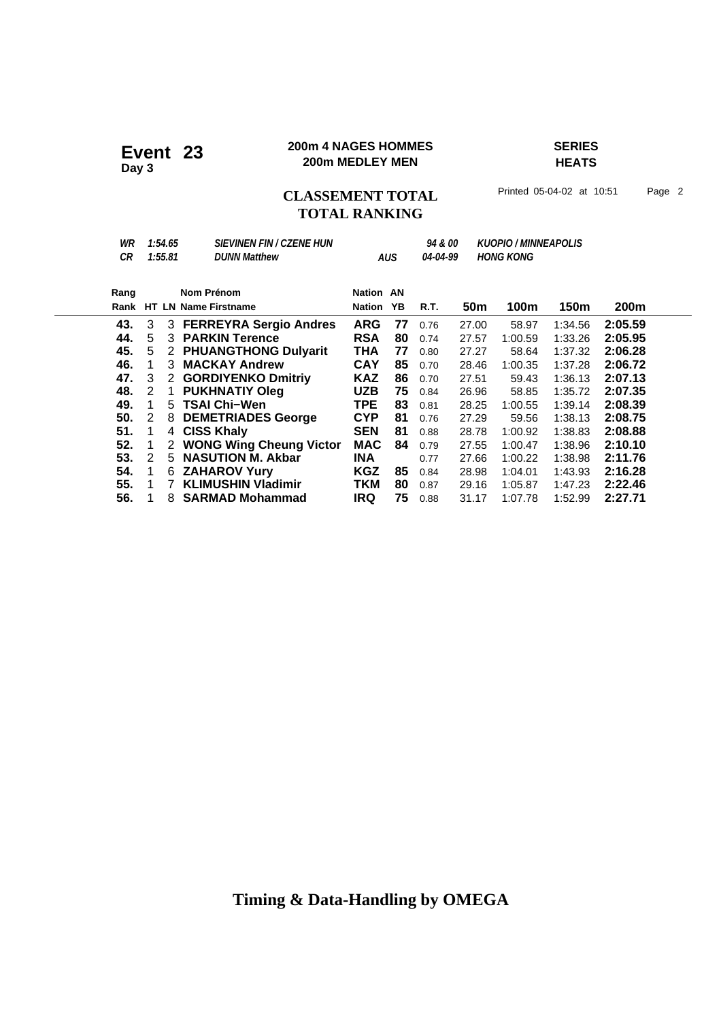### **200m 4 NAGES HOMMES SERIES 200m 4 NAGES HOMME**<br>200m MEDLEY MEN

# **HEATS**

**CLASSEMENT TOTAL** Printed 05-04-02 at 10:51 Page 2

# **TOTAL RANKING**

| WR<br>СR | 1:54.65<br>1:55.81 | <i><b>SIEVINEN FIN / CZENE HUN</b></i><br><b>DUNN Matthew</b> |            | AUS | <i>94 &amp; 00</i><br>04-04-99 |       | <b>KUOPIO / MINNEAPOLIS</b><br><b>HONG KONG</b> |         |         |
|----------|--------------------|---------------------------------------------------------------|------------|-----|--------------------------------|-------|-------------------------------------------------|---------|---------|
| Rang     |                    | Nom Prénom                                                    | Nation AN  |     |                                |       |                                                 |         |         |
| Rank     |                    | <b>HT LN Name Firstname</b>                                   | Nation     | ΥB  | R.T.                           | 50m   | 100m                                            | 150m    | 200m    |
| 43.      | 3                  | 3 FERREYRA Sergio Andres                                      | <b>ARG</b> | 77  | 0.76                           | 27.00 | 58.97                                           | 1:34.56 | 2:05.59 |
| 44.      | 5                  | 3 PARKIN Terence                                              | <b>RSA</b> | 80  | 0.74                           | 27.57 | 1:00.59                                         | 1:33.26 | 2:05.95 |
| 45.      | 5                  | 2 PHUANGTHONG Dulyarit                                        | THA        | 77  | 0.80                           | 27.27 | 58.64                                           | 1:37.32 | 2:06.28 |
| 46.      | 1<br>3             | <b>MACKAY Andrew</b>                                          | <b>CAY</b> | 85  | 0.70                           | 28.46 | 1:00.35                                         | 1:37.28 | 2:06.72 |
| 47.      | 3<br>2             | <b>GORDIYENKO Dmitriy</b>                                     | <b>KAZ</b> | 86  | 0.70                           | 27.51 | 59.43                                           | 1:36.13 | 2:07.13 |
| 48.      | 2                  | <b>PUKHNATIY Oleg</b>                                         | <b>UZB</b> | 75  | 0.84                           | 26.96 | 58.85                                           | 1:35.72 | 2:07.35 |
| 49.      | 1<br>5             | <b>TSAI Chi-Wen</b>                                           | <b>TPE</b> | 83  | 0.81                           | 28.25 | 1:00.55                                         | 1:39.14 | 2:08.39 |
| 50.      | 2<br>8             | <b>DEMETRIADES George</b>                                     | <b>CYP</b> | 81  | 0.76                           | 27.29 | 59.56                                           | 1:38.13 | 2:08.75 |
| 51.      | 1<br>4             | <b>CISS Khaly</b>                                             | <b>SEN</b> | 81  | 0.88                           | 28.78 | 1:00.92                                         | 1:38.83 | 2:08.88 |
| 52.      | 1<br>2             | <b>WONG Wing Cheung Victor</b>                                | <b>MAC</b> | 84  | 0.79                           | 27.55 | 1:00.47                                         | 1:38.96 | 2:10.10 |
| 53.      | 2                  | 5 NASUTION M. Akbar                                           | <b>INA</b> |     | 0.77                           | 27.66 | 1:00.22                                         | 1:38.98 | 2:11.76 |
| 54.      | 1                  | <b>6 ZAHAROV Yury</b>                                         | KGZ        | 85  | 0.84                           | 28.98 | 1:04.01                                         | 1:43.93 | 2:16.28 |
| 55.      | 1<br>7             | <b>KLIMUSHIN Vladimir</b>                                     | <b>TKM</b> | 80  | 0.87                           | 29.16 | 1:05.87                                         | 1:47.23 | 2:22.46 |
| 56.      | 8                  | <b>SARMAD Mohammad</b>                                        | <b>IRQ</b> | 75  | 0.88                           | 31.17 | 1:07.78                                         | 1:52.99 | 2:27.71 |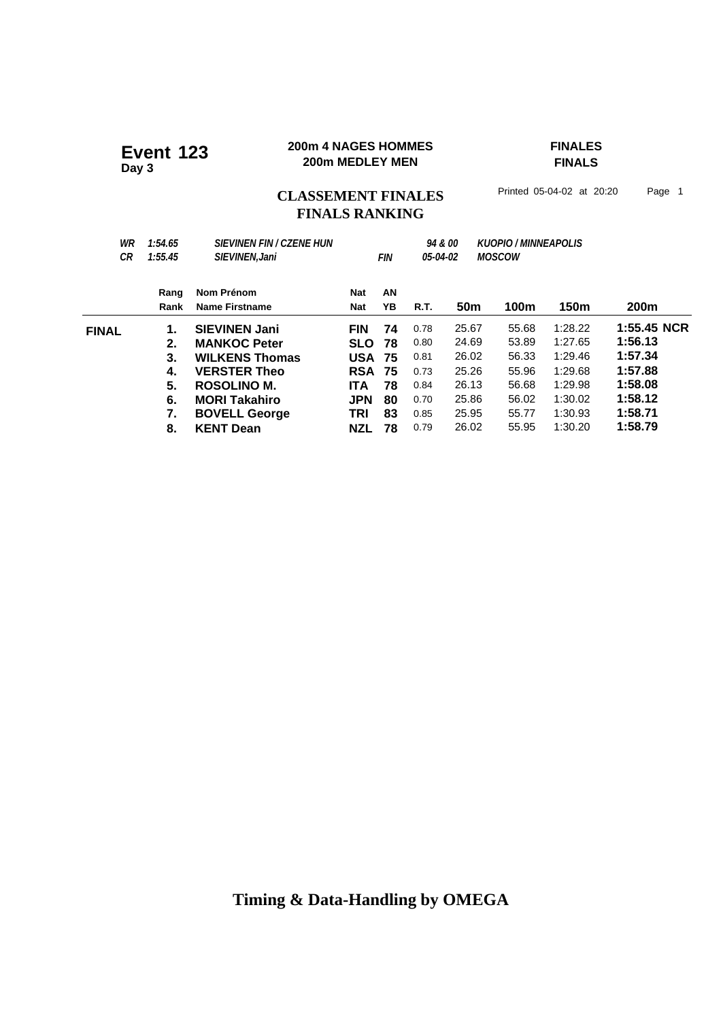### **200m 4 NAGES HOMMES FINALES 200m 4 NAGES HOMME**<br>200m MEDLEY MEN

**FINALS**

## CLASSEMENT FINALES<sup>Printed 05-04-02 at 20:20 Page 1</sup> **FINALS RANKING**

| WR<br>СR     | 1:54.65<br>1:55.45 | <b>SIEVINEN FIN / CZENE HUN</b><br>SIEVINEN, Jani |            | FIN      | 05-04-02 | <i>94 &amp; 00</i> | <b>KUOPIO / MINNEAPOLIS</b><br><i><b>MOSCOW</b></i> |         |                  |
|--------------|--------------------|---------------------------------------------------|------------|----------|----------|--------------------|-----------------------------------------------------|---------|------------------|
|              | Rang<br>Rank       | Nom Prénom<br><b>Name Firstname</b>               | Nat<br>Nat | AN<br>YΒ | R.T.     | 50 <sub>m</sub>    | 100m                                                | 150m    | 200 <sub>m</sub> |
| <b>FINAL</b> | 1.                 | <b>SIEVINEN Jani</b>                              | <b>FIN</b> | 74       | 0.78     | 25.67              | 55.68                                               | 1:28.22 | 1:55.45 NCR      |
|              | 2.                 | <b>MANKOC Peter</b>                               | <b>SLO</b> | 78       | 0.80     | 24.69              | 53.89                                               | 1:27.65 | 1:56.13          |
|              | 3.                 | <b>WILKENS Thomas</b>                             | <b>USA</b> | 75       | 0.81     | 26.02              | 56.33                                               | 1:29.46 | 1:57.34          |
|              | 4.                 | <b>VERSTER Theo</b>                               | <b>RSA</b> | 75       | 0.73     | 25.26              | 55.96                                               | 1:29.68 | 1:57.88          |
|              | 5.                 | ROSOLINO M.                                       | ITA.       | 78       | 0.84     | 26.13              | 56.68                                               | 1:29.98 | 1:58.08          |
|              | 6.                 | <b>MORI Takahiro</b>                              | <b>JPN</b> | 80       | 0.70     | 25.86              | 56.02                                               | 1:30.02 | 1:58.12          |
|              | 7.                 | <b>BOVELL George</b>                              | TRI        | 83       | 0.85     | 25.95              | 55.77                                               | 1:30.93 | 1:58.71          |
|              | 8.                 | <b>KENT Dean</b>                                  | NZL        | 78       | 0.79     | 26.02              | 55.95                                               | 1:30.20 | 1:58.79          |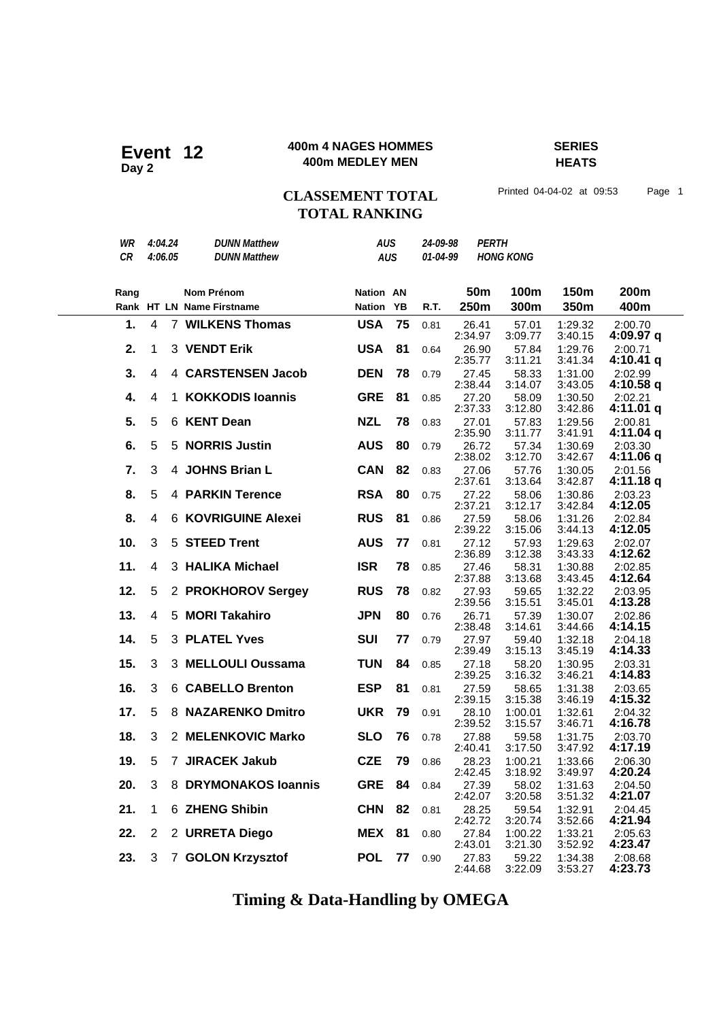### **400m 4 NAGES HOMMES SERIES 400m 4 NAGES HOMME**<br>400m MEDLEY MEN

**HEATS**

## CLASSEMENT TOTAL Printed 04-04-02 at 09:53 Page 1 **TOTAL RANKING**

| WR        |                | 4:04.24 | <b>DUNN Matthew</b>                     | <b>AUS</b>                    |            | 24-09-98 | <b>PERTH</b>     |                    |                    |                      |
|-----------|----------------|---------|-----------------------------------------|-------------------------------|------------|----------|------------------|--------------------|--------------------|----------------------|
| <b>CR</b> |                | 4:06.05 | <b>DUNN Matthew</b>                     |                               | <b>AUS</b> | 01-04-99 |                  | <b>HONG KONG</b>   |                    |                      |
|           |                |         |                                         |                               |            |          |                  |                    |                    |                      |
|           |                |         |                                         |                               |            |          | 50 <sub>m</sub>  | 100m               | 150m               | 200m                 |
| Rang      |                |         | Nom Prénom<br>Rank HT LN Name Firstname | <b>Nation AN</b><br>Nation YB |            |          | 250m             | 300m               | 350m               | 400m                 |
|           |                |         |                                         |                               |            | R.T.     |                  |                    |                    |                      |
| 1.        | $\overline{4}$ |         | 7 WILKENS Thomas                        | <b>USA</b>                    | 75         | 0.81     | 26.41<br>2:34.97 | 57.01<br>3:09.77   | 1:29.32<br>3:40.15 | 2:00.70<br>4:09.97 q |
| 2.        | 1              |         | 3 VENDT Erik                            | <b>USA</b>                    | 81         | 0.64     | 26.90<br>2:35.77 | 57.84<br>3:11.21   | 1:29.76<br>3:41.34 | 2:00.71<br>4:10.41 q |
| 3.        | $\overline{4}$ |         | 4 CARSTENSEN Jacob                      | <b>DEN</b>                    | 78         | 0.79     | 27.45<br>2:38.44 | 58.33<br>3:14.07   | 1:31.00<br>3:43.05 | 2:02.99<br>4:10.58 q |
| 4.        | $\overline{4}$ | 1.      | <b>KOKKODIS loannis</b>                 | <b>GRE</b>                    | 81         | 0.85     | 27.20<br>2:37.33 | 58.09<br>3:12.80   | 1:30.50<br>3:42.86 | 2:02.21<br>4:11.01 q |
| 5.        | 5              |         | 6 KENT Dean                             | <b>NZL</b>                    | 78         | 0.83     | 27.01<br>2:35.90 | 57.83<br>3:11.77   | 1:29.56<br>3:41.91 | 2:00.81<br>4:11.04 q |
| 6.        | 5              | 5       | <b>NORRIS Justin</b>                    | <b>AUS</b>                    | 80         | 0.79     | 26.72<br>2:38.02 | 57.34<br>3:12.70   | 1:30.69<br>3:42.67 | 2:03.30<br>4:11.06 q |
| 7.        | 3              |         | 4 JOHNS Brian L                         | <b>CAN</b>                    | 82         | 0.83     | 27.06<br>2:37.61 | 57.76<br>3:13.64   | 1:30.05<br>3:42.87 | 2:01.56<br>4:11.18 q |
| 8.        | 5              |         | <b>4 PARKIN Terence</b>                 | <b>RSA</b>                    | 80         | 0.75     | 27.22<br>2:37.21 | 58.06<br>3:12.17   | 1:30.86<br>3:42.84 | 2:03.23<br>4:12.05   |
| 8.        | 4              |         | <b>6 KOVRIGUINE Alexei</b>              | <b>RUS</b>                    | 81         | 0.86     | 27.59<br>2:39.22 | 58.06<br>3:15.06   | 1:31.26<br>3:44.13 | 2:02.84<br>4:12.05   |
| 10.       | 3              | 5       | <b>STEED Trent</b>                      | <b>AUS</b>                    | 77         | 0.81     | 27.12<br>2:36.89 | 57.93<br>3:12.38   | 1:29.63<br>3:43.33 | 2:02.07<br>4:12.62   |
| 11.       | $\overline{4}$ |         | 3 HALIKA Michael                        | <b>ISR</b>                    | 78         | 0.85     | 27.46<br>2:37.88 | 58.31<br>3:13.68   | 1:30.88<br>3:43.45 | 2:02.85<br>4:12.64   |
| 12.       | 5              |         | 2 PROKHOROV Sergey                      | <b>RUS</b>                    | 78         | 0.82     | 27.93<br>2:39.56 | 59.65<br>3:15.51   | 1:32.22<br>3:45.01 | 2:03.95<br>4:13.28   |
| 13.       | 4              | 5.      | <b>MORI Takahiro</b>                    | <b>JPN</b>                    | 80         | 0.76     | 26.71            | 57.39              | 1:30.07            | 2:02.86              |
| 14.       | 5              |         | 3 PLATEL Yves                           | <b>SUI</b>                    | 77         | 0.79     | 2:38.48<br>27.97 | 3:14.61<br>59.40   | 3:44.66<br>1:32.18 | 4:14.15<br>2:04.18   |
| 15.       | 3              |         | 3 MELLOULI Oussama                      | <b>TUN</b>                    | 84         | 0.85     | 2:39.49<br>27.18 | 3:15.13<br>58.20   | 3:45.19<br>1:30.95 | 4:14.33<br>2:03.31   |
| 16.       | 3              |         | 6 CABELLO Brenton                       | <b>ESP</b>                    | 81         | 0.81     | 2:39.25<br>27.59 | 3:16.32<br>58.65   | 3:46.21<br>1:31.38 | 4:14.83<br>2:03.65   |
| 17.       | 5              |         | 8 NAZARENKO Dmitro                      | <b>UKR</b>                    | 79         | 0.91     | 2:39.15<br>28.10 | 3:15.38<br>1:00.01 | 3:46.19<br>1:32.61 | 4:15.32<br>2:04.32   |
| 18.       | 3              |         | 2 MELENKOVIC Marko                      | <b>SLO</b>                    | 76         | 0.78     | 2:39.52<br>27.88 | 3:15.57<br>59.58   | 3:46.71<br>1:31.75 | 4:16.78<br>2:03.70   |
| 19.       | 5              |         | 7 JIRACEK Jakub                         | <b>CZE</b>                    | 79         | 0.86     | 2:40.41<br>28.23 | 3:17.50<br>1:00.21 | 3:47.92<br>1:33.66 | 4:17.19<br>2:06.30   |
| 20.       | 3              |         | 8 DRYMONAKOS Ioannis                    | <b>GRE</b>                    | 84         | 0.84     | 2:42.45<br>27.39 | 3:18.92<br>58.02   | 3:49.97<br>1:31.63 | 4:20.24<br>2:04.50   |
| 21.       | 1              |         | 6 ZHENG Shibin                          | <b>CHN</b>                    | 82         | 0.81     | 2:42.07<br>28.25 | 3:20.58<br>59.54   | 3:51.32<br>1:32.91 | 4:21.07<br>2:04.45   |
| 22.       | 2              |         | 2 URRETA Diego                          | <b>MEX</b>                    | 81         | 0.80     | 2:42.72<br>27.84 | 3:20.74<br>1:00.22 | 3:52.66<br>1:33.21 | 4:21.94<br>2:05.63   |
|           |                |         |                                         |                               |            |          | 2:43.01          | 3:21.30            | 3:52.92            | 4:23.47              |
| 23.       | 3              |         | 7 GOLON Krzysztof                       | <b>POL</b>                    | 77         | 0.90     | 27.83<br>2:44.68 | 59.22<br>3:22.09   | 1:34.38<br>3:53.27 | 2:08.68<br>4:23.73   |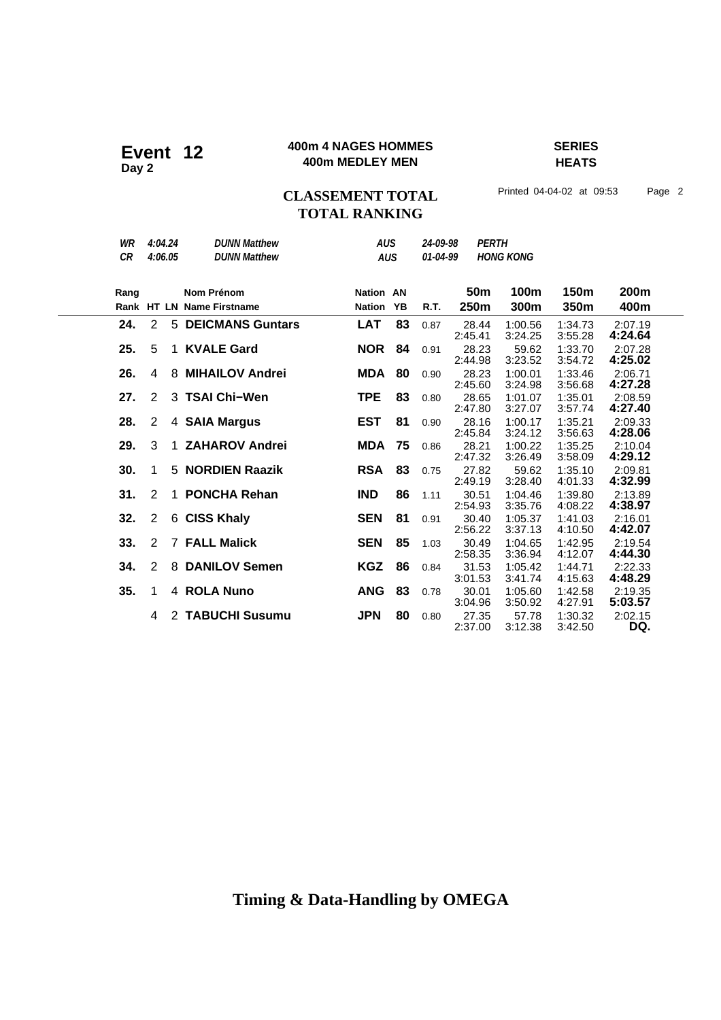### **400m 4 NAGES HOMMES SERIES 400m 4 NAGES HOMME**<br>400m MEDLEY MEN

**HEATS**

## **CLASSEMENT TOTAL** Printed 04-04-02 at 09:53 Page 2 **TOTAL RANKING**

| WR<br><b>CR</b> | 4:04.24<br>4:06.05  | <b>DUNN Matthew</b><br><b>DUNN Matthew</b> | <b>AUS</b><br><b>AUS</b> |    | 24-09-98<br>01-04-99 | <b>PERTH</b>     | <b>HONG KONG</b>   |                    |                    |
|-----------------|---------------------|--------------------------------------------|--------------------------|----|----------------------|------------------|--------------------|--------------------|--------------------|
| Rang            |                     | <b>Nom Prénom</b>                          | <b>Nation AN</b>         |    |                      | 50 <sub>m</sub>  | 100m               | 150 <sub>m</sub>   | 200m               |
|                 |                     | Rank HT LN Name Firstname                  | <b>Nation</b>            | YB | R.T.                 | 250m             | 300m               | 350m               | 400m               |
| 24.             | 2                   | <b>5 DEICMANS Guntars</b>                  | <b>LAT</b>               | 83 | 0.87                 | 28.44<br>2:45.41 | 1:00.56<br>3:24.25 | 1:34.73<br>3:55.28 | 2:07.19<br>4:24.64 |
| 25.             | 5<br>1              | <b>KVALE Gard</b>                          | <b>NOR</b>               | 84 | 0.91                 | 28.23<br>2:44.98 | 59.62<br>3:23.52   | 1:33.70<br>3:54.72 | 2:07.28<br>4:25.02 |
| 26.             | 4                   | 8 MIHAILOV Andrei                          | <b>MDA</b>               | 80 | 0.90                 | 28.23<br>2:45.60 | 1:00.01<br>3:24.98 | 1:33.46<br>3:56.68 | 2:06.71<br>4:27.28 |
| 27.             | 2                   | 3 TSAI Chi-Wen                             | <b>TPE</b>               | 83 | 0.80                 | 28.65<br>2:47.80 | 1:01.07<br>3:27.07 | 1:35.01<br>3:57.74 | 2:08.59<br>4:27.40 |
| 28.             | 2                   | 4 SAIA Margus                              | <b>EST</b>               | 81 | 0.90                 | 28.16<br>2:45.84 | 1:00.17<br>3:24.12 | 1:35.21<br>3:56.63 | 2:09.33<br>4:28.06 |
| 29.             | 3<br>1              | <b>ZAHAROV Andrei</b>                      | <b>MDA</b>               | 75 | 0.86                 | 28.21<br>2:47.32 | 1:00.22<br>3:26.49 | 1:35.25<br>3:58.09 | 2:10.04<br>4:29.12 |
| 30.             | $\mathbf{1}$        | 5 NORDIEN Raazik                           | <b>RSA</b>               | 83 | 0.75                 | 27.82<br>2:49.19 | 59.62<br>3:28.40   | 1:35.10<br>4:01.33 | 2:09.81<br>4:32.99 |
| 31.             | 2<br>1.             | <b>PONCHA Rehan</b>                        | <b>IND</b>               | 86 | 1.11                 | 30.51<br>2:54.93 | 1:04.46<br>3:35.76 | 1:39.80<br>4:08.22 | 2:13.89<br>4:38.97 |
| 32.             | 2                   | 6 CISS Khaly                               | <b>SEN</b>               | 81 | 0.91                 | 30.40<br>2:56.22 | 1:05.37<br>3:37.13 | 1:41.03<br>4:10.50 | 2:16.01<br>4:42.07 |
| 33.             | 2                   | <b>7 FALL Malick</b>                       | <b>SEN</b>               | 85 | 1.03                 | 30.49<br>2:58.35 | 1:04.65<br>3:36.94 | 1:42.95<br>4:12.07 | 2:19.54<br>4:44.30 |
| 34.             | $\overline{2}$<br>8 | <b>DANILOV Semen</b>                       | <b>KGZ</b>               | 86 | 0.84                 | 31.53<br>3:01.53 | 1:05.42<br>3:41.74 | 1:44.71<br>4:15.63 | 2:22.33<br>4:48.29 |
| 35.             | 1                   | 4 ROLA Nuno                                | <b>ANG</b>               | 83 | 0.78                 | 30.01<br>3:04.96 | 1:05.60<br>3:50.92 | 1:42.58<br>4:27.91 | 2:19.35<br>5:03.57 |
|                 | 4                   | 2 TABUCHI Susumu                           | <b>JPN</b>               | 80 | 0.80                 | 27.35<br>2:37.00 | 57.78<br>3:12.38   | 1:30.32<br>3:42.50 | 2:02.15<br>DQ.     |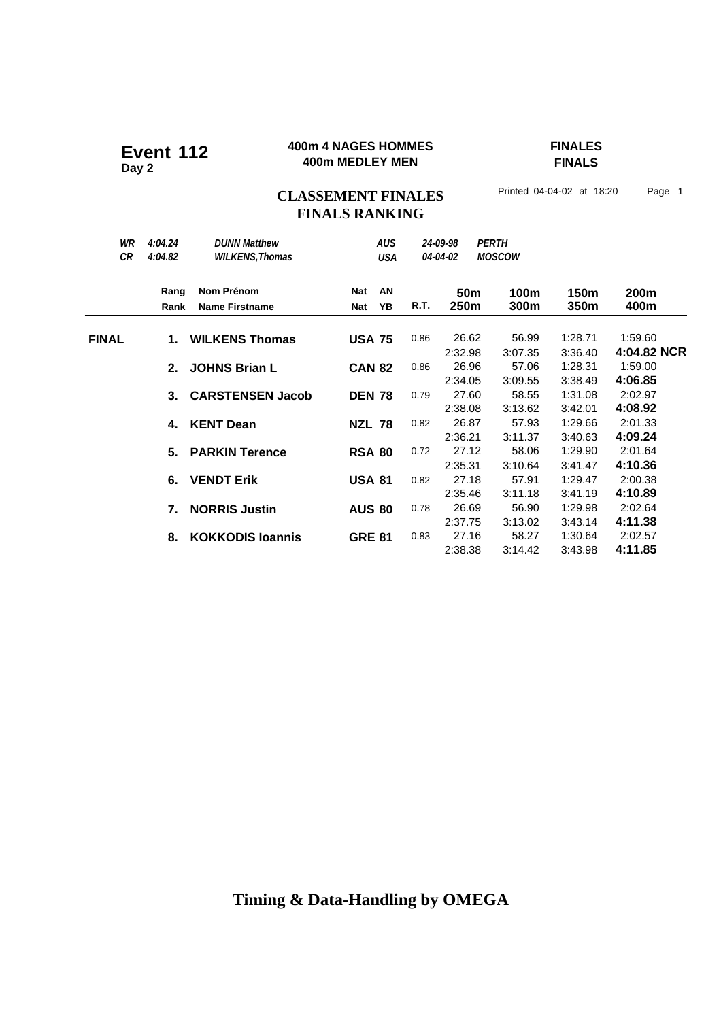### **400m 4 NAGES HOMMES FINALES 400m 4 NAGES HOMME**<br>400m MEDLEY MEN

**FINALS**

## CLASSEMENT FINALES<sup>Printed 04-04-02 at 18:20 Page 1</sup> **FINALS RANKING**

| WR<br>CR     | 4:04.24<br>4:04.82 | <b>DUNN Matthew</b><br><b>WILKENS, Thomas</b> |               | <b>AUS</b><br><b>USA</b> |      | 24-09-98<br>04-04-02 | <b>PERTH</b><br><b>MOSCOW</b> |                    |                    |
|--------------|--------------------|-----------------------------------------------|---------------|--------------------------|------|----------------------|-------------------------------|--------------------|--------------------|
|              | Rang               | Nom Prénom                                    | Nat           | AN                       |      | 50 <sub>m</sub>      | 100m                          | 150m               | 200m               |
|              | Rank               | <b>Name Firstname</b>                         | <b>Nat</b>    | YB                       | R.T. | 250m                 | 300m                          | 350m               | 400m               |
| <b>FINAL</b> | 1.                 | <b>WILKENS Thomas</b>                         | <b>USA 75</b> |                          | 0.86 | 26.62                | 56.99                         | 1:28.71            | 1:59.60            |
|              |                    |                                               |               |                          |      | 2:32.98              | 3:07.35                       | 3:36.40            | 4:04.82 NCR        |
|              | 2.                 | <b>JOHNS Brian L</b>                          | <b>CAN 82</b> |                          | 0.86 | 26.96<br>2:34.05     | 57.06<br>3:09.55              | 1:28.31<br>3:38.49 | 1:59.00<br>4:06.85 |
|              | $3_{-}$            | <b>CARSTENSEN Jacob</b>                       | <b>DEN 78</b> |                          | 0.79 | 27.60                | 58.55                         | 1:31.08            | 2:02.97            |
|              |                    |                                               |               |                          |      | 2:38.08              | 3:13.62                       | 3:42.01            | 4:08.92            |
|              | 4.                 | <b>KENT Dean</b>                              | <b>NZL 78</b> |                          | 0.82 | 26.87                | 57.93                         | 1:29.66            | 2:01.33            |
|              |                    |                                               |               |                          |      | 2:36.21              | 3:11.37                       | 3:40.63            | 4:09.24            |
|              | 5.                 | <b>PARKIN Terence</b>                         | <b>RSA 80</b> |                          | 0.72 | 27.12                | 58.06                         | 1:29.90            | 2:01.64            |
|              |                    |                                               |               |                          |      | 2:35.31              | 3:10.64                       | 3:41.47            | 4:10.36            |
|              | 6.                 | <b>VENDT Erik</b>                             | <b>USA 81</b> |                          | 0.82 | 27.18                | 57.91                         | 1:29.47            | 2:00.38            |
|              |                    |                                               |               |                          |      | 2:35.46              | 3:11.18                       | 3:41.19            | 4:10.89            |
|              | 7.                 | <b>NORRIS Justin</b>                          | <b>AUS 80</b> |                          | 0.78 | 26.69                | 56.90                         | 1:29.98            | 2:02.64            |
|              |                    |                                               |               |                          |      | 2:37.75              | 3:13.02                       | 3:43.14            | 4:11.38            |
|              | 8.                 | <b>KOKKODIS loannis</b>                       | <b>GRE 81</b> |                          | 0.83 | 27.16                | 58.27                         | 1:30.64            | 2:02.57            |
|              |                    |                                               |               |                          |      | 2:38.38              | 3:14.42                       | 3:43.98            | 4:11.85            |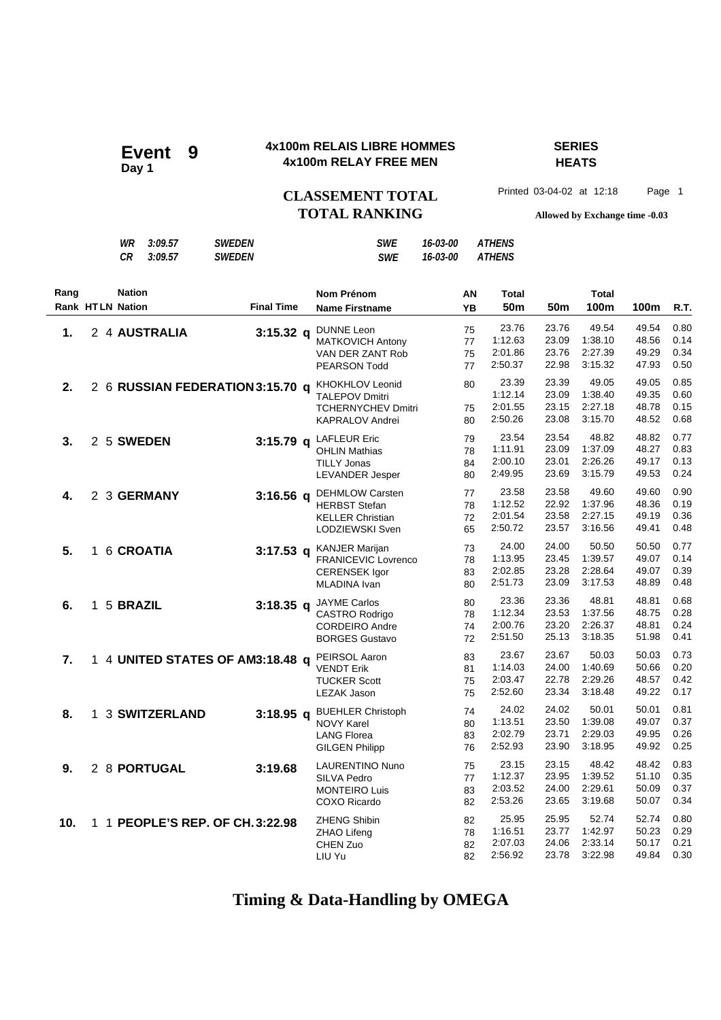### **4x100m RELAIS LIBRE HOMMES SERIES 4x100m RELAIS LIBRE HOMM**<br>4x100m RELAY FREE MEN

# **HEATS**

CLASSEMENT TOTAL Printed 03-04-02 at 12:18 Page 1 **TOTAL RANKING Allowed by Exchange time -0.03**

*WR 3:09.57 SWEDEN SWE 16-03-00 ATHENS*

|                                 |              | CR            | 3:09.57         | <b>SWEDEN</b>                    | <b>SWE</b>                                                                                             | 16-03-00 |                      | <b>ATHENS</b>                          |                                  |                                        |                                  |                              |
|---------------------------------|--------------|---------------|-----------------|----------------------------------|--------------------------------------------------------------------------------------------------------|----------|----------------------|----------------------------------------|----------------------------------|----------------------------------------|----------------------------------|------------------------------|
| Rang<br><b>Rank HTLN Nation</b> |              | <b>Nation</b> |                 | <b>Final Time</b>                | <b>Nom Prénom</b><br><b>Name Firstname</b>                                                             |          | AN<br><b>YB</b>      | <b>Total</b><br>50 <sub>m</sub>        | 50 <sub>m</sub>                  | <b>Total</b><br>100m                   | 100m                             | R.T.                         |
| 1.                              |              |               | 2 4 AUSTRALIA   | $3:15.32$ q                      | <b>DUNNE Leon</b><br><b>MATKOVICH Antony</b><br>VAN DER ZANT Rob<br><b>PEARSON Todd</b>                |          | 75<br>77<br>75<br>77 | 23.76<br>1:12.63<br>2:01.86<br>2:50.37 | 23.76<br>23.09<br>23.76<br>22.98 | 49.54<br>1:38.10<br>2:27.39<br>3:15.32 | 49.54<br>48.56<br>49.29<br>47.93 | 0.80<br>0.14<br>0.34<br>0.50 |
| 2.                              |              |               |                 | 2 6 RUSSIAN FEDERATION 3:15.70 q | <b>KHOKHLOV Leonid</b><br><b>TALEPOV Dmitri</b><br><b>TCHERNYCHEV Dmitri</b><br><b>KAPRALOV Andrei</b> |          | 80<br>75<br>80       | 23.39<br>1:12.14<br>2:01.55<br>2:50.26 | 23.39<br>23.09<br>23.15<br>23.08 | 49.05<br>1:38.40<br>2:27.18<br>3:15.70 | 49.05<br>49.35<br>48.78<br>48.52 | 0.85<br>0.60<br>0.15<br>0.68 |
| 3.                              |              |               | 2 5 SWEDEN      | $3:15.79$ q                      | <b>LAFLEUR Eric</b><br><b>OHLIN Mathias</b><br><b>TILLY Jonas</b><br><b>LEVANDER Jesper</b>            |          | 79<br>78<br>84<br>80 | 23.54<br>1:11.91<br>2:00.10<br>2:49.95 | 23.54<br>23.09<br>23.01<br>23.69 | 48.82<br>1:37.09<br>2:26.26<br>3:15.79 | 48.82<br>48.27<br>49.17<br>49.53 | 0.77<br>0.83<br>0.13<br>0.24 |
| 4.                              |              |               | 2 3 GERMANY     | $3:16.56$ a                      | <b>DEHMLOW Carsten</b><br><b>HERBST Stefan</b><br><b>KELLER Christian</b><br>LODZIEWSKI Sven           |          | 77<br>78<br>72<br>65 | 23.58<br>1:12.52<br>2:01.54<br>2:50.72 | 23.58<br>22.92<br>23.58<br>23.57 | 49.60<br>1:37.96<br>2:27.15<br>3:16.56 | 49.60<br>48.36<br>49.19<br>49.41 | 0.90<br>0.19<br>0.36<br>0.48 |
| 5.                              |              |               | 1 6 CROATIA     |                                  | 3:17.53 q KANJER Marijan<br><b>FRANICEVIC Lovrenco</b><br><b>CERENSEK Igor</b><br>MLADINA Ivan         |          | 73<br>78<br>83<br>80 | 24.00<br>1:13.95<br>2:02.85<br>2:51.73 | 24.00<br>23.45<br>23.28<br>23.09 | 50.50<br>1:39.57<br>2:28.64<br>3:17.53 | 50.50<br>49.07<br>49.07<br>48.89 | 0.77<br>0.14<br>0.39<br>0.48 |
| 6.                              | $\mathbf{1}$ | 5 BRAZIL      |                 |                                  | 3:18.35 q JAYME Carlos<br>CASTRO Rodrigo<br><b>CORDEIRO Andre</b><br><b>BORGES Gustavo</b>             |          | 80<br>78<br>74<br>72 | 23.36<br>1:12.34<br>2:00.76<br>2:51.50 | 23.36<br>23.53<br>23.20<br>25.13 | 48.81<br>1:37.56<br>2:26.37<br>3:18.35 | 48.81<br>48.75<br>48.81<br>51.98 | 0.68<br>0.28<br>0.24<br>0.41 |
| 7.                              |              |               |                 | 1 4 UNITED STATES OF AM3:18.48 q | PEIRSOL Aaron<br><b>VENDT Erik</b><br><b>TUCKER Scott</b><br><b>LEZAK Jason</b>                        |          | 83<br>81<br>75<br>75 | 23.67<br>1:14.03<br>2:03.47<br>2:52.60 | 23.67<br>24.00<br>22.78<br>23.34 | 50.03<br>1:40.69<br>2:29.26<br>3:18.48 | 50.03<br>50.66<br>48.57<br>49.22 | 0.73<br>0.20<br>0.42<br>0.17 |
| 8.                              |              |               | 1 3 SWITZERLAND | $3:18.95$ q                      | <b>BUEHLER Christoph</b><br><b>NOVY Karel</b><br><b>LANG Florea</b><br><b>GILGEN Philipp</b>           |          | 74<br>80<br>83<br>76 | 24.02<br>1:13.51<br>2:02.79<br>2:52.93 | 24.02<br>23.50<br>23.71<br>23.90 | 50.01<br>1:39.08<br>2:29.03<br>3:18.95 | 50.01<br>49.07<br>49.95<br>49.92 | 0.81<br>0.37<br>0.26<br>0.25 |
| 9.                              |              |               | 2 8 PORTUGAL    | 3:19.68                          | <b>LAURENTINO Nuno</b><br>SILVA Pedro<br><b>MONTEIRO Luis</b><br>COXO Ricardo                          |          | 75<br>77<br>83<br>82 | 23.15<br>1:12.37<br>2:03.52<br>2:53.26 | 23.15<br>23.95<br>24.00<br>23.65 | 48.42<br>1:39.52<br>2:29.61<br>3:19.68 | 48.42<br>51.10<br>50.09<br>50.07 | 0.83<br>0.35<br>0.37<br>0.34 |
| 10.                             |              |               |                 | 1 1 PEOPLE'S REP. OF CH. 3:22.98 | <b>ZHENG Shibin</b><br>ZHAO Lifeng<br>CHEN Zuo<br>LIU Yu                                               |          | 82<br>78<br>82<br>82 | 25.95<br>1:16.51<br>2:07.03<br>2:56.92 | 25.95<br>23.77<br>24.06<br>23.78 | 52.74<br>1:42.97<br>2:33.14<br>3:22.98 | 52.74<br>50.23<br>50.17<br>49.84 | 0.80<br>0.29<br>0.21<br>0.30 |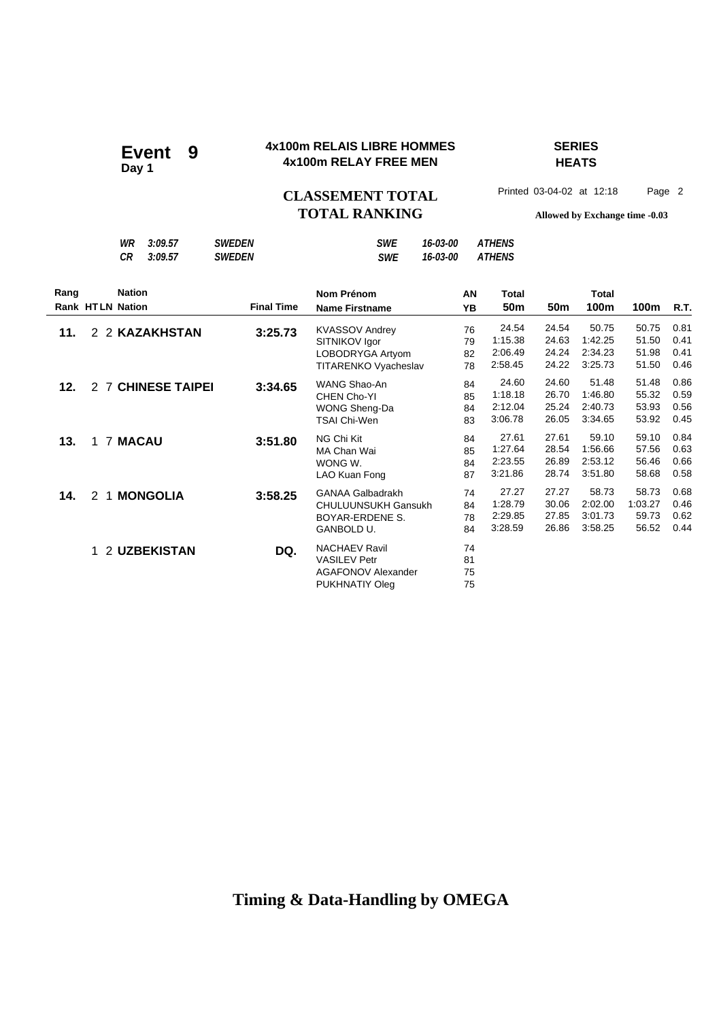# Event 9<br>Day 1

### **4x100m RELAIS LIBRE HOMMES SERIES 4x100m RELAY FREE MEN**

# **HEATS**

CLASSEMENT TOTAL Printed 03-04-02 at 12:18 Page 2 **TOTAL RANKING Allowed by Exchange time -0.03**

|                                 | 3:09.57<br>WR<br><b>CR</b><br>3:09.57 | <b>SWEDEN</b><br><b>SWEDEN</b> | <b>SWE</b><br><b>SWE</b>                                                                      | 16-03-00<br>16-03-00 | <b>ATHENS</b><br><b>ATHENS</b>         |                                  |                                        |                                    |                              |
|---------------------------------|---------------------------------------|--------------------------------|-----------------------------------------------------------------------------------------------|----------------------|----------------------------------------|----------------------------------|----------------------------------------|------------------------------------|------------------------------|
| Rang<br><b>Rank HTLN Nation</b> | <b>Nation</b>                         | <b>Final Time</b>              | Nom Prénom<br><b>Name Firstname</b>                                                           | AN<br>YB             | Total<br>50 <sub>m</sub>               | 50 <sub>m</sub>                  | Total<br>100m                          | 100m                               | <b>R.T.</b>                  |
| 11.                             | 2 2 KAZAKHSTAN                        | 3:25.73                        | <b>KVASSOV Andrey</b><br>SITNIKOV Igor<br>LOBODRYGA Artyom<br>TITARENKO Vyacheslav            | 76<br>79<br>82<br>78 | 24.54<br>1:15.38<br>2:06.49<br>2:58.45 | 24.54<br>24.63<br>24.24<br>24.22 | 50.75<br>1:42.25<br>2:34.23<br>3:25.73 | 50.75<br>51.50<br>51.98<br>51.50   | 0.81<br>0.41<br>0.41<br>0.46 |
| 12.                             | 2 7 CHINESE TAIPEI                    | 3:34.65                        | WANG Shao-An<br>CHEN Cho-YI<br>WONG Sheng-Da<br><b>TSAI Chi-Wen</b>                           | 84<br>85<br>84<br>83 | 24.60<br>1:18.18<br>2:12.04<br>3:06.78 | 24.60<br>26.70<br>25.24<br>26.05 | 51.48<br>1:46.80<br>2:40.73<br>3:34.65 | 51.48<br>55.32<br>53.93<br>53.92   | 0.86<br>0.59<br>0.56<br>0.45 |
| 13.<br>1                        | <b>7 MACAU</b>                        | 3:51.80                        | NG Chi Kit<br>MA Chan Wai<br>WONG W.<br>LAO Kuan Fong                                         | 84<br>85<br>84<br>87 | 27.61<br>1:27.64<br>2:23.55<br>3:21.86 | 27.61<br>28.54<br>26.89<br>28.74 | 59.10<br>1:56.66<br>2:53.12<br>3:51.80 | 59.10<br>57.56<br>56.46<br>58.68   | 0.84<br>0.63<br>0.66<br>0.58 |
| 14.<br>$\mathbf{2}$             | 1 MONGOLIA                            | 3:58.25                        | <b>GANAA Galbadrakh</b><br><b>CHULUUNSUKH Gansukh</b><br>BOYAR-ERDENE S.<br><b>GANBOLD U.</b> | 74<br>84<br>78<br>84 | 27.27<br>1:28.79<br>2:29.85<br>3:28.59 | 27.27<br>30.06<br>27.85<br>26.86 | 58.73<br>2:02.00<br>3:01.73<br>3:58.25 | 58.73<br>1:03.27<br>59.73<br>56.52 | 0.68<br>0.46<br>0.62<br>0.44 |
| 1.                              | 2 UZBEKISTAN                          | DQ.                            | <b>NACHAEV Ravil</b><br><b>VASILEV Petr</b><br><b>AGAFONOV Alexander</b><br>PUKHNATIY Oleg    | 74<br>81<br>75<br>75 |                                        |                                  |                                        |                                    |                              |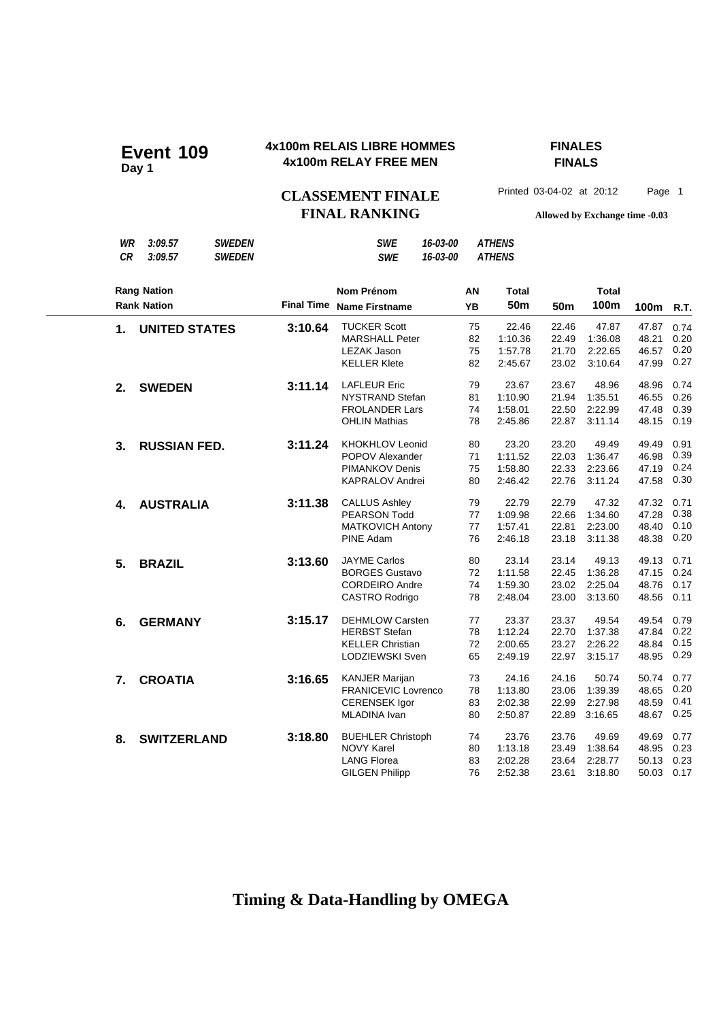### **4x100m RELAIS LIBRE HOMMES FINALES 4x100m RELAY FREE MEN Event 109**

# **FINALS**

CLASSEMENT FINALE<sup>Printed 03-04-02 at 20:12 Page 1</sup> **FINAL RANKING Allowed by Exchange time -0.03**

*WR 3:09.57 SWEDEN SWE 16-03-00 ATHENS*

*CR 3:09.57 SWEDEN SWE 16-03-00 ATHENS* **Nom Prénom Name Firstname Final Time 50m 100m AN YB Rang Nation Rank Nation Total Total 50m 100m R.T. 1. UNITED STATES** 3:10.64 TUCKER Scott 75 22.46 22.46 47.87 47.87 0.74<br>MARSHALL Peter 82 1:10.36 22.49 1:36.08 48.21 0.20 MARSHALL Peter 82 1:10.36 22.49 1:36.08 48.21 0.20 LEZAK Jason 75 1:57.78 21.70 2:22.65 46.57 0.20 KELLER Klete 82 2:45.67 23.02 3:10.64 47.99 **2. SWEDEN 3:11.14** LAFLEUR Eric 79 23.67 23.67 48.96 48.96 0.74<br>NYSTRAND Stefan 81 1:10.90 21.94 1:35.51 46.55 0.26 NYSTRAND Stefan FROLANDER Lars 74 1:58.01 22.50 2:22.99 47.48 0.39 OHLIN Mathias 78 2:45.86 22.87 3:11.14 48.15 0.19 **3. RUSSIAN FED. 3:11.24** KHOKHLOV Leonid 80 23.20 23.20 49.49 49.49 0.91<br>POPOV Alexander 71 1:11.52 22.03 1:36.47 46.98 0.39 POPOV Alexander PIMANKOV Denis 75 1:58.80 22.33 2:23.66 47.19 0.24 KAPRALOV Andrei 80 2:46.42 22.76 3:11.24 47.58 0.30 **4. AUSTRALIA 3:11.38** CALLUS Ashley 79 22.79 22.79 47.32 47.32 0.71<br>PEARSON Todd 77 1:09.98 22.66 1:34.60 47.28 0.38 PEARSON Todd MATKOVICH Antony 77 1:57.41 22.81 2:23.00 48.40 0.10 PINE Adam 76 2:46.18 23.18 3:11.38 48.38  **5. BRAZIL 3:13.60** JAYME Carlos 80 23.14 23.14 49.13 49.13 0.71 BORGES Gustavo CORDEIRO Andre 74 1:59.30 23.02 2:25.04 48.76 0.17 CASTRO Rodrigo 78 2:48.04 23.00 3:13.60 48.56 0.11 **6. GERMANY** 3:15.17 DEHMLOW Carsten 77 23.37 23.37 49.54 49.54 0.79 HERBST Stefan 78 1:12.24 22.70 1:37.38 47.84 0.22 KELLER Christian 72 2:00.65 23.27 2:26.22 48.84 0.15 LODZIEWSKI Sven 65 2:49.19 22.97 3:15.17 48.95  **7. CROATIA 3:16.65** KANJER Marijan 73 24.16 24.16 50.74 50.74 0.77 FRANICEVIC Lovrenco CERENSEK Igor 83 2:02.38 22.99 2:27.98 48.59 0.41 MLADINA Ivan 80 2:50.87 22.89 3:16.65 48.67 **8. SWITZERLAND 3:18.80** BUEHLER Christoph 74 23.76 23.76 49.69 49.69 0.77<br>NOVY Karel 80 1:13.18 23.49 1:38.64 48.95 0.23 NOVY Karel LANG Florea 83 2:02.28 23.64 2:28.77 50.13 0.23 GILGEN Philipp 76 2:52.38 23.61 3:18.80 50.03 0.17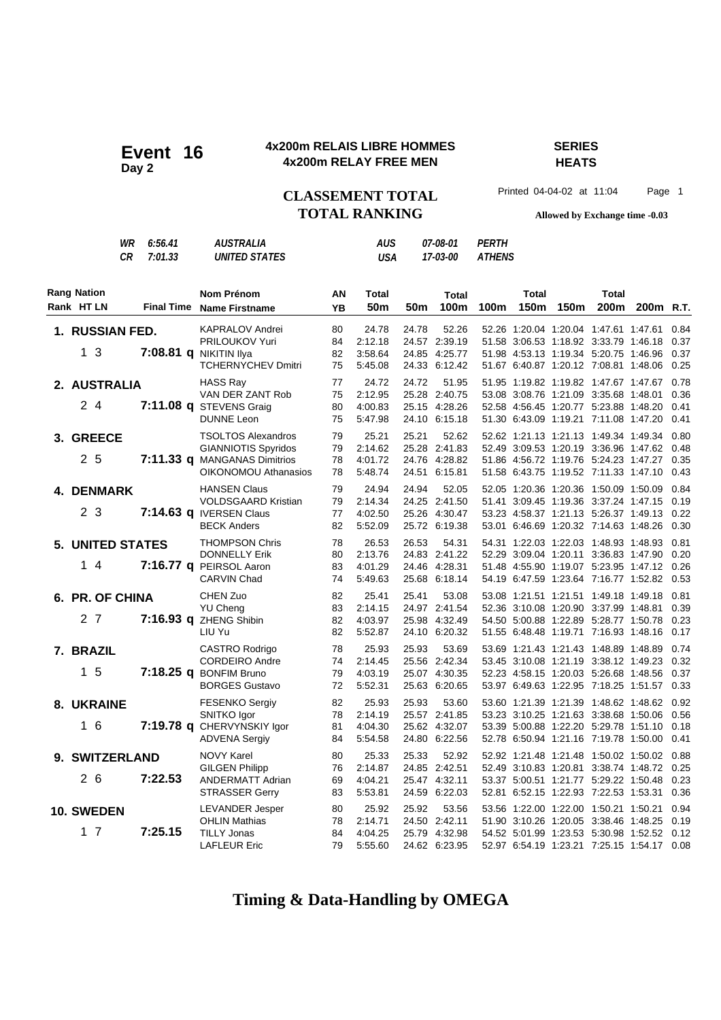### **4x200m RELAIS LIBRE HOMMES SERIES Event 16** 4x200m RELAIS LIBRE HOMM<br>4x200m RELAY FREE MEN

# **HEATS**

**TOTAL RANKING Allowed by Exchange time -0.03**

**CLASSEMENT TOTAL** Printed 04-04-02 at 11:04 Page 1

|                                  | WR<br>СR | 6:56.41<br>7:01.33 | <i><b>AUSTRALIA</b></i><br><b>UNITED STATES</b>                                              |                      | <b>AUS</b><br>USA                      |       | 07-08-01<br>17-03-00                                     | PERTH<br><b>ATHENS</b> |               |      |               |                                                                                                                                                                                      |              |
|----------------------------------|----------|--------------------|----------------------------------------------------------------------------------------------|----------------------|----------------------------------------|-------|----------------------------------------------------------|------------------------|---------------|------|---------------|--------------------------------------------------------------------------------------------------------------------------------------------------------------------------------------|--------------|
| <b>Rang Nation</b><br>Rank HT LN |          | <b>Final Time</b>  | Nom Prénom<br><b>Name Firstname</b>                                                          | AN.<br>ΥB            | Total<br>50 <sub>m</sub>               | 50m   | Total<br>100m                                            | 100m                   | Total<br>150m | 150m | Total<br>200m | 200 <sub>m</sub> R.T.                                                                                                                                                                |              |
| 1. RUSSIAN FED.<br>1 3           |          | 7:08.81 <b>g</b>   | <b>KAPRALOV Andrei</b><br><b>PRILOUKOV Yuri</b><br>NIKITIN Ilva<br><b>TCHERNYCHEV Dmitri</b> | 80<br>84<br>82<br>75 | 24.78<br>2:12.18<br>3:58.64<br>5:45.08 | 24.78 | 52.26<br>24.57 2:39.19<br>24.85 4:25.77<br>24.33 6:12.42 |                        |               |      |               | 52.26 1:20.04 1:20.04 1:47.61 1:47.61 0.84<br>51.58 3:06.53 1:18.92 3:33.79 1:46.18 0.37<br>51.98 4.53.13 1.19.34 5.20.75 1.46.96 0.37<br>51.67 6.40.87 1:20.12 7:08.81 1:48.06 0.25 |              |
| 2. AUSTRALIA<br>$\sim$ $\lambda$ |          |                    | HASS Ray<br>VAN DER ZANT Rob<br>$7.44.00 \div 22.2.00$                                       | 77<br>75             | 24.72<br>2:12.95                       | 24.72 | 51.95<br>25.28 2:40.75                                   |                        |               |      |               | 51.95 1.19.82 1.19.82 1.47.67 1.47.67<br>53.08 3.08.76 1.21.09 3.35.68 1.48.01                                                                                                       | 0.78<br>0.36 |

|                                          | <b>TCHERNYCHEV Dmitri</b>                                                                                              | 75                   | 5:45.08                                |       | 24.33 6:12.42                                            |  | 51.67 6:40.87 1:20.12 7:08.81 1:48.06                                                                                                                            |                                       | 0.25                         |
|------------------------------------------|------------------------------------------------------------------------------------------------------------------------|----------------------|----------------------------------------|-------|----------------------------------------------------------|--|------------------------------------------------------------------------------------------------------------------------------------------------------------------|---------------------------------------|------------------------------|
| 2. AUSTRALIA<br>24                       | <b>HASS Ray</b><br>VAN DER ZANT Rob<br>7:11.08 q STEVENS Graig<br><b>DUNNE Leon</b>                                    | 77<br>75<br>80<br>75 | 24.72<br>2:12.95<br>4:00.83<br>5:47.98 | 24.72 | 51.95<br>25.28 2:40.75<br>25.15 4:28.26<br>24.10 6:15.18 |  | 51.95 1:19.82 1:19.82 1:47.67 1:47.67<br>53.08 3:08.76 1:21.09 3:35.68 1:48.01<br>52.58 4:56.45 1:20.77 5:23.88 1:48.20<br>51.30 6:43.09 1:19.21 7:11.08 1:47.20 |                                       | 0.78<br>0.36<br>0.41<br>0.41 |
| 3. GREECE<br>2 <sub>5</sub>              | <b>TSOLTOS Alexandros</b><br><b>GIANNIOTIS Spyridos</b><br>7:11.33 q MANGANAS Dimitrios<br><b>OIKONOMOU Athanasios</b> | 79<br>79<br>78<br>78 | 25.21<br>2:14.62<br>4:01.72<br>5:48.74 | 25.21 | 52.62<br>25.28 2:41.83<br>24.76 4:28.82<br>24.51 6:15.81 |  | 52.62 1:21.13 1:21.13 1:49.34 1:49.34<br>52.49 3:09.53 1:20.19 3:36.96 1:47.62<br>51.86 4:56.72 1:19.76 5:24.23 1:47.27<br>51.58 6:43.75 1:19.52 7:11.33 1:47.10 |                                       | 0.80<br>0.48<br>0.35<br>0.43 |
| 4. DENMARK<br>2 <sub>3</sub>             | <b>HANSEN Claus</b><br><b>VOLDSGAARD Kristian</b><br>7:14.63 q IVERSEN Claus<br><b>BECK Anders</b>                     | 79<br>79<br>77<br>82 | 24.94<br>2:14.34<br>4:02.50<br>5:52.09 | 24.94 | 52.05<br>24.25 2:41.50<br>25.26 4:30.47<br>25.72 6:19.38 |  | 52.05 1:20.36 1:20.36 1:50.09 1:50.09<br>51.41 3:09.45 1:19.36 3:37.24 1:47.15<br>53.23 4:58.37 1:21.13 5:26.37 1:49.13<br>53.01 6:46.69 1:20.32 7:14.63 1:48.26 |                                       | 0.84<br>0.19<br>0.22<br>0.30 |
| <b>5. UNITED STATES</b><br>14            | <b>THOMPSON Chris</b><br><b>DONNELLY Erik</b><br>7:16.77 q PEIRSOL Aaron<br><b>CARVIN Chad</b>                         | 78<br>80<br>83<br>74 | 26.53<br>2:13.76<br>4:01.29<br>5:49.63 | 26.53 | 54.31<br>24.83 2:41.22<br>24.46 4:28.31<br>25.68 6:18.14 |  | 54.31 1:22.03 1:22.03 1:48.93 1:48.93<br>52.29 3:09.04 1:20.11 3:36.83 1:47.90<br>51.48 4.55.90 1:19.07 5:23.95 1:47.12<br>54.19 6.47.59 1:23.64 7:16.77 1:52.82 |                                       | 0.81<br>0.20<br>0.26<br>0.53 |
| 6. PR. OF CHINA<br>2 <sub>7</sub>        | CHEN Zuo<br><b>YU Cheng</b><br>7:16.93 q ZHENG Shibin<br>LIU Yu                                                        | 82<br>83<br>82<br>82 | 25.41<br>2:14.15<br>4:03.97<br>5:52.87 | 25.41 | 53.08<br>24.97 2:41.54<br>25.98 4:32.49<br>24.10 6:20.32 |  | 53.08 1:21.51 1:21.51 1:49.18 1:49.18<br>52.36 3:10.08 1:20.90 3:37.99 1:48.81<br>54.50 5:00.88 1:22.89 5:28.77 1:50.78<br>51.55 6:48.48 1:19.71 7:16.93 1:48.16 |                                       | 0.81<br>0.39<br>0.23<br>0.17 |
| 7. BRAZIL<br>1 <sub>5</sub>              | CASTRO Rodrigo<br><b>CORDEIRO Andre</b><br>7:18.25 q BONFIM Bruno<br><b>BORGES Gustavo</b>                             | 78<br>74<br>79<br>72 | 25.93<br>2:14.45<br>4:03.19<br>5:52.31 | 25.93 | 53.69<br>25.56 2:42.34<br>25.07 4:30.35<br>25.63 6:20.65 |  | 53.69 1:21.43 1:21.43 1:48.89 1:48.89<br>53.45 3:10.08 1:21.19 3:38.12 1:49.23<br>52.23 4:58.15 1:20.03 5:26.68 1:48.56<br>53.97 6.49.63 1.22.95 7:18.25 1:51.57 |                                       | 0.74<br>0.32<br>0.37<br>0.33 |
| 8. UKRAINE<br>16                         | <b>FESENKO Sergiy</b><br>SNITKO Igor<br>7:19.78 q CHERVYNSKIY Igor<br><b>ADVENA Sergiy</b>                             | 82<br>78<br>81<br>84 | 25.93<br>2:14.19<br>4:04.30<br>5:54.58 | 25.93 | 53.60<br>25.57 2:41.85<br>25.62 4:32.07<br>24.80 6:22.56 |  | 53.60 1:21.39 1:21.39 1:48.62 1:48.62<br>53.23 3:10.25 1:21.63 3:38.68 1:50.06<br>53.39 5:00.88 1:22.20 5:29.78 1:51.10<br>52.78 6.50.94 1:21.16 7:19.78 1:50.00 |                                       | 0.92<br>0.56<br>0.18<br>0.41 |
| 9. SWITZERLAND<br>26<br>7:22.53          | <b>NOVY Karel</b><br><b>GILGEN Philipp</b><br><b>ANDERMATT Adrian</b><br><b>STRASSER Gerry</b>                         | 80<br>76<br>69<br>83 | 25.33<br>2:14.87<br>4:04.21<br>5:53.81 | 25.33 | 52.92<br>24.85 2:42.51<br>25.47 4:32.11<br>24.59 6:22.03 |  | 52.92 1:21.48 1:21.48 1:50.02 1:50.02<br>52.49 3:10.83 1:20.81 3:38.74 1:48.72<br>53.37 5:00.51 1:21.77 5:29.22 1:50.48<br>52.81 6:52.15 1:22.93 7:22.53 1:53.31 |                                       | 0.88<br>0.25<br>0.23<br>0.36 |
| 10. SWEDEN<br>$1\overline{7}$<br>7:25.15 | <b>LEVANDER Jesper</b><br><b>OHLIN Mathias</b><br><b>TILLY Jonas</b><br><b>LAFLEUR Eric</b>                            | 80<br>78<br>84<br>79 | 25.92<br>2:14.71<br>4:04.25<br>5:55.60 | 25.92 | 53.56<br>24.50 2:42.11<br>25.79 4:32.98<br>24.62 6:23.95 |  | 53.56 1:22.00 1:22.00 1:50.21 1:50.21<br>51.90 3:10.26 1:20.05 3:38.46 1:48.25<br>54.52 5:01.99 1:23.53 5:30.98 1:52.52                                          | 52.97 6:54.19 1:23.21 7:25.15 1:54.17 | 0.94<br>0.19<br>0.12<br>0.08 |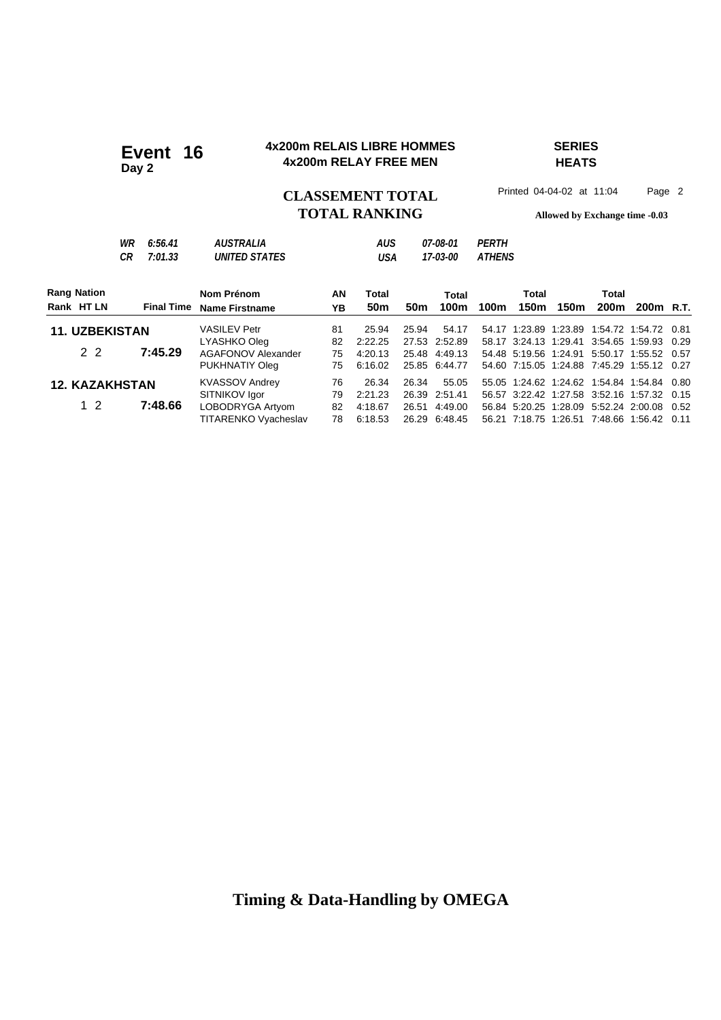### **4x200m RELAIS LIBRE HOMMES SERIES 4x200m RELAIS LIBRE HOMM**<br>4x200m RELAY FREE MEN

# **HEATS**

# **TOTAL RANKING Allowed by Exchange time -0.03**

CLASSEMENT TOTAL Printed 04-04-02 at 11:04 Page 2

| g Nation |          |                    | Nom Prénom                                      | AN | Total      | Total                       |                                             | Tota |
|----------|----------|--------------------|-------------------------------------------------|----|------------|-----------------------------|---------------------------------------------|------|
|          | WR<br>СR | 6:56.41<br>7:01.33 | <i><b>AUSTRALIA</b></i><br><b>UNITED STATES</b> |    | AUS<br>USA | <i>07-08-01</i><br>17-03-00 | <i><b>PFRTH</b></i><br><i><b>ATHENS</b></i> |      |

| <b>Rang Nation</b>    |                   | Nom Prénom                         | AN       | Total              |                 | Total                          |      | Total |      | Total |                                                                                          |  |
|-----------------------|-------------------|------------------------------------|----------|--------------------|-----------------|--------------------------------|------|-------|------|-------|------------------------------------------------------------------------------------------|--|
| Rank HT LN            | <b>Final Time</b> | <b>Name Firstname</b>              | YΒ       | 50 <sub>m</sub>    | 50 <sub>m</sub> | 100m                           | 100m | 150m  | 150m | 200m  | 200 <sub>m</sub> R.T.                                                                    |  |
| <b>11. UZBEKISTAN</b> |                   | <b>VASILEV Petr</b>                | 81       | 25.94              | 25.94           | 54.17                          |      |       |      |       | 54.17 1:23.89 1:23.89 1:54.72 1:54.72 0.81                                               |  |
| 2 2                   | 7:45.29           | LYASHKO Oleg<br>AGAFONOV Alexander | 82<br>75 | 2:22.25<br>4:20.13 |                 | 27.53 2:52.89<br>25.48 4:49.13 |      |       |      |       | 58.17 3:24.13 1:29.41 3:54.65 1:59.93 0.29<br>54.48 5:19.56 1:24.91 5:50.17 1:55.52 0.57 |  |
|                       |                   | PUKHNATIY Oleg                     | 75       | 6:16.02            |                 | 25.85 6:44.77                  |      |       |      |       | 54.60 7:15.05 1:24.88 7:45.29 1:55.12 0.27                                               |  |
| <b>12. KAZAKHSTAN</b> |                   | <b>KVASSOV Andrey</b>              | 76       | 26.34              | 26.34           | 55.05                          |      |       |      |       | 55.05 1:24.62 1:24.62 1:54.84 1:54.84 0.80                                               |  |
|                       |                   | SITNIKOV Igor                      | 79       | 2:21.23            |                 | 26.39 2:51.41                  |      |       |      |       | 56.57 3:22.42 1:27.58 3:52.16 1:57.32 0.15                                               |  |
| $1\,2$                | 7:48.66           | LOBODRYGA Artyom                   | 82       | 4:18.67            |                 | 26.51 4:49.00                  |      |       |      |       | 56.84 5:20.25 1:28.09 5:52.24 2:00.08 0.52                                               |  |
|                       |                   | TITARENKO Vyacheslav               | 78       | 6:18.53            |                 | 26.29 6:48.45                  |      |       |      |       | 56.21 7:18.75 1:26.51 7:48.66 1:56.42 0.11                                               |  |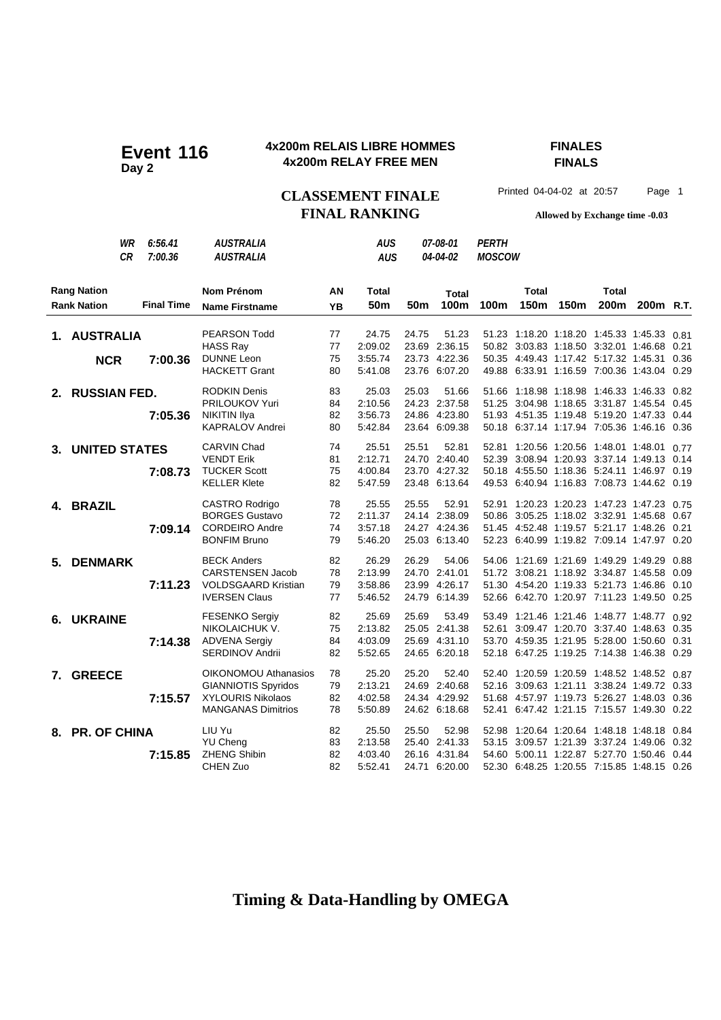### **4x200m RELAIS LIBRE HOMMES FINALES 4x200m RELAIS LIBRE HOMM**<br>4x200m RELAY FREE MEN

**FINALS**

CLASSEMENT FINALE<sup>Printed 04-04-02 at 20:57 Page 1</sup> **FINAL RANKING Allowed by Exchange time -0.03**

|                           | WR         | 6:56.41           | <b>AUSTRALIA</b>           |           | <b>AUS</b>      |       | 07-08-01      | <b>PERTH</b>  |                                            |      |              |                       |      |
|---------------------------|------------|-------------------|----------------------------|-----------|-----------------|-------|---------------|---------------|--------------------------------------------|------|--------------|-----------------------|------|
|                           | СR         | 7:00.36           | <b>AUSTRALIA</b>           |           | <b>AUS</b>      |       | 04-04-02      | <b>MOSCOW</b> |                                            |      |              |                       |      |
| <b>Rang Nation</b>        |            |                   | <b>Nom Prénom</b>          | ΑN        | Total           |       | <b>Total</b>  |               | <b>Total</b>                               |      | <b>Total</b> |                       |      |
| <b>Rank Nation</b>        |            | <b>Final Time</b> | <b>Name Firstname</b>      | <b>YB</b> | 50 <sub>m</sub> | 50m   | 100m          | 100m          | 150m                                       | 150m | 200m         | 200 <sub>m</sub> R.T. |      |
| 1. AUSTRALIA              |            |                   | <b>PEARSON Todd</b>        | 77        | 24.75           | 24.75 | 51.23         |               | 51.23 1:18.20 1:18.20 1:45.33 1:45.33      |      |              |                       | 0.81 |
|                           |            |                   | <b>HASS Ray</b>            | 77        | 2:09.02         |       | 23.69 2:36.15 |               | 50.82 3:03.83 1:18.50 3:32.01 1:46.68 0.21 |      |              |                       |      |
|                           | <b>NCR</b> | 7:00.36           | <b>DUNNE Leon</b>          | 75        | 3:55.74         |       | 23.73 4:22.36 |               | 50.35 4:49.43 1:17.42 5:17.32 1:45.31      |      |              |                       | 0.36 |
|                           |            |                   | <b>HACKETT Grant</b>       | 80        | 5:41.08         |       | 23.76 6:07.20 |               | 49.88 6:33.91 1:16.59 7:00.36 1:43.04      |      |              |                       | 0.29 |
| 2. RUSSIAN FED.           |            |                   | <b>RODKIN Denis</b>        | 83        | 25.03           | 25.03 | 51.66         |               | 51.66 1:18.98 1:18.98 1:46.33 1:46.33      |      |              |                       | 0.82 |
|                           |            |                   | PRILOUKOV Yuri             | 84        | 2:10.56         |       | 24.23 2:37.58 |               | 51.25 3:04.98 1:18.65 3:31.87 1:45.54 0.45 |      |              |                       |      |
|                           |            | 7:05.36           | NIKITIN Ilya               | 82        | 3:56.73         |       | 24.86 4:23.80 |               | 51.93 4:51.35 1:19.48 5:19.20 1:47.33 0.44 |      |              |                       |      |
|                           |            |                   | KAPRALOV Andrei            | 80        | 5:42.84         |       | 23.64 6:09.38 |               | 50.18 6:37.14 1:17.94 7:05.36 1:46.16 0.36 |      |              |                       |      |
| 3. UNITED STATES          |            |                   | CARVIN Chad                | 74        | 25.51           | 25.51 | 52.81         |               | 52.81  1:20.56  1:20.56  1:48.01  1:48.01  |      |              |                       | 0.77 |
|                           |            |                   | <b>VENDT Erik</b>          | 81        | 2:12.71         |       | 24.70 2:40.40 |               | 52.39 3:08.94 1:20.93 3:37.14 1:49.13 0.14 |      |              |                       |      |
|                           |            | 7:08.73           | <b>TUCKER Scott</b>        | 75        | 4:00.84         |       | 23.70 4:27.32 |               | 50.18 4:55.50 1:18.36 5:24.11 1:46.97 0.19 |      |              |                       |      |
|                           |            |                   | <b>KELLER Klete</b>        | 82        | 5:47.59         |       | 23.48 6:13.64 |               | 49.53 6:40.94 1:16.83 7:08.73 1:44.62 0.19 |      |              |                       |      |
| 4. BRAZIL                 |            |                   | CASTRO Rodrigo             | 78        | 25.55           | 25.55 | 52.91         |               | 52.91 1:20.23 1:20.23 1:47.23 1:47.23      |      |              |                       | 0.75 |
|                           |            |                   | <b>BORGES Gustavo</b>      | 72        | 2:11.37         |       | 24.14 2:38.09 |               | 50.86 3:05.25 1:18.02 3:32.91 1:45.68      |      |              |                       | 0.67 |
|                           |            | 7:09.14           | <b>CORDEIRO Andre</b>      | 74        | 3:57.18         |       | 24.27 4:24.36 |               | 51.45 4:52.48 1:19.57 5:21.17 1:48.26 0.21 |      |              |                       |      |
|                           |            |                   | <b>BONFIM Bruno</b>        | 79        | 5:46.20         |       | 25.03 6:13.40 |               | 52.23 6:40.99 1:19.82 7:09.14 1:47.97 0.20 |      |              |                       |      |
| 5. DENMARK                |            |                   | <b>BECK Anders</b>         | 82        | 26.29           | 26.29 | 54.06         |               | 54.06 1:21.69 1:21.69 1:49.29 1:49.29      |      |              |                       | 0.88 |
|                           |            |                   | <b>CARSTENSEN Jacob</b>    | 78        | 2:13.99         |       | 24.70 2:41.01 |               | 51.72 3:08.21 1:18.92 3:34.87 1:45.58      |      |              |                       | 0.09 |
|                           |            | 7:11.23           | <b>VOLDSGAARD Kristian</b> | 79        | 3:58.86         |       | 23.99 4:26.17 |               | 51.30 4:54.20 1:19.33 5:21.73 1:46.86      |      |              |                       | 0.10 |
|                           |            |                   | <b>IVERSEN Claus</b>       | 77        | 5:46.52         |       | 24.79 6:14.39 |               | 52.66 6:42.70 1:20.97 7:11.23 1:49.50      |      |              |                       | 0.25 |
| <b>UKRAINE</b><br>6.      |            |                   | <b>FESENKO Sergiy</b>      | 82        | 25.69           | 25.69 | 53.49         |               | 53.49 1:21.46 1:21.46 1:48.77 1:48.77      |      |              |                       | 0.92 |
|                           |            |                   | NIKOLAICHUK V.             | 75        | 2:13.82         |       | 25.05 2:41.38 |               | 52.61 3:09.47 1:20.70 3:37.40 1:48.63 0.35 |      |              |                       |      |
|                           |            | 7:14.38           | <b>ADVENA Sergiy</b>       | 84        | 4:03.09         |       | 25.69 4:31.10 |               | 53.70 4:59.35 1:21.95 5:28.00 1:50.60 0.31 |      |              |                       |      |
|                           |            |                   | <b>SERDINOV Andrii</b>     | 82        | 5:52.65         |       | 24.65 6:20.18 |               | 52.18 6.47.25 1:19.25 7:14.38 1:46.38      |      |              |                       | 0.29 |
| <b>GREECE</b><br>7.       |            |                   | OIKONOMOU Athanasios       | 78        | 25.20           | 25.20 | 52.40         |               | 52.40 1:20.59 1:20.59 1:48.52 1:48.52 0.87 |      |              |                       |      |
|                           |            |                   | <b>GIANNIOTIS Spyridos</b> | 79        | 2:13.21         |       | 24.69 2:40.68 |               | 52.16 3:09.63 1:21.11 3:38.24 1:49.72 0.33 |      |              |                       |      |
|                           |            | 7:15.57           | <b>XYLOURIS Nikolaos</b>   | 82        | 4:02.58         |       | 24.34 4:29.92 |               | 51.68 4:57.97 1:19.73 5:26.27 1:48.03      |      |              |                       | 0.36 |
|                           |            |                   | <b>MANGANAS Dimitrios</b>  | 78        | 5:50.89         |       | 24.62 6:18.68 |               | 52.41 6.47.42 1.21.15 7.15.57 1.49.30      |      |              |                       | 0.22 |
| <b>PR. OF CHINA</b><br>8. |            |                   | LIU Yu                     | 82        | 25.50           | 25.50 | 52.98         |               | 52.98 1:20.64 1:20.64 1:48.18 1:48.18      |      |              |                       | 0.84 |
|                           |            |                   | <b>YU Cheng</b>            | 83        | 2:13.58         |       | 25.40 2:41.33 |               | 53.15 3:09.57 1:21.39 3:37.24 1:49.06      |      |              |                       | 0.32 |
|                           |            | 7:15.85           | <b>ZHENG Shibin</b>        | 82        | 4:03.40         |       | 26.16 4:31.84 |               | 54.60 5:00.11 1:22.87 5:27.70 1:50.46      |      |              |                       | 0.44 |
|                           |            |                   | CHEN Zuo                   | 82        | 5:52.41         |       | 24.71 6:20.00 |               | 52.30 6:48.25 1:20.55 7:15.85 1:48.15 0.26 |      |              |                       |      |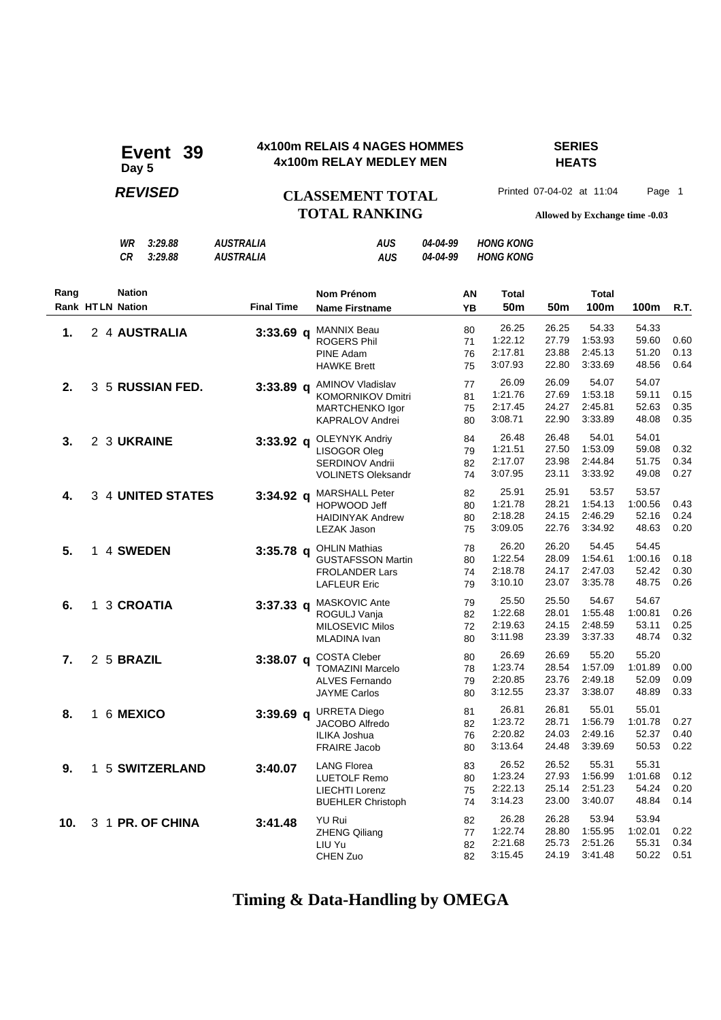### **4x100m RELAIS 4 NAGES HOMMES SERIES 4x100m RELAIS 4 NAGES HOMM<br>4x100m RELAY MEDLEY MEN**

# **HEATS**

## **REVISED CLASSEMENT TOTAL** Printed 07-04-02 at 11:04 Page 1 **TOTAL RANKING Allowed by Exchange time -0.03**

*WR 3:29.88 AUSTRALIA AUS 04-04-99 HONG KONG*

|                 |                         | CR            | 3:29.88           | <i><b>AUSTRALIA</b></i> | <b>AUS</b>                                                                                          | 04-04-99 |                      | <b>HONG KONG</b>                       |                                  |                                        |                                    |                      |
|-----------------|-------------------------|---------------|-------------------|-------------------------|-----------------------------------------------------------------------------------------------------|----------|----------------------|----------------------------------------|----------------------------------|----------------------------------------|------------------------------------|----------------------|
| Rang            | <b>Rank HTLN Nation</b> | <b>Nation</b> |                   | <b>Final Time</b>       | <b>Nom Prénom</b><br><b>Name Firstname</b>                                                          |          | AN<br>YB             | <b>Total</b><br>50 <sub>m</sub>        | 50 <sub>m</sub>                  | <b>Total</b><br>100m                   | 100m                               | R.T.                 |
| 1.              |                         |               | 2 4 AUSTRALIA     | $3:33.69$ q             | <b>MANNIX Beau</b><br><b>ROGERS Phil</b><br><b>PINE Adam</b><br><b>HAWKE Brett</b>                  |          | 80<br>71<br>76<br>75 | 26.25<br>1:22.12<br>2:17.81<br>3:07.93 | 26.25<br>27.79<br>23.88<br>22.80 | 54.33<br>1.53.93<br>2:45.13<br>3:33.69 | 54.33<br>59.60<br>51.20<br>48.56   | 0.60<br>0.13<br>0.64 |
| 2.              |                         |               | 3 5 RUSSIAN FED.  |                         | 3:33.89 q AMINOV Vladislav<br><b>KOMORNIKOV Dmitri</b><br>MARTCHENKO Igor<br><b>KAPRALOV Andrei</b> |          | 77<br>81<br>75<br>80 | 26.09<br>1:21.76<br>2:17.45<br>3:08.71 | 26.09<br>27.69<br>24.27<br>22.90 | 54.07<br>1:53.18<br>2:45.81<br>3:33.89 | 54.07<br>59.11<br>52.63<br>48.08   | 0.15<br>0.35<br>0.35 |
| 3.              |                         | 2 3 UKRAINE   |                   | $3:33.92$ q             | <b>OLEYNYK Andriy</b><br>LISOGOR Oleg<br>SERDINOV Andrii<br><b>VOLINETS Oleksandr</b>               |          | 84<br>79<br>82<br>74 | 26.48<br>1:21.51<br>2:17.07<br>3:07.95 | 26.48<br>27.50<br>23.98<br>23.11 | 54.01<br>1:53.09<br>2:44.84<br>3:33.92 | 54.01<br>59.08<br>51.75<br>49.08   | 0.32<br>0.34<br>0.27 |
| 4.              |                         |               | 3 4 UNITED STATES | 3:34.92 a               | <b>MARSHALL Peter</b><br>HOPWOOD Jeff<br><b>HAIDINYAK Andrew</b><br>LEZAK Jason                     |          | 82<br>80<br>80<br>75 | 25.91<br>1:21.78<br>2:18.28<br>3:09.05 | 25.91<br>28.21<br>24.15<br>22.76 | 53.57<br>1:54.13<br>2:46.29<br>3:34.92 | 53.57<br>1:00.56<br>52.16<br>48.63 | 0.43<br>0.24<br>0.20 |
| 5.              |                         | 1 4 SWEDEN    |                   |                         | 3:35.78 q OHLIN Mathias<br><b>GUSTAFSSON Martin</b><br><b>FROLANDER Lars</b><br><b>LAFLEUR Eric</b> |          | 78<br>80<br>74<br>79 | 26.20<br>1:22.54<br>2:18.78<br>3:10.10 | 26.20<br>28.09<br>24.17<br>23.07 | 54.45<br>1:54.61<br>2:47.03<br>3:35.78 | 54.45<br>1:00.16<br>52.42<br>48.75 | 0.18<br>0.30<br>0.26 |
| 6.              |                         | 1 3 CROATIA   |                   | 3:37.33 a               | MASKOVIC Ante<br>ROGULJ Vanja<br><b>MILOSEVIC Milos</b><br>MLADINA Ivan                             |          | 79<br>82<br>72<br>80 | 25.50<br>1:22.68<br>2:19.63<br>3:11.98 | 25.50<br>28.01<br>24.15<br>23.39 | 54.67<br>1:55.48<br>2:48.59<br>3:37.33 | 54.67<br>1:00.81<br>53.11<br>48.74 | 0.26<br>0.25<br>0.32 |
| 7.              |                         | 2 5 BRAZIL    |                   | $3:38.07$ q             | <b>COSTA Cleber</b><br><b>TOMAZINI Marcelo</b><br><b>ALVES Fernando</b><br><b>JAYME Carlos</b>      |          | 80<br>78<br>79<br>80 | 26.69<br>1:23.74<br>2:20.85<br>3:12.55 | 26.69<br>28.54<br>23.76<br>23.37 | 55.20<br>1:57.09<br>2:49.18<br>3:38.07 | 55.20<br>1:01.89<br>52.09<br>48.89 | 0.00<br>0.09<br>0.33 |
| 8.              |                         | 1 6 MEXICO    |                   | 3:39.69 a               | <b>URRETA Diego</b><br><b>JACOBO Alfredo</b><br>ILIKA Joshua<br><b>FRAIRE Jacob</b>                 |          | 81<br>82<br>76<br>80 | 26.81<br>1:23.72<br>2:20.82<br>3:13.64 | 26.81<br>28.71<br>24.03<br>24.48 | 55.01<br>1:56.79<br>2:49.16<br>3:39.69 | 55.01<br>1:01.78<br>52.37<br>50.53 | 0.27<br>0.40<br>0.22 |
| 9.              |                         |               | 1 5 SWITZERLAND   | 3:40.07                 | <b>LANG Florea</b><br><b>LUETOLF Remo</b><br><b>LIECHTI Lorenz</b><br><b>BUEHLER Christoph</b>      |          | 83<br>80<br>75<br>74 | 26.52<br>1.23.24<br>2:22.13<br>3:14.23 | 26.52<br>27.93<br>25.14<br>23.00 | 55.31<br>1:56.99<br>2:51.23<br>3:40.07 | 55.31<br>1:01.68<br>54.24<br>48.84 | 0.12<br>0.20<br>0.14 |
| 10 <sub>1</sub> |                         |               | 3 1 PR. OF CHINA  | 3:41.48                 | YU Rui<br><b>ZHENG Qiliang</b><br>LIU Yu<br>CHEN Zuo                                                |          | 82<br>77<br>82<br>82 | 26.28<br>1:22.74<br>2:21.68<br>3:15.45 | 26.28<br>28.80<br>25.73<br>24.19 | 53.94<br>1:55.95<br>2:51.26<br>3:41.48 | 53.94<br>1:02.01<br>55.31<br>50.22 | 0.22<br>0.34<br>0.51 |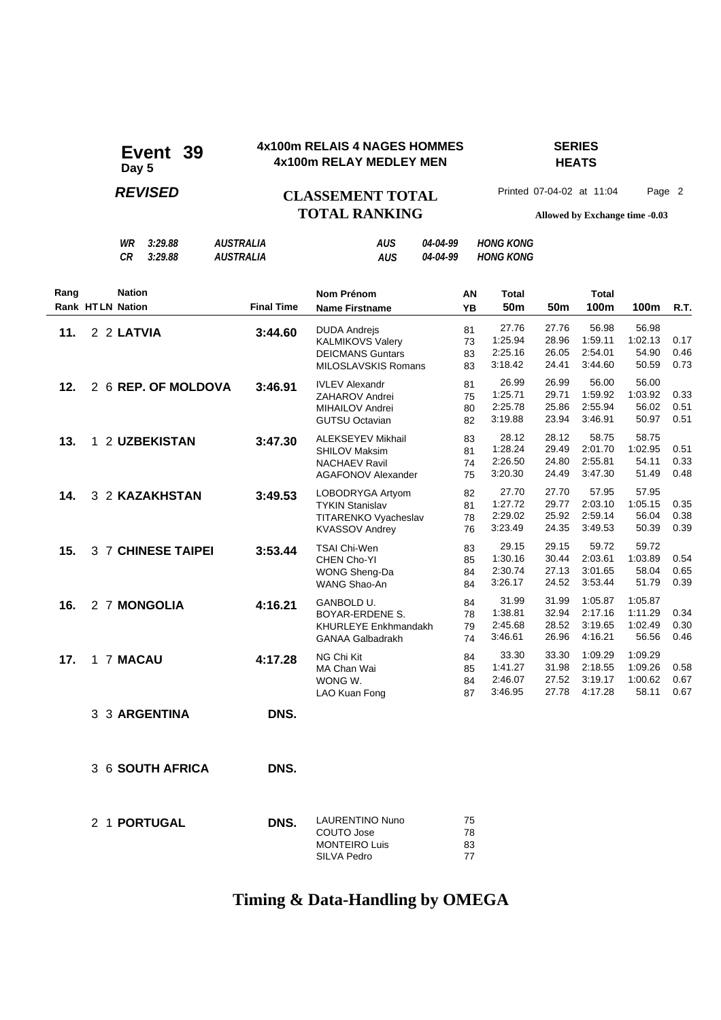### **4x100m RELAIS 4 NAGES HOMMES SERIES 4x100m RELAIS 4 NAGES HOMM<br>4x100m RELAY MEDLEY MEN**

# **HEATS**

## **REVISED CLASSEMENT TOTAL** Printed 07-04-02 at 11:04 Page 2 **TOTAL RANKING Allowed by Exchange time -0.03**

|      |                         | WR<br>CR      | 3:29.88<br>3:29.88  | <b>AUSTRALIA</b><br><b>AUSTRALIA</b> |                   | AUS<br><b>AUS</b>                                                                                     | 04-04-99<br>04-04-99 |                      | <b>HONG KONG</b><br><b>HONG KONG</b>   |                                  |                                          |                                        |                      |
|------|-------------------------|---------------|---------------------|--------------------------------------|-------------------|-------------------------------------------------------------------------------------------------------|----------------------|----------------------|----------------------------------------|----------------------------------|------------------------------------------|----------------------------------------|----------------------|
| Rang | <b>Rank HTLN Nation</b> | <b>Nation</b> |                     |                                      | <b>Final Time</b> | Nom Prénom<br><b>Name Firstname</b>                                                                   |                      | ΑN<br>YB             | <b>Total</b><br>50 <sub>m</sub>        | 50 <sub>m</sub>                  | <b>Total</b><br>100m                     | 100m                                   | R.T.                 |
| 11.  |                         | 2 2 LATVIA    |                     |                                      | 3:44.60           | <b>DUDA Andrejs</b><br><b>KALMIKOVS Valery</b><br><b>DEICMANS Guntars</b><br>MILOSLAVSKIS Romans      |                      | 81<br>73<br>83<br>83 | 27.76<br>1:25.94<br>2:25.16<br>3:18.42 | 27.76<br>28.96<br>26.05<br>24.41 | 56.98<br>1:59.11<br>2:54.01<br>3:44.60   | 56.98<br>1:02.13<br>54.90<br>50.59     | 0.17<br>0.46<br>0.73 |
| 12.  |                         |               | 2 6 REP. OF MOLDOVA |                                      | 3:46.91           | <b>IVLEV Alexandr</b><br>ZAHAROV Andrei<br>MIHAILOV Andrei<br><b>GUTSU Octavian</b>                   |                      | 81<br>75<br>80<br>82 | 26.99<br>1:25.71<br>2:25.78<br>3:19.88 | 26.99<br>29.71<br>25.86<br>23.94 | 56.00<br>1:59.92<br>2:55.94<br>3:46.91   | 56.00<br>1:03.92<br>56.02<br>50.97     | 0.33<br>0.51<br>0.51 |
| 13.  |                         |               | 1 2 UZBEKISTAN      |                                      | 3:47.30           | <b>ALEKSEYEV Mikhail</b><br><b>SHILOV Maksim</b><br><b>NACHAEV Ravil</b><br><b>AGAFONOV Alexander</b> |                      | 83<br>81<br>74<br>75 | 28.12<br>1:28.24<br>2:26.50<br>3:20.30 | 28.12<br>29.49<br>24.80<br>24.49 | 58.75<br>2:01.70<br>2:55.81<br>3:47.30   | 58.75<br>1:02.95<br>54.11<br>51.49     | 0.51<br>0.33<br>0.48 |
| 14.  |                         |               | 3 2 KAZAKHSTAN      |                                      | 3:49.53           | LOBODRYGA Artyom<br><b>TYKIN Stanislav</b><br>TITARENKO Vyacheslav<br><b>KVASSOV Andrey</b>           |                      | 82<br>81<br>78<br>76 | 27.70<br>1:27.72<br>2:29.02<br>3:23.49 | 27.70<br>29.77<br>25.92<br>24.35 | 57.95<br>2:03.10<br>2:59.14<br>3:49.53   | 57.95<br>1:05.15<br>56.04<br>50.39     | 0.35<br>0.38<br>0.39 |
| 15.  |                         |               | 3 7 CHINESE TAIPEI  |                                      | 3:53.44           | <b>TSAI Chi-Wen</b><br>CHEN Cho-YI<br>WONG Sheng-Da<br>WANG Shao-An                                   |                      | 83<br>85<br>84<br>84 | 29.15<br>1:30.16<br>2:30.74<br>3:26.17 | 29.15<br>30.44<br>27.13<br>24.52 | 59.72<br>2:03.61<br>3:01.65<br>3:53.44   | 59.72<br>1:03.89<br>58.04<br>51.79     | 0.54<br>0.65<br>0.39 |
| 16.  |                         |               | 2 7 MONGOLIA        |                                      | 4:16.21           | GANBOLD U.<br>BOYAR-ERDENE S.<br><b>KHURLEYE Enkhmandakh</b><br><b>GANAA Galbadrakh</b>               |                      | 84<br>78<br>79<br>74 | 31.99<br>1:38.81<br>2:45.68<br>3:46.61 | 31.99<br>32.94<br>28.52<br>26.96 | 1:05.87<br>2:17.16<br>3:19.65<br>4:16.21 | 1:05.87<br>1:11.29<br>1:02.49<br>56.56 | 0.34<br>0.30<br>0.46 |
| 17.  |                         | 1 7 MACAU     |                     |                                      | 4:17.28           | NG Chi Kit<br>MA Chan Wai<br>WONG W.<br>LAO Kuan Fong                                                 |                      | 84<br>85<br>84<br>87 | 33.30<br>1:41.27<br>2:46.07<br>3:46.95 | 33.30<br>31.98<br>27.52<br>27.78 | 1:09.29<br>2:18.55<br>3:19.17<br>4:17.28 | 1:09.29<br>1:09.26<br>1:00.62<br>58.11 | 0.58<br>0.67<br>0.67 |
|      |                         |               | 3 3 ARGENTINA       |                                      | DNS.              |                                                                                                       |                      |                      |                                        |                                  |                                          |                                        |                      |
|      |                         |               | 3 6 SOUTH AFRICA    |                                      | DNS.              |                                                                                                       |                      |                      |                                        |                                  |                                          |                                        |                      |

| DNS. | LAURENTINO Nuno<br>COUTO Jose<br><b>MONTEIRO Luis</b> | 75<br>78<br>83<br>77 |
|------|-------------------------------------------------------|----------------------|
|      |                                                       |                      |
|      |                                                       | SILVA Pedro          |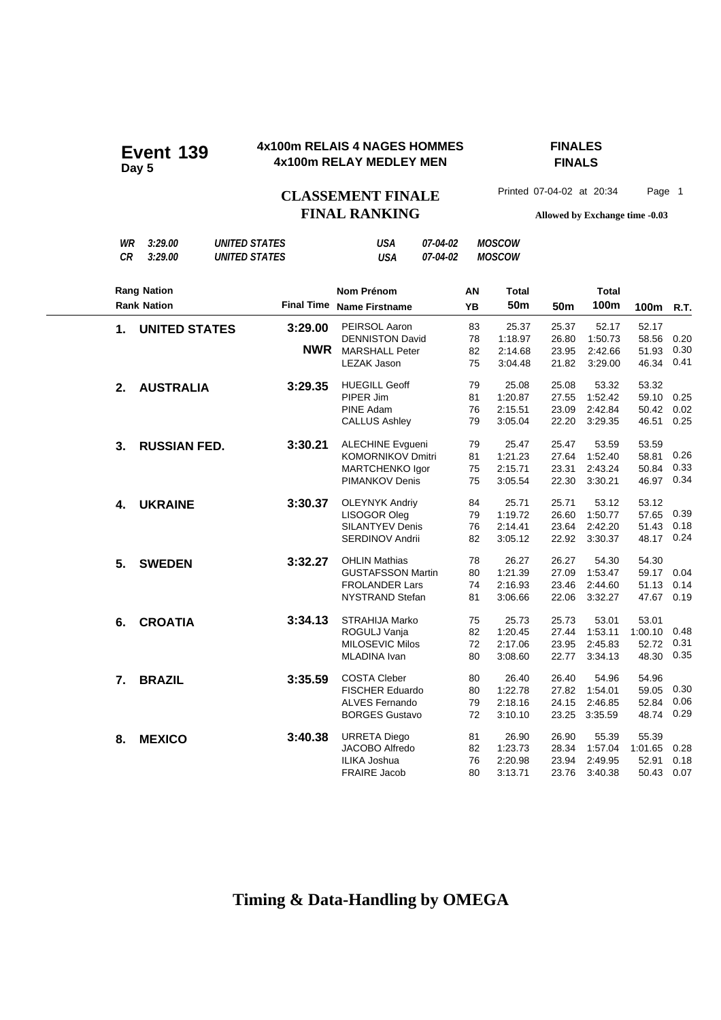#### **4x100m RELAIS 4 NAGES HOMMES FINALES 4x100m RELAY MEDLEY MEN Event 139**

# **FINALS**

**FINAL RANKING Allowed by Exchange time -0.03**

#### *WR 3:29.00 UNITED STATES USA 07-04-02 MOSCOW CR 3:29.00 UNITED STATES USA 07-04-02 MOSCOW* **Nom Prénom Name Firstname Final Time 50m 100m AN YB Rang Nation Rank Nation Total Total 50m 100m R.T. 1. UNITED STATES** 3:29.00 PEIRSOL Aaron 83 25.37 25.37 52.17 52.17 52.17<br>DENNISTON David 78 1:18.97 26.80 1:50.73 58.56 DENNISTON David 78 1:18.97 26.80 1:50.73 58.56 0.20 MARSHALL Peter 82 2:14.68 23.95 2:42.66 51.93 0.30 **NWR** LEZAK Jason 75 3:04.48 21.82 3:29.00 46.34 0.41 **2. AUSTRALIA 3:29.35** HUEGILL Geoff 79 25.08 25.08 53.32 53.32 53.32<br>PIPER Jim 81 1:20.87 27.55 1:52.42 59.10 PIPER Jim 81 1:20.87 27.55 1:52.42 59.10 0.25 PINE Adam 76 2:15.51 23.09 2:42.84 50.42 0.02 CALLUS Ashley 79 3:05.04 22.20 3:29.35 46.51 0.25 **3. RUSSIAN FED.** 3:30.21 ALECHINE Evgueni 79 25.47 25.47 53.59 53.59 53.59<br>KOMORNIKOV Dmitri 81 1:21.23 27.64 1:52.40 58.81 KOMORNIKOV Dmitri 81 1:21.23 27.64 1:52.40 58.81 0.26 MARTCHENKO Igor 75 2:15.71 23.31 2:43.24 50.84 0.33 PIMANKOV Denis 75 3:05.54 22.30 3:30.21 46.97 0.34 **4. UKRAINE 3:30.37** OLEYNYK Andriy  $\begin{array}{cccccc} 84 & 25.71 & 25.71 & 53.12 & 53.12 \\ 150 \text{GOR Oleg} & & & 79 & 1:19.72 & 26.60 & 1:50.77 & 57.65 \end{array}$ LISOGOR Oleg 79 1:19.72 26.60 1:50.77 57.65 0.39 SILANTYEV Denis 76 2:14.41 23.64 2:42.20 51.43 0.18 SERDINOV Andrii 82 3:05.12 22.92 3:30.37 48.17 **5. SWEDEN 3:32.27** OHLIN Mathias 78 26.27 26.27 54.30 54.30 GUSTAFSSON Martin 80 1:21.39 27.09 1:53.47 59.17 0.04 FROLANDER Lars 74 2:16.93 23.46 2:44.60 51.13 0.14 NYSTRAND Stefan 81 3:06.66 22.06 3:32.27 47.67 0.19 **6. CROATIA 3:34.13** STRAHIJA Marko 75 25.73 25.73 53.01 53.01 53.01<br>ROGULJ Vanja 82 1:20.45 27.44 1:53.11 1:00.10 ROGULJ Vanja 82 1:20.45 27.44 1:53.11 1:00.10 0.48 MILOSEVIC Milos 72 2:17.06 23.95 2:45.83 52.72 0.31 MLADINA Ivan 80 3:08.60 22.77 3:34.13 48.30 **7. BRAZIL** 3:35.59 COSTA Cleber 80 26.40 26.40 54.96 54.96 FISCHER Eduardo 80 1:22.78 27.82 1:54.01 59.05 0.30 ALVES Fernando 79 2:18.16 24.15 2:46.85 52.84 0.06 BORGES Gustavo 72 3:10.10 23.25 3:35.59 48.74 0.29 **8. MEXICO** 3:40.38 URRETA Diego 81 26.90 26.90 55.39 55.39 JACOBO Alfredo 82 1:23.73 28.34 1:57.04 1:01.65 0.28 ILIKA Joshua 76 2:20.98 23.94 2:49.95 52.91 0.18 FRAIRE Jacob 80 3:13.71 23.76 3:40.38 50.43 0.07

### **Timing & Data-Handling by OMEGA**

CLASSEMENT FINALE<sup>Printed 07-04-02 at 20:34 Page 1</sup>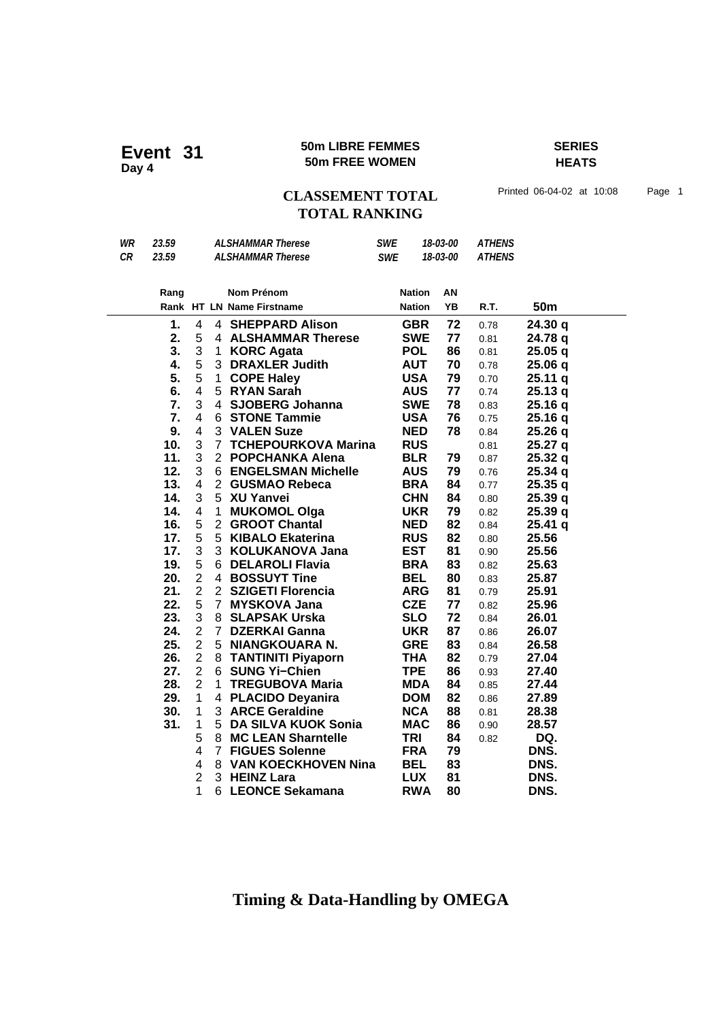### **50m LIBRE FEMMES SERIES Event 31** SUM LIBRE FEMMEN<br>Day 4<br>**Day 4**

# **HEATS**

## CLASSEMENT TOTAL Printed 06-04-02 at 10:08 Page 1 **TOTAL RANKING**

| WR | 23.59 | <b>ALSHAMMAR Therese</b> |                |                            | <b>SWE</b> | 18-03-00      |               |      | <b>ATHENS</b>   |  |  |
|----|-------|--------------------------|----------------|----------------------------|------------|---------------|---------------|------|-----------------|--|--|
| CR | 23.59 | <b>ALSHAMMAR Therese</b> |                | <b>SWE</b>                 | 18-03-00   |               | <b>ATHENS</b> |      |                 |  |  |
|    |       |                          |                |                            |            |               |               |      |                 |  |  |
|    | Rang  |                          |                | Nom Prénom                 |            | <b>Nation</b> | AN            |      |                 |  |  |
|    |       |                          |                | Rank HT LN Name Firstname  |            | <b>Nation</b> | YB            | R.T. | 50 <sub>m</sub> |  |  |
|    | 1.    | 4                        |                | 4 SHEPPARD Alison          |            | <b>GBR</b>    | 72            | 0.78 | 24.30 q         |  |  |
|    | 2.    | 5                        |                | 4 ALSHAMMAR Therese        |            | <b>SWE</b>    | 77            | 0.81 | 24.78 q         |  |  |
|    | 3.    | 3                        | 1.             | <b>KORC Agata</b>          |            | <b>POL</b>    | 86            | 0.81 | 25.05q          |  |  |
|    | 4.    | 5                        |                | 3 DRAXLER Judith           |            | <b>AUT</b>    | 70            | 0.78 | 25.06 q         |  |  |
|    | 5.    | 5                        | $\mathbf{1}$   | <b>COPE Haley</b>          |            | <b>USA</b>    | 79            | 0.70 | 25.11q          |  |  |
|    | 6.    | $\overline{\mathbf{4}}$  |                | 5 RYAN Sarah               |            | <b>AUS</b>    | 77            | 0.74 | 25.13q          |  |  |
|    | 7.    | 3                        |                | 4 SJOBERG Johanna          |            | <b>SWE</b>    | 78            | 0.83 | 25.16 q         |  |  |
|    | 7.    | 4                        |                | <b>6 STONE Tammie</b>      |            | <b>USA</b>    | 76            | 0.75 | 25.16 q         |  |  |
|    | 9.    | 4                        |                | 3 VALEN Suze               |            | <b>NED</b>    | 78            | 0.84 | 25.26 q         |  |  |
|    | 10.   | 3                        | $\overline{7}$ | <b>TCHEPOURKOVA Marina</b> |            | <b>RUS</b>    |               | 0.81 | 25.27 q         |  |  |
|    | 11.   | 3                        |                | 2 POPCHANKA Alena          |            | <b>BLR</b>    | 79            | 0.87 | 25.32 q         |  |  |
|    | 12.   | 3                        |                | 6 ENGELSMAN Michelle       |            | <b>AUS</b>    | 79            | 0.76 | 25.34 q         |  |  |
|    | 13.   | $\overline{4}$           | 2 <sup>1</sup> | <b>GUSMAO Rebeca</b>       |            | <b>BRA</b>    | 84            | 0.77 | 25.35q          |  |  |
|    | 14.   | 3                        | 5              | <b>XU Yanvei</b>           |            | <b>CHN</b>    | 84            | 0.80 | 25.39 q         |  |  |
|    | 14.   | $\overline{\mathbf{4}}$  | 1              | <b>MUKOMOL Olga</b>        |            | <b>UKR</b>    | 79            | 0.82 | 25.39 q         |  |  |
|    | 16.   | 5                        | $\overline{2}$ | <b>GROOT Chantal</b>       |            | <b>NED</b>    | 82            | 0.84 | 25.41 q         |  |  |
|    | 17.   | 5                        |                | 5 KIBALO Ekaterina         |            | <b>RUS</b>    | 82            | 0.80 | 25.56           |  |  |
|    | 17.   | 3                        | 3              | <b>KOLUKANOVA Jana</b>     |            | <b>EST</b>    | 81            | 0.90 | 25.56           |  |  |
|    | 19.   | 5                        | 6.             | <b>DELAROLI Flavia</b>     |            | <b>BRA</b>    | 83            | 0.82 | 25.63           |  |  |
|    | 20.   | $\overline{2}$           | 4              | <b>BOSSUYT Tine</b>        |            | <b>BEL</b>    | 80            | 0.83 | 25.87           |  |  |
|    | 21.   | $\overline{2}$           |                | 2 SZIGETI Florencia        |            | <b>ARG</b>    | 81            | 0.79 | 25.91           |  |  |
|    | 22.   | 5                        | $\overline{7}$ | <b>MYSKOVA Jana</b>        |            | <b>CZE</b>    | 77            | 0.82 | 25.96           |  |  |
|    | 23.   | 3                        | 8              | <b>SLAPSAK Urska</b>       |            | <b>SLO</b>    | 72            | 0.84 | 26.01           |  |  |
|    | 24.   | $\overline{2}$           | $\mathbf{7}$   | <b>DZERKAI Ganna</b>       |            | <b>UKR</b>    | 87            | 0.86 | 26.07           |  |  |
|    | 25.   | $\overline{2}$           | 5              | NIANGKOUARA N.             |            | <b>GRE</b>    | 83            | 0.84 | 26.58           |  |  |
|    | 26.   | $\overline{2}$           |                | 8 TANTINITI Piyaporn       |            | <b>THA</b>    | 82            | 0.79 | 27.04           |  |  |
|    | 27.   | $\overline{2}$           | 6              | <b>SUNG Yi-Chien</b>       |            | <b>TPE</b>    | 86            | 0.93 | 27.40           |  |  |
|    | 28.   | $\overline{2}$           | 1.             | <b>TREGUBOVA Maria</b>     |            | <b>MDA</b>    | 84            | 0.85 | 27.44           |  |  |
|    | 29.   | 1                        |                | 4 PLACIDO Deyanira         |            | <b>DOM</b>    | 82            | 0.86 | 27.89           |  |  |
|    | 30.   | 1                        |                | 3 ARCE Geraldine           |            | <b>NCA</b>    | 88            | 0.81 | 28.38           |  |  |
|    | 31.   | 1                        | 5              | <b>DA SILVA KUOK Sonia</b> |            | <b>MAC</b>    | 86            | 0.90 | 28.57           |  |  |
|    |       | 5                        | 8              | <b>MC LEAN Sharntelle</b>  |            | <b>TRI</b>    | 84            | 0.82 | DQ.             |  |  |
|    |       | 4                        | $\overline{7}$ | <b>FIGUES Solenne</b>      |            | <b>FRA</b>    | 79            |      | DNS.            |  |  |
|    |       | $\overline{\mathbf{4}}$  | 8              | <b>VAN KOECKHOVEN Nina</b> |            | <b>BEL</b>    | 83            |      | DNS.            |  |  |
|    |       | $\overline{2}$           | 3              | <b>HEINZ Lara</b>          |            | <b>LUX</b>    | 81            |      | DNS.            |  |  |
|    |       | 1                        |                | 6 LEONCE Sekamana          |            | <b>RWA</b>    | 80            |      | DNS.            |  |  |
|    |       |                          |                |                            |            |               |               |      |                 |  |  |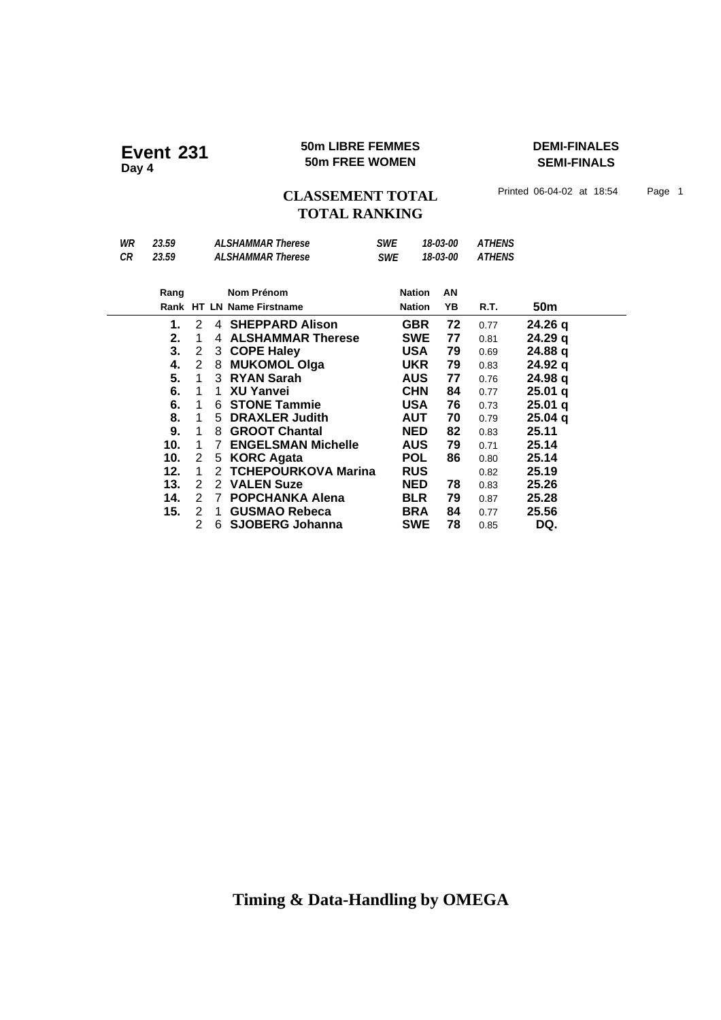### **50m LIBRE FEMMES DEMI-FINALES 50m LIBRE FEMMES**<br>50m FREE WOMEN

**SEMI-FINALS**

CLASSEMENT TOTAL Printed 06-04-02 at 18:54 Page 1 **TOTAL RANKING**

| WR<br>CR | 23.59<br>23.59 |   |                | <b>ALSHAMMAR Therese</b><br><b>ALSHAMMAR Therese</b> |  | <b>SWE</b><br>18-03-00<br>18-03-00<br><b>SWE</b> |    | <b>ATHENS</b><br><b>ATHENS</b> |                    |
|----------|----------------|---|----------------|------------------------------------------------------|--|--------------------------------------------------|----|--------------------------------|--------------------|
|          | Rang           |   |                | Nom Prénom                                           |  | <b>Nation</b>                                    | AN |                                |                    |
|          |                |   |                | Rank HT LN Name Firstname                            |  | <b>Nation</b>                                    | YB | R.T.                           | 50m                |
|          | 1.             | 2 | $\overline{4}$ | <b>SHEPPARD Alison</b>                               |  | <b>GBR</b>                                       | 72 | 0.77                           | 24.26 q            |
|          | 2.             | 1 | 4              | <b>ALSHAMMAR Therese</b>                             |  | <b>SWE</b>                                       | 77 | 0.81                           | 24.29 q            |
|          | 3.             | 2 | 3              | <b>COPE Haley</b>                                    |  | <b>USA</b>                                       | 79 | 0.69                           | 24.88 q            |
|          | 4.             | 2 | 8              | <b>MUKOMOL Olga</b>                                  |  | <b>UKR</b>                                       | 79 | 0.83                           | 24.92 q            |
|          | 5.             | 1 | 3              | <b>RYAN Sarah</b>                                    |  | <b>AUS</b>                                       | 77 | 0.76                           | 24.98q             |
|          | 6.             | 1 | 1              | <b>XU Yanvei</b>                                     |  | <b>CHN</b>                                       | 84 | 0.77                           | 25.01 <sub>q</sub> |
|          | 6.             | 1 | 6              | <b>STONE Tammie</b>                                  |  | USA                                              | 76 | 0.73                           | 25.01q             |
|          | 8.             | 1 | 5.             | <b>DRAXLER Judith</b>                                |  | <b>AUT</b>                                       | 70 | 0.79                           | 25.04 <sub>q</sub> |
|          | 9.             | 1 | 8              | <b>GROOT Chantal</b>                                 |  | <b>NED</b>                                       | 82 | 0.83                           | 25.11              |
|          | 10.            | 1 | 7              | <b>ENGELSMAN Michelle</b>                            |  | <b>AUS</b>                                       | 79 | 0.71                           | 25.14              |
|          | 10.            | 2 | 5              | <b>KORC Agata</b>                                    |  | POL                                              | 86 | 0.80                           | 25.14              |
|          | 12.            | 1 | 2              | <b>TCHEPOURKOVA Marina</b>                           |  | <b>RUS</b>                                       |    | 0.82                           | 25.19              |
|          | 13.            | 2 | 2              | <b>VALEN Suze</b>                                    |  | NED                                              | 78 | 0.83                           | 25.26              |
|          | 14.            | 2 | 7              | <b>POPCHANKA Alena</b>                               |  | <b>BLR</b>                                       | 79 | 0.87                           | 25.28              |
|          | 15.            | 2 | 1              | <b>GUSMAO Rebeca</b>                                 |  | <b>BRA</b>                                       | 84 | 0.77                           | 25.56              |
|          |                | 2 | 6              | <b>SJOBERG Johanna</b>                               |  | <b>SWE</b>                                       | 78 | 0.85                           | DQ.                |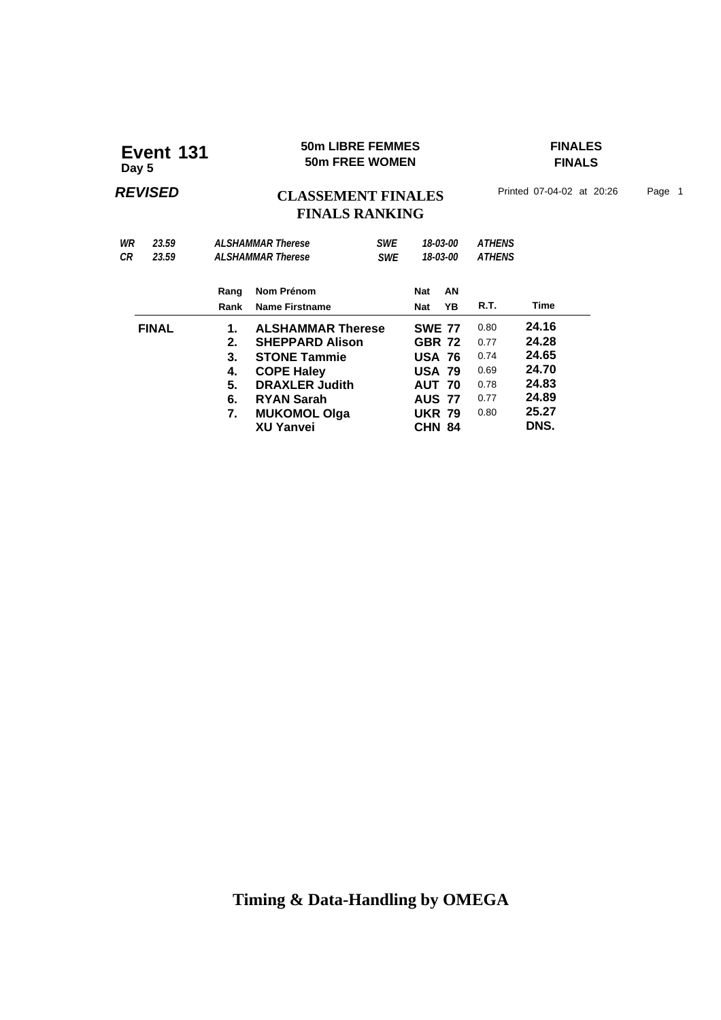### **50m LIBRE FEMMES FINALES Event 131 50m LIBRE FEMMES**<br>50m FREE WOMEN

**FINALS**

### **REVISED CLASSEMENT FINALES** Printed 07-04-02 at 20:26 Page 1 **FINALS RANKING**

| 23.59        |      |                       | <b>SWE</b>                                                                |                                                                                                                           |    |                                                                                                                                                              |       |                                |
|--------------|------|-----------------------|---------------------------------------------------------------------------|---------------------------------------------------------------------------------------------------------------------------|----|--------------------------------------------------------------------------------------------------------------------------------------------------------------|-------|--------------------------------|
| СR<br>23.59  |      | <b>SWE</b>            |                                                                           |                                                                                                                           |    |                                                                                                                                                              |       |                                |
|              | Rang | Nom Prénom            |                                                                           | Nat                                                                                                                       | AN |                                                                                                                                                              |       |                                |
|              | Rank | <b>Name Firstname</b> |                                                                           | <b>Nat</b>                                                                                                                | ΥB | R.T.                                                                                                                                                         | Time  |                                |
| <b>FINAL</b> | 1.   |                       |                                                                           |                                                                                                                           |    | 0.80                                                                                                                                                         | 24.16 |                                |
|              | 2.   |                       |                                                                           |                                                                                                                           |    | 0.77                                                                                                                                                         | 24.28 |                                |
|              | 3.   |                       |                                                                           |                                                                                                                           |    | 0.74                                                                                                                                                         | 24.65 |                                |
|              | 4.   |                       |                                                                           |                                                                                                                           |    | 0.69                                                                                                                                                         | 24.70 |                                |
|              | 5.   |                       |                                                                           |                                                                                                                           |    | 0.78                                                                                                                                                         | 24.83 |                                |
|              | 6.   | <b>RYAN Sarah</b>     |                                                                           |                                                                                                                           |    | 0.77                                                                                                                                                         | 24.89 |                                |
|              | 7.   |                       |                                                                           |                                                                                                                           |    | 0.80                                                                                                                                                         | 25.27 |                                |
|              |      | <b>XU Yanvei</b>      |                                                                           |                                                                                                                           |    |                                                                                                                                                              | DNS.  |                                |
|              |      |                       | <b>ALSHAMMAR Therese</b><br><b>ALSHAMMAR Therese</b><br><b>COPE Haley</b> | <b>ALSHAMMAR Therese</b><br><b>SHEPPARD Alison</b><br><b>STONE Tammie</b><br><b>DRAXLER Judith</b><br><b>MUKOMOL Olga</b> |    | 18-03-00<br>18-03-00<br><b>SWE 77</b><br><b>GBR 72</b><br><b>USA 76</b><br><b>USA 79</b><br><b>AUT 70</b><br><b>AUS 77</b><br><b>UKR 79</b><br><b>CHN 84</b> |       | <b>ATHENS</b><br><b>ATHENS</b> |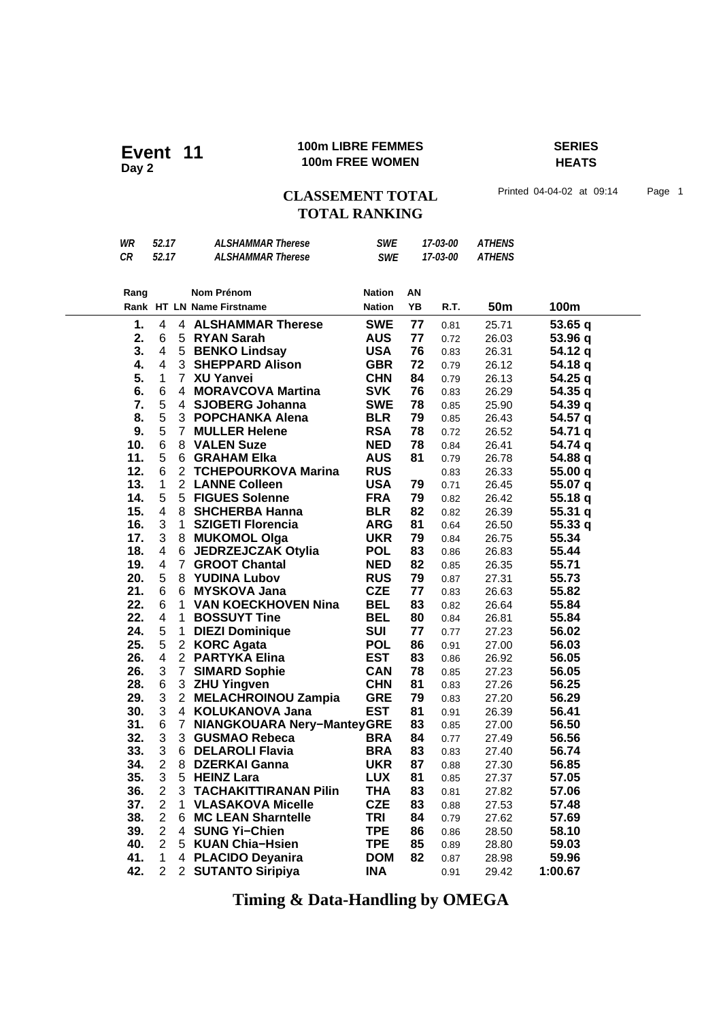#### **100m LIBRE FEMMES SERIES 100m LIBRE FEMMES**<br>100m FREE WOMEN

**HEATS**

CLASSEMENT TOTAL Printed 04-04-02 at 09:14 Page 1 **TOTAL RANKING**

| WR   | 52.17                    |                | <b>ALSHAMMAR Therese</b>          | <b>SWE</b>    |    | 17-03-00 | <b>ATHENS</b> |         |
|------|--------------------------|----------------|-----------------------------------|---------------|----|----------|---------------|---------|
| CR   | 52.17                    |                | <b>ALSHAMMAR Therese</b>          | <b>SWE</b>    |    | 17-03-00 | <b>ATHENS</b> |         |
|      |                          |                |                                   |               |    |          |               |         |
|      |                          |                |                                   |               |    |          |               |         |
| Rang |                          |                | Nom Prénom                        | <b>Nation</b> | ΑN |          |               |         |
|      |                          |                | Rank HT LN Name Firstname         | <b>Nation</b> | YB | R.T.     | <b>50m</b>    | 100m    |
| 1.   | 4                        |                | 4 ALSHAMMAR Therese               | <b>SWE</b>    | 77 | 0.81     | 25.71         | 53.65 q |
| 2.   | 6                        |                | 5 RYAN Sarah                      | <b>AUS</b>    | 77 | 0.72     | 26.03         | 53.96 q |
| 3.   | $\overline{\mathcal{A}}$ |                | 5 BENKO Lindsay                   | <b>USA</b>    | 76 | 0.83     | 26.31         | 54.12 q |
| 4.   | 4                        |                | 3 SHEPPARD Alison                 | <b>GBR</b>    | 72 | 0.79     | 26.12         | 54.18 q |
| 5.   | 1                        |                | 7 XU Yanvei                       | <b>CHN</b>    | 84 | 0.79     | 26.13         | 54.25 q |
| 6.   | 6                        |                | 4 MORAVCOVA Martina               | <b>SVK</b>    | 76 | 0.83     | 26.29         | 54.35 q |
| 7.   | 5                        | 4              | <b>SJOBERG Johanna</b>            | <b>SWE</b>    | 78 | 0.85     | 25.90         | 54.39 q |
| 8.   | 5                        |                | 3 POPCHANKA Alena                 | <b>BLR</b>    | 79 | 0.85     | 26.43         | 54.57 q |
| 9.   | 5                        |                | 7 MULLER Helene                   | <b>RSA</b>    | 78 | 0.72     | 26.52         | 54.71 q |
| 10.  | $\,6$                    |                | 8 VALEN Suze                      | <b>NED</b>    | 78 | 0.84     | 26.41         | 54.74 q |
| 11.  | 5                        |                | 6 GRAHAM Elka                     | <b>AUS</b>    | 81 | 0.79     | 26.78         | 54.88 q |
| 12.  | 6                        |                | 2 TCHEPOURKOVA Marina             | <b>RUS</b>    |    | 0.83     | 26.33         | 55.00 q |
| 13.  | $\mathbf{1}$             |                | 2 LANNE Colleen                   | <b>USA</b>    | 79 | 0.71     | 26.45         | 55.07 q |
| 14.  | 5                        |                | 5 FIGUES Solenne                  | <b>FRA</b>    | 79 | 0.82     | 26.42         | 55.18q  |
| 15.  | $\overline{4}$           |                | 8 SHCHERBA Hanna                  | <b>BLR</b>    | 82 | 0.82     | 26.39         | 55.31q  |
| 16.  | 3                        | $\mathbf 1$    | <b>SZIGETI Florencia</b>          | <b>ARG</b>    | 81 | 0.64     | 26.50         | 55.33q  |
| 17.  | 3                        |                | 8 MUKOMOL Olga                    | <b>UKR</b>    | 79 | 0.84     | 26.75         | 55.34   |
| 18.  | 4                        | 6              | <b>JEDRZEJCZAK Otylia</b>         | <b>POL</b>    | 83 | 0.86     | 26.83         | 55.44   |
| 19.  | 4                        | $\overline{7}$ | <b>GROOT Chantal</b>              | <b>NED</b>    | 82 | 0.85     | 26.35         | 55.71   |
| 20.  | 5                        | 8              | <b>YUDINA Lubov</b>               | <b>RUS</b>    | 79 | 0.87     | 27.31         | 55.73   |
| 21.  | 6                        | 6              | <b>MYSKOVA Jana</b>               | <b>CZE</b>    | 77 | 0.83     | 26.63         | 55.82   |
| 22.  | 6                        |                | 1 VAN KOECKHOVEN Nina             | <b>BEL</b>    | 83 | 0.82     | 26.64         | 55.84   |
| 22.  | 4                        | 1              | <b>BOSSUYT Tine</b>               | <b>BEL</b>    | 80 | 0.84     | 26.81         | 55.84   |
| 24.  | 5                        | 1              | <b>DIEZI Dominique</b>            | <b>SUI</b>    | 77 | 0.77     | 27.23         | 56.02   |
| 25.  | 5                        | $\overline{2}$ | <b>KORC Agata</b>                 | <b>POL</b>    | 86 | 0.91     | 27.00         | 56.03   |
| 26.  | 4                        |                | 2 PARTYKA Elina                   | <b>EST</b>    | 83 | 0.86     | 26.92         | 56.05   |
| 26.  | 3                        | $\overline{7}$ | <b>SIMARD Sophie</b>              | <b>CAN</b>    | 78 | 0.85     | 27.23         | 56.05   |
| 28.  | 6                        |                | 3 ZHU Yingven                     | <b>CHN</b>    | 81 | 0.83     | 27.26         | 56.25   |
| 29.  | 3                        |                | 2 MELACHROINOU Zampia             | <b>GRE</b>    | 79 | 0.83     | 27.20         | 56.29   |
| 30.  | 3                        | 4              | <b>KOLUKANOVA Jana</b>            | <b>EST</b>    | 81 | 0.91     | 26.39         | 56.41   |
| 31.  | 6                        | $\mathbf{7}$   | <b>NIANGKOUARA Nery-ManteyGRE</b> |               | 83 | 0.85     | 27.00         | 56.50   |
| 32.  | 3                        |                | 3 GUSMAO Rebeca                   | <b>BRA</b>    | 84 | 0.77     | 27.49         | 56.56   |
| 33.  | 3                        |                | 6 DELAROLI Flavia                 | <b>BRA</b>    | 83 | 0.83     | 27.40         | 56.74   |
| 34.  | $\overline{2}$           |                | 8 DZERKAI Ganna                   | <b>UKR</b>    | 87 | 0.88     | 27.30         | 56.85   |
| 35.  | 3                        |                | 5 HEINZ Lara                      | <b>LUX</b>    | 81 | 0.85     | 27.37         | 57.05   |
| 36.  | $\overline{2}$           | 3              | <b>TACHAKITTIRANAN Pilin</b>      | <b>THA</b>    | 83 | 0.81     | 27.82         | 57.06   |
| 37.  | $\overline{2}$           | 1              | <b>VLASAKOVA Micelle</b>          | <b>CZE</b>    | 83 | 0.88     | 27.53         | 57.48   |
| 38.  | $\overline{2}$           | 6.             | <b>MC LEAN Sharntelle</b>         | <b>TRI</b>    | 84 | 0.79     | 27.62         | 57.69   |
| 39.  | $\overline{2}$           |                | 4 SUNG Yi-Chien                   | <b>TPE</b>    | 86 | 0.86     | 28.50         | 58.10   |
| 40.  | $\overline{2}$           |                | 5 KUAN Chia-Hsien                 | <b>TPE</b>    | 85 | 0.89     | 28.80         | 59.03   |
| 41.  | 1                        |                | 4 PLACIDO Deyanira                | <b>DOM</b>    | 82 | 0.87     | 28.98         | 59.96   |
| 42.  | $\overline{2}$           |                | 2 SUTANTO Siripiya                | <b>INA</b>    |    | 0.91     | 29.42         | 1:00.67 |
|      |                          |                |                                   |               |    |          |               |         |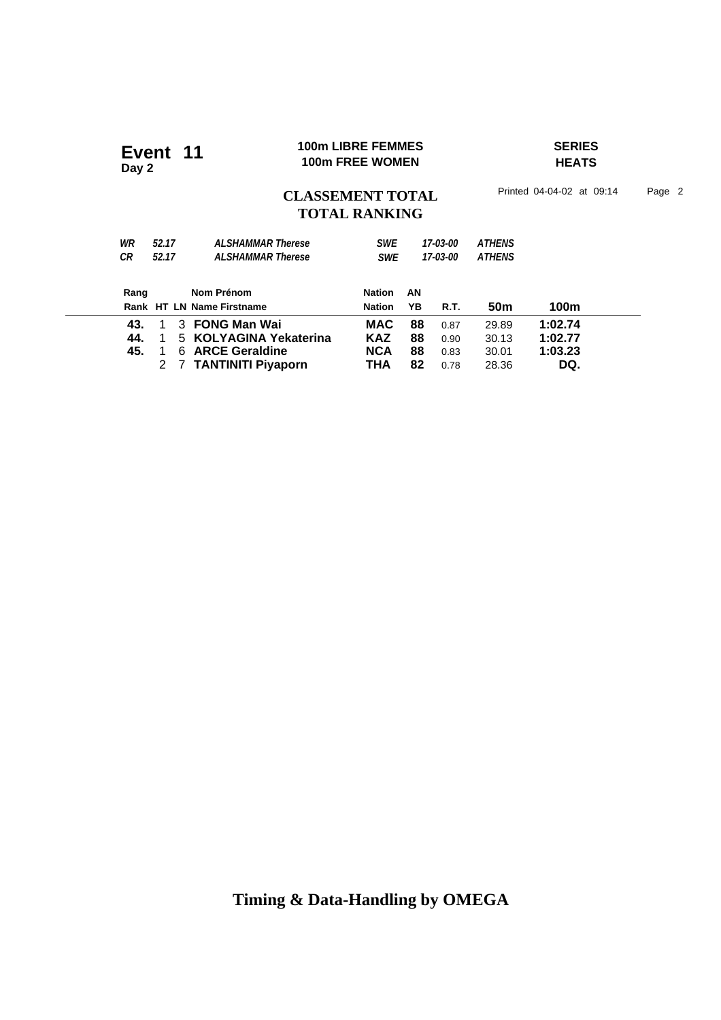#### **100m LIBRE FEMMES SERIES 100m LIBRE FEMMES**<br>100m FREE WOMEN

# **HEATS**

CLASSEMENT TOTAL Printed 04-04-02 at 09:14 Page 2

# **TOTAL RANKING**

| WR<br>СR | 52.17<br>52.17 |    | <b>ALSHAMMAR Therese</b><br><b>ALSHAMMAR Therese</b> | <b>SWE</b><br><b>SWE</b> |    | 17-03-00<br>17-03-00 | <b>ATHENS</b><br><b>ATHENS</b> |         |  |
|----------|----------------|----|------------------------------------------------------|--------------------------|----|----------------------|--------------------------------|---------|--|
| Rang     |                |    | Nom Prénom                                           | <b>Nation</b>            | AN |                      |                                |         |  |
|          |                |    | Rank HT LN Name Firstname                            | <b>Nation</b>            | YΒ | R.T.                 | 50m                            | 100m    |  |
| 43.      |                |    | 3 FONG Man Wai                                       | <b>MAC</b>               | 88 | 0.87                 | 29.89                          | 1:02.74 |  |
| 44.      |                |    | 5 KOLYAGINA Yekaterina                               | <b>KAZ</b>               | 88 | 0.90                 | 30.13                          | 1:02.77 |  |
| 45.      |                | 6. | <b>ARCE Geraldine</b>                                | <b>NCA</b>               | 88 | 0.83                 | 30.01                          | 1:03.23 |  |
|          |                |    | 7 TANTINITI Piyaporn                                 | ТНА                      | 82 | 0.78                 | 28.36                          | DQ.     |  |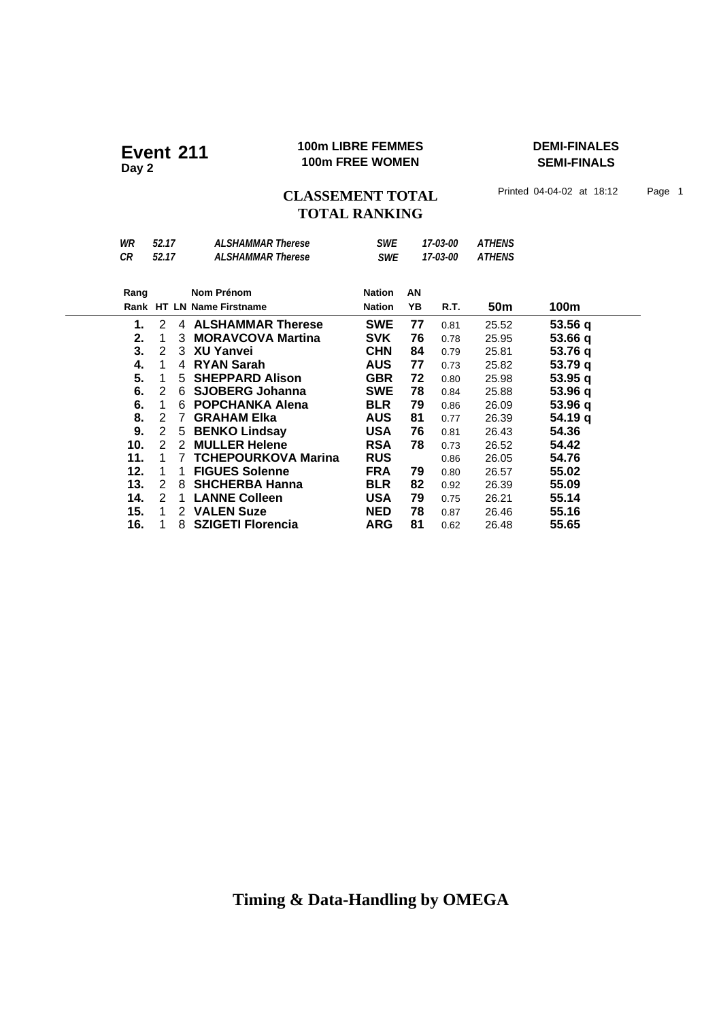#### **100m LIBRE FEMMES DEMI-FINALES Event 211 100m LIBRE FEMMES**<br>100m FREE WOMEN

**SEMI-FINALS**

CLASSEMENT TOTAL Printed 04-04-02 at 18:12 Page 1 **TOTAL RANKING**

| WR   | 52.17         |   | <b>ALSHAMMAR Therese</b>   | <b>SWE</b>    |    | 17-03-00 | <b>ATHENS</b>   |         |
|------|---------------|---|----------------------------|---------------|----|----------|-----------------|---------|
| CR   | 52.17         |   | <b>ALSHAMMAR Therese</b>   | <b>SWE</b>    |    | 17-03-00 | <b>ATHENS</b>   |         |
|      |               |   |                            |               |    |          |                 |         |
| Rang |               |   | Nom Prénom                 | <b>Nation</b> | AN |          |                 |         |
|      |               |   | Rank HT LN Name Firstname  | <b>Nation</b> | YΒ | R.T.     | 50 <sub>m</sub> | 100m    |
| 1.   | 2             |   | 4 ALSHAMMAR Therese        | <b>SWE</b>    | 77 | 0.81     | 25.52           | 53.56q  |
| 2.   | 1             | 3 | <b>MORAVCOVA Martina</b>   | <b>SVK</b>    | 76 | 0.78     | 25.95           | 53.66 q |
| 3.   | 2             |   | 3 XU Yanvei                | <b>CHN</b>    | 84 | 0.79     | 25.81           | 53.76 q |
| 4.   | 1             | 4 | <b>RYAN Sarah</b>          | <b>AUS</b>    | 77 | 0.73     | 25.82           | 53.79 q |
| 5.   | 1             |   | 5 SHEPPARD Alison          | <b>GBR</b>    | 72 | 0.80     | 25.98           | 53.95q  |
| 6.   | 2             | 6 | <b>SJOBERG Johanna</b>     | <b>SWE</b>    | 78 | 0.84     | 25.88           | 53.96 q |
| 6.   | -1            | 6 | <b>POPCHANKA Alena</b>     | <b>BLR</b>    | 79 | 0.86     | 26.09           | 53.96 q |
| 8.   | 2             | 7 | <b>GRAHAM Elka</b>         | <b>AUS</b>    | 81 | 0.77     | 26.39           | 54.19 q |
| 9.   | 2             |   | 5 BENKO Lindsay            | <b>USA</b>    | 76 | 0.81     | 26.43           | 54.36   |
| 10.  | $\mathcal{P}$ | 2 | <b>MULLER Helene</b>       | <b>RSA</b>    | 78 | 0.73     | 26.52           | 54.42   |
| 11.  | 1             | 7 | <b>TCHEPOURKOVA Marina</b> | <b>RUS</b>    |    | 0.86     | 26.05           | 54.76   |
| 12.  | 1             | 1 | <b>FIGUES Solenne</b>      | <b>FRA</b>    | 79 | 0.80     | 26.57           | 55.02   |
| 13.  | 2             | 8 | <b>SHCHERBA Hanna</b>      | <b>BLR</b>    | 82 | 0.92     | 26.39           | 55.09   |
| 14.  | 2             | 1 | <b>LANNE Colleen</b>       | <b>USA</b>    | 79 | 0.75     | 26.21           | 55.14   |
| 15.  | -1            |   | 2 VALEN Suze               | <b>NED</b>    | 78 | 0.87     | 26.46           | 55.16   |
| 16.  | 1             | 8 | <b>SZIGETI Florencia</b>   | <b>ARG</b>    | 81 | 0.62     | 26.48           | 55.65   |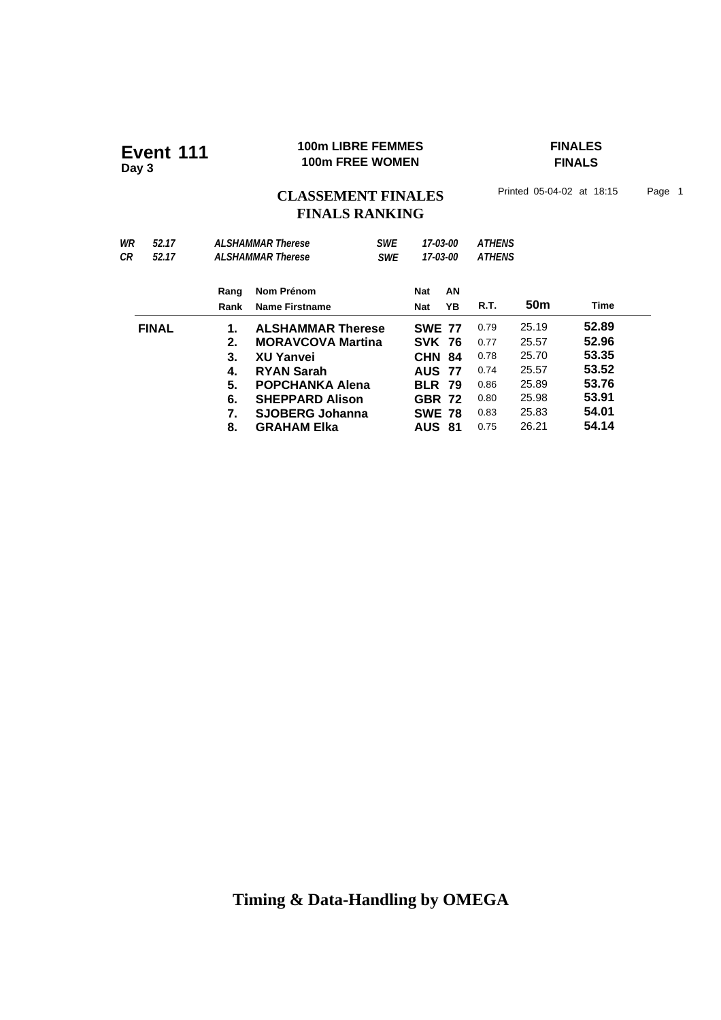#### **100m LIBRE FEMMES FINALES 100m LIBRE FEMMES**<br>100m FREE WOMEN

**FINALS**

# CLASSEMENT FINALES<sup>Printed 05-04-02 at 18:15 Page 1</sup> **FINALS RANKING**

| WR | 52.17        |      | <b>ALSHAMMAR Therese</b> | <b>SWE</b> |               | 17-03-00 | <b>ATHENS</b> |                 |       |  |
|----|--------------|------|--------------------------|------------|---------------|----------|---------------|-----------------|-------|--|
| СR | 52.17        |      | <b>ALSHAMMAR Therese</b> | <b>SWE</b> | 17-03-00      |          | <b>ATHENS</b> |                 |       |  |
|    |              | Rang | Nom Prénom               |            | <b>Nat</b>    | AN       |               |                 |       |  |
|    |              | Rank | <b>Name Firstname</b>    |            | <b>Nat</b>    | YΒ       | R.T.          | 50 <sub>m</sub> | Time  |  |
|    | <b>FINAL</b> | 1.   | <b>ALSHAMMAR Therese</b> |            | <b>SWE 77</b> |          | 0.79          | 25.19           | 52.89 |  |
|    |              | 2.   | <b>MORAVCOVA Martina</b> |            | <b>SVK 76</b> |          | 0.77          | 25.57           | 52.96 |  |
|    |              | 3.   | <b>XU Yanvei</b>         |            | <b>CHN 84</b> |          | 0.78          | 25.70           | 53.35 |  |
|    |              | 4.   | <b>RYAN Sarah</b>        |            | <b>AUS 77</b> |          | 0.74          | 25.57           | 53.52 |  |
|    |              | 5.   | <b>POPCHANKA Alena</b>   |            | <b>BLR 79</b> |          | 0.86          | 25.89           | 53.76 |  |
|    |              | 6.   | <b>SHEPPARD Alison</b>   |            | <b>GBR 72</b> |          | 0.80          | 25.98           | 53.91 |  |
|    |              | 7.   | <b>SJOBERG Johanna</b>   |            | <b>SWE 78</b> |          | 0.83          | 25.83           | 54.01 |  |
|    |              | 8.   | <b>GRAHAM EIka</b>       |            | <b>AUS 81</b> |          | 0.75          | 26.21           | 54.14 |  |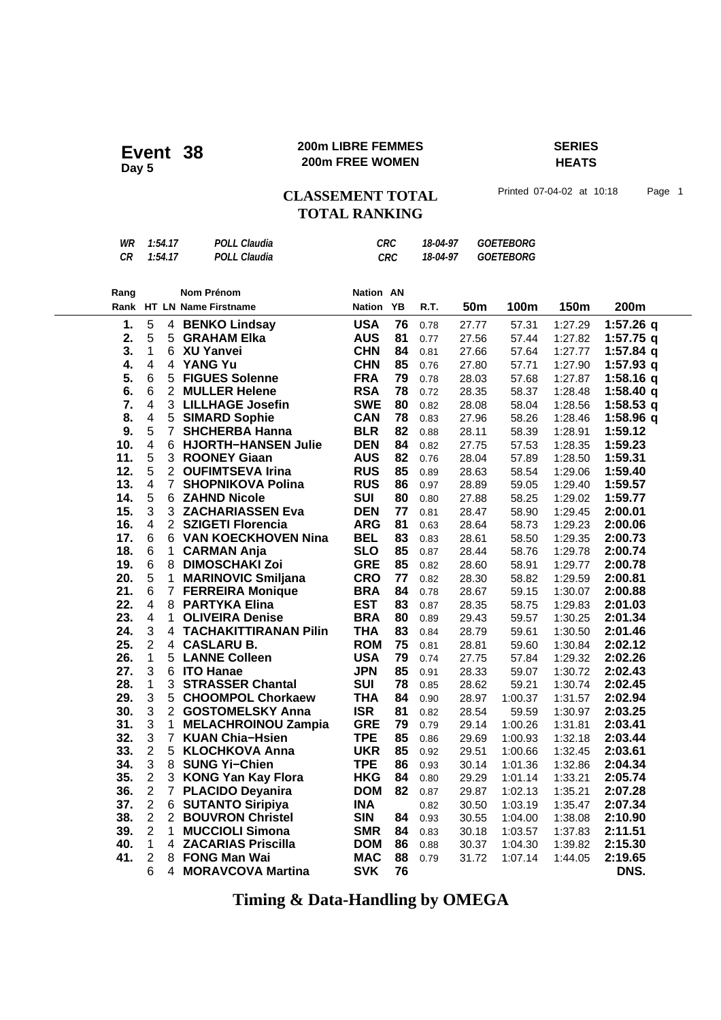#### **200m LIBRE FEMMES SERIES 200m FREE WOMEN Event 38**

**HEATS**

**CLASSEMENT TOTAL** Printed 07-04-02 at 10:18 Page 1 **TOTAL RANKING**

|                |                                                                                                                                                                       | <b>POLL Claudia</b>          |                                                                                                                                                                                                                                                                                                                                                                                                                                                                                                                                                               |                                                                                                                 |                                                                            |       |                                                                                                                                                                                                                                                                                                     |                                              |             |
|----------------|-----------------------------------------------------------------------------------------------------------------------------------------------------------------------|------------------------------|---------------------------------------------------------------------------------------------------------------------------------------------------------------------------------------------------------------------------------------------------------------------------------------------------------------------------------------------------------------------------------------------------------------------------------------------------------------------------------------------------------------------------------------------------------------|-----------------------------------------------------------------------------------------------------------------|----------------------------------------------------------------------------|-------|-----------------------------------------------------------------------------------------------------------------------------------------------------------------------------------------------------------------------------------------------------------------------------------------------------|----------------------------------------------|-------------|
|                |                                                                                                                                                                       |                              |                                                                                                                                                                                                                                                                                                                                                                                                                                                                                                                                                               |                                                                                                                 |                                                                            |       |                                                                                                                                                                                                                                                                                                     |                                              |             |
|                |                                                                                                                                                                       |                              |                                                                                                                                                                                                                                                                                                                                                                                                                                                                                                                                                               |                                                                                                                 |                                                                            |       |                                                                                                                                                                                                                                                                                                     |                                              |             |
|                |                                                                                                                                                                       |                              |                                                                                                                                                                                                                                                                                                                                                                                                                                                                                                                                                               |                                                                                                                 |                                                                            |       |                                                                                                                                                                                                                                                                                                     |                                              | 200m        |
|                |                                                                                                                                                                       |                              |                                                                                                                                                                                                                                                                                                                                                                                                                                                                                                                                                               |                                                                                                                 |                                                                            |       |                                                                                                                                                                                                                                                                                                     |                                              |             |
|                |                                                                                                                                                                       |                              |                                                                                                                                                                                                                                                                                                                                                                                                                                                                                                                                                               |                                                                                                                 | 0.78                                                                       |       | 57.31                                                                                                                                                                                                                                                                                               | 1:27.29                                      | 1:57.26 q   |
|                |                                                                                                                                                                       |                              |                                                                                                                                                                                                                                                                                                                                                                                                                                                                                                                                                               | 81                                                                                                              | 0.77                                                                       |       | 57.44                                                                                                                                                                                                                                                                                               | 1:27.82                                      | 1:57.75 q   |
|                |                                                                                                                                                                       |                              |                                                                                                                                                                                                                                                                                                                                                                                                                                                                                                                                                               |                                                                                                                 | 0.81                                                                       |       | 57.64                                                                                                                                                                                                                                                                                               | 1:27.77                                      | $1:57.84$ q |
|                | 4                                                                                                                                                                     | <b>YANG Yu</b>               | <b>CHN</b>                                                                                                                                                                                                                                                                                                                                                                                                                                                                                                                                                    | 85                                                                                                              | 0.76                                                                       |       | 57.71                                                                                                                                                                                                                                                                                               | 1:27.90                                      | 1:57.93 q   |
|                | 5                                                                                                                                                                     |                              | <b>FRA</b>                                                                                                                                                                                                                                                                                                                                                                                                                                                                                                                                                    | 79                                                                                                              | 0.78                                                                       |       | 57.68                                                                                                                                                                                                                                                                                               | 1:27.87                                      | $1:58.16$ q |
|                |                                                                                                                                                                       |                              | <b>RSA</b>                                                                                                                                                                                                                                                                                                                                                                                                                                                                                                                                                    | 78                                                                                                              | 0.72                                                                       |       | 58.37                                                                                                                                                                                                                                                                                               | 1:28.48                                      | 1:58.40q    |
|                |                                                                                                                                                                       |                              |                                                                                                                                                                                                                                                                                                                                                                                                                                                                                                                                                               |                                                                                                                 | 0.82                                                                       |       | 58.04                                                                                                                                                                                                                                                                                               | 1:28.56                                      | $1:58.53$ q |
|                |                                                                                                                                                                       |                              |                                                                                                                                                                                                                                                                                                                                                                                                                                                                                                                                                               | 78                                                                                                              | 0.83                                                                       |       | 58.26                                                                                                                                                                                                                                                                                               | 1:28.46                                      | 1:58.96 q   |
|                |                                                                                                                                                                       |                              |                                                                                                                                                                                                                                                                                                                                                                                                                                                                                                                                                               |                                                                                                                 | 0.88                                                                       |       | 58.39                                                                                                                                                                                                                                                                                               | 1:28.91                                      | 1:59.12     |
|                |                                                                                                                                                                       |                              |                                                                                                                                                                                                                                                                                                                                                                                                                                                                                                                                                               | 84                                                                                                              | 0.82                                                                       |       | 57.53                                                                                                                                                                                                                                                                                               | 1:28.35                                      | 1:59.23     |
|                |                                                                                                                                                                       | <b>ROONEY Giaan</b>          | <b>AUS</b>                                                                                                                                                                                                                                                                                                                                                                                                                                                                                                                                                    | 82                                                                                                              | 0.76                                                                       |       | 57.89                                                                                                                                                                                                                                                                                               | 1:28.50                                      | 1:59.31     |
|                |                                                                                                                                                                       | <b>OUFIMTSEVA Irina</b>      | <b>RUS</b>                                                                                                                                                                                                                                                                                                                                                                                                                                                                                                                                                    | 85                                                                                                              | 0.89                                                                       |       | 58.54                                                                                                                                                                                                                                                                                               | 1:29.06                                      | 1:59.40     |
|                |                                                                                                                                                                       | <b>SHOPNIKOVA Polina</b>     | <b>RUS</b>                                                                                                                                                                                                                                                                                                                                                                                                                                                                                                                                                    | 86                                                                                                              | 0.97                                                                       |       | 59.05                                                                                                                                                                                                                                                                                               | 1:29.40                                      | 1:59.57     |
| 5              |                                                                                                                                                                       |                              | <b>SUI</b>                                                                                                                                                                                                                                                                                                                                                                                                                                                                                                                                                    | 80                                                                                                              | 0.80                                                                       |       | 58.25                                                                                                                                                                                                                                                                                               | 1:29.02                                      | 1:59.77     |
| 3              |                                                                                                                                                                       |                              | <b>DEN</b>                                                                                                                                                                                                                                                                                                                                                                                                                                                                                                                                                    | 77                                                                                                              | 0.81                                                                       |       | 58.90                                                                                                                                                                                                                                                                                               | 1:29.45                                      | 2:00.01     |
| 4              |                                                                                                                                                                       |                              | <b>ARG</b>                                                                                                                                                                                                                                                                                                                                                                                                                                                                                                                                                    | 81                                                                                                              | 0.63                                                                       |       | 58.73                                                                                                                                                                                                                                                                                               | 1:29.23                                      | 2:00.06     |
| 6              | 6                                                                                                                                                                     | <b>VAN KOECKHOVEN Nina</b>   | <b>BEL</b>                                                                                                                                                                                                                                                                                                                                                                                                                                                                                                                                                    | 83                                                                                                              | 0.83                                                                       |       | 58.50                                                                                                                                                                                                                                                                                               | 1:29.35                                      | 2:00.73     |
| 6              | 1                                                                                                                                                                     | <b>CARMAN Anja</b>           | <b>SLO</b>                                                                                                                                                                                                                                                                                                                                                                                                                                                                                                                                                    | 85                                                                                                              | 0.87                                                                       |       | 58.76                                                                                                                                                                                                                                                                                               | 1:29.78                                      | 2:00.74     |
| 6              | 8                                                                                                                                                                     | <b>DIMOSCHAKI Zoi</b>        | <b>GRE</b>                                                                                                                                                                                                                                                                                                                                                                                                                                                                                                                                                    | 85                                                                                                              | 0.82                                                                       |       | 58.91                                                                                                                                                                                                                                                                                               | 1:29.77                                      | 2:00.78     |
| 5              | 1                                                                                                                                                                     | <b>MARINOVIC Smiljana</b>    | <b>CRO</b>                                                                                                                                                                                                                                                                                                                                                                                                                                                                                                                                                    | 77                                                                                                              | 0.82                                                                       |       | 58.82                                                                                                                                                                                                                                                                                               | 1:29.59                                      | 2:00.81     |
| 6              |                                                                                                                                                                       |                              | <b>BRA</b>                                                                                                                                                                                                                                                                                                                                                                                                                                                                                                                                                    | 84                                                                                                              | 0.78                                                                       |       | 59.15                                                                                                                                                                                                                                                                                               | 1:30.07                                      | 2:00.88     |
| 4              |                                                                                                                                                                       |                              | <b>EST</b>                                                                                                                                                                                                                                                                                                                                                                                                                                                                                                                                                    | 83                                                                                                              | 0.87                                                                       |       | 58.75                                                                                                                                                                                                                                                                                               | 1:29.83                                      | 2:01.03     |
| 4              | $\mathbf{1}$                                                                                                                                                          | <b>OLIVEIRA Denise</b>       | <b>BRA</b>                                                                                                                                                                                                                                                                                                                                                                                                                                                                                                                                                    | 80                                                                                                              | 0.89                                                                       |       | 59.57                                                                                                                                                                                                                                                                                               | 1:30.25                                      | 2:01.34     |
|                |                                                                                                                                                                       | <b>TACHAKITTIRANAN Pilin</b> | <b>THA</b>                                                                                                                                                                                                                                                                                                                                                                                                                                                                                                                                                    | 83                                                                                                              | 0.84                                                                       |       | 59.61                                                                                                                                                                                                                                                                                               | 1:30.50                                      | 2:01.46     |
| $\overline{2}$ |                                                                                                                                                                       | <b>CASLARU B.</b>            | <b>ROM</b>                                                                                                                                                                                                                                                                                                                                                                                                                                                                                                                                                    | 75                                                                                                              | 0.81                                                                       |       | 59.60                                                                                                                                                                                                                                                                                               | 1:30.84                                      | 2:02.12     |
| $\mathbf{1}$   |                                                                                                                                                                       |                              | <b>USA</b>                                                                                                                                                                                                                                                                                                                                                                                                                                                                                                                                                    | 79                                                                                                              | 0.74                                                                       |       | 57.84                                                                                                                                                                                                                                                                                               | 1:29.32                                      | 2:02.26     |
| 3              |                                                                                                                                                                       |                              | <b>JPN</b>                                                                                                                                                                                                                                                                                                                                                                                                                                                                                                                                                    | 85                                                                                                              | 0.91                                                                       |       | 59.07                                                                                                                                                                                                                                                                                               | 1:30.72                                      | 2:02.43     |
| 1              | 3                                                                                                                                                                     | <b>STRASSER Chantal</b>      | <b>SUI</b>                                                                                                                                                                                                                                                                                                                                                                                                                                                                                                                                                    | 78                                                                                                              | 0.85                                                                       |       | 59.21                                                                                                                                                                                                                                                                                               | 1:30.74                                      | 2:02.45     |
| 3              | 5                                                                                                                                                                     | <b>CHOOMPOL Chorkaew</b>     | <b>THA</b>                                                                                                                                                                                                                                                                                                                                                                                                                                                                                                                                                    | 84                                                                                                              | 0.90                                                                       | 28.97 | 1:00.37                                                                                                                                                                                                                                                                                             | 1:31.57                                      | 2:02.94     |
|                | 5<br>5<br>$\mathbf{1}$<br>$\overline{\mathbf{4}}$<br>6<br>6<br>$\overline{\mathbf{4}}$<br>4<br>5<br>$\overline{\mathbf{4}}$<br>5<br>5<br>$\overline{\mathbf{4}}$<br>3 |                              | <b>POLL Claudia</b><br>1:54.17<br>1:54.17<br><b>Nom Prénom</b><br>Rank HT LN Name Firstname<br>4 BENKO Lindsay<br>5 GRAHAM Elka<br>6 XU Yanvei<br><b>FIGUES Solenne</b><br>$2^{\circ}$<br><b>MULLER Helene</b><br>3 LILLHAGE Josefin<br>5<br><b>SIMARD Sophie</b><br>$\overline{7}$<br><b>SHCHERBA Hanna</b><br>6 HJORTH-HANSEN Julie<br>3<br>$2^{\circ}$<br>$7^{\circ}$<br>6 ZAHND Nicole<br><b>3 ZACHARIASSEN Eva</b><br>2 SZIGETI Florencia<br>7 FERREIRA Monique<br>8 PARTYKA Elina<br>$\overline{4}$<br>$\overline{4}$<br>5 LANNE Colleen<br>6 ITO Hanae | <b>Nation</b><br><b>USA</b><br><b>AUS</b><br><b>CHN</b><br><b>SWE</b><br><b>CAN</b><br><b>BLR</b><br><b>DEN</b> | CRC<br><b>CRC</b><br><b>Nation AN</b><br><b>YB</b><br>76<br>84<br>80<br>82 | R.T.  | 18-04-97<br>18-04-97<br>50 <sub>m</sub><br>27.77<br>27.56<br>27.66<br>27.80<br>28.03<br>28.35<br>28.08<br>27.96<br>28.11<br>27.75<br>28.04<br>28.63<br>28.89<br>27.88<br>28.47<br>28.64<br>28.61<br>28.44<br>28.60<br>28.30<br>28.67<br>28.35<br>29.43<br>28.79<br>28.81<br>27.75<br>28.33<br>28.62 | <b>GOETEBORG</b><br><b>GOETEBORG</b><br>100m | 150m        |

 **30.** 3 2 **GOSTOMELSKY Anna ISR 81** 0.82 28.54 59.59 1:30.97 **2:03.25 31.** 3 1 **MELACHROINOU Zampia GRE 79** 0.79 29.14 1:00.26 1:31.81 **2:03.41 32.** 3 7 **KUAN Chia−Hsien TPE 85** 0.86 29.69 1:00.93 1:32.18 **2:03.44 33.** 2 5 **KLOCHKOVA Anna UKR 85** 0.92 29.51 1:00.66 1:32.45 **2:03.61 34.** 3 8 SUNG Yi–Chien TPE 86 0.93 30.14 1:01.36 1:32.86 2:04.34<br>**35.** 2 3 KONG Yan Kay Flora HKG 84 0.80 29.29 1:01.14 1:33.21 2:05.74  **35.** 2 3 **KONG Yan Kay Flora HKG 84** 0.80 29.29 1:01.14 1:33.21 **2:05.74 36.** 2 7 **PLACIDO Deyanira DOM 82** 0.87 29.87 1:02.13 1:35.21 **2:07.28 37.** 2 6 **SUTANTO Siripiya INA** 0.82 30.50 1:03.19 1:35.47 **2:07.34 38.** 2 2 **BOUVRON Christel SIN 84** 0.93 30.55 1:04.00 1:38.08 **2:10.90 39.** 2 1 **MUCCIOLI Simona SMR 84** 0.83 30.18 1:03.57 1:37.83 **2:11.51**

 **41.** 2 8 **FONG Man Wai MAC 88** 0.79 31.72 1:07.14 1:44.05 **2:19.65**

**Timing & Data-Handling by OMEGA**

**4 ZACARIAS Priscilla DOM 86** 0.88 30.37<br>8 **FONG Man Wai MAC 88** 0.79 31.72

#### 6 4 **MORAVCOVA Martina SVK 76 DNS.**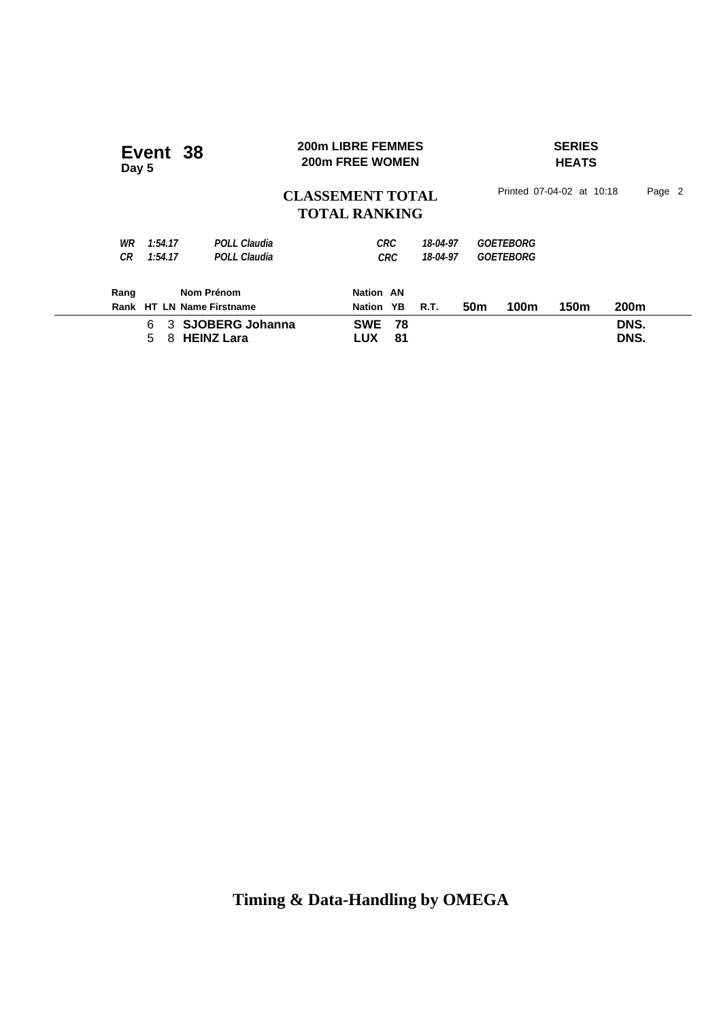| Event 38<br>Day 5                                                            | <b>200m LIBRE FEMMES</b><br>200m FREE WOMEN      | <b>SERIES</b><br><b>HEATS</b>        |              |
|------------------------------------------------------------------------------|--------------------------------------------------|--------------------------------------|--------------|
|                                                                              | <b>CLASSEMENT TOTAL</b><br><b>TOTAL RANKING</b>  | Printed 07-04-02 at 10:18            | Page 2       |
| 1:54.17<br><b>POLL Claudia</b><br>WR<br><b>POLL Claudia</b><br>СR<br>1:54.17 | <b>CRC</b><br>18-04-97<br>18-04-97<br><b>CRC</b> | <b>GOETEBORG</b><br><b>GOETEBORG</b> |              |
| Nom Prénom<br>Rang<br>Rank HT LN Name Firstname                              | Nation AN<br>YB.<br>R.T.<br>Nation               | 150m<br>100m<br>50 <sub>m</sub>      | 200m         |
| 3 SJOBERG Johanna<br>6<br><b>HEINZ Lara</b><br>5<br>8                        | <b>SWE</b><br>78<br>81<br><b>LUX</b>             |                                      | DNS.<br>DNS. |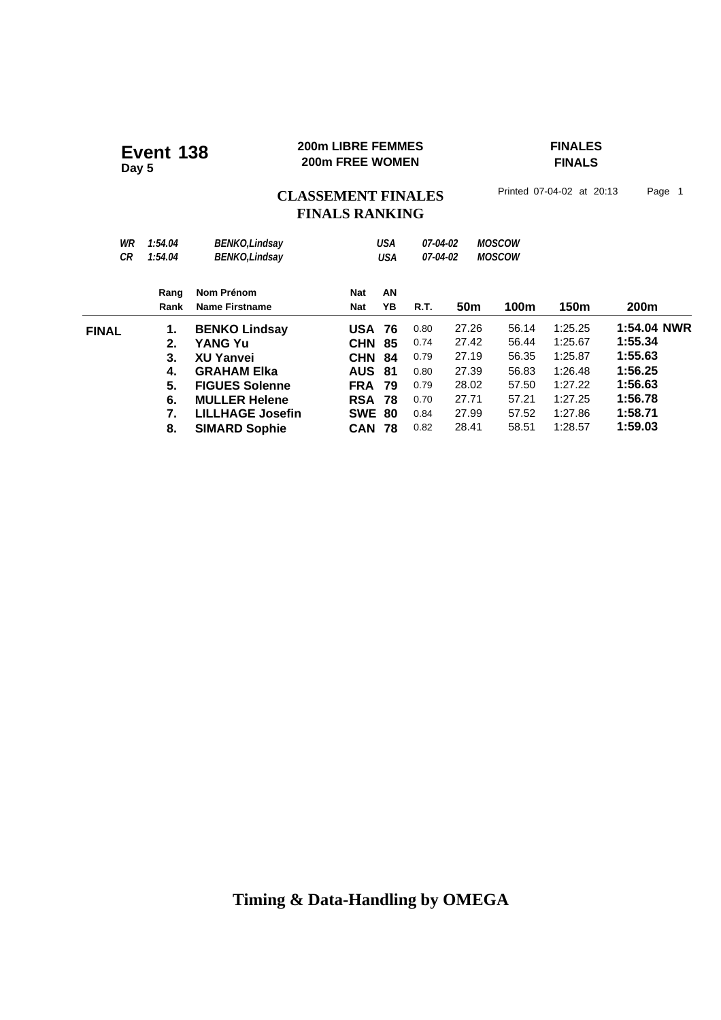#### **200m LIBRE FEMMES FINALES 200m LIBRE FEMMES**<br>200m FREE WOMEN

# **FINALS**

# CLASSEMENT FINALES<sup>Printed 07-04-02 at 20:13 Page 1</sup> **FINALS RANKING**

| WR<br>СR     | 1:54.04<br>1:54.04 | <b>BENKO, Lindsay</b><br><b>BENKO, Lindsay</b> |               | <b>USA</b><br>USA | 07-04-02<br>07-04-02 |                 | <b>MOSCOW</b><br><b>MOSCOW</b> |         |             |
|--------------|--------------------|------------------------------------------------|---------------|-------------------|----------------------|-----------------|--------------------------------|---------|-------------|
|              | Rang               | Nom Prénom                                     | Nat           | AN                |                      |                 |                                |         |             |
|              | Rank               | Name Firstname                                 | <b>Nat</b>    | YΒ                | R.T.                 | 50 <sub>m</sub> | 100m                           | 150m    | 200m        |
| <b>FINAL</b> | 1.                 | <b>BENKO Lindsay</b>                           | <b>USA</b>    | -76               | 0.80                 | 27.26           | 56.14                          | 1:25.25 | 1:54.04 NWR |
|              | 2.                 | YANG Yu                                        | <b>CHN</b>    | 85                | 0.74                 | 27.42           | 56.44                          | 1:25.67 | 1:55.34     |
|              | З.                 | <b>XU Yanvei</b>                               | <b>CHN</b>    | 84                | 0.79                 | 27.19           | 56.35                          | 1:25.87 | 1:55.63     |
|              | 4.                 | <b>GRAHAM EIka</b>                             | <b>AUS</b>    | -81               | 0.80                 | 27.39           | 56.83                          | 1:26.48 | 1:56.25     |
|              | 5.                 | <b>FIGUES Solenne</b>                          | <b>FRA</b>    | 79                | 0.79                 | 28.02           | 57.50                          | 1:27.22 | 1:56.63     |
|              | 6.                 | <b>MULLER Helene</b>                           | RSA           | 78                | 0.70                 | 27.71           | 57.21                          | 1:27.25 | 1:56.78     |
|              | 7.                 | <b>LILLHAGE Josefin</b>                        | <b>SWE 80</b> |                   | 0.84                 | 27.99           | 57.52                          | 1:27.86 | 1:58.71     |
|              | 8.                 | <b>SIMARD Sophie</b>                           | <b>CAN</b>    | -78               | 0.82                 | 28.41           | 58.51                          | 1:28.57 | 1:59.03     |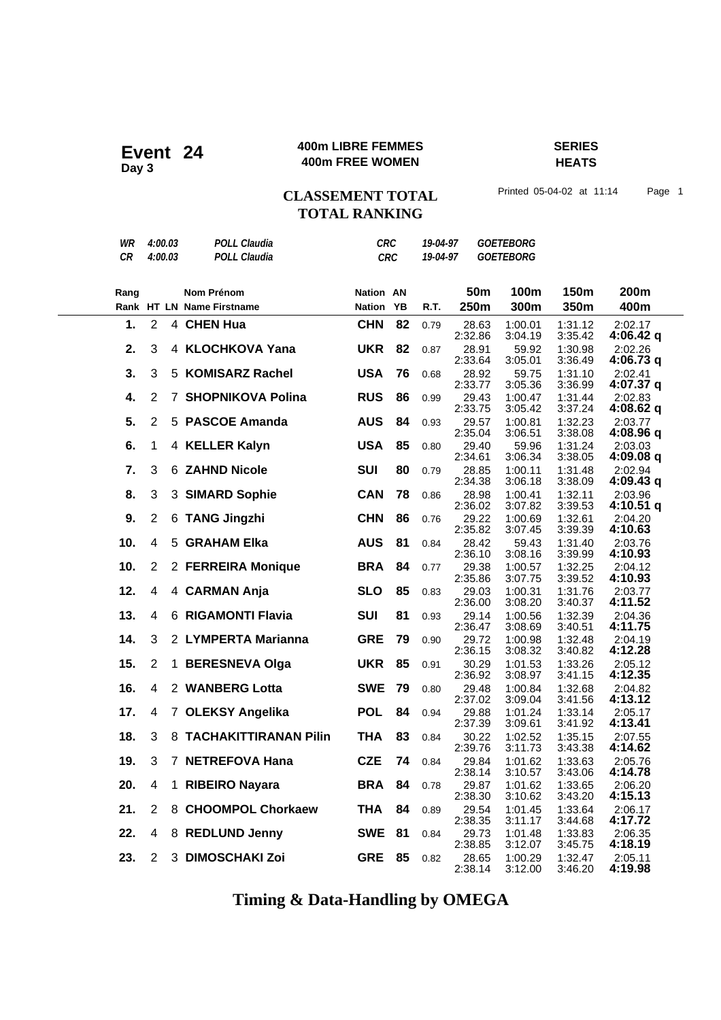#### **400m LIBRE FEMMES SERIES Event 24** 400m LIBRE FEMMES

**HEATS**

# CLASSEMENT TOTAL Printed 05-04-02 at 11:14 Page 1 **TOTAL RANKING**

| WR        | 4:00.03                 |              | <b>POLL Claudia</b>       | <b>CRC</b>       |            | 19-04-97 |                  | <b>GOETEBORG</b>   |                    |                        |
|-----------|-------------------------|--------------|---------------------------|------------------|------------|----------|------------------|--------------------|--------------------|------------------------|
| <b>CR</b> | 4:00.03                 |              | <b>POLL Claudia</b>       |                  | <b>CRC</b> | 19-04-97 |                  | <b>GOETEBORG</b>   |                    |                        |
|           |                         |              |                           |                  |            |          |                  |                    |                    |                        |
| Rang      |                         |              | Nom Prénom                | <b>Nation AN</b> |            |          | 50 <sub>m</sub>  | 100m               | 150m               | 200m                   |
|           |                         |              | Rank HT LN Name Firstname | Nation YB        |            | R.T.     | 250m             | 300m               | 350m               | 400m                   |
| 1.        | $\overline{2}$          |              | 4 CHEN Hua                | <b>CHN</b>       | 82         | 0.79     | 28.63<br>2:32.86 | 1:00.01<br>3:04.19 | 1:31.12<br>3:35.42 | 2:02.17<br>$4:06.42$ q |
| 2.        | 3                       |              | 4 KLOCHKOVA Yana          | <b>UKR</b>       | 82         | 0.87     | 28.91<br>2:33.64 | 59.92<br>3:05.01   | 1:30.98<br>3:36.49 | 2:02.26<br>4:06.73 q   |
| 3.        | 3                       |              | 5 KOMISARZ Rachel         | <b>USA</b>       | 76         | 0.68     | 28.92<br>2:33.77 | 59.75<br>3:05.36   | 1:31.10<br>3:36.99 | 2:02.41<br>4:07.37 q   |
| 4.        | $\overline{2}$          |              | 7 SHOPNIKOVA Polina       | <b>RUS</b>       | 86         | 0.99     | 29.43<br>2:33.75 | 1:00.47<br>3:05.42 | 1:31.44<br>3:37.24 | 2:02.83<br>4:08.62 q   |
| 5.        | $\overline{2}$          |              | 5 PASCOE Amanda           | <b>AUS</b>       | 84         | 0.93     | 29.57<br>2:35.04 | 1:00.81<br>3:06.51 | 1:32.23<br>3:38.08 | 2:03.77<br>4:08.96 q   |
| 6.        | 1                       |              | 4 KELLER Kalyn            | <b>USA</b>       | 85         | 0.80     | 29.40<br>2:34.61 | 59.96<br>3:06.34   | 1:31.24<br>3:38.05 | 2:03.03<br>4:09.08q    |
| 7.        | 3                       |              | 6 ZAHND Nicole            | <b>SUI</b>       | 80         | 0.79     | 28.85<br>2:34.38 | 1:00.11<br>3:06.18 | 1:31.48<br>3:38.09 | 2:02.94<br>4:09.43q    |
| 8.        | 3                       |              | 3 SIMARD Sophie           | <b>CAN</b>       | 78         | 0.86     | 28.98<br>2:36.02 | 1:00.41<br>3:07.82 | 1:32.11<br>3:39.53 | 2:03.96<br>4:10.51 g   |
| 9.        | $\overline{2}$          |              | 6 TANG Jingzhi            | <b>CHN</b>       | 86         | 0.76     | 29.22<br>2:35.82 | 1:00.69<br>3:07.45 | 1:32.61<br>3:39.39 | 2:04.20<br>4:10.63     |
| 10.       | 4                       | 5            | <b>GRAHAM Elka</b>        | <b>AUS</b>       | 81         | 0.84     | 28.42<br>2:36.10 | 59.43<br>3:08.16   | 1:31.40<br>3:39.99 | 2:03.76<br>4:10.93     |
| 10.       | 2                       |              | 2 FERREIRA Monique        | <b>BRA</b>       | 84         | 0.77     | 29.38<br>2:35.86 | 1:00.57<br>3:07.75 | 1:32.25<br>3:39.52 | 2:04.12<br>4:10.93     |
| 12.       | $\overline{4}$          |              | 4 CARMAN Anja             | <b>SLO</b>       | 85         | 0.83     | 29.03<br>2:36.00 | 1:00.31<br>3:08.20 | 1:31.76<br>3:40.37 | 2:03.77<br>4:11.52     |
| 13.       | 4                       |              | 6 RIGAMONTI Flavia        | <b>SUI</b>       | 81         | 0.93     | 29.14<br>2:36.47 | 1:00.56<br>3:08.69 | 1:32.39<br>3:40.51 | 2:04.36<br>4:11.75     |
| 14.       | 3                       |              | 2 LYMPERTA Marianna       | <b>GRE</b>       | 79         | 0.90     | 29.72<br>2:36.15 | 1:00.98<br>3:08.32 | 1:32.48<br>3:40.82 | 2:04.19<br>4:12.28     |
| 15.       | $\overline{2}$          | $\mathbf{1}$ | <b>BERESNEVA Olga</b>     | <b>UKR</b>       | 85         | 0.91     | 30.29<br>2:36.92 | 1:01.53<br>3:08.97 | 1:33.26<br>3:41.15 | 2:05.12<br>4:12.35     |
| 16.       | 4                       |              | 2 WANBERG Lotta           | <b>SWE</b>       | 79         | 0.80     | 29.48<br>2:37.02 | 1:00.84<br>3:09.04 | 1:32.68<br>3:41.56 | 2:04.82<br>4:13.12     |
| 17.       | 4                       |              | 7 OLEKSY Angelika         | <b>POL</b>       | 84         | 0.94     | 29.88<br>2:37.39 | 1:01.24<br>3:09.61 | 1:33.14<br>3:41.92 | 2:05.17<br>4:13.41     |
| 18.       | 3                       |              | 8 TACHAKITTIRANAN Pilin   | <b>THA</b>       | 83         | 0.84     | 30.22<br>2:39.76 | 1:02.52<br>3:11.73 | 1:35.15<br>3:43.38 | 2:07.55<br>4:14.62     |
| 19.       | 3                       |              | 7 NETREFOVA Hana          | <b>CZE</b>       | 74         | 0.84     | 29.84<br>2:38.14 | 1:01.62<br>3:10.57 | 1:33.63<br>3:43.06 | 2:05.76<br>4:14.78     |
| 20.       | 4                       | 1            | <b>RIBEIRO Nayara</b>     | <b>BRA 84</b>    |            | 0.78     | 29.87<br>2:38.30 | 1:01.62<br>3:10.62 | 1:33.65<br>3:43.20 | 2:06.20<br>4:15.13     |
| 21.       | 2                       |              | 8 CHOOMPOL Chorkaew       | <b>THA</b>       | 84         | 0.89     | 29.54<br>2:38.35 | 1:01.45<br>3:11.17 | 1:33.64<br>3:44.68 | 2:06.17<br>4:17.72     |
| 22.       | $\overline{\mathbf{4}}$ |              | 8 REDLUND Jenny           | <b>SWE</b>       | 81         | 0.84     | 29.73<br>2:38.85 | 1:01.48<br>3:12.07 | 1:33.83<br>3:45.75 | 2:06.35<br>4:18.19     |
| 23.       | 2                       |              | 3 DIMOSCHAKI Zoi          | <b>GRE</b>       | 85         | 0.82     | 28.65<br>2:38.14 | 1:00.29<br>3:12.00 | 1:32.47<br>3:46.20 | 2:05.11<br>4:19.98     |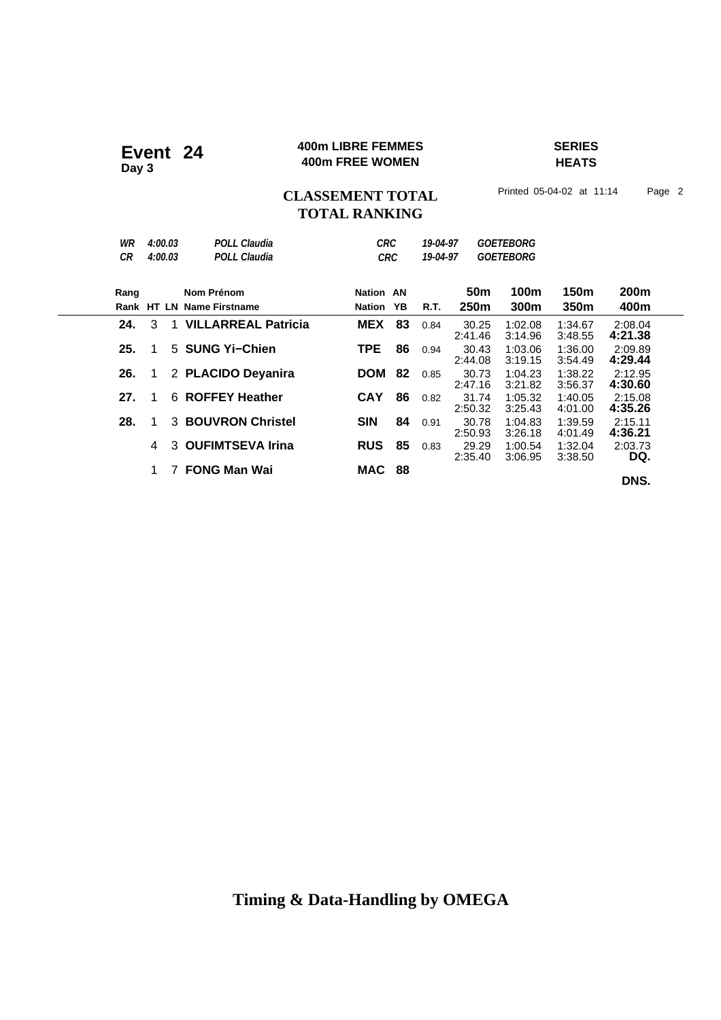#### **400m LIBRE FEMMES SERIES 400m LIBRE FEMMES**<br>A00m FREE WOMEN

**HEATS**

# CLASSEMENT TOTAL Printed 05-04-02 at 11:14 Page 2 **TOTAL RANKING**

| WR<br>СR | 4:00.03<br>4:00.03 |             | POLL Claudia<br><b>POLL Claudia</b>     | <b>CRC</b><br><b>CRC</b>   |    | 19-04-97<br>19-04-97 |                                | <b>GOETEBORG</b><br><b>GOETEBORG</b> |                          |                    |
|----------|--------------------|-------------|-----------------------------------------|----------------------------|----|----------------------|--------------------------------|--------------------------------------|--------------------------|--------------------|
| Rang     |                    |             | Nom Prénom<br>Rank HT LN Name Firstname | Nation AN<br><b>Nation</b> | YB | R.T.                 | 50 <sub>m</sub><br><b>250m</b> | 100m<br>300m                         | 150m<br>350 <sub>m</sub> | 200m<br>400m       |
| 24.      | 3                  | $\mathbf 1$ | <b>VILLARREAL Patricia</b>              | <b>MEX</b>                 | 83 | 0.84                 | 30.25<br>2:41.46               | 1:02.08<br>3:14.96                   | 1:34.67<br>3:48.55       | 2:08.04<br>4:21.38 |
| 25.      | 1                  |             | 5 SUNG Yi-Chien                         | TPE                        | 86 | 0.94                 | 30.43<br>2:44.08               | 1:03.06<br>3:19.15                   | 1:36.00<br>3:54.49       | 2:09.89<br>4:29.44 |
| 26.      | 1                  |             | 2 PLACIDO Deyanira                      | <b>DOM</b>                 | 82 | 0.85                 | 30.73<br>2:47.16               | 1:04.23<br>3:21.82                   | 1:38.22<br>3:56.37       | 2:12.95<br>4:30.60 |
| 27.      | 1                  | 6           | <b>ROFFEY Heather</b>                   | <b>CAY</b>                 | 86 | 0.82                 | 31.74<br>2:50.32               | 1:05.32<br>3:25.43                   | 1:40.05<br>4:01.00       | 2:15.08<br>4:35.26 |
| 28.      | 1                  | 3           | <b>BOUVRON Christel</b>                 | <b>SIN</b>                 | 84 | 0.91                 | 30.78<br>2:50.93               | 1:04.83<br>3:26.18                   | 1:39.59<br>4:01.49       | 2:15.11<br>4:36.21 |
|          | 4                  | 3           | <b>OUFIMTSEVA Irina</b>                 | <b>RUS</b>                 | 85 | 0.83                 | 29.29<br>2:35.40               | 1:00.54<br>3:06.95                   | 1:32.04<br>3:38.50       | 2:03.73<br>DQ.     |
|          | 1                  | 7           | <b>FONG Man Wai</b>                     | MAC                        | 88 |                      |                                |                                      |                          | DNS.               |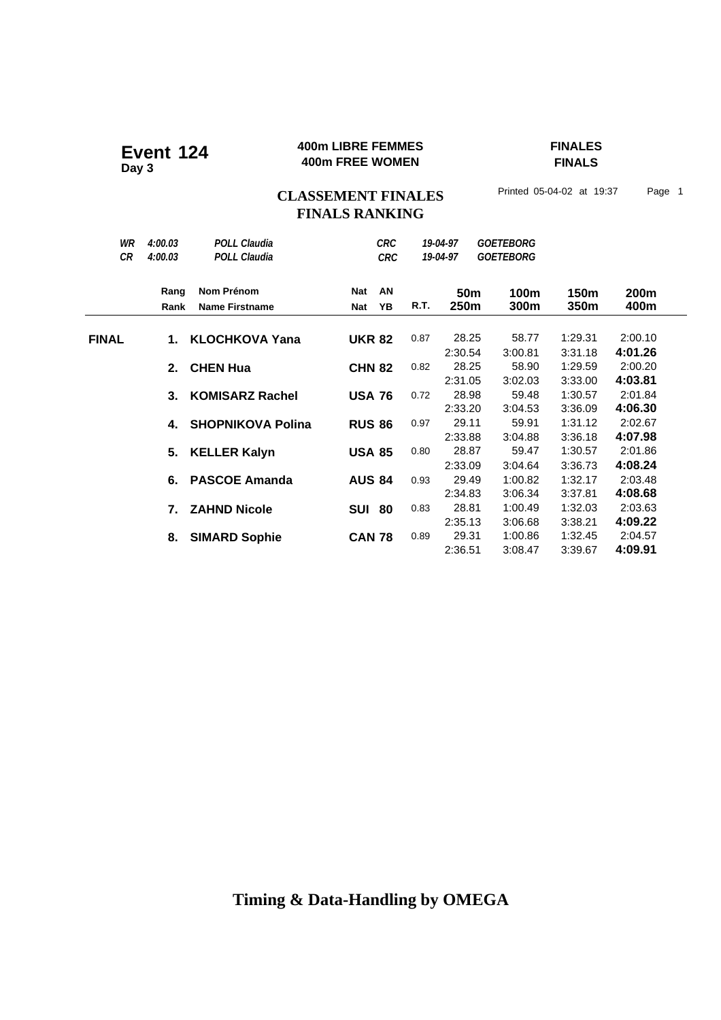#### **400m LIBRE FEMMES FINALES Event 124 400m LIBRE FEMMES**<br>**400m FREE WOMEN**

**FINALS**

# CLASSEMENT FINALES<sup>Printed 05-04-02 at 19:37 Page 1</sup> **FINALS RANKING**

| WR<br><b>CR</b> | 4:00.03<br>4:00.03 | <b>POLL Claudia</b><br><b>POLL Claudia</b> |                   | <b>CRC</b><br><b>CRC</b> |      | 19-04-97<br>19-04-97    | <b>GOETEBORG</b><br><b>GOETEBORG</b> |                    |                    |
|-----------------|--------------------|--------------------------------------------|-------------------|--------------------------|------|-------------------------|--------------------------------------|--------------------|--------------------|
|                 | Rang<br>Rank       | Nom Prénom<br><b>Name Firstname</b>        | <b>Nat</b><br>Nat | AN<br>YB                 | R.T. | 50 <sub>m</sub><br>250m | 100m<br>300m                         | 150m<br>350m       | 200m<br>400m       |
| <b>FINAL</b>    | 1.                 | <b>KLOCHKOVA Yana</b>                      | <b>UKR 82</b>     |                          | 0.87 | 28.25<br>2:30.54        | 58.77<br>3:00.81                     | 1:29.31<br>3:31.18 | 2:00.10<br>4:01.26 |
|                 | 2.                 | <b>CHEN Hua</b>                            | <b>CHN 82</b>     |                          | 0.82 | 28.25<br>2:31.05        | 58.90<br>3:02.03                     | 1:29.59<br>3:33.00 | 2:00.20<br>4:03.81 |
|                 | 3.                 | <b>KOMISARZ Rachel</b>                     | <b>USA 76</b>     |                          | 0.72 | 28.98<br>2:33.20        | 59.48<br>3:04.53                     | 1:30.57<br>3:36.09 | 2:01.84<br>4:06.30 |
|                 | 4.                 | <b>SHOPNIKOVA Polina</b>                   | <b>RUS 86</b>     |                          | 0.97 | 29.11<br>2:33.88        | 59.91<br>3:04.88                     | 1:31.12<br>3:36.18 | 2:02.67<br>4:07.98 |
|                 | 5.                 | <b>KELLER Kalyn</b>                        | <b>USA 85</b>     |                          | 0.80 | 28.87<br>2:33.09        | 59.47<br>3:04.64                     | 1:30.57<br>3:36.73 | 2:01.86<br>4:08.24 |
|                 | 6.                 | <b>PASCOE Amanda</b>                       | <b>AUS 84</b>     |                          | 0.93 | 29.49<br>2:34.83        | 1:00.82<br>3:06.34                   | 1:32.17<br>3:37.81 | 2:03.48<br>4:08.68 |
|                 | 7.                 | <b>ZAHND Nicole</b>                        | <b>SUI 80</b>     |                          | 0.83 | 28.81<br>2:35.13        | 1:00.49<br>3:06.68                   | 1:32.03<br>3:38.21 | 2:03.63<br>4:09.22 |
|                 | 8.                 | <b>SIMARD Sophie</b>                       | <b>CAN 78</b>     |                          | 0.89 | 29.31<br>2:36.51        | 1:00.86<br>3:08.47                   | 1:32.45<br>3:39.67 | 2:04.57<br>4:09.91 |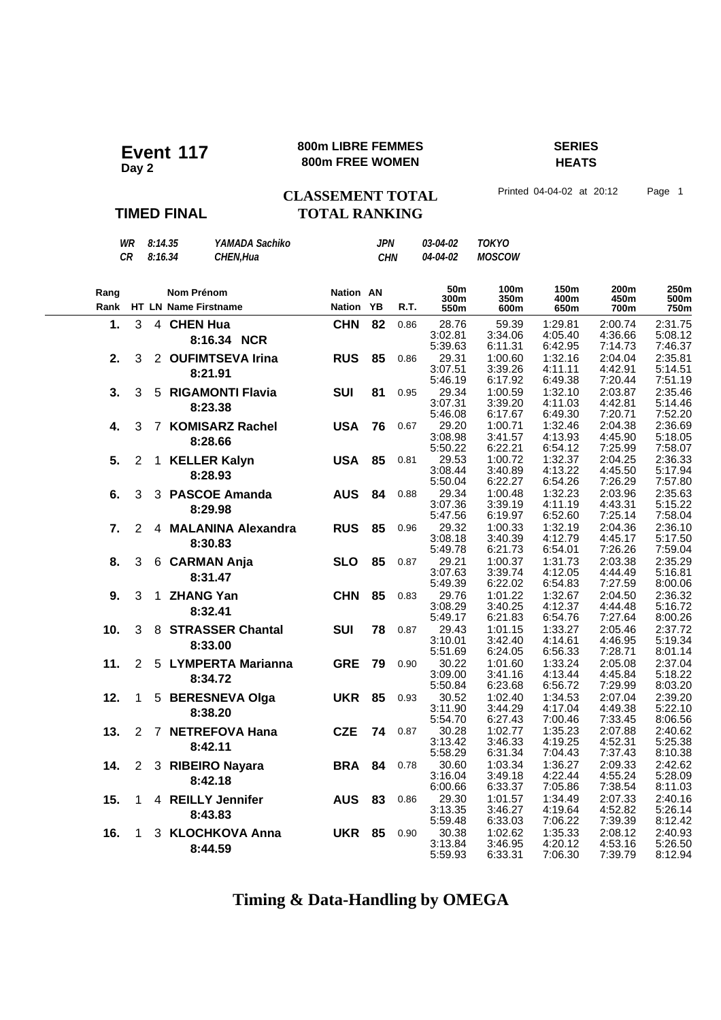#### **800m LIBRE FEMMES SERIES Event 117** 800m LIBRE FEMMENT

**HEATS**

#### **TIMED FINAL**

### **CLASSEMENT TOTAL** Printed 04-04-02 at 20:12 Page 1 **TOTAL RANKING**

*WR 8:14.35 YAMADA Sachiko JPN 03-04-02 TOKYO CR 8:16.34 CHEN,Hua CHN 04-04-02 MOSCOW* Rang **Nom Prénom Nation** Rank HT LN Name Firstname **Mation 500m AN YB 300m 350m 400m 50m 250m 100m 150m 550m 600m 650m 750m 200m 450m R.T. 700m 1.** 3 4 **CHEN Hua CHN 82** 0.86 28.76 59.39 1:29.81 2:00.74 2:31.75<br>**2:02.81 3:34.06 4:05.40 4:36.66 5:08.12** 3:02.81 3:34.06 4:05.40 4:36.66 5:08.12 3:02.81 3:34.06 4:05.40 4:36.66 5:08.12 8:16.34 NCR<br>5:39.63 6:11.31 6:42.95 7:14.73 7:46.37 0.86 **2.** 3 2 **OUFIMTSEVA Irina RUS 85** 0.86 29.31 1:00.60 1:32.16 2:04.04 2:35.81 <br>3:07.51 3:39.26 4:11.11 4:42.91 5:14.51 3:07.51 3:39.26 4:11.11 4:42.91 5:14.51 5:46.19 6:17.92 6:49.38 7:20.44 7:51.19 **8:21.91** 0.86 **3.** 3 5 **RIGAMONTI Flavia SUI 81** 0.95 29.34 1:00.59 1:32.10 2:03.87 2:35.46<br>3:07.31 3:39.20 4:11.03 4:42.81 5:14.46 3:07.31 3:39.20 4:11.03 4:42.81 5:14.46 5:46.08 6:17.67 6:49.30 7:20.71 7:52.20 **8:23.38** 0.95  **4.** 3 7 **KOMISARZ Rachel USA 76** 29.20 1:00.71 1:32.46 2:04.38 2:36.69 3:08.98 3:41.57 4:13.93 4:45.90 5:18.05 5:50.22 6:22.21 6:54.12 7:25.99 7:58.07 **8:28.66** 0.67 **5.** 2 1 **KELLER Kalyn USA 85** 0.81 29.53 1:00.72 1:32.37 2:04.25 2:36.33<br>3:08.44 3:40.89 4:13.22 4:45.50 5:17.94 3:08.44 3:40.89 4:13.22 4:45.50 5:17.94 5:50.04 6:22.27 6:54.26 7:26.29 7:57.80 **8:28.93** 0.81 **6.** 3 3 **PASCOE Amanda AUS 84** 0.88 29.34 1:00.48 1:32.23 2:03.96 2:35.63<br>3:07.36 3:39.19 4:11.19 4:43.31 5:15.22 3:07.36 3:39.19 4:11.19 4:43.31 5:15.22 5:47.56 6:19.97 6:52.60 7:25.14 7:58.04 **8:29.98** 0.88  **7.** 2 4 **MALANINA Alexandra RUS 85** 29.32 1:00.33 1:32.19 2:04.36 2:36.10 3:08.18 3:40.39 4:12.79 4:45.17 5:17.50 5:49.78 6:21.73 6:54.01 7:26.26 7:59.04 **8:30.83** 0.96  **8.** 3 6 **CARMAN Anja SLO 85** 29.21 1:00.37 1:31.73 2:03.38 2:35.29 3:39.74 5:49.39 6:22.02 6:54.83 7:27.59 8:00.06 **8:31.47** 0.87 **9.** 3 1 **ZHANG Yan CHN 85** 0.83 29.76 1:01.22 1:32.67 2:04.50 2:36.32<br>3<sup>:08.29</sup> 3:40.25 4:12.37 4:44.48 5:16.72 3:08.29 3:40.25 4:12.37 4:44.48 5:16.72 5:49.17 6:21.83 6:54.76 7:27.64 8:00.26 **8:32.41** 0.83 **10.** 3 8 **STRASSER Chantal SUI 78** 0.87 29.43 1:01.15 1:33.27 2:05.46 2:37.72<br>3:10.01 3:42.40 4:44.61 4:46.95 5:19.34 3:10.01 3:42.40 4:14.61 4:46.95 5:19.34 5:51.69 6:24.05 6:56.33 7:28.71 8:01.14 **8:33.00** 0.87  **11.** 2 5 **LYMPERTA Marianna GRE 79** 30.22 1:01.60 1:33.24 2:05.08 2:37.04 4:13.44 5:50.84 6:23.68 6:56.72 7:29.99 8:03.20 **8:34.72** 0.90  **12.** 1 5 **BERESNEVA Olga UKR 85** 30.52 1:02.40 1:34.53 2:07.04 2:39.20 3:11.90 3:44.29 4:17.04 4:49.38 5:22.10 5:54.70 6:27.43 7:00.46 7:33.45 8:06.56 **8:38.20** 0.93 **13.** 2 7 **NETREFOVA Hana CZE 74** 0.87 30.28 1:02.77 1:35.23 2:07.88 2:40.62<br>**2:07.88** 2:40.44 3:13.42 3:46.33 4:19.25 4:52.31 5:25.38 3:13.42 3:46.33 4:19.25 4:52.31 5:25.38 5:58.29 6:31.34 7:04.43 7:37.43 8:10.38 **8:42.11** 0.87  **14.** 2 3 **RIBEIRO Nayara BRA 84** 30.60 1:03.34 1:36.27 2:09.33 2:42.62 3:16.04 6:00.66 6:33.37 7:05.86 7:38.54 8:11.03 **8:42.18** 0.78 **15.** 1 4 **REILLY Jennifer 15. 1 4 <b>REILLY Jennifer 15. AUS 83** 0.86 29.30 1:01.57 1:34.49 2:07.33 2:40.16<br>3:13.35 3:46.27 4:19.64 4:52.82 5:26.14 3:46.27 4:19.64 4:52.82<br>6:33.03 7:06.22 7:39.39 5:59.48 6:33.03 7:06.22 7:39.39 8:12.42 **8:43.83** 0.86  **16.** 1 3 **KLOCHKOVA Anna UKR 85** 30.38 1:02.62 1:35.33 2:08.12 2:40.93 3:13.84 3:46.95 4:20.12 4:53.16 5:26.50 5:59.93 6:33.31 7:06.30 7:39.79 8:12.94 **8:44.59** 0.90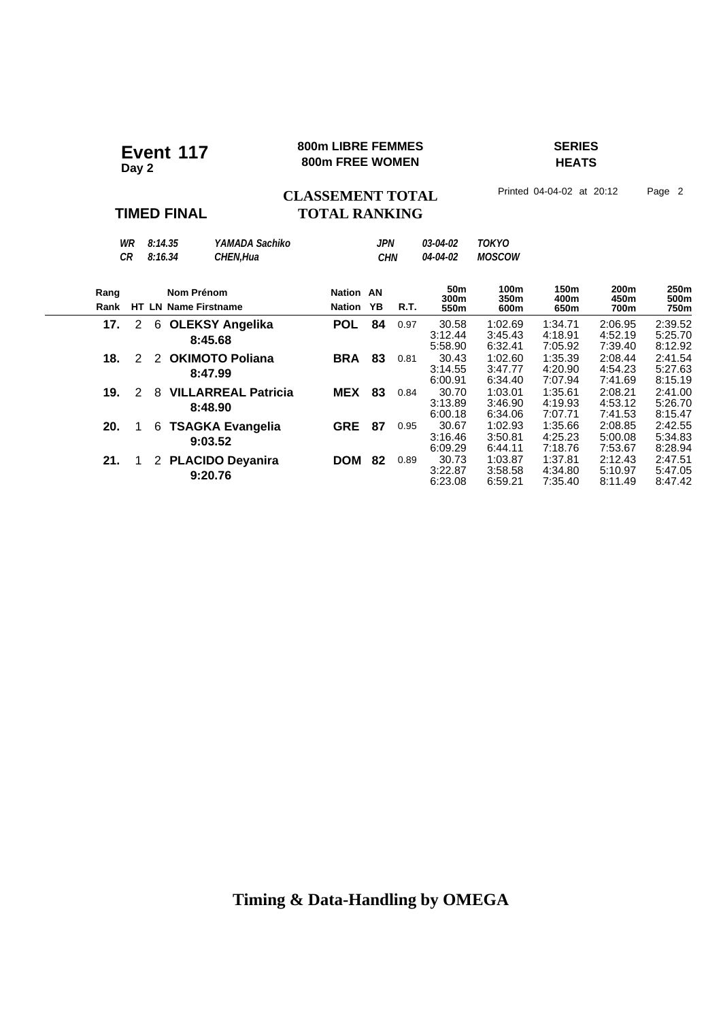#### **800m LIBRE FEMMES SERIES Event 117** 800m LIBRE FEMMES

# **HEATS**

CLASSEMENT TOTAL Printed 04-04-02 at 20:12 Page 2

### **TIMED FINAL**

# **TOTAL RANKING**

|              | WR<br>СR |   | 8:14.35<br>8:16.34 | YAMADA Sachiko<br>CHEN, Hua           |                            | JPN<br><b>CHN</b> |      | 03-04-02<br>04-04-02            | <b>TOKYO</b><br><b>MOSCOW</b> |                               |                                  |                               |
|--------------|----------|---|--------------------|---------------------------------------|----------------------------|-------------------|------|---------------------------------|-------------------------------|-------------------------------|----------------------------------|-------------------------------|
| Rang<br>Rank |          |   | Nom Prénom         | <b>HT LN Name Firstname</b>           | <b>Nation AN</b><br>Nation | ΥB                | R.T. | 50 <sub>m</sub><br>300m<br>550m | 100m<br>350m<br>600m          | 150m<br>400m<br>650m          | 200 <sub>m</sub><br>450m<br>700m | 250m<br>500m<br>750m          |
| 17.          | 2        |   |                    | 6 OLEKSY Angelika<br>8:45.68          | <b>POL</b>                 | 84                | 0.97 | 30.58<br>3:12.44<br>5:58.90     | 1:02.69<br>3:45.43<br>6:32.41 | 1:34.71<br>4:18.91<br>7:05.92 | 2:06.95<br>4:52.19<br>7:39.40    | 2:39.52<br>5:25.70<br>8:12.92 |
| 18.          | 2        |   |                    | 2 OKIMOTO Poliana<br>8:47.99          | <b>BRA</b>                 | 83                | 0.81 | 30.43<br>3:14.55<br>6:00.91     | 1:02.60<br>3:47.77<br>6:34.40 | 1:35.39<br>4:20.90<br>7:07.94 | 2:08.44<br>4:54.23<br>7:41.69    | 2:41.54<br>5:27.63<br>8:15.19 |
| 19.          | 2        | 8 |                    | <b>VILLARREAL Patricia</b><br>8:48.90 | <b>MEX</b>                 | 83                | 0.84 | 30.70<br>3:13.89<br>6:00.18     | 1:03.01<br>3:46.90<br>6:34.06 | 1:35.61<br>4:19.93<br>7:07.71 | 2:08.21<br>4:53.12<br>7:41.53    | 2:41.00<br>5:26.70<br>8:15.47 |
| 20.          |          | 6 |                    | <b>TSAGKA Evangelia</b><br>9:03.52    | <b>GRE</b>                 | 87                | 0.95 | 30.67<br>3:16.46<br>6:09.29     | 1:02.93<br>3:50.81<br>6:44.11 | 1:35.66<br>4:25.23<br>7:18.76 | 2:08.85<br>5:00.08<br>7:53.67    | 2:42.55<br>5:34.83<br>8:28.94 |
| 21.          |          |   |                    | 2 PLACIDO Deyanira<br>9:20.76         | <b>DOM</b>                 | 82                | 0.89 | 30.73<br>3:22.87<br>6:23.08     | 1:03.87<br>3:58.58<br>6:59.21 | 1:37.81<br>4:34.80<br>7:35.40 | 2:12.43<br>5:10.97<br>8:11.49    | 2:47.51<br>5:47.05<br>8:47.42 |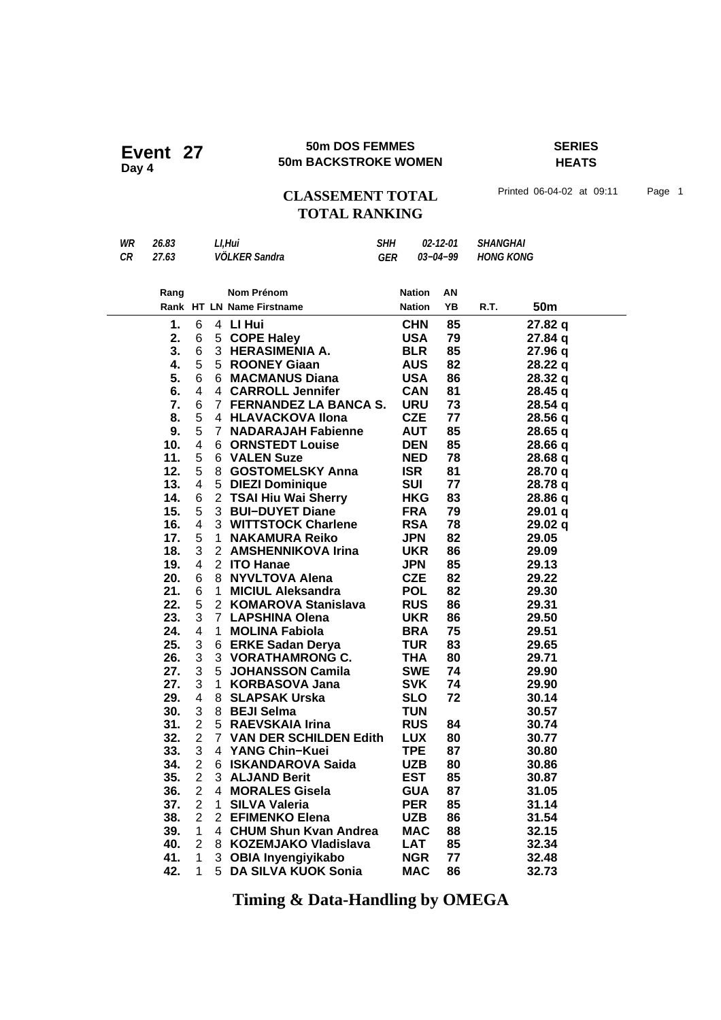#### **50m DOS FEMMES SERIES 50m DOS FEMMES**<br>50m BACKSTROKE WOMEN

**HEATS**

# CLASSEMENT TOTAL Printed 06-04-02 at 09:11 Page 1 **TOTAL RANKING**

| WR | 26.83 | Ll.Hui        | <b>SHH</b> | <i><b>02-12-01 SHANGHAI</b></i> |                    |
|----|-------|---------------|------------|---------------------------------|--------------------|
| CR | 27.63 | VÖLKER Sandra | GER        |                                 | 03-04-99 HONG KONG |

| Rang |    |                         |                | <b>Nom Prénom</b>         | <b>Nation</b> | AN |      |                    |
|------|----|-------------------------|----------------|---------------------------|---------------|----|------|--------------------|
|      |    |                         |                | Rank HT LN Name Firstname | <b>Nation</b> | YB | R.T. | 50 <sub>m</sub>    |
|      | 1. | 6                       | 4              | LI Hui                    | <b>CHN</b>    | 85 |      | 27.82 q            |
| 2.   |    | 6                       | 5              | <b>COPE Haley</b>         | <b>USA</b>    | 79 |      | 27.84 q            |
|      | 3. | 6                       |                | 3 HERASIMENIA A.          | <b>BLR</b>    | 85 |      | 27.96 q            |
|      | 4. | 5                       |                | 5 ROONEY Giaan            | <b>AUS</b>    | 82 |      | 28.22 q            |
| 5.   |    | 6                       |                | 6 MACMANUS Diana          | <b>USA</b>    | 86 |      | 28.32 q            |
|      | 6. | 4                       |                | 4 CARROLL Jennifer        | <b>CAN</b>    | 81 |      | 28.45q             |
|      | 7. | 6                       |                | 7 FERNANDEZ LA BANCA S.   | <b>URU</b>    | 73 |      | 28.54 q            |
| 8.   |    | 5                       |                | 4 HLAVACKOVA Ilona        | <b>CZE</b>    | 77 |      | 28.56q             |
| 9.   |    | 5                       |                | 7 NADARAJAH Fabienne      | <b>AUT</b>    | 85 |      | 28.65q             |
| 10.  |    | 4                       |                | <b>6 ORNSTEDT Louise</b>  | <b>DEN</b>    | 85 |      | 28.66 q            |
| 11.  |    | 5                       |                | 6 VALEN Suze              | <b>NED</b>    | 78 |      | 28.68 q            |
| 12.  |    | 5                       |                | 8 GOSTOMELSKY Anna        | <b>ISR</b>    | 81 |      | 28.70 q            |
| 13.  |    | $\overline{4}$          |                | 5 DIEZI Dominique         | <b>SUI</b>    | 77 |      | 28.78 q            |
| 14.  |    | 6                       |                | 2 TSAI Hiu Wai Sherry     | <b>HKG</b>    | 83 |      | 28.86 q            |
| 15.  |    | 5                       |                | 3 BUI-DUYET Diane         | <b>FRA</b>    | 79 |      | 29.01 <sub>q</sub> |
| 16.  |    | 4                       |                | 3 WITTSTOCK Charlene      | <b>RSA</b>    | 78 |      | 29.02q             |
| 17.  |    | 5                       | 1.             | <b>NAKAMURA Reiko</b>     | <b>JPN</b>    | 82 |      | 29.05              |
| 18.  |    | 3                       | $\overline{2}$ | <b>AMSHENNIKOVA Irina</b> | <b>UKR</b>    | 86 |      | 29.09              |
| 19.  |    | 4                       |                | 2 ITO Hanae               | <b>JPN</b>    | 85 |      | 29.13              |
| 20.  |    | 6                       |                | 8 NYVLTOVA Alena          | <b>CZE</b>    | 82 |      | 29.22              |
| 21.  |    | 6                       | 1              | <b>MICIUL Aleksandra</b>  | <b>POL</b>    | 82 |      | 29.30              |
| 22.  |    | 5                       |                | 2 KOMAROVA Stanislava     | <b>RUS</b>    | 86 |      | 29.31              |
| 23.  |    | 3                       |                | 7 LAPSHINA Olena          | <b>UKR</b>    | 86 |      | 29.50              |
| 24.  |    | 4                       | 1.             | <b>MOLINA Fabiola</b>     | <b>BRA</b>    | 75 |      | 29.51              |
| 25.  |    | 3                       |                | 6 ERKE Sadan Derya        | <b>TUR</b>    | 83 |      | 29.65              |
| 26.  |    | 3                       |                | 3 VORATHAMRONG C.         | <b>THA</b>    | 80 |      | 29.71              |
| 27.  |    | 3                       | 5              | <b>JOHANSSON Camila</b>   | <b>SWE</b>    | 74 |      | 29.90              |
| 27.  |    | 3                       | 1.             | <b>KORBASOVA Jana</b>     | <b>SVK</b>    | 74 |      | 29.90              |
| 29.  |    | $\overline{\mathbf{4}}$ |                | 8 SLAPSAK Urska           | <b>SLO</b>    | 72 |      | 30.14              |
| 30.  |    | 3                       |                | 8 BEJI Selma              | <b>TUN</b>    |    |      | 30.57              |
| 31.  |    | $\overline{2}$          |                | 5 RAEVSKAIA Irina         | <b>RUS</b>    | 84 |      | 30.74              |
| 32.  |    | $\overline{2}$          |                | 7 VAN DER SCHILDEN Edith  | <b>LUX</b>    | 80 |      | 30.77              |
| 33.  |    | 3                       |                | 4 YANG Chin-Kuei          | <b>TPE</b>    | 87 |      | 30.80              |
| 34.  |    | 2                       |                | 6 ISKANDAROVA Saida       | <b>UZB</b>    | 80 |      | 30.86              |
| 35.  |    | $\overline{2}$          |                | 3 ALJAND Berit            | <b>EST</b>    | 85 |      | 30.87              |
| 36.  |    | $\overline{2}$          |                | 4 MORALES Gisela          | <b>GUA</b>    | 87 |      | 31.05              |
| 37.  |    | $\overline{2}$          | $\mathbf 1$    | <b>SILVA Valeria</b>      | <b>PER</b>    | 85 |      | 31.14              |
| 38.  |    | $\overline{2}$          |                | 2 EFIMENKO Elena          | <b>UZB</b>    | 86 |      | 31.54              |
| 39.  |    | $\mathbf{1}$            |                | 4 CHUM Shun Kvan Andrea   | <b>MAC</b>    | 88 |      | 32.15              |
| 40.  |    | $\overline{2}$          |                | 8 KOZEMJAKO Vladislava    | <b>LAT</b>    | 85 |      | 32.34              |
| 41.  |    | 1                       |                | 3 OBIA Inyengiyikabo      | <b>NGR</b>    | 77 |      | 32.48              |
| 42.  |    | 1                       | 5              | DA SILVA KUOK Sonia       | <b>MAC</b>    | 86 |      | 32.73              |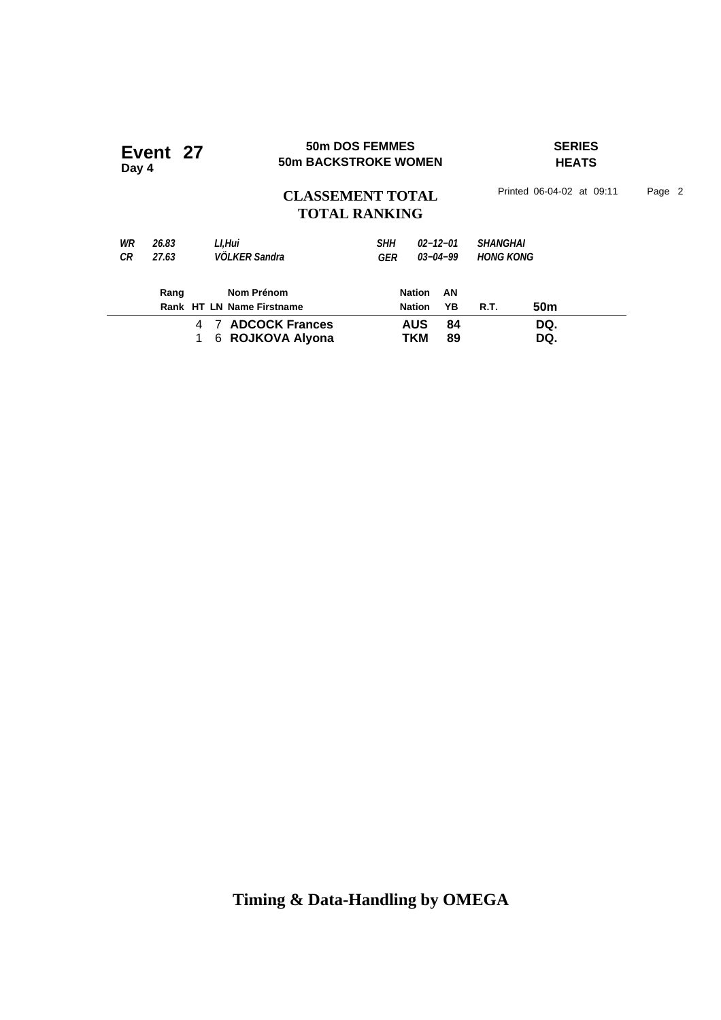| Day 4 | Event 27 |                              | <b>50m DOS FEMMES</b><br><b>50m BACKSTROKE WOMEN</b> |                     |            | <b>SERIES</b><br><b>HEATS</b> |                           |        |  |
|-------|----------|------------------------------|------------------------------------------------------|---------------------|------------|-------------------------------|---------------------------|--------|--|
|       |          |                              | <b>CLASSEMENT TOTAL</b><br><b>TOTAL RANKING</b>      |                     |            |                               | Printed 06-04-02 at 09:11 | Page 2 |  |
| WR    | 26.83    | Ll.Hui                       | <b>SHH</b>                                           | $02 - 12 - 01$      |            | <b>SHANGHAI</b>               |                           |        |  |
| СR    | 27.63    | <b>VÖLKER Sandra</b>         | GER                                                  | $03 - 04 - 99$      |            | <b>HONG KONG</b>              |                           |        |  |
|       | Rang     | Nom Prénom                   |                                                      | <b>Nation</b><br>AN |            |                               |                           |        |  |
|       |          | Rank HT LN Name Firstname    |                                                      | YΒ<br><b>Nation</b> |            | <b>R.T.</b>                   | 50 <sub>m</sub>           |        |  |
|       |          | <b>7 ADCOCK Frances</b><br>4 |                                                      |                     | <b>AUS</b> | 84                            |                           | DQ.    |  |
|       |          | 6 ROJKOVA Alyona             |                                                      | TKM                 | 89         |                               | DQ.                       |        |  |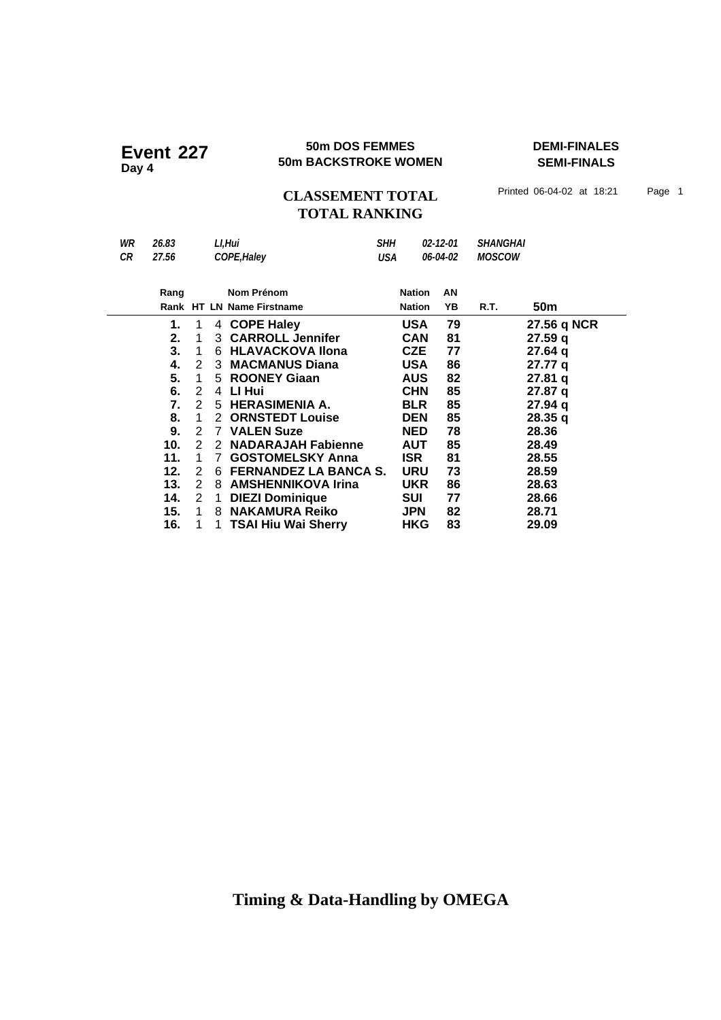### **50m DOS FEMMES DEMI-FINALES 50m BACKSTROKE WOMEN Event 227 Day 4**

**SEMI-FINALS**

# CLASSEMENT TOTAL Printed 06-04-02 at 18:21 Page 1 **TOTAL RANKING**

| WR<br>SHH<br>LI.Hui<br><b>SHANGHAI</b><br>26.83<br>$02 - 12 - 01$<br>COPE, Haley<br><b>MOSCOW</b><br>СR<br>27.56<br>06-04-02<br>USA<br>Nom Prénom<br>Nation<br>AN<br>Rang<br>50m<br>Rank HT LN Name Firstname<br>ΥB<br><b>Nation</b><br>R.T. |
|----------------------------------------------------------------------------------------------------------------------------------------------------------------------------------------------------------------------------------------------|
|                                                                                                                                                                                                                                              |
|                                                                                                                                                                                                                                              |

|     |   |   | $+$ $\cup$ $\cup$ $\vdash$ $\sqcup$ $\cup$ $\in$ $\vee$ | אטט        | 1 J | $\mathbf{r}$ . July 1901 |
|-----|---|---|---------------------------------------------------------|------------|-----|--------------------------|
| 2.  |   |   | 3 CARROLL Jennifer                                      | <b>CAN</b> | 81  | 27.59q                   |
| 3.  | 1 | 6 | <b>HLAVACKOVA Ilona</b>                                 | <b>CZE</b> | 77  | 27.64q                   |
| 4.  | 2 | 3 | <b>MACMANUS Diana</b>                                   | <b>USA</b> | 86  | 27.77 q                  |
| 5.  | 1 |   | 5 ROONEY Giaan                                          | <b>AUS</b> | 82  | 27.81q                   |
| 6.  | 2 | 4 | LI Hui                                                  | <b>CHN</b> | 85  | 27.87 q                  |
| 7.  | 2 |   | 5 HERASIMENIA A.                                        | <b>BLR</b> | 85  | 27.94q                   |
| 8.  | 1 | 2 | <b>ORNSTEDT Louise</b>                                  | <b>DEN</b> | 85  | 28.35q                   |
| 9.  | 2 |   | 7 VALEN Suze                                            | <b>NED</b> | 78  | 28.36                    |
| 10. | 2 | 2 | <b>NADARAJAH Fabienne</b>                               | <b>AUT</b> | 85  | 28.49                    |
| 11. |   |   | <b>GOSTOMELSKY Anna</b>                                 | <b>ISR</b> | 81  | 28.55                    |
| 12. | 2 | 6 | <b>FERNANDEZ LA BANCA S.</b>                            | <b>URU</b> | 73  | 28.59                    |
| 13. | 2 | 8 | <b>AMSHENNIKOVA Irina</b>                               | <b>UKR</b> | 86  | 28.63                    |
| 14. | 2 |   | <b>DIEZI Dominique</b>                                  | <b>SUI</b> | 77  | 28.66                    |
| 15. | 1 | 8 | <b>NAKAMURA Reiko</b>                                   | <b>JPN</b> | 82  | 28.71                    |
| 16. |   |   | 1 TSAI Hiu Wai Sherry                                   | <b>HKG</b> | 83  | 29.09                    |
|     |   |   |                                                         |            |     |                          |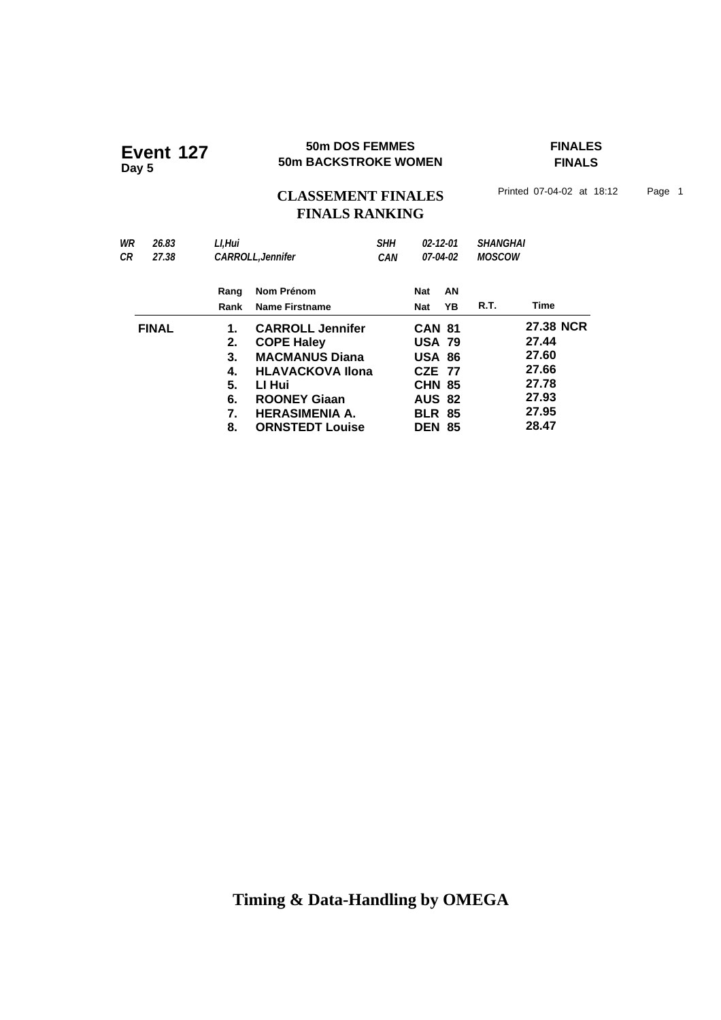#### **50m DOS FEMMES FINALES Event 127 50m BACKSTROKE WOMEN**

**FINALS**

# CLASSEMENT FINALES<sup>Printed 07-04-02 at 18:12 Page 1</sup> **FINALS RANKING**

| WR | 26.83        | Ll.Hui |                          | <b>SHH</b> | $02 - 12 - 01$ |    | <b>SHANGHAI</b> |           |
|----|--------------|--------|--------------------------|------------|----------------|----|-----------------|-----------|
| СR | 27.38        |        | <b>CARROLL, Jennifer</b> | <b>CAN</b> | 07-04-02       |    | <b>MOSCOW</b>   |           |
|    |              | Rang   | Nom Prénom               |            | Nat            | AN |                 |           |
|    |              | Rank   | <b>Name Firstname</b>    |            | <b>Nat</b>     | ΥB | R.T.            | Time      |
|    | <b>FINAL</b> | 1.     | <b>CARROLL Jennifer</b>  |            | <b>CAN 81</b>  |    |                 | 27.38 NCR |
|    |              | 2.     | <b>COPE Haley</b>        |            | <b>USA 79</b>  |    |                 | 27.44     |
|    |              | 3.     | <b>MACMANUS Diana</b>    |            | <b>USA 86</b>  |    |                 | 27.60     |
|    |              | 4.     | <b>HLAVACKOVA Ilona</b>  |            | <b>CZE 77</b>  |    |                 | 27.66     |
|    |              | 5.     | LI Hui                   |            | <b>CHN 85</b>  |    |                 | 27.78     |
|    |              | 6.     | <b>ROONEY Giaan</b>      |            | <b>AUS 82</b>  |    |                 | 27.93     |
|    |              | 7.     | <b>HERASIMENIA A.</b>    |            | <b>BLR 85</b>  |    |                 | 27.95     |
|    |              | 8.     | <b>ORNSTEDT Louise</b>   |            | <b>DEN 85</b>  |    |                 | 28.47     |
|    |              |        |                          |            |                |    |                 |           |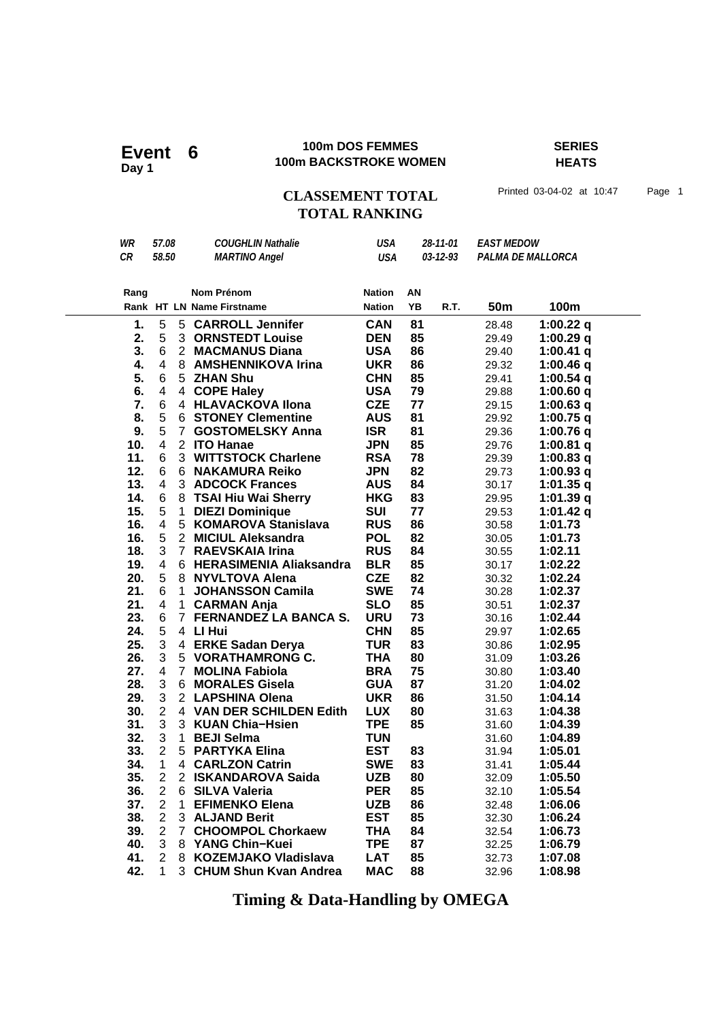Event  $6$ <br>Day 1

### **100m DOS FEMMES SERIES 100m BACKSTROKE WOMEN**

**HEATS**

# CLASSEMENT TOTAL Printed 03-04-02 at 10:47 Page 1 **TOTAL RANKING**

|      |       | 1. 5 5 CARROLL Jennifer   | <b>CAN</b>    | 81 |                  | 28.48             | 1:00.22 $q$       |
|------|-------|---------------------------|---------------|----|------------------|-------------------|-------------------|
|      |       | Rank HT LN Name Firstname | <b>Nation</b> | ΥB | R.T.             | 50m               | 100m              |
| Rang |       | Nom Prénom                | <b>Nation</b> | AN |                  |                   |                   |
| CR   | 58.50 | <b>MARTINO Angel</b>      | <b>USA</b>    |    | $0.3 - 12 - 9.3$ |                   | PALMA DE MALLORCA |
| WR   | 57.08 | <b>COUGHLIN Nathalie</b>  | USA           |    | 28-11-01         | <b>EAST MEDOW</b> |                   |

| т.  | э                       |                | <b>CARROLL Jemmer</b>        | <b>UAN</b> | $^{\circ}$ | 28.48 | 1.00.22 q   |
|-----|-------------------------|----------------|------------------------------|------------|------------|-------|-------------|
| 2.  | 5                       |                | <b>3 ORNSTEDT Louise</b>     | <b>DEN</b> | 85         | 29.49 | 1:00.29q    |
| 3.  | 6                       |                | 2 MACMANUS Diana             | <b>USA</b> | 86         | 29.40 | $1:00.41$ q |
| 4.  | $\overline{\mathbf{4}}$ | 8              | <b>AMSHENNIKOVA Irina</b>    | <b>UKR</b> | 86         | 29.32 | 1:00.46 $q$ |
| 5.  | 6                       |                | 5 ZHAN Shu                   | <b>CHN</b> | 85         | 29.41 | 1:00.54 $q$ |
| 6.  | $\overline{\mathbf{4}}$ |                | 4 COPE Haley                 | <b>USA</b> | 79         | 29.88 | $1:00.60$ q |
| 7.  | 6                       |                | 4 HLAVACKOVA Ilona           | <b>CZE</b> | 77         | 29.15 | 1:00.63 $q$ |
| 8.  | 5                       |                | <b>6 STONEY Clementine</b>   | <b>AUS</b> | 81         | 29.92 | $1:00.75$ q |
| 9.  | 5                       | 7 <sup>1</sup> | <b>GOSTOMELSKY Anna</b>      | <b>ISR</b> | 81         | 29.36 | 1:00.76 $q$ |
| 10. | $\overline{4}$          |                | 2 ITO Hanae                  | <b>JPN</b> | 85         | 29.76 | 1:00.81 $q$ |
| 11. | 6                       |                | 3 WITTSTOCK Charlene         | <b>RSA</b> | 78         | 29.39 | 1:00.83 $q$ |
| 12. | 6                       |                | 6 NAKAMURA Reiko             | <b>JPN</b> | 82         | 29.73 | 1:00.93 $q$ |
| 13. | $\overline{4}$          |                | 3 ADCOCK Frances             | <b>AUS</b> | 84         | 30.17 | 1:01.35 $q$ |
| 14. | 6                       | 8              | <b>TSAI Hiu Wai Sherry</b>   | <b>HKG</b> | 83         | 29.95 | 1:01.39q    |
| 15. | 5                       | $\mathbf{1}$   | <b>DIEZI Dominique</b>       | <b>SUI</b> | 77         | 29.53 | 1:01.42 $q$ |
| 16. | $\overline{\mathbf{4}}$ |                | 5 KOMAROVA Stanislava        | <b>RUS</b> | 86         | 30.58 | 1:01.73     |
| 16. | 5                       |                | 2 MICIUL Aleksandra          | <b>POL</b> | 82         | 30.05 | 1:01.73     |
| 18. | 3                       | $\overline{7}$ | <b>RAEVSKAIA Irina</b>       | <b>RUS</b> | 84         | 30.55 | 1:02.11     |
| 19. | 4                       |                | 6 HERASIMENIA Aliaksandra    | <b>BLR</b> | 85         | 30.17 | 1:02.22     |
| 20. | 5                       |                | 8 NYVLTOVA Alena             | <b>CZE</b> | 82         | 30.32 | 1:02.24     |
| 21. | 6                       | $\mathbf{1}$   | <b>JOHANSSON Camila</b>      | <b>SWE</b> | 74         | 30.28 | 1:02.37     |
| 21. | 4                       | $\mathbf{1}$   | <b>CARMAN Anja</b>           | <b>SLO</b> | 85         | 30.51 | 1:02.37     |
| 23. | 6                       | $\overline{7}$ | <b>FERNANDEZ LA BANCA S.</b> | <b>URU</b> | 73         | 30.16 | 1:02.44     |
| 24. | 5                       |                | 4 LI Hui                     | <b>CHN</b> | 85         | 29.97 | 1:02.65     |
| 25. | 3                       |                | 4 ERKE Sadan Derya           | <b>TUR</b> | 83         | 30.86 | 1:02.95     |
| 26. | 3                       |                | 5 VORATHAMRONG C.            | <b>THA</b> | 80         | 31.09 | 1:03.26     |
| 27. | $\overline{4}$          |                | 7 MOLINA Fabiola             | <b>BRA</b> | 75         | 30.80 | 1:03.40     |
| 28. | 3                       | 6              | <b>MORALES Gisela</b>        | <b>GUA</b> | 87         | 31.20 | 1:04.02     |
| 29. | 3                       |                | 2 LAPSHINA Olena             | <b>UKR</b> | 86         | 31.50 | 1:04.14     |
| 30. | $\overline{2}$          |                | 4 VAN DER SCHILDEN Edith     | <b>LUX</b> | 80         | 31.63 | 1:04.38     |
| 31. | 3                       |                | 3 KUAN Chia-Hsien            | <b>TPE</b> | 85         | 31.60 | 1:04.39     |
| 32. | 3                       | 1              | <b>BEJI Selma</b>            | <b>TUN</b> |            | 31.60 | 1:04.89     |
| 33. | $\overline{2}$          | 5 <sup>1</sup> | <b>PARTYKA Elina</b>         | <b>EST</b> | 83         | 31.94 | 1:05.01     |
| 34. | $\mathbf{1}$            |                | 4 CARLZON Catrin             | <b>SWE</b> | 83         | 31.41 | 1:05.44     |
| 35. | $\overline{2}$          |                | 2 ISKANDAROVA Saida          | <b>UZB</b> | 80         | 32.09 | 1:05.50     |
| 36. | $\overline{2}$          |                | 6 SILVA Valeria              | <b>PER</b> | 85         | 32.10 | 1:05.54     |
| 37. | $\overline{2}$          | $\mathbf{1}$   | <b>EFIMENKO Elena</b>        | <b>UZB</b> | 86         | 32.48 | 1:06.06     |
| 38. | $\overline{2}$          |                | 3 ALJAND Berit               | <b>EST</b> | 85         | 32.30 | 1:06.24     |
| 39. | $\overline{2}$          | $7^{\circ}$    | <b>CHOOMPOL Chorkaew</b>     | <b>THA</b> | 84         | 32.54 | 1:06.73     |
| 40. | 3                       |                | 8 YANG Chin-Kuei             | <b>TPE</b> | 87         | 32.25 | 1:06.79     |
| 41. | $\overline{2}$          |                | 8 KOZEMJAKO Vladislava       | <b>LAT</b> | 85         | 32.73 | 1:07.08     |
| 42. | 1                       |                | 3 CHUM Shun Kvan Andrea      | <b>MAC</b> | 88         | 32.96 | 1:08.98     |
|     |                         |                |                              |            |            |       |             |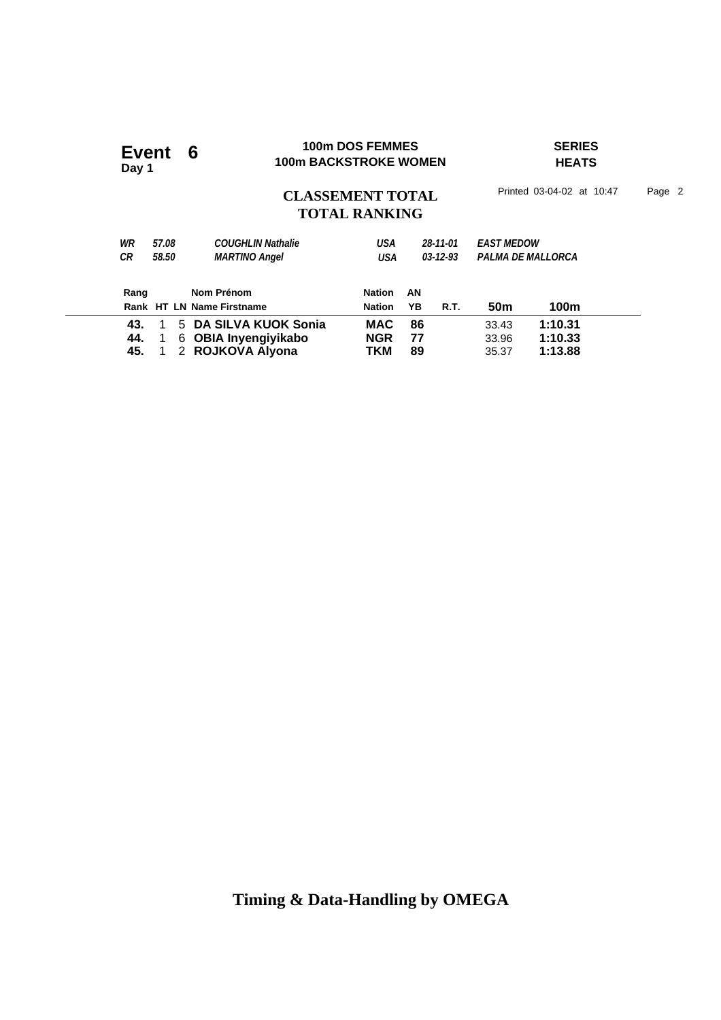### **100m DOS FEMMES SERIES Event 6** 100m DOS FEMMES<br>100m BACKSTROKE WOMEN

**Day 1**

**HEATS**

# CLASSEMENT TOTAL Printed 03-04-02 at 10:47 Page 2 **TOTAL RANKING**

| WR   | 57.08        | <b>COUGHLIN Nathalie</b>  | USA           |    | 28-11-01       | <b>EAST MEDOW</b> |                          |  |
|------|--------------|---------------------------|---------------|----|----------------|-------------------|--------------------------|--|
| СR   | 58.50        | <b>MARTINO Angel</b>      | USA           |    | $03 - 12 - 93$ |                   | <b>PALMA DE MALLORCA</b> |  |
|      |              |                           |               |    |                |                   |                          |  |
| Rang |              | Nom Prénom                | <b>Nation</b> | AN |                |                   |                          |  |
|      |              | Rank HT LN Name Firstname | <b>Nation</b> | YB | R.T.           | 50 <sub>m</sub>   | 100m                     |  |
| 43.  | $\mathbf{1}$ | 5 DA SILVA KUOK Sonia     | <b>MAC</b>    | 86 |                | 33.43             | 1:10.31                  |  |
| 44.  |              | 6 OBIA Inyengiyikabo      | <b>NGR</b>    | 77 |                | 33.96             | 1:10.33                  |  |
| 45.  |              | 2 ROJKOVA Alyona          | TKM           | 89 |                | 35.37             | 1:13.88                  |  |
|      |              |                           |               |    |                |                   |                          |  |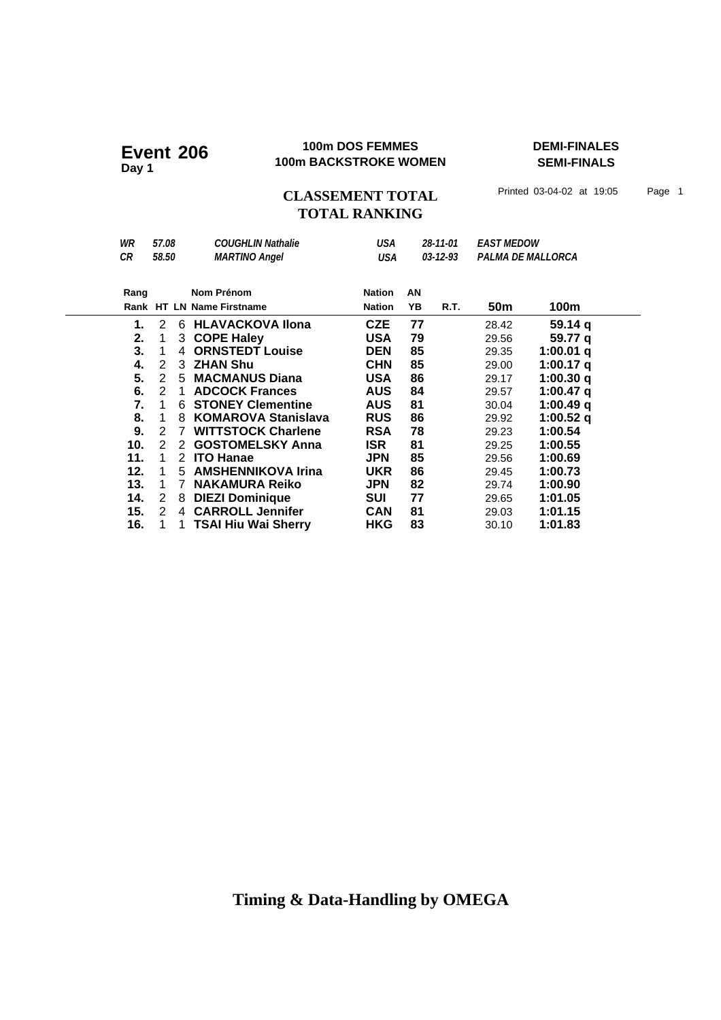#### **100m DOS FEMMES DEMI-FINALES 100m DOS FEMMES**<br>100m BACKSTROKE WOMEN

**SEMI-FINALS**

CLASSEMENT TOTAL Printed 03-04-02 at 19:05 Page 1

# **TOTAL RANKING**

| WR<br>СR | 57.08<br>58.50 |   | <b>COUGHLIN Nathalie</b><br><b>MARTINO Angel</b> | USA<br>USA    |    | 28-11-01<br>03-12-93 | <b>EAST MEDOW</b> | PALMA DE MALLORCA |  |
|----------|----------------|---|--------------------------------------------------|---------------|----|----------------------|-------------------|-------------------|--|
| Rang     |                |   | Nom Prénom                                       | <b>Nation</b> | AN |                      |                   |                   |  |
|          |                |   | Rank HT LN Name Firstname                        | <b>Nation</b> | YΒ | R.T.                 | 50m               | 100m              |  |
| 1.       | 2              | 6 | <b>HLAVACKOVA Ilona</b>                          | CZE           | 77 |                      | 28.42             | 59.14q            |  |
| 2.       | 1              | 3 | <b>COPE Haley</b>                                | <b>USA</b>    | 79 |                      | 29.56             | 59.77 a           |  |
| 3.       | 1              | 4 | <b>ORNSTEDT Louise</b>                           | DEN           | 85 |                      | 29.35             | 1:00.01 q         |  |
| 4.       | 2              | 3 | <b>ZHAN Shu</b>                                  | CHN           | 85 |                      | 29.00             | 1:00.17 $q$       |  |
| 5.       | 2              | 5 | <b>MACMANUS Diana</b>                            | <b>USA</b>    | 86 |                      | 29.17             | 1:00.30 q         |  |
| 6.       | 2              | 1 | <b>ADCOCK Frances</b>                            | <b>AUS</b>    | 84 |                      | 29.57             | 1:00.47 q         |  |
| 7.       | 1              | 6 | <b>STONEY Clementine</b>                         | <b>AUS</b>    | 81 |                      | 30.04             | 1:00.49 q         |  |
| 8.       | 1              | 8 | <b>KOMAROVA Stanislava</b>                       | <b>RUS</b>    | 86 |                      | 29.92             | 1:00.52 q         |  |
| 9.       | 2              | 7 | <b>WITTSTOCK Charlene</b>                        | RSA           | 78 |                      | 29.23             | 1:00.54           |  |
| 10.      | 2              | 2 | <b>GOSTOMELSKY Anna</b>                          | <b>ISR</b>    | 81 |                      | 29.25             | 1:00.55           |  |
| 11.      | 1              | 2 | <b>ITO Hanae</b>                                 | <b>JPN</b>    | 85 |                      | 29.56             | 1:00.69           |  |
| 12.      | 1              | 5 | <b>AMSHENNIKOVA Irina</b>                        | <b>UKR</b>    | 86 |                      | 29.45             | 1:00.73           |  |
| 13.      | 1              | 7 | <b>NAKAMURA Reiko</b>                            | <b>JPN</b>    | 82 |                      | 29.74             | 1:00.90           |  |
| 14.      | 2              | 8 | <b>DIEZI Dominique</b>                           | SUI           | 77 |                      | 29.65             | 1:01.05           |  |
| 15.      | 2              | 4 | <b>CARROLL Jennifer</b>                          | <b>CAN</b>    | 81 |                      | 29.03             | 1:01.15           |  |
| 16.      |                |   | TSAI Hiu Wai Sherry                              | <b>HKG</b>    | 83 |                      | 30.10             | 1:01.83           |  |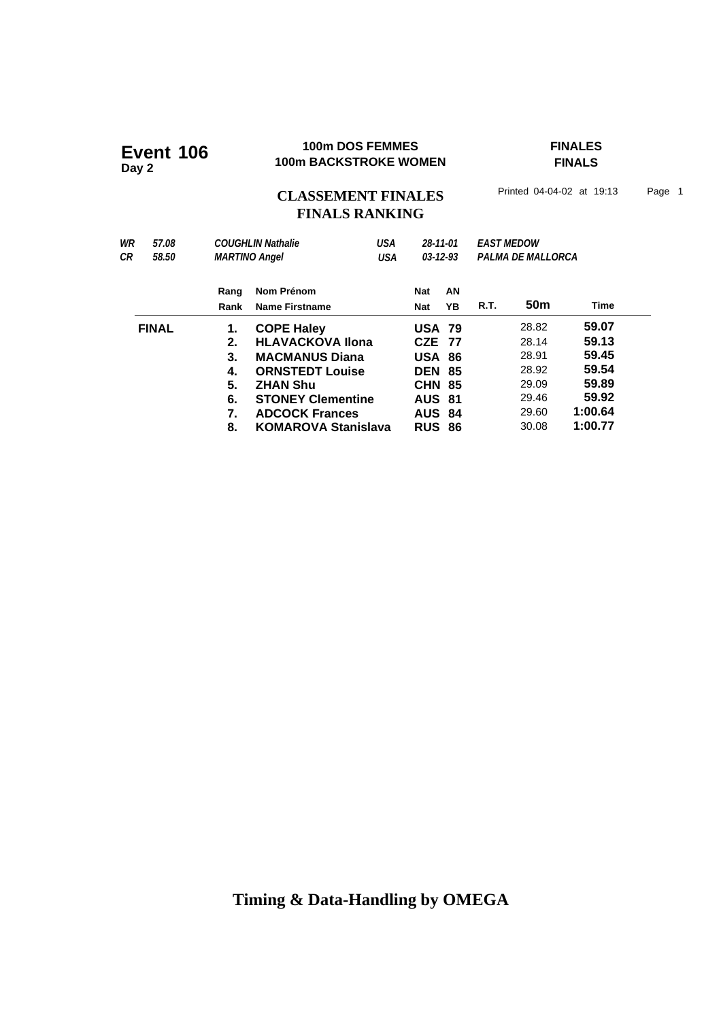### **100m DOS FEMMES FINALES 100m DOS FEMMES**<br>100m BACKSTROKE WOMEN

**FINALS**

# CLASSEMENT FINALES<sup>Printed 04-04-02 at 19:13 Page 1</sup> **FINALS RANKING**

| WR<br>57.08  |       |                   | <b>COUGHLIN Nathalie</b>   | USA           | 28-11-01       |    | <b>EAST MEDOW</b> |       |         |  |  |
|--------------|-------|-------------------|----------------------------|---------------|----------------|----|-------------------|-------|---------|--|--|
| СR           | 58.50 |                   | <b>MARTINO Angel</b>       | USA           | $03 - 12 - 93$ |    | PALMA DE MALLORCA |       |         |  |  |
|              |       | Rang              | Nom Prénom                 |               | Nat            | AN |                   |       |         |  |  |
|              |       | Rank              | <b>Name Firstname</b>      |               | <b>Nat</b>     | ΥB | R.T.              | 50m   | Time    |  |  |
| <b>FINAL</b> | 1.    | <b>COPE Haley</b> |                            | <b>USA 79</b> |                |    | 28.82             | 59.07 |         |  |  |
|              |       | 2.                | <b>HLAVACKOVA Ilona</b>    |               | <b>CZE 77</b>  |    |                   | 28.14 | 59.13   |  |  |
|              |       | 3.                | <b>MACMANUS Diana</b>      |               | <b>USA 86</b>  |    |                   | 28.91 | 59.45   |  |  |
|              |       | 4.                | <b>ORNSTEDT Louise</b>     |               | <b>DEN 85</b>  |    |                   | 28.92 | 59.54   |  |  |
|              |       | 5.                | <b>ZHAN Shu</b>            |               | <b>CHN 85</b>  |    |                   | 29.09 | 59.89   |  |  |
|              |       | 6.                | <b>STONEY Clementine</b>   |               | <b>AUS 81</b>  |    |                   | 29.46 | 59.92   |  |  |
|              |       | 7.                | <b>ADCOCK Frances</b>      |               | <b>AUS 84</b>  |    |                   | 29.60 | 1:00.64 |  |  |
|              |       | 8.                | <b>KOMAROVA Stanislava</b> |               | <b>RUS 86</b>  |    |                   | 30.08 | 1:00.77 |  |  |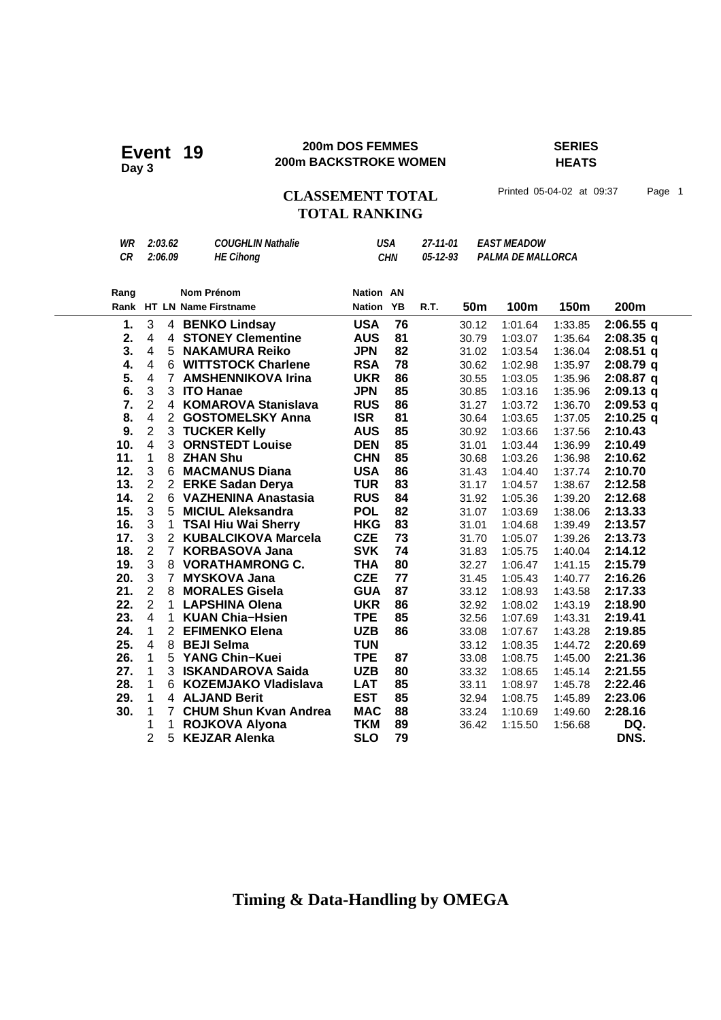#### **200m DOS FEMMES SERIES 200m DOS FEMMES**<br>200m BACKSTROKE WOMEN

**HEATS**

# CLASSEMENT TOTAL Printed 05-04-02 at 09:37 Page 1 **TOTAL RANKING**

| CR<br>2:06.09<br>05-12-93<br><b>HE Cihong</b><br>CHN                     | Rang | Nom Prénom | <b>Nation AN</b> |                   |  |
|--------------------------------------------------------------------------|------|------------|------------------|-------------------|--|
| <b>COUGHLIN Nathalie</b><br>WR<br>27-11-01 EAST MEADOW<br>USA<br>2:03.62 |      |            |                  | PALMA DE MALLORCA |  |

|     |                         |                      | Rank HT LN Name Firstname    | <b>Nation</b>            | <b>YB</b> | R.T. | 50m   | 100m    | 150m    | 200m        |
|-----|-------------------------|----------------------|------------------------------|--------------------------|-----------|------|-------|---------|---------|-------------|
| 1.  | 3                       |                      | 4 BENKO Lindsay              | <b>USA</b>               | 76        |      | 30.12 | 1:01.64 | 1:33.85 | $2:06.55$ q |
| 2.  | 4                       | $\overline{4}$       | <b>STONEY Clementine</b>     | <b>AUS</b>               | 81        |      | 30.79 | 1:03.07 | 1:35.64 | $2:08.35$ q |
| 3.  | $\overline{4}$          | 5                    | <b>NAKAMURA Reiko</b>        | <b>JPN</b>               | 82        |      | 31.02 | 1:03.54 | 1:36.04 | $2:08.51$ q |
| 4.  | 4                       | 6                    | <b>WITTSTOCK Charlene</b>    | <b>RSA</b>               | 78        |      | 30.62 | 1:02.98 | 1:35.97 | $2:08.79$ q |
| 5.  | $\overline{\mathbf{4}}$ | $\overline{7}$       | <b>AMSHENNIKOVA Irina</b>    | <b>UKR</b>               | 86        |      | 30.55 | 1:03.05 | 1:35.96 | $2:08.87$ q |
| 6.  | $\mathfrak{S}$          | 3                    | <b>ITO Hanae</b>             | <b>JPN</b>               | 85        |      | 30.85 | 1:03.16 | 1:35.96 | $2:09.13$ q |
| 7.  | $\overline{2}$          | 4                    | <b>KOMAROVA Stanislava</b>   | <b>RUS</b>               | 86        |      | 31.27 | 1:03.72 | 1:36.70 | $2:09.53$ q |
| 8.  | $\overline{\mathbf{4}}$ | $\mathbf{2}^{\circ}$ | <b>GOSTOMELSKY Anna</b>      | <b>ISR</b>               | 81        |      | 30.64 | 1:03.65 | 1:37.05 | $2:10.25$ q |
| 9.  | $\mathbf 2$             |                      | 3 TUCKER Kelly               | <b>AUS</b>               | 85        |      | 30.92 | 1:03.66 | 1:37.56 | 2:10.43     |
| 10. | $\overline{4}$          | 3                    | <b>ORNSTEDT Louise</b>       | <b>DEN</b>               | 85        |      | 31.01 | 1:03.44 | 1:36.99 | 2:10.49     |
| 11. | 1                       | 8                    | <b>ZHAN Shu</b>              | <b>CHN</b>               | 85        |      | 30.68 | 1:03.26 | 1:36.98 | 2:10.62     |
| 12. | $\mathbf{3}$            | 6                    | <b>MACMANUS Diana</b>        | <b>USA</b>               | 86        |      | 31.43 | 1:04.40 | 1:37.74 | 2:10.70     |
| 13. | $\sqrt{2}$              | 2 <sup>1</sup>       | <b>ERKE Sadan Derya</b>      | <b>TUR</b>               | 83        |      | 31.17 | 1:04.57 | 1:38.67 | 2:12.58     |
| 14. | $\overline{2}$          | 6                    | <b>VAZHENINA Anastasia</b>   | <b>RUS</b>               | 84        |      | 31.92 | 1:05.36 | 1:39.20 | 2:12.68     |
| 15. | $\mathfrak{S}$          | 5                    | <b>MICIUL Aleksandra</b>     | <b>POL</b>               | 82        |      | 31.07 | 1:03.69 | 1:38.06 | 2:13.33     |
| 16. | $\mathbf{3}$            | $\mathbf{1}$         | <b>TSAI Hiu Wai Sherry</b>   | <b>HKG</b>               | 83        |      | 31.01 | 1:04.68 | 1:39.49 | 2:13.57     |
| 17. | 3                       | $2^{\circ}$          | <b>KUBALCIKOVA Marcela</b>   | <b>CZE</b>               | 73        |      | 31.70 | 1:05.07 | 1:39.26 | 2:13.73     |
| 18. | $\mathbf 2$             | $\overline{7}$       | <b>KORBASOVA Jana</b>        | <b>SVK</b>               | 74        |      | 31.83 | 1:05.75 | 1:40.04 | 2:14.12     |
| 19. | $\mathbf{3}$            | 8                    | <b>VORATHAMRONG C.</b>       | <b>THA</b>               | 80        |      | 32.27 | 1:06.47 | 1:41.15 | 2:15.79     |
| 20. | 3                       | $\overline{7}$       | <b>MYSKOVA Jana</b>          | <b>CZE</b>               | 77        |      | 31.45 | 1:05.43 | 1:40.77 | 2:16.26     |
| 21. | $\overline{2}$          | 8                    | <b>MORALES Gisela</b>        | <b>GUA</b>               | 87        |      | 33.12 | 1:08.93 | 1:43.58 | 2:17.33     |
| 22. | $\overline{2}$          | 1                    | <b>LAPSHINA Olena</b>        | <b>UKR</b>               | 86        |      | 32.92 | 1:08.02 | 1:43.19 | 2:18.90     |
| 23. | $\overline{4}$          | $\mathbf{1}$         | <b>KUAN Chia-Hsien</b>       | <b>TPE</b>               | 85        |      | 32.56 | 1:07.69 | 1:43.31 | 2:19.41     |
| 24. | 1                       | $\mathbf{2}$         | <b>EFIMENKO Elena</b>        | <b>UZB</b>               | 86        |      | 33.08 | 1:07.67 | 1:43.28 | 2:19.85     |
| 25. | $\overline{4}$          | 8                    | <b>BEJI Selma</b>            | <b>TUN</b>               |           |      | 33.12 | 1:08.35 | 1:44.72 | 2:20.69     |
| 26. | 1                       | 5                    | <b>YANG Chin-Kuei</b>        | <b>TPE</b>               | 87        |      | 33.08 | 1:08.75 | 1:45.00 | 2:21.36     |
| 27. | 1                       | 3                    | <b>ISKANDAROVA Saida</b>     | <b>UZB</b>               | 80        |      | 33.32 | 1:08.65 | 1:45.14 | 2:21.55     |
| 28. | 1                       | 6                    | <b>KOZEMJAKO Vladislava</b>  | <b>LAT</b><br><b>EST</b> | 85        |      | 33.11 | 1:08.97 | 1:45.78 | 2:22.46     |
| 29. | 1                       | 4<br>$\overline{7}$  | <b>ALJAND Berit</b>          |                          | 85        |      | 32.94 | 1:08.75 | 1:45.89 | 2:23.06     |
| 30. | 1                       | $\mathbf 1$          | <b>CHUM Shun Kvan Andrea</b> | <b>MAC</b>               | 88        |      | 33.24 | 1:10.69 | 1:49.60 | 2:28.16     |
|     | 1                       |                      | <b>ROJKOVA Alyona</b>        | <b>TKM</b>               | 89        |      | 36.42 | 1:15.50 | 1:56.68 | DQ.         |
|     | 2                       | 5                    | <b>KEJZAR Alenka</b>         | SLO                      | 79        |      |       |         |         | DNS.        |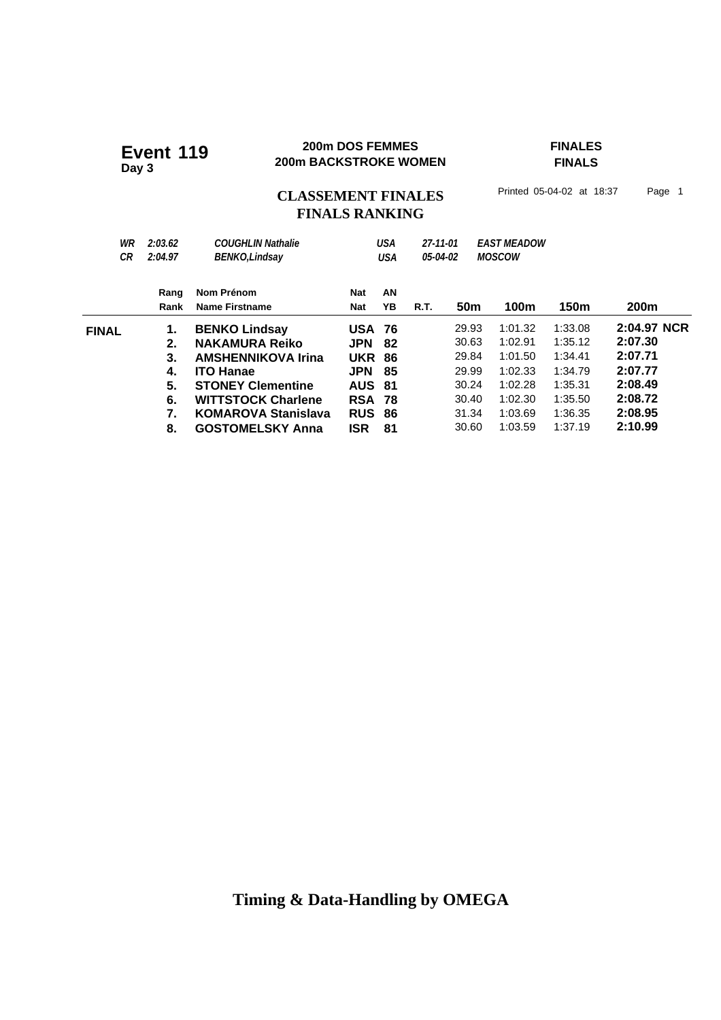#### **200m DOS FEMMES FINALES 200m BACKSTROKE WOMEN**<br>**200m BACKSTROKE WOMEN**

# **FINALS**

CLASSEMENT FINALES<sup>Printed 05-04-02 at 18:37 Page 1</sup>

# **FINALS RANKING**

| WR<br>СR     | 2:03.62<br>2:04.97 | <b>COUGHLIN Nathalie</b><br><b>BENKO, Lindsay</b> |               | <b>USA</b><br>USA | 27-11-01<br>05-04-02 |                 | <b>FAST MEADOW</b><br><b>MOSCOW</b> |         |                  |
|--------------|--------------------|---------------------------------------------------|---------------|-------------------|----------------------|-----------------|-------------------------------------|---------|------------------|
|              | Rang               | Nom Prénom                                        | <b>Nat</b>    | AN                |                      |                 |                                     |         |                  |
|              | Rank               | Name Firstname                                    | Nat           | YB                | <b>R.T.</b>          | 50 <sub>m</sub> | 100m                                | 150m    | 200 <sub>m</sub> |
| <b>FINAL</b> | 1.                 | <b>BENKO Lindsay</b>                              | <b>USA 76</b> |                   |                      | 29.93           | 1:01.32                             | 1:33.08 | 2:04.97 NCR      |
|              | 2.                 | <b>NAKAMURA Reiko</b>                             | <b>JPN</b>    | 82                |                      | 30.63           | 1:02.91                             | 1:35.12 | 2:07.30          |
|              | З.                 | <b>AMSHENNIKOVA Irina</b>                         | <b>UKR</b>    | -86               |                      | 29.84           | 1:01.50                             | 1:34.41 | 2:07.71          |
|              | 4.                 | <b>ITO Hanae</b>                                  | <b>JPN</b>    | -85               |                      | 29.99           | 1:02.33                             | 1:34.79 | 2:07.77          |
|              | 5.                 | <b>STONEY Clementine</b>                          | <b>AUS</b>    | -81               |                      | 30.24           | 1:02.28                             | 1:35.31 | 2:08.49          |
|              | 6.                 | <b>WITTSTOCK Charlene</b>                         | <b>RSA 78</b> |                   |                      | 30.40           | 1:02.30                             | 1:35.50 | 2:08.72          |
|              | 7.                 | <b>KOMAROVA Stanislava</b>                        | <b>RUS</b>    | 86                |                      | 31.34           | 1:03.69                             | 1:36.35 | 2:08.95          |
|              | 8.                 | <b>GOSTOMELSKY Anna</b>                           | <b>ISR</b>    | 81                |                      | 30.60           | 1:03.59                             | 1:37.19 | 2:10.99          |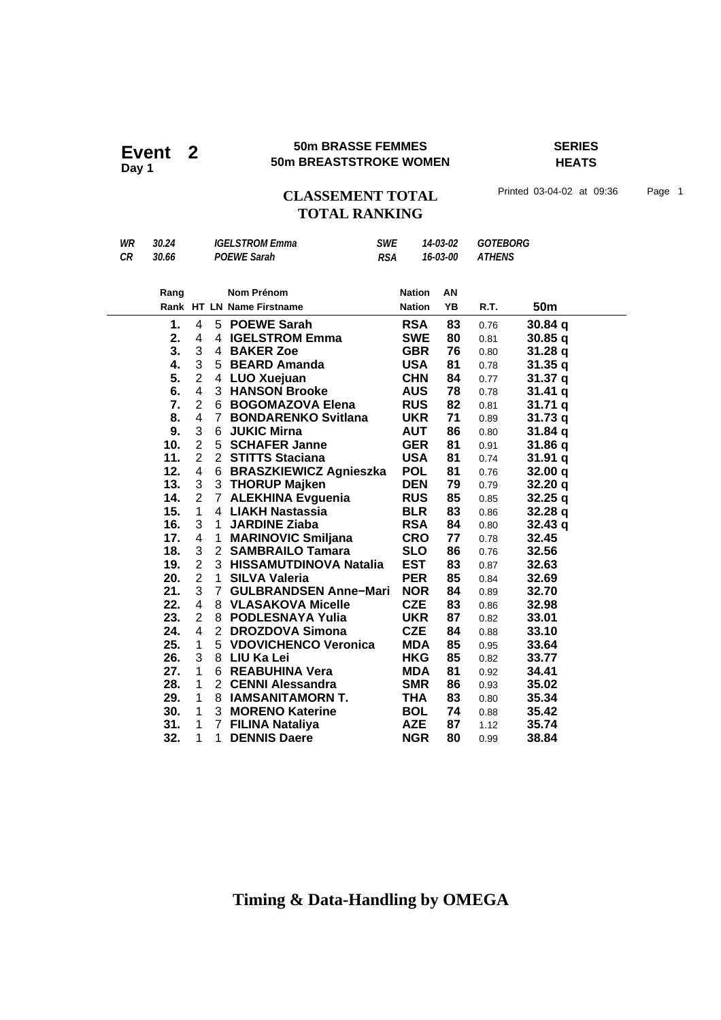#### **50m BRASSE FEMMES SERIES EVent** 2 **50m BREASTSTROKE WOMEN**<br> **Event** 2 **50m BREASTSTROKE WOMEN**

**HEATS**

### CLASSEMENT TOTAL Printed 03-04-02 at 09:36 Page 1 **TOTAL RANKING**

| WR | 30.24 |                       | <b>IGELSTROM Emma</b> |                           |            | <b>SWE</b>    | 14-03-02 | <b>GOTEBORG</b> |                    |  |
|----|-------|-----------------------|-----------------------|---------------------------|------------|---------------|----------|-----------------|--------------------|--|
| CR | 30.66 |                       |                       | <b>POEWE Sarah</b>        | <b>RSA</b> |               | 16-03-00 | <b>ATHENS</b>   |                    |  |
|    |       |                       |                       |                           |            |               |          |                 |                    |  |
|    | Rang  |                       |                       | Nom Prénom                |            | <b>Nation</b> | AN       |                 |                    |  |
|    |       |                       |                       | Rank HT LN Name Firstname |            | <b>Nation</b> | YB       | R.T.            | 50m                |  |
|    | 1.    | 4                     |                       | 5 POEWE Sarah             |            | RSA           | 83       | 0.76            | 30.84q             |  |
|    | 2.    | 4                     |                       | 4 IGELSTROM Emma          |            | <b>SWE</b>    | 80       | 0.81            | 30.85q             |  |
|    | 3.    | 3                     | 4                     | <b>BAKER Zoe</b>          |            | <b>GBR</b>    | 76       | 0.80            | 31.28q             |  |
|    | 4.    | 3                     |                       | 5 BEARD Amanda            |            | <b>USA</b>    | 81       | 0.78            | 31.35q             |  |
|    | 5.    | $\overline{2}$        | 4                     | LUO Xuejuan               |            | <b>CHN</b>    | 84       | 0.77            | 31.37 <sub>q</sub> |  |
|    | 6.    | $\overline{4}$        |                       | 3 HANSON Brooke           |            | AUS           | 78       | 0.78            | 31.41q             |  |
|    | 7.    | $\overline{2}$        |                       | 6 BOGOMAZOVA Elena        |            | <b>RUS</b>    | 82       | 0.81            | 31.71q             |  |
|    | 8.    | 4                     |                       | 7 BONDARENKO Svitlana     |            | <b>UKR</b>    | 71       | 0.89            | 31.73q             |  |
|    | 9.    | 3                     |                       | 6 JUKIC Mirna             |            | <b>AUT</b>    | 86       | 0.80            | 31.84q             |  |
|    | 10.   | $\overline{2}$        |                       | 5 SCHAFER Janne           |            | <b>GER</b>    | 81       | 0.91            | 31.86 q            |  |
|    | 11.   | $\overline{2}$        |                       | 2 STITTS Staciana         |            | <b>USA</b>    | 81       | 0.74            | 31.91q             |  |
|    | 12.   | 4                     |                       | 6 BRASZKIEWICZ Agnieszka  |            | <b>POL</b>    | 81       | 0.76            | 32.00 q            |  |
|    | 13.   | 3                     |                       | 3 THORUP Majken           |            | <b>DEN</b>    | 79       | 0.79            | 32.20q             |  |
|    | 14.   | $\mathbf{2}^{\prime}$ |                       | 7 ALEKHINA Evguenia       |            | <b>RUS</b>    | 85       | 0.85            | 32.25q             |  |
|    | 15.   | 1                     |                       | 4 LIAKH Nastassia         |            | <b>BLR</b>    | 83       | 0.86            | 32.28q             |  |
|    | 16.   | 3                     | $\mathbf{1}$          | <b>JARDINE Ziaba</b>      |            | <b>RSA</b>    | 84       | 0.80            | 32.43q             |  |
|    | 17.   | 4                     | $\mathbf{1}$          | <b>MARINOVIC Smiljana</b> |            | <b>CRO</b>    | 77       | 0.78            | 32.45              |  |
|    | 18.   | 3                     |                       | 2 SAMBRAILO Tamara        |            | <b>SLO</b>    | 86       | 0.76            | 32.56              |  |
|    | 19.   | $\overline{2}$        |                       | 3 HISSAMUTDINOVA Natalia  |            | <b>EST</b>    | 83       | 0.87            | 32.63              |  |
|    | 20.   | $\overline{2}$        | 1                     | <b>SILVA Valeria</b>      |            | <b>PER</b>    | 85       | 0.84            | 32.69              |  |

**21.** 3 7 **GULBRANDSEN Anne-Mari NOR 84** 0.89 32.70  **22. 32.98** 4 8 **VLASAKOVA Micelle CZE 83** 0.86  **23. 33.01** 2 8 **PODLESNAYA Yulia UKR 87** 0.82 **24.** 4 2 **DROZDOVA Simona CZE 84** 0.88 **33.10 25.** 1 5 **VDOVICHENCO Veronica MDA 85** 0.95 **33.64 25.** 1 5 **VDOVICHENCO Veronica** MDA 85 0.95 33.64<br>**26.** 3 8 LIU Ka Lei **18.1 26.** HKG 85 0.82 33.77 **26.** 3 8 **LIU Ka Lei HKG 85** 0.82 33.77<br>**27.** 1 6 REABUHINA Vera **MDA 81** 0.92 34.41 **27.** 1 6 **REABUHINA Vera MDA 81** 0.92 **34.41 28.** 1 2 **CENNI Alessandra SMR 86** 0.93 **35.02** 1 2 **CENNI Alessandra SMR 86** 0.93 **35.02**<br>1 8 **IAMSANITAMORN T.** THA 83 0.80 35.34 **29.** 1 8 **IAMSANITAMORN T.** THA 83 0.80 35.34<br>**30.** 1 3 MORENO Katerine BOL 74 0.88 35.42 **30.** 1 3 **MORENO Katerine BOL 74** 0.88 **35.42 31.** 1 7 **FILINA Nataliva AZE 87** 112 **35.74** 

 **32. 38.84** 1 1 **DENNIS Daere NGR 80** 0.99

 **31. 35.74** 1 7 **FILINA Nataliya AZE 87** 1.12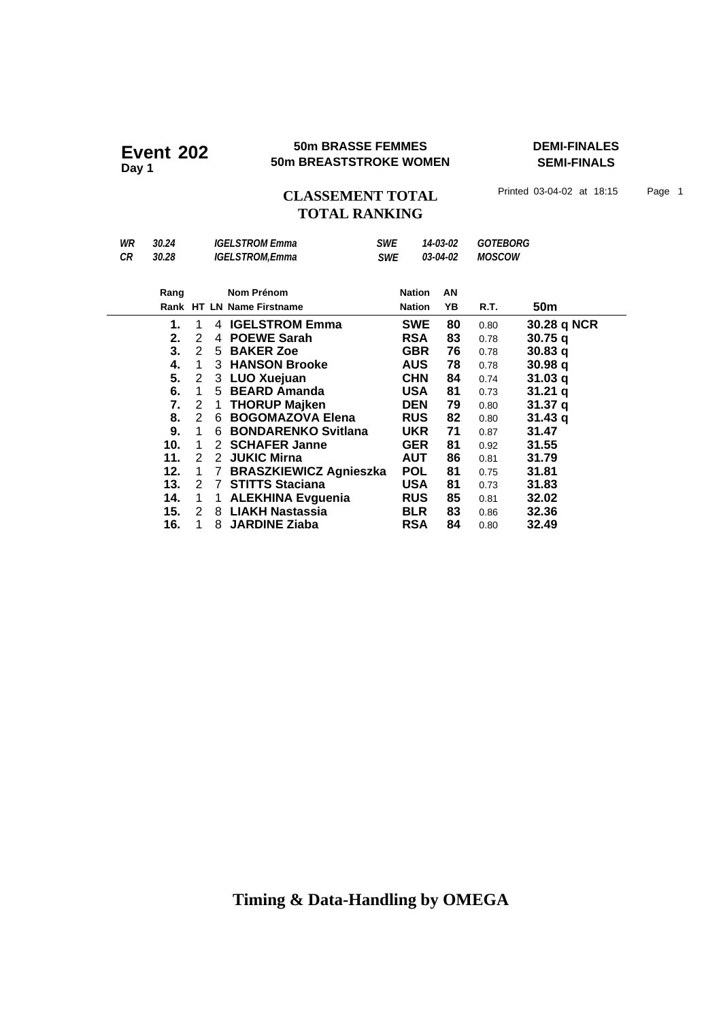#### **50m BRASSE FEMMES DEMI-FINALES Event 202 50m BRASSE FEMMES**<br>50m BREASTSTROKE WOMEN

**SEMI-FINALS**

## CLASSEMENT TOTAL Printed 03-04-02 at 18:15 Page 1 **TOTAL RANKING**

| WR  | 30.24 |               |             | <b>IGELSTROM Emma</b>         | <b>SWE</b> |               | 14-03-02 | <b>GOTEBORG</b> |                    |
|-----|-------|---------------|-------------|-------------------------------|------------|---------------|----------|-----------------|--------------------|
| CR. | 30.28 |               |             | <b>IGELSTROM,Emma</b>         | <b>SWE</b> |               | 03-04-02 | <b>MOSCOW</b>   |                    |
|     |       |               |             |                               |            |               |          |                 |                    |
|     | Rang  |               |             | Nom Prénom                    |            | <b>Nation</b> | AN       |                 |                    |
|     |       |               |             | Rank HT LN Name Firstname     |            | <b>Nation</b> | YB       | R.T.            | 50 <sub>m</sub>    |
|     | 1.    | 1             |             | 4 IGELSTROM Emma              |            | <b>SWE</b>    | 80       | 0.80            | 30.28 q NCR        |
|     | 2.    | 2             | 4           | <b>POEWE Sarah</b>            |            | RSA           | 83       | 0.78            | 30.75q             |
|     | 3.    | 2             |             | 5 BAKER Zoe                   |            | <b>GBR</b>    | 76       | 0.78            | 30.83 <sub>q</sub> |
|     | 4.    | 1             |             | 3 HANSON Brooke               |            | <b>AUS</b>    | 78       | 0.78            | 30.98q             |
|     | 5.    | 2             |             | 3 LUO Xuejuan                 |            | <b>CHN</b>    | 84       | 0.74            | 31.03q             |
|     | 6.    | $\mathbf 1$   |             | 5 BEARD Amanda                |            | USA           | 81       | 0.73            | 31.21q             |
|     | 7.    | 2             | 1           | <b>THORUP Majken</b>          |            | <b>DEN</b>    | 79       | 0.80            | 31.37 a            |
|     | 8.    | 2             | 6           | <b>BOGOMAZOVA Elena</b>       |            | <b>RUS</b>    | 82       | 0.80            | 31.43q             |
|     | 9.    | 1             | 6           | <b>BONDARENKO Svitlana</b>    |            | <b>UKR</b>    | 71       | 0.87            | 31.47              |
|     | 10.   | 1             |             | 2 SCHAFER Janne               |            | <b>GER</b>    | 81       | 0.92            | 31.55              |
|     | 11.   | 2             | 2           | <b>JUKIC Mirna</b>            |            | AUT           | 86       | 0.81            | 31.79              |
|     | 12.   | 1             | $7^{\circ}$ | <b>BRASZKIEWICZ Agnieszka</b> |            | POL           | 81       | 0.75            | 31.81              |
|     | 13.   | 2             | 7           | <b>STITTS Staciana</b>        |            | <b>USA</b>    | 81       | 0.73            | 31.83              |
|     | 14.   | 1             | 1           | <b>ALEKHINA Evguenia</b>      |            | <b>RUS</b>    | 85       | 0.81            | 32.02              |
|     | 15.   | $\mathcal{P}$ |             | 8 LIAKH Nastassia             |            | <b>BLR</b>    | 83       | 0.86            | 32.36              |
|     | 16.   |               | 8           | <b>JARDINE Ziaba</b>          |            | RSA           | 84       | 0.80            | 32.49              |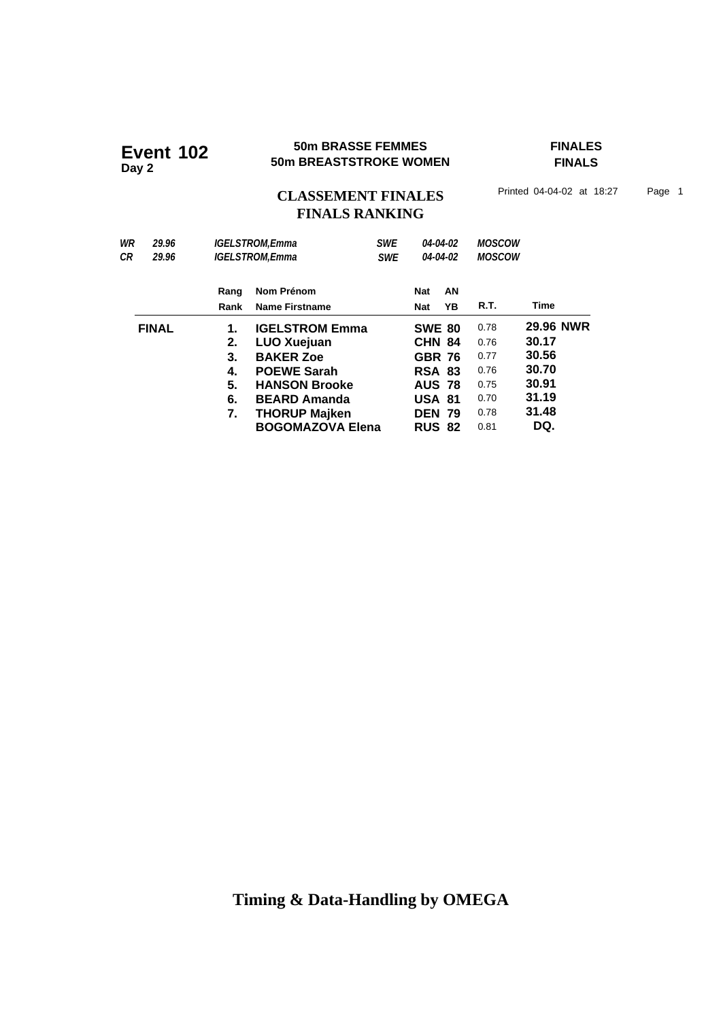#### **50m BRASSE FEMMES FINALES 50m BRASSE FEMMES**<br>50m BREASTSTROKE WOMEN

**FINALS**

CLASSEMENT FINALES<sup>Printed 04-04-02 at 18:27 Page 1</sup>

# **FINALS RANKING**

| WR           | 29.96 | <b>IGELSTROM,Emma</b> |                         | <b>SWE</b> |               | 04-04-02 | <b>MOSCOW</b> |           |  |
|--------------|-------|-----------------------|-------------------------|------------|---------------|----------|---------------|-----------|--|
| СR           | 29.96 | <b>IGELSTROM.Emma</b> |                         | <b>SWE</b> | 04-04-02      |          | <b>MOSCOW</b> |           |  |
|              |       | Rang                  | Nom Prénom              |            | Nat           | AN       |               |           |  |
|              |       | Rank                  | <b>Name Firstname</b>   |            | <b>Nat</b>    | YΒ       | R.T.          | Time      |  |
| <b>FINAL</b> |       | 1.                    | <b>IGELSTROM Emma</b>   |            | <b>SWE 80</b> |          | 0.78          | 29.96 NWR |  |
|              |       | 2.                    | <b>LUO Xuejuan</b>      |            | <b>CHN 84</b> |          | 0.76          | 30.17     |  |
|              |       | 3.                    | <b>BAKER Zoe</b>        |            | <b>GBR 76</b> |          | 0.77          | 30.56     |  |
|              |       | 4.                    | <b>POEWE Sarah</b>      |            | <b>RSA 83</b> |          | 0.76          | 30.70     |  |
|              |       | 5.                    | <b>HANSON Brooke</b>    |            | <b>AUS 78</b> |          | 0.75          | 30.91     |  |
|              |       | 6.                    | <b>BEARD Amanda</b>     |            | <b>USA 81</b> |          | 0.70          | 31.19     |  |
|              |       | 7.                    | <b>THORUP Majken</b>    |            | <b>DEN 79</b> |          | 0.78          | 31.48     |  |
|              |       |                       | <b>BOGOMAZOVA Elena</b> |            | <b>RUS 82</b> |          | 0.81          | DQ.       |  |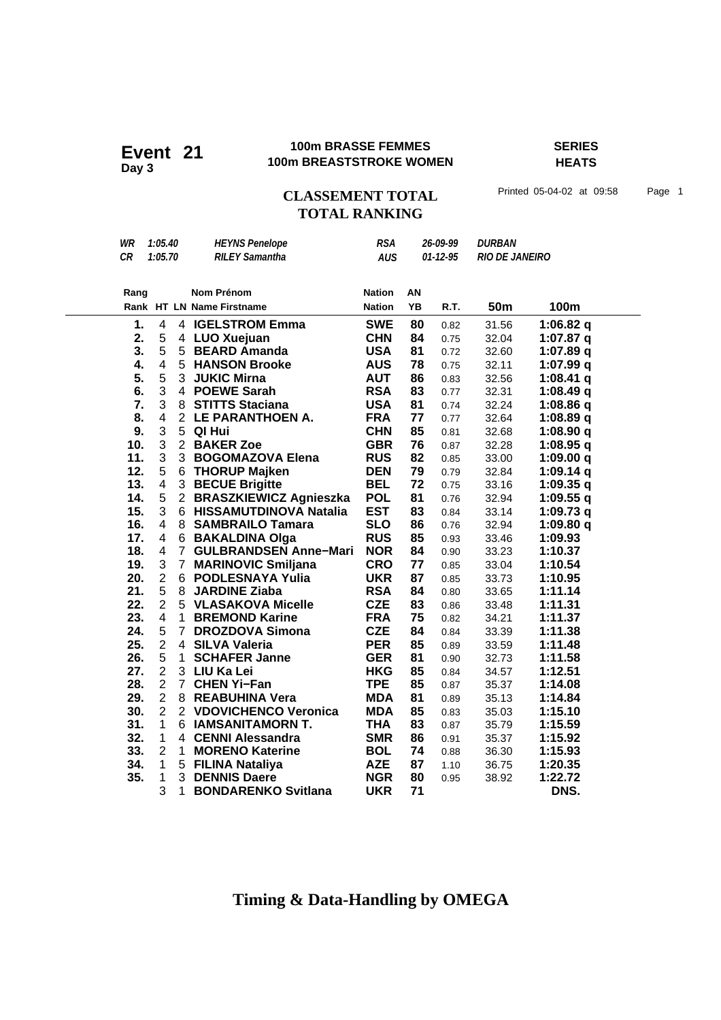#### **100m BRASSE FEMMES SERIES 100m BRASSE FEMMES**<br>100m BREASTSTROKE WOMEN

**HEATS**

CLASSEMENT TOTAL Printed 05-04-02 at 09:58 Page 1 **TOTAL RANKING**

| WR   | 1:05.40                 |                | <b>HEYNS Penelope</b>                                | <b>RSA</b>    | 26-09-99 |                | <b>DURBAN</b>         |                          |
|------|-------------------------|----------------|------------------------------------------------------|---------------|----------|----------------|-----------------------|--------------------------|
| CR   | 1:05.70                 |                | <b>RILEY Samantha</b>                                | <b>AUS</b>    |          | $01 - 12 - 95$ | <b>RIO DE JANEIRO</b> |                          |
|      |                         |                |                                                      |               |          |                |                       |                          |
| Rang |                         |                | <b>Nom Prénom</b>                                    | <b>Nation</b> | AN       |                |                       |                          |
|      |                         |                | Rank HT LN Name Firstname                            | <b>Nation</b> | YB       | R.T.           | 50m                   | 100m                     |
| 1.   | 4                       |                | 4 IGELSTROM Emma                                     | <b>SWE</b>    | 80       |                |                       |                          |
| 2.   | 5                       |                |                                                      | <b>CHN</b>    | 84       | 0.82           | 31.56                 | 1:06.82 q                |
| 3.   | 5                       |                | 4 LUO Xuejuan<br>5 BEARD Amanda                      | <b>USA</b>    | 81       | 0.75           | 32.04                 | 1:07.87 $q$              |
| 4.   | $\overline{\mathbf{4}}$ |                | 5 HANSON Brooke                                      | <b>AUS</b>    | 78       | 0.72           | 32.60                 | 1:07.89 $q$<br>1:07.99 q |
| 5.   | 5                       |                | 3 JUKIC Mirna                                        | <b>AUT</b>    | 86       | 0.75           | 32.11                 |                          |
| 6.   | 3                       |                | 4 POEWE Sarah                                        | <b>RSA</b>    | 83       | 0.83           | 32.56                 | 1:08.41 $q$              |
| 7.   | 3                       |                | 8 STITTS Staciana                                    | <b>USA</b>    | 81       | 0.77           | 32.31                 | 1:08.49 q<br>1:08.86 q   |
| 8.   | 4                       |                | 2 LE PARANTHOEN A.                                   | <b>FRA</b>    | 77       | 0.74           | 32.24                 |                          |
| 9.   | 3                       | 5              | QI Hui                                               | <b>CHN</b>    | 85       | 0.77           | 32.64                 | 1:08.89 q                |
| 10.  | 3                       |                | 2 BAKER Zoe                                          | <b>GBR</b>    | 76       | 0.81           | 32.68                 | 1:08.90q                 |
| 11.  | 3                       |                | 3 BOGOMAZOVA Elena                                   | <b>RUS</b>    | 82       | 0.87           | 32.28                 | 1:08.95 q                |
| 12.  | 5                       |                |                                                      | <b>DEN</b>    | 79       | 0.85           | 33.00                 | 1:09.00 $q$              |
| 13.  | 4                       |                | 6 THORUP Majken                                      | <b>BEL</b>    | 72       | 0.79           | 32.84                 | 1:09.14q                 |
|      |                         |                | 3 BECUE Brigitte                                     |               |          | 0.75           | 33.16                 | 1:09.35 $q$              |
| 14.  | 5<br>3                  |                | 2 BRASZKIEWICZ Agnieszka<br>6 HISSAMUTDINOVA Natalia | <b>POL</b>    | 81       | 0.76           | 32.94                 | $1:09.55$ q              |
| 15.  |                         |                |                                                      | <b>EST</b>    | 83       | 0.84           | 33.14                 | 1:09.73q                 |
| 16.  | 4                       |                | 8 SAMBRAILO Tamara                                   | <b>SLO</b>    | 86       | 0.76           | 32.94                 | 1:09.80 $q$              |
| 17.  | 4                       |                | 6 BAKALDINA Olga                                     | <b>RUS</b>    | 85       | 0.93           | 33.46                 | 1:09.93                  |
| 18.  | 4                       | 7 <sup>1</sup> | <b>GULBRANDSEN Anne-Mari</b>                         | <b>NOR</b>    | 84       | 0.90           | 33.23                 | 1:10.37                  |
| 19.  | 3                       |                | 7 MARINOVIC Smiljana                                 | <b>CRO</b>    | 77       | 0.85           | 33.04                 | 1:10.54                  |
| 20.  | $\overline{2}$          |                | 6 PODLESNAYA Yulia                                   | <b>UKR</b>    | 87       | 0.85           | 33.73                 | 1:10.95                  |
| 21.  | 5                       | 8              | <b>JARDINE Ziaba</b>                                 | <b>RSA</b>    | 84       | 0.80           | 33.65                 | 1:11.14                  |
| 22.  | $\overline{2}$          |                | 5 VLASAKOVA Micelle                                  | <b>CZE</b>    | 83       | 0.86           | 33.48                 | 1:11.31                  |
| 23.  | 4                       |                | 1 BREMOND Karine                                     | <b>FRA</b>    | 75       | 0.82           | 34.21                 | 1:11.37                  |
| 24.  | 5                       |                | 7 DROZDOVA Simona                                    | <b>CZE</b>    | 84       | 0.84           | 33.39                 | 1:11.38                  |
| 25.  | $\overline{2}$          |                | 4 SILVA Valeria                                      | <b>PER</b>    | 85       | 0.89           | 33.59                 | 1:11.48                  |
| 26.  | 5                       | $\mathbf{1}$   | <b>SCHAFER Janne</b>                                 | <b>GER</b>    | 81       | 0.90           | 32.73                 | 1:11.58                  |
| 27.  | $\overline{2}$          |                | 3 LIU Ka Lei                                         | <b>HKG</b>    | 85       | 0.84           | 34.57                 | 1:12.51                  |
| 28.  | $\overline{2}$          | $\overline{7}$ | <b>CHEN Yi-Fan</b>                                   | <b>TPE</b>    | 85       | 0.87           | 35.37                 | 1:14.08                  |
| 29.  | $\overline{2}$          |                | 8 REABUHINA Vera                                     | <b>MDA</b>    | 81       | 0.89           | 35.13                 | 1:14.84                  |
| 30.  | $\overline{2}$          |                | 2 VDOVICHENCO Veronica                               | <b>MDA</b>    | 85       | 0.83           | 35.03                 | 1:15.10                  |
| 31.  | $\mathbf{1}$            |                | 6 IAMSANITAMORN T.                                   | <b>THA</b>    | 83       | 0.87           | 35.79                 | 1:15.59                  |
| 32.  | $\mathbf{1}$            |                | 4 CENNI Alessandra                                   | <b>SMR</b>    | 86       | 0.91           | 35.37                 | 1:15.92                  |
| 33.  | $\overline{2}$          | 1.             | <b>MORENO Katerine</b>                               | <b>BOL</b>    | 74       | 0.88           | 36.30                 | 1:15.93                  |
| 34.  | $\mathbf{1}$            |                | 5 FILINA Nataliya                                    | <b>AZE</b>    | 87       | 1.10           | 36.75                 | 1:20.35                  |
| 35.  | $\mathbf{1}$            |                | 3 DENNIS Daere                                       | <b>NGR</b>    | 80       | 0.95           | 38.92                 | 1:22.72                  |
|      | 3                       | $\mathbf{1}$   | <b>BONDARENKO Svitlana</b>                           | <b>UKR</b>    | 71       |                |                       | DNS.                     |
|      |                         |                |                                                      |               |          |                |                       |                          |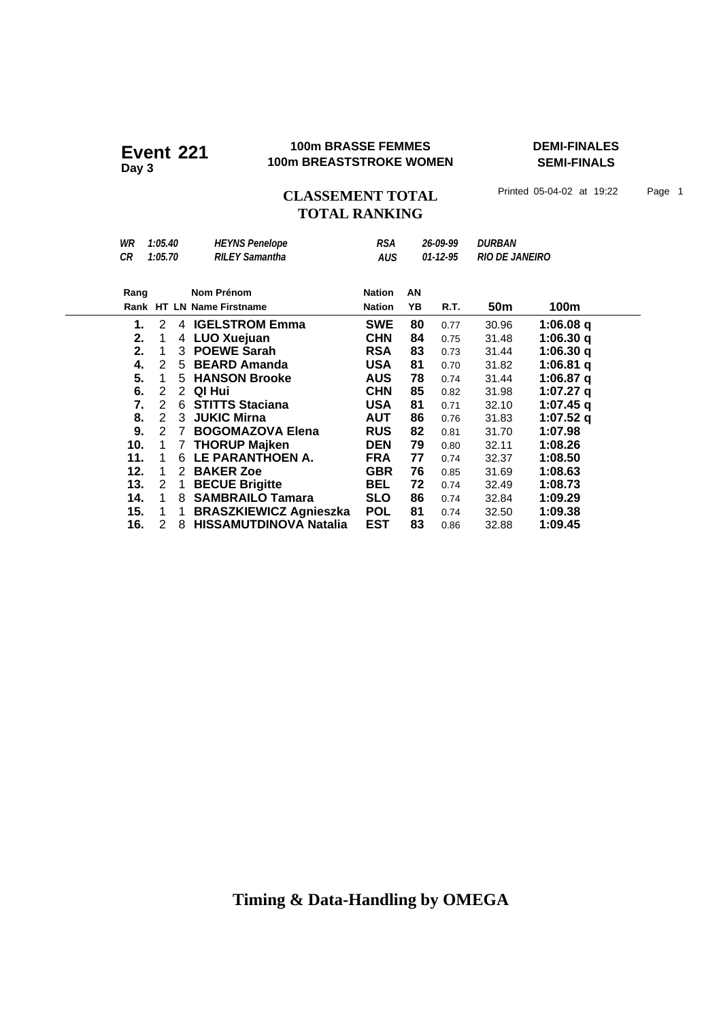#### **100m BRASSE FEMMES DEMI-FINALES 100m BRASSE FEMMES**<br>100m BREASTSTROKE WOMEN

**SEMI-FINALS**

## CLASSEMENT TOTAL Printed 05-04-02 at 19:22 Page 1 **TOTAL RANKING**

| WR   | 1:05.40        |                 | <b>HEYNS Penelope</b>         | <b>RSA</b>    |    | 26-09-99       | <i><b>DURBAN</b></i>  |             |
|------|----------------|-----------------|-------------------------------|---------------|----|----------------|-----------------------|-------------|
| СR   | 1:05.70        |                 | <b>RILEY Samantha</b>         | <b>AUS</b>    |    | $01 - 12 - 95$ | <b>RIO DE JANEIRO</b> |             |
|      |                |                 |                               |               |    |                |                       |             |
| Rang |                |                 | Nom Prénom                    | <b>Nation</b> | AN |                |                       |             |
|      |                |                 | Rank HT LN Name Firstname     | <b>Nation</b> | YB | R.T.           | 50 <sub>m</sub>       | 100m        |
| 1.   | 2              |                 | 4 IGELSTROM Emma              | <b>SWE</b>    | 80 | 0.77           | 30.96                 | 1:06.08 q   |
| 2.   | 1              |                 | 4 LUO Xuejuan                 | <b>CHN</b>    | 84 | 0.75           | 31.48                 | 1:06.30 q   |
| 2.   | 1              | 3               | <b>POEWE Sarah</b>            | <b>RSA</b>    | 83 | 0.73           | 31.44                 | 1:06.30 q   |
| 4.   | 2              |                 | 5 BEARD Amanda                | <b>USA</b>    | 81 | 0.70           | 31.82                 | 1:06.81 $q$ |
| 5.   | 1              |                 | 5 HANSON Brooke               | <b>AUS</b>    | 78 | 0.74           | 31.44                 | 1:06.87 q   |
| 6.   | $\overline{2}$ | 2               | QI Hui                        | <b>CHN</b>    | 85 | 0.82           | 31.98                 | 1:07.27 q   |
| 7.   | $\overline{2}$ | $6\overline{6}$ | <b>STITTS Staciana</b>        | <b>USA</b>    | 81 | 0.71           | 32.10                 | $1:07.45$ q |
| 8.   | 2              | 3               | <b>JUKIC Mirna</b>            | <b>AUT</b>    | 86 | 0.76           | 31.83                 | 1:07.52 q   |
| 9.   | $2^{\circ}$    | 7               | <b>BOGOMAZOVA Elena</b>       | <b>RUS</b>    | 82 | 0.81           | 31.70                 | 1:07.98     |
| 10.  | 1              | 7               | <b>THORUP Majken</b>          | <b>DEN</b>    | 79 | 0.80           | 32.11                 | 1:08.26     |
| 11.  | 1              | 6               | LE PARANTHOEN A.              | <b>FRA</b>    | 77 | 0.74           | 32.37                 | 1:08.50     |
| 12.  | 1              | 2               | <b>BAKER Zoe</b>              | <b>GBR</b>    | 76 | 0.85           | 31.69                 | 1:08.63     |
| 13.  | 2              | 1               | <b>BECUE Brigitte</b>         | BEL           | 72 | 0.74           | 32.49                 | 1:08.73     |
| 14.  | 1              | 8               | <b>SAMBRAILO Tamara</b>       | <b>SLO</b>    | 86 | 0.74           | 32.84                 | 1:09.29     |
| 15.  | 1              | 1               | <b>BRASZKIEWICZ Agnieszka</b> | <b>POL</b>    | 81 | 0.74           | 32.50                 | 1:09.38     |
| 16.  | 2              | 8               | <b>HISSAMUTDINOVA Natalia</b> | <b>EST</b>    | 83 | 0.86           | 32.88                 | 1:09.45     |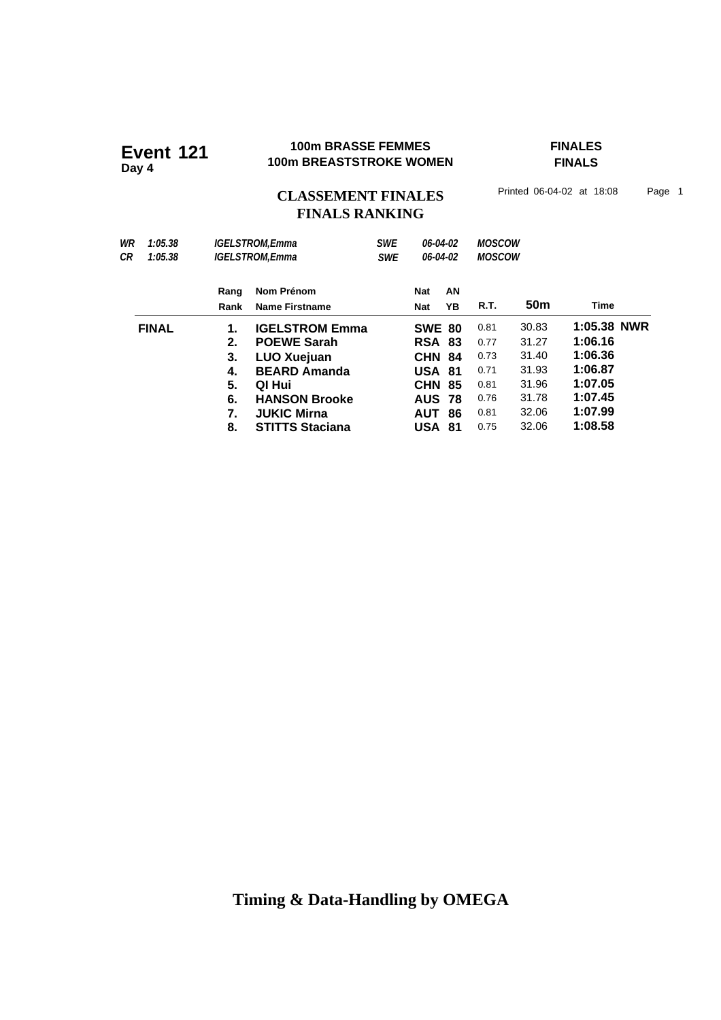# **100m BRASSE FEMMES FEMBRASSE FEMMES**<br>
100m BREASTSTROKE WOMEN FINALS

**FINALS**

# CLASSEMENT FINALES<sup>Printed 06-04-02 at 18:08 Page 1</sup> **FINALS RANKING**

| WR<br>1:05.38<br>СR<br>1:05.38 |                                              | <b>IGELSTROM.Emma</b><br><b>IGELSTROM.Emma</b>                                                                                                                             | <b>SWE</b><br>06-04-02<br>06-04-02<br><b>SWE</b> |                                                                                                               |                | <b>MOSCOW</b><br><b>MOSCOW</b>                               |                                                                      |                                                                                          |
|--------------------------------|----------------------------------------------|----------------------------------------------------------------------------------------------------------------------------------------------------------------------------|--------------------------------------------------|---------------------------------------------------------------------------------------------------------------|----------------|--------------------------------------------------------------|----------------------------------------------------------------------|------------------------------------------------------------------------------------------|
|                                | Rang<br>Rank                                 | Nom Prénom<br><b>Name Firstname</b>                                                                                                                                        |                                                  | Nat<br>Nat                                                                                                    | AN<br>ΥB       | R.T.                                                         | 50m                                                                  | Time                                                                                     |
| <b>FINAL</b>                   | 1.<br>2.<br>3.<br>4.<br>5.<br>6.<br>7.<br>8. | <b>IGELSTROM Emma</b><br><b>POEWE Sarah</b><br><b>LUO Xuejuan</b><br><b>BEARD Amanda</b><br>QI Hui<br><b>HANSON Brooke</b><br><b>JUKIC Mirna</b><br><b>STITTS Staciana</b> |                                                  | <b>SWE 80</b><br><b>RSA 83</b><br><b>CHN</b><br><b>USA 81</b><br>CHN<br><b>AUS 78</b><br><b>AUT</b><br>USA 81 | 84<br>85<br>86 | 0.81<br>0.77<br>0.73<br>0.71<br>0.81<br>0.76<br>0.81<br>0.75 | 30.83<br>31.27<br>31.40<br>31.93<br>31.96<br>31.78<br>32.06<br>32.06 | 1:05.38 NWR<br>1:06.16<br>1:06.36<br>1:06.87<br>1:07.05<br>1:07.45<br>1:07.99<br>1:08.58 |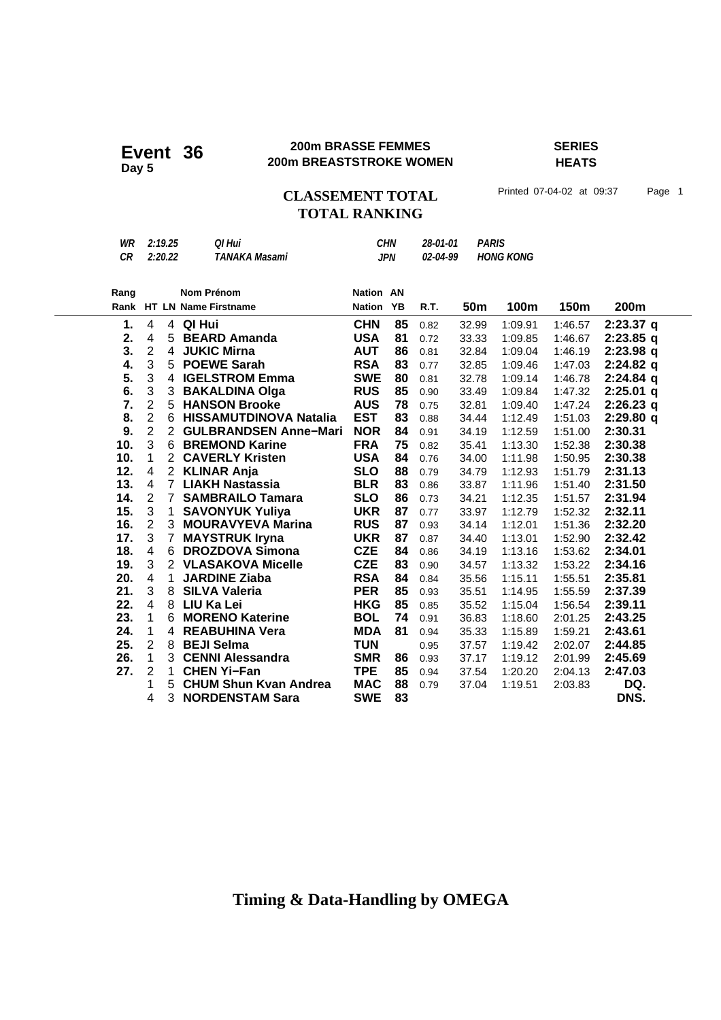#### **200m BRASSE FEMMES SERIES 200m BRASSE FEMMES**<br>200m BREASTSTROKE WOMEN

**HEATS**

### CLASSEMENT TOTAL Printed 07-04-02 at 09:37 Page 1 **TOTAL RANKING**

| Ranɑ |         | Nom Prénom    | <b>Nation AN</b> |                 |                  |  |
|------|---------|---------------|------------------|-----------------|------------------|--|
| CR   | 2:20.22 | TANAKA Masami | JPN.             | <i>02-04-99</i> | <b>HONG KONG</b> |  |
| WR   | 2:19.25 | OI Hui        | <b>CHN</b>       | 28-01-01        | <b>PARIS</b>     |  |

| Rang |                |                | Nom Prénom                    | <b>Nation AN</b> |    |      |                 |         |         |             |
|------|----------------|----------------|-------------------------------|------------------|----|------|-----------------|---------|---------|-------------|
|      |                |                | Rank HT LN Name Firstname     | <b>Nation YB</b> |    | R.T. | 50 <sub>m</sub> | 100m    | 150m    | 200m        |
| 1.   | 4              | 4              | QI Hui                        | <b>CHN</b>       | 85 | 0.82 | 32.99           | 1:09.91 | 1:46.57 | $2:23.37$ q |
| 2.   | 4              | 5              | <b>BEARD Amanda</b>           | <b>USA</b>       | 81 | 0.72 | 33.33           | 1:09.85 | 1:46.67 | $2:23.85$ q |
| 3.   | $\overline{2}$ | 4              | <b>JUKIC Mirna</b>            | <b>AUT</b>       | 86 | 0.81 | 32.84           | 1:09.04 | 1:46.19 | $2:23.98$ q |
| 4.   | 3              | 5              | <b>POEWE Sarah</b>            | <b>RSA</b>       | 83 | 0.77 | 32.85           | 1:09.46 | 1:47.03 | $2:24.82$ q |
| 5.   | 3              | 4              | <b>IGELSTROM Emma</b>         | <b>SWE</b>       | 80 | 0.81 | 32.78           | 1:09.14 | 1:46.78 | $2:24.84$ q |
| 6.   | 3              | 3              | <b>BAKALDINA Olga</b>         | <b>RUS</b>       | 85 | 0.90 | 33.49           | 1:09.84 | 1:47.32 | $2:25.01$ q |
| 7.   | $\overline{2}$ | 5              | <b>HANSON Brooke</b>          | <b>AUS</b>       | 78 | 0.75 | 32.81           | 1:09.40 | 1:47.24 | $2:26.23$ q |
| 8.   | $\overline{2}$ | 6              | <b>HISSAMUTDINOVA Natalia</b> | <b>EST</b>       | 83 | 0.88 | 34.44           | 1:12.49 | 1:51.03 | 2:29.80q    |
| 9.   | $\overline{2}$ | $\overline{2}$ | <b>GULBRANDSEN Anne-Mari</b>  | <b>NOR</b>       | 84 | 0.91 | 34.19           | 1:12.59 | 1:51.00 | 2:30.31     |
| 10.  | 3              | 6              | <b>BREMOND Karine</b>         | <b>FRA</b>       | 75 | 0.82 | 35.41           | 1:13.30 | 1:52.38 | 2:30.38     |
| 10.  | 1              | $\overline{2}$ | <b>CAVERLY Kristen</b>        | <b>USA</b>       | 84 | 0.76 | 34.00           | 1:11.98 | 1:50.95 | 2:30.38     |
| 12.  | 4              |                | 2 KLINAR Anja                 | <b>SLO</b>       | 88 | 0.79 | 34.79           | 1:12.93 | 1:51.79 | 2:31.13     |
| 13.  | $\overline{4}$ | $\overline{7}$ | <b>LIAKH Nastassia</b>        | <b>BLR</b>       | 83 | 0.86 | 33.87           | 1:11.96 | 1:51.40 | 2:31.50     |
| 14.  | 2              | $\overline{7}$ | <b>SAMBRAILO Tamara</b>       | <b>SLO</b>       | 86 | 0.73 | 34.21           | 1:12.35 | 1:51.57 | 2:31.94     |
| 15.  | $\sqrt{3}$     | 1              | <b>SAVONYUK Yuliya</b>        | <b>UKR</b>       | 87 | 0.77 | 33.97           | 1:12.79 | 1:52.32 | 2:32.11     |
| 16.  | $\overline{2}$ | 3              | <b>MOURAVYEVA Marina</b>      | <b>RUS</b>       | 87 | 0.93 | 34.14           | 1:12.01 | 1:51.36 | 2:32.20     |
| 17.  | 3              | $\overline{7}$ | <b>MAYSTRUK Iryna</b>         | <b>UKR</b>       | 87 | 0.87 | 34.40           | 1:13.01 | 1:52.90 | 2:32.42     |
| 18.  | $\overline{4}$ | 6              | <b>DROZDOVA Simona</b>        | <b>CZE</b>       | 84 | 0.86 | 34.19           | 1:13.16 | 1:53.62 | 2:34.01     |
| 19.  | 3              |                | 2 VLASAKOVA Micelle           | <b>CZE</b>       | 83 | 0.90 | 34.57           | 1:13.32 | 1:53.22 | 2:34.16     |
| 20.  | 4              | 1              | <b>JARDINE Ziaba</b>          | <b>RSA</b>       | 84 | 0.84 | 35.56           | 1:15.11 | 1:55.51 | 2:35.81     |
| 21.  | 3              | 8              | <b>SILVA Valeria</b>          | <b>PER</b>       | 85 | 0.93 | 35.51           | 1:14.95 | 1:55.59 | 2:37.39     |
| 22.  | 4              | 8              | LIU Ka Lei                    | <b>HKG</b>       | 85 | 0.85 | 35.52           | 1:15.04 | 1:56.54 | 2:39.11     |
| 23.  | 1              | 6              | <b>MORENO Katerine</b>        | <b>BOL</b>       | 74 | 0.91 | 36.83           | 1:18.60 | 2:01.25 | 2:43.25     |
| 24.  | 1              | 4              | <b>REABUHINA Vera</b>         | <b>MDA</b>       | 81 | 0.94 | 35.33           | 1:15.89 | 1:59.21 | 2:43.61     |
| 25.  | $\overline{2}$ | 8              | <b>BEJI Selma</b>             | <b>TUN</b>       |    | 0.95 | 37.57           | 1:19.42 | 2:02.07 | 2:44.85     |
| 26.  | 1              | 3              | <b>CENNI Alessandra</b>       | <b>SMR</b>       | 86 | 0.93 | 37.17           | 1:19.12 | 2:01.99 | 2:45.69     |
| 27.  | $\overline{2}$ | 1              | <b>CHEN Yi-Fan</b>            | <b>TPE</b>       | 85 | 0.94 | 37.54           | 1:20.20 | 2:04.13 | 2:47.03     |
|      |                | 5              | <b>CHUM Shun Kvan Andrea</b>  | <b>MAC</b>       | 88 | 0.79 | 37.04           | 1:19.51 | 2:03.83 | DQ.         |
|      | 4              | 3              | <b>NORDENSTAM Sara</b>        | <b>SWE</b>       | 83 |      |                 |         |         | DNS.        |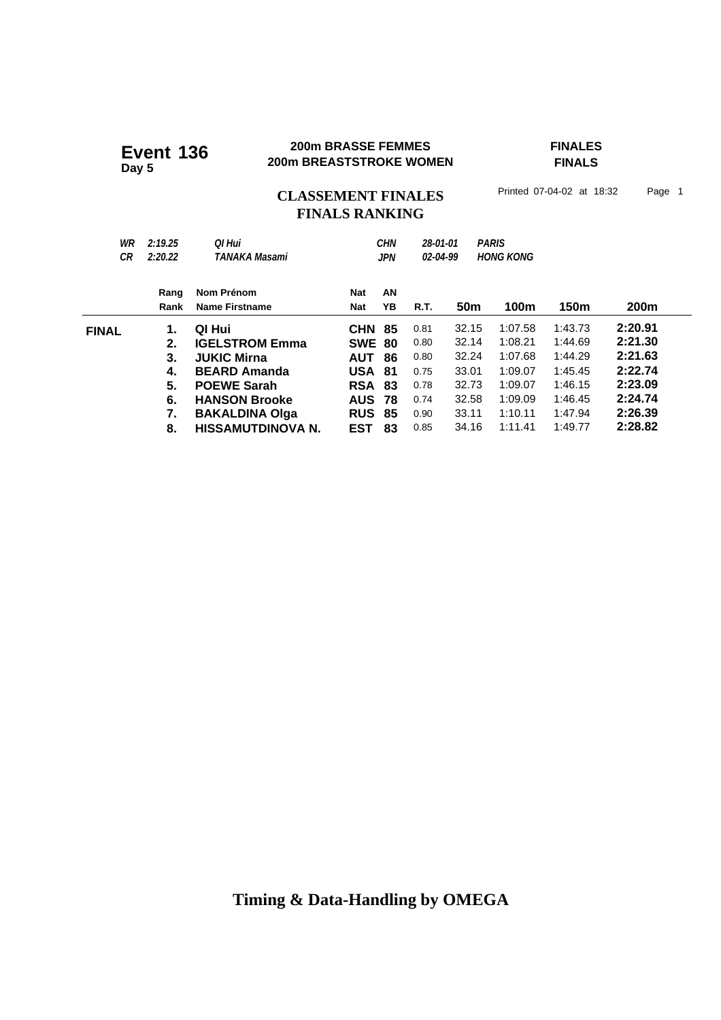#### **200m BRASSE FEMMES FINALES 200m BRASSE FEMMES**<br>200m BREASTSTROKE WOMEN

**FINALS**

# CLASSEMENT FINALES<sup>Printed 07-04-02 at 18:32 Page 1</sup> **FINALS RANKING**

| WR           | 2:19.25 | Ol Hui                   |               | <b>CHN</b> | 28-01-01 |                 | <b>PARIS</b>     |         |                  |
|--------------|---------|--------------------------|---------------|------------|----------|-----------------|------------------|---------|------------------|
| CR           | 2:20.22 | TANAKA Masami            |               | <b>JPN</b> | 02-04-99 |                 | <b>HONG KONG</b> |         |                  |
|              |         |                          |               |            |          |                 |                  |         |                  |
|              | Rang    | Nom Prénom               | Nat           | AN         |          |                 |                  |         |                  |
|              | Rank    | <b>Name Firstname</b>    | <b>Nat</b>    | YΒ         | R.T.     | 50 <sub>m</sub> | 100m             | 150m    | 200 <sub>m</sub> |
| <b>FINAL</b> | 1.      | QI Hui                   | <b>CHN 85</b> |            | 0.81     | 32.15           | 1:07.58          | 1:43.73 | 2:20.91          |
|              | 2.      | <b>IGELSTROM Emma</b>    | <b>SWE 80</b> |            | 0.80     | 32.14           | 1:08.21          | 1:44.69 | 2:21.30          |
|              | 3.      | <b>JUKIC Mirna</b>       | <b>AUT 86</b> |            | 0.80     | 32.24           | 1:07.68          | 1:44.29 | 2:21.63          |
|              | 4.      | <b>BEARD Amanda</b>      | <b>USA 81</b> |            | 0.75     | 33.01           | 1:09.07          | 1:45.45 | 2:22.74          |
|              | 5.      | <b>POEWE Sarah</b>       | <b>RSA 83</b> |            | 0.78     | 32.73           | 1:09.07          | 1:46.15 | 2:23.09          |
|              | 6.      | <b>HANSON Brooke</b>     | <b>AUS 78</b> |            | 0.74     | 32.58           | 1:09.09          | 1:46.45 | 2:24.74          |
|              | 7.      | <b>BAKALDINA Olga</b>    | <b>RUS</b>    | -85        | 0.90     | 33.11           | 1:10.11          | 1:47.94 | 2:26.39          |
|              | 8.      | <b>HISSAMUTDINOVA N.</b> | EST           | 83         | 0.85     | 34.16           | 1:11.41          | 1:49.77 | 2:28.82          |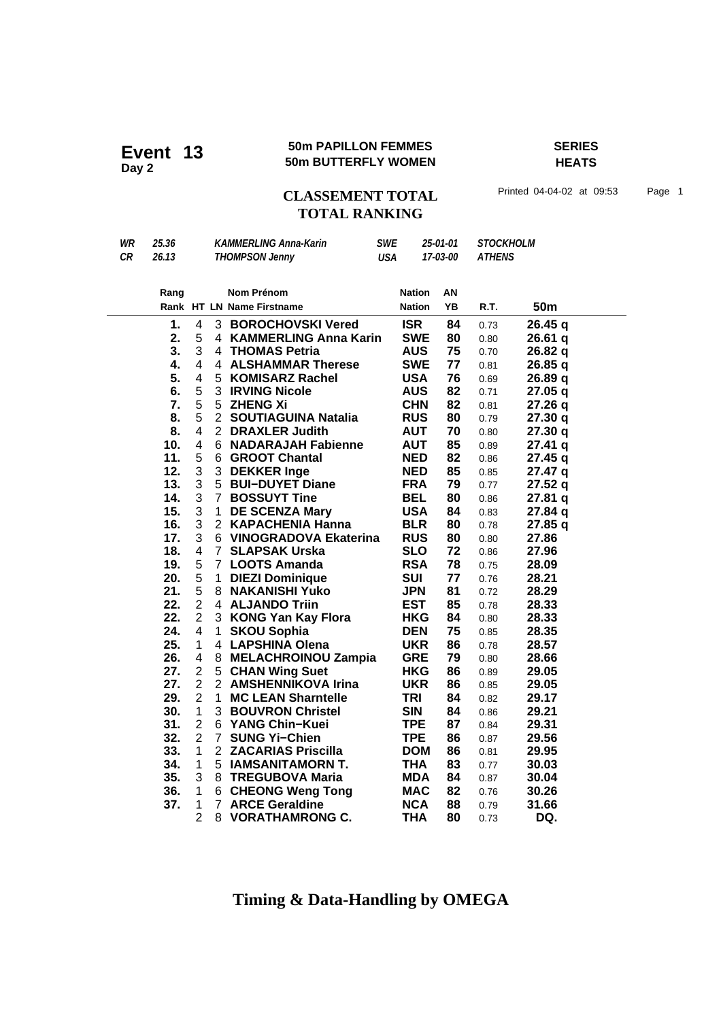#### **50m PAPILLON FEMMES SERIES Event 13** 50m PAPILLON FEMMES<br>50m BUTTERFLY WOMEN

**HEATS**

CLASSEMENT TOTAL Printed 04-04-02 at 09:53 Page 1

# **TOTAL RANKING**

| WR | 25.36 | <b>KAMMERLING Anna-Karin</b> | SWE | 25-01-01 | STOCKHOLM |  |
|----|-------|------------------------------|-----|----------|-----------|--|
| СR | 26.13 | <b>THOMPSON Jenny</b>        | USA | 17-03-00 | ATHENS    |  |

| Rang |                               |                | <b>Nom Prénom</b>            | <b>Nation</b> | AN |      |                 |
|------|-------------------------------|----------------|------------------------------|---------------|----|------|-----------------|
|      |                               |                | Rank HT LN Name Firstname    | <b>Nation</b> | YB | R.T. | 50 <sub>m</sub> |
|      | 1.<br>4                       |                | 3 BOROCHOVSKI Vered          | <b>ISR</b>    | 84 | 0.73 | 26.45q          |
|      | 2.<br>5                       | 4              | <b>KAMMERLING Anna Karin</b> | <b>SWE</b>    | 80 | 0.80 | 26.61q          |
|      | 3<br>3.                       | 4              | <b>THOMAS Petria</b>         | <b>AUS</b>    | 75 | 0.70 | 26.82q          |
|      | $\overline{4}$<br>4.          |                | 4 ALSHAMMAR Therese          | <b>SWE</b>    | 77 | 0.81 | 26.85 q         |
|      | $\overline{\mathbf{4}}$<br>5. | 5 <sup>1</sup> | <b>KOMISARZ Rachel</b>       | <b>USA</b>    | 76 | 0.69 | 26.89 q         |
|      | 5<br>6.                       |                | <b>3 IRVING Nicole</b>       | <b>AUS</b>    | 82 | 0.71 | 27.05 q         |
|      | 7.<br>5                       | 5              | <b>ZHENG Xi</b>              | <b>CHN</b>    | 82 | 0.81 | 27.26q          |
| 8.   | 5                             | $2^{\circ}$    | <b>SOUTIAGUINA Natalia</b>   | <b>RUS</b>    | 80 | 0.79 | 27.30 q         |
|      | 4<br>8.                       | 2              | <b>DRAXLER Judith</b>        | <b>AUT</b>    | 70 | 0.80 | 27.30 q         |
| 10.  | $\overline{4}$                |                | 6 NADARAJAH Fabienne         | <b>AUT</b>    | 85 | 0.89 | $27.41$ q       |
| 11.  | 5                             | 6              | <b>GROOT Chantal</b>         | <b>NED</b>    | 82 | 0.86 | 27.45 q         |
| 12.  | 3                             | 3              | <b>DEKKER Inge</b>           | <b>NED</b>    | 85 | 0.85 | 27.47 q         |
| 13.  | 3                             |                | 5 BUI-DUYET Diane            | <b>FRA</b>    | 79 | 0.77 | 27.52q          |
| 14.  | 3                             | $\overline{7}$ | <b>BOSSUYT Tine</b>          | <b>BEL</b>    | 80 | 0.86 | 27.81q          |
| 15.  | 3                             | $\mathbf 1$    | <b>DE SCENZA Mary</b>        | <b>USA</b>    | 84 | 0.83 | 27.84 q         |
| 16.  | 3                             | 2              | <b>KAPACHENIA Hanna</b>      | <b>BLR</b>    | 80 | 0.78 | 27.85q          |
| 17.  | 3                             |                | 6 VINOGRADOVA Ekaterina      | <b>RUS</b>    | 80 | 0.80 | 27.86           |
| 18.  | 4                             |                | 7 SLAPSAK Urska              | <b>SLO</b>    | 72 | 0.86 | 27.96           |
| 19.  | 5                             |                | 7 LOOTS Amanda               | <b>RSA</b>    | 78 | 0.75 | 28.09           |
| 20.  | 5                             | $\mathbf 1$    | <b>DIEZI Dominique</b>       | <b>SUI</b>    | 77 | 0.76 | 28.21           |
| 21.  | 5                             | 8              | <b>NAKANISHI Yuko</b>        | <b>JPN</b>    | 81 | 0.72 | 28.29           |
| 22.  | $\overline{2}$                | 4              | <b>ALJANDO Triin</b>         | <b>EST</b>    | 85 | 0.78 | 28.33           |
| 22.  | $\overline{2}$                | 3              | <b>KONG Yan Kay Flora</b>    | <b>HKG</b>    | 84 | 0.80 | 28.33           |
| 24.  | 4                             | $\mathbf{1}$   | <b>SKOU Sophia</b>           | <b>DEN</b>    | 75 | 0.85 | 28.35           |
| 25.  | 1                             | 4              | <b>LAPSHINA Olena</b>        | <b>UKR</b>    | 86 | 0.78 | 28.57           |
| 26.  | 4                             | 8              | <b>MELACHROINOU Zampia</b>   | <b>GRE</b>    | 79 | 0.80 | 28.66           |
| 27.  | $\overline{2}$                | 5              | <b>CHAN Wing Suet</b>        | <b>HKG</b>    | 86 | 0.89 | 29.05           |
| 27.  | $\overline{2}$                | 2              | <b>AMSHENNIKOVA Irina</b>    | <b>UKR</b>    | 86 | 0.85 | 29.05           |
| 29.  | $\overline{2}$                | $\mathbf 1$    | <b>MC LEAN Sharntelle</b>    | TRI           | 84 | 0.82 | 29.17           |
| 30.  | 1                             |                | 3 BOUVRON Christel           | <b>SIN</b>    | 84 | 0.86 | 29.21           |
| 31.  | $\overline{2}$                | 6              | YANG Chin-Kuei               | <b>TPE</b>    | 87 | 0.84 | 29.31           |
| 32.  | $\overline{2}$                | $7^{\circ}$    | <b>SUNG Yi-Chien</b>         | <b>TPE</b>    | 86 | 0.87 | 29.56           |
| 33.  | 1                             |                | 2 ZACARIAS Priscilla         | <b>DOM</b>    | 86 | 0.81 | 29.95           |
| 34.  | 1                             |                | 5 IAMSANITAMORN T.           | THA           | 83 | 0.77 | 30.03           |
| 35.  | 3                             | 8              | <b>TREGUBOVA Maria</b>       | <b>MDA</b>    | 84 | 0.87 | 30.04           |
| 36.  | 1                             | 6              | <b>CHEONG Weng Tong</b>      | <b>MAC</b>    | 82 | 0.76 | 30.26           |
| 37.  | 1                             | $\overline{7}$ | <b>ARCE Geraldine</b>        | <b>NCA</b>    | 88 | 0.79 | 31.66           |
|      | $\overline{2}$                | 8              | <b>VORATHAMRONG C.</b>       | <b>THA</b>    | 80 | 0.73 | DQ.             |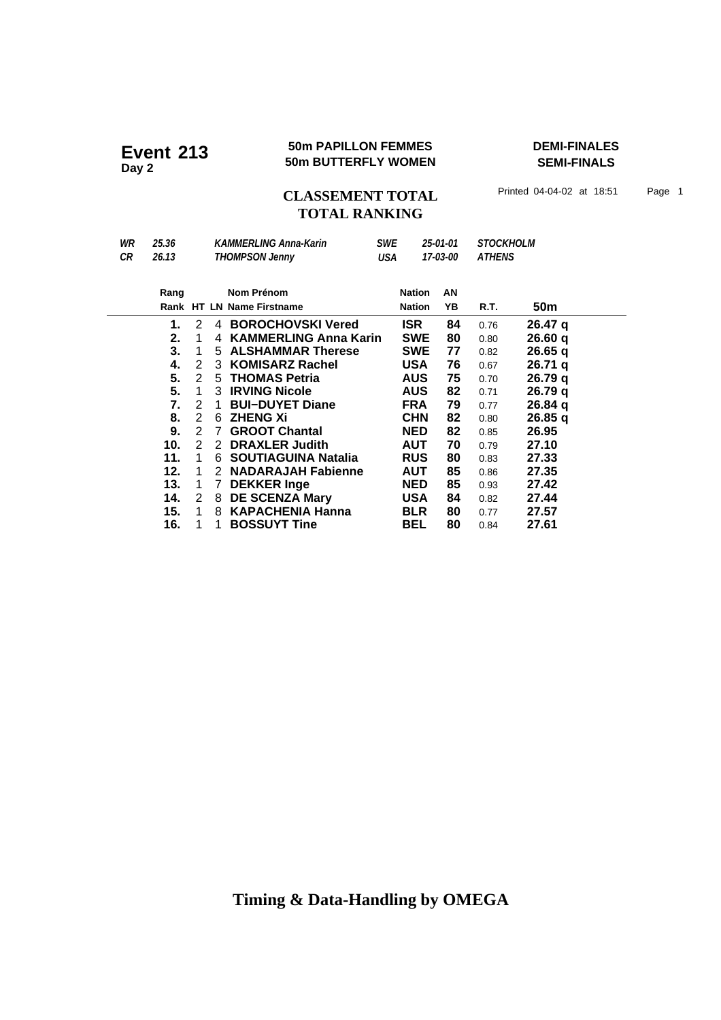#### **50m PAPILLON FEMMES DEMI-FINALES Event 213 50m PAPILLON FEMMES**<br>50m BUTTERFLY WOMEN

**SEMI-FINALS**

**CLASSEMENT TOTAL** Printed 04-04-02 at 18:51 Page 1 **TOTAL RANKING**

*WR 25.36 KAMMERLING Anna-Karin SWE 25-01-01 STOCKHOLM CR 26.13 THOMPSON Jenny USA 17-03-00 ATHENS* **Nom Prénom Rang Nation** Rank HT LN Name Firstname **18 CM** Nation YB R.T. 50m **AN 1.** 2 4 **BOROCHOVSKI Vered ISR 84** 0.76 **26.47 q**<br>**2.** 1 4 **KAMMERLING Anna Karin SWE 80** 0.80 **26.60 q 2. 26.60** 1 4 **KAMMERLING Anna Karin SWE 80** 0.80 **q 3.** 1 5 **ALSHAMMAR Therese** SWE 77 0.82 **26.65 q**<br>**4.** 2 3 **KOMISARZ Rachel USA 76** 0.67 **26.71 q 4. 26.71** 2 3 **KOMISARZ Rachel USA 76** 0.67 **q 5. 26.79** 2 5 **THOMAS Petria AUS 75** 0.70 **q 5.** 1 3 **IRVING Nicole AUS 82** 0.71 **26.79 q**<br> **7.** 2 1 **BUI-DUYET Diane FRA 79** 0.77 **26.84 q 1 BUI−DUYET Diane FRA 79** 0.77  **8. 26.85** 2 6 **ZHENG Xi CHN 82** 0.80 **q 9. 2 7 GROOT Chantal 6 6 20 26.95 26.95 10.** 2 2 DRAXLER Judith **AUT 70** 0.79 **27.10 11.** 1 6 **SOUTIAGUINA Natalia** RUS 80 0.83 27.33 **12.** 1 2 **NADARAJAH Fabienne AUT** 85 0.86 27.35<br>**13.** 1 7 DEKKER Inge NED 85 0.93 27.42 **13.** 1 7 DEKKER Inge **NED 85** 0.93 27.42<br>**14.** 2 8 DE SCENZA Mary **USA 84** 0.82 27.44  **14. 27.44** 2 8 **DE SCENZA Mary USA 84** 0.82  **15. 27.57** 1 8 **KAPACHENIA Hanna BLR 80** 0.77 **1 BOSSUYT Tine BEL 80** 0.84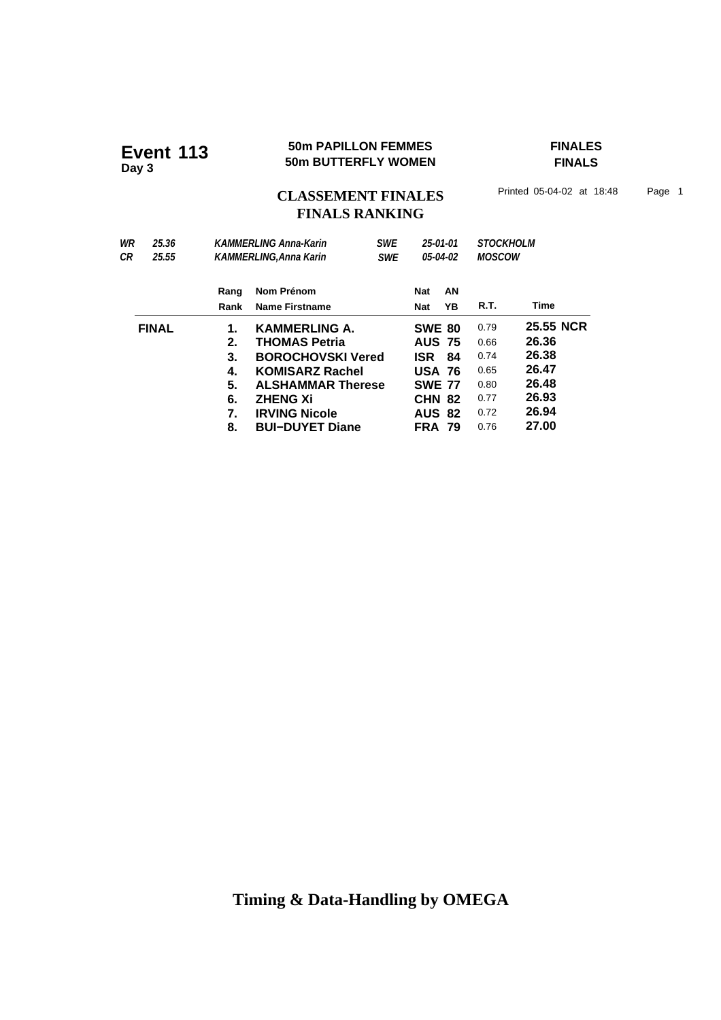#### **50m PAPILLON FEMMES FINALES Event 113 50m PAPILLON FEMMES**<br>50m BUTTERFLY WOMEN

**FINALS**

CLASSEMENT FINALES<sup>Printed 05-04-02 at 18:48 Page 1</sup> **FINALS RANKING**

| WR | 25.36        | <b>KAMMERLING Anna-Karin</b> |                          | <b>SWE</b> | 25-01-01<br>05-04-02<br><b>SWE</b> |    | <b>STOCKHOLM</b><br><b>MOSCOW</b> |           |  |
|----|--------------|------------------------------|--------------------------|------------|------------------------------------|----|-----------------------------------|-----------|--|
| СR | 25.55        | <b>KAMMERLING.Anna Karin</b> |                          |            |                                    |    |                                   |           |  |
|    |              | Rang                         | Nom Prénom               |            | Nat                                | AN |                                   |           |  |
|    |              | Rank                         | <b>Name Firstname</b>    |            | <b>Nat</b>                         | ΥB | R.T.                              | Time      |  |
|    | <b>FINAL</b> | 1.                           | <b>KAMMERLING A.</b>     |            | <b>SWE 80</b>                      |    | 0.79                              | 25.55 NCR |  |
|    |              | 2.                           | <b>THOMAS Petria</b>     |            | <b>AUS 75</b>                      |    | 0.66                              | 26.36     |  |
|    |              | 3.                           | <b>BOROCHOVSKI Vered</b> |            | ISR 84                             |    | 0.74                              | 26.38     |  |
|    |              | 4.                           | <b>KOMISARZ Rachel</b>   |            | <b>USA 76</b>                      |    | 0.65                              | 26.47     |  |
|    |              | 5.                           | <b>ALSHAMMAR Therese</b> |            | <b>SWE 77</b>                      |    | 0.80                              | 26.48     |  |
|    |              | 6.                           | <b>ZHENG Xi</b>          |            | <b>CHN 82</b>                      |    | 0.77                              | 26.93     |  |
|    |              | 7.                           | <b>IRVING Nicole</b>     |            | <b>AUS 82</b>                      |    | 0.72                              | 26.94     |  |
|    |              | 8.                           | <b>BUI-DUYET Diane</b>   |            | <b>FRA 79</b>                      |    | 0.76                              | 27.00     |  |
|    |              |                              |                          |            |                                    |    |                                   |           |  |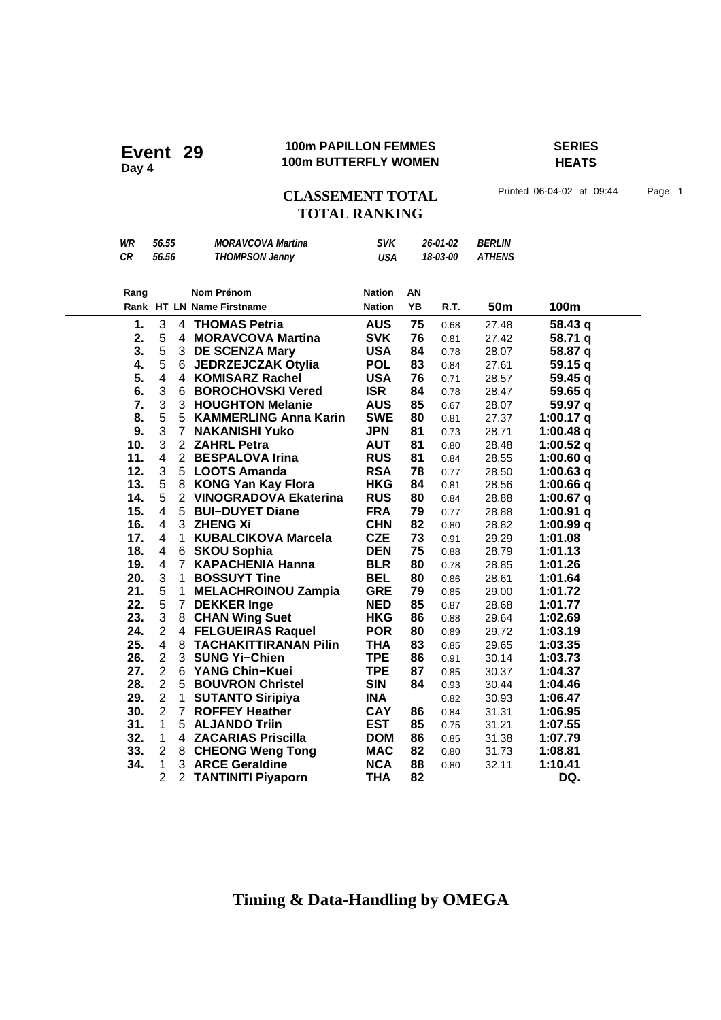#### **100m PAPILLON FEMMES SERIES 100m PAPILLON FEMMES**<br>100m BUTTERFLY WOMEN

**HEATS**

## CLASSEMENT TOTAL Printed 06-04-02 at 09:44 Page 1 **TOTAL RANKING**

| WR        | 56.55                   |                | <b>MORAVCOVA Martina</b>     | <b>SVK</b>    | 26-01-02  |      | <b>BERLIN</b> |             |
|-----------|-------------------------|----------------|------------------------------|---------------|-----------|------|---------------|-------------|
| <b>CR</b> | 56.56                   |                | <b>THOMPSON Jenny</b>        | <b>USA</b>    | 18-03-00  |      | <b>ATHENS</b> |             |
|           |                         |                |                              |               |           |      |               |             |
| Rang      |                         |                | <b>Nom Prénom</b>            | <b>Nation</b> | ΑN        |      |               |             |
|           |                         |                | Rank HT LN Name Firstname    | <b>Nation</b> | <b>YB</b> | R.T. | 50m           | 100m        |
|           |                         |                |                              |               |           |      |               |             |
| 1.        | 3                       |                | 4 THOMAS Petria              | <b>AUS</b>    | 75        | 0.68 | 27.48         | 58.43q      |
| 2.        | 5                       |                | 4 MORAVCOVA Martina          | <b>SVK</b>    | 76        | 0.81 | 27.42         | 58.71 q     |
| 3.        | 5                       |                | 3 DE SCENZA Mary             | <b>USA</b>    | 84        | 0.78 | 28.07         | 58.87 q     |
| 4.        | 5                       |                | 6 JEDRZEJCZAK Otylia         | <b>POL</b>    | 83        | 0.84 | 27.61         | 59.15q      |
| 5.        | $\overline{\mathbf{4}}$ | $\overline{4}$ | <b>KOMISARZ Rachel</b>       | <b>USA</b>    | 76        | 0.71 | 28.57         | 59.45q      |
| 6.        | 3                       |                | 6 BOROCHOVSKI Vered          | <b>ISR</b>    | 84        | 0.78 | 28.47         | 59.65 q     |
| 7.        | 3                       |                | 3 HOUGHTON Melanie           | <b>AUS</b>    | 85        | 0.67 | 28.07         | 59.97 q     |
| 8.        | 5                       |                | 5 KAMMERLING Anna Karin      | <b>SWE</b>    | 80        | 0.81 | 27.37         | 1:00.17 $q$ |
| 9.        | 3                       | 7 <sup>1</sup> | <b>NAKANISHI Yuko</b>        | <b>JPN</b>    | 81        | 0.73 | 28.71         | 1:00.48 q   |
| 10.       | 3                       |                | 2 ZAHRL Petra                | <b>AUT</b>    | 81        | 0.80 | 28.48         | 1:00.52 q   |
| 11.       | $\overline{\mathbf{4}}$ |                | 2 BESPALOVA Irina            | <b>RUS</b>    | 81        | 0.84 | 28.55         | 1:00.60q    |
| 12.       | 3                       |                | 5 LOOTS Amanda               | <b>RSA</b>    | 78        | 0.77 | 28.50         | 1:00.63 $q$ |
| 13.       | 5                       |                | 8 KONG Yan Kay Flora         | <b>HKG</b>    | 84        | 0.81 | 28.56         | 1:00.66 $q$ |
| 14.       | 5                       | $\overline{2}$ | <b>VINOGRADOVA Ekaterina</b> | <b>RUS</b>    | 80        | 0.84 | 28.88         | $1:00.67$ q |
| 15.       | 4                       |                | 5 BUI-DUYET Diane            | <b>FRA</b>    | 79        | 0.77 | 28.88         | 1:00.91 $q$ |
| 16.       | $\overline{\mathbf{4}}$ |                | 3 ZHENG Xi                   | <b>CHN</b>    | 82        | 0.80 | 28.82         | 1:00.99 $q$ |
| 17.       | 4                       | 1              | <b>KUBALCIKOVA Marcela</b>   | <b>CZE</b>    | 73        | 0.91 | 29.29         | 1:01.08     |
| 18.       | $\overline{\mathbf{4}}$ |                | 6 SKOU Sophia                | <b>DEN</b>    | 75        | 0.88 | 28.79         | 1:01.13     |
| 19.       | 4                       | $\overline{7}$ | <b>KAPACHENIA Hanna</b>      | <b>BLR</b>    | 80        | 0.78 | 28.85         | 1:01.26     |
| 20.       | 3                       | $\mathbf{1}$   | <b>BOSSUYT Tine</b>          | <b>BEL</b>    | 80        | 0.86 | 28.61         | 1:01.64     |
| 21.       | 5                       | 1              | <b>MELACHROINOU Zampia</b>   | <b>GRE</b>    | 79        | 0.85 | 29.00         | 1:01.72     |
| 22.       | 5                       |                | 7 DEKKER Inge                | <b>NED</b>    | 85        | 0.87 | 28.68         | 1:01.77     |
| 23.       | 3                       |                | 8 CHAN Wing Suet             | <b>HKG</b>    | 86        | 0.88 | 29.64         | 1:02.69     |
| 24.       | $\overline{2}$          |                | 4 FELGUEIRAS Raquel          | <b>POR</b>    | 80        | 0.89 | 29.72         | 1:03.19     |
| 25.       | 4                       | 8              | <b>TACHAKITTIRANAN Pilin</b> | <b>THA</b>    | 83        | 0.85 | 29.65         | 1:03.35     |
| 26.       | $\overline{2}$          |                | 3 SUNG Yi-Chien              | <b>TPE</b>    | 86        | 0.91 | 30.14         | 1:03.73     |
| 27.       | $\overline{2}$          |                | 6 YANG Chin-Kuei             | <b>TPE</b>    | 87        | 0.85 | 30.37         | 1:04.37     |
| 28.       | $\overline{2}$          |                | 5 BOUVRON Christel           | <b>SIN</b>    | 84        | 0.93 | 30.44         | 1:04.46     |
| 29.       | $\overline{2}$          | $\mathbf{1}$   | <b>SUTANTO Siripiya</b>      | <b>INA</b>    |           | 0.82 | 30.93         | 1:06.47     |
| 30.       | $\overline{2}$          | $\overline{7}$ | <b>ROFFEY Heather</b>        | <b>CAY</b>    | 86        | 0.84 | 31.31         | 1:06.95     |
| 31.       | $\mathbf{1}$            |                | 5 ALJANDO Triin              | <b>EST</b>    | 85        | 0.75 | 31.21         | 1:07.55     |
| 32.       | $\mathbf{1}$            |                | 4 ZACARIAS Priscilla         | <b>DOM</b>    | 86        | 0.85 | 31.38         | 1:07.79     |
| 33.       | $\overline{2}$          |                | 8 CHEONG Weng Tong           | <b>MAC</b>    | 82        | 0.80 | 31.73         | 1:08.81     |
| 34.       | $\mathbf 1$             |                | 3 ARCE Geraldine             | <b>NCA</b>    | 88        | 0.80 | 32.11         | 1:10.41     |
|           | $\overline{2}$          | $\overline{2}$ | <b>TANTINITI Piyaporn</b>    | <b>THA</b>    | 82        |      |               | DQ.         |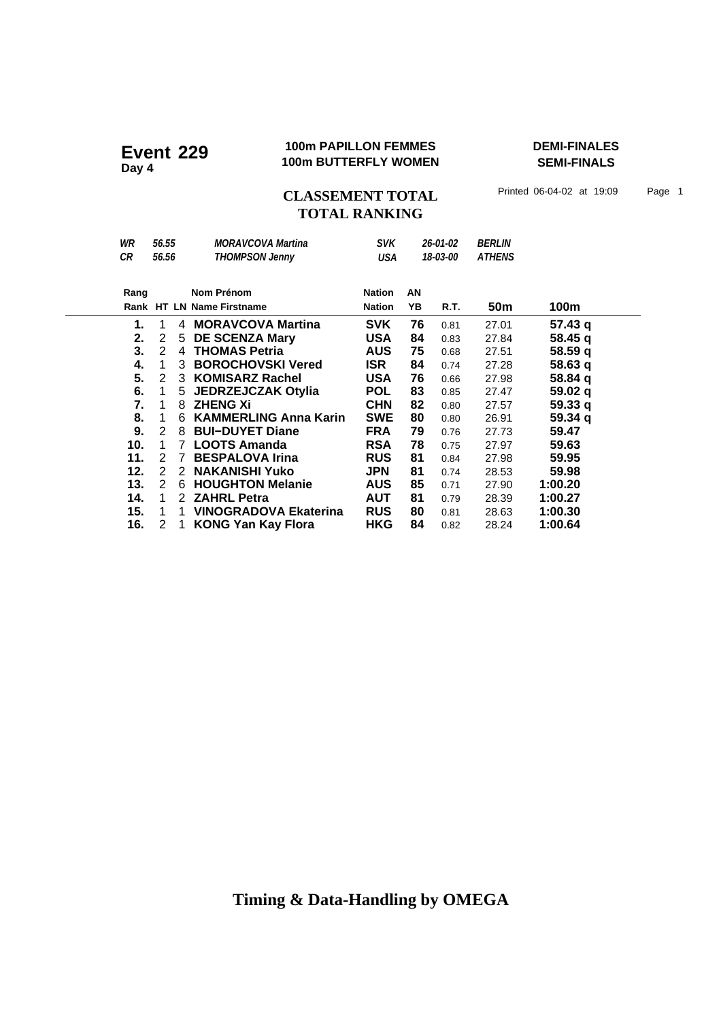#### **100m PAPILLON FEMMES DEMI-FINALES 100m PAPILLON FEMMES**<br>100m BUTTERFLY WOMEN

**SEMI-FINALS**

CLASSEMENT TOTAL Printed 06-04-02 at 19:09 Page 1 **TOTAL RANKING**

| WR                 | 56.55 |               | <b>MORAVCOVA Martina</b>     | <b>SVK</b>    |          | 26-01-02 | <i><b>BERLIN</b></i> |                    |
|--------------------|-------|---------------|------------------------------|---------------|----------|----------|----------------------|--------------------|
| CR                 | 56.56 |               | <b>THOMPSON Jenny</b>        | USA           | 18-03-00 |          | <b>ATHENS</b>        |                    |
|                    |       |               |                              |               |          |          |                      |                    |
| Nom Prénom<br>Rang |       | <b>Nation</b> | AN                           |               |          |          |                      |                    |
|                    |       |               | Rank HT LN Name Firstname    | <b>Nation</b> | YB       | R.T.     | 50 <sub>m</sub>      | 100m               |
| 1.                 | 1     | 4             | <b>MORAVCOVA Martina</b>     | <b>SVK</b>    | 76       | 0.81     | 27.01                | 57.43 q            |
| 2.                 | 2     | 5             | <b>DE SCENZA Mary</b>        | <b>USA</b>    | 84       | 0.83     | 27.84                | 58.45 a            |
| 3.                 | 2     | 4             | <b>THOMAS Petria</b>         | <b>AUS</b>    | 75       | 0.68     | 27.51                | 58.59q             |
| 4.                 | 1     | 3             | <b>BOROCHOVSKI Vered</b>     | ISR I         | 84       | 0.74     | 27.28                | 58.63q             |
| 5.                 | 2     | 3             | <b>KOMISARZ Rachel</b>       | USA           | 76       | 0.66     | 27.98                | 58.84 q            |
| 6.                 | 1     |               | 5 JEDRZEJCZAK Otylia         | POL           | 83       | 0.85     | 27.47                | 59.02 <sub>q</sub> |
| 7.                 | 1     | 8             | <b>ZHENG Xi</b>              | <b>CHN</b>    | 82       | 0.80     | 27.57                | 59.33q             |
| 8.                 | 1     | 6             | <b>KAMMERLING Anna Karin</b> | <b>SWE</b>    | 80       | 0.80     | 26.91                | 59.34 q            |
| 9.                 | 2     | 8             | <b>BUI-DUYET Diane</b>       | <b>FRA</b>    | 79       | 0.76     | 27.73                | 59.47              |
| 10.                | 1     | $\mathbf{7}$  | <b>LOOTS Amanda</b>          | <b>RSA</b>    | 78       | 0.75     | 27.97                | 59.63              |
| 11.                | 2     | $\mathbf{7}$  | <b>BESPALOVA Irina</b>       | <b>RUS</b>    | 81       | 0.84     | 27.98                | 59.95              |
| 12.                | 2     | 2             | <b>NAKANISHI Yuko</b>        | JPN           | 81       | 0.74     | 28.53                | 59.98              |
| 13.                | 2     |               | 6 HOUGHTON Melanie           | <b>AUS</b>    | 85       | 0.71     | 27.90                | 1:00.20            |
| 14.                | 1     |               | 2 ZAHRL Petra                | AUT           | 81       | 0.79     | 28.39                | 1:00.27            |
| 15.                | 1     | 1             | VINOGRADOVA Ekaterina        | <b>RUS</b>    | 80       | 0.81     | 28.63                | 1:00.30            |
| 16.                | 2     | 1             | <b>KONG Yan Kay Flora</b>    | HKG           | 84       | 0.82     | 28.24                | 1:00.64            |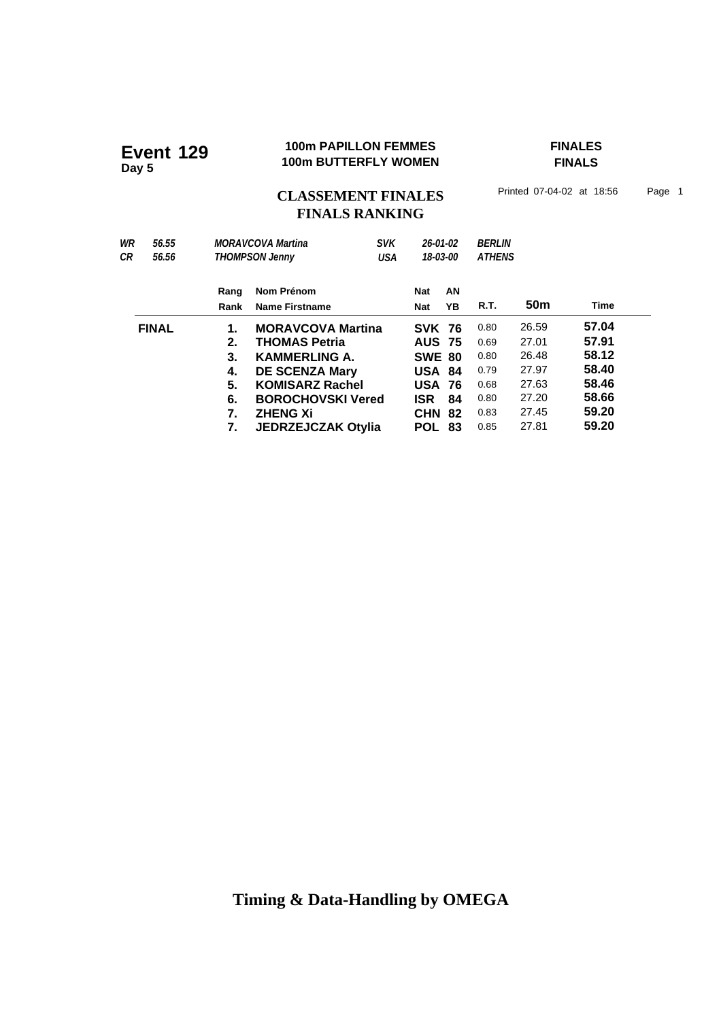# **100m PAPILLON FEMMES**<br>100m BUTTERFLY WOMEN FINALS

**FINALS**

# CLASSEMENT FINALES<sup>Printed 07-04-02 at 18:56 Page 1</sup> **FINALS RANKING**

| WR<br>СR     | 56.55<br>56.56 |      | <b>MORAVCOVA Martina</b><br><b>SVK</b><br><b>THOMPSON Jenny</b><br>USA |  |               | 26-01-02<br>18-03-00 | <b>BERLIN</b><br><b>ATHENS</b> |       |       |  |
|--------------|----------------|------|------------------------------------------------------------------------|--|---------------|----------------------|--------------------------------|-------|-------|--|
|              |                | Rang | Nom Prénom                                                             |  | Nat           | AN                   |                                |       |       |  |
|              |                | Rank | Name Firstname                                                         |  | <b>Nat</b>    | YB                   | R.T.                           | 50m   | Time  |  |
| <b>FINAL</b> |                | 1.   | <b>MORAVCOVA Martina</b>                                               |  | <b>SVK 76</b> |                      | 0.80                           | 26.59 | 57.04 |  |
|              |                | 2.   | <b>THOMAS Petria</b>                                                   |  | <b>AUS 75</b> |                      | 0.69                           | 27.01 | 57.91 |  |
|              |                | 3.   | <b>KAMMERLING A.</b>                                                   |  | <b>SWE 80</b> |                      | 0.80                           | 26.48 | 58.12 |  |
|              |                | 4.   | <b>DE SCENZA Mary</b>                                                  |  | <b>USA 84</b> |                      | 0.79                           | 27.97 | 58.40 |  |
|              |                | 5.   | <b>KOMISARZ Rachel</b>                                                 |  | <b>USA 76</b> |                      | 0.68                           | 27.63 | 58.46 |  |
|              |                | 6.   | <b>BOROCHOVSKI Vered</b>                                               |  | <b>ISR</b>    | 84                   | 0.80                           | 27.20 | 58.66 |  |
|              |                | 7.   | <b>ZHENG Xi</b>                                                        |  | <b>CHN</b>    | 82                   | 0.83                           | 27.45 | 59.20 |  |
|              |                | 7.   | <b>JEDRZEJCZAK Otylia</b>                                              |  | <b>POL</b>    | 83                   | 0.85                           | 27.81 | 59.20 |  |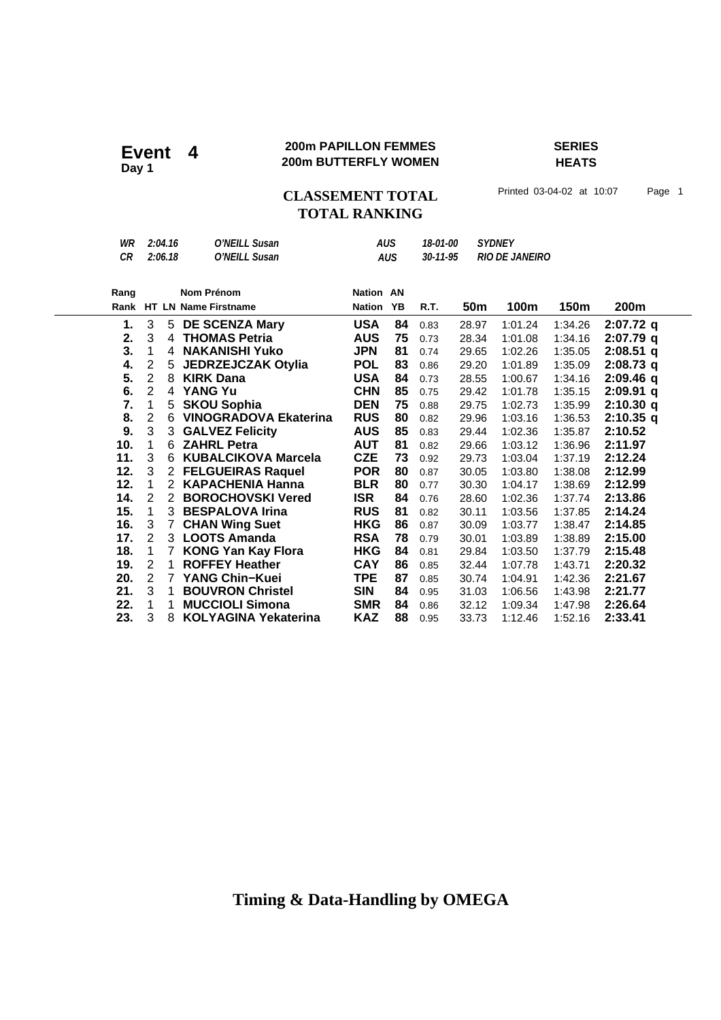### **200m PAPILLON FEMMES SERIES 200m PAPILLON FEMMES**<br>Day 1<br>**Day 1**

**HEATS**

### CLASSEMENT TOTAL Printed 03-04-02 at 10:07 Page 1 **TOTAL RANKING**

| WR<br><b>CR</b> | 2:04.16<br>O'NEILL Susan<br>2:06.18<br>O'NEILL Susan |                       | <b>AUS</b><br><b>AUS</b><br><b>Nation AN</b> |               | 18-01-00<br>30-11-95 |      | <b>SYDNEY</b><br><b>RIO DE JANEIRO</b> |         |         |             |
|-----------------|------------------------------------------------------|-----------------------|----------------------------------------------|---------------|----------------------|------|----------------------------------------|---------|---------|-------------|
| Rang            |                                                      |                       | <b>Nom Prénom</b>                            |               |                      |      |                                        |         |         |             |
|                 |                                                      |                       | Rank HT LN Name Firstname                    | <b>Nation</b> | YB                   | R.T. | 50 <sub>m</sub>                        | 100m    | 150m    | 200m        |
| 1.              | 3                                                    |                       | 5 DE SCENZA Mary                             | <b>USA</b>    | 84                   | 0.83 | 28.97                                  | 1:01.24 | 1:34.26 | $2:07.72$ q |
| 2.              | 3                                                    | 4                     | <b>THOMAS Petria</b>                         | <b>AUS</b>    | 75                   | 0.73 | 28.34                                  | 1:01.08 | 1:34.16 | $2:07.79$ q |
| 3.              | 1                                                    | 4                     | <b>NAKANISHI Yuko</b>                        | <b>JPN</b>    | 81                   | 0.74 | 29.65                                  | 1:02.26 | 1:35.05 | $2:08.51$ q |
| 4.              | $\overline{c}$                                       | 5                     | <b>JEDRZEJCZAK Otylia</b>                    | <b>POL</b>    | 83                   | 0.86 | 29.20                                  | 1:01.89 | 1:35.09 | $2:08.73$ q |
| 5.              | $\overline{2}$                                       | 8                     | <b>KIRK Dana</b>                             | <b>USA</b>    | 84                   | 0.73 | 28.55                                  | 1:00.67 | 1:34.16 | $2:09.46$ q |
| 6.              | $\overline{2}$                                       | 4                     | <b>YANG Yu</b>                               | <b>CHN</b>    | 85                   | 0.75 | 29.42                                  | 1:01.78 | 1:35.15 | $2:09.91$ q |
| 7.              | 1                                                    | 5                     | <b>SKOU Sophia</b>                           | <b>DEN</b>    | 75                   | 0.88 | 29.75                                  | 1:02.73 | 1:35.99 | $2:10.30$ q |
| 8.              | $\overline{2}$                                       | 6                     | <b>VINOGRADOVA Ekaterina</b>                 | <b>RUS</b>    | 80                   | 0.82 | 29.96                                  | 1:03.16 | 1:36.53 | $2:10.35$ q |
| 9.              | 3                                                    | 3                     | <b>GALVEZ Felicity</b>                       | <b>AUS</b>    | 85                   | 0.83 | 29.44                                  | 1:02.36 | 1:35.87 | 2:10.52     |
| 10.             | 1                                                    | 6                     | <b>ZAHRL Petra</b>                           | <b>AUT</b>    | 81                   | 0.82 | 29.66                                  | 1:03.12 | 1:36.96 | 2:11.97     |
| 11.             | 3                                                    | 6                     | <b>KUBALCIKOVA Marcela</b>                   | <b>CZE</b>    | 73                   | 0.92 | 29.73                                  | 1:03.04 | 1:37.19 | 2:12.24     |
| 12.             | 3                                                    | $\mathbf{2}^{\prime}$ | <b>FELGUEIRAS Raquel</b>                     | <b>POR</b>    | 80                   | 0.87 | 30.05                                  | 1:03.80 | 1:38.08 | 2:12.99     |
| 12.             | 1                                                    | $\overline{2}$        | <b>KAPACHENIA Hanna</b>                      | <b>BLR</b>    | 80                   | 0.77 | 30.30                                  | 1:04.17 | 1:38.69 | 2:12.99     |
| 14.             | 2                                                    | $\overline{2}$        | <b>BOROCHOVSKI Vered</b>                     | <b>ISR</b>    | 84                   | 0.76 | 28.60                                  | 1:02.36 | 1:37.74 | 2:13.86     |
| 15.             | 1                                                    | 3                     | <b>BESPALOVA Irina</b>                       | <b>RUS</b>    | 81                   | 0.82 | 30.11                                  | 1:03.56 | 1:37.85 | 2:14.24     |
| 16.             | 3                                                    | $\overline{7}$        | <b>CHAN Wing Suet</b>                        | <b>HKG</b>    | 86                   | 0.87 | 30.09                                  | 1:03.77 | 1:38.47 | 2:14.85     |
| 17.             | $\overline{2}$                                       |                       | 3 LOOTS Amanda                               | <b>RSA</b>    | 78                   | 0.79 | 30.01                                  | 1:03.89 | 1:38.89 | 2:15.00     |
| 18.             | 1                                                    | 7                     | <b>KONG Yan Kay Flora</b>                    | <b>HKG</b>    | 84                   | 0.81 | 29.84                                  | 1:03.50 | 1:37.79 | 2:15.48     |
| 19.             | 2                                                    | 1                     | <b>ROFFEY Heather</b>                        | <b>CAY</b>    | 86                   | 0.85 | 32.44                                  | 1:07.78 | 1:43.71 | 2:20.32     |
| 20.             | $\overline{2}$                                       | $\mathbf{7}$          | <b>YANG Chin-Kuei</b>                        | <b>TPE</b>    | 87                   | 0.85 | 30.74                                  | 1:04.91 | 1:42.36 | 2:21.67     |
| 21.             | 3                                                    | 1                     | <b>BOUVRON Christel</b>                      | <b>SIN</b>    | 84                   | 0.95 | 31.03                                  | 1:06.56 | 1:43.98 | 2:21.77     |
| 22.             | 1                                                    | 1                     | <b>MUCCIOLI Simona</b>                       | <b>SMR</b>    | 84                   | 0.86 | 32.12                                  | 1:09.34 | 1:47.98 | 2:26.64     |
| 23.             | 3                                                    | 8                     | <b>KOLYAGINA Yekaterina</b>                  | KAZ           | 88                   | 0.95 | 33.73                                  | 1:12.46 | 1:52.16 | 2:33.41     |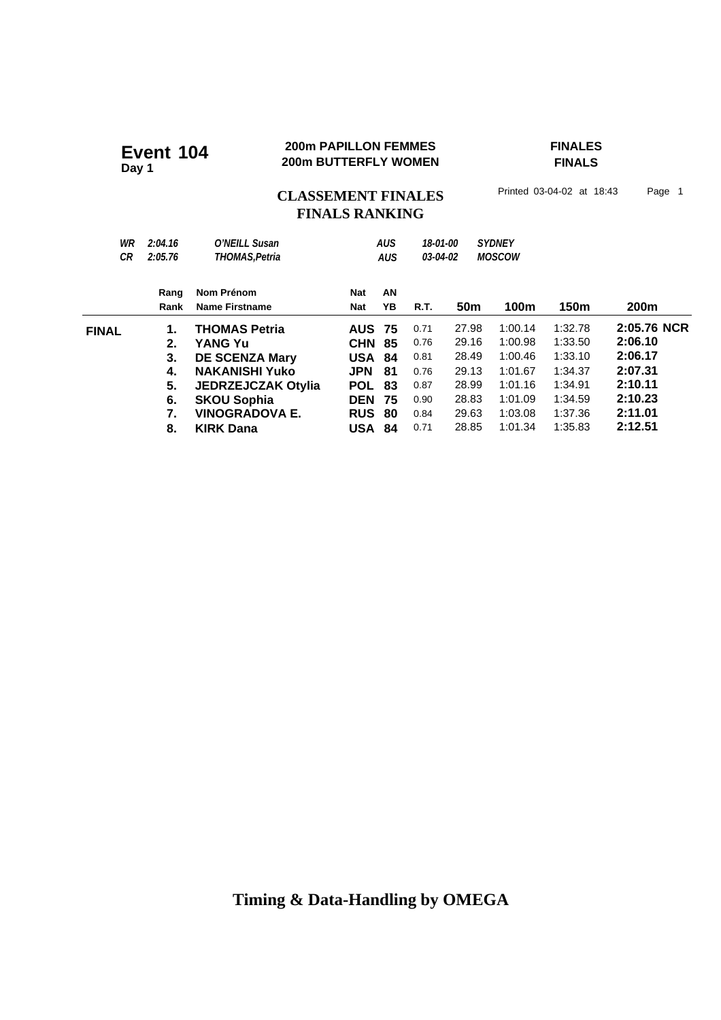#### **200m PAPILLON FEMMES FINALES 200m PAPILLON FEMMES**<br>200m BUTTERFLY WOMEN

**FINALS**

### CLASSEMENT FINALES<sup>Printed 03-04-02 at 18:43</sup> Page 1 **FINALS RANKING**

| WR<br>СR     | 2:04.16<br>2:05.76 | O'NEILL Susan<br>THOMAS, Petria |               | <b>AUS</b><br><b>AUS</b> | 18-01-00<br>03-04-02 |                 | <b>SYDNEY</b><br><b>MOSCOW</b> |         |             |
|--------------|--------------------|---------------------------------|---------------|--------------------------|----------------------|-----------------|--------------------------------|---------|-------------|
|              | Rang               | Nom Prénom                      | <b>Nat</b>    | AN                       |                      |                 |                                |         |             |
|              | Rank               | Name Firstname                  | <b>Nat</b>    | YB                       | R.T.                 | 50 <sub>m</sub> | 100m                           | 150m    | 200m        |
| <b>FINAL</b> | 1.                 | <b>THOMAS Petria</b>            | <b>AUS</b>    | - 75                     | 0.71                 | 27.98           | 1:00.14                        | 1:32.78 | 2:05.76 NCR |
|              | 2.                 | <b>YANG Yu</b>                  | <b>CHN</b>    | 85                       | 0.76                 | 29.16           | 1:00.98                        | 1:33.50 | 2:06.10     |
|              | 3.                 | <b>DE SCENZA Mary</b>           | <b>USA</b>    | - 84                     | 0.81                 | 28.49           | 1:00.46                        | 1:33.10 | 2:06.17     |
|              | 4.                 | <b>NAKANISHI Yuko</b>           | <b>JPN</b>    | 81                       | 0.76                 | 29.13           | 1:01.67                        | 1:34.37 | 2:07.31     |
|              | 5.                 | <b>JEDRZEJCZAK Otylia</b>       | <b>POL</b>    | 83                       | 0.87                 | 28.99           | 1:01.16                        | 1:34.91 | 2:10.11     |
|              | 6.                 | <b>SKOU Sophia</b>              | <b>DEN</b>    | 75                       | 0.90                 | 28.83           | 1:01.09                        | 1:34.59 | 2:10.23     |
|              | 7.                 | <b>VINOGRADOVA E.</b>           | <b>RUS</b>    | 80                       | 0.84                 | 29.63           | 1:03.08                        | 1:37.36 | 2:11.01     |
|              | 8.                 | <b>KIRK Dana</b>                | <b>USA 84</b> |                          | 0.71                 | 28.85           | 1:01.34                        | 1:35.83 | 2:12.51     |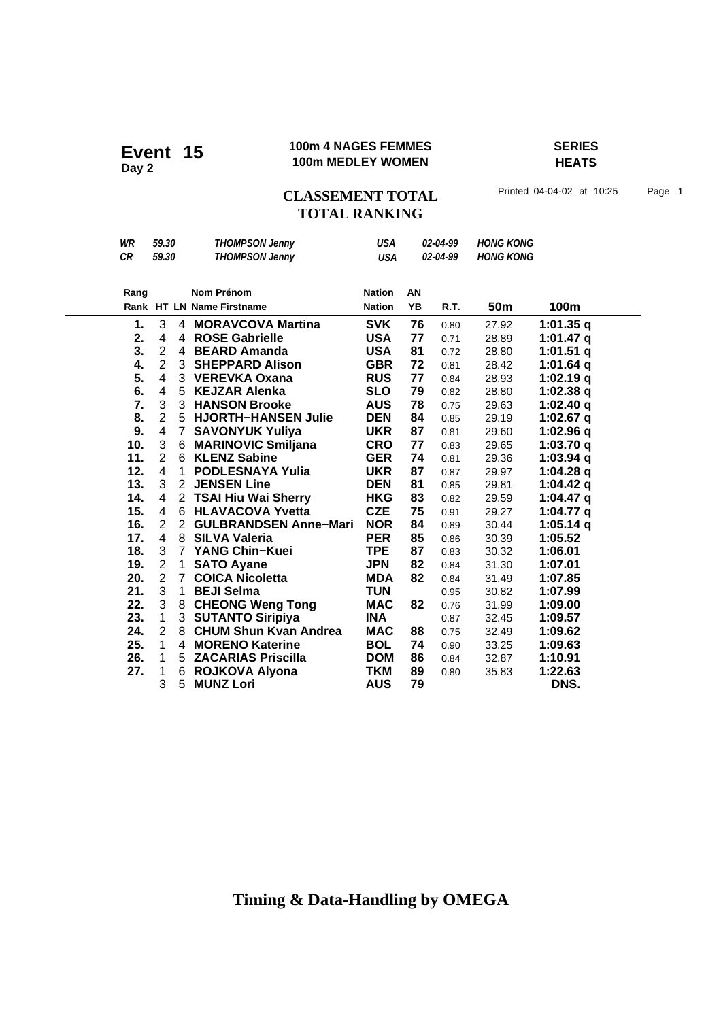#### **100m 4 NAGES FEMMES SERIES 100m 4 NAGES FEMMES**<br>100m MEDLEY WOMEN

**HEATS**

### CLASSEMENT TOTAL Printed 04-04-02 at 10:25 Page 1 **TOTAL RANKING**

| WR   | 59.30                   |                | <b>THOMPSON Jenny</b>        | <b>USA</b>    |           | 02-04-99 | <b>HONG KONG</b> |             |
|------|-------------------------|----------------|------------------------------|---------------|-----------|----------|------------------|-------------|
| CR   | 59.30                   |                | <b>THOMPSON Jenny</b>        | <b>USA</b>    |           | 02-04-99 | <b>HONG KONG</b> |             |
|      |                         |                |                              |               |           |          |                  |             |
| Rang |                         |                | <b>Nom Prénom</b>            | <b>Nation</b> | AN        |          |                  |             |
|      |                         |                | Rank HT LN Name Firstname    | <b>Nation</b> | <b>YB</b> | R.T.     | 50m              | 100m        |
| 1.   | 3                       |                | 4 MORAVCOVA Martina          | <b>SVK</b>    | 76        | 0.80     | 27.92            | 1:01.35 $q$ |
| 2.   | 4                       |                | 4 ROSE Gabrielle             | <b>USA</b>    | 77        | 0.71     | 28.89            | 1:01.47 $q$ |
| 3.   | $\overline{2}$          |                | 4 BEARD Amanda               | <b>USA</b>    | 81        | 0.72     | 28.80            | $1:01.51$ q |
| 4.   | $\overline{2}$          |                | 3 SHEPPARD Alison            | <b>GBR</b>    | 72        | 0.81     | 28.42            | 1:01.64 q   |
| 5.   | $\overline{\mathbf{4}}$ |                | 3 VEREVKA Oxana              | <b>RUS</b>    | 77        | 0.84     | 28.93            | 1:02.19q    |
| 6.   | $\overline{\mathbf{4}}$ | 5 <sup>1</sup> | <b>KEJZAR Alenka</b>         | <b>SLO</b>    | 79        | 0.82     | 28.80            | $1:02.38$ q |
| 7.   | 3                       |                | 3 HANSON Brooke              | <b>AUS</b>    | 78        | 0.75     | 29.63            | 1:02.40 $q$ |
| 8.   | $\overline{2}$          |                | 5 HJORTH-HANSEN Julie        | <b>DEN</b>    | 84        | 0.85     | 29.19            | 1:02.67 $q$ |
| 9.   | $\overline{\mathbf{4}}$ | 7 <sup>1</sup> | <b>SAVONYUK Yuliya</b>       | <b>UKR</b>    | 87        | 0.81     | 29.60            | 1:02.96 $q$ |
| 10.  | 3                       | 6              | <b>MARINOVIC Smiljana</b>    | <b>CRO</b>    | 77        | 0.83     | 29.65            | 1:03.70q    |
| 11.  | $\overline{2}$          | 6              | <b>KLENZ Sabine</b>          | <b>GER</b>    | 74        | 0.81     | 29.36            | 1:03.94 $q$ |
| 12.  | $\overline{\mathbf{4}}$ | $\mathbf{1}$   | <b>PODLESNAYA Yulia</b>      | <b>UKR</b>    | 87        | 0.87     | 29.97            | $1:04.28$ q |
| 13.  | 3                       | $\overline{2}$ | <b>JENSEN Line</b>           | <b>DEN</b>    | 81        | 0.85     | 29.81            | 1:04.42 $q$ |
| 14.  | $\overline{\mathbf{4}}$ |                | 2 TSAI Hiu Wai Sherry        | <b>HKG</b>    | 83        | 0.82     | 29.59            | 1:04.47 $q$ |
| 15.  | $\overline{\mathbf{4}}$ |                | 6 HLAVACOVA Yvetta           | <b>CZE</b>    | 75        | 0.91     | 29.27            | 1:04.77 $q$ |
| 16.  | $\overline{2}$          | $\overline{2}$ | <b>GULBRANDSEN Anne-Mari</b> | <b>NOR</b>    | 84        | 0.89     | 30.44            | $1:05.14$ q |
| 17.  | 4                       | 8              | <b>SILVA Valeria</b>         | <b>PER</b>    | 85        | 0.86     | 30.39            | 1:05.52     |
| 18.  | 3                       | $7^{\circ}$    | <b>YANG Chin-Kuei</b>        | <b>TPE</b>    | 87        | 0.83     | 30.32            | 1:06.01     |
| 19.  | $\overline{2}$          | $\mathbf 1$    | <b>SATO Ayane</b>            | <b>JPN</b>    | 82        | 0.84     | 31.30            | 1:07.01     |
| 20.  | $\overline{2}$          | $\overline{7}$ | <b>COICA Nicoletta</b>       | <b>MDA</b>    | 82        | 0.84     | 31.49            | 1:07.85     |
| 21.  | 3                       | 1              | <b>BEJI Selma</b>            | <b>TUN</b>    |           | 0.95     | 30.82            | 1:07.99     |
| 22.  | 3                       | 8              | <b>CHEONG Weng Tong</b>      | <b>MAC</b>    | 82        | 0.76     | 31.99            | 1:09.00     |
| 23.  | $\mathbf 1$             | 3              | <b>SUTANTO Siripiya</b>      | <b>INA</b>    |           | 0.87     | 32.45            | 1:09.57     |
| 24.  | $\overline{2}$          | 8              | <b>CHUM Shun Kvan Andrea</b> | <b>MAC</b>    | 88        | 0.75     | 32.49            | 1:09.62     |
| 25.  | $\mathbf{1}$            |                | 4 MORENO Katerine            | <b>BOL</b>    | 74        | 0.90     | 33.25            | 1:09.63     |
| 26.  | $\mathbf{1}$            |                | 5 ZACARIAS Priscilla         | <b>DOM</b>    | 86        | 0.84     | 32.87            | 1:10.91     |
| 27.  | $\mathbf{1}$            | 6              | ROJKOVA Alyona               | TKM           | 89        | 0.80     | 35.83            | 1:22.63     |
|      | 3                       | 5              | <b>MUNZ Lori</b>             | <b>AUS</b>    | 79        |          |                  | DNS.        |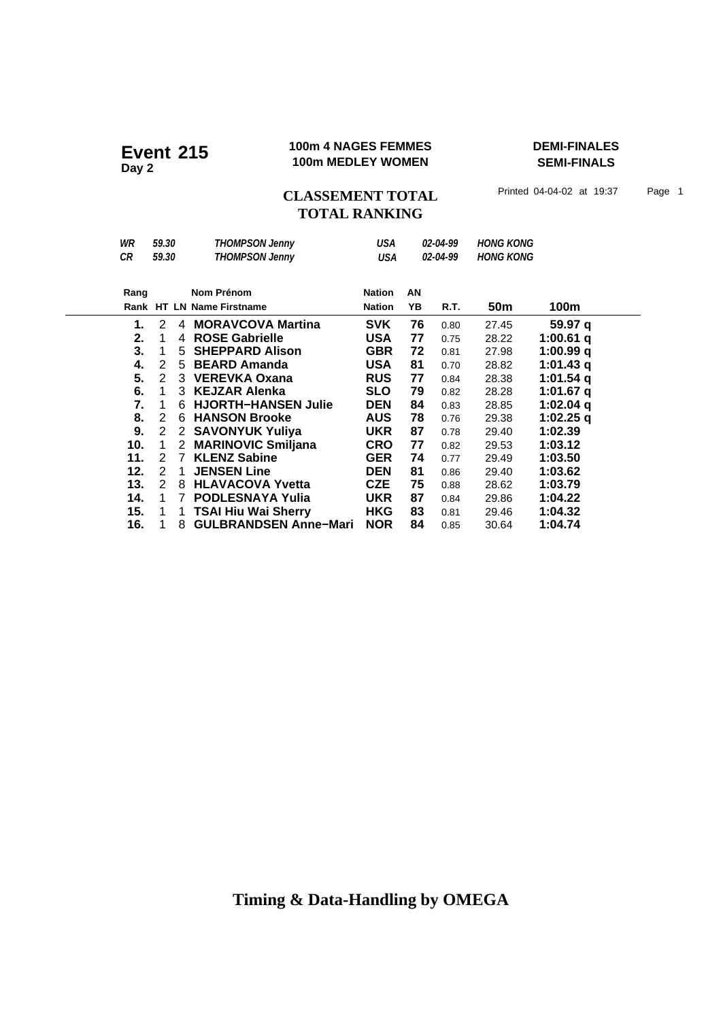#### **100m 4 NAGES FEMMES DEMI-FINALES Event** 215 <sup>100m 4</sup> NAGES FEMMES

**SEMI-FINALS**

CLASSEMENT TOTAL Printed 04-04-02 at 19:37 Page 1 **TOTAL RANKING**

| WR   | 59.30         |    | <b>THOMPSON Jenny</b>        | USA           |    | 02-04-99 | <b>HONG KONG</b> |             |
|------|---------------|----|------------------------------|---------------|----|----------|------------------|-------------|
| CR   | 59.30         |    | <b>THOMPSON Jenny</b>        | USA           |    | 02-04-99 | <b>HONG KONG</b> |             |
|      |               |    |                              |               |    |          |                  |             |
| Rang |               |    | Nom Prénom                   | <b>Nation</b> | AN |          |                  |             |
|      |               |    | Rank HT LN Name Firstname    | <b>Nation</b> | YΒ | R.T.     | 50m              | 100m        |
| 1.   | 2             | 4  | <b>MORAVCOVA Martina</b>     | <b>SVK</b>    | 76 | 0.80     | 27.45            | 59.97 a     |
| 2.   | 1             | 4  | <b>ROSE Gabrielle</b>        | USA           | 77 | 0.75     | 28.22            | 1:00.61 $q$ |
| 3.   | 1             | 5. | <b>SHEPPARD Alison</b>       | <b>GBR</b>    | 72 | 0.81     | 27.98            | 1:00.99 q   |
| 4.   | 2             | 5. | <b>BEARD Amanda</b>          | USA           | 81 | 0.70     | 28.82            | 1:01.43 $q$ |
| 5.   | 2             | 3  | <b>VEREVKA Oxana</b>         | <b>RUS</b>    | 77 | 0.84     | 28.38            | 1:01.54 $q$ |
| 6.   | 1             | 3  | <b>KEJZAR Alenka</b>         | <b>SLO</b>    | 79 | 0.82     | 28.28            | 1:01.67 $q$ |
| 7.   | 1             | 6  | <b>HJORTH-HANSEN Julie</b>   | <b>DEN</b>    | 84 | 0.83     | 28.85            | 1:02.04 $q$ |
| 8.   | 2             | 6  | <b>HANSON Brooke</b>         | <b>AUS</b>    | 78 | 0.76     | 29.38            | 1:02.25 $q$ |
| 9.   | 2             | 2  | <b>SAVONYUK Yuliya</b>       | <b>UKR</b>    | 87 | 0.78     | 29.40            | 1:02.39     |
| 10.  | 1             | 2  | <b>MARINOVIC Smiljana</b>    | <b>CRO</b>    | 77 | 0.82     | 29.53            | 1:03.12     |
| 11.  | 2             | 7  | <b>KLENZ Sabine</b>          | <b>GER</b>    | 74 | 0.77     | 29.49            | 1:03.50     |
| 12.  | $\mathcal{P}$ | 1  | <b>JENSEN Line</b>           | <b>DEN</b>    | 81 | 0.86     | 29.40            | 1:03.62     |
| 13.  | 2             | 8  | <b>HLAVACOVA Yvetta</b>      | <b>CZE</b>    | 75 | 0.88     | 28.62            | 1:03.79     |
| 14.  | 1             | 7  | <b>PODLESNAYA Yulia</b>      | <b>UKR</b>    | 87 | 0.84     | 29.86            | 1:04.22     |
| 15.  | 1             | 1  | <b>TSAI Hiu Wai Sherry</b>   | <b>HKG</b>    | 83 | 0.81     | 29.46            | 1:04.32     |
| 16.  |               | 8  | <b>GULBRANDSEN Anne-Mari</b> | <b>NOR</b>    | 84 | 0.85     | 30.64            | 1:04.74     |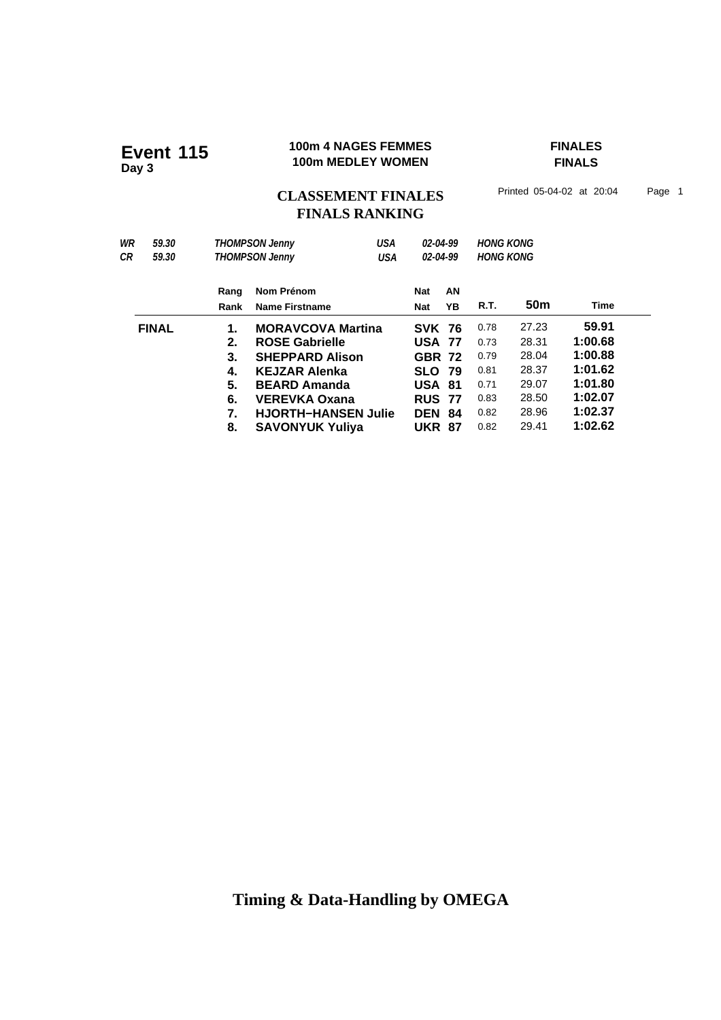#### **100m 4 NAGES FEMMES FINALES 100m 4 NAGES FEMMES**<br>100m MEDLEY WOMEN

**FINALS**

CLASSEMENT FINALES<sup>Printed 05-04-02 at 20:04 Page 1</sup> **FINALS RANKING**

| WR<br>59.30<br>СR<br>59.30 |              |                              | <b>THOMPSON Jenny</b><br><b>THOMPSON Jenny</b> | USA<br><b>USA</b> | 02-04-99<br>02-04-99 |               | <b>HONG KONG</b><br><b>HONG KONG</b> |                 |         |         |  |
|----------------------------|--------------|------------------------------|------------------------------------------------|-------------------|----------------------|---------------|--------------------------------------|-----------------|---------|---------|--|
|                            |              | Rang<br>Rank                 | Nom Prénom<br><b>Name Firstname</b>            |                   | Nat<br>Nat           | AN<br>YΒ      | R.T.                                 | 50 <sub>m</sub> | Time    |         |  |
|                            | <b>FINAL</b> | 1.                           | <b>MORAVCOVA Martina</b>                       |                   | <b>SVK 76</b>        |               | 0.78                                 | 27.23           | 59.91   |         |  |
|                            |              | 2.                           | <b>ROSE Gabrielle</b>                          |                   | <b>USA 77</b>        |               | 0.73                                 | 28.31           | 1:00.68 |         |  |
|                            |              | 3.                           | <b>SHEPPARD Alison</b>                         |                   | <b>GBR 72</b>        |               | 0.79                                 | 28.04           | 1:00.88 |         |  |
|                            |              | 4.                           | <b>KEJZAR Alenka</b>                           |                   |                      | <b>SLO 79</b> |                                      | 0.81            | 28.37   | 1:01.62 |  |
|                            |              | 5.                           | <b>BEARD Amanda</b>                            |                   | <b>USA 81</b>        |               | 0.71                                 | 29.07           | 1:01.80 |         |  |
|                            |              | 6.                           | <b>VEREVKA Oxana</b>                           |                   | <b>RUS 77</b>        |               | 0.83                                 | 28.50           | 1:02.07 |         |  |
|                            |              | 7.                           | <b>HJORTH-HANSEN Julie</b>                     |                   | <b>DEN</b>           | -84           | 0.82                                 | 28.96           | 1:02.37 |         |  |
|                            |              | 8.<br><b>SAVONYUK Yuliva</b> |                                                |                   | <b>UKR 87</b>        |               | 0.82                                 | 29.41           | 1:02.62 |         |  |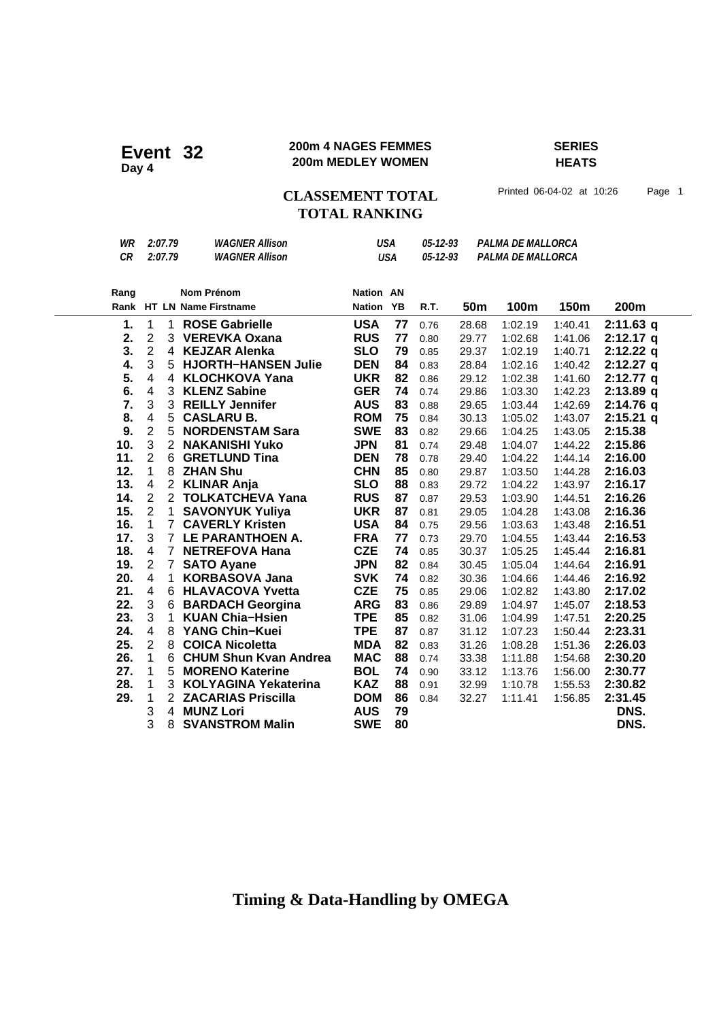#### **200m 4 NAGES FEMMES SERIES 200m 4 NAGES FEMMES**<br>200m MEDLEY WOMEN

## **HEATS**

CLASSEMENT TOTAL Printed 06-04-02 at 10:26 Page 1

## **TOTAL RANKING**

| WR   |                         | 2:07.79        | <b>WAGNER Allison</b>        | USA<br>05-12-93<br>PALMA DE MALLORCA<br>PALMA DE MALLORCA<br><b>USA</b> |    |          |       |         |         |             |
|------|-------------------------|----------------|------------------------------|-------------------------------------------------------------------------|----|----------|-------|---------|---------|-------------|
| CR   |                         | 2:07.79        | <b>WAGNER Allison</b>        |                                                                         |    | 05-12-93 |       |         |         |             |
|      |                         |                |                              |                                                                         |    |          |       |         |         |             |
| Rang |                         |                | <b>Nom Prénom</b>            | <b>Nation AN</b>                                                        |    |          |       |         |         |             |
|      |                         |                | Rank HT LN Name Firstname    | <b>Nation</b>                                                           | YB | R.T.     | 50m   | 100m    | 150m    | 200m        |
| 1.   | $\mathbf 1$             | 1              | <b>ROSE Gabrielle</b>        | <b>USA</b>                                                              | 77 | 0.76     | 28.68 | 1:02.19 | 1:40.41 | $2:11.63$ q |
| 2.   | $\overline{c}$          |                | 3 VEREVKA Oxana              | <b>RUS</b>                                                              | 77 | 0.80     | 29.77 | 1:02.68 | 1:41.06 | $2:12.17$ q |
| 3.   | $\overline{2}$          |                | 4 KEJZAR Alenka              | <b>SLO</b>                                                              | 79 | 0.85     | 29.37 | 1:02.19 | 1:40.71 | $2:12.22$ q |
| 4.   | 3                       |                | 5 HJORTH-HANSEN Julie        | <b>DEN</b>                                                              | 84 | 0.83     | 28.84 | 1:02.16 | 1:40.42 | $2:12.27$ q |
| 5.   | $\overline{\mathbf{4}}$ | $\overline{4}$ | <b>KLOCHKOVA Yana</b>        | <b>UKR</b>                                                              | 82 | 0.86     | 29.12 | 1:02.38 | 1:41.60 | $2:12.77$ q |
| 6.   | $\overline{\mathbf{4}}$ |                | 3 KLENZ Sabine               | <b>GER</b>                                                              | 74 | 0.74     | 29.86 | 1:03.30 | 1:42.23 | 2:13.89q    |
| 7.   | 3                       |                | 3 REILLY Jennifer            | <b>AUS</b>                                                              | 83 | 0.88     | 29.65 | 1:03.44 | 1:42.69 | $2:14.76$ q |
| 8.   | $\overline{\mathbf{4}}$ | 5              | <b>CASLARU B.</b>            | <b>ROM</b>                                                              | 75 | 0.84     | 30.13 | 1:05.02 | 1:43.07 | $2:15.21$ q |
| 9.   | $\overline{\mathbf{c}}$ | 5              | <b>NORDENSTAM Sara</b>       | <b>SWE</b>                                                              | 83 | 0.82     | 29.66 | 1:04.25 | 1:43.05 | 2:15.38     |
| 10.  | 3                       | $\overline{2}$ | <b>NAKANISHI Yuko</b>        | <b>JPN</b>                                                              | 81 | 0.74     | 29.48 | 1:04.07 | 1:44.22 | 2:15.86     |
| 11.  | $\overline{2}$          | 6              | <b>GRETLUND Tina</b>         | <b>DEN</b>                                                              | 78 | 0.78     | 29.40 | 1:04.22 | 1:44.14 | 2:16.00     |
| 12.  | $\mathbf{1}$            | 8              | <b>ZHAN Shu</b>              | <b>CHN</b>                                                              | 85 | 0.80     | 29.87 | 1:03.50 | 1:44.28 | 2:16.03     |
| 13.  | $\overline{\mathbf{4}}$ |                | 2 KLINAR Anja                | <b>SLO</b>                                                              | 88 | 0.83     | 29.72 | 1:04.22 | 1:43.97 | 2:16.17     |
| 14.  | $\overline{2}$          |                | 2 TOLKATCHEVA Yana           | <b>RUS</b>                                                              | 87 | 0.87     | 29.53 | 1:03.90 | 1:44.51 | 2:16.26     |
| 15.  | $\overline{2}$          | $\mathbf{1}$   | <b>SAVONYUK Yuliya</b>       | <b>UKR</b>                                                              | 87 | 0.81     | 29.05 | 1:04.28 | 1:43.08 | 2:16.36     |
| 16.  | $\mathbf{1}$            | $\overline{7}$ | <b>CAVERLY Kristen</b>       | <b>USA</b>                                                              | 84 | 0.75     | 29.56 | 1:03.63 | 1:43.48 | 2:16.51     |
| 17.  | 3                       |                | 7 LE PARANTHOEN A.           | <b>FRA</b>                                                              | 77 | 0.73     | 29.70 | 1:04.55 | 1:43.44 | 2:16.53     |
| 18.  | $\overline{\mathbf{4}}$ | $\overline{7}$ | <b>NETREFOVA Hana</b>        | <b>CZE</b>                                                              | 74 | 0.85     | 30.37 | 1:05.25 | 1:45.44 | 2:16.81     |
| 19.  | $\overline{2}$          | $\overline{7}$ | <b>SATO Ayane</b>            | <b>JPN</b>                                                              | 82 | 0.84     | 30.45 | 1:05.04 | 1:44.64 | 2:16.91     |
| 20.  | $\overline{\mathbf{4}}$ | $\mathbf{1}$   | <b>KORBASOVA Jana</b>        | <b>SVK</b>                                                              | 74 | 0.82     | 30.36 | 1:04.66 | 1:44.46 | 2:16.92     |
| 21.  | $\overline{\mathbf{4}}$ |                | 6 HLAVACOVA Yvetta           | <b>CZE</b>                                                              | 75 | 0.85     | 29.06 | 1:02.82 | 1:43.80 | 2:17.02     |
| 22.  | 3                       | 6              | <b>BARDACH Georgina</b>      | <b>ARG</b>                                                              | 83 | 0.86     | 29.89 | 1:04.97 | 1:45.07 | 2:18.53     |
| 23.  | 3                       | 1              | <b>KUAN Chia-Hsien</b>       | <b>TPE</b>                                                              | 85 | 0.82     | 31.06 | 1:04.99 | 1:47.51 | 2:20.25     |
| 24.  | $\overline{\mathbf{4}}$ | 8              | YANG Chin-Kuei               | <b>TPE</b>                                                              | 87 | 0.87     | 31.12 | 1:07.23 | 1:50.44 | 2:23.31     |
| 25.  | $\overline{2}$          | 8              | <b>COICA Nicoletta</b>       | <b>MDA</b>                                                              | 82 | 0.83     | 31.26 | 1:08.28 | 1:51.36 | 2:26.03     |
| 26.  | 1                       | 6              | <b>CHUM Shun Kvan Andrea</b> | <b>MAC</b>                                                              | 88 | 0.74     | 33.38 | 1:11.88 | 1:54.68 | 2:30.20     |
| 27.  | 1                       | 5              | <b>MORENO Katerine</b>       | <b>BOL</b>                                                              | 74 | 0.90     | 33.12 | 1:13.76 | 1:56.00 | 2:30.77     |
| 28.  | 1                       | 3              | <b>KOLYAGINA Yekaterina</b>  | <b>KAZ</b>                                                              | 88 | 0.91     | 32.99 | 1:10.78 | 1:55.53 | 2:30.82     |
| 29.  | 1                       | $\overline{2}$ | <b>ZACARIAS Priscilla</b>    | <b>DOM</b>                                                              | 86 | 0.84     | 32.27 | 1:11.41 | 1:56.85 | 2:31.45     |
|      | 3                       | 4              | <b>MUNZ Lori</b>             | <b>AUS</b>                                                              | 79 |          |       |         |         | DNS.        |
|      | 3                       | 8              | <b>SVANSTROM Malin</b>       | <b>SWE</b>                                                              | 80 |          |       |         |         | DNS.        |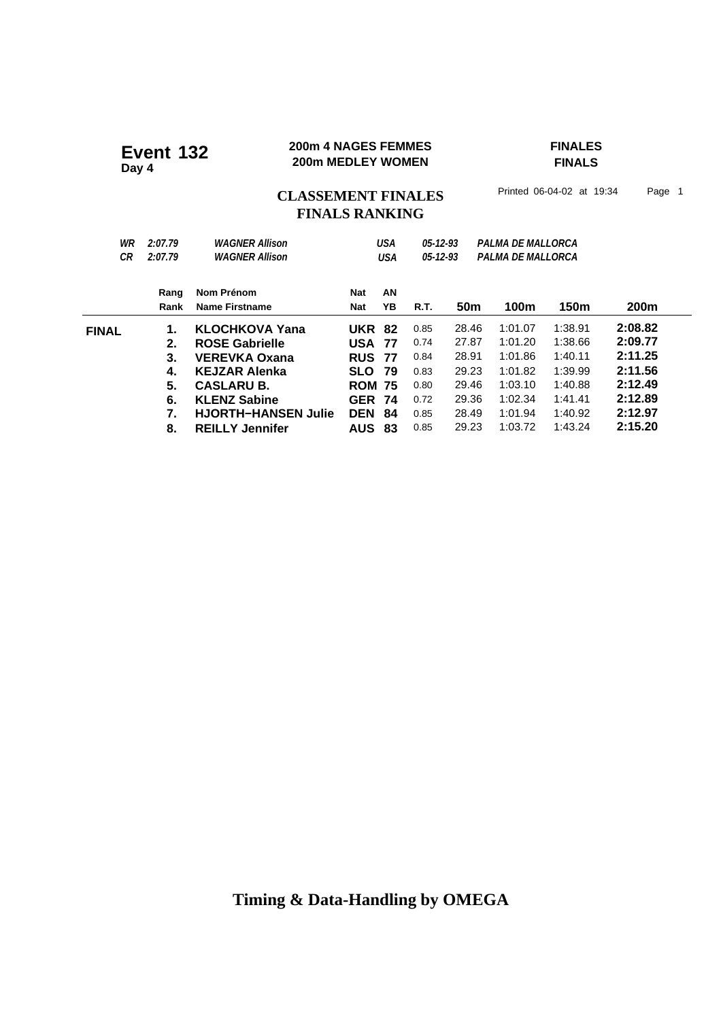#### **200m 4 NAGES FEMMES FINALES 200m 4 NAGES FEMMES**<br>200m MEDLEY WOMEN

**FINALS**

### CLASSEMENT FINALES<sup>Printed 06-04-02 at 19:34 Page 1</sup> **FINALS RANKING**

| WR<br>СR     | 2:07.79<br>2:07.79 | <b>WAGNER Allison</b><br><b>WAGNER Allison</b> | <b>USA</b><br>USA |      | $05 - 12 - 93$<br>$05 - 12 - 93$ |       | PALMA DE MALLORCA<br>PALMA DE MALLORCA |         |                  |
|--------------|--------------------|------------------------------------------------|-------------------|------|----------------------------------|-------|----------------------------------------|---------|------------------|
|              | Rang               | Nom Prénom                                     | Nat               | AN   |                                  |       |                                        |         |                  |
|              | Rank               | Name Firstname                                 | Nat               | ΥB   | R.T.                             | 50m   | 100m                                   | 150m    | 200 <sub>m</sub> |
| <b>FINAL</b> | 1.                 | <b>KLOCHKOVA Yana</b>                          | <b>UKR</b>        | - 82 | 0.85                             | 28.46 | 1:01.07                                | 1:38.91 | 2:08.82          |
|              | 2.                 | <b>ROSE Gabrielle</b>                          | <b>USA</b>        | 77   | 0.74                             | 27.87 | 1:01.20                                | 1:38.66 | 2:09.77          |
|              | 3.                 | <b>VEREVKA Oxana</b>                           | <b>RUS</b>        | 77   | 0.84                             | 28.91 | 1:01.86                                | 1:40.11 | 2:11.25          |
|              | 4.                 | KEJZAR Alenka                                  | <b>SLO</b>        | 79   | 0.83                             | 29.23 | 1:01.82                                | 1:39.99 | 2:11.56          |
|              | 5.                 | <b>CASLARU B.</b>                              | <b>ROM 75</b>     |      | 0.80                             | 29.46 | 1:03.10                                | 1:40.88 | 2:12.49          |
|              | 6.                 | <b>KLENZ Sabine</b>                            | <b>GER</b>        | -74  | 0.72                             | 29.36 | 1:02.34                                | 1:41.41 | 2:12.89          |
|              | 7.                 | <b>HJORTH-HANSEN Julie</b>                     | <b>DEN</b>        | 84   | 0.85                             | 28.49 | 1:01.94                                | 1:40.92 | 2:12.97          |
|              | 8.                 | <b>REILLY Jennifer</b>                         | <b>AUS</b>        | 83   | 0.85                             | 29.23 | 1:03.72                                | 1:43.24 | 2:15.20          |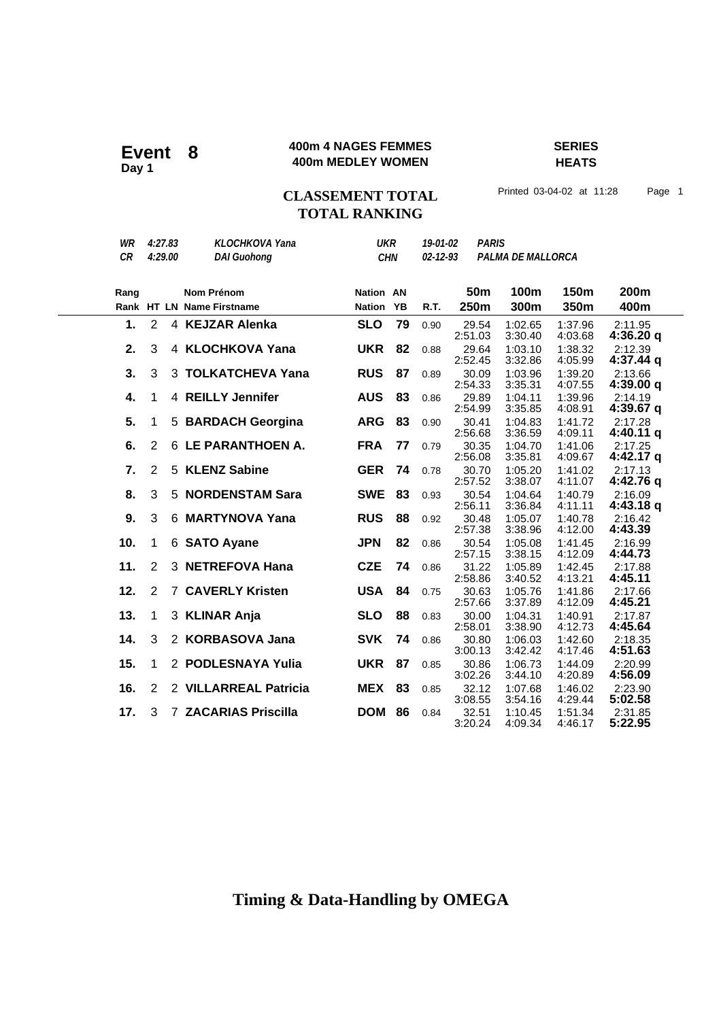#### **400m 4 NAGES FEMMES SERIES 400m 4 NAGES FEMMES**<br>Ann MEDLEY WOMEN

**HEATS**

### **CLASSEMENT TOTAL** Printed 03-04-02 at 11:28 Page 1 **TOTAL RANKING**

| WR<br>CR |                | 4:27.83<br>4:29.00 | <b>KLOCHKOVA Yana</b><br><b>DAI Guohong</b> | <b>UKR</b><br><b>CHN</b><br><b>Nation AN</b> |    | <b>PARIS</b><br>19-01-02<br>$02 - 12 - 93$<br><b>PALMA DE MALLORCA</b> |                         |                    |                    |                        |
|----------|----------------|--------------------|---------------------------------------------|----------------------------------------------|----|------------------------------------------------------------------------|-------------------------|--------------------|--------------------|------------------------|
| Rang     |                |                    | Nom Prénom<br>Rank HT LN Name Firstname     | <b>Nation YB</b>                             |    | R.T.                                                                   | 50 <sub>m</sub><br>250m | 100m<br>300m       | 150m<br>350m       | 200m<br>400m           |
| 1.       | 2              |                    | 4 KEJZAR Alenka                             | <b>SLO</b>                                   | 79 | 0.90                                                                   | 29.54<br>2:51.03        | 1:02.65<br>3:30.40 | 1:37.96<br>4:03.68 | 2:11.95<br>4:36.20q    |
| 2.       | 3              |                    | 4 KLOCHKOVA Yana                            | <b>UKR</b>                                   | 82 | 0.88                                                                   | 29.64<br>2:52.45        | 1:03.10<br>3:32.86 | 1:38.32<br>4:05.99 | 2:12.39<br>$4:37.44$ q |
| 3.       | 3              |                    | 3 TOLKATCHEVA Yana                          | <b>RUS</b>                                   | 87 | 0.89                                                                   | 30.09<br>2:54.33        | 1:03.96<br>3:35.31 | 1:39.20<br>4:07.55 | 2:13.66<br>4:39.00q    |
| 4.       | 1              |                    | 4 REILLY Jennifer                           | <b>AUS</b>                                   | 83 | 0.86                                                                   | 29.89<br>2:54.99        | 1:04.11<br>3:35.85 | 1:39.96<br>4:08.91 | 2:14.19<br>4:39.67 q   |
| 5.       | 1              | 5                  | <b>BARDACH Georgina</b>                     | <b>ARG</b>                                   | 83 | 0.90                                                                   | 30.41<br>2:56.68        | 1:04.83<br>3:36.59 | 1:41.72<br>4:09.11 | 2:17.28<br>4:40.11 q   |
| 6.       | $\overline{2}$ |                    | 6 LE PARANTHOEN A.                          | <b>FRA</b>                                   | 77 | 0.79                                                                   | 30.35<br>2:56.08        | 1:04.70<br>3:35.81 | 1:41.06<br>4:09.67 | 2:17.25<br>4:42.17 q   |
| 7.       | $\overline{2}$ |                    | 5 KLENZ Sabine                              | <b>GER</b>                                   | 74 | 0.78                                                                   | 30.70<br>2:57.52        | 1:05.20<br>3:38.07 | 1:41.02<br>4:11.07 | 2:17.13<br>4:42.76 g   |
| 8.       | 3              |                    | 5 NORDENSTAM Sara                           | <b>SWE</b>                                   | 83 | 0.93                                                                   | 30.54<br>2:56.11        | 1:04.64<br>3:36.84 | 1:40.79<br>4:11.11 | 2:16.09<br>4:43.18 g   |
| 9.       | 3              | 6                  | <b>MARTYNOVA Yana</b>                       | <b>RUS</b>                                   | 88 | 0.92                                                                   | 30.48<br>2:57.38        | 1:05.07<br>3:38.96 | 1:40.78<br>4:12.00 | 2:16.42<br>4:43.39     |
| 10.      | 1              |                    | 6 SATO Ayane                                | <b>JPN</b>                                   | 82 | 0.86                                                                   | 30.54<br>2:57.15        | 1:05.08<br>3:38.15 | 1:41.45<br>4:12.09 | 2:16.99<br>4:44.73     |
| 11.      | $\overline{2}$ |                    | 3 NETREFOVA Hana                            | <b>CZE</b>                                   | 74 | 0.86                                                                   | 31.22<br>2:58.86        | 1:05.89<br>3:40.52 | 1:42.45<br>4:13.21 | 2:17.88<br>4:45.11     |
| 12.      | $\overline{2}$ |                    | <b>7 CAVERLY Kristen</b>                    | <b>USA</b>                                   | 84 | 0.75                                                                   | 30.63<br>2:57.66        | 1:05.76<br>3:37.89 | 1:41.86<br>4:12.09 | 2:17.66<br>4:45.21     |
| 13.      | 1              |                    | 3 KLINAR Anja                               | <b>SLO</b>                                   | 88 | 0.83                                                                   | 30.00<br>2:58.01        | 1:04.31<br>3:38.90 | 1:40.91<br>4:12.73 | 2:17.87<br>4:45.64     |
| 14.      | 3              |                    | 2 KORBASOVA Jana                            | <b>SVK</b>                                   | 74 | 0.86                                                                   | 30.80<br>3:00.13        | 1:06.03<br>3:42.42 | 1:42.60<br>4:17.46 | 2:18.35<br>4:51.63     |
| 15.      | 1              |                    | 2 PODLESNAYA Yulia                          | <b>UKR</b>                                   | 87 | 0.85                                                                   | 30.86<br>3:02.26        | 1:06.73<br>3:44.10 | 1:44.09<br>4:20.89 | 2:20.99<br>4:56.09     |
| 16.      | $\overline{2}$ |                    | 2 VILLARREAL Patricia                       | <b>MEX</b>                                   | 83 | 0.85                                                                   | 32.12<br>3:08.55        | 1:07.68<br>3:54.16 | 1:46.02<br>4:29.44 | 2:23.90<br>5:02.58     |
| 17.      | 3              |                    | <b>7 ZACARIAS Priscilla</b>                 | <b>DOM</b>                                   | 86 | 0.84                                                                   | 32.51<br>3:20.24        | 1:10.45<br>4:09.34 | 1:51.34<br>4:46.17 | 2:31.85<br>5:22.95     |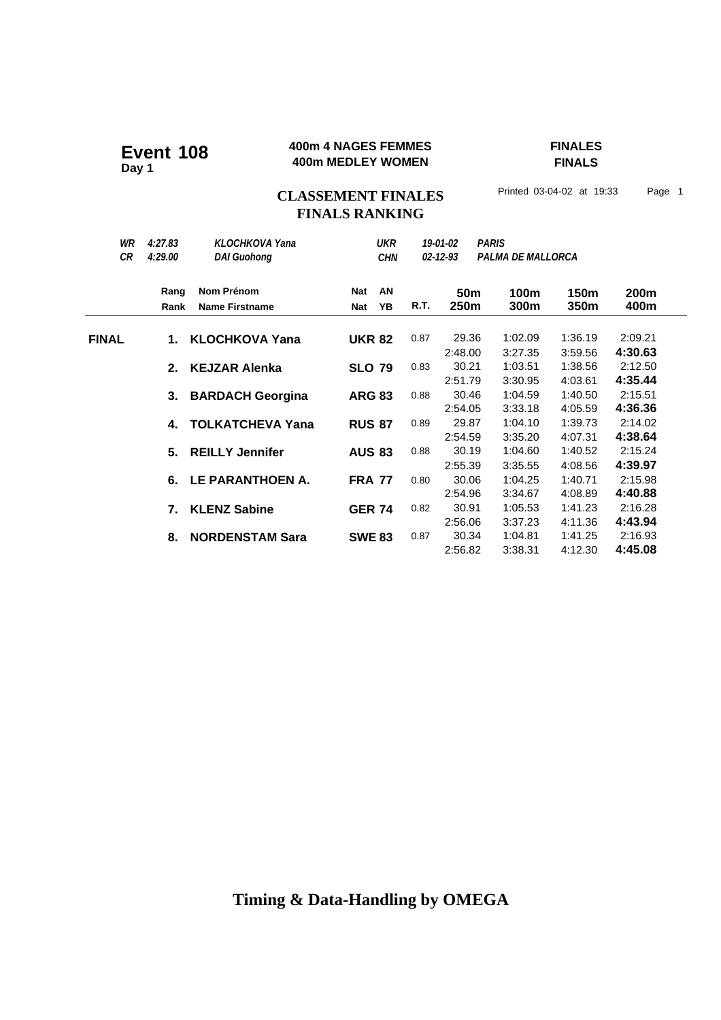#### **400m 4 NAGES FEMMES FINALES 400m 4 NAGES FEMMES**<br>400m MEDLEY WOMEN

**FINALS**

## CLASSEMENT FINALES<sup>Printed 03-04-02 at 19:33 Page 1</sup> **FINALS RANKING**

| WR<br>CR     | 4:27.83<br>4:29.00 | KLOCHKOVA Yana<br><b>DAI Guohong</b> | <b>UKR</b><br><b>CHN</b> |    | 19-01-02<br>$02 - 12 - 93$ |                             | <b>PARIS</b><br><b>PALMA DE MALLORCA</b> |                               |                               |
|--------------|--------------------|--------------------------------------|--------------------------|----|----------------------------|-----------------------------|------------------------------------------|-------------------------------|-------------------------------|
|              | Rang               | Nom Prénom                           | <b>Nat</b>               | AN |                            | 50 <sub>m</sub>             | 100m                                     | 150m                          | 200m                          |
|              | Rank               | <b>Name Firstname</b>                | <b>Nat</b>               | YB | R.T.                       | 250m                        | 300m                                     | 350m                          | 400m                          |
| <b>FINAL</b> | 1.                 | <b>KLOCHKOVA Yana</b>                | <b>UKR 82</b>            |    | 0.87                       | 29.36                       | 1:02.09                                  | 1:36.19                       | 2:09.21                       |
|              | 2.                 | <b>KEJZAR Alenka</b>                 | <b>SLO 79</b>            |    | 0.83                       | 2:48.00<br>30.21            | 3:27.35<br>1:03.51                       | 3:59.56<br>1:38.56            | 4:30.63<br>2:12.50            |
|              | 3.                 | <b>BARDACH Georgina</b>              | <b>ARG 83</b>            |    | 0.88                       | 2:51.79<br>30.46            | 3:30.95<br>1:04.59                       | 4:03.61<br>1:40.50            | 4:35.44<br>2:15.51            |
|              | 4.                 | <b>TOLKATCHEVA Yana</b>              | <b>RUS 87</b>            |    | 0.89                       | 2:54.05<br>29.87            | 3:33.18<br>1:04.10                       | 4:05.59<br>1:39.73            | 4:36.36<br>2:14.02            |
|              | 5.                 | <b>REILLY Jennifer</b>               | <b>AUS 83</b>            |    | 0.88                       | 2:54.59<br>30.19            | 3:35.20<br>1:04.60                       | 4:07.31<br>1:40.52            | 4:38.64<br>2:15.24            |
|              | 6.                 | LE PARANTHOEN A.                     | <b>FRA 77</b>            |    | 0.80                       | 2:55.39<br>30.06            | 3:35.55<br>1:04.25                       | 4:08.56<br>1:40.71            | 4:39.97<br>2:15.98            |
|              | 7.                 | <b>KLENZ Sabine</b>                  | <b>GER 74</b>            |    | 0.82                       | 2:54.96<br>30.91            | 3:34.67<br>1:05.53                       | 4:08.89<br>1:41.23            | 4:40.88<br>2:16.28            |
|              | 8.                 | <b>NORDENSTAM Sara</b>               | <b>SWE 83</b>            |    | 0.87                       | 2:56.06<br>30.34<br>2:56.82 | 3:37.23<br>1:04.81<br>3:38.31            | 4:11.36<br>1:41.25<br>4:12.30 | 4:43.94<br>2:16.93<br>4:45.08 |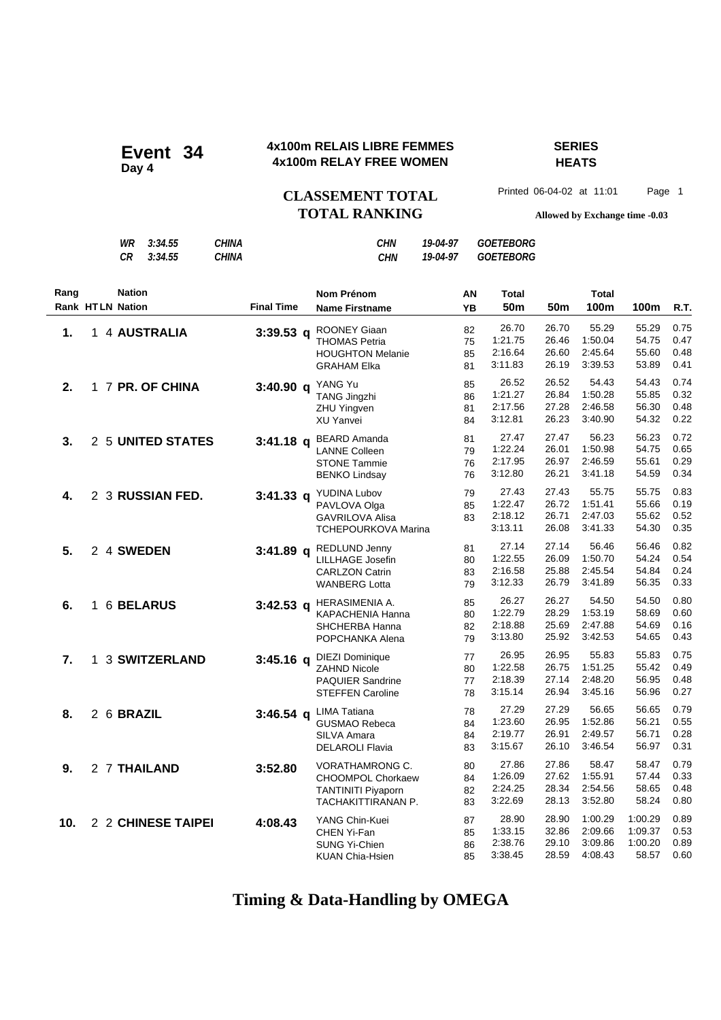### **4x100m RELAIS LIBRE FEMMES SERIES 4x100m RELAIS LIBRE FEMMER**<br>Day 4<br>**Day 4** dating the state women

## **HEATS**

CLASSEMENT TOTAL Printed 06-04-02 at 11:01 Page 1

|      |    | WR<br><b>CR</b>                          | 3:34.55<br>3:34.55   | <b>CHINA</b><br><b>CHINA</b> |                   | <b>CHN</b><br><b>CHN</b>                                                                            | 19-04-97<br>19-04-97 |                      | <b>GOETEBORG</b><br><b>GOETEBORG</b>   |                                  |                                          |                                        |                              |
|------|----|------------------------------------------|----------------------|------------------------------|-------------------|-----------------------------------------------------------------------------------------------------|----------------------|----------------------|----------------------------------------|----------------------------------|------------------------------------------|----------------------------------------|------------------------------|
| Rang |    | <b>Nation</b><br><b>Rank HTLN Nation</b> |                      |                              | <b>Final Time</b> | Nom Prénom<br><b>Name Firstname</b>                                                                 |                      | ΑN<br>YB             | Total<br>50 <sub>m</sub>               | 50 <sub>m</sub>                  | <b>Total</b><br>100m                     | 100m                                   | R.T.                         |
| 1.   |    |                                          | 1 4 AUSTRALIA        |                              | $3:39.53$ q       | ROONEY Giaan<br><b>THOMAS Petria</b><br><b>HOUGHTON Melanie</b><br><b>GRAHAM Elka</b>               |                      | 82<br>75<br>85<br>81 | 26.70<br>1:21.75<br>2:16.64<br>3:11.83 | 26.70<br>26.46<br>26.60<br>26.19 | 55.29<br>1:50.04<br>2:45.64<br>3:39.53   | 55.29<br>54.75<br>55.60<br>53.89       | 0.75<br>0.47<br>0.48<br>0.41 |
| 2.   |    |                                          | 1 7 PR. OF CHINA     |                              | $3:40.90$ q       | YANG Yu<br><b>TANG Jingzhi</b><br><b>ZHU Yingven</b><br>XU Yanvei                                   |                      | 85<br>86<br>81<br>84 | 26.52<br>1:21.27<br>2:17.56<br>3:12.81 | 26.52<br>26.84<br>27.28<br>26.23 | 54.43<br>1:50.28<br>2:46.58<br>3:40.90   | 54.43<br>55.85<br>56.30<br>54.32       | 0.74<br>0.32<br>0.48<br>0.22 |
| 3.   |    |                                          | 2 5 UNITED STATES    |                              | $3:41.18$ q       | <b>BEARD Amanda</b><br><b>LANNE Colleen</b><br><b>STONE Tammie</b><br><b>BENKO Lindsay</b>          |                      | 81<br>79<br>76<br>76 | 27.47<br>1:22.24<br>2:17.95<br>3:12.80 | 27.47<br>26.01<br>26.97<br>26.21 | 56.23<br>1:50.98<br>2:46.59<br>3:41.18   | 56.23<br>54.75<br>55.61<br>54.59       | 0.72<br>0.65<br>0.29<br>0.34 |
| 4.   |    |                                          | 2 3 RUSSIAN FED.     |                              | $3:41.33$ q       | YUDINA Lubov<br>PAVLOVA Olga<br><b>GAVRILOVA Alisa</b><br><b>TCHEPOURKOVA Marina</b>                |                      | 79<br>85<br>83       | 27.43<br>1:22.47<br>2:18.12<br>3:13.11 | 27.43<br>26.72<br>26.71<br>26.08 | 55.75<br>1:51.41<br>2:47.03<br>3:41.33   | 55.75<br>55.66<br>55.62<br>54.30       | 0.83<br>0.19<br>0.52<br>0.35 |
| 5.   |    | 2 4 SWEDEN                               |                      |                              | $3:41.89$ q       | REDLUND Jenny<br>LILLHAGE Josefin<br><b>CARLZON Catrin</b><br><b>WANBERG Lotta</b>                  |                      | 81<br>80<br>83<br>79 | 27.14<br>1:22.55<br>2:16.58<br>3:12.33 | 27.14<br>26.09<br>25.88<br>26.79 | 56.46<br>1:50.70<br>2:45.54<br>3:41.89   | 56.46<br>54.24<br>54.84<br>56.35       | 0.82<br>0.54<br>0.24<br>0.33 |
| 6.   |    |                                          | 1 6 BELARUS          |                              | $3:42.53$ q       | HERASIMENIA A.<br>KAPACHENIA Hanna<br>SHCHERBA Hanna<br>POPCHANKA Alena                             |                      | 85<br>80<br>82<br>79 | 26.27<br>1:22.79<br>2:18.88<br>3:13.80 | 26.27<br>28.29<br>25.69<br>25.92 | 54.50<br>1:53.19<br>2:47.88<br>3:42.53   | 54.50<br>58.69<br>54.69<br>54.65       | 0.80<br>0.60<br>0.16<br>0.43 |
| 7.   | 1. |                                          | <b>3 SWITZERLAND</b> |                              | $3:45.16$ q       | <b>DIEZI Dominique</b><br><b>ZAHND Nicole</b><br><b>PAQUIER Sandrine</b><br><b>STEFFEN Caroline</b> |                      | 77<br>80<br>77<br>78 | 26.95<br>1:22.58<br>2:18.39<br>3:15.14 | 26.95<br>26.75<br>27.14<br>26.94 | 55.83<br>1:51.25<br>2:48.20<br>3:45.16   | 55.83<br>55.42<br>56.95<br>56.96       | 0.75<br>0.49<br>0.48<br>0.27 |
| 8.   |    | 2 6 BRAZIL                               |                      |                              |                   | 3:46.54 q LIMA Tatiana<br><b>GUSMAO Rebeca</b><br>SILVA Amara<br><b>DELAROLI Flavia</b>             |                      | 78<br>84<br>84<br>83 | 27.29<br>1:23.60<br>2:19.77<br>3:15.67 | 27.29<br>26.95<br>26.91<br>26.10 | 56.65<br>1:52.86<br>2:49.57<br>3:46.54   | 56.65<br>56.21<br>56.71<br>56.97       | 0.79<br>0.55<br>0.28<br>0.31 |
| 9.   |    |                                          | 2 7 THAILAND         |                              | 3:52.80           | VORATHAMRONG C.<br>CHOOMPOL Chorkaew<br><b>TANTINITI Piyaporn</b><br>TACHAKITTIRANAN P.             |                      | 80<br>84<br>82<br>83 | 27.86<br>1:26.09<br>2:24.25<br>3:22.69 | 27.86<br>27.62<br>28.34<br>28.13 | 58.47<br>1:55.91<br>2:54.56<br>3.52.80   | 58.47<br>57.44<br>58.65<br>58.24       | 0.79<br>0.33<br>0.48<br>0.80 |
| 10.  |    |                                          | 2 2 CHINESE TAIPEI   |                              | 4:08.43           | YANG Chin-Kuei<br>CHEN Yi-Fan<br><b>SUNG Yi-Chien</b><br><b>KUAN Chia-Hsien</b>                     |                      | 87<br>85<br>86<br>85 | 28.90<br>1:33.15<br>2:38.76<br>3:38.45 | 28.90<br>32.86<br>29.10<br>28.59 | 1:00.29<br>2:09.66<br>3:09.86<br>4:08.43 | 1:00.29<br>1:09.37<br>1:00.20<br>58.57 | 0.89<br>0.53<br>0.89<br>0.60 |

## **Timing & Data-Handling by OMEGA**

**TOTAL RANKING Allowed by Exchange time -0.03**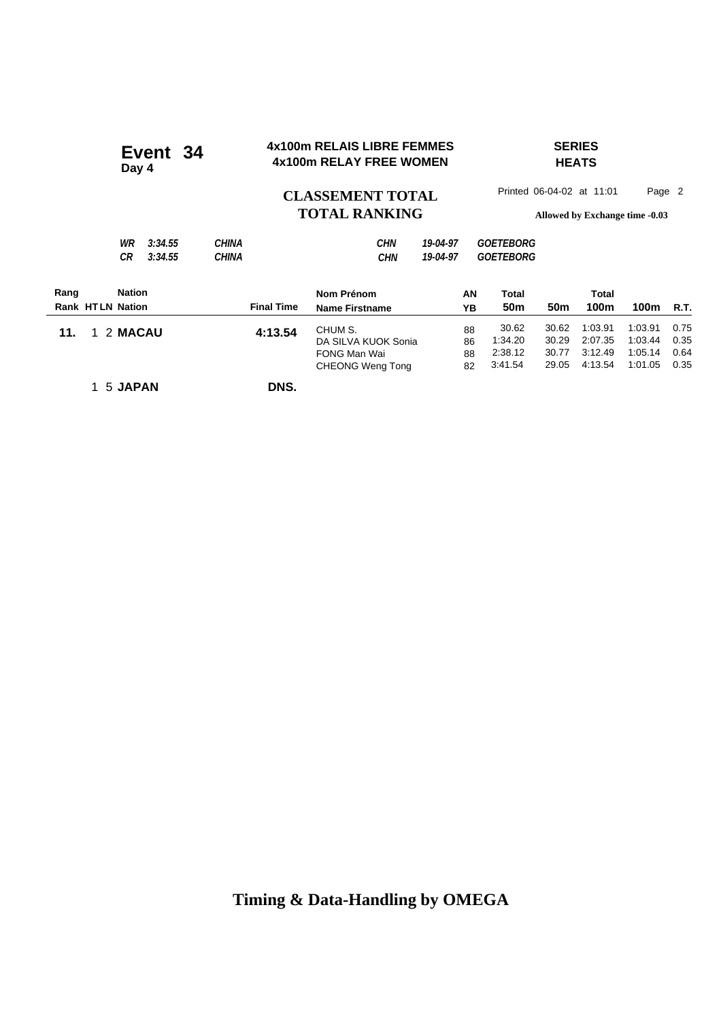#### **4x100m RELAIS LIBRE FEMMES SERIES 4x100m RELAIS LIBRE FEMMES**<br>4x100m RELAY FREE WOMEN **Day 4**

## **HEATS**

### CLASSEMENT TOTAL Printed 06-04-02 at 11:01 Page 2 **TOTAL RANKING Allowed by Exchange time -0.03**

|      | CR.                     | 3:34.55 | CHINA |                   | <b>CHN</b>            | 19-04-97 | <i>GOETEBORG</i>       |                 |       |      |             |
|------|-------------------------|---------|-------|-------------------|-----------------------|----------|------------------------|-----------------|-------|------|-------------|
| Rang | <b>Nation</b>           |         |       |                   | Nom Prénom            |          | AN<br>Total            |                 | Total |      |             |
|      | <b>Rank HTLN Nation</b> |         |       | <b>Final Time</b> | <b>Name Firstname</b> |          | 50 <sub>m</sub><br>YB. | 50 <sub>m</sub> | 100m  | 100m | <b>R.T.</b> |

|                         |                   | .                     | .  | .       |       | .             |              |             |
|-------------------------|-------------------|-----------------------|----|---------|-------|---------------|--------------|-------------|
| <b>Rank HTLN Nation</b> | <b>Final Time</b> | <b>Name Firstname</b> | YΒ | 50m     | 50m   | 100m          | 100m         | <b>R.T.</b> |
| 11. 1 2 MACAU           | 4:13.54           | CHUM S.               | 88 | 30.62   | 30.62 | 1:03.91       | 1:03.91      | 0.75        |
|                         |                   | DA SILVA KUOK Sonia   | 86 | 1:34.20 | 30.29 | 2:07.35       | 1.03.44      | 0.35        |
|                         |                   | FONG Man Wai          | 88 | 2:38.12 | 30.77 | 3:12.49       | 1:05.14      | 0.64        |
|                         |                   | CHEONG Weng Tong      | 82 | 3:41.54 |       | 29.05 4:13.54 | 1:01.05 0.35 |             |
|                         |                   |                       |    |         |       |               |              |             |

1 5 **JAPAN DNS.**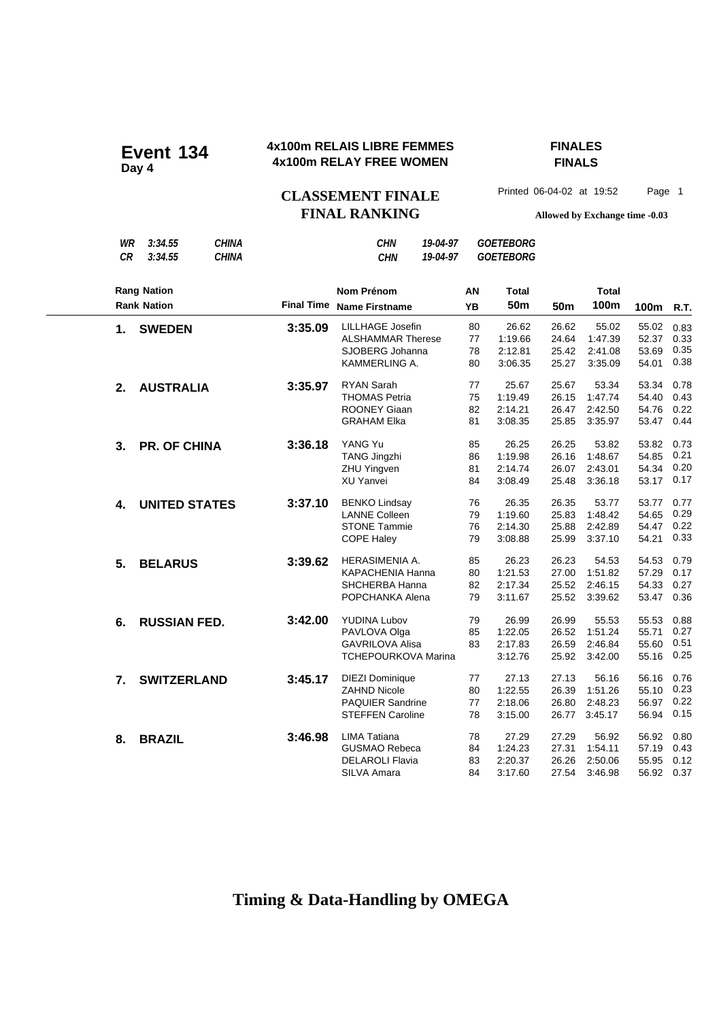### **4x100m RELAIS LIBRE FEMMES FINALES 4x100m RELAIS LIBRE FEMMES**<br>4x100m RELAY FREE WOMEN

## **FINALS**

CLASSEMENT FINALE<sup>Printed 06-04-02 at 19:52 Page 1</sup> **FINAL RANKING Allowed by Exchange time -0.03**

| WR<br><b>CR</b> | 3:34.55<br>3:34.55   | <b>CHINA</b><br><b>CHINA</b> |                   | <b>CHN</b><br><b>CHN</b>   | 19-04-97<br>19-04-97 |           | <b>GOETEBORG</b><br><b>GOETEBORG</b> |            |              |       |      |
|-----------------|----------------------|------------------------------|-------------------|----------------------------|----------------------|-----------|--------------------------------------|------------|--------------|-------|------|
|                 | <b>Rang Nation</b>   |                              |                   | <b>Nom Prénom</b>          |                      | ΑN        | <b>Total</b>                         |            | <b>Total</b> |       |      |
|                 | <b>Rank Nation</b>   |                              | <b>Final Time</b> | <b>Name Firstname</b>      |                      | <b>YB</b> | 50 <sub>m</sub>                      | <b>50m</b> | 100m         | 100m  | R.T. |
| 1.              | <b>SWEDEN</b>        |                              | 3:35.09           | <b>LILLHAGE Josefin</b>    |                      | 80        | 26.62                                | 26.62      | 55.02        | 55.02 | 0.83 |
|                 |                      |                              |                   | <b>ALSHAMMAR Therese</b>   |                      | 77        | 1:19.66                              | 24.64      | 1:47.39      | 52.37 | 0.33 |
|                 |                      |                              |                   | SJOBERG Johanna            |                      | 78        | 2:12.81                              | 25.42      | 2:41.08      | 53.69 | 0.35 |
|                 |                      |                              |                   | KAMMERLING A.              |                      | 80        | 3:06.35                              | 25.27      | 3:35.09      | 54.01 | 0.38 |
| 2.              | <b>AUSTRALIA</b>     |                              | 3:35.97           | <b>RYAN Sarah</b>          |                      | 77        | 25.67                                | 25.67      | 53.34        | 53.34 | 0.78 |
|                 |                      |                              |                   | <b>THOMAS Petria</b>       |                      | 75        | 1:19.49                              | 26.15      | 1:47.74      | 54.40 | 0.43 |
|                 |                      |                              |                   | <b>ROONEY Giaan</b>        |                      | 82        | 2:14.21                              | 26.47      | 2:42.50      | 54.76 | 0.22 |
|                 |                      |                              |                   | <b>GRAHAM Elka</b>         |                      | 81        | 3:08.35                              | 25.85      | 3:35.97      | 53.47 | 0.44 |
| 3.              | <b>PR. OF CHINA</b>  |                              | 3:36.18           | YANG Yu                    |                      | 85        | 26.25                                | 26.25      | 53.82        | 53.82 | 0.73 |
|                 |                      |                              |                   | <b>TANG Jingzhi</b>        |                      | 86        | 1:19.98                              | 26.16      | 1:48.67      | 54.85 | 0.21 |
|                 |                      |                              |                   | <b>ZHU Yingven</b>         |                      | 81        | 2:14.74                              | 26.07      | 2:43.01      | 54.34 | 0.20 |
|                 |                      |                              |                   | XU Yanvei                  |                      | 84        | 3:08.49                              | 25.48      | 3:36.18      | 53.17 | 0.17 |
| 4.              | <b>UNITED STATES</b> |                              | 3:37.10           | <b>BENKO Lindsay</b>       |                      | 76        | 26.35                                | 26.35      | 53.77        | 53.77 | 0.77 |
|                 |                      |                              |                   | <b>LANNE Colleen</b>       |                      | 79        | 1:19.60                              | 25.83      | 1:48.42      | 54.65 | 0.29 |
|                 |                      |                              |                   | <b>STONE Tammie</b>        |                      | 76        | 2:14.30                              | 25.88      | 2:42.89      | 54.47 | 0.22 |
|                 |                      |                              |                   | <b>COPE Haley</b>          |                      | 79        | 3:08.88                              | 25.99      | 3:37.10      | 54.21 | 0.33 |
| 5.              | <b>BELARUS</b>       |                              | 3:39.62           | HERASIMENIA A.             |                      | 85        | 26.23                                | 26.23      | 54.53        | 54.53 | 0.79 |
|                 |                      |                              |                   | KAPACHENIA Hanna           |                      | 80        | 1:21.53                              | 27.00      | 1:51.82      | 57.29 | 0.17 |
|                 |                      |                              |                   | <b>SHCHERBA Hanna</b>      |                      | 82        | 2:17.34                              | 25.52      | 2:46.15      | 54.33 | 0.27 |
|                 |                      |                              |                   | POPCHANKA Alena            |                      | 79        | 3:11.67                              | 25.52      | 3:39.62      | 53.47 | 0.36 |
| 6.              | <b>RUSSIAN FED.</b>  |                              | 3:42.00           | <b>YUDINA Lubov</b>        |                      | 79        | 26.99                                | 26.99      | 55.53        | 55.53 | 0.88 |
|                 |                      |                              |                   | PAVLOVA Olga               |                      | 85        | 1:22.05                              | 26.52      | 1:51.24      | 55.71 | 0.27 |
|                 |                      |                              |                   | <b>GAVRILOVA Alisa</b>     |                      | 83        | 2:17.83                              | 26.59      | 2:46.84      | 55.60 | 0.51 |
|                 |                      |                              |                   | <b>TCHEPOURKOVA Marina</b> |                      |           | 3:12.76                              | 25.92      | 3:42.00      | 55.16 | 0.25 |
| 7.              | <b>SWITZERLAND</b>   |                              | 3:45.17           | <b>DIEZI Dominique</b>     |                      | 77        | 27.13                                | 27.13      | 56.16        | 56.16 | 0.76 |
|                 |                      |                              |                   | <b>ZAHND Nicole</b>        |                      | 80        | 1:22.55                              | 26.39      | 1:51.26      | 55.10 | 0.23 |
|                 |                      |                              |                   | <b>PAQUIER Sandrine</b>    |                      | 77        | 2:18.06                              | 26.80      | 2:48.23      | 56.97 | 0.22 |
|                 |                      |                              |                   | <b>STEFFEN Caroline</b>    |                      | 78        | 3:15.00                              | 26.77      | 3:45.17      | 56.94 | 0.15 |
| 8.              | <b>BRAZIL</b>        |                              | 3:46.98           | <b>LIMA Tatiana</b>        |                      | 78        | 27.29                                | 27.29      | 56.92        | 56.92 | 0.80 |
|                 |                      |                              |                   | <b>GUSMAO Rebeca</b>       |                      | 84        | 1:24.23                              | 27.31      | 1:54.11      | 57.19 | 0.43 |
|                 |                      |                              |                   | <b>DELAROLI Flavia</b>     |                      | 83        | 2:20.37                              | 26.26      | 2:50.06      | 55.95 | 0.12 |
|                 |                      |                              |                   | SILVA Amara                |                      | 84        | 3:17.60                              | 27.54      | 3:46.98      | 56.92 | 0.37 |
|                 |                      |                              |                   |                            |                      |           |                                      |            |              |       |      |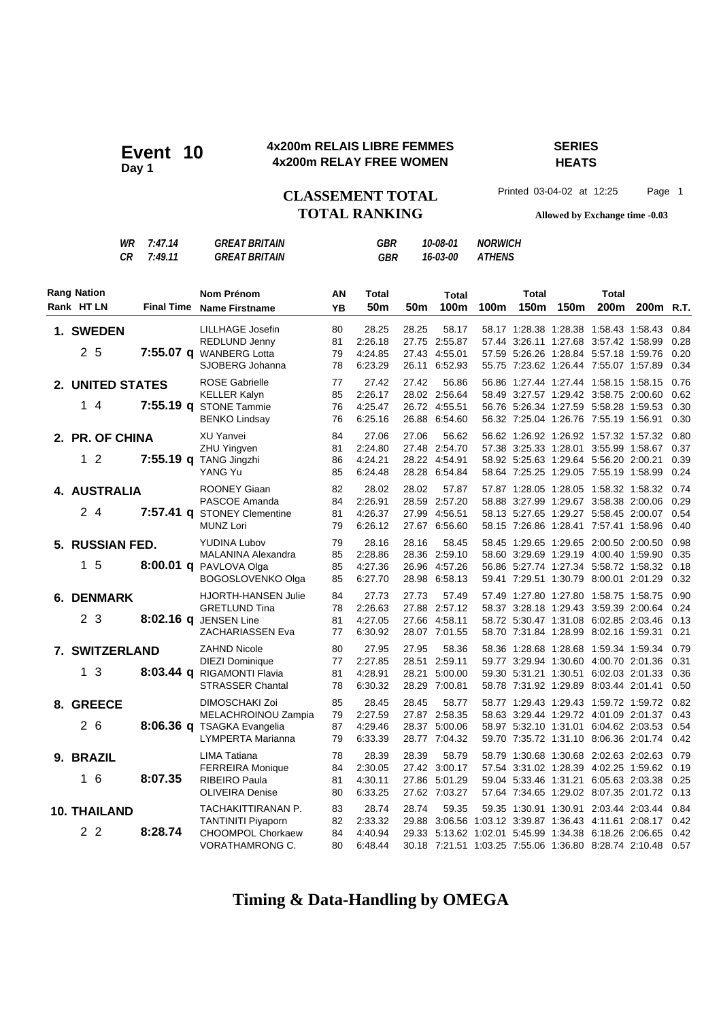#### **4x200m RELAIS LIBRE FEMMES SERIES 4x200m RELAIS LIBRE FEMMES**<br>4x200m RELAY FREE WOMEN

**HEATS**

CLASSEMENT TOTAL Printed 03-04-02 at 12:25 Page 1 **TOTAL RANKING Allowed by Exchange time -0.03**

|                                       | WR<br>CR | 7:47.14<br>7:49.11 | <b>GREAT BRITAIN</b><br><b>GREAT BRITAIN</b>                                                           |                      | GBR<br><b>GBR</b>                      |                         | 10-08-01<br>16-03-00                                           | <b>NORWICH</b><br><b>ATHENS</b> |                       |                  |                                                                                                                                                                  |                       |                              |
|---------------------------------------|----------|--------------------|--------------------------------------------------------------------------------------------------------|----------------------|----------------------------------------|-------------------------|----------------------------------------------------------------|---------------------------------|-----------------------|------------------|------------------------------------------------------------------------------------------------------------------------------------------------------------------|-----------------------|------------------------------|
| <b>Rang Nation</b><br>Rank HT LN      |          |                    | <b>Nom Prénom</b><br>Final Time Name Firstname                                                         | ΑN<br><b>YB</b>      | Total<br>50 <sub>m</sub>               | 50 <sub>m</sub>         | <b>Total</b><br>100m                                           | 100m                            | <b>Total</b><br>150m  | 150 <sub>m</sub> | Total<br>200m                                                                                                                                                    | 200 <sub>m</sub> R.T. |                              |
| <b>1. SWEDEN</b><br>2 5               |          |                    | LILLHAGE Josefin<br><b>REDLUND Jenny</b><br>7:55.07 q WANBERG Lotta<br>SJOBERG Johanna                 | 80<br>81<br>79<br>78 | 28.25<br>2:26.18<br>4:24.85<br>6:23.29 | 28.25                   | 58.17<br>27.75 2:55.87<br>27.43 4:55.01<br>26.11 6:52.93       |                                 |                       |                  | 58.17 1:28.38 1:28.38 1:58.43 1:58.43<br>57.44 3:26.11 1:27.68 3:57.42 1:58.99<br>57.59 5.26.26 1:28.84 5.57.18 1:59.76<br>55.75 7:23.62 1:26.44 7:55.07 1:57.89 |                       | 0.84<br>0.28<br>0.20<br>0.34 |
| 2. UNITED STATES<br>14                |          |                    | <b>ROSE Gabrielle</b><br><b>KELLER Kalyn</b><br>7:55.19 q STONE Tammie<br><b>BENKO Lindsay</b>         | 77<br>85<br>76<br>76 | 27.42<br>2:26.17<br>4:25.47<br>6:25.16 | 27.42                   | 56.86<br>28.02 2:56.64<br>26.72 4:55.51<br>26.88 6:54.60       |                                 |                       |                  | 56.86 1:27.44 1:27.44 1:58.15 1:58.15<br>58.49 3:27.57 1:29.42 3:58.75 2:00.60<br>56.76 5:26.34 1:27.59 5:58.28 1:59.53<br>56.32 7:25.04 1:26.76 7:55.19 1:56.91 |                       | 0.76<br>0.62<br>0.30<br>0.30 |
| 2. PR. OF CHINA<br>1 <sub>2</sub>     |          |                    | <b>XU Yanvei</b><br><b>ZHU Yingven</b><br>7:55.19 q TANG Jingzhi<br>YANG Yu                            | 84<br>81<br>86<br>85 | 27.06<br>2:24.80<br>4:24.21<br>6:24.48 | 27.06                   | 56.62<br>27.48 2:54.70<br>28.22 4:54.91<br>28.28 6:54.84       |                                 |                       |                  | 56.62 1:26.92 1:26.92 1:57.32 1:57.32<br>57.38 3:25.33 1:28.01 3:55.99 1:58.67<br>58.92 5:25.63 1:29.64 5:56.20 2:00.21<br>58.64 7:25.25 1:29.05 7:55.19 1:58.99 |                       | 0.80<br>0.37<br>0.39<br>0.24 |
| 4. AUSTRALIA<br>24                    |          |                    | <b>ROONEY Giaan</b><br>PASCOE Amanda<br>7:57.41 q STONEY Clementine<br><b>MUNZ Lori</b>                | 82<br>84<br>81<br>79 | 28.02<br>2:26.91<br>4:26.37<br>6:26.12 | 28.02                   | 57.87<br>28.59 2:57.20<br>27.99 4:56.51<br>27.67 6:56.60       |                                 |                       |                  | 57.87 1:28.05 1:28.05 1:58.32 1:58.32<br>58.88 3:27.99 1:29.67 3:58.38 2:00.06<br>58.13 5:27.65 1:29.27 5:58.45 2:00.07<br>58.15 7:26.86 1:28.41 7:57.41 1:58.96 |                       | 0.74<br>0.29<br>0.54<br>0.40 |
| 5. RUSSIAN FED.<br>1 <sub>5</sub>     |          |                    | <b>YUDINA Lubov</b><br>MALANINA Alexandra<br>8:00.01 q PAVLOVA Olga<br>BOGOSLOVENKO Olga               | 79<br>85<br>85<br>85 | 28.16<br>2:28.86<br>4:27.36<br>6:27.70 | 28.16<br>26.96          | 58.45<br>28.36 2:59.10<br>4:57.26<br>28.98 6:58.13             |                                 |                       |                  | 58.45 1:29.65 1:29.65 2:00.50 2:00.50<br>58.60 3:29.69 1:29.19 4:00.40 1:59.90<br>56.86 5:27.74 1:27.34 5:58.72 1:58.32<br>59.41 7:29.51 1:30.79 8:00.01 2:01.29 |                       | 0.98<br>0.35<br>0.18<br>0.32 |
| <b>6. DENMARK</b><br>2 <sub>3</sub>   |          |                    | HJORTH-HANSEN Julie<br><b>GRETLUND Tina</b><br>8:02.16 q JENSEN Line<br>ZACHARIASSEN Eva               | 84<br>78<br>81<br>77 | 27.73<br>2:26.63<br>4:27.05<br>6:30.92 | 27.73<br>27.88          | 57.49<br>2:57.12<br>27.66 4:58.11<br>28.07 7:01.55             |                                 | 58.37 3:28.18 1:29.43 |                  | 57.49 1:27.80 1:27.80 1:58.75 1:58.75<br>3:59.39 2:00.64<br>58.72 5:30.47 1:31.08 6:02.85 2:03.46<br>58.70 7:31.84 1:28.99 8:02.16 1:59.31                       |                       | 0.90<br>0.24<br>0.13<br>0.21 |
| 7. SWITZERLAND<br>13                  |          |                    | <b>ZAHND Nicole</b><br><b>DIEZI Dominique</b><br>8:03.44 q RIGAMONTI Flavia<br><b>STRASSER Chantal</b> | 80<br>77<br>81<br>78 | 27.95<br>2:27.85<br>4.28.91<br>6:30.32 | 27.95<br>28.21          | 58.36<br>28.51 2:59.11<br>5:00.00<br>28.29 7:00.81             |                                 | 58.36 1:28.68 1:28.68 |                  | 1:59.34 1:59.34<br>59.77 3:29.94 1:30.60 4:00.70 2:01.36<br>59.30 5:31.21 1:30.51 6:02.03 2:01.33<br>58.78 7:31.92 1:29.89 8:03.44 2:01.41                       |                       | 0.79<br>0.31<br>0.36<br>0.50 |
| 8. GREECE<br>2 6                      |          |                    | <b>DIMOSCHAKI Zoi</b><br>MELACHROINOU Zampia<br>8:06.36 q TSAGKA Evangelia<br>LYMPERTA Marianna        | 85<br>79<br>87<br>79 | 28.45<br>2:27.59<br>4:29.46<br>6:33.39 | 28.45                   | 58.77<br>27.87 2:58.35<br>28.37 5:00.06<br>28.77 7:04.32       |                                 |                       |                  | 58.77 1:29.43 1:29.43 1:59.72 1:59.72<br>58.63 3:29.44 1:29.72 4:01.09 2:01.37<br>58.97 5:32.10 1:31.01 6:04.62 2:03.53<br>59.70 7:35.72 1:31.10 8:06.36 2:01.74 |                       | 0.82<br>0.43<br>0.54<br>0.42 |
| 9. BRAZIL<br>16                       |          | 8:07.35            | <b>LIMA Tatiana</b><br><b>FERREIRA Monique</b><br><b>RIBEIRO Paula</b><br><b>OLIVEIRA Denise</b>       | 78<br>84<br>81<br>80 | 28.39<br>2:30.05<br>4:30.11<br>6:33.25 | 28.39<br>27.86          | 58.79<br>27.42 3:00.17<br>5:01.29<br>27.62 7:03.27             |                                 |                       |                  | 58.79 1:30.68 1:30.68 2:02.63 2:02.63<br>57.54 3:31.02 1:28.39 4:02.25 1:59.62<br>59.04 5:33.46 1:31.21 6:05.63 2:03.38<br>57.64 7:34.65 1:29.02 8:07.35 2:01.72 |                       | 0.79<br>0.19<br>0.25<br>0.13 |
| <b>10. THAILAND</b><br>2 <sub>2</sub> |          | 8:28.74            | TACHAKITTIRANAN P.<br><b>TANTINITI Piyaporn</b><br><b>CHOOMPOL Chorkaew</b><br>VORATHAMRONG C.         | 83<br>82<br>84<br>80 | 28.74<br>2:33.32<br>4:40.94<br>6:48.44 | 28.74<br>29.88<br>29.33 | 59.35<br>30.18 7:21.51 1:03.25 7:55.06 1:36.80 8:28.74 2:10.48 |                                 |                       |                  | 59.35 1:30.91 1:30.91 2:03.44 2:03.44<br>3:06.56 1:03.12 3:39.87 1:36.43 4:11.61 2:08.17<br>5:13.62 1:02.01 5:45.99 1:34.38 6:18.26 2:06.65                      |                       | 0.84<br>0.42<br>0.42<br>0.57 |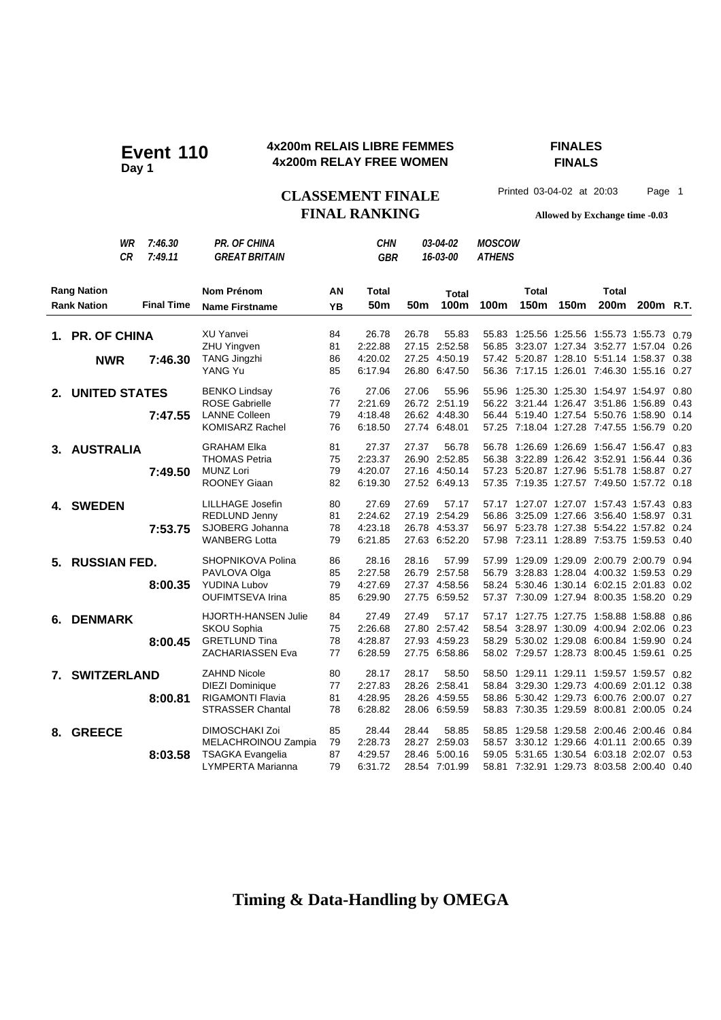### **4x200m RELAIS LIBRE FEMMES FINALES 4x200m RELAY FREE WOMEN Event 110 Day 1**

**FINALS**

CLASSEMENT FINALE<sup>Printed 03-04-02 at 20:03 Page 1</sup> **FINAL RANKING Allowed by Exchange time -0.03**

| WR<br>7:46.30<br>7:49.11<br>СR                                | <b>PR. OF CHINA</b><br><b>GREAT BRITAIN</b>                                                         |                      | <b>CHN</b><br><b>GBR</b>               |       | 03-04-02<br>16-03-00                                     | <b>MOSCOW</b><br><b>ATHENS</b> |               |                  |                                                                                                                                                                                      |                       |              |
|---------------------------------------------------------------|-----------------------------------------------------------------------------------------------------|----------------------|----------------------------------------|-------|----------------------------------------------------------|--------------------------------|---------------|------------------|--------------------------------------------------------------------------------------------------------------------------------------------------------------------------------------|-----------------------|--------------|
| <b>Rang Nation</b><br><b>Final Time</b><br><b>Rank Nation</b> | <b>Nom Prénom</b><br><b>Name Firstname</b>                                                          | AN<br>YB             | <b>Total</b><br>50 <sub>m</sub>        | 50m   | <b>Total</b><br>100m                                     | 100m                           | Total<br>150m | 150 <sub>m</sub> | <b>Total</b><br>200m                                                                                                                                                                 | 200 <sub>m</sub> R.T. |              |
| 1. PR. OF CHINA<br>7:46.30<br><b>NWR</b>                      | XU Yanvei<br><b>ZHU Yingven</b><br><b>TANG Jingzhi</b><br>YANG Yu                                   | 84<br>81<br>86<br>85 | 26.78<br>2:22.88<br>4:20.02<br>6:17.94 | 26.78 | 55.83<br>27.15 2:52.58<br>27.25 4:50.19<br>26.80 6:47.50 |                                |               |                  | 55.83 1:25.56 1:25.56 1:55.73 1:55.73 0.79<br>56.85 3:23.07 1:27.34 3:52.77 1:57.04<br>57.42 5:20.87 1:28.10 5:51.14 1:58.37 0.38<br>56.36 7:17.15 1:26.01 7:46.30 1:55.16 0.27      |                       | 0.26         |
| <b>UNITED STATES</b><br>$2_{-}$<br>7:47.55                    | <b>BENKO Lindsay</b><br><b>ROSE Gabrielle</b><br><b>LANNE Colleen</b><br><b>KOMISARZ Rachel</b>     | 76<br>77<br>79<br>76 | 27.06<br>2:21.69<br>4:18.48<br>6:18.50 | 27.06 | 55.96<br>26.72 2:51.19<br>26.62 4:48.30<br>27.74 6:48.01 |                                |               |                  | 55.96 1:25.30 1:25.30 1:54.97 1:54.97 0.80<br>56.22 3:21.44 1:26.47 3:51.86 1:56.89<br>56.44 5:19.40 1:27.54 5:50.76 1:58.90 0.14<br>57.25 7:18.04 1:27.28 7:47.55 1:56.79 0.20      |                       | 0.43         |
| 3. AUSTRALIA<br>7:49.50                                       | <b>GRAHAM Elka</b><br><b>THOMAS Petria</b><br><b>MUNZ Lori</b><br><b>ROONEY Giaan</b>               | 81<br>75<br>79<br>82 | 27.37<br>2:23.37<br>4:20.07<br>6:19.30 | 27.37 | 56.78<br>26.90 2:52.85<br>27.16 4:50.14<br>27.52 6:49.13 |                                |               |                  | 56.78 1:26.69 1:26.69 1:56.47 1:56.47<br>56.38 3:22.89 1:26.42 3:52.91 1:56.44 0.36<br>57.23 5:20.87 1:27.96 5:51.78 1:58.87 0.27<br>57.35 7:19.35 1:27.57 7:49.50 1:57.72 0.18      |                       | 0.83         |
| 4. SWEDEN<br>7:53.75                                          | <b>LILLHAGE Josefin</b><br>REDLUND Jenny<br>SJOBERG Johanna<br><b>WANBERG Lotta</b>                 | 80<br>81<br>78<br>79 | 27.69<br>2:24.62<br>4:23.18<br>6:21.85 | 27.69 | 57.17<br>27.19 2:54.29<br>26.78 4:53.37<br>27.63 6:52.20 |                                |               |                  | 57.17 1:27.07 1:27.07 1:57.43 1:57.43 0.83<br>56.86 3:25.09 1:27.66 3:56.40 1:58.97 0.31<br>56.97 5:23.78 1:27.38 5:54.22 1:57.82 0.24<br>57.98 7:23.11 1:28.89 7:53.75 1:59.53 0.40 |                       |              |
| <b>RUSSIAN FED.</b><br>5.<br>8:00.35                          | SHOPNIKOVA Polina<br>PAVLOVA Olga<br><b>YUDINA Lubov</b><br><b>OUFIMTSEVA Irina</b>                 | 86<br>85<br>79<br>85 | 28.16<br>2:27.58<br>4:27.69<br>6:29.90 | 28.16 | 57.99<br>26.79 2:57.58<br>27.37 4:58.56<br>27.75 6:59.52 | 57.99                          |               |                  | 1:29.09 1:29.09 2:00.79 2:00.79<br>56.79 3:28.83 1:28.04 4:00.32 1:59.53 0.29<br>58.24 5:30.46 1:30.14 6:02.15 2:01.83 0.02<br>57.37 7:30.09 1:27.94 8:00.35 1:58.20                 |                       | 0.94<br>0.29 |
| <b>DENMARK</b><br>6.<br>8:00.45                               | <b>HJORTH-HANSEN Julie</b><br><b>SKOU Sophia</b><br><b>GRETLUND Tina</b><br><b>ZACHARIASSEN Eva</b> | 84<br>75<br>78<br>77 | 27.49<br>2:26.68<br>4:28.87<br>6:28.59 | 27.49 | 57.17<br>27.80 2:57.42<br>27.93 4:59.23<br>27.75 6:58.86 |                                |               |                  | 57.17 1:27.75 1:27.75 1:58.88 1:58.88<br>58.54 3:28.97 1:30.09 4:00.94 2:02.06 0.23<br>58.29 5:30.02 1:29.08 6:00.84 1:59.90 0.24<br>58.02 7:29.57 1:28.73 8:00.45 1:59.61 0.25      |                       | 0.86         |
| 7. SWITZERLAND<br>8:00.81                                     | <b>ZAHND Nicole</b><br><b>DIEZI Dominique</b><br><b>RIGAMONTI Flavia</b><br><b>STRASSER Chantal</b> | 80<br>77<br>81<br>78 | 28.17<br>2:27.83<br>4:28.95<br>6:28.82 | 28.17 | 58.50<br>28.26 2:58.41<br>28.26 4:59.55<br>28.06 6:59.59 |                                |               |                  | 58.50 1:29.11 1:29.11 1:59.57 1:59.57 0.82<br>58.84 3:29.30 1:29.73 4:00.69 2:01.12 0.38<br>58.86 5:30.42 1:29.73 6:00.76 2:00.07 0.27<br>58.83 7:30.35 1:29.59 8:00.81 2:00.05 0.24 |                       |              |
| <b>GREECE</b><br>8.<br>8:03.58                                | DIMOSCHAKI Zoi<br>MELACHROINOU Zampia<br><b>TSAGKA Evangelia</b><br>LYMPERTA Marianna               | 85<br>79<br>87<br>79 | 28.44<br>2:28.73<br>4:29.57<br>6:31.72 | 28.44 | 58.85<br>28.27 2:59.03<br>28.46 5:00.16<br>28.54 7:01.99 |                                |               |                  | 58.85 1:29.58 1:29.58 2:00.46 2:00.46 0.84<br>58.57 3:30.12 1:29.66 4:01.11 2:00.65<br>59.05 5:31.65 1:30.54 6:03.18 2:02.07 0.53<br>58.81 7:32.91 1:29.73 8:03.58 2:00.40 0.40      |                       | 0.39         |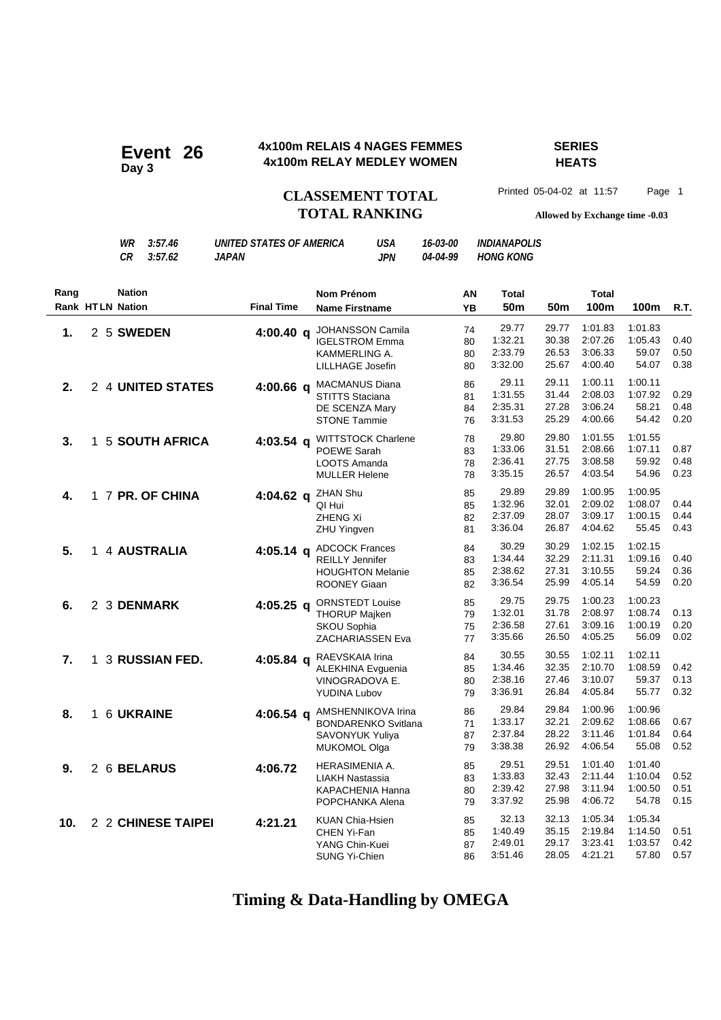#### **4x100m RELAIS 4 NAGES FEMMES SERIES Event 26** 4x100m RELAIS 4 NAGES FEMMES<br>Ax100m RELAY MEDLEY WOMEN

## **HEATS**

**CLASSEMENT TOTAL** Printed 05-04-02 at 11:57 Page 1

## **TOTAL RANKING Allowed by Exchange time -0.03**

|      |                         | WR<br><b>CR</b> | 3:57.46<br>3:57.62    | <b>UNITED STATES OF AMERICA</b><br><b>JAPAN</b> | USA<br><b>JPN</b>                                                                                 | 16-03-00<br>04-04-99 |                      | <i><b>INDIANAPOLIS</b></i><br><b>HONG KONG</b> |                                  |                                          |                                        |                      |
|------|-------------------------|-----------------|-----------------------|-------------------------------------------------|---------------------------------------------------------------------------------------------------|----------------------|----------------------|------------------------------------------------|----------------------------------|------------------------------------------|----------------------------------------|----------------------|
| Rang | <b>Rank HTLN Nation</b> | <b>Nation</b>   |                       | <b>Final Time</b>                               | Nom Prénom<br><b>Name Firstname</b>                                                               |                      | AN<br><b>YB</b>      | Total<br>50 <sub>m</sub>                       | 50m                              | Total<br>100m                            | 100m                                   | R.T.                 |
| 1.   |                         | 2 5 SWEDEN      |                       | $4:00.40$ q                                     | <b>JOHANSSON Camila</b><br><b>IGELSTROM Emma</b><br>KAMMERLING A.<br>LILLHAGE Josefin             |                      | 74<br>80<br>80<br>80 | 29.77<br>1:32.21<br>2:33.79<br>3:32.00         | 29.77<br>30.38<br>26.53<br>25.67 | 1:01.83<br>2:07.26<br>3:06.33<br>4:00.40 | 1:01.83<br>1:05.43<br>59.07<br>54.07   | 0.40<br>0.50<br>0.38 |
| 2.   |                         |                 | 2 4 UNITED STATES     | $4:00.66$ q                                     | <b>MACMANUS Diana</b><br><b>STITTS Staciana</b><br>DE SCENZA Mary<br><b>STONE Tammie</b>          |                      | 86<br>81<br>84<br>76 | 29.11<br>1:31.55<br>2:35.31<br>3:31.53         | 29.11<br>31.44<br>27.28<br>25.29 | 1:00.11<br>2:08.03<br>3:06.24<br>4:00.66 | 1:00.11<br>1:07.92<br>58.21<br>54.42   | 0.29<br>0.48<br>0.20 |
| 3.   | 1.                      |                 | <b>5 SOUTH AFRICA</b> | $4:03.54$ q                                     | WITTSTOCK Charlene<br>POEWE Sarah<br>LOOTS Amanda<br><b>MULLER Helene</b>                         |                      | 78<br>83<br>78<br>78 | 29.80<br>1:33.06<br>2:36.41<br>3:35.15         | 29.80<br>31.51<br>27.75<br>26.57 | 1:01.55<br>2:08.66<br>3:08.58<br>4:03.54 | 1:01.55<br>1:07.11<br>59.92<br>54.96   | 0.87<br>0.48<br>0.23 |
| 4.   |                         |                 | 1 7 PR. OF CHINA      | $4:04.62 \text{ a}$                             | ZHAN Shu<br>QI Hui<br><b>ZHENG Xi</b><br>ZHU Yingven                                              |                      | 85<br>85<br>82<br>81 | 29.89<br>1:32.96<br>2:37.09<br>3:36.04         | 29.89<br>32.01<br>28.07<br>26.87 | 1:00.95<br>2:09.02<br>3:09.17<br>4:04.62 | 1:00.95<br>1:08.07<br>1:00.15<br>55.45 | 0.44<br>0.44<br>0.43 |
| 5.   |                         |                 | 1 4 AUSTRALIA         | $4:05.14$ q                                     | <b>ADCOCK Frances</b><br><b>REILLY Jennifer</b><br><b>HOUGHTON Melanie</b><br><b>ROONEY Giaan</b> |                      | 84<br>83<br>85<br>82 | 30.29<br>1.34.44<br>2:38.62<br>3:36.54         | 30.29<br>32.29<br>27.31<br>25.99 | 1:02.15<br>2:11.31<br>3:10.55<br>4:05.14 | 1:02.15<br>1:09.16<br>59.24<br>54.59   | 0.40<br>0.36<br>0.20 |
| 6.   |                         |                 | 2 3 DENMARK           | $4:05.25$ q                                     | <b>ORNSTEDT Louise</b><br><b>THORUP Majken</b><br><b>SKOU Sophia</b><br>ZACHARIASSEN Eva          |                      | 85<br>79<br>75<br>77 | 29.75<br>1:32.01<br>2:36.58<br>3:35.66         | 29.75<br>31.78<br>27.61<br>26.50 | 1:00.23<br>2:08.97<br>3:09.16<br>4:05.25 | 1:00.23<br>1:08.74<br>1:00.19<br>56.09 | 0.13<br>0.20<br>0.02 |
| 7.   | 1.                      |                 | 3 RUSSIAN FED.        | $4:05.84$ a                                     | RAEVSKAIA Irina<br><b>ALEKHINA Evguenia</b><br>VINOGRADOVA E.<br><b>YUDINA Lubov</b>              |                      | 84<br>85<br>80<br>79 | 30.55<br>1:34.46<br>2:38.16<br>3:36.91         | 30.55<br>32.35<br>27.46<br>26.84 | 1:02.11<br>2:10.70<br>3:10.07<br>4:05.84 | 1:02.11<br>1:08.59<br>59.37<br>55.77   | 0.42<br>0.13<br>0.32 |
| 8.   |                         |                 | 1 6 UKRAINE           | $4:06.54 \text{ a}$                             | AMSHENNIKOVA Irina<br><b>BONDARENKO Svitlana</b><br><b>SAVONYUK Yuliya</b><br><b>MUKOMOL Olga</b> |                      | 86<br>71<br>87<br>79 | 29.84<br>1:33.17<br>2:37.84<br>3:38.38         | 29.84<br>32.21<br>28.22<br>26.92 | 1:00.96<br>2:09.62<br>3:11.46<br>4:06.54 | 1:00.96<br>1:08.66<br>1:01.84<br>55.08 | 0.67<br>0.64<br>0.52 |
| 9.   |                         |                 | 2 6 BELARUS           | 4:06.72                                         | HERASIMENIA A.<br><b>LIAKH Nastassia</b><br>KAPACHENIA Hanna<br>POPCHANKA Alena                   |                      | 85<br>83<br>80<br>79 | 29.51<br>1:33.83<br>2:39.42<br>3:37.92         | 29.51<br>32.43<br>27.98<br>25.98 | 1:01.40<br>2:11.44<br>3:11.94<br>4:06.72 | 1:01.40<br>1:10.04<br>1:00.50<br>54.78 | 0.52<br>0.51<br>0.15 |
| 10.  |                         |                 | 2 2 CHINESE TAIPEI    | 4:21.21                                         | <b>KUAN Chia-Hsien</b><br>CHEN Yi-Fan<br>YANG Chin-Kuei                                           |                      | 85<br>85<br>87       | 32.13<br>1:40.49<br>2:49.01                    | 32.13<br>35.15<br>29.17          | 1:05.34<br>2:19.84<br>3:23.41            | 1:05.34<br>1:14.50<br>1:03.57          | 0.51<br>0.42         |

### **Timing & Data-Handling by OMEGA**

SUNG Yi-Chien 86 3:51.46 28.05 4:21.21 57.80 0.57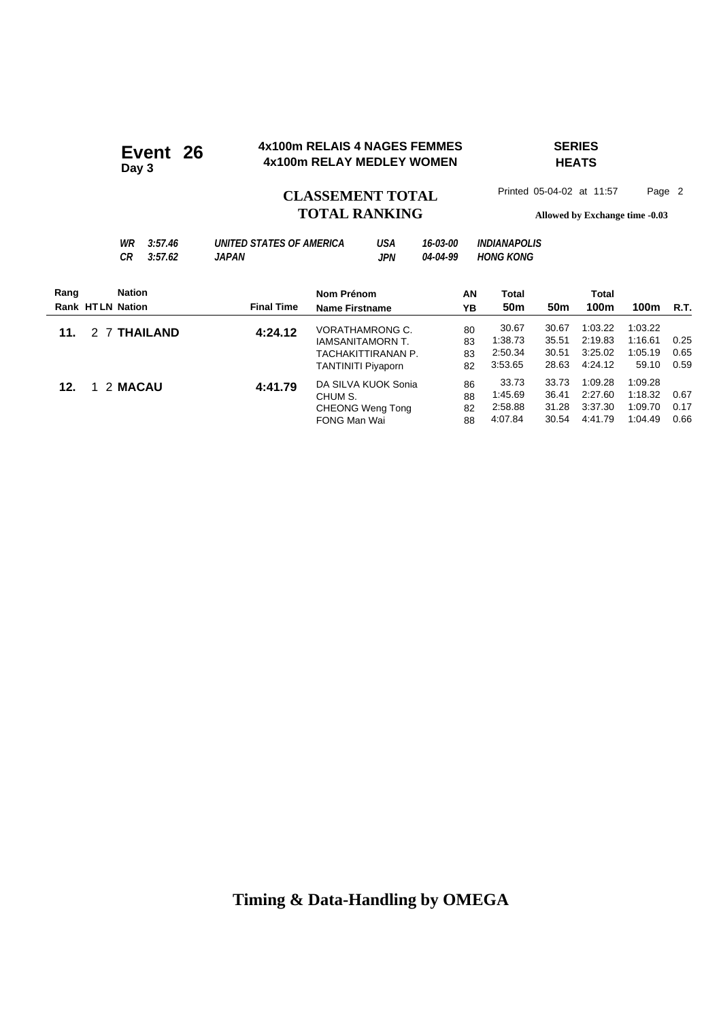#### **4x100m RELAIS 4 NAGES FEMMES SERIES 4x100m RELAIS 4 NAGES FEMMES**<br>Ax100m RELAY MEDLEY WOMEN

## **HEATS**

**Day 3**

### CLASSEMENT TOTAL Printed 05-04-02 at 11:57 Page 2 **TOTAL RANKING Allowed by Exchange time -0.03**

| WR | 3:57.46 | UNITED STATES OF AMERICA | USA | 16-03-00 | <i><b>INDIANAPOLIS</b></i> |
|----|---------|--------------------------|-----|----------|----------------------------|
| СR | 3:57.62 | JAPAN                    | JPN | 04-04-99 | <b>HONG KONG</b>           |

| <b>Nation</b><br>Rang   |                   | Nom Prénom                | AN | Total           |                 | <b>Total</b> |         |      |
|-------------------------|-------------------|---------------------------|----|-----------------|-----------------|--------------|---------|------|
| <b>Rank HTLN Nation</b> | <b>Final Time</b> | <b>Name Firstname</b>     | ΥB | 50 <sub>m</sub> | 50 <sub>m</sub> | 100m         | 100m    | R.T. |
| 2 7 THAILAND<br>11.     | 4:24.12           | VORATHAMRONG C.           | 80 | 30.67           | 30.67           | 1:03.22      | 1:03.22 |      |
|                         |                   | <b>IAMSANITAMORN T.</b>   | 83 | 1:38.73         | 35.51           | 2:19.83      | 1:16.61 | 0.25 |
|                         |                   | TACHAKITTIRANAN P.        | 83 | 2:50.34         | 30.51           | 3:25.02      | 1:05.19 | 0.65 |
|                         |                   | <b>TANTINITI Piyaporn</b> | 82 | 3:53.65         | 28.63           | 4:24.12      | 59.10   | 0.59 |
| 1 2 MACAU<br>12.        | 4:41.79           | DA SILVA KUOK Sonia       | 86 | 33.73           | 33.73           | 1:09.28      | 1:09.28 |      |
|                         |                   | CHUM S.                   | 88 | 1:45.69         | 36.41           | 2:27.60      | 1:18.32 | 0.67 |
|                         |                   | CHEONG Weng Tong          | 82 | 2:58.88         | 31.28           | 3:37.30      | 1:09.70 | 0.17 |
|                         |                   | FONG Man Wai              | 88 | 4:07.84         | 30.54           | 4:41.79      | 1:04.49 | 0.66 |